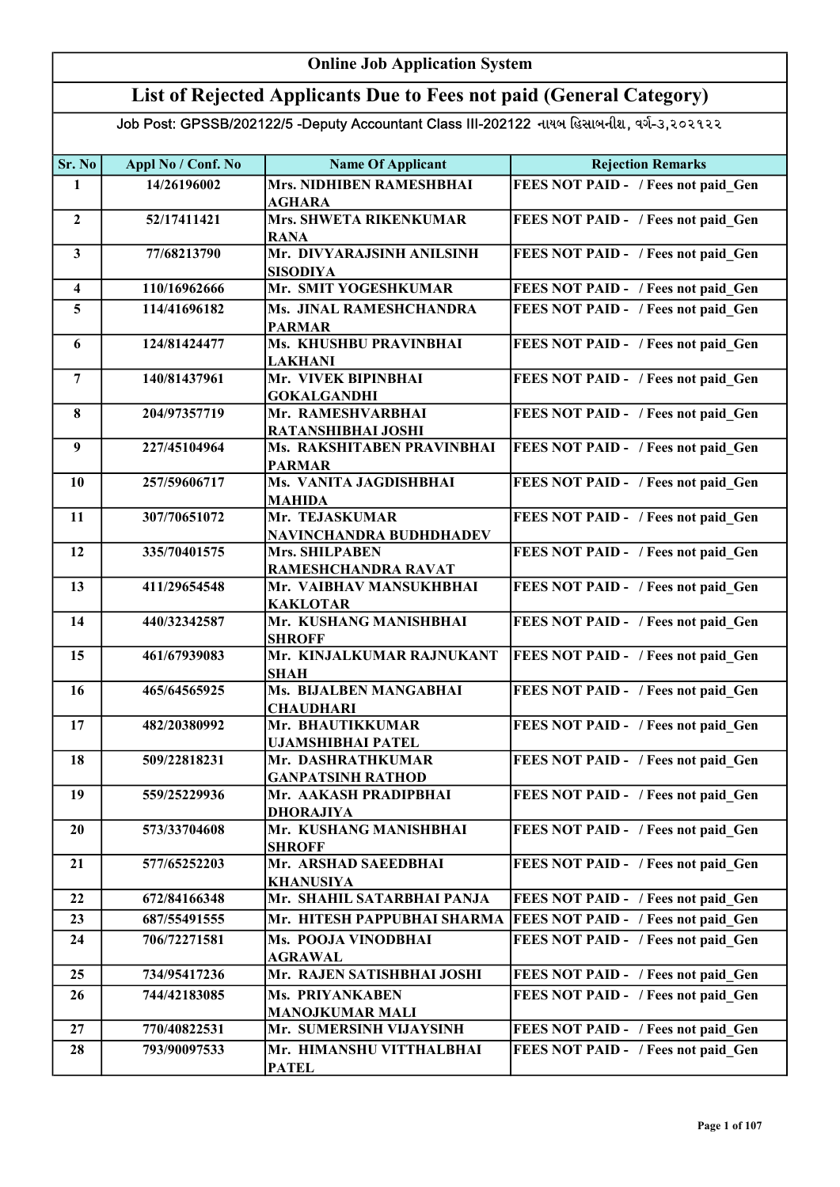### Online Job Application System

### List of Rejected Applicants Due to Fees not paid (General Category)

| <b>Mrs. NIDHIBEN RAMESHBHAI</b><br>FEES NOT PAID - / Fees not paid Gen<br>14/26196002<br>1<br><b>AGHARA</b><br>52/17411421<br>Mrs. SHWETA RIKENKUMAR<br>FEES NOT PAID - / Fees not paid Gen<br>$\overline{2}$<br><b>RANA</b><br>Mr. DIVYARAJSINH ANILSINH<br>$\mathbf{3}$<br>77/68213790<br>FEES NOT PAID - / Fees not paid Gen<br><b>SISODIYA</b><br>Mr. SMIT YOGESHKUMAR<br>FEES NOT PAID - / Fees not paid Gen<br>110/16962666<br>$\overline{\mathbf{4}}$<br>5<br>FEES NOT PAID - / Fees not paid Gen<br>114/41696182<br>Ms. JINAL RAMESHCHANDRA<br><b>PARMAR</b><br>Ms. KHUSHBU PRAVINBHAI<br>FEES NOT PAID - / Fees not paid Gen<br>124/81424477<br>6<br><b>LAKHANI</b><br>FEES NOT PAID - / Fees not paid Gen<br>Mr. VIVEK BIPINBHAI<br>$\overline{7}$<br>140/81437961<br><b>GOKALGANDHI</b><br>FEES NOT PAID - / Fees not paid_Gen<br>204/97357719<br>Mr. RAMESHVARBHAI<br>8<br>RATANSHIBHAI JOSHI<br>227/45104964<br>Ms. RAKSHITABEN PRAVINBHAI<br>FEES NOT PAID - / Fees not paid Gen<br>$\boldsymbol{9}$<br><b>PARMAR</b> |  |
|-------------------------------------------------------------------------------------------------------------------------------------------------------------------------------------------------------------------------------------------------------------------------------------------------------------------------------------------------------------------------------------------------------------------------------------------------------------------------------------------------------------------------------------------------------------------------------------------------------------------------------------------------------------------------------------------------------------------------------------------------------------------------------------------------------------------------------------------------------------------------------------------------------------------------------------------------------------------------------------------------------------------------------------|--|
|                                                                                                                                                                                                                                                                                                                                                                                                                                                                                                                                                                                                                                                                                                                                                                                                                                                                                                                                                                                                                                     |  |
|                                                                                                                                                                                                                                                                                                                                                                                                                                                                                                                                                                                                                                                                                                                                                                                                                                                                                                                                                                                                                                     |  |
|                                                                                                                                                                                                                                                                                                                                                                                                                                                                                                                                                                                                                                                                                                                                                                                                                                                                                                                                                                                                                                     |  |
|                                                                                                                                                                                                                                                                                                                                                                                                                                                                                                                                                                                                                                                                                                                                                                                                                                                                                                                                                                                                                                     |  |
|                                                                                                                                                                                                                                                                                                                                                                                                                                                                                                                                                                                                                                                                                                                                                                                                                                                                                                                                                                                                                                     |  |
|                                                                                                                                                                                                                                                                                                                                                                                                                                                                                                                                                                                                                                                                                                                                                                                                                                                                                                                                                                                                                                     |  |
|                                                                                                                                                                                                                                                                                                                                                                                                                                                                                                                                                                                                                                                                                                                                                                                                                                                                                                                                                                                                                                     |  |
|                                                                                                                                                                                                                                                                                                                                                                                                                                                                                                                                                                                                                                                                                                                                                                                                                                                                                                                                                                                                                                     |  |
|                                                                                                                                                                                                                                                                                                                                                                                                                                                                                                                                                                                                                                                                                                                                                                                                                                                                                                                                                                                                                                     |  |
|                                                                                                                                                                                                                                                                                                                                                                                                                                                                                                                                                                                                                                                                                                                                                                                                                                                                                                                                                                                                                                     |  |
|                                                                                                                                                                                                                                                                                                                                                                                                                                                                                                                                                                                                                                                                                                                                                                                                                                                                                                                                                                                                                                     |  |
|                                                                                                                                                                                                                                                                                                                                                                                                                                                                                                                                                                                                                                                                                                                                                                                                                                                                                                                                                                                                                                     |  |
|                                                                                                                                                                                                                                                                                                                                                                                                                                                                                                                                                                                                                                                                                                                                                                                                                                                                                                                                                                                                                                     |  |
|                                                                                                                                                                                                                                                                                                                                                                                                                                                                                                                                                                                                                                                                                                                                                                                                                                                                                                                                                                                                                                     |  |
|                                                                                                                                                                                                                                                                                                                                                                                                                                                                                                                                                                                                                                                                                                                                                                                                                                                                                                                                                                                                                                     |  |
|                                                                                                                                                                                                                                                                                                                                                                                                                                                                                                                                                                                                                                                                                                                                                                                                                                                                                                                                                                                                                                     |  |
| 257/59606717<br>Ms. VANITA JAGDISHBHAI<br>FEES NOT PAID - / Fees not paid Gen<br>10                                                                                                                                                                                                                                                                                                                                                                                                                                                                                                                                                                                                                                                                                                                                                                                                                                                                                                                                                 |  |
| <b>MAHIDA</b>                                                                                                                                                                                                                                                                                                                                                                                                                                                                                                                                                                                                                                                                                                                                                                                                                                                                                                                                                                                                                       |  |
| 307/70651072<br>Mr. TEJASKUMAR<br>FEES NOT PAID - / Fees not paid Gen<br>11                                                                                                                                                                                                                                                                                                                                                                                                                                                                                                                                                                                                                                                                                                                                                                                                                                                                                                                                                         |  |
| NAVINCHANDRA BUDHDHADEV<br>335/70401575<br><b>Mrs. SHILPABEN</b><br>FEES NOT PAID - / Fees not paid Gen<br>12                                                                                                                                                                                                                                                                                                                                                                                                                                                                                                                                                                                                                                                                                                                                                                                                                                                                                                                       |  |
| RAMESHCHANDRA RAVAT                                                                                                                                                                                                                                                                                                                                                                                                                                                                                                                                                                                                                                                                                                                                                                                                                                                                                                                                                                                                                 |  |
| 411/29654548<br>FEES NOT PAID - / Fees not paid Gen<br>13<br>Mr. VAIBHAV MANSUKHBHAI                                                                                                                                                                                                                                                                                                                                                                                                                                                                                                                                                                                                                                                                                                                                                                                                                                                                                                                                                |  |
| <b>KAKLOTAR</b>                                                                                                                                                                                                                                                                                                                                                                                                                                                                                                                                                                                                                                                                                                                                                                                                                                                                                                                                                                                                                     |  |
| Mr. KUSHANG MANISHBHAI<br>FEES NOT PAID - / Fees not paid Gen<br>14<br>440/32342587                                                                                                                                                                                                                                                                                                                                                                                                                                                                                                                                                                                                                                                                                                                                                                                                                                                                                                                                                 |  |
| <b>SHROFF</b>                                                                                                                                                                                                                                                                                                                                                                                                                                                                                                                                                                                                                                                                                                                                                                                                                                                                                                                                                                                                                       |  |
| Mr. KINJALKUMAR RAJNUKANT<br>15<br>461/67939083<br>FEES NOT PAID - / Fees not paid Gen                                                                                                                                                                                                                                                                                                                                                                                                                                                                                                                                                                                                                                                                                                                                                                                                                                                                                                                                              |  |
| <b>SHAH</b>                                                                                                                                                                                                                                                                                                                                                                                                                                                                                                                                                                                                                                                                                                                                                                                                                                                                                                                                                                                                                         |  |
| <b>Ms. BIJALBEN MANGABHAI</b><br>FEES NOT PAID - / Fees not paid Gen<br>16<br>465/64565925                                                                                                                                                                                                                                                                                                                                                                                                                                                                                                                                                                                                                                                                                                                                                                                                                                                                                                                                          |  |
| <b>CHAUDHARI</b><br>482/20380992<br>Mr. BHAUTIKKUMAR<br>FEES NOT PAID - / Fees not paid Gen<br>17                                                                                                                                                                                                                                                                                                                                                                                                                                                                                                                                                                                                                                                                                                                                                                                                                                                                                                                                   |  |
| <b>UJAMSHIBHAI PATEL</b>                                                                                                                                                                                                                                                                                                                                                                                                                                                                                                                                                                                                                                                                                                                                                                                                                                                                                                                                                                                                            |  |
| 509/22818231<br>Mr. DASHRATHKUMAR<br>FEES NOT PAID - / Fees not paid Gen<br>18                                                                                                                                                                                                                                                                                                                                                                                                                                                                                                                                                                                                                                                                                                                                                                                                                                                                                                                                                      |  |
| <b>GANPATSINH RATHOD</b>                                                                                                                                                                                                                                                                                                                                                                                                                                                                                                                                                                                                                                                                                                                                                                                                                                                                                                                                                                                                            |  |
| 19<br>FEES NOT PAID - / Fees not paid Gen<br>559/25229936<br>Mr. AAKASH PRADIPBHAI                                                                                                                                                                                                                                                                                                                                                                                                                                                                                                                                                                                                                                                                                                                                                                                                                                                                                                                                                  |  |
| <b>DHORAJIYA</b>                                                                                                                                                                                                                                                                                                                                                                                                                                                                                                                                                                                                                                                                                                                                                                                                                                                                                                                                                                                                                    |  |
| 20<br>573/33704608<br>Mr. KUSHANG MANISHBHAI<br>FEES NOT PAID - / Fees not paid Gen                                                                                                                                                                                                                                                                                                                                                                                                                                                                                                                                                                                                                                                                                                                                                                                                                                                                                                                                                 |  |
| <b>SHROFF</b>                                                                                                                                                                                                                                                                                                                                                                                                                                                                                                                                                                                                                                                                                                                                                                                                                                                                                                                                                                                                                       |  |
| 577/65252203<br>Mr. ARSHAD SAEEDBHAI<br>21<br>FEES NOT PAID - / Fees not paid Gen                                                                                                                                                                                                                                                                                                                                                                                                                                                                                                                                                                                                                                                                                                                                                                                                                                                                                                                                                   |  |
| <b>KHANUSIYA</b><br>Mr. SHAHIL SATARBHAI PANJA                                                                                                                                                                                                                                                                                                                                                                                                                                                                                                                                                                                                                                                                                                                                                                                                                                                                                                                                                                                      |  |
| 672/84166348<br>22<br>FEES NOT PAID - / Fees not paid Gen                                                                                                                                                                                                                                                                                                                                                                                                                                                                                                                                                                                                                                                                                                                                                                                                                                                                                                                                                                           |  |
| FEES NOT PAID - / Fees not paid Gen<br>Mr. HITESH PAPPUBHAI SHARMA<br>23<br>687/55491555                                                                                                                                                                                                                                                                                                                                                                                                                                                                                                                                                                                                                                                                                                                                                                                                                                                                                                                                            |  |
| FEES NOT PAID - / Fees not paid Gen<br>24<br>706/72271581<br>Ms. POOJA VINODBHAI                                                                                                                                                                                                                                                                                                                                                                                                                                                                                                                                                                                                                                                                                                                                                                                                                                                                                                                                                    |  |
| <b>AGRAWAL</b><br>734/95417236<br>Mr. RAJEN SATISHBHAI JOSHI<br>25<br>FEES NOT PAID - / Fees not paid Gen                                                                                                                                                                                                                                                                                                                                                                                                                                                                                                                                                                                                                                                                                                                                                                                                                                                                                                                           |  |
| <b>Ms. PRIYANKABEN</b><br>FEES NOT PAID - / Fees not paid Gen<br>26<br>744/42183085                                                                                                                                                                                                                                                                                                                                                                                                                                                                                                                                                                                                                                                                                                                                                                                                                                                                                                                                                 |  |
| <b>MANOJKUMAR MALI</b>                                                                                                                                                                                                                                                                                                                                                                                                                                                                                                                                                                                                                                                                                                                                                                                                                                                                                                                                                                                                              |  |
| 770/40822531<br>FEES NOT PAID - / Fees not paid Gen<br>27<br>Mr. SUMERSINH VIJAYSINH                                                                                                                                                                                                                                                                                                                                                                                                                                                                                                                                                                                                                                                                                                                                                                                                                                                                                                                                                |  |
| FEES NOT PAID - / Fees not paid Gen<br>28<br>793/90097533<br>Mr. HIMANSHU VITTHALBHAI                                                                                                                                                                                                                                                                                                                                                                                                                                                                                                                                                                                                                                                                                                                                                                                                                                                                                                                                               |  |
| <b>PATEL</b>                                                                                                                                                                                                                                                                                                                                                                                                                                                                                                                                                                                                                                                                                                                                                                                                                                                                                                                                                                                                                        |  |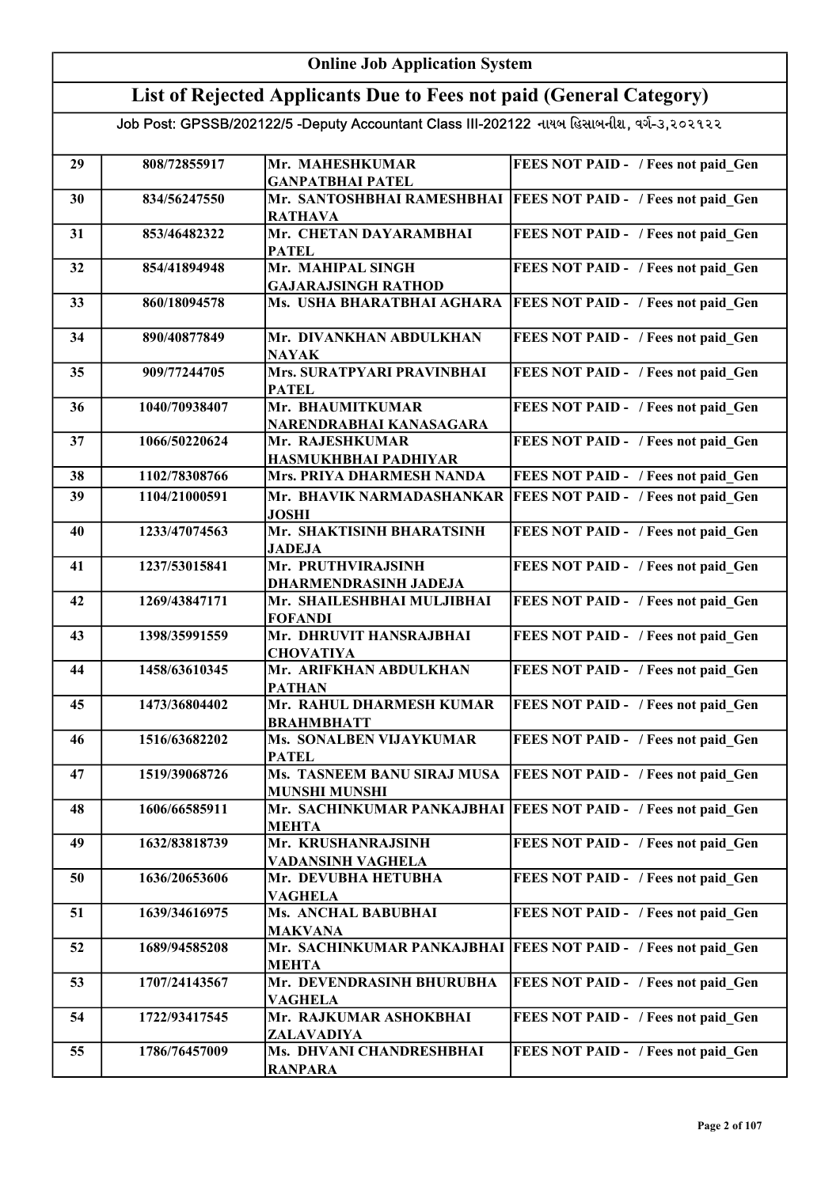|    | <b>Online Job Application System</b> |                                                                                           |                                            |  |
|----|--------------------------------------|-------------------------------------------------------------------------------------------|--------------------------------------------|--|
|    |                                      | List of Rejected Applicants Due to Fees not paid (General Category)                       |                                            |  |
|    |                                      | Job Post: GPSSB/202122/5 -Deputy Accountant Class III-202122 નાયબ હિસાબનીશ, વર્ગ-૩,૨૦૨૧૨૨ |                                            |  |
|    |                                      |                                                                                           |                                            |  |
| 29 | 808/72855917                         | Mr. MAHESHKUMAR                                                                           | FEES NOT PAID - / Fees not paid Gen        |  |
|    | 834/56247550                         | <b>GANPATBHAI PATEL</b><br>Mr. SANTOSHBHAI RAMESHBHAI                                     |                                            |  |
| 30 |                                      | <b>RATHAVA</b>                                                                            | <b>FEES NOT PAID - / Fees not paid Gen</b> |  |
| 31 | 853/46482322                         | Mr. CHETAN DAYARAMBHAI                                                                    | FEES NOT PAID - / Fees not paid Gen        |  |
|    |                                      | <b>PATEL</b>                                                                              |                                            |  |
| 32 | 854/41894948                         | Mr. MAHIPAL SINGH<br><b>GAJARAJSINGH RATHOD</b>                                           | FEES NOT PAID - / Fees not paid Gen        |  |
| 33 | 860/18094578                         | Ms. USHA BHARATBHAI AGHARA                                                                | FEES NOT PAID - / Fees not paid Gen        |  |
|    |                                      |                                                                                           |                                            |  |
| 34 | 890/40877849                         | Mr. DIVANKHAN ABDULKHAN                                                                   | FEES NOT PAID - / Fees not paid Gen        |  |
| 35 | 909/77244705                         | <b>NAYAK</b><br>Mrs. SURATPYARI PRAVINBHAI                                                | FEES NOT PAID - / Fees not paid Gen        |  |
|    |                                      | <b>PATEL</b>                                                                              |                                            |  |
| 36 | 1040/70938407                        | Mr. BHAUMITKUMAR                                                                          | FEES NOT PAID - / Fees not paid Gen        |  |
|    |                                      | NARENDRABHAI KANASAGARA                                                                   |                                            |  |
| 37 | 1066/50220624                        | Mr. RAJESHKUMAR<br>HASMUKHBHAI PADHIYAR                                                   | FEES NOT PAID - / Fees not paid Gen        |  |
| 38 | 1102/78308766                        | Mrs. PRIYA DHARMESH NANDA                                                                 | FEES NOT PAID - / Fees not paid Gen        |  |
| 39 | 1104/21000591                        | Mr. BHAVIK NARMADASHANKAR                                                                 | <b>FEES NOT PAID - / Fees not paid Gen</b> |  |
|    |                                      | <b>JOSHI</b>                                                                              |                                            |  |
| 40 | 1233/47074563                        | Mr. SHAKTISINH BHARATSINH                                                                 | FEES NOT PAID - / Fees not paid Gen        |  |
| 41 | 1237/53015841                        | <b>JADEJA</b><br>Mr. PRUTHVIRAJSINH                                                       | FEES NOT PAID - / Fees not paid_Gen        |  |
|    |                                      | DHARMENDRASINH JADEJA                                                                     |                                            |  |
| 42 | 1269/43847171                        | Mr. SHAILESHBHAI MULJIBHAI                                                                | FEES NOT PAID - / Fees not paid_Gen        |  |
| 43 | 1398/35991559                        | <b>FOFANDI</b><br>Mr. DHRUVIT HANSRAJBHAI                                                 | FEES NOT PAID - / Fees not paid_Gen        |  |
|    |                                      | <b>CHOVATIYA</b>                                                                          |                                            |  |
| 44 | 1458/63610345                        | Mr. ARIFKHAN ABDULKHAN                                                                    | FEES NOT PAID - / Fees not paid Gen        |  |
|    |                                      | <b>PATHAN</b>                                                                             |                                            |  |
| 45 | 1473/36804402                        | Mr. RAHUL DHARMESH KUMAR<br><b>BRAHMBHATT</b>                                             | FEES NOT PAID - / Fees not paid Gen        |  |
| 46 | 1516/63682202                        | Ms. SONALBEN VIJAYKUMAR                                                                   | FEES NOT PAID - / Fees not paid Gen        |  |
|    |                                      | <b>PATEL</b>                                                                              |                                            |  |
| 47 | 1519/39068726                        | Ms. TASNEEM BANU SIRAJ MUSA                                                               | FEES NOT PAID - / Fees not paid Gen        |  |
| 48 | 1606/66585911                        | <b>MUNSHI MUNSHI</b><br>Mr. SACHINKUMAR PANKAJBHAI                                        | <b>FEES NOT PAID - / Fees not paid Gen</b> |  |
|    |                                      | <b>MEHTA</b>                                                                              |                                            |  |
| 49 | 1632/83818739                        | Mr. KRUSHANRAJSINH                                                                        | FEES NOT PAID - / Fees not paid Gen        |  |
|    |                                      | <b>VADANSINH VAGHELA</b>                                                                  |                                            |  |
| 50 | 1636/20653606                        | Mr. DEVUBHA HETUBHA<br><b>VAGHELA</b>                                                     | FEES NOT PAID - / Fees not paid_Gen        |  |
| 51 | 1639/34616975                        | Ms. ANCHAL BABUBHAI                                                                       | FEES NOT PAID - / Fees not paid Gen        |  |
|    |                                      | <b>MAKVANA</b>                                                                            |                                            |  |
| 52 | 1689/94585208                        | Mr. SACHINKUMAR PANKAJBHAI                                                                | <b>FEES NOT PAID - / Fees not paid Gen</b> |  |
| 53 | 1707/24143567                        | <b>MEHTA</b><br>Mr. DEVENDRASINH BHURUBHA                                                 | FEES NOT PAID - / Fees not paid Gen        |  |
|    |                                      | <b>VAGHELA</b>                                                                            |                                            |  |
| 54 | 1722/93417545                        | Mr. RAJKUMAR ASHOKBHAI                                                                    | FEES NOT PAID - / Fees not paid Gen        |  |
|    |                                      | ZALAVADIYA                                                                                |                                            |  |
| 55 | 1786/76457009                        | Ms. DHVANI CHANDRESHBHAI<br><b>RANPARA</b>                                                | FEES NOT PAID - / Fees not paid Gen        |  |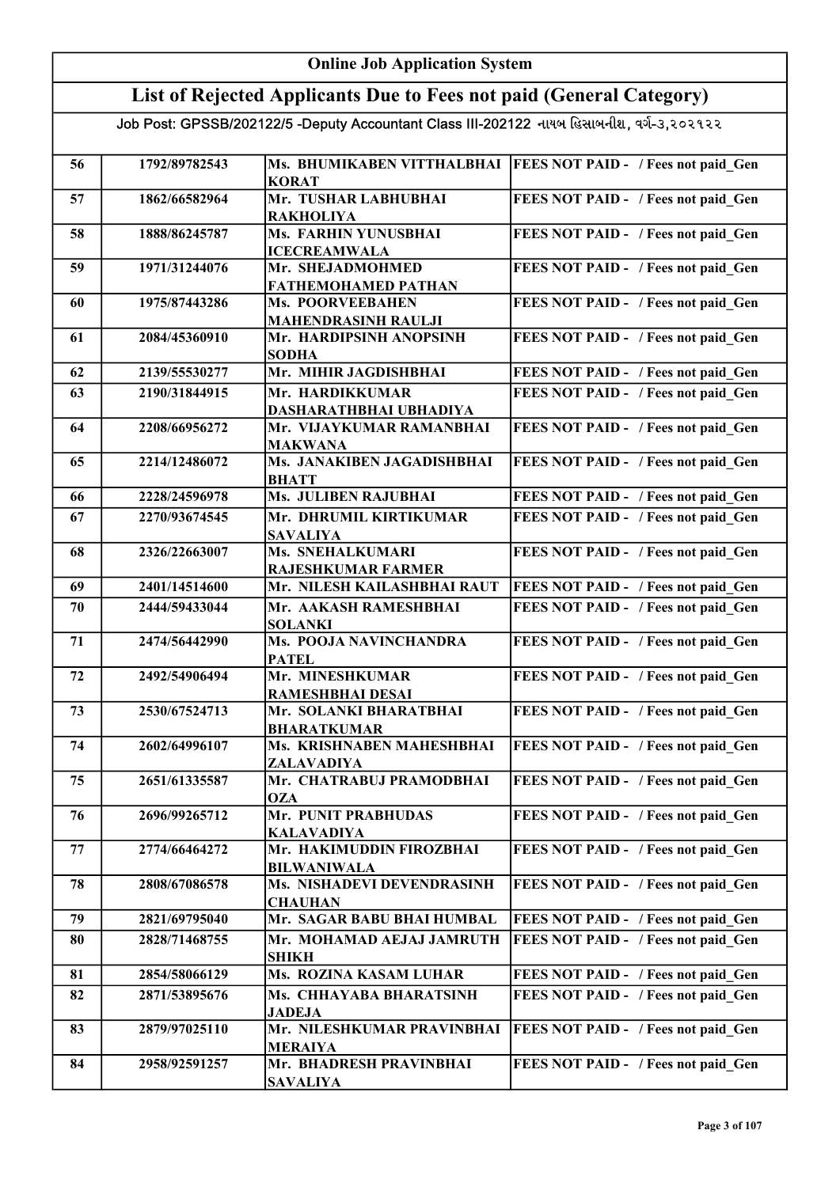|    | <b>Online Job Application System</b> |                                                                                           |                                                                  |  |
|----|--------------------------------------|-------------------------------------------------------------------------------------------|------------------------------------------------------------------|--|
|    |                                      | List of Rejected Applicants Due to Fees not paid (General Category)                       |                                                                  |  |
|    |                                      | Job Post: GPSSB/202122/5 -Deputy Accountant Class III-202122 નાયબ હિસાબનીશ, વર્ગ-૩,૨૦૨૧૨૨ |                                                                  |  |
|    |                                      |                                                                                           |                                                                  |  |
| 56 | 1792/89782543                        | <b>KORAT</b>                                                                              | Ms. BHUMIKABEN VITTHALBHAI   FEES NOT PAID - / Fees not paid Gen |  |
| 57 | 1862/66582964                        | Mr. TUSHAR LABHUBHAI<br><b>RAKHOLIYA</b>                                                  | FEES NOT PAID - / Fees not paid Gen                              |  |
| 58 | 1888/86245787                        | Ms. FARHIN YUNUSBHAI<br><b>ICECREAMWALA</b>                                               | FEES NOT PAID - / Fees not paid Gen                              |  |
| 59 | 1971/31244076                        | Mr. SHEJADMOHMED<br><b>FATHEMOHAMED PATHAN</b>                                            | FEES NOT PAID - / Fees not paid Gen                              |  |
| 60 | 1975/87443286                        | <b>Ms. POORVEEBAHEN</b><br><b>MAHENDRASINH RAULJI</b>                                     | FEES NOT PAID - / Fees not paid Gen                              |  |
| 61 | 2084/45360910                        | Mr. HARDIPSINH ANOPSINH<br><b>SODHA</b>                                                   | FEES NOT PAID - / Fees not paid Gen                              |  |
| 62 | 2139/55530277                        | Mr. MIHIR JAGDISHBHAI                                                                     | FEES NOT PAID - / Fees not paid Gen                              |  |
| 63 | 2190/31844915                        | Mr. HARDIKKUMAR                                                                           | FEES NOT PAID - / Fees not paid Gen                              |  |
|    |                                      | DASHARATHBHAI UBHADIYA                                                                    |                                                                  |  |
| 64 | 2208/66956272                        | Mr. VIJAYKUMAR RAMANBHAI<br><b>MAKWANA</b>                                                | FEES NOT PAID - / Fees not paid Gen                              |  |
| 65 | 2214/12486072                        | Ms. JANAKIBEN JAGADISHBHAI<br><b>BHATT</b>                                                | FEES NOT PAID - / Fees not paid Gen                              |  |
| 66 | 2228/24596978                        | <b>Ms. JULIBEN RAJUBHAI</b>                                                               | FEES NOT PAID - / Fees not paid Gen                              |  |
| 67 | 2270/93674545                        | Mr. DHRUMIL KIRTIKUMAR<br><b>SAVALIYA</b>                                                 | FEES NOT PAID - / Fees not paid Gen                              |  |
| 68 | 2326/22663007                        | <b>Ms. SNEHALKUMARI</b><br><b>RAJESHKUMAR FARMER</b>                                      | FEES NOT PAID - / Fees not paid_Gen                              |  |
| 69 | 2401/14514600                        | Mr. NILESH KAILASHBHAI RAUT                                                               | <b>FEES NOT PAID - / Fees not paid_Gen</b>                       |  |
| 70 | 2444/59433044                        | Mr. AAKASH RAMESHBHAI<br><b>SOLANKI</b>                                                   | FEES NOT PAID - / Fees not paid Gen                              |  |
| 71 | 2474/56442990                        | <b>Ms. POOJA NAVINCHANDRA</b><br><b>PATEL</b>                                             | FEES NOT PAID - / Fees not paid Gen                              |  |
| 72 | 2492/54906494                        | Mr. MINESHKUMAR<br><b>RAMESHBHAI DESAI</b>                                                | FEES NOT PAID - / Fees not paid Gen                              |  |
| 73 | 2530/67524713                        | Mr. SOLANKI BHARATBHAI<br><b>BHARATKUMAR</b>                                              | FEES NOT PAID - / Fees not paid_Gen                              |  |
| 74 | 2602/64996107                        | Ms. KRISHNABEN MAHESHBHAI<br>ZALAVADIYA                                                   | FEES NOT PAID - / Fees not paid Gen                              |  |
| 75 | 2651/61335587                        | Mr. CHATRABUJ PRAMODBHAI<br><b>OZA</b>                                                    | FEES NOT PAID - / Fees not paid Gen                              |  |
| 76 | 2696/99265712                        | Mr. PUNIT PRABHUDAS<br><b>KALAVADIYA</b>                                                  | FEES NOT PAID - / Fees not paid Gen                              |  |
| 77 | 2774/66464272                        | Mr. HAKIMUDDIN FIROZBHAI<br><b>BILWANIWALA</b>                                            | FEES NOT PAID - / Fees not paid Gen                              |  |
| 78 | 2808/67086578                        | Ms. NISHADEVI DEVENDRASINH<br><b>CHAUHAN</b>                                              | FEES NOT PAID - / Fees not paid Gen                              |  |
| 79 | 2821/69795040                        | Mr. SAGAR BABU BHAI HUMBAL                                                                | FEES NOT PAID - / Fees not paid_Gen                              |  |
| 80 | 2828/71468755                        | Mr. MOHAMAD AEJAJ JAMRUTH<br><b>SHIKH</b>                                                 | FEES NOT PAID - / Fees not paid Gen                              |  |
| 81 | 2854/58066129                        | Ms. ROZINA KASAM LUHAR                                                                    | FEES NOT PAID - / Fees not paid Gen                              |  |
| 82 | 2871/53895676                        | Ms. CHHAYABA BHARATSINH                                                                   | FEES NOT PAID - / Fees not paid Gen                              |  |
| 83 | 2879/97025110                        | <b>JADEJA</b><br>Mr. NILESHKUMAR PRAVINBHAI                                               | FEES NOT PAID - / Fees not paid Gen                              |  |
| 84 | 2958/92591257                        | <b>MERAIYA</b><br>Mr. BHADRESH PRAVINBHAI<br><b>SAVALIYA</b>                              | FEES NOT PAID - / Fees not paid Gen                              |  |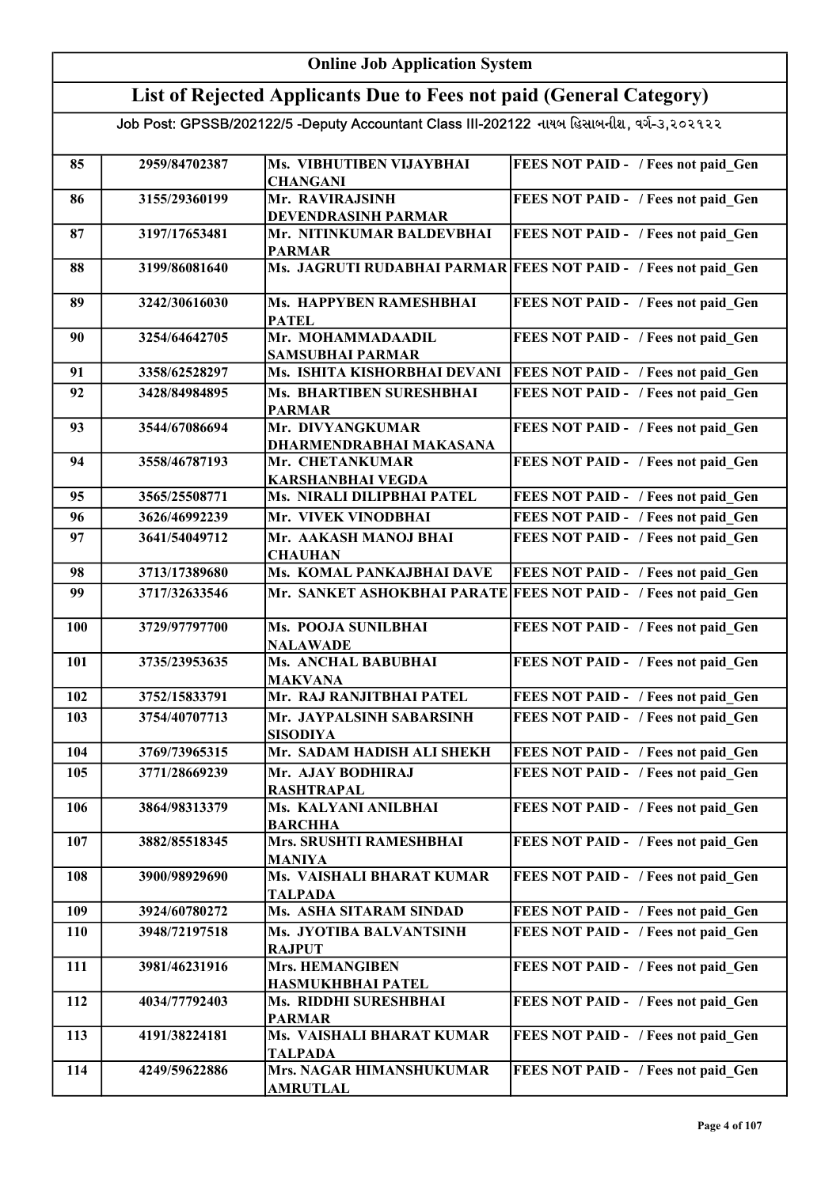| <b>Online Job Application System</b> |               |                                                                                           |                                                                 |
|--------------------------------------|---------------|-------------------------------------------------------------------------------------------|-----------------------------------------------------------------|
|                                      |               | List of Rejected Applicants Due to Fees not paid (General Category)                       |                                                                 |
|                                      |               | Job Post: GPSSB/202122/5 -Deputy Accountant Class III-202122 નાયબ હિસાબનીશ, વર્ગ-૩,૨૦૨૧૨૨ |                                                                 |
| 85                                   | 2959/84702387 | Ms. VIBHUTIBEN VIJAYBHAI                                                                  | FEES NOT PAID - / Fees not paid Gen                             |
|                                      |               | <b>CHANGANI</b>                                                                           |                                                                 |
| 86                                   | 3155/29360199 | Mr. RAVIRAJSINH                                                                           | FEES NOT PAID - / Fees not paid Gen                             |
|                                      |               | DEVENDRASINH PARMAR                                                                       |                                                                 |
| 87                                   | 3197/17653481 | Mr. NITINKUMAR BALDEVBHAI<br><b>PARMAR</b>                                                | FEES NOT PAID - / Fees not paid Gen                             |
| 88                                   | 3199/86081640 |                                                                                           | Ms. JAGRUTI RUDABHAI PARMAR FEES NOT PAID - / Fees not paid Gen |
| 89                                   | 3242/30616030 | Ms. HAPPYBEN RAMESHBHAI<br><b>PATEL</b>                                                   | FEES NOT PAID - / Fees not paid Gen                             |
| 90                                   | 3254/64642705 | Mr. MOHAMMADAADIL<br><b>SAMSUBHAI PARMAR</b>                                              | FEES NOT PAID - / Fees not paid Gen                             |
| 91                                   | 3358/62528297 | Ms. ISHITA KISHORBHAI DEVANI                                                              | <b>FEES NOT PAID - / Fees not paid Gen</b>                      |
| 92                                   | 3428/84984895 | Ms. BHARTIBEN SURESHBHAI                                                                  | FEES NOT PAID - / Fees not paid Gen                             |
|                                      |               | <b>PARMAR</b>                                                                             |                                                                 |
| 93                                   | 3544/67086694 | Mr. DIVYANGKUMAR<br>DHARMENDRABHAI MAKASANA                                               | FEES NOT PAID - / Fees not paid_Gen                             |
| 94                                   | 3558/46787193 | Mr. CHETANKUMAR                                                                           | FEES NOT PAID - / Fees not paid Gen                             |
|                                      |               | <b>KARSHANBHAI VEGDA</b>                                                                  |                                                                 |
| 95                                   | 3565/25508771 | Ms. NIRALI DILIPBHAI PATEL                                                                | FEES NOT PAID - / Fees not paid Gen                             |
| 96                                   | 3626/46992239 | Mr. VIVEK VINODBHAI                                                                       | FEES NOT PAID - / Fees not paid Gen                             |
| 97                                   | 3641/54049712 | Mr. AAKASH MANOJ BHAI<br><b>CHAUHAN</b>                                                   | FEES NOT PAID - / Fees not paid Gen                             |
| 98                                   | 3713/17389680 | Ms. KOMAL PANKAJBHAI DAVE                                                                 | FEES NOT PAID - / Fees not paid Gen                             |
| 99                                   | 3717/32633546 | Mr. SANKET ASHOKBHAI PARATE                                                               | <b>FEES NOT PAID - / Fees not paid Gen</b>                      |
| 100                                  | 3729/97797700 | Ms. POOJA SUNILBHAI<br><b>NALAWADE</b>                                                    | FEES NOT PAID - / Fees not paid Gen                             |
| 101                                  | 3735/23953635 | Ms. ANCHAL BABUBHAI                                                                       | FEES NOT PAID - / Fees not paid Gen                             |
|                                      |               | <b>MAKVANA</b>                                                                            |                                                                 |
| 102                                  | 3752/15833791 | Mr. RAJ RANJITBHAI PATEL                                                                  | FEES NOT PAID - / Fees not paid Gen                             |
| 103                                  | 3754/40707713 | Mr. JAYPALSINH SABARSINH<br><b>SISODIYA</b>                                               | FEES NOT PAID - / Fees not paid Gen                             |
| 104                                  | 3769/73965315 | Mr. SADAM HADISH ALI SHEKH                                                                | FEES NOT PAID - / Fees not paid Gen                             |
| 105                                  | 3771/28669239 | Mr. AJAY BODHIRAJ<br><b>RASHTRAPAL</b>                                                    | FEES NOT PAID - / Fees not paid Gen                             |
| 106                                  | 3864/98313379 | Ms. KALYANI ANILBHAI                                                                      | FEES NOT PAID - / Fees not paid Gen                             |
| 107                                  | 3882/85518345 | <b>BARCHHA</b><br>Mrs. SRUSHTI RAMESHBHAI                                                 | FEES NOT PAID - / Fees not paid Gen                             |
| 108                                  | 3900/98929690 | <b>MANIYA</b><br>Ms. VAISHALI BHARAT KUMAR                                                | FEES NOT PAID - / Fees not paid Gen                             |
| 109                                  | 3924/60780272 | <b>TALPADA</b><br>Ms. ASHA SITARAM SINDAD                                                 | FEES NOT PAID - / Fees not paid Gen                             |
| 110                                  | 3948/72197518 | Ms. JYOTIBA BALVANTSINH                                                                   | FEES NOT PAID - / Fees not paid Gen                             |
|                                      |               | <b>RAJPUT</b>                                                                             |                                                                 |
| 111                                  | 3981/46231916 | <b>Mrs. HEMANGIBEN</b><br>HASMUKHBHAI PATEL                                               | FEES NOT PAID - / Fees not paid Gen                             |
| 112                                  | 4034/77792403 | Ms. RIDDHI SURESHBHAI<br><b>PARMAR</b>                                                    | FEES NOT PAID - / Fees not paid Gen                             |
| 113                                  | 4191/38224181 | Ms. VAISHALI BHARAT KUMAR                                                                 | FEES NOT PAID - / Fees not paid Gen                             |
| 114                                  | 4249/59622886 | <b>TALPADA</b><br>Mrs. NAGAR HIMANSHUKUMAR<br><b>AMRUTLAL</b>                             | FEES NOT PAID - / Fees not paid Gen                             |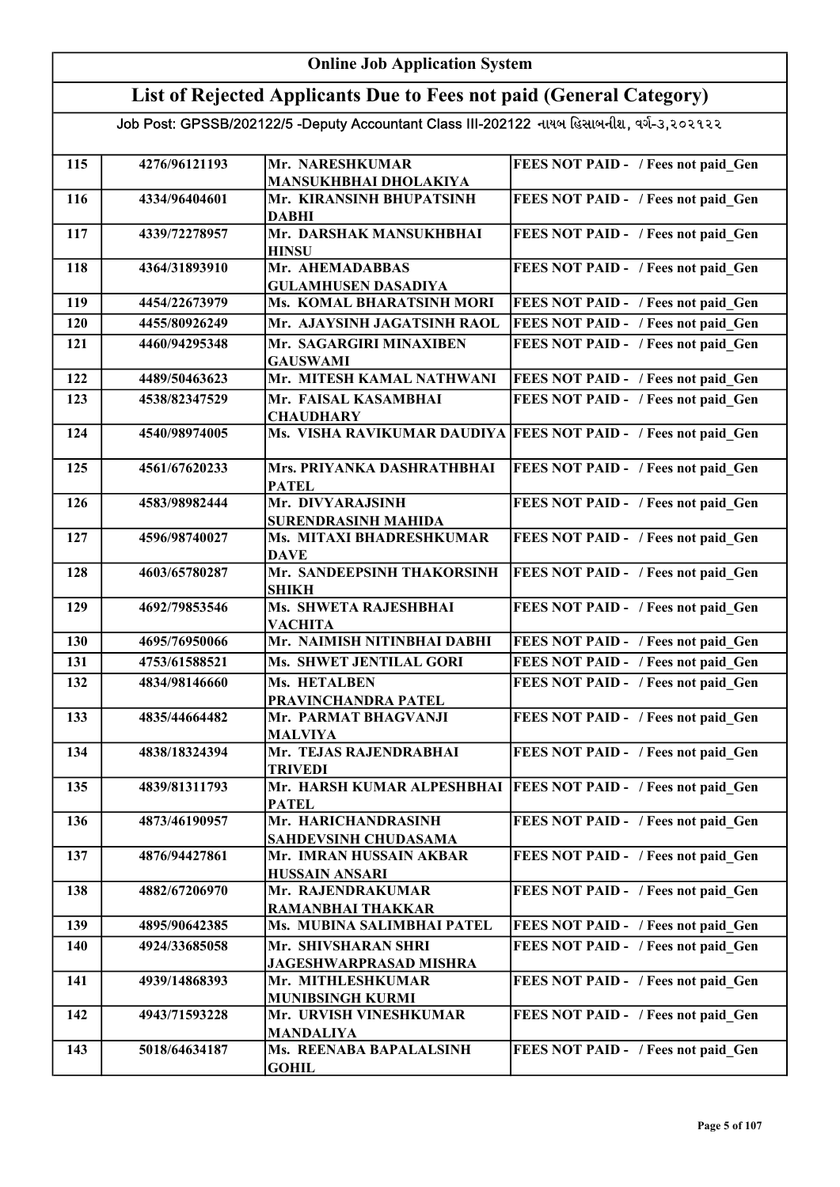|     | <b>Online Job Application System</b> |                                                                                           |                                            |  |
|-----|--------------------------------------|-------------------------------------------------------------------------------------------|--------------------------------------------|--|
|     |                                      | List of Rejected Applicants Due to Fees not paid (General Category)                       |                                            |  |
|     |                                      | Job Post: GPSSB/202122/5 -Deputy Accountant Class III-202122 નાયબ હિસાબનીશ, વર્ગ-૩,૨૦૨૧૨૨ |                                            |  |
| 115 | 4276/96121193                        | Mr. NARESHKUMAR<br>MANSUKHBHAI DHOLAKIYA                                                  | FEES NOT PAID - / Fees not paid Gen        |  |
| 116 | 4334/96404601                        | Mr. KIRANSINH BHUPATSINH<br><b>DABHI</b>                                                  | FEES NOT PAID - / Fees not paid_Gen        |  |
| 117 | 4339/72278957                        | Mr. DARSHAK MANSUKHBHAI<br><b>HINSU</b>                                                   | FEES NOT PAID - / Fees not paid_Gen        |  |
| 118 | 4364/31893910                        | Mr. AHEMADABBAS<br><b>GULAMHUSEN DASADIYA</b>                                             | FEES NOT PAID - / Fees not paid Gen        |  |
| 119 | 4454/22673979                        | <b>Ms. KOMAL BHARATSINH MORI</b>                                                          | FEES NOT PAID - / Fees not paid Gen        |  |
| 120 | 4455/80926249                        | Mr. AJAYSINH JAGATSINH RAOL                                                               | FEES NOT PAID - / Fees not paid Gen        |  |
| 121 | 4460/94295348                        | Mr. SAGARGIRI MINAXIBEN<br><b>GAUSWAMI</b>                                                | FEES NOT PAID - / Fees not paid Gen        |  |
| 122 | 4489/50463623                        | Mr. MITESH KAMAL NATHWANI                                                                 | FEES NOT PAID - / Fees not paid Gen        |  |
| 123 | 4538/82347529                        | Mr. FAISAL KASAMBHAI<br><b>CHAUDHARY</b>                                                  | FEES NOT PAID - / Fees not paid Gen        |  |
| 124 | 4540/98974005                        | Ms. VISHA RAVIKUMAR DAUDIYA                                                               | <b>FEES NOT PAID - / Fees not paid Gen</b> |  |
| 125 | 4561/67620233                        | Mrs. PRIYANKA DASHRATHBHAI<br><b>PATEL</b>                                                | FEES NOT PAID - / Fees not paid Gen        |  |
| 126 | 4583/98982444                        | Mr. DIVYARAJSINH<br>SURENDRASINH MAHIDA                                                   | FEES NOT PAID - / Fees not paid_Gen        |  |
| 127 | 4596/98740027                        | Ms. MITAXI BHADRESHKUMAR<br><b>DAVE</b>                                                   | FEES NOT PAID - / Fees not paid Gen        |  |
| 128 | 4603/65780287                        | Mr. SANDEEPSINH THAKORSINH<br><b>SHIKH</b>                                                | FEES NOT PAID - / Fees not paid_Gen        |  |
| 129 | 4692/79853546                        | Ms. SHWETA RAJESHBHAI<br><b>VACHITA</b>                                                   | FEES NOT PAID - / Fees not paid Gen        |  |
| 130 | 4695/76950066                        | Mr. NAIMISH NITINBHAI DABHI                                                               | FEES NOT PAID - / Fees not paid Gen        |  |
| 131 | 4753/61588521                        | Ms. SHWET JENTILAL GORI                                                                   | FEES NOT PAID - / Fees not paid Gen        |  |
| 132 | 4834/98146660                        | Ms. HETALBEN<br>PRAVINCHANDRA PATEL                                                       | FEES NOT PAID - / Fees not paid_Gen        |  |
| 133 | 4835/44664482                        | Mr. PARMAT BHAGVANJI<br><b>MALVIYA</b>                                                    | FEES NOT PAID - / Fees not paid Gen        |  |
| 134 | 4838/18324394                        | Mr. TEJAS RAJENDRABHAI<br><b>TRIVEDI</b>                                                  | FEES NOT PAID - / Fees not paid Gen        |  |
| 135 | 4839/81311793                        | Mr. HARSH KUMAR ALPESHBHAI<br><b>PATEL</b>                                                | FEES NOT PAID - / Fees not paid Gen        |  |
| 136 | 4873/46190957                        | Mr. HARICHANDRASINH<br><b>SAHDEVSINH CHUDASAMA</b>                                        | FEES NOT PAID - / Fees not paid Gen        |  |
| 137 | 4876/94427861                        | Mr. IMRAN HUSSAIN AKBAR<br><b>HUSSAIN ANSARI</b>                                          | FEES NOT PAID - / Fees not paid Gen        |  |
| 138 | 4882/67206970                        | Mr. RAJENDRAKUMAR<br><b>RAMANBHAI THAKKAR</b>                                             | FEES NOT PAID - / Fees not paid Gen        |  |
| 139 | 4895/90642385                        | Ms. MUBINA SALIMBHAI PATEL                                                                | FEES NOT PAID - / Fees not paid Gen        |  |
| 140 | 4924/33685058                        | Mr. SHIVSHARAN SHRI<br><b>JAGESHWARPRASAD MISHRA</b>                                      | FEES NOT PAID - / Fees not paid Gen        |  |
| 141 | 4939/14868393                        | Mr. MITHLESHKUMAR                                                                         | FEES NOT PAID - / Fees not paid Gen        |  |
| 142 | 4943/71593228                        | MUNIBSINGH KURMI<br>Mr. URVISH VINESHKUMAR                                                | FEES NOT PAID - / Fees not paid Gen        |  |
| 143 | 5018/64634187                        | <b>MANDALIYA</b><br>Ms. REENABA BAPALALSINH<br><b>GOHIL</b>                               | FEES NOT PAID - / Fees not paid Gen        |  |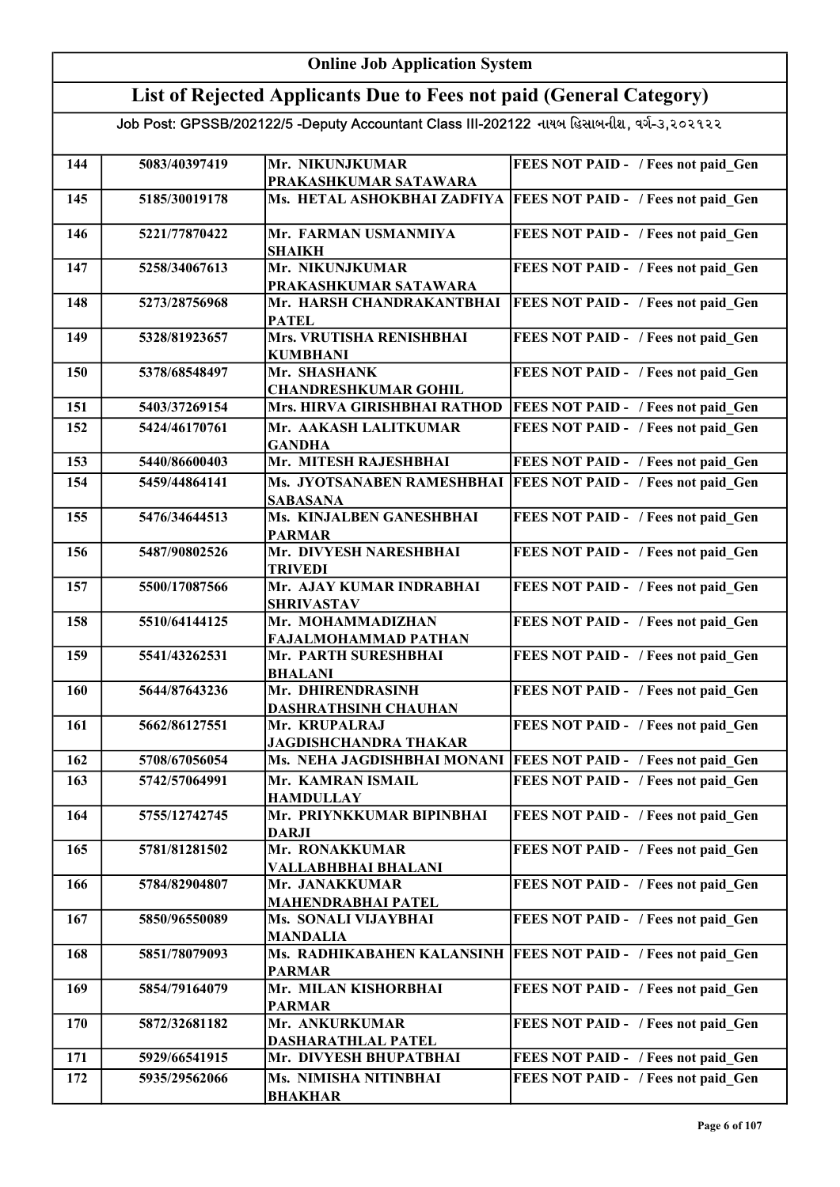#### Online Job Application System List of Rejected Applicants Due to Fees not paid (General Category) Job Post: GPSSB/202122/5 -Deputy Accountant Class III-202122 નાયબ હિસાબનીશ, વર્ગ-૩,૨૦૨૧૨૨ 144 5083/40397419 Mr. NIKUNJKUMAR PRAKASHKUMAR SATAWARA FEES NOT PAID - / Fees not paid Gen 145 5185/30019178 Ms. HETAL ASHOKBHAI ZADFIYA FEES NOT PAID - / Fees not paid\_Gen 146 5221/77870422 Mr. FARMAN USMANMIYA SHAIKH FEES NOT PAID - / Fees not paid Gen 147 5258/34067613 Mr. NIKUNJKUMAR PRAKASHKUMAR SATAWARA FEES NOT PAID - / Fees not paid Gen 148 5273/28756968 Mr. HARSH CHANDRAKANTBHAI **PATEL FEES NOT PAID - / Fees not paid Gen** 149 5328/81923657 Mrs. VRUTISHA RENISHBHAI KUMBHANI FEES NOT PAID - / Fees not paid Gen 150 5378/68548497 Mr. SHASHANK CHANDRESHKUMAR GOHIL FEES NOT PAID - / Fees not paid Gen 151 5403/37269154 Mrs. HIRVA GIRISHBHAI RATHOD FEES NOT PAID - / Fees not paid\_Gen 152 5424/46170761 Mr. AAKASH LALITKUMAR GANDHA FEES NOT PAID - / Fees not paid Gen 153 5440/86600403 Mr. MITESH RAJESHBHAI 154 5459/44864141 Ms. JYOTSANABEN RAMESHBHAI FEES NOT PAID - / Fees not paid\_Gen FEES NOT PAID - / Fees not paid\_Gen **SABASANA** 155 5476/34644513 Ms. KINJALBEN GANESHBHAI PARMAR FEES NOT PAID - / Fees not paid Gen 156 5487/90802526 Mr. DIVYESH NARESHBHAI TRIVEDI FEES NOT PAID - / Fees not paid Gen 157 5500/17087566 Mr. AJAY KUMAR INDRABHAI SHRIVASTAV FEES NOT PAID - / Fees not paid Gen 158 5510/64144125 Mr. MOHAMMADIZHAN FAJALMOHAMMAD PATHAN FEES NOT PAID - / Fees not paid Gen 159 5541/43262531 Mr. PARTH SURESHBHAI BHALANI FEES NOT PAID - / Fees not paid Gen 160 5644/87643236 Mr. DHIRENDRASINH DASHRATHSINH CHAUHAN FEES NOT PAID - / Fees not paid Gen 161 | 5662/86127551 | Mr. KRUPALRAJ JAGDISHCHANDRA THAKAR FEES NOT PAID - / Fees not paid Gen 162 5708/67056054 Ms. NEHA JAGDISHBHAI MONANI FEES NOT PAID - / Fees not paid\_Gen 163 5742/57064991 Mr. KAMRAN ISMAIL HAMDULLAY FEES NOT PAID - / Fees not paid Gen 164 5755/12742745 Mr. PRIYNKKUMAR BIPINBHAI DARJI FEES NOT PAID - / Fees not paid Gen 165 5781/81281502 Mr. RONAKKUMAR VALLABHBHAI BHALANI FEES NOT PAID - / Fees not paid Gen 166 5784/82904807 Mr. JANAKKUMAR MAHENDRABHAI PATEL FEES NOT PAID - / Fees not paid Gen 167 5850/96550089 Ms. SONALI VIJAYBHAI MANDALIA FEES NOT PAID - / Fees not paid Gen 168 5851/78079093 Ms. RADHIKABAHEN KALANSINH FEES NOT PAID - / Fees not paid\_Gen PARMAR 169 5854/79164079 Mr. MILAN KISHORBHAI PARMAR FEES NOT PAID - / Fees not paid Gen 170 5872/32681182 Mr. ANKURKUMAR DASHARATHLAL PATEL FEES NOT PAID - / Fees not paid Gen 171 5929/66541915 Mr. DIVYESH BHUPATBHAI 172 5935/29562066 Ms. NIMISHA NITINBHAI FEES NOT PAID - / Fees not paid Gen BHAKHAR FEES NOT PAID - / Fees not paid\_Gen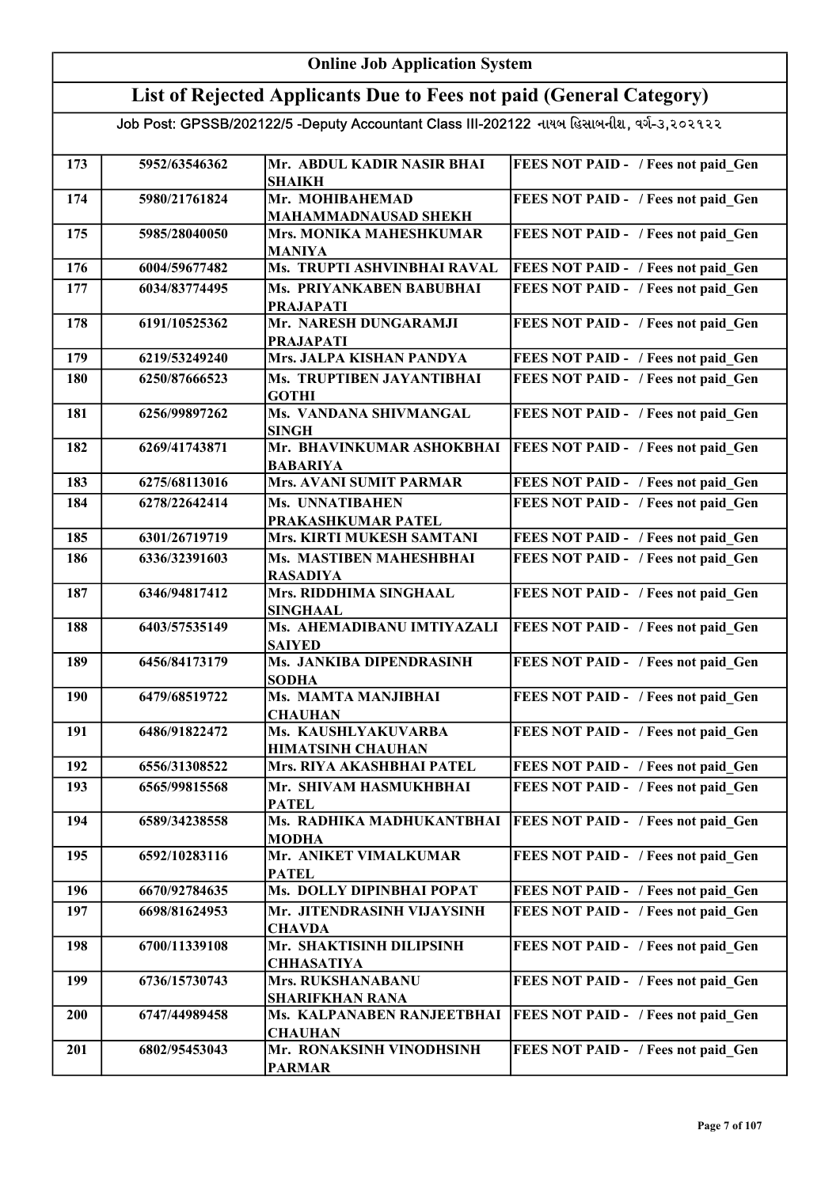| <b>Online Job Application System</b> |                                                                                           |                                                                        |                                     |  |
|--------------------------------------|-------------------------------------------------------------------------------------------|------------------------------------------------------------------------|-------------------------------------|--|
|                                      |                                                                                           | List of Rejected Applicants Due to Fees not paid (General Category)    |                                     |  |
|                                      | Job Post: GPSSB/202122/5 -Deputy Accountant Class III-202122 નાયબ હિસાબનીશ, વર્ગ-૩,૨૦૨૧૨૨ |                                                                        |                                     |  |
|                                      |                                                                                           |                                                                        |                                     |  |
| 173                                  | 5952/63546362                                                                             | Mr. ABDUL KADIR NASIR BHAI<br><b>SHAIKH</b>                            | FEES NOT PAID - / Fees not paid Gen |  |
| 174                                  | 5980/21761824                                                                             | Mr. MOHIBAHEMAD<br><b>MAHAMMADNAUSAD SHEKH</b>                         | FEES NOT PAID - / Fees not paid Gen |  |
| 175                                  | 5985/28040050                                                                             | Mrs. MONIKA MAHESHKUMAR<br><b>MANIYA</b>                               | FEES NOT PAID - / Fees not paid Gen |  |
| 176                                  | 6004/59677482                                                                             | Ms. TRUPTI ASHVINBHAI RAVAL                                            | FEES NOT PAID - / Fees not paid Gen |  |
| 177                                  | 6034/83774495                                                                             | Ms. PRIYANKABEN BABUBHAI<br><b>PRAJAPATI</b>                           | FEES NOT PAID - / Fees not paid Gen |  |
| 178                                  | 6191/10525362                                                                             | Mr. NARESH DUNGARAMJI<br><b>PRAJAPATI</b>                              | FEES NOT PAID - / Fees not paid Gen |  |
| 179                                  | 6219/53249240                                                                             | Mrs. JALPA KISHAN PANDYA                                               | FEES NOT PAID - / Fees not paid Gen |  |
| 180                                  | 6250/87666523                                                                             | Ms. TRUPTIBEN JAYANTIBHAI<br><b>GOTHI</b>                              | FEES NOT PAID - / Fees not paid Gen |  |
| 181                                  | 6256/99897262                                                                             | Ms. VANDANA SHIVMANGAL<br><b>SINGH</b>                                 | FEES NOT PAID - / Fees not paid Gen |  |
| 182                                  | 6269/41743871                                                                             | Mr. BHAVINKUMAR ASHOKBHAI<br><b>BABARIYA</b>                           | FEES NOT PAID - / Fees not paid Gen |  |
| 183                                  | 6275/68113016                                                                             | Mrs. AVANI SUMIT PARMAR                                                | FEES NOT PAID - / Fees not paid Gen |  |
| 184                                  | 6278/22642414                                                                             | Ms. UNNATIBAHEN<br>PRAKASHKUMAR PATEL                                  | FEES NOT PAID - / Fees not paid Gen |  |
| 185                                  | 6301/26719719                                                                             | Mrs. KIRTI MUKESH SAMTANI                                              | FEES NOT PAID - / Fees not paid Gen |  |
| 186                                  | 6336/32391603                                                                             | Ms. MASTIBEN MAHESHBHAI<br><b>RASADIYA</b>                             | FEES NOT PAID - / Fees not paid Gen |  |
| 187                                  | 6346/94817412                                                                             | Mrs. RIDDHIMA SINGHAAL<br><b>SINGHAAL</b>                              | FEES NOT PAID - / Fees not paid Gen |  |
| 188                                  | 6403/57535149                                                                             | Ms. AHEMADIBANU IMTIYAZALI<br><b>SAIYED</b>                            | FEES NOT PAID - / Fees not paid Gen |  |
| 189                                  | 6456/84173179                                                                             | Ms. JANKIBA DIPENDRASINH<br><b>SODHA</b>                               | FEES NOT PAID - / Fees not paid Gen |  |
| 190                                  | 6479/68519722                                                                             | Ms. MAMTA MANJIBHAI<br><b>CHAUHAN</b>                                  | FEES NOT PAID - / Fees not paid Gen |  |
| 191                                  | 6486/91822472                                                                             | Ms. KAUSHLYAKUVARBA<br><b>HIMATSINH CHAUHAN</b>                        | FEES NOT PAID - / Fees not paid Gen |  |
| 192                                  | 6556/31308522                                                                             | Mrs. RIYA AKASHBHAI PATEL                                              | FEES NOT PAID - / Fees not paid Gen |  |
| 193                                  | 6565/99815568                                                                             | Mr. SHIVAM HASMUKHBHAI<br><b>PATEL</b>                                 | FEES NOT PAID - / Fees not paid Gen |  |
| 194                                  | 6589/34238558                                                                             | Ms. RADHIKA MADHUKANTBHAI<br><b>MODHA</b>                              | FEES NOT PAID - / Fees not paid Gen |  |
| 195                                  | 6592/10283116                                                                             | Mr. ANIKET VIMALKUMAR<br><b>PATEL</b>                                  | FEES NOT PAID - / Fees not paid Gen |  |
| 196                                  | 6670/92784635                                                                             | Ms. DOLLY DIPINBHAI POPAT                                              | FEES NOT PAID - / Fees not paid Gen |  |
| 197                                  | 6698/81624953                                                                             | Mr. JITENDRASINH VIJAYSINH<br><b>CHAVDA</b>                            | FEES NOT PAID - / Fees not paid Gen |  |
| 198                                  | 6700/11339108                                                                             | Mr. SHAKTISINH DILIPSINH<br><b>CHHASATIYA</b>                          | FEES NOT PAID - / Fees not paid Gen |  |
| 199                                  | 6736/15730743                                                                             | Mrs. RUKSHANABANU                                                      | FEES NOT PAID - / Fees not paid Gen |  |
| <b>200</b>                           | 6747/44989458                                                                             | <b>SHARIFKHAN RANA</b><br>Ms. KALPANABEN RANJEETBHAI<br><b>CHAUHAN</b> | FEES NOT PAID - / Fees not paid Gen |  |
| 201                                  | 6802/95453043                                                                             | Mr. RONAKSINH VINODHSINH<br><b>PARMAR</b>                              | FEES NOT PAID - / Fees not paid Gen |  |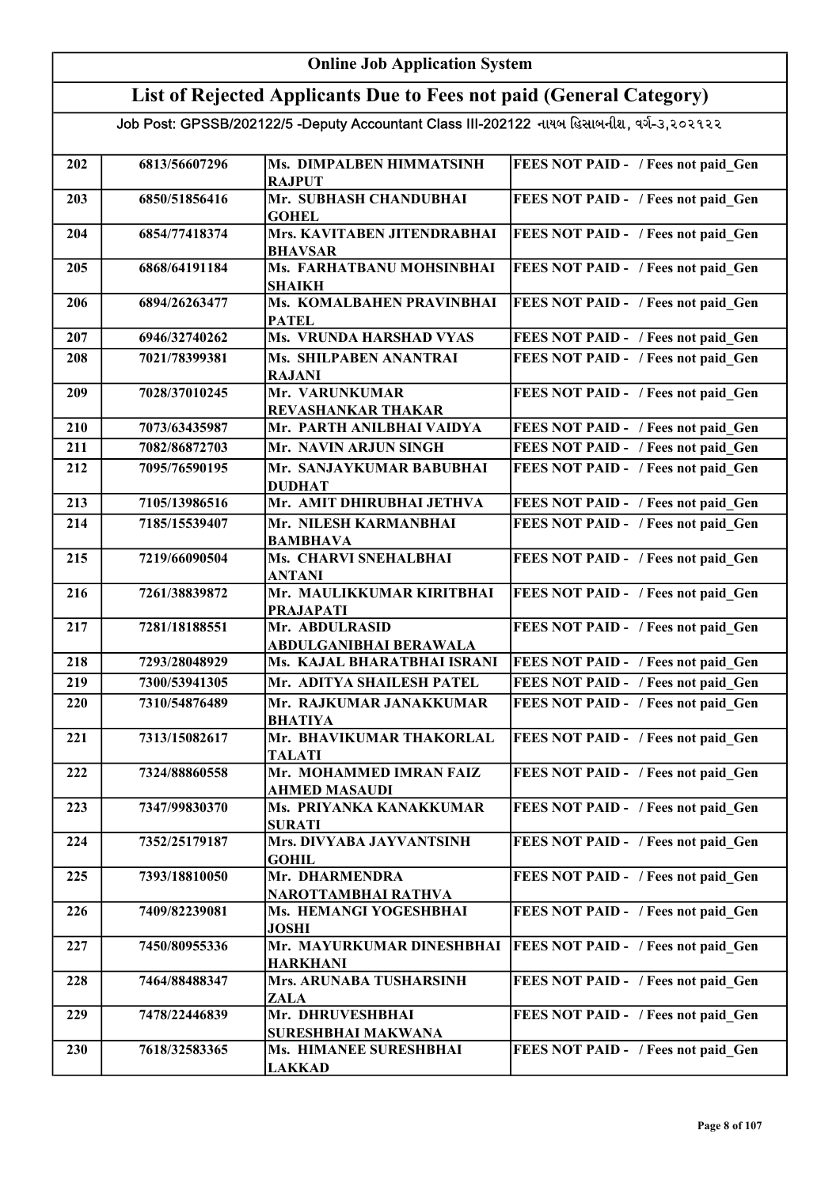|     | <b>Online Job Application System</b> |                                                                                           |                                     |  |
|-----|--------------------------------------|-------------------------------------------------------------------------------------------|-------------------------------------|--|
|     |                                      | List of Rejected Applicants Due to Fees not paid (General Category)                       |                                     |  |
|     |                                      | Job Post: GPSSB/202122/5 -Deputy Accountant Class III-202122 નાયબ હિસાબનીશ, વર્ગ-૩,૨૦૨૧૨૨ |                                     |  |
|     |                                      |                                                                                           |                                     |  |
| 202 | 6813/56607296                        | Ms. DIMPALBEN HIMMATSINH<br><b>RAJPUT</b>                                                 | FEES NOT PAID - / Fees not paid_Gen |  |
| 203 | 6850/51856416                        | Mr. SUBHASH CHANDUBHAI<br><b>GOHEL</b>                                                    | FEES NOT PAID - / Fees not paid Gen |  |
| 204 | 6854/77418374                        | Mrs. KAVITABEN JITENDRABHAI<br><b>BHAVSAR</b>                                             | FEES NOT PAID - / Fees not paid Gen |  |
| 205 | 6868/64191184                        | Ms. FARHATBANU MOHSINBHAI<br><b>SHAIKH</b>                                                | FEES NOT PAID - / Fees not paid Gen |  |
| 206 | 6894/26263477                        | Ms. KOMALBAHEN PRAVINBHAI<br><b>PATEL</b>                                                 | FEES NOT PAID - / Fees not paid Gen |  |
| 207 | 6946/32740262                        | Ms. VRUNDA HARSHAD VYAS                                                                   | FEES NOT PAID - / Fees not paid Gen |  |
| 208 | 7021/78399381                        | Ms. SHILPABEN ANANTRAI<br><b>RAJANI</b>                                                   | FEES NOT PAID - / Fees not paid Gen |  |
| 209 | 7028/37010245                        | Mr. VARUNKUMAR<br><b>REVASHANKAR THAKAR</b>                                               | FEES NOT PAID - / Fees not paid Gen |  |
| 210 | 7073/63435987                        | Mr. PARTH ANILBHAI VAIDYA                                                                 | FEES NOT PAID - / Fees not paid Gen |  |
| 211 | 7082/86872703                        | Mr. NAVIN ARJUN SINGH                                                                     | FEES NOT PAID - / Fees not paid Gen |  |
| 212 | 7095/76590195                        | Mr. SANJAYKUMAR BABUBHAI<br><b>DUDHAT</b>                                                 | FEES NOT PAID - / Fees not paid Gen |  |
| 213 | 7105/13986516                        | Mr. AMIT DHIRUBHAI JETHVA                                                                 | FEES NOT PAID - / Fees not paid Gen |  |
| 214 | 7185/15539407                        | Mr. NILESH KARMANBHAI<br><b>BAMBHAVA</b>                                                  | FEES NOT PAID - / Fees not paid Gen |  |
| 215 | 7219/66090504                        | Ms. CHARVI SNEHALBHAI<br><b>ANTANI</b>                                                    | FEES NOT PAID - / Fees not paid Gen |  |
| 216 | 7261/38839872                        | Mr. MAULIKKUMAR KIRITBHAI<br><b>PRAJAPATI</b>                                             | FEES NOT PAID - / Fees not paid Gen |  |
| 217 | 7281/18188551                        | Mr. ABDULRASID<br><b>ABDULGANIBHAI BERAWALA</b>                                           | FEES NOT PAID - / Fees not paid Gen |  |
| 218 | 7293/28048929                        | Ms. KAJAL BHARATBHAI ISRANI                                                               | FEES NOT PAID - / Fees not paid Gen |  |
| 219 | 7300/53941305                        | Mr. ADITYA SHAILESH PATEL                                                                 | FEES NOT PAID - / Fees not paid Gen |  |
| 220 | 7310/54876489                        | Mr. RAJKUMAR JANAKKUMAR<br><b>BHATIYA</b>                                                 | FEES NOT PAID - / Fees not paid Gen |  |
| 221 | 7313/15082617                        | Mr. BHAVIKUMAR THAKORLAL<br><b>TALATI</b>                                                 | FEES NOT PAID - / Fees not paid Gen |  |
| 222 | 7324/88860558                        | Mr. MOHAMMED IMRAN FAIZ<br><b>AHMED MASAUDI</b>                                           | FEES NOT PAID - / Fees not paid Gen |  |
| 223 | 7347/99830370                        | Ms. PRIYANKA KANAKKUMAR<br><b>SURATI</b>                                                  | FEES NOT PAID - / Fees not paid Gen |  |
| 224 | 7352/25179187                        | Mrs. DIVYABA JAYVANTSINH<br><b>GOHIL</b>                                                  | FEES NOT PAID - / Fees not paid Gen |  |
| 225 | 7393/18810050                        | Mr. DHARMENDRA<br>NAROTTAMBHAI RATHVA                                                     | FEES NOT PAID - / Fees not paid Gen |  |
| 226 | 7409/82239081                        | Ms. HEMANGI YOGESHBHAI<br><b>JOSHI</b>                                                    | FEES NOT PAID - / Fees not paid Gen |  |
| 227 | 7450/80955336                        | Mr. MAYURKUMAR DINESHBHAI<br><b>HARKHANI</b>                                              | FEES NOT PAID - / Fees not paid Gen |  |
| 228 | 7464/88488347                        | Mrs. ARUNABA TUSHARSINH<br>ZALA                                                           | FEES NOT PAID - / Fees not paid Gen |  |
| 229 | 7478/22446839                        | Mr. DHRUVESHBHAI<br>SURESHBHAI MAKWANA                                                    | FEES NOT PAID - / Fees not paid Gen |  |
| 230 | 7618/32583365                        | Ms. HIMANEE SURESHBHAI<br><b>LAKKAD</b>                                                   | FEES NOT PAID - / Fees not paid Gen |  |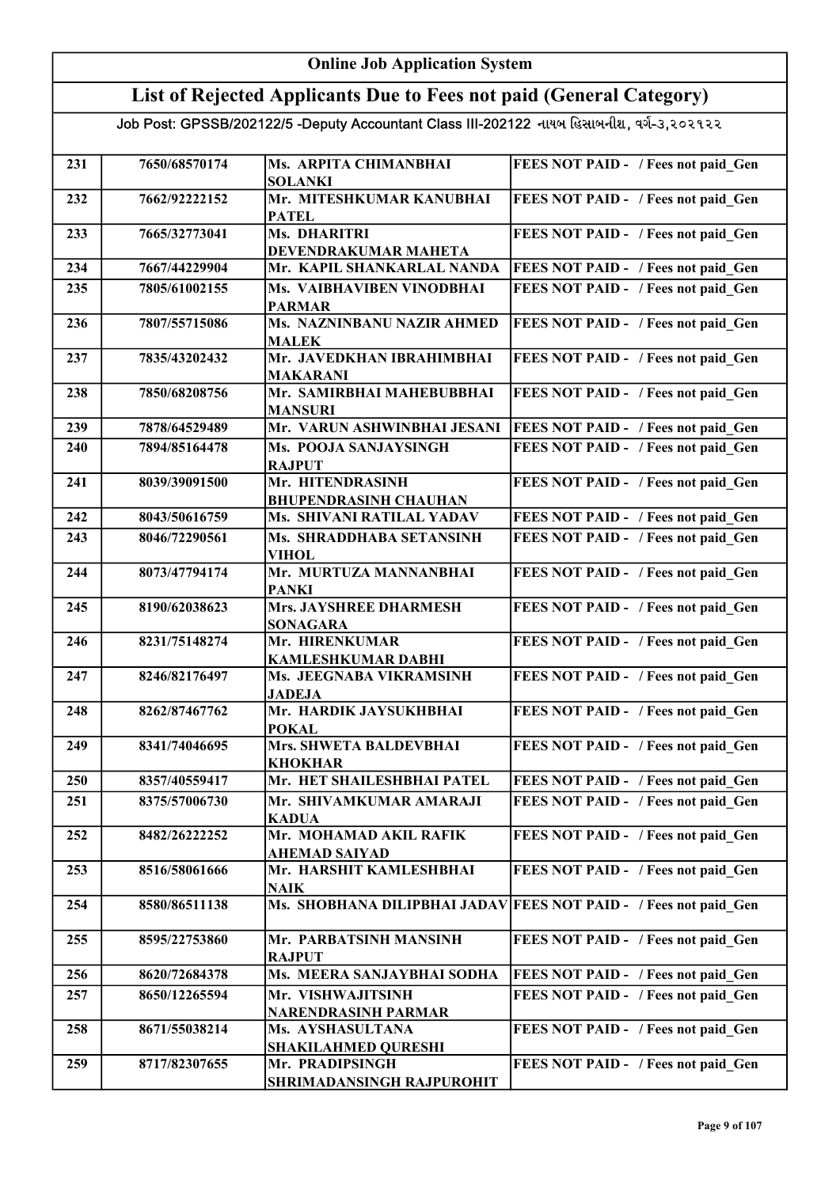#### Online Job Application System List of Rejected Applicants Due to Fees not paid (General Category) Job Post: GPSSB/202122/5 -Deputy Accountant Class III-202122 નાયબ હિસાબનીશ, વર્ગ-૩,૨૦૨૧૨૨ 231 7650/68570174 Ms. ARPITA CHIMANBHAI SOLANKI FEES NOT PAID - / Fees not paid Gen 232 7662/92222152 Mr. MITESHKUMAR KANUBHAI PATEL FEES NOT PAID - / Fees not paid\_Gen 233 7665/32773041 Ms. DHARITRI DEVENDRAKUMAR MAHETA FEES NOT PAID - / Fees not paid Gen 234 7667/44229904 Mr. KAPIL SHANKARLAL NANDA FEES NOT PAID - / Fees not paid\_Gen 235 7805/61002155 Ms. VAIBHAVIBEN VINODBHAI PARMAR FEES NOT PAID - / Fees not paid Gen 236 7807/55715086 Ms. NAZNINBANU NAZIR AHMED MALEK FEES NOT PAID - / Fees not paid Gen 237 7835/43202432 Mr. JAVEDKHAN IBRAHIMBHAI MAKARANI FEES NOT PAID - / Fees not paid Gen 238 7850/68208756 Mr. SAMIRBHAI MAHEBUBBHAI MANSURI FEES NOT PAID - / Fees not paid Gen 239 7878/64529489 Mr. VARUN ASHWINBHAI JESANI FEES NOT PAID - / Fees not paid\_Gen 240 7894/85164478 Ms. POOJA SANJAYSINGH RAJPUT FEES NOT PAID - / Fees not paid Gen 241 | 8039/39091500 | Mr. HITENDRASINH BHUPENDRASINH CHAUHAN FEES NOT PAID - / Fees not paid Gen 242 8043/50616759 Ms. SHIVANI RATILAL YADAV FEES NOT PAID - / Fees not paid Gen 243 | 8046/72290561 | Ms. SHRADDHABA SETANSINH VIHOL FEES NOT PAID - / Fees not paid Gen 244 | 8073/47794174 | Mr. MURTUZA MANNANBHAI PANKI FEES NOT PAID - / Fees not paid Gen 245 | 8190/62038623 | Mrs. JAYSHREE DHARMESH SONAGARA FEES NOT PAID - / Fees not paid Gen 246 8231/75148274 Mr. HIRENKUMAR KAMLESHKUMAR DABHI FEES NOT PAID - / Fees not paid Gen 247 8246/82176497 Ms. JEEGNABA VIKRAMSINH JADEJA FEES NOT PAID - / Fees not paid Gen 248 8262/87467762 Mr. HARDIK JAYSUKHBHAI POKAL FEES NOT PAID - / Fees not paid Gen 249 8341/74046695 Mrs. SHWETA BALDEVBHAI KHOKHAR FEES NOT PAID - / Fees not paid Gen 250 8357/40559417 Mr. HET SHAILESHBHAI PATEL FEES NOT PAID - / Fees not paid Gen 251 8375/57006730 Mr. SHIVAMKUMAR AMARAJI KADUA FEES NOT PAID - / Fees not paid Gen 252 8482/26222252 Mr. MOHAMAD AKIL RAFIK AHEMAD SAIYAD FEES NOT PAID - / Fees not paid Gen 253 8516/58061666 Mr. HARSHIT KAMLESHBHAI NAIK FEES NOT PAID - / Fees not paid\_Gen 254 8580/86511138 Ms. SHOBHANA DILIPBHAI JADAV FEES NOT PAID - / Fees not paid Gen 255 8595/22753860 Mr. PARBATSINH MANSINH RAJPUT FEES NOT PAID - / Fees not paid Gen 256 8620/72684378 Ms. MEERA SANJAYBHAI SODHA FEES NOT PAID - / Fees not paid Gen 257 8650/12265594 Mr. VISHWAJITSINH NARENDRASINH PARMAR FEES NOT PAID - / Fees not paid Gen 258 8671/55038214 Ms. AYSHASULTANA SHAKILAHMED QURESHI FEES NOT PAID - / Fees not paid Gen 259 | 8717/82307655 Mr. PRADIPSINGH SHRIMADANSINGH RAJPUROHIT FEES NOT PAID - / Fees not paid Gen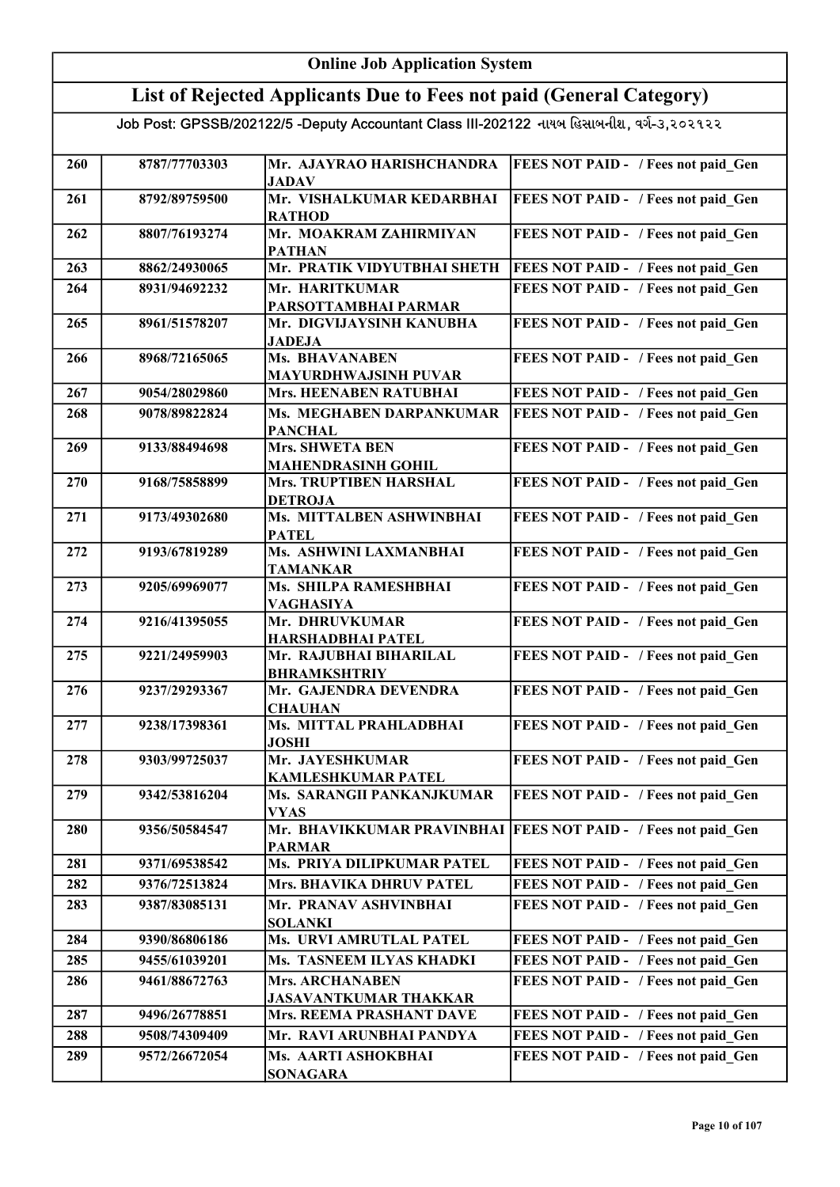| <b>Online Job Application System</b> |                                |                                                                                           |                                                                            |
|--------------------------------------|--------------------------------|-------------------------------------------------------------------------------------------|----------------------------------------------------------------------------|
|                                      |                                | List of Rejected Applicants Due to Fees not paid (General Category)                       |                                                                            |
|                                      |                                | Job Post: GPSSB/202122/5 -Deputy Accountant Class III-202122 નાયબ હિસાબનીશ, વર્ગ-૩,૨૦૨૧૨૨ |                                                                            |
|                                      |                                |                                                                                           |                                                                            |
| 260                                  | 8787/77703303                  | Mr. AJAYRAO HARISHCHANDRA<br><b>JADAV</b>                                                 | FEES NOT PAID - / Fees not paid Gen                                        |
| 261                                  | 8792/89759500                  | Mr. VISHALKUMAR KEDARBHAI<br><b>RATHOD</b>                                                | FEES NOT PAID - / Fees not paid Gen                                        |
| 262                                  | 8807/76193274                  | Mr. MOAKRAM ZAHIRMIYAN<br><b>PATHAN</b>                                                   | FEES NOT PAID - / Fees not paid Gen                                        |
| 263                                  | 8862/24930065                  | Mr. PRATIK VIDYUTBHAI SHETH                                                               | FEES NOT PAID - / Fees not paid Gen                                        |
| 264                                  | 8931/94692232                  | Mr. HARITKUMAR<br>PARSOTTAMBHAI PARMAR                                                    | FEES NOT PAID - / Fees not paid Gen                                        |
| 265                                  | 8961/51578207                  | Mr. DIGVIJAYSINH KANUBHA<br><b>JADEJA</b>                                                 | FEES NOT PAID - / Fees not paid Gen                                        |
| 266                                  | 8968/72165065                  | <b>Ms. BHAVANABEN</b><br><b>MAYURDHWAJSINH PUVAR</b>                                      | FEES NOT PAID - / Fees not paid Gen                                        |
| 267                                  | 9054/28029860                  | <b>Mrs. HEENABEN RATUBHAI</b>                                                             | FEES NOT PAID - / Fees not paid Gen                                        |
| 268                                  | 9078/89822824                  | Ms. MEGHABEN DARPANKUMAR<br><b>PANCHAL</b>                                                | FEES NOT PAID - / Fees not paid Gen                                        |
| 269                                  | 9133/88494698                  | Mrs. SHWETA BEN<br><b>MAHENDRASINH GOHIL</b>                                              | FEES NOT PAID - / Fees not paid Gen                                        |
| 270                                  | 9168/75858899                  | Mrs. TRUPTIBEN HARSHAL<br><b>DETROJA</b>                                                  | FEES NOT PAID - / Fees not paid Gen                                        |
| 271                                  | 9173/49302680                  | Ms. MITTALBEN ASHWINBHAI<br><b>PATEL</b>                                                  | FEES NOT PAID - / Fees not paid Gen                                        |
| 272                                  | 9193/67819289                  | Ms. ASHWINI LAXMANBHAI<br><b>TAMANKAR</b>                                                 | FEES NOT PAID - / Fees not paid Gen                                        |
| 273                                  | 9205/69969077                  | Ms. SHILPA RAMESHBHAI<br><b>VAGHASIYA</b>                                                 | FEES NOT PAID - / Fees not paid Gen                                        |
| 274                                  | 9216/41395055                  | Mr. DHRUVKUMAR<br><b>HARSHADBHAI PATEL</b>                                                | FEES NOT PAID - / Fees not paid Gen                                        |
| 275                                  | 9221/24959903                  | Mr. RAJUBHAI BIHARILAL<br><b>BHRAMKSHTRIY</b>                                             | FEES NOT PAID - / Fees not paid Gen                                        |
| 276                                  | 9237/29293367                  | Mr. GAJENDRA DEVENDRA<br><b>CHAUHAN</b>                                                   | FEES NOT PAID - / Fees not paid Gen                                        |
| 277                                  | 9238/17398361                  | Ms. MITTAL PRAHLADBHAI<br><b>JOSHI</b>                                                    | FEES NOT PAID - / Fees not paid Gen                                        |
| 278                                  | 9303/99725037                  | Mr. JAYESHKUMAR<br><b>KAMLESHKUMAR PATEL</b>                                              | FEES NOT PAID - / Fees not paid Gen                                        |
| 279                                  | 9342/53816204                  | Ms. SARANGII PANKANJKUMAR<br><b>VYAS</b>                                                  | FEES NOT PAID - / Fees not paid Gen                                        |
| 280                                  | 9356/50584547                  | Mr. BHAVIKKUMAR PRAVINBHAI<br><b>PARMAR</b>                                               | <b>FEES NOT PAID - / Fees not paid Gen</b>                                 |
| 281                                  | 9371/69538542                  | Ms. PRIYA DILIPKUMAR PATEL                                                                | FEES NOT PAID - / Fees not paid Gen                                        |
| 282                                  | 9376/72513824                  | Mrs. BHAVIKA DHRUV PATEL                                                                  | FEES NOT PAID - / Fees not paid Gen                                        |
| 283                                  | 9387/83085131                  | Mr. PRANAV ASHVINBHAI                                                                     | FEES NOT PAID - / Fees not paid Gen                                        |
|                                      |                                | <b>SOLANKI</b>                                                                            |                                                                            |
| 284                                  | 9390/86806186                  | Ms. URVI AMRUTLAL PATEL                                                                   | FEES NOT PAID - / Fees not paid Gen                                        |
| 285<br>286                           | 9455/61039201<br>9461/88672763 | Ms. TASNEEM ILYAS KHADKI<br><b>Mrs. ARCHANABEN</b>                                        | FEES NOT PAID - / Fees not paid Gen<br>FEES NOT PAID - / Fees not paid Gen |
|                                      |                                | <b>JASAVANTKUMAR THAKKAR</b>                                                              |                                                                            |
| 287                                  | 9496/26778851                  | Mrs. REEMA PRASHANT DAVE                                                                  | FEES NOT PAID - / Fees not paid Gen                                        |
| 288                                  | 9508/74309409                  | Mr. RAVI ARUNBHAI PANDYA                                                                  | FEES NOT PAID - / Fees not paid Gen                                        |
| 289                                  | 9572/26672054                  | Ms. AARTI ASHOKBHAI<br><b>SONAGARA</b>                                                    | FEES NOT PAID - / Fees not paid Gen                                        |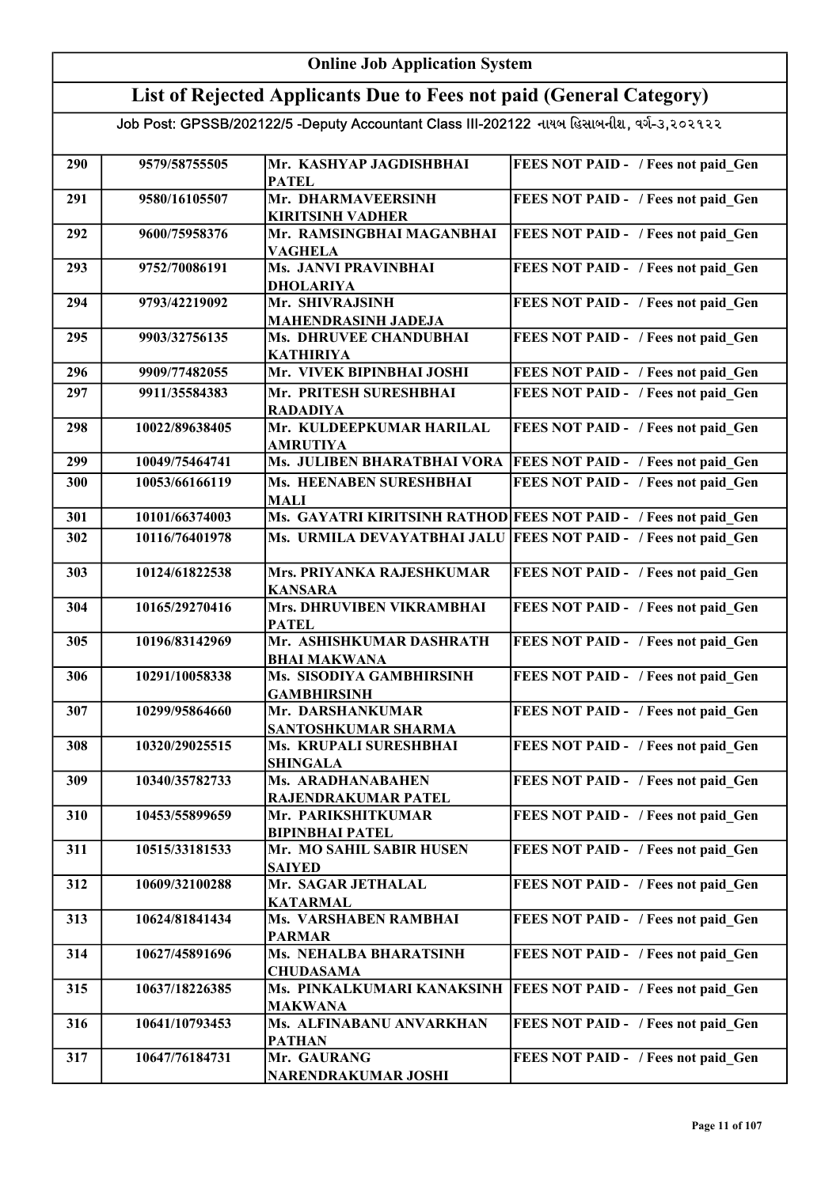#### Online Job Application System List of Rejected Applicants Due to Fees not paid (General Category) Job Post: GPSSB/202122/5 -Deputy Accountant Class III-202122 નાયબ હિસાબનીશ, વર્ગ-૩,૨૦૨૧૨૨ 290 9579/58755505 Mr. KASHYAP JAGDISHBHAI PATEL FEES NOT PAID - / Fees not paid Gen 291 9580/16105507 Mr. DHARMAVEERSINH KIRITSINH VADHER FEES NOT PAID - / Fees not paid\_Gen 292 9600/75958376 Mr. RAMSINGBHAI MAGANBHAI VAGHELA FEES NOT PAID - / Fees not paid Gen 293 9752/70086191 Ms. JANVI PRAVINBHAI DHOLARIYA FEES NOT PAID - / Fees not paid Gen 294 9793/42219092 Mr. SHIVRAJSINH MAHENDRASINH JADEJA FEES NOT PAID - / Fees not paid Gen 295 9903/32756135 Ms. DHRUVEE CHANDUBHAI KATHIRIYA FEES NOT PAID - / Fees not paid Gen 296 9909/77482055 Mr. VIVEK BIPINBHAI JOSHI FEES NOT PAID - / Fees not paid\_Gen 297 9911/35584383 Mr. PRITESH SURESHBHAI RADADIYA FEES NOT PAID - / Fees not paid Gen 298 10022/89638405 Mr. KULDEEPKUMAR HARILAL AMRUTIYA FEES NOT PAID - / Fees not paid Gen 299 10049/75464741 Ms. JULIBEN BHARATBHAI VORA FEES NOT PAID - / Fees not paid Gen 300 10053/66166119 Ms. HEENABEN SURESHBHAI MALI FEES NOT PAID - / Fees not paid Gen 301 10101/66374003 Ms. GAYATRI KIRITSINH RATHOD FEES NOT PAID - / Fees not paid Gen 302 10116/76401978 Ms. URMILA DEVAYATBHAI JALU FEES NOT PAID - / Fees not paid Gen 303 10124/61822538 Mrs. PRIYANKA RAJESHKUMAR KANSARA FEES NOT PAID - / Fees not paid Gen 304 10165/29270416 Mrs. DHRUVIBEN VIKRAMBHAI PATEL FEES NOT PAID - / Fees not paid Gen 305 10196/83142969 Mr. ASHISHKUMAR DASHRATH BHAI MAKWANA FEES NOT PAID - / Fees not paid Gen 306 10291/10058338 Ms. SISODIYA GAMBHIRSINH GAMBHIRSINH FEES NOT PAID - / Fees not paid Gen 307 10299/95864660 Mr. DARSHANKUMAR SANTOSHKUMAR SHARMA FEES NOT PAID - / Fees not paid Gen 308 10320/29025515 Ms. KRUPALI SURESHBHAI SHINGALA FEES NOT PAID - / Fees not paid\_Gen 309 10340/35782733 Ms. ARADHANABAHEN RAJENDRAKUMAR PATEL FEES NOT PAID - / Fees not paid Gen 310 10453/55899659 Mr. PARIKSHITKUMAR BIPINBHAI PATEL FEES NOT PAID - / Fees not paid Gen 311 10515/33181533 Mr. MO SAHIL SABIR HUSEN **SAIYED** FEES NOT PAID - / Fees not paid Gen 312 10609/32100288 Mr. SAGAR JETHALAL KATARMAL FEES NOT PAID - / Fees not paid Gen 313 10624/81841434 Ms. VARSHABEN RAMBHAI PARMAR FEES NOT PAID - / Fees not paid Gen 314 10627/45891696 Ms. NEHALBA BHARATSINH CHUDASAMA FEES NOT PAID - / Fees not paid Gen 315 10637/18226385 Ms. PINKALKUMARI KANAKSINH MAKWANA **FEES NOT PAID - / Fees not paid Gen** 316 | 10641/10793453 | Ms. ALFINABANU ANVARKHAN PATHAN FEES NOT PAID - / Fees not paid Gen 317 10647/76184731 Mr. GAURANG NARENDRAKUMAR JOSHI FEES NOT PAID - / Fees not paid Gen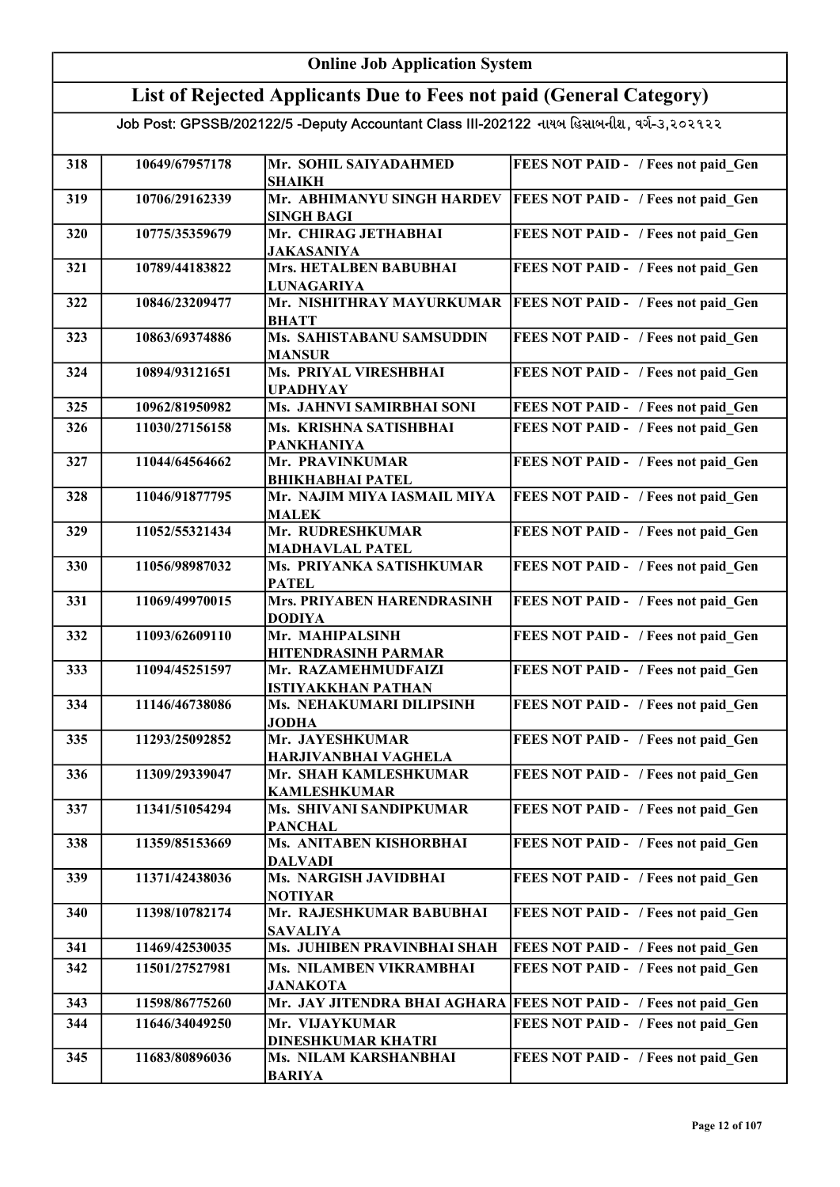|                | <b>Online Job Application System</b>      |                                                                                                                                                                                                                                                                                                                                                                                                                                                                                                                                                                                                                                                                                                                                         |
|----------------|-------------------------------------------|-----------------------------------------------------------------------------------------------------------------------------------------------------------------------------------------------------------------------------------------------------------------------------------------------------------------------------------------------------------------------------------------------------------------------------------------------------------------------------------------------------------------------------------------------------------------------------------------------------------------------------------------------------------------------------------------------------------------------------------------|
|                |                                           |                                                                                                                                                                                                                                                                                                                                                                                                                                                                                                                                                                                                                                                                                                                                         |
|                |                                           |                                                                                                                                                                                                                                                                                                                                                                                                                                                                                                                                                                                                                                                                                                                                         |
|                |                                           | FEES NOT PAID - / Fees not paid Gen                                                                                                                                                                                                                                                                                                                                                                                                                                                                                                                                                                                                                                                                                                     |
|                | <b>SHAIKH</b>                             |                                                                                                                                                                                                                                                                                                                                                                                                                                                                                                                                                                                                                                                                                                                                         |
| 10706/29162339 | Mr. ABHIMANYU SINGH HARDEV                | FEES NOT PAID - / Fees not paid Gen                                                                                                                                                                                                                                                                                                                                                                                                                                                                                                                                                                                                                                                                                                     |
| 10775/35359679 | Mr. CHIRAG JETHABHAI<br><b>JAKASANIYA</b> | FEES NOT PAID - / Fees not paid Gen                                                                                                                                                                                                                                                                                                                                                                                                                                                                                                                                                                                                                                                                                                     |
| 10789/44183822 | Mrs. HETALBEN BABUBHAI                    | FEES NOT PAID - / Fees not paid Gen                                                                                                                                                                                                                                                                                                                                                                                                                                                                                                                                                                                                                                                                                                     |
| 10846/23209477 | Mr. NISHITHRAY MAYURKUMAR                 | FEES NOT PAID - / Fees not paid Gen                                                                                                                                                                                                                                                                                                                                                                                                                                                                                                                                                                                                                                                                                                     |
| 10863/69374886 | Ms. SAHISTABANU SAMSUDDIN                 | FEES NOT PAID - / Fees not paid Gen                                                                                                                                                                                                                                                                                                                                                                                                                                                                                                                                                                                                                                                                                                     |
| 10894/93121651 | <b>Ms. PRIYAL VIRESHBHAI</b>              | FEES NOT PAID - / Fees not paid Gen                                                                                                                                                                                                                                                                                                                                                                                                                                                                                                                                                                                                                                                                                                     |
| 10962/81950982 | Ms. JAHNVI SAMIRBHAI SONI                 | FEES NOT PAID - / Fees not paid Gen                                                                                                                                                                                                                                                                                                                                                                                                                                                                                                                                                                                                                                                                                                     |
| 11030/27156158 | Ms. KRISHNA SATISHBHAI                    | FEES NOT PAID - / Fees not paid Gen                                                                                                                                                                                                                                                                                                                                                                                                                                                                                                                                                                                                                                                                                                     |
| 11044/64564662 | Mr. PRAVINKUMAR                           | FEES NOT PAID - / Fees not paid Gen                                                                                                                                                                                                                                                                                                                                                                                                                                                                                                                                                                                                                                                                                                     |
| 11046/91877795 | Mr. NAJIM MIYA IASMAIL MIYA               | FEES NOT PAID - / Fees not paid_Gen                                                                                                                                                                                                                                                                                                                                                                                                                                                                                                                                                                                                                                                                                                     |
| 11052/55321434 | Mr. RUDRESHKUMAR                          | FEES NOT PAID - / Fees not paid_Gen                                                                                                                                                                                                                                                                                                                                                                                                                                                                                                                                                                                                                                                                                                     |
| 11056/98987032 | Ms. PRIYANKA SATISHKUMAR                  | FEES NOT PAID - / Fees not paid_Gen                                                                                                                                                                                                                                                                                                                                                                                                                                                                                                                                                                                                                                                                                                     |
| 11069/49970015 | Mrs. PRIYABEN HARENDRASINH                | FEES NOT PAID - / Fees not paid Gen                                                                                                                                                                                                                                                                                                                                                                                                                                                                                                                                                                                                                                                                                                     |
| 11093/62609110 | Mr. MAHIPALSINH                           | FEES NOT PAID - / Fees not paid Gen                                                                                                                                                                                                                                                                                                                                                                                                                                                                                                                                                                                                                                                                                                     |
| 11094/45251597 | Mr. RAZAMEHMUDFAIZI                       | FEES NOT PAID - / Fees not paid Gen                                                                                                                                                                                                                                                                                                                                                                                                                                                                                                                                                                                                                                                                                                     |
| 11146/46738086 | Ms. NEHAKUMARI DILIPSINH                  | FEES NOT PAID - / Fees not paid Gen                                                                                                                                                                                                                                                                                                                                                                                                                                                                                                                                                                                                                                                                                                     |
| 11293/25092852 | Mr. JAYESHKUMAR                           | FEES NOT PAID - / Fees not paid Gen                                                                                                                                                                                                                                                                                                                                                                                                                                                                                                                                                                                                                                                                                                     |
| 11309/29339047 | Mr. SHAH KAMLESHKUMAR                     | FEES NOT PAID - / Fees not paid Gen                                                                                                                                                                                                                                                                                                                                                                                                                                                                                                                                                                                                                                                                                                     |
| 11341/51054294 | Ms. SHIVANI SANDIPKUMAR                   | FEES NOT PAID - / Fees not paid Gen                                                                                                                                                                                                                                                                                                                                                                                                                                                                                                                                                                                                                                                                                                     |
| 11359/85153669 | Ms. ANITABEN KISHORBHAI                   | FEES NOT PAID - / Fees not paid Gen                                                                                                                                                                                                                                                                                                                                                                                                                                                                                                                                                                                                                                                                                                     |
| 11371/42438036 | Ms. NARGISH JAVIDBHAI                     | FEES NOT PAID - / Fees not paid Gen                                                                                                                                                                                                                                                                                                                                                                                                                                                                                                                                                                                                                                                                                                     |
| 11398/10782174 | Mr. RAJESHKUMAR BABUBHAI                  | FEES NOT PAID - / Fees not paid Gen                                                                                                                                                                                                                                                                                                                                                                                                                                                                                                                                                                                                                                                                                                     |
|                |                                           | FEES NOT PAID - / Fees not paid Gen                                                                                                                                                                                                                                                                                                                                                                                                                                                                                                                                                                                                                                                                                                     |
| 11501/27527981 | Ms. NILAMBEN VIKRAMBHAI                   | FEES NOT PAID - / Fees not paid Gen                                                                                                                                                                                                                                                                                                                                                                                                                                                                                                                                                                                                                                                                                                     |
| 11598/86775260 |                                           | <b>FEES NOT PAID - / Fees not paid Gen</b>                                                                                                                                                                                                                                                                                                                                                                                                                                                                                                                                                                                                                                                                                              |
| 11646/34049250 | Mr. VIJAYKUMAR                            | FEES NOT PAID - / Fees not paid Gen                                                                                                                                                                                                                                                                                                                                                                                                                                                                                                                                                                                                                                                                                                     |
| 11683/80896036 | Ms. NILAM KARSHANBHAI                     | FEES NOT PAID - / Fees not paid Gen                                                                                                                                                                                                                                                                                                                                                                                                                                                                                                                                                                                                                                                                                                     |
|                | 10649/67957178<br>11469/42530035          | List of Rejected Applicants Due to Fees not paid (General Category)<br>Job Post: GPSSB/202122/5 -Deputy Accountant Class III-202122 નાયબ હિસાબનીશ, વર્ગ-૩,૨૦૨૧૨૨<br>Mr. SOHIL SAIYADAHMED<br><b>SINGH BAGI</b><br><b>LUNAGARIYA</b><br><b>BHATT</b><br><b>MANSUR</b><br><b>UPADHYAY</b><br><b>PANKHANIYA</b><br><b>BHIKHABHAI PATEL</b><br><b>MALEK</b><br><b>MADHAVLAL PATEL</b><br><b>PATEL</b><br><b>DODIYA</b><br>HITENDRASINH PARMAR<br><b>ISTIYAKKHAN PATHAN</b><br><b>JODHA</b><br>HARJIVANBHAI VAGHELA<br><b>KAMLESHKUMAR</b><br><b>PANCHAL</b><br><b>DALVADI</b><br><b>NOTIYAR</b><br><b>SAVALIYA</b><br>Ms. JUHIBEN PRAVINBHAI SHAH<br><b>JANAKOTA</b><br>Mr. JAY JITENDRA BHAI AGHARA<br>DINESHKUMAR KHATRI<br><b>BARIYA</b> |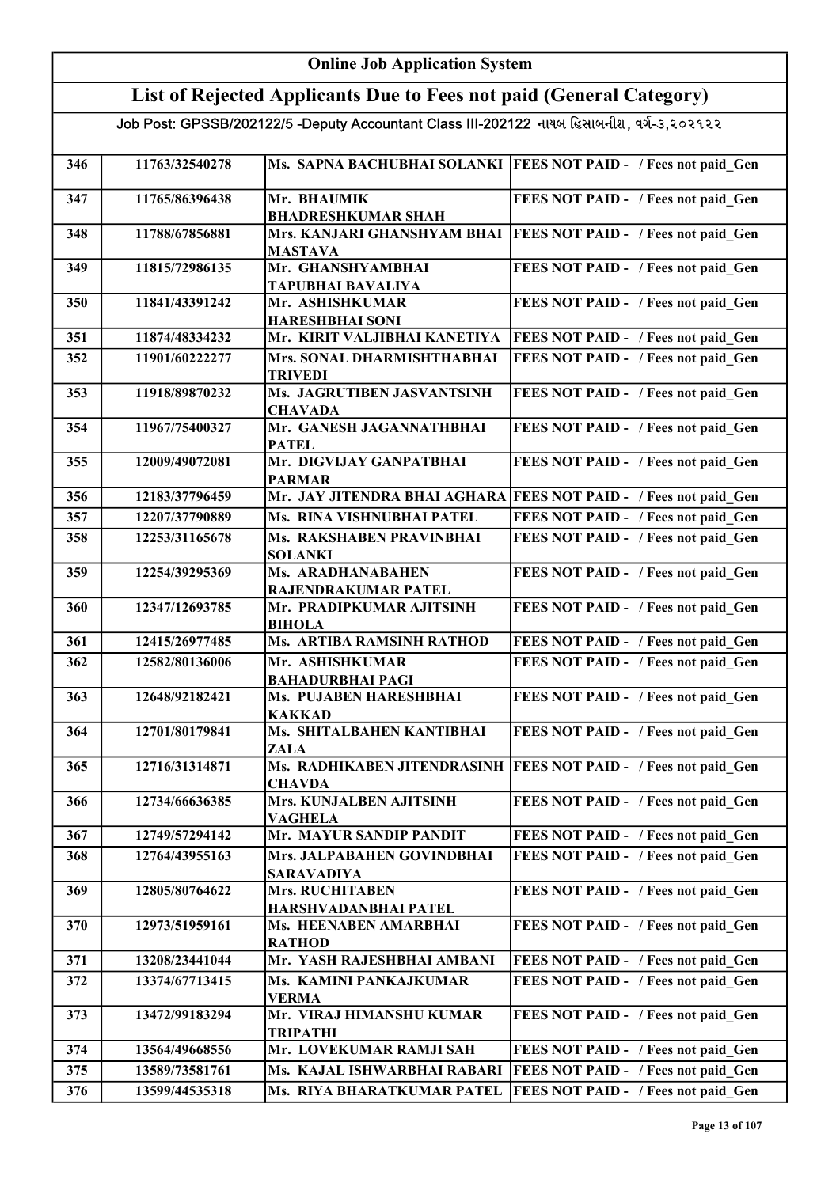|                                                                                           | <b>Online Job Application System</b> |                                                                     |                                                                  |  |
|-------------------------------------------------------------------------------------------|--------------------------------------|---------------------------------------------------------------------|------------------------------------------------------------------|--|
|                                                                                           |                                      | List of Rejected Applicants Due to Fees not paid (General Category) |                                                                  |  |
| Job Post: GPSSB/202122/5 -Deputy Accountant Class III-202122 નાયબ હિસાબનીશ, વર્ગ-૩,૨૦૨૧૨૨ |                                      |                                                                     |                                                                  |  |
| 346                                                                                       | 11763/32540278                       | Ms. SAPNA BACHUBHAI SOLANKI                                         | <b>FEES NOT PAID - / Fees not paid Gen</b>                       |  |
| 347                                                                                       | 11765/86396438                       | Mr. BHAUMIK<br><b>BHADRESHKUMAR SHAH</b>                            | FEES NOT PAID - / Fees not paid Gen                              |  |
| 348                                                                                       | 11788/67856881                       | Mrs. KANJARI GHANSHYAM BHAI<br><b>MASTAVA</b>                       | <b>FEES NOT PAID - / Fees not paid Gen</b>                       |  |
| 349                                                                                       | 11815/72986135                       | Mr. GHANSHYAMBHAI<br><b>TAPUBHAI BAVALIYA</b>                       | FEES NOT PAID - / Fees not paid Gen                              |  |
| 350                                                                                       | 11841/43391242                       | Mr. ASHISHKUMAR<br><b>HARESHBHAI SONI</b>                           | FEES NOT PAID - / Fees not paid Gen                              |  |
| 351                                                                                       | 11874/48334232                       | Mr. KIRIT VALJIBHAI KANETIYA                                        | FEES NOT PAID - / Fees not paid Gen                              |  |
| 352                                                                                       | 11901/60222277                       | Mrs. SONAL DHARMISHTHABHAI<br><b>TRIVEDI</b>                        | FEES NOT PAID - / Fees not paid Gen                              |  |
| 353                                                                                       | 11918/89870232                       | Ms. JAGRUTIBEN JASVANTSINH<br><b>CHAVADA</b>                        | FEES NOT PAID - / Fees not paid Gen                              |  |
| 354                                                                                       | 11967/75400327                       | Mr. GANESH JAGANNATHBHAI<br><b>PATEL</b>                            | FEES NOT PAID - / Fees not paid Gen                              |  |
| 355                                                                                       | 12009/49072081                       | Mr. DIGVIJAY GANPATBHAI<br><b>PARMAR</b>                            | FEES NOT PAID - / Fees not paid Gen                              |  |
| 356                                                                                       | 12183/37796459                       |                                                                     | Mr. JAY JITENDRA BHAI AGHARA FEES NOT PAID - / Fees not paid Gen |  |
| 357                                                                                       | 12207/37790889                       | Ms. RINA VISHNUBHAI PATEL                                           | FEES NOT PAID - / Fees not paid Gen                              |  |
| 358                                                                                       | 12253/31165678                       | Ms. RAKSHABEN PRAVINBHAI<br><b>SOLANKI</b>                          | FEES NOT PAID - / Fees not paid Gen                              |  |
| 359                                                                                       | 12254/39295369                       | Ms. ARADHANABAHEN<br>RAJENDRAKUMAR PATEL                            | FEES NOT PAID - / Fees not paid Gen                              |  |
| 360                                                                                       | 12347/12693785                       | Mr. PRADIPKUMAR AJITSINH<br><b>BIHOLA</b>                           | FEES NOT PAID - / Fees not paid Gen                              |  |
| 361                                                                                       | 12415/26977485                       | Ms. ARTIBA RAMSINH RATHOD                                           | FEES NOT PAID - / Fees not paid Gen                              |  |
| 362                                                                                       | 12582/80136006                       | Mr. ASHISHKUMAR<br><b>BAHADURBHAI PAGI</b>                          | FEES NOT PAID - / Fees not paid Gen                              |  |
| 363                                                                                       | 12648/92182421                       | Ms. PUJABEN HARESHBHAI<br><b>KAKKAD</b>                             | FEES NOT PAID - / Fees not paid Gen                              |  |
| 364                                                                                       | 12701/80179841                       | Ms. SHITALBAHEN KANTIBHAI<br>ZALA                                   | FEES NOT PAID - / Fees not paid Gen                              |  |
| 365                                                                                       | 12716/31314871                       | Ms. RADHIKABEN JITENDRASINH<br><b>CHAVDA</b>                        | <b>FEES NOT PAID - / Fees not paid Gen</b>                       |  |
| 366                                                                                       | 12734/66636385                       | Mrs. KUNJALBEN AJITSINH<br><b>VAGHELA</b>                           | FEES NOT PAID - / Fees not paid Gen                              |  |
| 367                                                                                       | 12749/57294142                       | Mr. MAYUR SANDIP PANDIT                                             | FEES NOT PAID - / Fees not paid Gen                              |  |
| 368                                                                                       | 12764/43955163                       | Mrs. JALPABAHEN GOVINDBHAI<br><b>SARAVADIYA</b>                     | FEES NOT PAID - / Fees not paid Gen                              |  |
| 369                                                                                       | 12805/80764622                       | <b>Mrs. RUCHITABEN</b><br>HARSHVADANBHAI PATEL                      | FEES NOT PAID - / Fees not paid Gen                              |  |
| 370                                                                                       | 12973/51959161                       | Ms. HEENABEN AMARBHAI<br><b>RATHOD</b>                              | FEES NOT PAID - / Fees not paid Gen                              |  |
| 371                                                                                       | 13208/23441044                       | Mr. YASH RAJESHBHAI AMBANI                                          | FEES NOT PAID - / Fees not paid Gen                              |  |
| 372                                                                                       | 13374/67713415                       | Ms. KAMINI PANKAJKUMAR<br><b>VERMA</b>                              | FEES NOT PAID - / Fees not paid Gen                              |  |
| 373                                                                                       | 13472/99183294                       | Mr. VIRAJ HIMANSHU KUMAR<br><b>TRIPATHI</b>                         | FEES NOT PAID - / Fees not paid Gen                              |  |
| 374                                                                                       | 13564/49668556                       | Mr. LOVEKUMAR RAMJI SAH                                             | FEES NOT PAID - / Fees not paid Gen                              |  |
| 375                                                                                       | 13589/73581761                       | Ms. KAJAL ISHWARBHAI RABARI                                         | FEES NOT PAID - / Fees not paid Gen                              |  |
| 376                                                                                       | 13599/44535318                       | Ms. RIYA BHARATKUMAR PATEL                                          | FEES NOT PAID - / Fees not paid Gen                              |  |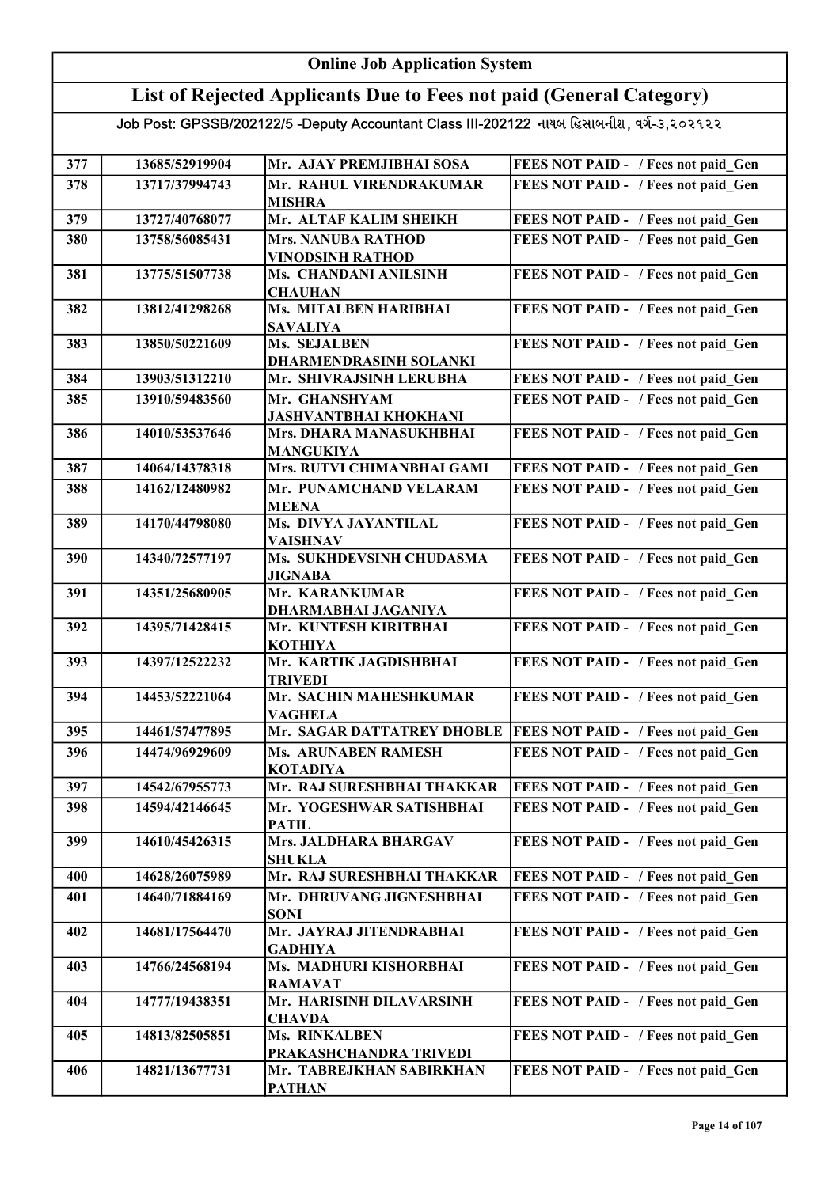#### Online Job Application System List of Rejected Applicants Due to Fees not paid (General Category) Job Post: GPSSB/202122/5 -Deputy Accountant Class III-202122 નાયબ હિસાબનીશ, વર્ગ-૩,૨૦૨૧૨૨ 377 13685/52919904 Mr. AJAY PREMJIBHAI SOSA FEES NOT PAID - / Fees not paid Gen 378 13717/37994743 Mr. RAHUL VIRENDRAKUMAR MISHRA FEES NOT PAID - / Fees not paid Gen 379 | 13727/40768077 | Mr. ALTAF KALIM SHEIKH | FEES NOT PAID - / Fees not paid\_Gen 380 13758/56085431 Mrs. NANUBA RATHOD VINODSINH RATHOD FEES NOT PAID - / Fees not paid Gen 381 13775/51507738 Ms. CHANDANI ANILSINH **CHAUHAN** FEES NOT PAID - / Fees not paid Gen 382 13812/41298268 Ms. MITALBEN HARIBHAI SAVALIYA FEES NOT PAID - / Fees not paid Gen 383 13850/50221609 Ms. SEJALBEN DHARMENDRASINH SOLANKI FEES NOT PAID - / Fees not paid\_Gen 384 13903/51312210 Mr. SHIVRAJSINH LERUBHA 385 13910/59483560 Mr. GHANSHYAM FEES NOT PAID - / Fees not paid\_Gen JASHVANTBHAI KHOKHANI FEES NOT PAID - / Fees not paid Gen 386 | 14010/53537646 | Mrs. DHARA MANASUKHBHAI MANGUKIYA FEES NOT PAID - / Fees not paid\_Gen 387 | 14064/14378318 | Mrs. RUTVI CHIMANBHAI GAMI | FEES NOT PAID - / Fees not paid Gen 388 14162/12480982 Mr. PUNAMCHAND VELARAM MEENA FEES NOT PAID - / Fees not paid Gen 389 14170/44798080 Ms. DIVYA JAYANTILAL VAISHNAV FEES NOT PAID - / Fees not paid Gen 390 | 14340/72577197 | Ms. SUKHDEVSINH CHUDASMA JIGNABA FEES NOT PAID - / Fees not paid\_Gen 391 14351/25680905 Mr. KARANKUMAR DHARMABHAI JAGANIYA FEES NOT PAID - / Fees not paid Gen 392 14395/71428415 Mr. KUNTESH KIRITBHAI KOTHIYA FEES NOT PAID - / Fees not paid Gen 393 14397/12522232 Mr. KARTIK JAGDISHBHAI TRIVEDI FEES NOT PAID - / Fees not paid Gen 394 14453/52221064 Mr. SACHIN MAHESHKUMAR VAGHELA FEES NOT PAID - / Fees not paid\_Gen 395 14461/57477895 Mr. SAGAR DATTATREY DHOBLE FEES NOT PAID - / Fees not paid Gen 396 14474/96929609 Ms. ARUNABEN RAMESH KOTADIYA FEES NOT PAID - / Fees not paid Gen 397 | 14542/67955773 | Mr. RAJ SURESHBHAI THAKKAR | FEES NOT PAID - / Fees not paid Gen 398 14594/42146645 Mr. YOGESHWAR SATISHBHAI PATIL FEES NOT PAID - / Fees not paid Gen 399 | 14610/45426315 Mrs. JALDHARA BHARGAV SHUKLA FEES NOT PAID - / Fees not paid Gen 400 14628/26075989 Mr. RAJ SURESHBHAI THAKKAR FEES NOT PAID - / Fees not paid Gen 401 14640/71884169 Mr. DHRUVANG JIGNESHBHAI SONI FEES NOT PAID - / Fees not paid Gen 402 14681/17564470 Mr. JAYRAJ JITENDRABHAI GADHIYA FEES NOT PAID - / Fees not paid\_Gen 403 14766/24568194 Ms. MADHURI KISHORBHAI RAMAVAT FEES NOT PAID - / Fees not paid Gen 404 14777/19438351 Mr. HARISINH DILAVARSINH **CHAVDA** FEES NOT PAID - / Fees not paid Gen 405 14813/82505851 Ms. RINKALBEN PRAKASHCHANDRA TRIVEDI FEES NOT PAID - / Fees not paid Gen 406 14821/13677731 Mr. TABREJKHAN SABIRKHAN PATHAN FEES NOT PAID - / Fees not paid\_Gen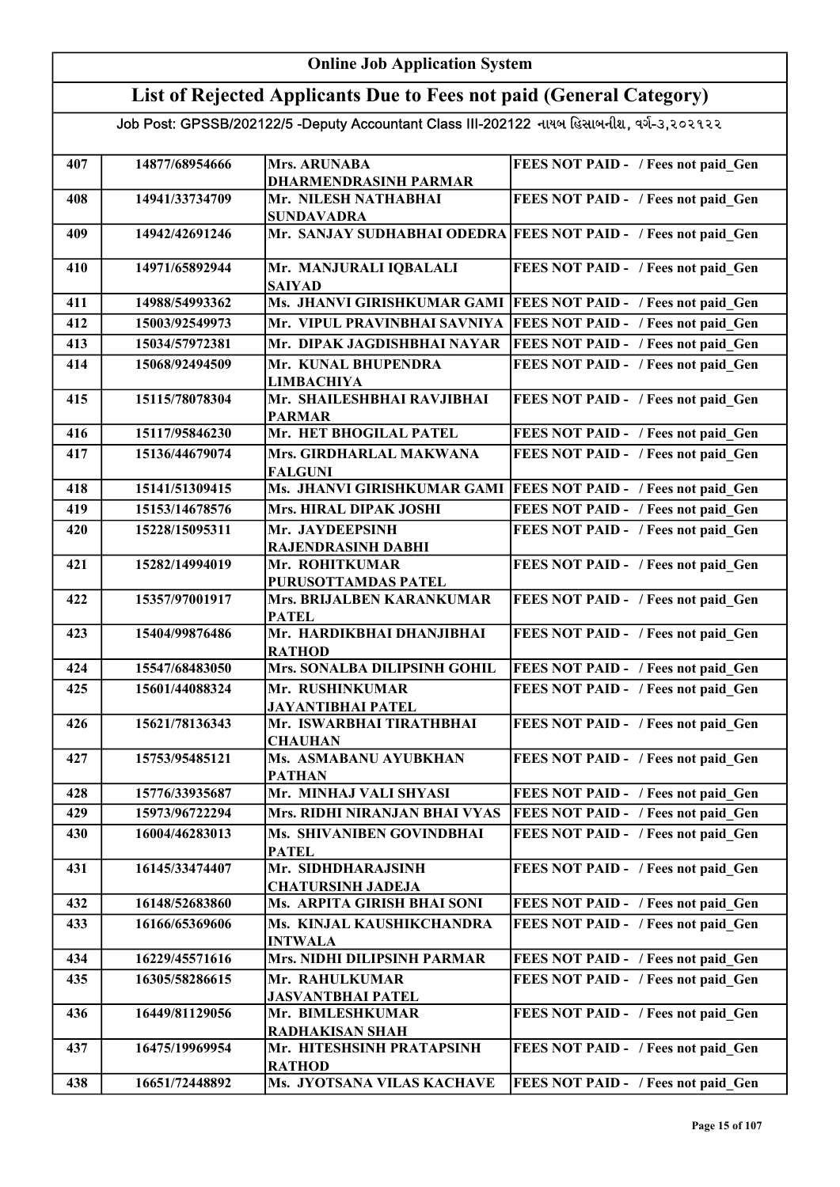#### Online Job Application System List of Rejected Applicants Due to Fees not paid (General Category) Job Post: GPSSB/202122/5 -Deputy Accountant Class III-202122 નાયબ હિસાબનીશ, વર્ગ-૩,૨૦૨૧૨૨ 407 | 14877/68954666 | Mrs. ARUNABA DHARMENDRASINH PARMAR FEES NOT PAID - / Fees not paid Gen 408 | 14941/33734709 | Mr. NILESH NATHABHAI SUNDAVADRA FEES NOT PAID - / Fees not paid\_Gen 409 14942/42691246 Mr. SANJAY SUDHABHAI ODEDRA FEES NOT PAID - / Fees not paid\_Gen 410 14971/65892944 Mr. MANJURALI IQBALALI SAIYAD FEES NOT PAID - / Fees not paid Gen 411 14988/54993362 Ms. JHANVI GIRISHKUMAR GAMI FEES NOT PAID - / Fees not paid Gen 412 15003/92549973 Mr. VIPUL PRAVINBHAI SAVNIYA FEES NOT PAID - / Fees not paid Gen 413 15034/57972381 Mr. DIPAK JAGDISHBHAI NAYAR FEES NOT PAID - / Fees not paid Gen 414 15068/92494509 Mr. KUNAL BHUPENDRA LIMBACHIYA FEES NOT PAID - / Fees not paid Gen 415 15115/78078304 Mr. SHAILESHBHAI RAVJIBHAI PARMAR FEES NOT PAID - / Fees not paid Gen 416 15117/95846230 Mr. HET BHOGILAL PATEL FEES NOT PAID - / Fees not paid\_Gen 417 15136/44679074 Mrs. GIRDHARLAL MAKWANA FALGUNI FEES NOT PAID - / Fees not paid Gen 418 15141/51309415 Ms. JHANVI GIRISHKUMAR GAMI FEES NOT PAID - / Fees not paid\_Gen 419 15153/14678576 Mrs. HIRAL DIPAK JOSHI FEES NOT PAID - / Fees not paid Gen 420 | 15228/15095311 | Mr. JAYDEEPSINH RAJENDRASINH DABHI FEES NOT PAID - / Fees not paid Gen 421 15282/14994019 Mr. ROHITKUMAR PURUSOTTAMDAS PATEL FEES NOT PAID - / Fees not paid Gen 422 15357/97001917 Mrs. BRIJALBEN KARANKUMAR **PATEL** FEES NOT PAID - / Fees not paid Gen 423 15404/99876486 Mr. HARDIKBHAI DHANJIBHAI RATHOD FEES NOT PAID - / Fees not paid\_Gen 424 15547/68483050 Mrs. SONALBA DILIPSINH GOHIL FEES NOT PAID - / Fees not paid Gen 425 15601/44088324 Mr. RUSHINKUMAR JAYANTIBHAI PATEL FEES NOT PAID - / Fees not paid Gen 426 15621/78136343 Mr. ISWARBHAI TIRATHBHAI **CHAUHAN** FEES NOT PAID - / Fees not paid Gen 427 15753/95485121 Ms. ASMABANU AYUBKHAN PATHAN FEES NOT PAID - / Fees not paid Gen 428 15776/33935687 Mr. MINHAJ VALI SHYASI FEES NOT PAID - / Fees not paid Gen 429 15973/96722294 Mrs. RIDHI NIRANJAN BHAI VYAS FEES NOT PAID - / Fees not paid Gen 430 16004/46283013 Ms. SHIVANIBEN GOVINDBHAI **PATEL** FEES NOT PAID - / Fees not paid Gen 431 16145/33474407 Mr. SIDHDHARAJSINH CHATURSINH JADEJA FEES NOT PAID - / Fees not paid Gen 432 16148/52683860 Ms. ARPITA GIRISH BHAI SONI FEES NOT PAID - / Fees not paid\_Gen 433 16166/65369606 Ms. KINJAL KAUSHIKCHANDRA INTWALA FEES NOT PAID - / Fees not paid Gen 434 16229/45571616 Mrs. NIDHI DILIPSINH PARMAR FEES NOT PAID - / Fees not paid\_Gen 435 16305/58286615 Mr. RAHULKUMAR JASVANTBHAI PATEL FEES NOT PAID - / Fees not paid Gen 436 16449/81129056 Mr. BIMLESHKUMAR RADHAKISAN SHAH FEES NOT PAID - / Fees not paid Gen 437 16475/19969954 Mr. HITESHSINH PRATAPSINH RATHOD FEES NOT PAID - / Fees not paid Gen 438 | 16651/72448892 Ms. JYOTSANA VILAS KACHAVE FEES NOT PAID - / Fees not paid\_Gen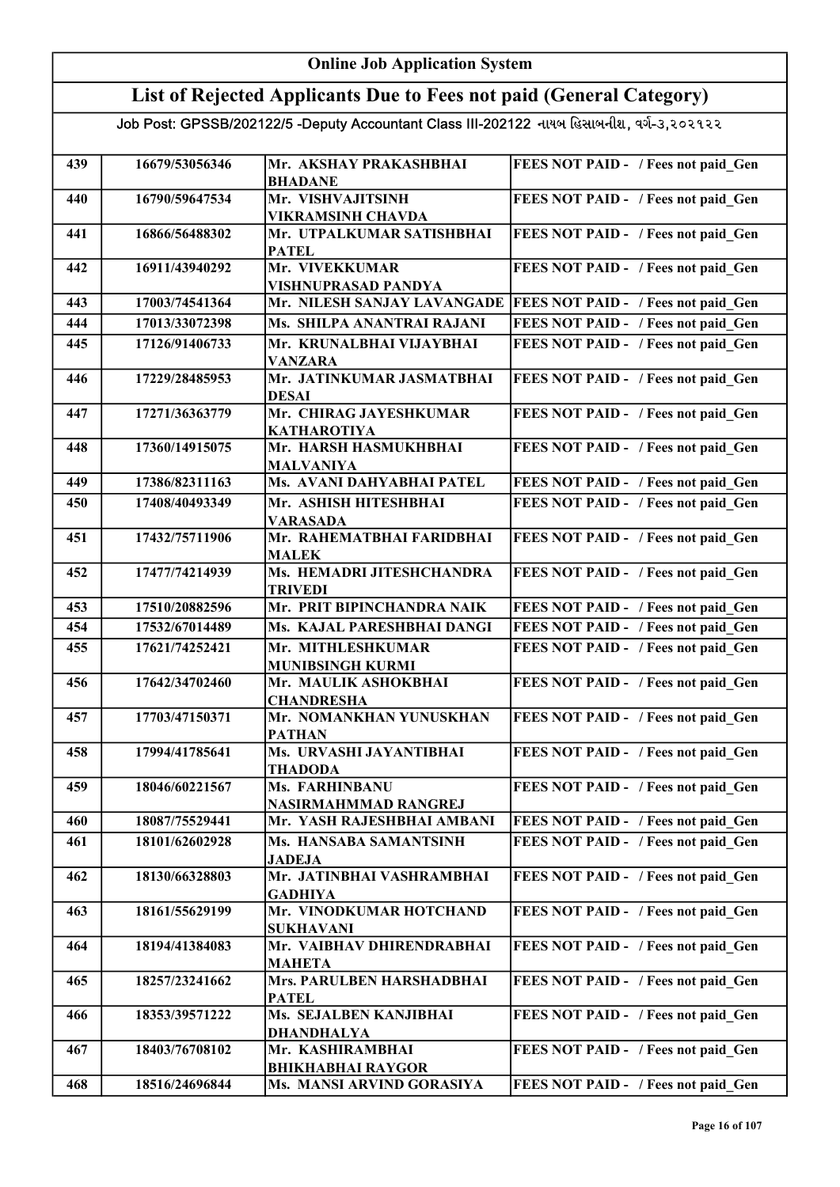#### Online Job Application System List of Rejected Applicants Due to Fees not paid (General Category) Job Post: GPSSB/202122/5 -Deputy Accountant Class III-202122 નાયબ હિસાબનીશ, વર્ગ-૩,૨૦૨૧૨૨ 439 16679/53056346 Mr. AKSHAY PRAKASHBHAI BHADANE FEES NOT PAID - / Fees not paid Gen 440 | 16790/59647534 | Mr. VISHVAJITSINH VIKRAMSINH CHAVDA FEES NOT PAID - / Fees not paid\_Gen 441 | 16866/56488302 | Mr. UTPALKUMAR SATISHBHAI **PATEL** FEES NOT PAID - / Fees not paid Gen 442 16911/43940292 Mr. VIVEKKUMAR VISHNUPRASAD PANDYA FEES NOT PAID - / Fees not paid Gen 443 17003/74541364 Mr. NILESH SANJAY LAVANGADE FEES NOT PAID - / Fees not paid\_Gen 444 17013/33072398 Ms. SHILPA ANANTRAI RAJANI FEES NOT PAID - / Fees not paid\_Gen 445 17126/91406733 Mr. KRUNALBHAI VIJAYBHAI VANZARA FEES NOT PAID - / Fees not paid Gen 446 17229/28485953 Mr. JATINKUMAR JASMATBHAI DESAI FEES NOT PAID - / Fees not paid\_Gen 447 17271/36363779 Mr. CHIRAG JAYESHKUMAR KATHAROTIYA FEES NOT PAID - / Fees not paid Gen 448 17360/14915075 Mr. HARSH HASMUKHBHAI MALVANIYA FEES NOT PAID - / Fees not paid Gen 449 17386/82311163 Ms. AVANI DAHYABHAI PATEL FEES NOT PAID - / Fees not paid\_Gen 450 17408/40493349 Mr. ASHISH HITESHBHAI VARASADA FEES NOT PAID - / Fees not paid Gen 451 17432/75711906 Mr. RAHEMATBHAI FARIDBHAI MALEK FEES NOT PAID - / Fees not paid Gen 452 17477/74214939 Ms. HEMADRI JITESHCHANDRA TRIVEDI FEES NOT PAID - / Fees not paid Gen 453 17510/20882596 Mr. PRIT BIPINCHANDRA NAIK FEES NOT PAID - / Fees not paid Gen 454 | 17532/67014489 Ms. KAJAL PARESHBHAI DANGI FEES NOT PAID - / Fees not paid Gen 455 17621/74252421 Mr. MITHLESHKUMAR MUNIBSINGH KURMI FEES NOT PAID - / Fees not paid\_Gen 456 17642/34702460 Mr. MAULIK ASHOKBHAI **CHANDRESHA** FEES NOT PAID - / Fees not paid Gen 457 17703/47150371 Mr. NOMANKHAN YUNUSKHAN PATHAN FEES NOT PAID - / Fees not paid Gen 458 17994/41785641 Ms. URVASHI JAYANTIBHAI THADODA FEES NOT PAID - / Fees not paid Gen 459 18046/60221567 Ms. FARHINBANU NASIRMAHMMAD RANGREJ FEES NOT PAID - / Fees not paid Gen 460 18087/75529441 Mr. YASH RAJESHBHAI AMBANI FEES NOT PAID - / Fees not paid\_Gen 461 18101/62602928 Ms. HANSABA SAMANTSINH JADEJA FEES NOT PAID - / Fees not paid Gen 462 18130/66328803 Mr. JATINBHAI VASHRAMBHAI GADHIYA FEES NOT PAID - / Fees not paid Gen 463 18161/55629199 Mr. VINODKUMAR HOTCHAND SUKHAVANI FEES NOT PAID - / Fees not paid Gen 464 18194/41384083 Mr. VAIBHAV DHIRENDRABHAI MAHETA FEES NOT PAID - / Fees not paid Gen 465 18257/23241662 Mrs. PARULBEN HARSHADBHAI PATEL FEES NOT PAID - / Fees not paid Gen 466 18353/39571222 Ms. SEJALBEN KANJIBHAI DHANDHALYA FEES NOT PAID - / Fees not paid Gen 467 18403/76708102 Mr. KASHIRAMBHAI BHIKHABHAI RAYGOR FEES NOT PAID - / Fees not paid Gen 468 18516/24696844 Ms. MANSI ARVIND GORASIYA FEES NOT PAID - / Fees not paid Gen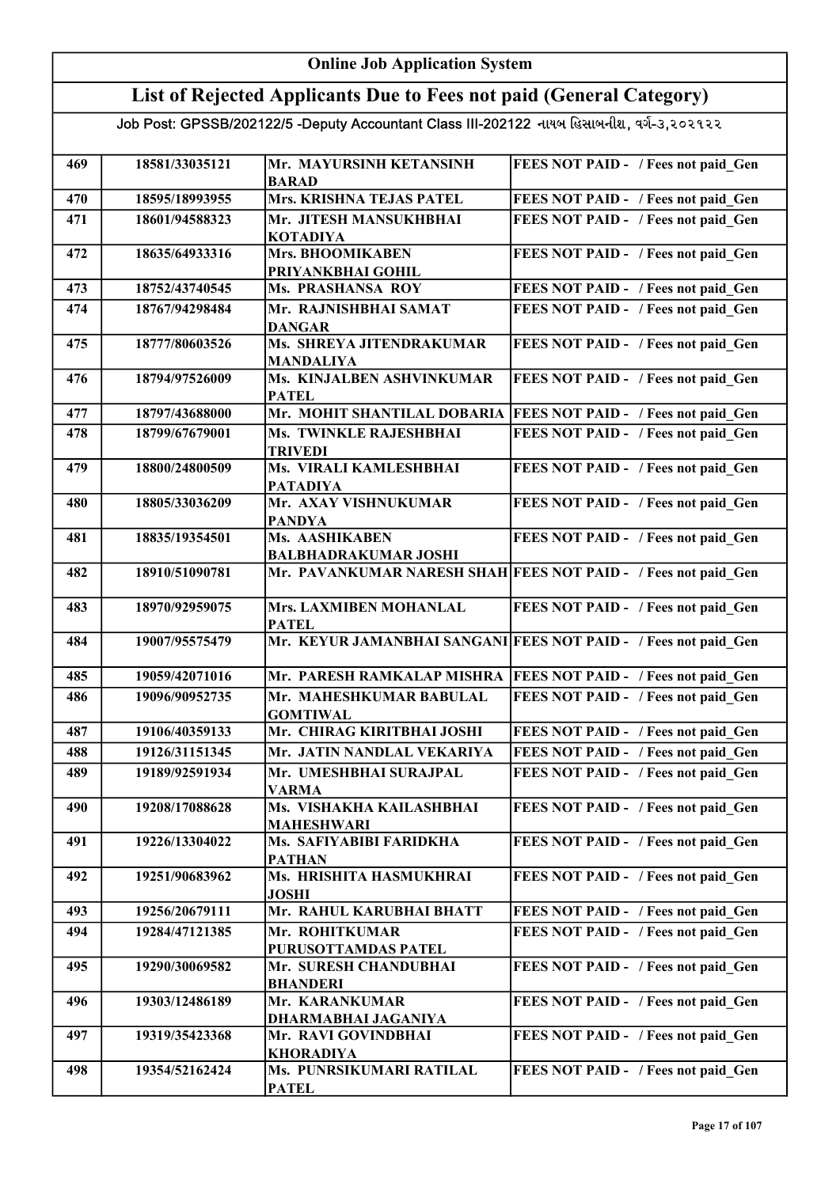#### Online Job Application System List of Rejected Applicants Due to Fees not paid (General Category) Job Post: GPSSB/202122/5 -Deputy Accountant Class III-202122 નાયબ હિસાબનીશ, વર્ગ-૩,૨૦૨૧૨૨ 469 18581/33035121 Mr. MAYURSINH KETANSINH <u>BARAD</u><br>Mrs. KRISHNA TEJAS PATEL FEES NOT PAID - / Fees not paid Gen 470 18595/18993955 Mrs. KRISHNA TEJAS PATEL FEES NOT PAID - / Fees not paid\_Gen 471 | 18601/94588323 | Mr. JITESH MANSUKHBHAI KOTADIYA FEES NOT PAID - / Fees not paid Gen 472 18635/64933316 Mrs. BHOOMIKABEN PRIYANKBHAI GOHIL FEES NOT PAID - / Fees not paid Gen 473 18752/43740545 Ms. PRASHANSA ROY FEES NOT PAID - / Fees not paid Gen 474 18767/94298484 Mr. RAJNISHBHAI SAMAT DANGAR FEES NOT PAID - / Fees not paid Gen 475 18777/80603526 Ms. SHREYA JITENDRAKUMAR MANDALIYA FEES NOT PAID - / Fees not paid\_Gen 476 18794/97526009 Ms. KINJALBEN ASHVINKUMAR PATEL FEES NOT PAID - / Fees not paid Gen 477 | 18797/43688000 Mr. MOHIT SHANTILAL DOBARIA FEES NOT PAID - / Fees not paid Gen 478 | 18799/67679001 | Ms. TWINKLE RAJESHBHAI TRIVEDI FEES NOT PAID - / Fees not paid\_Gen 479 | 18800/24800509 | Ms. VIRALI KAMLESHBHAI PATADIYA FEES NOT PAID - / Fees not paid\_Gen 480 18805/33036209 Mr. AXAY VISHNUKUMAR PANDYA FEES NOT PAID - / Fees not paid Gen 481 18835/19354501 Ms. AASHIKABEN BALBHADRAKUMAR JOSHI FEES NOT PAID - / Fees not paid Gen 482 18910/51090781 Mr. PAVANKUMAR NARESH SHAH FEES NOT PAID - / Fees not paid Gen 483 18970/92959075 Mrs. LAXMIBEN MOHANLAL PATEL FEES NOT PAID - / Fees not paid Gen 484 19007/95575479 Mr. KEYUR JAMANBHAI SANGANI FEES NOT PAID - / Fees not paid Gen 485 19059/42071016 Mr. PARESH RAMKALAP MISHRA FEES NOT PAID - / Fees not paid\_Gen 486 19096/90952735 Mr. MAHESHKUMAR BABULAL GOMTIWAL FEES NOT PAID - / Fees not paid\_Gen 487 19106/40359133 Mr. CHIRAG KIRITBHAI JOSHI FEES NOT PAID - / Fees not paid Gen 488 19126/31151345 Mr. JATIN NANDLAL VEKARIYA FEES NOT PAID - / Fees not paid Gen 489 19189/92591934 Mr. UMESHBHAI SURAJPAL VARMA FEES NOT PAID - / Fees not paid Gen 490 | 19208/17088628 | Ms. VISHAKHA KAILASHBHAI MAHESHWARI FEES NOT PAID - / Fees not paid\_Gen 491 | 19226/13304022 Ms. SAFIYABIBI FARIDKHA PATHAN FEES NOT PAID - / Fees not paid Gen 492 19251/90683962 Ms. HRISHITA HASMUKHRAI JOSHI FEES NOT PAID - / Fees not paid Gen 493 | 19256/20679111 | Mr. RAHUL KARUBHAI BHATT | FEES NOT PAID - / Fees not paid\_Gen 494 19284/47121385 Mr. ROHITKUMAR PURUSOTTAMDAS PATEL FEES NOT PAID - / Fees not paid Gen 495 19290/30069582 Mr. SURESH CHANDUBHAI BHANDERI FEES NOT PAID - / Fees not paid Gen 496 19303/12486189 Mr. KARANKUMAR DHARMABHAI JAGANIYA FEES NOT PAID - / Fees not paid Gen 497 | 19319/35423368 | Mr. RAVI GOVINDBHAI KHORADIYA FEES NOT PAID - / Fees not paid Gen 498 19354/52162424 Ms. PUNRSIKUMARI RATILAL PATEL FEES NOT PAID - / Fees not paid\_Gen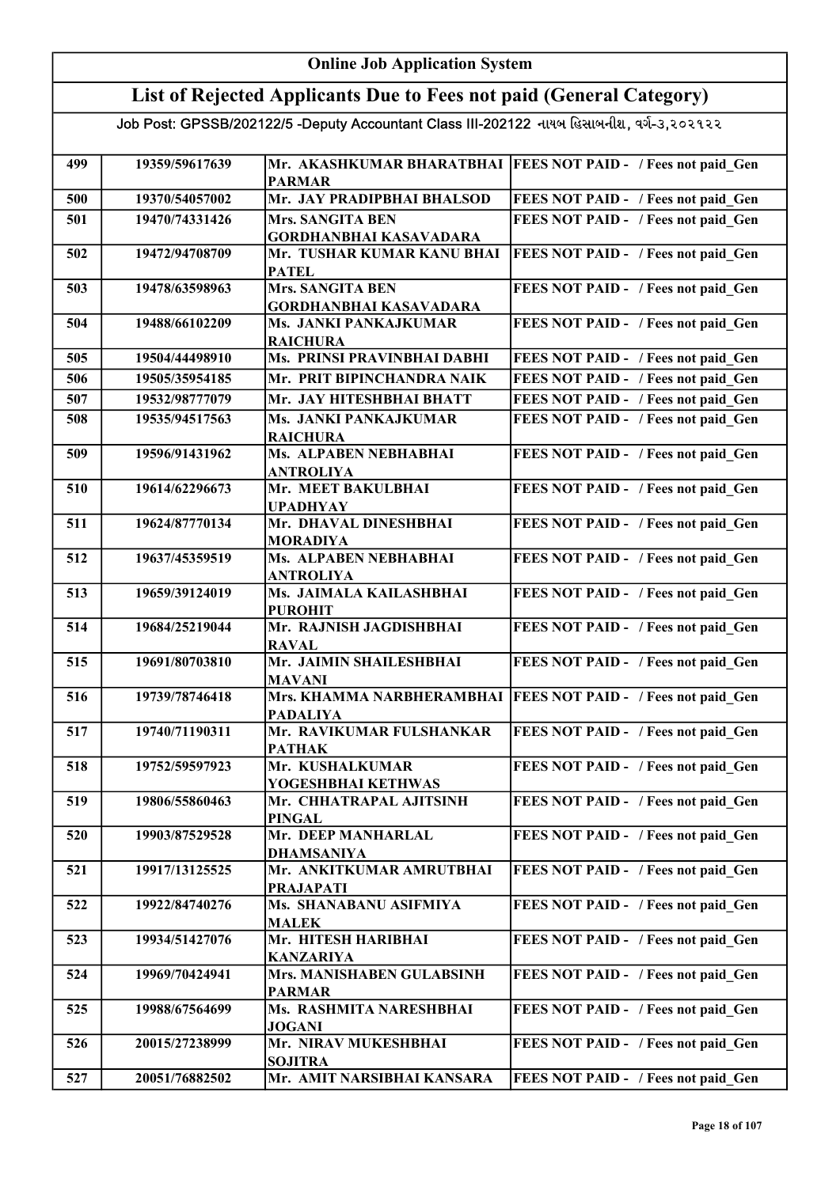|     | <b>Online Job Application System</b> |                                                                                           |                                            |  |
|-----|--------------------------------------|-------------------------------------------------------------------------------------------|--------------------------------------------|--|
|     |                                      | List of Rejected Applicants Due to Fees not paid (General Category)                       |                                            |  |
|     |                                      | Job Post: GPSSB/202122/5 -Deputy Accountant Class III-202122 નાયબ હિસાબનીશ, વર્ગ-૩,૨૦૨૧૨૨ |                                            |  |
| 499 | 19359/59617639                       | Mr. AKASHKUMAR BHARATBHAI<br><b>PARMAR</b>                                                | <b>FEES NOT PAID - / Fees not paid Gen</b> |  |
| 500 | 19370/54057002                       | Mr. JAY PRADIPBHAI BHALSOD                                                                | FEES NOT PAID - / Fees not paid Gen        |  |
| 501 | 19470/74331426                       | <b>Mrs. SANGITA BEN</b>                                                                   | FEES NOT PAID - / Fees not paid Gen        |  |
|     |                                      | <b>GORDHANBHAI KASAVADARA</b>                                                             |                                            |  |
| 502 | 19472/94708709                       | Mr. TUSHAR KUMAR KANU BHAI<br><b>PATEL</b>                                                | FEES NOT PAID - / Fees not paid Gen        |  |
| 503 | 19478/63598963                       | <b>Mrs. SANGITA BEN</b><br><b>GORDHANBHAI KASAVADARA</b>                                  | FEES NOT PAID - / Fees not paid Gen        |  |
| 504 | 19488/66102209                       | Ms. JANKI PANKAJKUMAR<br><b>RAICHURA</b>                                                  | FEES NOT PAID - / Fees not paid Gen        |  |
| 505 | 19504/44498910                       | Ms. PRINSI PRAVINBHAI DABHI                                                               | FEES NOT PAID - / Fees not paid Gen        |  |
| 506 | 19505/35954185                       | Mr. PRIT BIPINCHANDRA NAIK                                                                | FEES NOT PAID - / Fees not paid Gen        |  |
| 507 | 19532/98777079                       | Mr. JAY HITESHBHAI BHATT                                                                  | FEES NOT PAID - / Fees not paid Gen        |  |
| 508 | 19535/94517563                       | Ms. JANKI PANKAJKUMAR<br><b>RAICHURA</b>                                                  | FEES NOT PAID - / Fees not paid Gen        |  |
| 509 | 19596/91431962                       | Ms. ALPABEN NEBHABHAI<br><b>ANTROLIYA</b>                                                 | FEES NOT PAID - / Fees not paid Gen        |  |
| 510 | 19614/62296673                       | Mr. MEET BAKULBHAI<br><b>UPADHYAY</b>                                                     | FEES NOT PAID - / Fees not paid Gen        |  |
| 511 | 19624/87770134                       | Mr. DHAVAL DINESHBHAI<br><b>MORADIYA</b>                                                  | FEES NOT PAID - / Fees not paid Gen        |  |
| 512 | 19637/45359519                       | Ms. ALPABEN NEBHABHAI                                                                     | FEES NOT PAID - / Fees not paid Gen        |  |
| 513 | 19659/39124019                       | <b>ANTROLIYA</b><br>Ms. JAIMALA KAILASHBHAI<br><b>PUROHIT</b>                             | FEES NOT PAID - / Fees not paid Gen        |  |
| 514 | 19684/25219044                       | Mr. RAJNISH JAGDISHBHAI<br><b>RAVAL</b>                                                   | FEES NOT PAID - / Fees not paid_Gen        |  |
| 515 | 19691/80703810                       | Mr. JAIMIN SHAILESHBHAI<br><b>MAVANI</b>                                                  | FEES NOT PAID - / Fees not paid Gen        |  |
| 516 | 19739/78746418                       | Mrs. KHAMMA NARBHERAMBHAI<br><b>PADALIYA</b>                                              | <b>FEES NOT PAID - / Fees not paid Gen</b> |  |
| 517 | 19740/71190311                       | Mr. RAVIKUMAR FULSHANKAR<br><b>PATHAK</b>                                                 | FEES NOT PAID - / Fees not paid Gen        |  |
| 518 | 19752/59597923                       | Mr. KUSHALKUMAR<br>YOGESHBHAI KETHWAS                                                     | FEES NOT PAID - / Fees not paid Gen        |  |
| 519 | 19806/55860463                       | Mr. CHHATRAPAL AJITSINH<br><b>PINGAL</b>                                                  | FEES NOT PAID - / Fees not paid Gen        |  |
| 520 | 19903/87529528                       | Mr. DEEP MANHARLAL<br>DHAMSANIYA                                                          | FEES NOT PAID - / Fees not paid Gen        |  |
| 521 | 19917/13125525                       | Mr. ANKITKUMAR AMRUTBHAI<br><b>PRAJAPATI</b>                                              | FEES NOT PAID - / Fees not paid Gen        |  |
| 522 | 19922/84740276                       | Ms. SHANABANU ASIFMIYA<br><b>MALEK</b>                                                    | FEES NOT PAID - / Fees not paid Gen        |  |
| 523 | 19934/51427076                       | Mr. HITESH HARIBHAI                                                                       | FEES NOT PAID - / Fees not paid Gen        |  |
| 524 | 19969/70424941                       | <b>KANZARIYA</b><br>Mrs. MANISHABEN GULABSINH<br><b>PARMAR</b>                            | FEES NOT PAID - / Fees not paid Gen        |  |
| 525 | 19988/67564699                       | Ms. RASHMITA NARESHBHAI<br><b>JOGANI</b>                                                  | FEES NOT PAID - / Fees not paid Gen        |  |
| 526 | 20015/27238999                       | Mr. NIRAV MUKESHBHAI<br><b>SOJITRA</b>                                                    | FEES NOT PAID - / Fees not paid Gen        |  |
| 527 | 20051/76882502                       | Mr. AMIT NARSIBHAI KANSARA                                                                | FEES NOT PAID - / Fees not paid Gen        |  |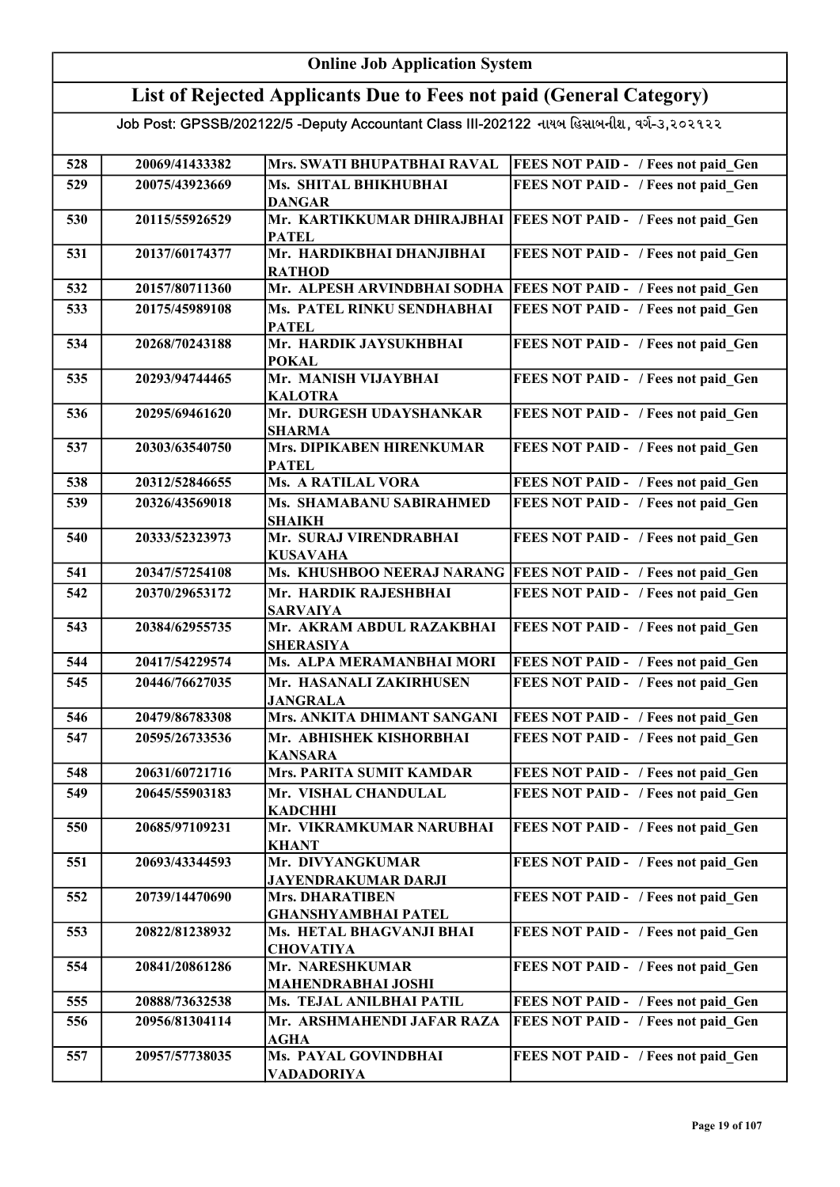#### Online Job Application System List of Rejected Applicants Due to Fees not paid (General Category) Job Post: GPSSB/202122/5 -Deputy Accountant Class III-202122 નાયબ હિસાબનીશ, વર્ગ-૩,૨૦૨૧૨૨ 528 20069/41433382 Mrs. SWATI BHUPATBHAI RAVAL FEES NOT PAID - / Fees not paid Gen 529 20075/43923669 Ms. SHITAL BHIKHUBHAI DANGAR FEES NOT PAID - / Fees not paid\_Gen 530 20115/55926529 Mr. KARTIKKUMAR DHIRAJBHAI FEES NOT PAID - / Fees not paid\_Gen PATEL 531 20137/60174377 Mr. HARDIKBHAI DHANJIBHAI **RATHOD** FEES NOT PAID - / Fees not paid Gen 532 20157/80711360 Mr. ALPESH ARVINDBHAI SODHA FEES NOT PAID - / Fees not paid\_Gen 533 20175/45989108 Ms. PATEL RINKU SENDHABHAI PATEL FEES NOT PAID - / Fees not paid Gen 534 20268/70243188 Mr. HARDIK JAYSUKHBHAI POKAL FEES NOT PAID - / Fees not paid\_Gen 535 20293/94744465 Mr. MANISH VIJAYBHAI **KALOTRA** FEES NOT PAID - / Fees not paid\_Gen 536 20295/69461620 Mr. DURGESH UDAYSHANKAR SHARMA FEES NOT PAID - / Fees not paid Gen 537 20303/63540750 Mrs. DIPIKABEN HIRENKUMAR PATEL FEES NOT PAID - / Fees not paid Gen 538 20312/52846655 Ms. A RATILAL VORA FEES NOT PAID - / Fees not paid\_Gen 539 20326/43569018 Ms. SHAMABANU SABIRAHMED SHAIKH FEES NOT PAID - / Fees not paid Gen 540 20333/52323973 Mr. SURAJ VIRENDRABHAI KUSAVAHA FEES NOT PAID - / Fees not paid Gen 541 20347/57254108 Ms. KHUSHBOO NEERAJ NARANG FEES NOT PAID - / Fees not paid Gen 542 20370/29653172 Mr. HARDIK RAJESHBHAI SARVAIYA FEES NOT PAID - / Fees not paid Gen 543 20384/62955735 Mr. AKRAM ABDUL RAZAKBHAI SHERASIYA FEES NOT PAID - / Fees not paid Gen 544 20417/54229574 Ms. ALPA MERAMANBHAI MORI FEES NOT PAID - / Fees not paid Gen 545 20446/76627035 Mr. HASANALI ZAKIRHUSEN JANGRALA FEES NOT PAID - / Fees not paid Gen 546 20479/86783308 Mrs. ANKITA DHIMANT SANGANI FEES NOT PAID - / Fees not paid Gen 547 20595/26733536 Mr. ABHISHEK KISHORBHAI KANSARA FEES NOT PAID - / Fees not paid\_Gen 548 20631/60721716 Mrs. PARITA SUMIT KAMDAR FEES NOT PAID - / Fees not paid Gen 549 20645/55903183 Mr. VISHAL CHANDULAL KADCHHI FEES NOT PAID - / Fees not paid\_Gen 550 20685/97109231 Mr. VIKRAMKUMAR NARUBHAI KHANT FEES NOT PAID - / Fees not paid Gen 551 20693/43344593 Mr. DIVYANGKUMAR JAYENDRAKUMAR DARJI FEES NOT PAID - / Fees not paid Gen 552 20739/14470690 Mrs. DHARATIBEN GHANSHYAMBHAI PATEL FEES NOT PAID - / Fees not paid Gen 553 20822/81238932 Ms. HETAL BHAGVANJI BHAI CHOVATIYA FEES NOT PAID - / Fees not paid\_Gen 554 20841/20861286 Mr. NARESHKUMAR MAHENDRABHAI JOSHI FEES NOT PAID - / Fees not paid Gen 555 20888/73632538 Ms. TEJAL ANILBHAI PATIL FEES NOT PAID - / Fees not paid\_Gen 556 20956/81304114 Mr. ARSHMAHENDI JAFAR RAZA AGHA FEES NOT PAID - / Fees not paid Gen 557 20957/57738035 Ms. PAYAL GOVINDBHAI VADADORIYA FEES NOT PAID - / Fees not paid Gen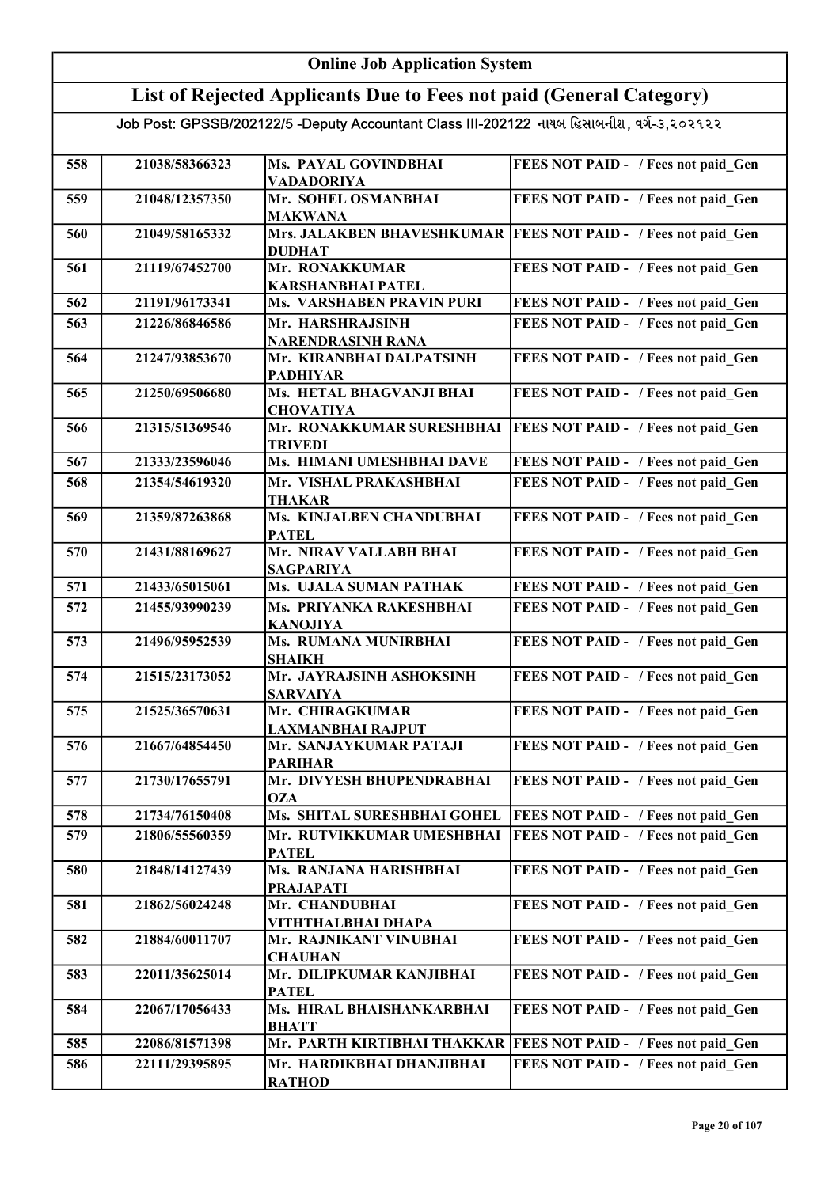#### Online Job Application System List of Rejected Applicants Due to Fees not paid (General Category) Job Post: GPSSB/202122/5 -Deputy Accountant Class III-202122 નાયબ હિસાબનીશ, વર્ગ-૩,૨૦૨૧૨૨ 558 21038/58366323 Ms. PAYAL GOVINDBHAI VADADORIYA FEES NOT PAID - / Fees not paid Gen 559 21048/12357350 Mr. SOHEL OSMANBHAI MAKWANA FEES NOT PAID - / Fees not paid\_Gen 560 21049/58165332 Mrs. JALAKBEN BHAVESHKUMAR FEES NOT PAID - / Fees not paid\_Gen DUDHAT 561 21119/67452700 Mr. RONAKKUMAR KARSHANBHAI PATEL FEES NOT PAID - / Fees not paid Gen 562 21191/96173341 Ms. VARSHABEN PRAVIN PURI FEES NOT PAID - / Fees not paid Gen 563 21226/86846586 Mr. HARSHRAJSINH NARENDRASINH RANA FEES NOT PAID - / Fees not paid Gen 564 21247/93853670 Mr. KIRANBHAI DALPATSINH PADHIYAR FEES NOT PAID - / Fees not paid Gen 565 21250/69506680 Ms. HETAL BHAGVANJI BHAI **CHOVATIYA** FEES NOT PAID - / Fees not paid Gen 566 21315/51369546 Mr. RONAKKUMAR SURESHBHAI FEES NOT PAID - / Fees not paid\_Gen TRIVEDI 567 21333/23596046 Ms. HIMANI UMESHBHAI DAVE FEES NOT PAID - / Fees not paid\_Gen 568 21354/54619320 Mr. VISHAL PRAKASHBHAI THAKAR FEES NOT PAID - / Fees not paid Gen 569 21359/87263868 Ms. KINJALBEN CHANDUBHAI **PATEL** FEES NOT PAID - / Fees not paid Gen 570 21431/88169627 Mr. NIRAV VALLABH BHAI SAGPARIYA FEES NOT PAID - / Fees not paid Gen 571 21433/65015061 Ms. UJALA SUMAN PATHAK FEES NOT PAID - / Fees not paid Gen 572 21455/93990239 Ms. PRIYANKA RAKESHBHAI KANOJIYA FEES NOT PAID - / Fees not paid Gen 573 21496/95952539 Ms. RUMANA MUNIRBHAI SHAIKH FEES NOT PAID - / Fees not paid Gen 574 21515/23173052 Mr. JAYRAJSINH ASHOKSINH SARVAIYA FEES NOT PAID - / Fees not paid Gen 575 21525/36570631 Mr. CHIRAGKUMAR LAXMANBHAI RAJPUT FEES NOT PAID - / Fees not paid Gen 576 21667/64854450 Mr. SANJAYKUMAR PATAJI PARIHAR FEES NOT PAID - / Fees not paid\_Gen 577 21730/17655791 Mr. DIVYESH BHUPENDRABHAI **OZA** FEES NOT PAID - / Fees not paid Gen 578 | 21734/76150408 | Ms. SHITAL SURESHBHAI GOHEL | FEES NOT PAID - / Fees not paid\_Gen 579 21806/55560359 Mr. RUTVIKKUMAR UMESHBHAI PATEL FEES NOT PAID - / Fees not paid\_Gen 580 21848/14127439 Ms. RANJANA HARISHBHAI PRAJAPATI FEES NOT PAID - / Fees not paid\_Gen 581 21862/56024248 Mr. CHANDUBHAI VITHTHALBHAI DHAPA FEES NOT PAID - / Fees not paid Gen 582 21884/60011707 Mr. RAJNIKANT VINUBHAI **CHAUHAN** FEES NOT PAID - / Fees not paid Gen 583 22011/35625014 Mr. DILIPKUMAR KANJIBHAI PATEL FEES NOT PAID - / Fees not paid Gen 584 22067/17056433 Ms. HIRAL BHAISHANKARBHAI BHATT FEES NOT PAID - / Fees not paid\_Gen 585 22086/81571398 Mr. PARTH KIRTIBHAI THAKKAR FEES NOT PAID - / Fees not paid Gen 586 22111/29395895 Mr. HARDIKBHAI DHANJIBHAI RATHOD FEES NOT PAID - / Fees not paid Gen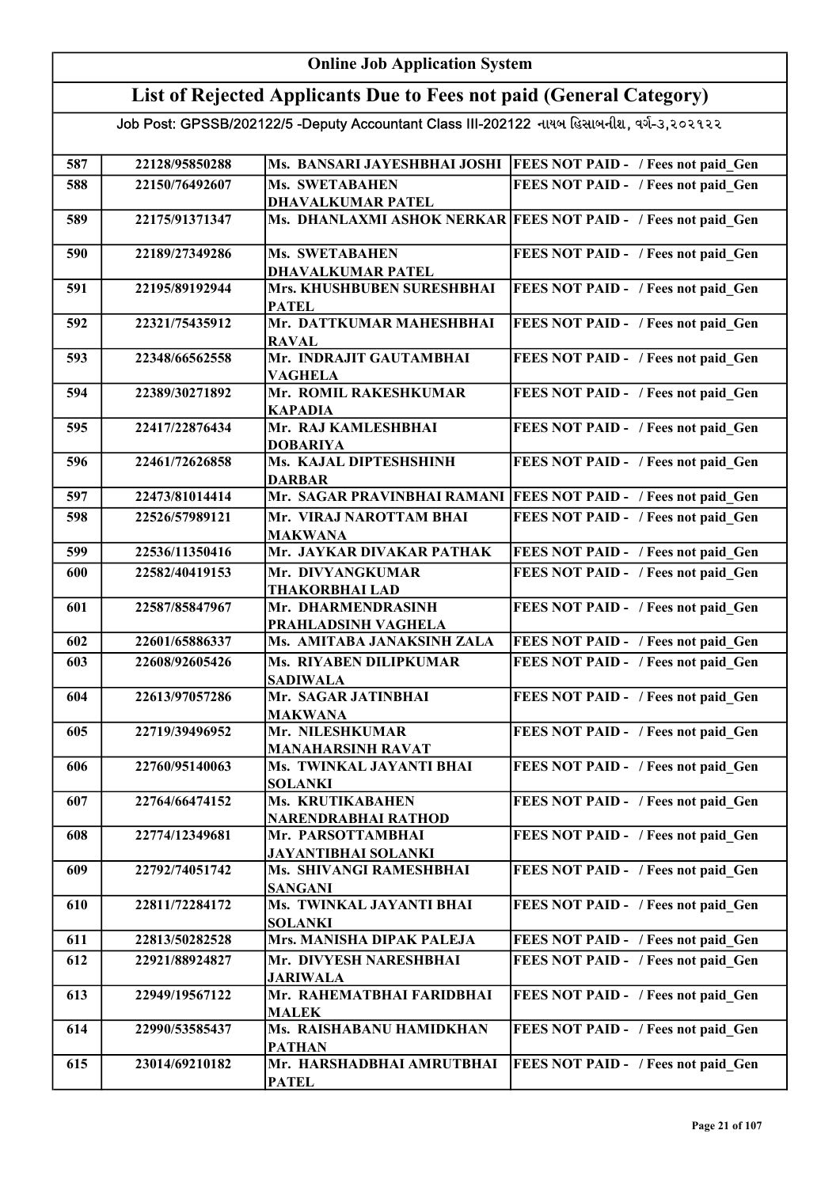### Online Job Application System List of Rejected Applicants Due to Fees not paid (General Category)

| 587 | 22128/95850288 |                                                   | Ms. BANSARI JAYESHBHAI JOSHI   FEES NOT PAID - / Fees not paid Gen |
|-----|----------------|---------------------------------------------------|--------------------------------------------------------------------|
| 588 | 22150/76492607 | <b>Ms. SWETABAHEN</b>                             | FEES NOT PAID - / Fees not paid Gen                                |
|     |                | <b>DHAVALKUMAR PATEL</b>                          |                                                                    |
| 589 | 22175/91371347 |                                                   | Ms. DHANLAXMI ASHOK NERKAR FEES NOT PAID - / Fees not paid Gen     |
|     |                |                                                   |                                                                    |
| 590 | 22189/27349286 | <b>Ms. SWETABAHEN</b>                             | FEES NOT PAID - / Fees not paid Gen                                |
|     |                | <b>DHAVALKUMAR PATEL</b>                          |                                                                    |
| 591 | 22195/89192944 | Mrs. KHUSHBUBEN SURESHBHAI                        | FEES NOT PAID - / Fees not paid Gen                                |
| 592 | 22321/75435912 | <b>PATEL</b><br>Mr. DATTKUMAR MAHESHBHAI          | FEES NOT PAID - / Fees not paid Gen                                |
|     |                | <b>RAVAL</b>                                      |                                                                    |
| 593 | 22348/66562558 | Mr. INDRAJIT GAUTAMBHAI                           | FEES NOT PAID - / Fees not paid Gen                                |
|     |                | <b>VAGHELA</b>                                    |                                                                    |
| 594 | 22389/30271892 | Mr. ROMIL RAKESHKUMAR                             | FEES NOT PAID - / Fees not paid_Gen                                |
|     |                | <b>KAPADIA</b>                                    |                                                                    |
| 595 | 22417/22876434 | Mr. RAJ KAMLESHBHAI                               | FEES NOT PAID - / Fees not paid Gen                                |
|     |                | <b>DOBARIYA</b>                                   |                                                                    |
| 596 | 22461/72626858 | Ms. KAJAL DIPTESHSHINH                            | FEES NOT PAID - / Fees not paid Gen                                |
|     |                | <b>DARBAR</b>                                     |                                                                    |
| 597 | 22473/81014414 | Mr. SAGAR PRAVINBHAI RAMANI                       | <b>FEES NOT PAID - / Fees not paid Gen</b>                         |
| 598 | 22526/57989121 | Mr. VIRAJ NAROTTAM BHAI                           | FEES NOT PAID - / Fees not paid Gen                                |
|     |                | <b>MAKWANA</b>                                    |                                                                    |
| 599 | 22536/11350416 | Mr. JAYKAR DIVAKAR PATHAK                         | FEES NOT PAID - / Fees not paid Gen                                |
| 600 | 22582/40419153 | Mr. DIVYANGKUMAR                                  | FEES NOT PAID - / Fees not paid Gen                                |
|     |                | <b>THAKORBHAI LAD</b>                             |                                                                    |
| 601 | 22587/85847967 | Mr. DHARMENDRASINH                                | FEES NOT PAID - / Fees not paid Gen                                |
| 602 | 22601/65886337 | PRAHLADSINH VAGHELA<br>Ms. AMITABA JANAKSINH ZALA | FEES NOT PAID - / Fees not paid Gen                                |
|     | 22608/92605426 | Ms. RIYABEN DILIPKUMAR                            | FEES NOT PAID - / Fees not paid Gen                                |
| 603 |                | <b>SADIWALA</b>                                   |                                                                    |
| 604 | 22613/97057286 | Mr. SAGAR JATINBHAI                               | FEES NOT PAID - / Fees not paid_Gen                                |
|     |                | <b>MAKWANA</b>                                    |                                                                    |
| 605 | 22719/39496952 | Mr. NILESHKUMAR                                   | FEES NOT PAID - / Fees not paid Gen                                |
|     |                | <b>MANAHARSINH RAVAT</b>                          |                                                                    |
| 606 | 22760/95140063 | Ms. TWINKAL JAYANTI BHAI                          | FEES NOT PAID - / Fees not paid Gen                                |
|     |                | SOLANKI                                           |                                                                    |
| 607 | 22764/66474152 | Ms. KRUTIKABAHEN                                  | FEES NOT PAID - / Fees not paid Gen                                |
|     |                | NARENDRABHAI RATHOD                               |                                                                    |
| 608 | 22774/12349681 | Mr. PARSOTTAMBHAI                                 | FEES NOT PAID - / Fees not paid Gen                                |
|     |                | <b>JAYANTIBHAI SOLANKI</b>                        |                                                                    |
| 609 | 22792/74051742 | Ms. SHIVANGI RAMESHBHAI<br><b>SANGANI</b>         | FEES NOT PAID - / Fees not paid Gen                                |
| 610 | 22811/72284172 | Ms. TWINKAL JAYANTI BHAI                          | FEES NOT PAID - / Fees not paid Gen                                |
|     |                | <b>SOLANKI</b>                                    |                                                                    |
| 611 | 22813/50282528 | Mrs. MANISHA DIPAK PALEJA                         | FEES NOT PAID - / Fees not paid Gen                                |
| 612 | 22921/88924827 | Mr. DIVYESH NARESHBHAI                            | FEES NOT PAID - / Fees not paid Gen                                |
|     |                | <b>JARIWALA</b>                                   |                                                                    |
| 613 | 22949/19567122 | Mr. RAHEMATBHAI FARIDBHAI                         | FEES NOT PAID - / Fees not paid Gen                                |
|     |                | <b>MALEK</b>                                      |                                                                    |
| 614 | 22990/53585437 | Ms. RAISHABANU HAMIDKHAN                          | FEES NOT PAID - / Fees not paid Gen                                |
|     |                | <b>PATHAN</b>                                     |                                                                    |
| 615 | 23014/69210182 | Mr. HARSHADBHAI AMRUTBHAI                         | FEES NOT PAID - / Fees not paid Gen                                |
|     |                | <b>PATEL</b>                                      |                                                                    |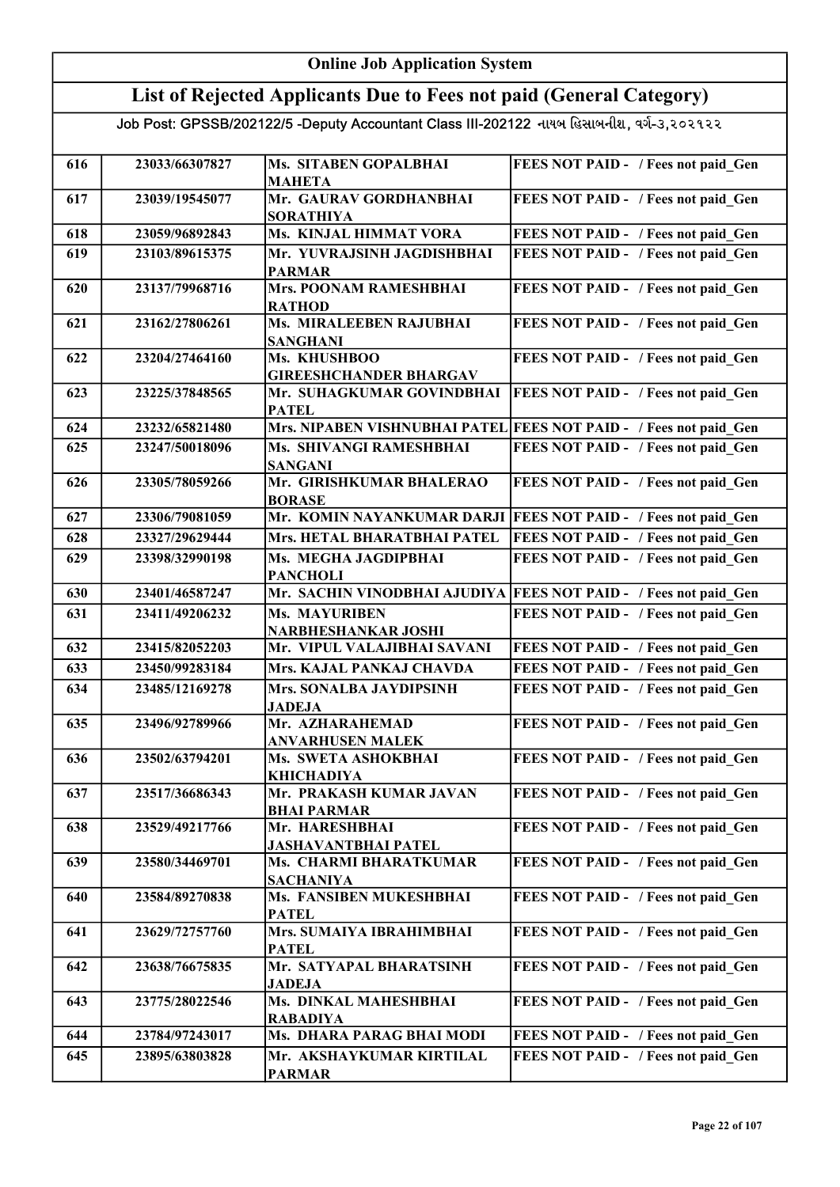#### Online Job Application System List of Rejected Applicants Due to Fees not paid (General Category) Job Post: GPSSB/202122/5 -Deputy Accountant Class III-202122 નાયબ હિસાબનીશ, વર્ગ-૩,૨૦૨૧૨૨ 616 23033/66307827 Ms. SITABEN GOPALBHAI MAHETA FEES NOT PAID - / Fees not paid Gen 617 23039/19545077 Mr. GAURAV GORDHANBHAI SORATHIYA FEES NOT PAID - / Fees not paid\_Gen 618 23059/96892843 Ms. KINJAL HIMMAT VORA FEES NOT PAID - / Fees not paid\_Gen 619 23103/89615375 Mr. YUVRAJSINH JAGDISHBHAI PARMAR FEES NOT PAID - / Fees not paid Gen 620 23137/79968716 Mrs. POONAM RAMESHBHAI **RATHOD** FEES NOT PAID - / Fees not paid Gen 621 23162/27806261 Ms. MIRALEEBEN RAJUBHAI SANGHANI FEES NOT PAID - / Fees not paid Gen 622 23204/27464160 Ms. KHUSHBOO GIREESHCHANDER BHARGAV FEES NOT PAID - / Fees not paid Gen 623 23225/37848565 Mr. SUHAGKUMAR GOVINDBHAI PATEL **FEES NOT PAID - / Fees not paid Gen** 624 23232/65821480 Mrs. NIPABEN VISHNUBHAI PATEL FEES NOT PAID - / Fees not paid Gen 625 23247/50018096 Ms. SHIVANGI RAMESHBHAI SANGANI FEES NOT PAID - / Fees not paid Gen 626 23305/78059266 Mr. GIRISHKUMAR BHALERAO BORASE FEES NOT PAID - / Fees not paid Gen 627 23306/79081059 Mr. KOMIN NAYANKUMAR DARJI FEES NOT PAID - / Fees not paid\_Gen 628 23327/29629444 Mrs. HETAL BHARATBHAI PATEL FEES NOT PAID - / Fees not paid\_Gen 629 23398/32990198 Ms. MEGHA JAGDIPBHAI PANCHOLI FEES NOT PAID - / Fees not paid Gen 630 23401/46587247 Mr. SACHIN VINODBHAI AJUDIYA FEES NOT PAID - / Fees not paid\_Gen 631 23411/49206232 Ms. MAYURIBEN NARBHESHANKAR JOSHI FEES NOT PAID - / Fees not paid Gen 632 23415/82052203 Mr. VIPUL VALAJIBHAI SAVANI FEES NOT PAID - / Fees not paid\_Gen 633 23450/99283184 Mrs. KAJAL PANKAJ CHAVDA FEES NOT PAID - / Fees not paid\_Gen 634 23485/12169278 Mrs. SONALBA JAYDIPSINH JADEJA FEES NOT PAID - / Fees not paid Gen 635 23496/92789966 Mr. AZHARAHEMAD ANVARHUSEN MALEK FEES NOT PAID - / Fees not paid Gen 636 23502/63794201 Ms. SWETA ASHOKBHAI KHICHADIYA FEES NOT PAID - / Fees not paid Gen 637 23517/36686343 Mr. PRAKASH KUMAR JAVAN BHAI PARMAR FEES NOT PAID - / Fees not paid\_Gen 638 23529/49217766 Mr. HARESHBHAI JASHAVANTBHAI PATEL FEES NOT PAID - / Fees not paid Gen 639 23580/34469701 Ms. CHARMI BHARATKUMAR SACHANIYA FEES NOT PAID - / Fees not paid Gen 640 23584/89270838 Ms. FANSIBEN MUKESHBHAI **PATEL** FEES NOT PAID - / Fees not paid Gen 641 23629/72757760 Mrs. SUMAIYA IBRAHIMBHAI PATEL FEES NOT PAID - / Fees not paid\_Gen 642 23638/76675835 Mr. SATYAPAL BHARATSINH JADEJA FEES NOT PAID - / Fees not paid Gen 643 23775/28022546 Ms. DINKAL MAHESHBHAI RABADIYA FEES NOT PAID - / Fees not paid Gen 644 | 23784/97243017 | Ms. DHARA PARAG BHAI MODI | FEES NOT PAID - / Fees not paid\_Gen 645 23895/63803828 Mr. AKSHAYKUMAR KIRTILAL PARMAR FEES NOT PAID - / Fees not paid Gen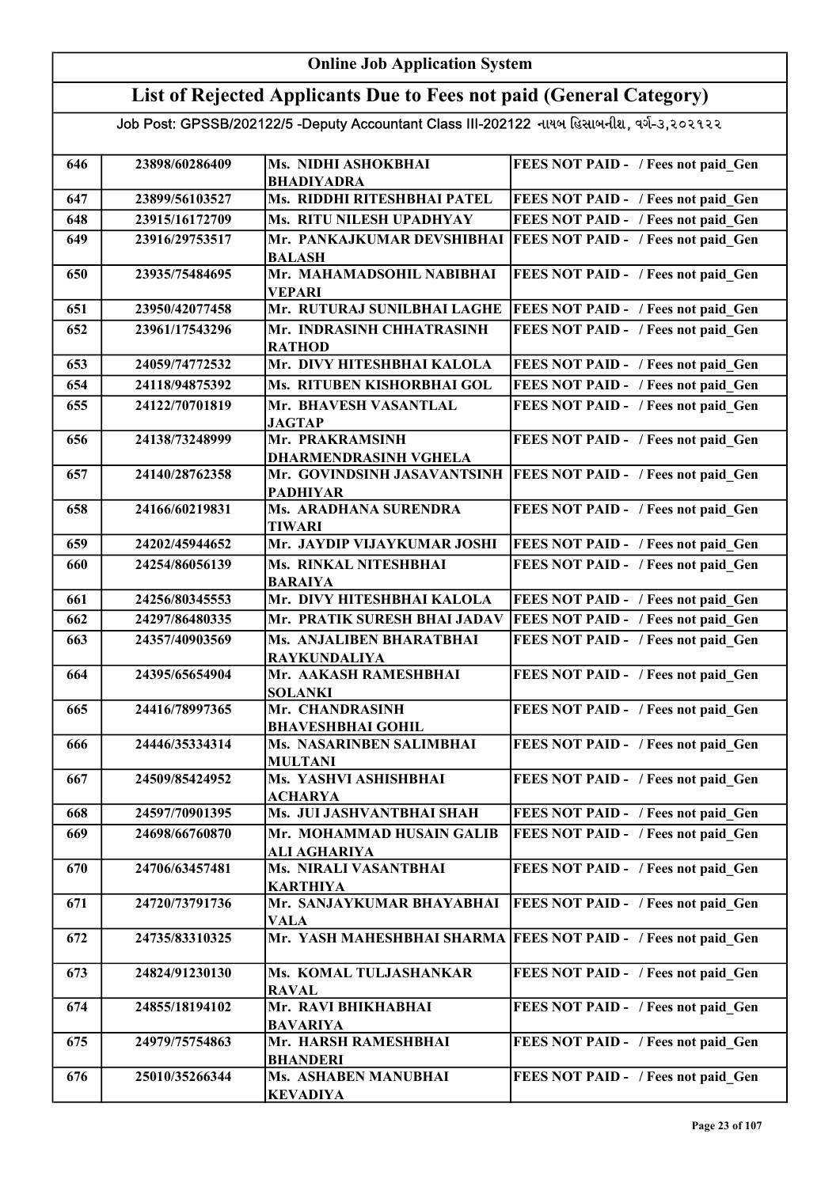### Online Job Application System List of Rejected Applicants Due to Fees not paid (General Category)

| 646 | 23898/60286409 | Ms. NIDHI ASHOKBHAI                               | FEES NOT PAID - / Fees not paid_Gen        |
|-----|----------------|---------------------------------------------------|--------------------------------------------|
| 647 | 23899/56103527 | <b>BHADIYADRA</b><br>Ms. RIDDHI RITESHBHAI PATEL  | FEES NOT PAID - / Fees not paid Gen        |
|     | 23915/16172709 | Ms. RITU NILESH UPADHYAY                          |                                            |
| 648 |                |                                                   | FEES NOT PAID - / Fees not paid Gen        |
| 649 | 23916/29753517 | Mr. PANKAJKUMAR DEVSHIBHAI<br><b>BALASH</b>       | <b>FEES NOT PAID - / Fees not paid Gen</b> |
| 650 | 23935/75484695 | Mr. MAHAMADSOHIL NABIBHAI<br><b>VEPARI</b>        | FEES NOT PAID - / Fees not paid Gen        |
| 651 | 23950/42077458 | Mr. RUTURAJ SUNILBHAI LAGHE                       | FEES NOT PAID - / Fees not paid Gen        |
| 652 | 23961/17543296 | Mr. INDRASINH CHHATRASINH<br><b>RATHOD</b>        | FEES NOT PAID - / Fees not paid Gen        |
| 653 | 24059/74772532 | Mr. DIVY HITESHBHAI KALOLA                        | FEES NOT PAID - / Fees not paid Gen        |
| 654 | 24118/94875392 | Ms. RITUBEN KISHORBHAI GOL                        | FEES NOT PAID - / Fees not paid Gen        |
| 655 | 24122/70701819 | Mr. BHAVESH VASANTLAL<br><b>JAGTAP</b>            | FEES NOT PAID - / Fees not paid Gen        |
| 656 | 24138/73248999 | Mr. PRAKRAMSINH<br><b>DHARMENDRASINH VGHELA</b>   | FEES NOT PAID - / Fees not paid Gen        |
| 657 | 24140/28762358 | Mr. GOVINDSINH JASAVANTSINH<br><b>PADHIYAR</b>    | <b>FEES NOT PAID - / Fees not paid Gen</b> |
| 658 | 24166/60219831 | Ms. ARADHANA SURENDRA<br><b>TIWARI</b>            | FEES NOT PAID - / Fees not paid Gen        |
| 659 | 24202/45944652 | Mr. JAYDIP VIJAYKUMAR JOSHI                       | FEES NOT PAID - / Fees not paid Gen        |
| 660 | 24254/86056139 | Ms. RINKAL NITESHBHAI<br><b>BARAIYA</b>           | FEES NOT PAID - / Fees not paid Gen        |
| 661 | 24256/80345553 | Mr. DIVY HITESHBHAI KALOLA                        | FEES NOT PAID - / Fees not paid Gen        |
| 662 | 24297/86480335 | Mr. PRATIK SURESH BHAI JADAV                      | FEES NOT PAID - / Fees not paid Gen        |
| 663 | 24357/40903569 | Ms. ANJALIBEN BHARATBHAI<br><b>RAYKUNDALIYA</b>   | FEES NOT PAID - / Fees not paid Gen        |
| 664 | 24395/65654904 | Mr. AAKASH RAMESHBHAI<br><b>SOLANKI</b>           | FEES NOT PAID - / Fees not paid Gen        |
| 665 | 24416/78997365 | Mr. CHANDRASINH                                   | FEES NOT PAID - / Fees not paid Gen        |
|     |                | <b>BHAVESHBHAI GOHIL</b>                          |                                            |
| 666 | 24446/35334314 | <b>Ms. NASARINBEN SALIMBHAI</b><br><b>MULTANI</b> | FEES NOT PAID - / Fees not paid Gen        |
| 667 | 24509/85424952 | Ms. YASHVI ASHISHBHAI<br><b>ACHARYA</b>           | FEES NOT PAID - / Fees not paid Gen        |
| 668 | 24597/70901395 | Ms. JUI JASHVANTBHAI SHAH                         | FEES NOT PAID - / Fees not paid Gen        |
| 669 | 24698/66760870 | Mr. MOHAMMAD HUSAIN GALIB<br>ALI AGHARIYA         | FEES NOT PAID - / Fees not paid Gen        |
| 670 | 24706/63457481 | Ms. NIRALI VASANTBHAI<br><b>KARTHIYA</b>          | FEES NOT PAID - / Fees not paid Gen        |
| 671 | 24720/73791736 | Mr. SANJAYKUMAR BHAYABHAI<br><b>VALA</b>          | FEES NOT PAID - / Fees not paid Gen        |
| 672 | 24735/83310325 | Mr. YASH MAHESHBHAI SHARMA                        | <b>FEES NOT PAID - / Fees not paid Gen</b> |
| 673 | 24824/91230130 | Ms. KOMAL TULJASHANKAR<br><b>RAVAL</b>            | FEES NOT PAID - / Fees not paid Gen        |
| 674 | 24855/18194102 | Mr. RAVI BHIKHABHAI<br><b>BAVARIYA</b>            | FEES NOT PAID - / Fees not paid Gen        |
| 675 | 24979/75754863 | Mr. HARSH RAMESHBHAI                              | FEES NOT PAID - / Fees not paid Gen        |
| 676 | 25010/35266344 | <b>BHANDERI</b><br>Ms. ASHABEN MANUBHAI           | FEES NOT PAID - / Fees not paid Gen        |
|     |                | <b>KEVADIYA</b>                                   |                                            |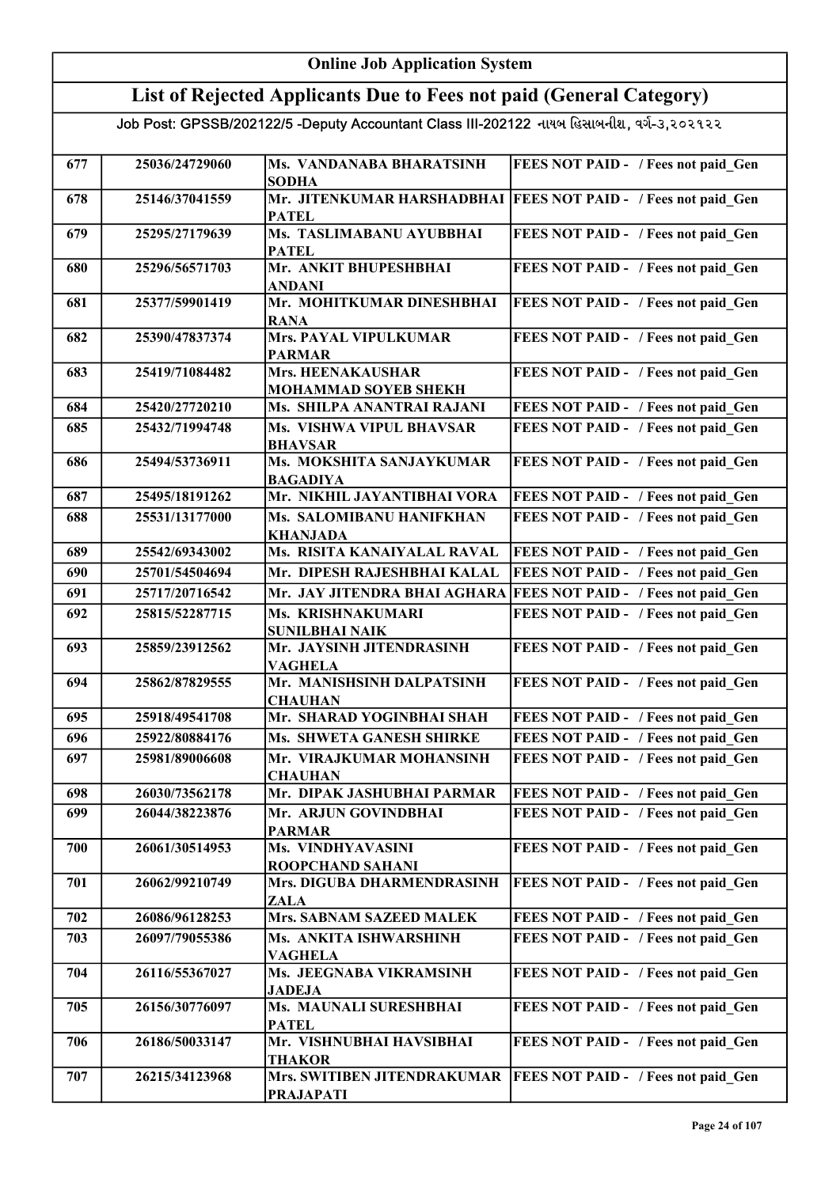| <b>Online Job Application System</b> |                                                                                           |                                                         |                                                                  |  |
|--------------------------------------|-------------------------------------------------------------------------------------------|---------------------------------------------------------|------------------------------------------------------------------|--|
|                                      | List of Rejected Applicants Due to Fees not paid (General Category)                       |                                                         |                                                                  |  |
|                                      | Job Post: GPSSB/202122/5 -Deputy Accountant Class III-202122 નાયબ હિસાબનીશ, વર્ગ-૩,૨૦૨૧૨૨ |                                                         |                                                                  |  |
| 677                                  | 25036/24729060                                                                            | Ms. VANDANABA BHARATSINH<br><b>SODHA</b>                | FEES NOT PAID - / Fees not paid Gen                              |  |
| 678                                  | 25146/37041559                                                                            | <b>PATEL</b>                                            | Mr. JITENKUMAR HARSHADBHAI   FEES NOT PAID - / Fees not paid Gen |  |
| 679                                  | 25295/27179639                                                                            | Ms. TASLIMABANU AYUBBHAI<br><b>PATEL</b>                | FEES NOT PAID - / Fees not paid Gen                              |  |
| 680                                  | 25296/56571703                                                                            | Mr. ANKIT BHUPESHBHAI<br><b>ANDANI</b>                  | FEES NOT PAID - / Fees not paid Gen                              |  |
| 681                                  | 25377/59901419                                                                            | Mr. MOHITKUMAR DINESHBHAI<br><b>RANA</b>                | FEES NOT PAID - / Fees not paid Gen                              |  |
| 682                                  | 25390/47837374                                                                            | <b>Mrs. PAYAL VIPULKUMAR</b><br><b>PARMAR</b>           | FEES NOT PAID - / Fees not paid Gen                              |  |
| 683                                  | 25419/71084482                                                                            | <b>Mrs. HEENAKAUSHAR</b><br><b>MOHAMMAD SOYEB SHEKH</b> | FEES NOT PAID - / Fees not paid Gen                              |  |
| 684                                  | 25420/27720210                                                                            | Ms. SHILPA ANANTRAI RAJANI                              | FEES NOT PAID - / Fees not paid_Gen                              |  |
| 685                                  | 25432/71994748                                                                            | Ms. VISHWA VIPUL BHAVSAR<br><b>BHAVSAR</b>              | FEES NOT PAID - / Fees not paid Gen                              |  |
| 686                                  | 25494/53736911                                                                            | Ms. MOKSHITA SANJAYKUMAR<br><b>BAGADIYA</b>             | FEES NOT PAID - / Fees not paid Gen                              |  |
| 687                                  | 25495/18191262                                                                            | Mr. NIKHIL JAYANTIBHAI VORA                             | FEES NOT PAID - / Fees not paid Gen                              |  |
| 688                                  | 25531/13177000                                                                            | Ms. SALOMIBANU HANIFKHAN<br><b>KHANJADA</b>             | FEES NOT PAID - / Fees not paid Gen                              |  |
| 689                                  | 25542/69343002                                                                            | Ms. RISITA KANAIYALAL RAVAL                             | FEES NOT PAID - / Fees not paid Gen                              |  |
| 690                                  | 25701/54504694                                                                            | Mr. DIPESH RAJESHBHAI KALAL                             | FEES NOT PAID - / Fees not paid Gen                              |  |
| 691                                  | 25717/20716542                                                                            | Mr. JAY JITENDRA BHAI AGHARA                            | FEES NOT PAID - / Fees not paid Gen                              |  |
| 692                                  | 25815/52287715                                                                            | Ms. KRISHNAKUMARI<br><b>SUNILBHAI NAIK</b>              | FEES NOT PAID - / Fees not paid Gen                              |  |
| 693                                  | 25859/23912562                                                                            | Mr. JAYSINH JITENDRASINH<br><b>VAGHELA</b>              | FEES NOT PAID - / Fees not paid Gen                              |  |
| 694                                  | 25862/87829555                                                                            | Mr. MANISHSINH DALPATSINH<br><b>CHAUHAN</b>             | FEES NOT PAID - / Fees not paid_Gen                              |  |
| 695                                  | 25918/49541708                                                                            | Mr. SHARAD YOGINBHAI SHAH                               | FEES NOT PAID - / Fees not paid Gen                              |  |
| 696                                  | 25922/80884176                                                                            | Ms. SHWETA GANESH SHIRKE                                | FEES NOT PAID - / Fees not paid Gen                              |  |
| 697                                  | 25981/89006608                                                                            | Mr. VIRAJKUMAR MOHANSINH<br><b>CHAUHAN</b>              | FEES NOT PAID - / Fees not paid Gen                              |  |
| 698                                  | 26030/73562178                                                                            | Mr. DIPAK JASHUBHAI PARMAR                              | FEES NOT PAID - / Fees not paid Gen                              |  |
| 699                                  | 26044/38223876                                                                            | Mr. ARJUN GOVINDBHAI<br><b>PARMAR</b>                   | FEES NOT PAID - / Fees not paid Gen                              |  |
| 700                                  | 26061/30514953                                                                            | Ms. VINDHYAVASINI<br>ROOPCHAND SAHANI                   | FEES NOT PAID - / Fees not paid Gen                              |  |
| 701                                  | 26062/99210749                                                                            | Mrs. DIGUBA DHARMENDRASINH<br>ZALA                      | FEES NOT PAID - / Fees not paid Gen                              |  |
| 702                                  | 26086/96128253                                                                            | Mrs. SABNAM SAZEED MALEK                                | FEES NOT PAID - / Fees not paid Gen                              |  |
| 703                                  | 26097/79055386                                                                            | Ms. ANKITA ISHWARSHINH<br><b>VAGHELA</b>                | FEES NOT PAID - / Fees not paid Gen                              |  |
| 704                                  | 26116/55367027                                                                            | Ms. JEEGNABA VIKRAMSINH<br><b>JADEJA</b>                | FEES NOT PAID - / Fees not paid Gen                              |  |
| 705                                  | 26156/30776097                                                                            | Ms. MAUNALI SURESHBHAI<br><b>PATEL</b>                  | FEES NOT PAID - / Fees not paid Gen                              |  |
| 706                                  | 26186/50033147                                                                            | Mr. VISHNUBHAI HAVSIBHAI<br><b>THAKOR</b>               | FEES NOT PAID - / Fees not paid Gen                              |  |
| 707                                  | 26215/34123968                                                                            | Mrs. SWITIBEN JITENDRAKUMAR<br><b>PRAJAPATI</b>         | FEES NOT PAID - / Fees not paid Gen                              |  |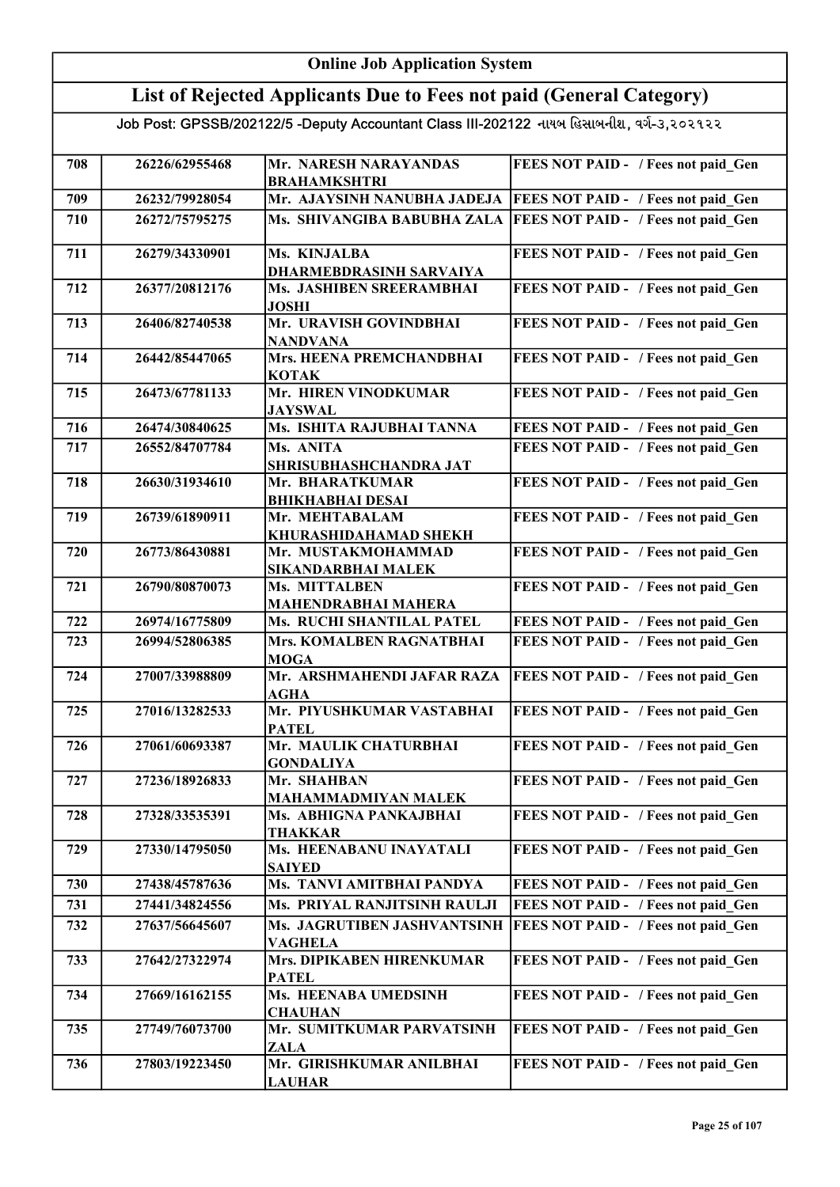#### Online Job Application System List of Rejected Applicants Due to Fees not paid (General Category) Job Post: GPSSB/202122/5 -Deputy Accountant Class III-202122 નાયબ હિસાબનીશ, વર્ગ-૩,૨૦૨૧૨૨ 708 26226/62955468 Mr. NARESH NARAYANDAS BRAHAMKSHTRI FEES NOT PAID - / Fees not paid Gen 709 26232/79928054 Mr. AJAYSINH NANUBHA JADEJA FEES NOT PAID - / Fees not paid\_Gen 710 26272/75795275 Ms. SHIVANGIBA BABUBHA ZALA FEES NOT PAID - / Fees not paid\_Gen 711 26279/34330901 Ms. KINJALBA DHARMEBDRASINH SARVAIYA FEES NOT PAID - / Fees not paid Gen 712 26377/20812176 Ms. JASHIBEN SREERAMBHAI JOSHI FEES NOT PAID - / Fees not paid Gen 713 26406/82740538 Mr. URAVISH GOVINDBHAI NANDVANA FEES NOT PAID - / Fees not paid Gen 714 26442/85447065 Mrs. HEENA PREMCHANDBHAI KOTAK FEES NOT PAID - / Fees not paid Gen 715 26473/67781133 Mr. HIREN VINODKUMAR JAYSWAL FEES NOT PAID - / Fees not paid Gen 716 26474/30840625 Ms. ISHITA RAJUBHAI TANNA FEES NOT PAID - / Fees not paid\_Gen 717 26552/84707784 Ms. ANITA SHRISUBHASHCHANDRA JAT FEES NOT PAID - / Fees not paid Gen 718 26630/31934610 Mr. BHARATKUMAR BHIKHABHAI DESAI FEES NOT PAID - / Fees not paid Gen 719 26739/61890911 Mr. MEHTABALAM KHURASHIDAHAMAD SHEKH FEES NOT PAID - / Fees not paid Gen 720 26773/86430881 Mr. MUSTAKMOHAMMAD SIKANDARBHAI MALEK FEES NOT PAID - / Fees not paid Gen 721 26790/80870073 Ms. MITTALBEN MAHENDRABHAI MAHERA FEES NOT PAID - / Fees not paid Gen 722 26974/16775809 Ms. RUCHI SHANTILAL PATEL FEES NOT PAID - / Fees not paid\_Gen 723 26994/52806385 Mrs. KOMALBEN RAGNATBHAI **MOGA** FEES NOT PAID - / Fees not paid Gen 724 27007/33988809 Mr. ARSHMAHENDI JAFAR RAZA AGHA FEES NOT PAID - / Fees not paid Gen 725 27016/13282533 Mr. PIYUSHKUMAR VASTABHAI **PATEL** FEES NOT PAID - / Fees not paid Gen 726 27061/60693387 Mr. MAULIK CHATURBHAI GONDALIYA FEES NOT PAID - / Fees not paid\_Gen 727 27236/18926833 Mr. SHAHBAN MAHAMMADMIYAN MALEK FEES NOT PAID - / Fees not paid Gen 728 27328/33535391 Ms. ABHIGNA PANKAJBHAI THAKKAR FEES NOT PAID - / Fees not paid Gen 729 27330/14795050 Ms. HEENABANU INAYATALI **SAIYED** FEES NOT PAID - / Fees not paid Gen 730 27438/45787636 Ms. TANVI AMITBHAI PANDYA FEES NOT PAID - / Fees not paid Gen 731 27441/34824556 Ms. PRIYAL RANJITSINH RAULJI FEES NOT PAID - / Fees not paid\_Gen 732 27637/56645607 Ms. JAGRUTIBEN JASHVANTSINH FEES NOT PAID - / Fees not paid\_Gen VAGHELA 733 27642/27322974 Mrs. DIPIKABEN HIRENKUMAR PATEL FEES NOT PAID - / Fees not paid Gen 734 27669/16162155 Ms. HEENABA UMEDSINH **CHAUHAN** FEES NOT PAID - / Fees not paid Gen 735 27749/76073700 Mr. SUMITKUMAR PARVATSINH ZALA **FEES NOT PAID - / Fees not paid Gen** 736 27803/19223450 Mr. GIRISHKUMAR ANILBHAI LAUHAR FEES NOT PAID - / Fees not paid Gen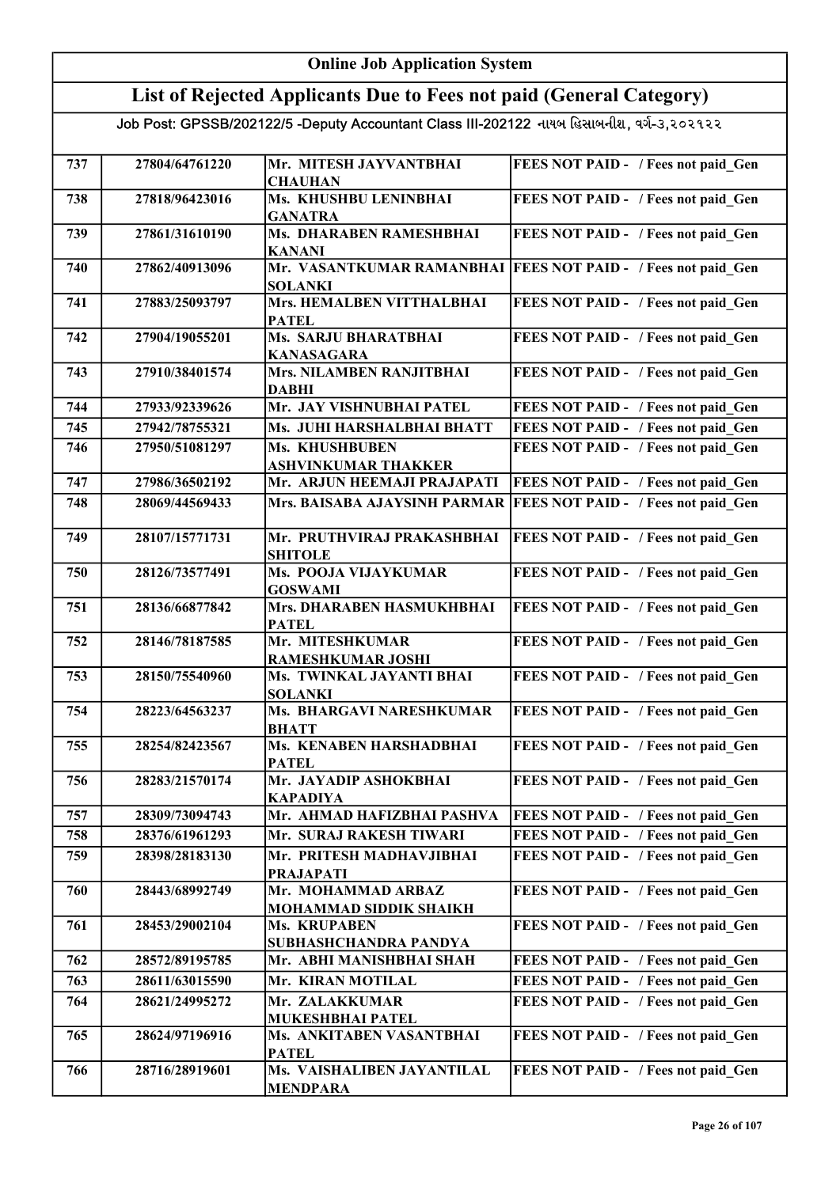| <b>Online Job Application System</b>                                                      |                |                                                                     |                                                                 |
|-------------------------------------------------------------------------------------------|----------------|---------------------------------------------------------------------|-----------------------------------------------------------------|
|                                                                                           |                | List of Rejected Applicants Due to Fees not paid (General Category) |                                                                 |
| Job Post: GPSSB/202122/5 -Deputy Accountant Class III-202122 નાયબ હિસાબનીશ, વર્ગ-૩,૨૦૨૧૨૨ |                |                                                                     |                                                                 |
| 737                                                                                       | 27804/64761220 | Mr. MITESH JAYVANTBHAI<br><b>CHAUHAN</b>                            | FEES NOT PAID - / Fees not paid Gen                             |
| 738                                                                                       | 27818/96423016 | Ms. KHUSHBU LENINBHAI<br><b>GANATRA</b>                             | FEES NOT PAID - / Fees not paid Gen                             |
| 739                                                                                       | 27861/31610190 | Ms. DHARABEN RAMESHBHAI<br><b>KANANI</b>                            | FEES NOT PAID - / Fees not paid Gen                             |
| 740                                                                                       | 27862/40913096 | <b>SOLANKI</b>                                                      | Mr. VASANTKUMAR RAMANBHAI   FEES NOT PAID - / Fees not paid_Gen |
| 741                                                                                       | 27883/25093797 | Mrs. HEMALBEN VITTHALBHAI<br><b>PATEL</b>                           | FEES NOT PAID - / Fees not paid Gen                             |
| 742                                                                                       | 27904/19055201 | Ms. SARJU BHARATBHAI<br><b>KANASAGARA</b>                           | FEES NOT PAID - / Fees not paid Gen                             |
| 743                                                                                       | 27910/38401574 | <b>Mrs. NILAMBEN RANJITBHAI</b><br><b>DABHI</b>                     | FEES NOT PAID - / Fees not paid Gen                             |
| 744                                                                                       | 27933/92339626 | Mr. JAY VISHNUBHAI PATEL                                            | FEES NOT PAID - / Fees not paid Gen                             |
| 745                                                                                       | 27942/78755321 | Ms. JUHI HARSHALBHAI BHATT                                          | FEES NOT PAID - / Fees not paid Gen                             |
| 746                                                                                       | 27950/51081297 | Ms. KHUSHBUBEN<br><b>ASHVINKUMAR THAKKER</b>                        | FEES NOT PAID - / Fees not paid Gen                             |
| 747                                                                                       | 27986/36502192 | Mr. ARJUN HEEMAJI PRAJAPATI                                         | FEES NOT PAID - / Fees not paid Gen                             |
| 748                                                                                       | 28069/44569433 | Mrs. BAISABA AJAYSINH PARMAR                                        | <b>FEES NOT PAID - / Fees not paid Gen</b>                      |
| 749                                                                                       | 28107/15771731 | Mr. PRUTHVIRAJ PRAKASHBHAI<br><b>SHITOLE</b>                        | FEES NOT PAID - / Fees not paid Gen                             |
| 750                                                                                       | 28126/73577491 | Ms. POOJA VIJAYKUMAR<br><b>GOSWAMI</b>                              | FEES NOT PAID - / Fees not paid Gen                             |
| 751                                                                                       | 28136/66877842 | Mrs. DHARABEN HASMUKHBHAI<br><b>PATEL</b>                           | FEES NOT PAID - / Fees not paid Gen                             |
| 752                                                                                       | 28146/78187585 | Mr. MITESHKUMAR<br>RAMESHKUMAR JOSHI                                | FEES NOT PAID - / Fees not paid Gen                             |
| 753                                                                                       | 28150/75540960 | Ms. TWINKAL JAYANTI BHAI<br><b>SOLANKI</b>                          | FEES NOT PAID - / Fees not paid Gen                             |
| 754                                                                                       | 28223/64563237 | Ms. BHARGAVI NARESHKUMAR<br><b>BHATT</b>                            | FEES NOT PAID - / Fees not paid Gen                             |
| 755                                                                                       | 28254/82423567 | Ms. KENABEN HARSHADBHAI<br><b>PATEL</b>                             | FEES NOT PAID - / Fees not paid Gen                             |
| 756                                                                                       | 28283/21570174 | Mr. JAYADIP ASHOKBHAI<br><b>KAPADIYA</b>                            | FEES NOT PAID - / Fees not paid Gen                             |
| 757                                                                                       | 28309/73094743 | Mr. AHMAD HAFIZBHAI PASHVA                                          | FEES NOT PAID - / Fees not paid Gen                             |
| 758                                                                                       | 28376/61961293 | Mr. SURAJ RAKESH TIWARI                                             | FEES NOT PAID - / Fees not paid Gen                             |
| 759                                                                                       | 28398/28183130 | Mr. PRITESH MADHAVJIBHAI<br><b>PRAJAPATI</b>                        | FEES NOT PAID - / Fees not paid Gen                             |
| 760                                                                                       | 28443/68992749 | Mr. MOHAMMAD ARBAZ<br>MOHAMMAD SIDDIK SHAIKH                        | FEES NOT PAID - / Fees not paid Gen                             |
| 761                                                                                       | 28453/29002104 | Ms. KRUPABEN<br>SUBHASHCHANDRA PANDYA                               | FEES NOT PAID - / Fees not paid Gen                             |
| 762                                                                                       | 28572/89195785 | Mr. ABHI MANISHBHAI SHAH                                            | FEES NOT PAID - / Fees not paid Gen                             |
| 763                                                                                       | 28611/63015590 | Mr. KIRAN MOTILAL                                                   | FEES NOT PAID - / Fees not paid Gen                             |
| 764                                                                                       | 28621/24995272 | Mr. ZALAKKUMAR<br>MUKESHBHAI PATEL                                  | FEES NOT PAID - / Fees not paid Gen                             |
| 765                                                                                       | 28624/97196916 | Ms. ANKITABEN VASANTBHAI<br><b>PATEL</b>                            | FEES NOT PAID - / Fees not paid Gen                             |
| 766                                                                                       | 28716/28919601 | Ms. VAISHALIBEN JAYANTILAL<br><b>MENDPARA</b>                       | FEES NOT PAID - / Fees not paid Gen                             |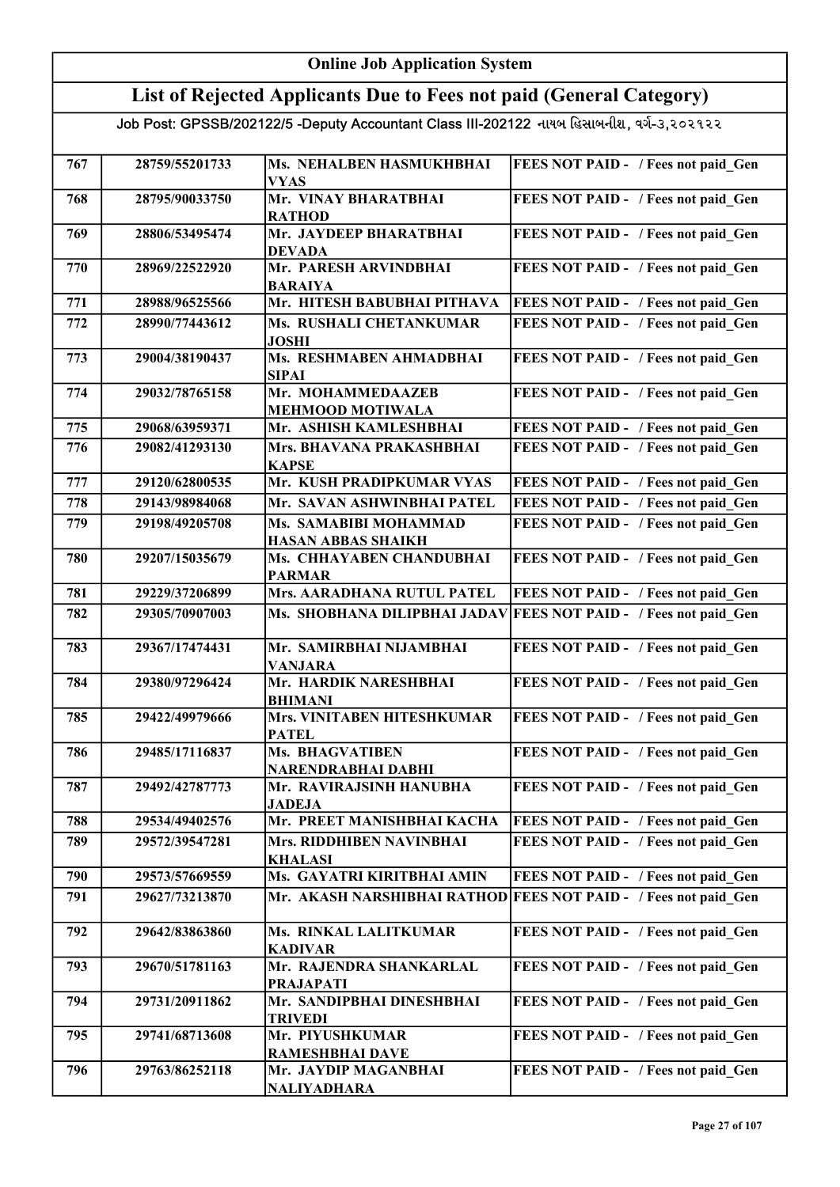|                                                                                           | <b>Online Job Application System</b> |                                                    |                                            |  |
|-------------------------------------------------------------------------------------------|--------------------------------------|----------------------------------------------------|--------------------------------------------|--|
| List of Rejected Applicants Due to Fees not paid (General Category)                       |                                      |                                                    |                                            |  |
| Job Post: GPSSB/202122/5 -Deputy Accountant Class III-202122 નાયબ હિસાબનીશ, વર્ગ-૩,૨૦૨૧૨૨ |                                      |                                                    |                                            |  |
| 767                                                                                       | 28759/55201733                       | Ms. NEHALBEN HASMUKHBHAI<br><b>VYAS</b>            | FEES NOT PAID - / Fees not paid Gen        |  |
| 768                                                                                       | 28795/90033750                       | Mr. VINAY BHARATBHAI<br><b>RATHOD</b>              | FEES NOT PAID - / Fees not paid Gen        |  |
| 769                                                                                       | 28806/53495474                       | Mr. JAYDEEP BHARATBHAI<br><b>DEVADA</b>            | FEES NOT PAID - / Fees not paid_Gen        |  |
| 770                                                                                       | 28969/22522920                       | Mr. PARESH ARVINDBHAI<br><b>BARAIYA</b>            | FEES NOT PAID - / Fees not paid Gen        |  |
| 771                                                                                       | 28988/96525566                       | Mr. HITESH BABUBHAI PITHAVA                        | <b>FEES NOT PAID - / Fees not paid Gen</b> |  |
| 772                                                                                       | 28990/77443612                       | Ms. RUSHALI CHETANKUMAR<br><b>JOSHI</b>            | FEES NOT PAID - / Fees not paid Gen        |  |
| 773                                                                                       | 29004/38190437                       | Ms. RESHMABEN AHMADBHAI<br><b>SIPAI</b>            | FEES NOT PAID - / Fees not paid Gen        |  |
| 774                                                                                       | 29032/78765158                       | Mr. MOHAMMEDAAZEB<br><b>MEHMOOD MOTIWALA</b>       | FEES NOT PAID - / Fees not paid Gen        |  |
| 775                                                                                       | 29068/63959371                       | Mr. ASHISH KAMLESHBHAI                             | FEES NOT PAID - / Fees not paid Gen        |  |
| 776                                                                                       | 29082/41293130                       | Mrs. BHAVANA PRAKASHBHAI<br><b>KAPSE</b>           | FEES NOT PAID - / Fees not paid Gen        |  |
| 777                                                                                       | 29120/62800535                       | Mr. KUSH PRADIPKUMAR VYAS                          | FEES NOT PAID - / Fees not paid Gen        |  |
| 778                                                                                       | 29143/98984068                       | Mr. SAVAN ASHWINBHAI PATEL                         | FEES NOT PAID - / Fees not paid Gen        |  |
| 779                                                                                       | 29198/49205708                       | Ms. SAMABIBI MOHAMMAD<br><b>HASAN ABBAS SHAIKH</b> | FEES NOT PAID - / Fees not paid Gen        |  |
| 780                                                                                       | 29207/15035679                       | Ms. CHHAYABEN CHANDUBHAI<br><b>PARMAR</b>          | FEES NOT PAID - / Fees not paid Gen        |  |
| 781                                                                                       | 29229/37206899                       | Mrs. AARADHANA RUTUL PATEL                         | FEES NOT PAID - / Fees not paid Gen        |  |
| 782                                                                                       | 29305/70907003                       | Ms. SHOBHANA DILIPBHAI JADAV                       | <b>FEES NOT PAID - / Fees not paid Gen</b> |  |
| 783                                                                                       | 29367/17474431                       | Mr. SAMIRBHAI NIJAMBHAI<br><b>VANJARA</b>          | FEES NOT PAID - / Fees not paid Gen        |  |
| 784                                                                                       | 29380/97296424                       | Mr. HARDIK NARESHBHAI<br><b>BHIMANI</b>            | FEES NOT PAID - / Fees not paid Gen        |  |
| 785                                                                                       | 29422/49979666                       | Mrs. VINITABEN HITESHKUMAR<br><b>PATEL</b>         | FEES NOT PAID - / Fees not paid Gen        |  |
| 786                                                                                       | 29485/17116837                       | <b>Ms. BHAGVATIBEN</b><br>NARENDRABHAI DABHI       | FEES NOT PAID - / Fees not paid Gen        |  |
| 787                                                                                       | 29492/42787773                       | Mr. RAVIRAJSINH HANUBHA<br><b>JADEJA</b>           | FEES NOT PAID - / Fees not paid Gen        |  |
| 788                                                                                       | 29534/49402576                       | Mr. PREET MANISHBHAI KACHA                         | FEES NOT PAID - / Fees not paid Gen        |  |
| 789                                                                                       | 29572/39547281                       | Mrs. RIDDHIBEN NAVINBHAI<br><b>KHALASI</b>         | FEES NOT PAID - / Fees not paid Gen        |  |
| 790                                                                                       | 29573/57669559                       | Ms. GAYATRI KIRITBHAI AMIN                         | FEES NOT PAID - / Fees not paid Gen        |  |
| 791                                                                                       | 29627/73213870                       | Mr. AKASH NARSHIBHAI RATHOD                        | <b>FEES NOT PAID - / Fees not paid Gen</b> |  |
| 792                                                                                       | 29642/83863860                       | Ms. RINKAL LALITKUMAR<br><b>KADIVAR</b>            | FEES NOT PAID - / Fees not paid Gen        |  |
| 793                                                                                       | 29670/51781163                       | Mr. RAJENDRA SHANKARLAL<br><b>PRAJAPATI</b>        | FEES NOT PAID - / Fees not paid Gen        |  |
| 794                                                                                       | 29731/20911862                       | Mr. SANDIPBHAI DINESHBHAI<br><b>TRIVEDI</b>        | FEES NOT PAID - / Fees not paid Gen        |  |
| 795                                                                                       | 29741/68713608                       | Mr. PIYUSHKUMAR<br><b>RAMESHBHAI DAVE</b>          | FEES NOT PAID - / Fees not paid Gen        |  |
| 796                                                                                       | 29763/86252118                       | Mr. JAYDIP MAGANBHAI<br><b>NALIYADHARA</b>         | FEES NOT PAID - / Fees not paid Gen        |  |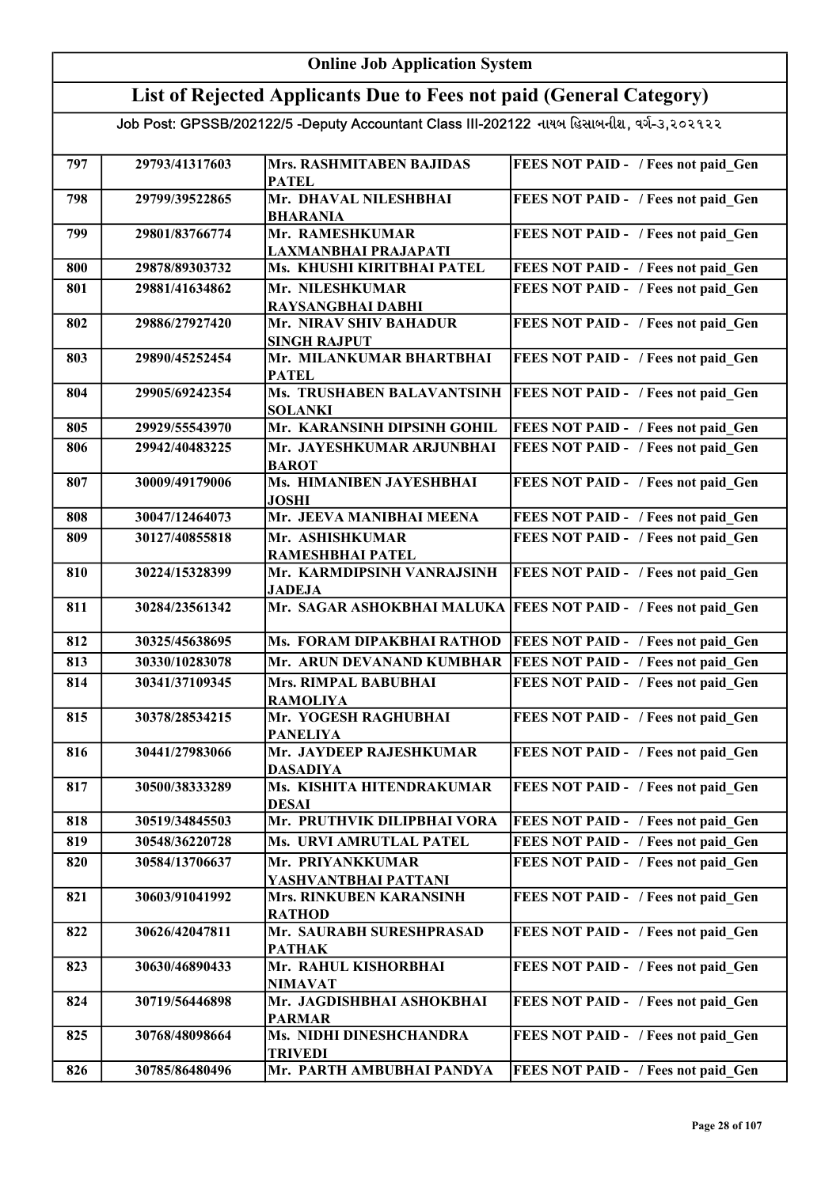| <b>Online Job Application System</b>                                |                |                                                                                           |                                            |
|---------------------------------------------------------------------|----------------|-------------------------------------------------------------------------------------------|--------------------------------------------|
| List of Rejected Applicants Due to Fees not paid (General Category) |                |                                                                                           |                                            |
|                                                                     |                | Job Post: GPSSB/202122/5 -Deputy Accountant Class III-202122 નાયબ હિસાબનીશ, વર્ગ-૩,૨૦૨૧૨૨ |                                            |
|                                                                     |                |                                                                                           |                                            |
| 797                                                                 | 29793/41317603 | Mrs. RASHMITABEN BAJIDAS<br><b>PATEL</b>                                                  | FEES NOT PAID - / Fees not paid Gen        |
| 798                                                                 | 29799/39522865 | Mr. DHAVAL NILESHBHAI                                                                     | FEES NOT PAID - / Fees not paid Gen        |
| 799                                                                 | 29801/83766774 | <b>BHARANIA</b><br>Mr. RAMESHKUMAR                                                        | FEES NOT PAID - / Fees not paid Gen        |
| 800                                                                 | 29878/89303732 | LAXMANBHAI PRAJAPATI<br>Ms. KHUSHI KIRITBHAI PATEL                                        | FEES NOT PAID - / Fees not paid Gen        |
| 801                                                                 | 29881/41634862 | Mr. NILESHKUMAR                                                                           | FEES NOT PAID - / Fees not paid Gen        |
|                                                                     |                | RAYSANGBHAI DABHI                                                                         |                                            |
| 802                                                                 | 29886/27927420 | Mr. NIRAV SHIV BAHADUR<br><b>SINGH RAJPUT</b>                                             | FEES NOT PAID - / Fees not paid Gen        |
| 803                                                                 | 29890/45252454 | Mr. MILANKUMAR BHARTBHAI<br><b>PATEL</b>                                                  | FEES NOT PAID - / Fees not paid Gen        |
| 804                                                                 | 29905/69242354 | Ms. TRUSHABEN BALAVANTSINH<br><b>SOLANKI</b>                                              | FEES NOT PAID - / Fees not paid Gen        |
| 805                                                                 | 29929/55543970 | Mr. KARANSINH DIPSINH GOHIL                                                               | FEES NOT PAID - / Fees not paid Gen        |
| 806                                                                 | 29942/40483225 | Mr. JAYESHKUMAR ARJUNBHAI<br><b>BAROT</b>                                                 | FEES NOT PAID - / Fees not paid Gen        |
| 807                                                                 | 30009/49179006 | Ms. HIMANIBEN JAYESHBHAI<br>JOSHI                                                         | FEES NOT PAID - / Fees not paid_Gen        |
| 808                                                                 | 30047/12464073 | Mr. JEEVA MANIBHAI MEENA                                                                  | FEES NOT PAID - / Fees not paid Gen        |
| 809                                                                 | 30127/40855818 | Mr. ASHISHKUMAR<br>RAMESHBHAI PATEL                                                       | FEES NOT PAID - / Fees not paid Gen        |
| 810                                                                 | 30224/15328399 | Mr. KARMDIPSINH VANRAJSINH<br><b>JADEJA</b>                                               | FEES NOT PAID - / Fees not paid Gen        |
| 811                                                                 | 30284/23561342 | Mr. SAGAR ASHOKBHAI MALUKA                                                                | <b>FEES NOT PAID - / Fees not paid Gen</b> |
| 812                                                                 | 30325/45638695 | Ms. FORAM DIPAKBHAI RATHOD                                                                | <b>FEES NOT PAID - / Fees not paid Gen</b> |
| 813                                                                 | 30330/10283078 | Mr. ARUN DEVANAND KUMBHAR                                                                 | FEES NOT PAID - / Fees not paid_Gen        |
| 814                                                                 | 30341/37109345 | Mrs. RIMPAL BABUBHAI<br><b>RAMOLIYA</b>                                                   | FEES NOT PAID - / Fees not paid Gen        |
| 815                                                                 | 30378/28534215 | Mr. YOGESH RAGHUBHAI<br><b>PANELIYA</b>                                                   | FEES NOT PAID - / Fees not paid Gen        |
| 816                                                                 | 30441/27983066 | Mr. JAYDEEP RAJESHKUMAR                                                                   | FEES NOT PAID - / Fees not paid Gen        |
| 817                                                                 | 30500/38333289 | <b>DASADIYA</b><br>Ms. KISHITA HITENDRAKUMAR<br><b>DESAI</b>                              | FEES NOT PAID - / Fees not paid Gen        |
| 818                                                                 | 30519/34845503 | Mr. PRUTHVIK DILIPBHAI VORA                                                               | FEES NOT PAID - / Fees not paid Gen        |
| 819                                                                 | 30548/36220728 | Ms. URVI AMRUTLAL PATEL                                                                   | FEES NOT PAID - / Fees not paid Gen        |
| 820                                                                 | 30584/13706637 | Mr. PRIYANKKUMAR                                                                          | FEES NOT PAID - / Fees not paid Gen        |
| 821                                                                 | 30603/91041992 | YASHVANTBHAI PATTANI<br><b>Mrs. RINKUBEN KARANSINH</b>                                    | FEES NOT PAID - / Fees not paid Gen        |
| 822                                                                 | 30626/42047811 | <b>RATHOD</b><br>Mr. SAURABH SURESHPRASAD                                                 | FEES NOT PAID - / Fees not paid Gen        |
| 823                                                                 | 30630/46890433 | <b>PATHAK</b><br>Mr. RAHUL KISHORBHAI                                                     | FEES NOT PAID - / Fees not paid Gen        |
| 824                                                                 | 30719/56446898 | <b>NIMAVAT</b><br>Mr. JAGDISHBHAI ASHOKBHAI                                               | FEES NOT PAID - / Fees not paid_Gen        |
| 825                                                                 | 30768/48098664 | <b>PARMAR</b><br>Ms. NIDHI DINESHCHANDRA                                                  | FEES NOT PAID - / Fees not paid Gen        |
|                                                                     |                | <b>TRIVEDI</b>                                                                            |                                            |
| 826                                                                 | 30785/86480496 | Mr. PARTH AMBUBHAI PANDYA                                                                 | FEES NOT PAID - / Fees not paid Gen        |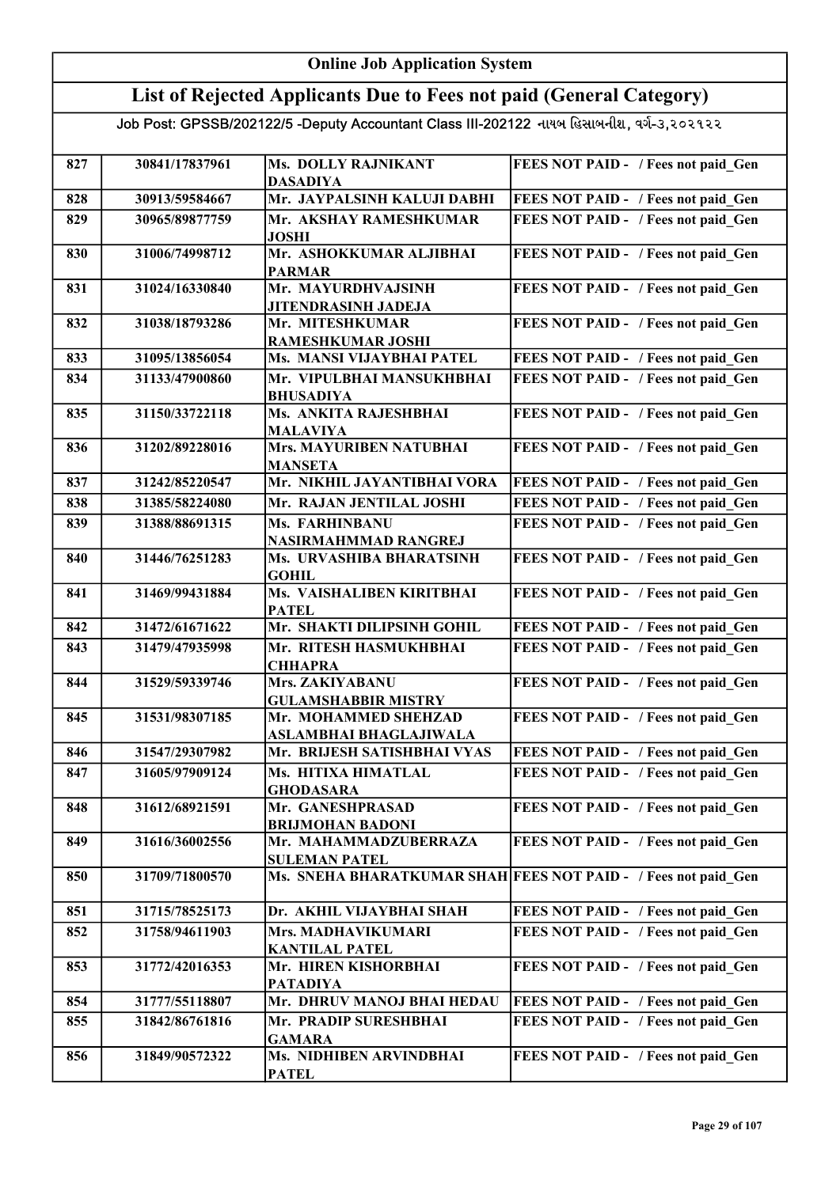# Online Job Application System

### List of Rejected Applicants Due to Fees not paid (General Category)

| 827 | 30841/17837961 | <b>Ms. DOLLY RAJNIKANT</b><br><b>DASADIYA</b>         | FEES NOT PAID - / Fees not paid Gen                            |
|-----|----------------|-------------------------------------------------------|----------------------------------------------------------------|
| 828 | 30913/59584667 | Mr. JAYPALSINH KALUJI DABHI                           | FEES NOT PAID - / Fees not paid Gen                            |
| 829 | 30965/89877759 | Mr. AKSHAY RAMESHKUMAR                                | FEES NOT PAID - / Fees not paid Gen                            |
|     |                | <b>JOSHI</b>                                          |                                                                |
| 830 | 31006/74998712 | Mr. ASHOKKUMAR ALJIBHAI<br><b>PARMAR</b>              | FEES NOT PAID - / Fees not paid Gen                            |
| 831 | 31024/16330840 | Mr. MAYURDHVAJSINH                                    | FEES NOT PAID - / Fees not paid Gen                            |
|     |                | JITENDRASINH JADEJA                                   |                                                                |
| 832 | 31038/18793286 | Mr. MITESHKUMAR                                       | FEES NOT PAID - / Fees not paid Gen                            |
|     |                | RAMESHKUMAR JOSHI                                     |                                                                |
| 833 | 31095/13856054 | Ms. MANSI VIJAYBHAI PATEL                             | FEES NOT PAID - / Fees not paid Gen                            |
| 834 | 31133/47900860 | Mr. VIPULBHAI MANSUKHBHAI                             | FEES NOT PAID - / Fees not paid Gen                            |
|     |                | <b>BHUSADIYA</b>                                      |                                                                |
| 835 | 31150/33722118 | Ms. ANKITA RAJESHBHAI                                 | FEES NOT PAID - / Fees not paid_Gen                            |
|     |                | <b>MALAVIYA</b>                                       |                                                                |
| 836 | 31202/89228016 | <b>Mrs. MAYURIBEN NATUBHAI</b>                        | FEES NOT PAID - / Fees not paid Gen                            |
| 837 | 31242/85220547 | <b>MANSETA</b><br>Mr. NIKHIL JAYANTIBHAI VORA         | FEES NOT PAID - / Fees not paid Gen                            |
| 838 | 31385/58224080 | Mr. RAJAN JENTILAL JOSHI                              | FEES NOT PAID - / Fees not paid Gen                            |
|     |                |                                                       |                                                                |
| 839 | 31388/88691315 | <b>Ms. FARHINBANU</b><br>NASIRMAHMMAD RANGREJ         | FEES NOT PAID - / Fees not paid Gen                            |
| 840 | 31446/76251283 | Ms. URVASHIBA BHARATSINH                              | FEES NOT PAID - / Fees not paid Gen                            |
|     |                | <b>GOHIL</b>                                          |                                                                |
| 841 | 31469/99431884 | Ms. VAISHALIBEN KIRITBHAI                             | FEES NOT PAID - / Fees not paid Gen                            |
|     |                | <b>PATEL</b>                                          |                                                                |
| 842 | 31472/61671622 | Mr. SHAKTI DILIPSINH GOHIL                            | FEES NOT PAID - / Fees not paid Gen                            |
| 843 | 31479/47935998 | Mr. RITESH HASMUKHBHAI                                | FEES NOT PAID - / Fees not paid Gen                            |
|     |                | <b>CHHAPRA</b>                                        |                                                                |
| 844 | 31529/59339746 | Mrs. ZAKIYABANU                                       | FEES NOT PAID - / Fees not paid Gen                            |
|     |                | <b>GULAMSHABBIR MISTRY</b><br>Mr. MOHAMMED SHEHZAD    |                                                                |
| 845 | 31531/98307185 |                                                       | FEES NOT PAID - / Fees not paid Gen                            |
| 846 | 31547/29307982 | ASLAMBHAI BHAGLAJIWALA<br>Mr. BRIJESH SATISHBHAI VYAS | FEES NOT PAID - / Fees not paid Gen                            |
| 847 | 31605/97909124 | Ms. HITIXA HIMATLAL                                   | FEES NOT PAID - / Fees not paid Gen                            |
|     |                | <b>GHODASARA</b>                                      |                                                                |
| 848 | 31612/68921591 | Mr. GANESHPRASAD                                      | FEES NOT PAID - / Fees not paid Gen                            |
|     |                | <b>BRIJMOHAN BADONI</b>                               |                                                                |
| 849 | 31616/36002556 | Mr. MAHAMMADZUBERRAZA                                 | FEES NOT PAID - / Fees not paid Gen                            |
|     |                | <b>SULEMAN PATEL</b>                                  |                                                                |
| 850 | 31709/71800570 |                                                       | Ms. SNEHA BHARATKUMAR SHAH FEES NOT PAID - / Fees not paid Gen |
| 851 | 31715/78525173 | Dr. AKHIL VIJAYBHAI SHAH                              | FEES NOT PAID - / Fees not paid Gen                            |
| 852 | 31758/94611903 | Mrs. MADHAVIKUMARI                                    | FEES NOT PAID - / Fees not paid Gen                            |
|     |                | <b>KANTILAL PATEL</b>                                 |                                                                |
| 853 | 31772/42016353 | Mr. HIREN KISHORBHAI                                  | FEES NOT PAID - / Fees not paid Gen                            |
|     |                | <b>PATADIYA</b>                                       |                                                                |
| 854 | 31777/55118807 | Mr. DHRUV MANOJ BHAI HEDAU                            | FEES NOT PAID - / Fees not paid Gen                            |
| 855 | 31842/86761816 | Mr. PRADIP SURESHBHAI<br><b>GAMARA</b>                | FEES NOT PAID - / Fees not paid Gen                            |
| 856 | 31849/90572322 | Ms. NIDHIBEN ARVINDBHAI                               | FEES NOT PAID - / Fees not paid Gen                            |
|     |                | <b>PATEL</b>                                          |                                                                |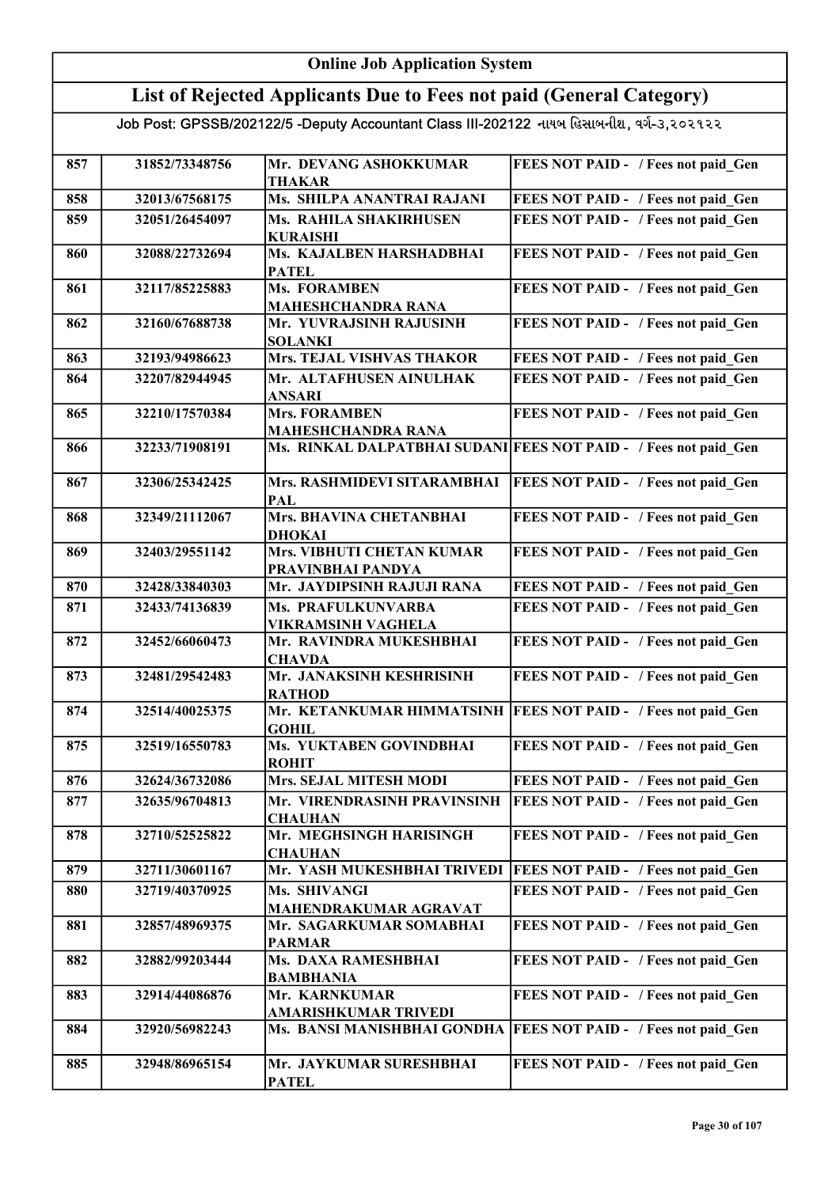#### Online Job Application System List of Rejected Applicants Due to Fees not paid (General Category) Job Post: GPSSB/202122/5 -Deputy Accountant Class III-202122 નાયબ હિસાબનીશ, વર્ગ-૩,૨૦૨૧૨૨ 857 31852/73348756 Mr. DEVANG ASHOKKUMAR THAKAR FEES NOT PAID - / Fees not paid Gen 858 32013/67568175 Ms. SHILPA ANANTRAI RAJANI FEES NOT PAID - / Fees not paid\_Gen 859 32051/26454097 Ms. RAHILA SHAKIRHUSEN KURAISHI FEES NOT PAID - / Fees not paid Gen 860 32088/22732694 Ms. KAJALBEN HARSHADBHAI PATEL FEES NOT PAID - / Fees not paid Gen 861 32117/85225883 Ms. FORAMBEN MAHESHCHANDRA RANA FEES NOT PAID - / Fees not paid Gen 862 32160/67688738 Mr. YUVRAJSINH RAJUSINH SOLANKI FEES NOT PAID - / Fees not paid Gen 863 32193/94986623 Mrs. TEJAL VISHVAS THAKOR FEES NOT PAID - / Fees not paid Gen 864 32207/82944945 Mr. ALTAFHUSEN AINULHAK ANSARI FEES NOT PAID - / Fees not paid\_Gen 865 32210/17570384 Mrs. FORAMBEN MAHESHCHANDRA RANA FEES NOT PAID - / Fees not paid Gen 866 32233/71908191 Ms. RINKAL DALPATBHAI SUDANI FEES NOT PAID - / Fees not paid Gen 867 | 32306/25342425 | Mrs. RASHMIDEVI SITARAMBHAI PAL FEES NOT PAID - / Fees not paid Gen 868 32349/21112067 Mrs. BHAVINA CHETANBHAI DHOKAI FEES NOT PAID - / Fees not paid Gen 869 32403/29551142 Mrs. VIBHUTI CHETAN KUMAR PRAVINBHAI PANDYA<br>Mr. JAYDIPSINH RAJUJI RANA FEES NOT PAID - / Fees not paid Gen 870 32428/33840303 Mr. JAYDIPSINH RAJUJI RANA FEES NOT PAID - / Fees not paid Gen 871 32433/74136839 Ms. PRAFULKUNVARBA VIKRAMSINH VAGHELA FEES NOT PAID - / Fees not paid Gen 872 32452/66060473 Mr. RAVINDRA MUKESHBHAI **CHAVDA** FEES NOT PAID - / Fees not paid Gen 873 32481/29542483 Mr. JANAKSINH KESHRISINH RATHOD FEES NOT PAID - / Fees not paid Gen 874 32514/40025375 Mr. KETANKUMAR HIMMATSINH FEES NOT PAID - / Fees not paid\_Gen GOHIL 875 32519/16550783 Ms. YUKTABEN GOVINDBHAI ROHIT FEES NOT PAID - / Fees not paid Gen 876 32624/36732086 Mrs. SEJAL MITESH MODI FEES NOT PAID - / Fees not paid Gen 877 32635/96704813 Mr. VIRENDRASINH PRAVINSINH **CHAUHAN** FEES NOT PAID - / Fees not paid Gen 878 32710/52525822 Mr. MEGHSINGH HARISINGH **CHAUHAN** FEES NOT PAID - / Fees not paid Gen 879 32711/30601167 Mr. YASH MUKESHBHAI TRIVEDI FEES NOT PAID - / Fees not paid\_Gen 880 32719/40370925 Ms. SHIVANGI MAHENDRAKUMAR AGRAVAT FEES NOT PAID - / Fees not paid Gen 881 32857/48969375 Mr. SAGARKUMAR SOMABHAI PARMAR FEES NOT PAID - / Fees not paid Gen 882 32882/99203444 Ms. DAXA RAMESHBHAI BAMBHANIA FEES NOT PAID - / Fees not paid Gen 883 32914/44086876 Mr. KARNKUMAR AMARISHKUMAR TRIVEDI FEES NOT PAID - / Fees not paid Gen 884 32920/56982243 Ms. BANSI MANISHBHAI GONDHA FEES NOT PAID - / Fees not paid Gen 885 32948/86965154 Mr. JAYKUMAR SURESHBHAI PATEL FEES NOT PAID - / Fees not paid Gen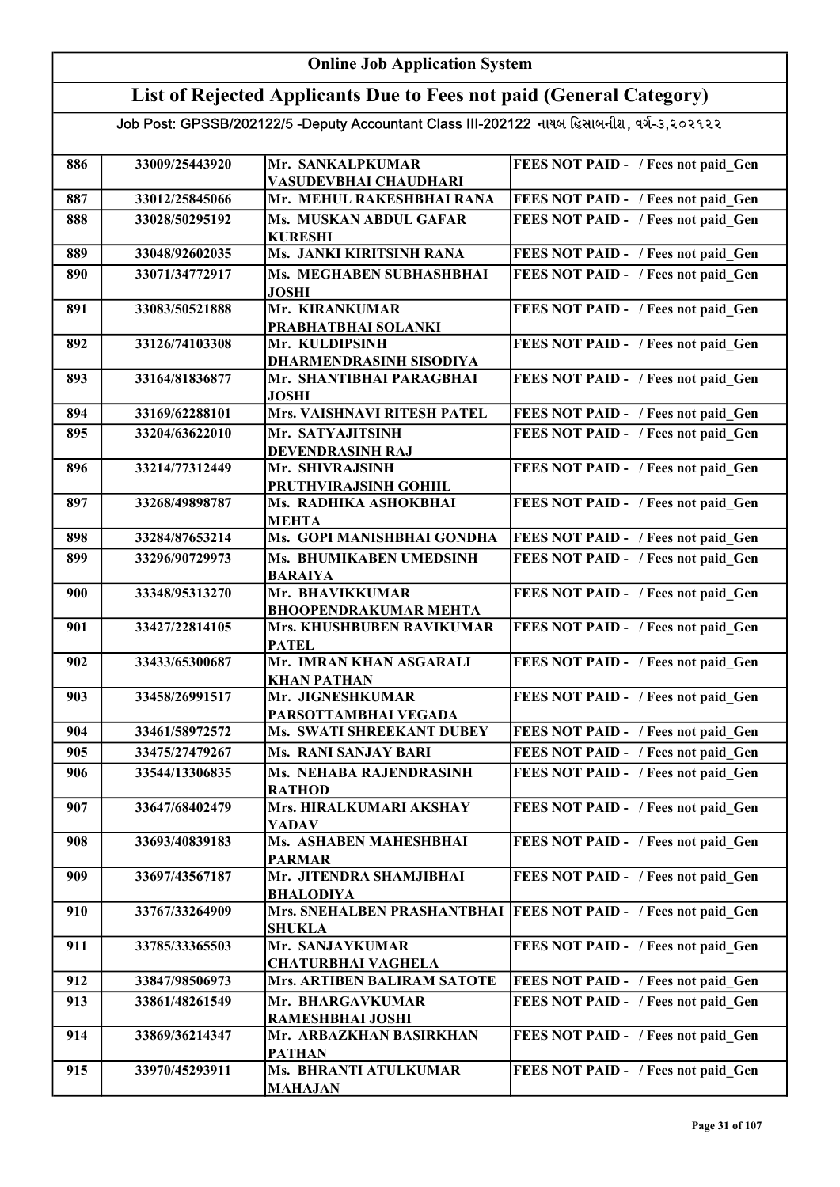### Online Job Application System List of Rejected Applicants Due to Fees not paid (General Category)

| 886 | 33009/25443920 | Mr. SANKALPKUMAR                                                | FEES NOT PAID - / Fees not paid Gen        |
|-----|----------------|-----------------------------------------------------------------|--------------------------------------------|
|     |                | VASUDEVBHAI CHAUDHARI                                           |                                            |
| 887 | 33012/25845066 | Mr. MEHUL RAKESHBHAI RANA                                       | FEES NOT PAID - / Fees not paid Gen        |
| 888 | 33028/50295192 | Ms. MUSKAN ABDUL GAFAR<br><b>KURESHI</b>                        | FEES NOT PAID - / Fees not paid Gen        |
| 889 | 33048/92602035 | Ms. JANKI KIRITSINH RANA                                        | FEES NOT PAID - / Fees not paid Gen        |
| 890 | 33071/34772917 | Ms. MEGHABEN SUBHASHBHAI                                        | FEES NOT PAID - / Fees not paid Gen        |
|     |                | <b>JOSHI</b>                                                    |                                            |
| 891 | 33083/50521888 | Mr. KIRANKUMAR                                                  | FEES NOT PAID - / Fees not paid Gen        |
|     |                | PRABHATBHAI SOLANKI                                             |                                            |
| 892 | 33126/74103308 | Mr. KULDIPSINH                                                  | FEES NOT PAID - / Fees not paid Gen        |
|     |                | <b>DHARMENDRASINH SISODIYA</b>                                  |                                            |
| 893 | 33164/81836877 | Mr. SHANTIBHAI PARAGBHAI                                        | FEES NOT PAID - / Fees not paid Gen        |
|     |                | <b>JOSHI</b>                                                    |                                            |
| 894 | 33169/62288101 | Mrs. VAISHNAVI RITESH PATEL                                     | FEES NOT PAID - / Fees not paid Gen        |
| 895 | 33204/63622010 | Mr. SATYAJITSINH                                                | FEES NOT PAID - / Fees not paid Gen        |
|     |                | <b>DEVENDRASINH RAJ</b>                                         |                                            |
| 896 | 33214/77312449 | Mr. SHIVRAJSINH                                                 | FEES NOT PAID - / Fees not paid Gen        |
|     |                | PRUTHVIRAJSINH GOHIIL                                           |                                            |
| 897 | 33268/49898787 | Ms. RADHIKA ASHOKBHAI                                           | FEES NOT PAID - / Fees not paid Gen        |
|     |                | <b>MEHTA</b><br>Ms. GOPI MANISHBHAI GONDHA                      |                                            |
| 898 | 33284/87653214 |                                                                 | FEES NOT PAID - / Fees not paid Gen        |
| 899 | 33296/90729973 | Ms. BHUMIKABEN UMEDSINH<br><b>BARAIYA</b>                       | FEES NOT PAID - / Fees not paid Gen        |
| 900 | 33348/95313270 | Mr. BHAVIKKUMAR                                                 | FEES NOT PAID - / Fees not paid Gen        |
|     |                | <b>BHOOPENDRAKUMAR MEHTA</b>                                    |                                            |
| 901 | 33427/22814105 | Mrs. KHUSHBUBEN RAVIKUMAR                                       | FEES NOT PAID - / Fees not paid_Gen        |
|     |                | <b>PATEL</b>                                                    |                                            |
| 902 | 33433/65300687 | Mr. IMRAN KHAN ASGARALI                                         | FEES NOT PAID - / Fees not paid Gen        |
|     |                | <b>KHAN PATHAN</b>                                              |                                            |
| 903 | 33458/26991517 | Mr. JIGNESHKUMAR                                                | FEES NOT PAID - / Fees not paid Gen        |
|     |                | PARSOTTAMBHAI VEGADA                                            |                                            |
| 904 | 33461/58972572 | Ms. SWATI SHREEKANT DUBEY                                       | FEES NOT PAID - / Fees not paid Gen        |
| 905 | 33475/27479267 | <b>Ms. RANI SANJAY BARI</b>                                     | FEES NOT PAID - / Fees not paid Gen        |
| 906 | 33544/13306835 | Ms. NEHABA RAJENDRASINH                                         | FEES NOT PAID - / Fees not paid_Gen        |
|     |                | <b>RATHOD</b>                                                   |                                            |
| 907 | 33647/68402479 | Mrs. HIRALKUMARI AKSHAY<br>YADAV                                | FEES NOT PAID - / Fees not paid Gen        |
| 908 | 33693/40839183 | Ms. ASHABEN MAHESHBHAI                                          | FEES NOT PAID - / Fees not paid Gen        |
|     |                | <b>PARMAR</b>                                                   |                                            |
| 909 | 33697/43567187 | Mr. JITENDRA SHAMJIBHAI                                         | FEES NOT PAID - / Fees not paid Gen        |
|     |                | <b>BHALODIYA</b>                                                |                                            |
| 910 | 33767/33264909 | Mrs. SNEHALBEN PRASHANTBHAI                                     | <b>FEES NOT PAID - / Fees not paid Gen</b> |
|     |                | <b>SHUKLA</b>                                                   |                                            |
| 911 | 33785/33365503 | Mr. SANJAYKUMAR                                                 | FEES NOT PAID - / Fees not paid_Gen        |
| 912 | 33847/98506973 | <b>CHATURBHAI VAGHELA</b><br><b>Mrs. ARTIBEN BALIRAM SATOTE</b> | FEES NOT PAID - / Fees not paid Gen        |
| 913 | 33861/48261549 | Mr. BHARGAVKUMAR                                                | FEES NOT PAID - / Fees not paid Gen        |
|     |                | RAMESHBHAI JOSHI                                                |                                            |
| 914 | 33869/36214347 | Mr. ARBAZKHAN BASIRKHAN                                         | FEES NOT PAID - / Fees not paid Gen        |
|     |                | <b>PATHAN</b>                                                   |                                            |
| 915 | 33970/45293911 | Ms. BHRANTI ATULKUMAR                                           | FEES NOT PAID - / Fees not paid Gen        |
|     |                | <b>MAHAJAN</b>                                                  |                                            |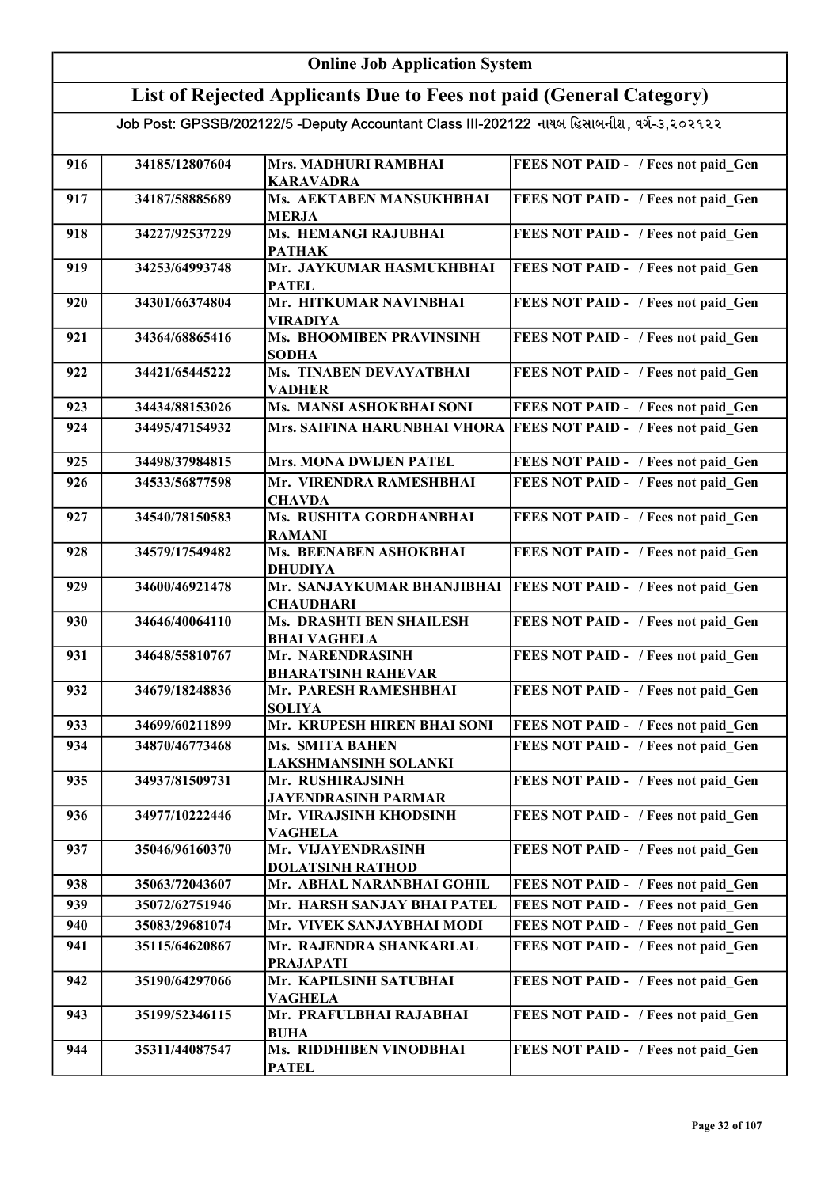#### Online Job Application System List of Rejected Applicants Due to Fees not paid (General Category) Job Post: GPSSB/202122/5 -Deputy Accountant Class III-202122 નાયબ હિસાબનીશ, વર્ગ-૩,૨૦૨૧૨૨ 916 34185/12807604 Mrs. MADHURI RAMBHAI KARAVADRA FEES NOT PAID - / Fees not paid Gen 917 34187/58885689 Ms. AEKTABEN MANSUKHBHAI MERJA FEES NOT PAID - / Fees not paid\_Gen 918 34227/92537229 Ms. HEMANGI RAJUBHAI PATHAK FEES NOT PAID - / Fees not paid Gen 919 34253/64993748 Mr. JAYKUMAR HASMUKHBHAI **PATEL** FEES NOT PAID - / Fees not paid Gen 920 34301/66374804 Mr. HITKUMAR NAVINBHAI VIRADIYA FEES NOT PAID - / Fees not paid Gen 921 34364/68865416 Ms. BHOOMIBEN PRAVINSINH SODHA FEES NOT PAID - / Fees not paid Gen 922 34421/65445222 Ms. TINABEN DEVAYATBHAI VADHER FEES NOT PAID - / Fees not paid Gen 923 34434/88153026 Ms. MANSI ASHOKBHAI SONI FEES NOT PAID - / Fees not paid Gen 924 34495/47154932 Mrs. SAIFINA HARUNBHAI VHORA FEES NOT PAID - / Fees not paid Gen 925 34498/37984815 Mrs. MONA DWIJEN PATEL FEES NOT PAID - / Fees not paid Gen 926 34533/56877598 Mr. VIRENDRA RAMESHBHAI **CHAVDA** FEES NOT PAID - / Fees not paid Gen 927 34540/78150583 Ms. RUSHITA GORDHANBHAI RAMANI FEES NOT PAID - / Fees not paid Gen 928 34579/17549482 Ms. BEENABEN ASHOKBHAI DHUDIYA FEES NOT PAID - / Fees not paid Gen 929 34600/46921478 Mr. SANJAYKUMAR BHANJIBHAI FEES NOT PAID - / Fees not paid\_Gen **CHAUDHARI** 930 34646/40064110 Ms. DRASHTI BEN SHAILESH BHAI VAGHELA FEES NOT PAID - / Fees not paid Gen 931 34648/55810767 Mr. NARENDRASINH BHARATSINH RAHEVAR FEES NOT PAID - / Fees not paid Gen 932 34679/18248836 Mr. PARESH RAMESHBHAI SOLIYA FEES NOT PAID - / Fees not paid Gen 933 34699/60211899 Mr. KRUPESH HIREN BHAI SONI FEES NOT PAID - / Fees not paid Gen 934 34870/46773468 Ms. SMITA BAHEN LAKSHMANSINH SOLANKI FEES NOT PAID - / Fees not paid Gen 935 34937/81509731 Mr. RUSHIRAJSINH JAYENDRASINH PARMAR FEES NOT PAID - / Fees not paid Gen 936 34977/10222446 Mr. VIRAJSINH KHODSINH VAGHELA FEES NOT PAID - / Fees not paid Gen 937 35046/96160370 Mr. VIJAYENDRASINH DOLATSINH RATHOD FEES NOT PAID - / Fees not paid Gen 938 35063/72043607 Mr. ABHAL NARANBHAI GOHIL FEES NOT PAID - / Fees not paid Gen 939 35072/62751946 Mr. HARSH SANJAY BHAI PATEL FEES NOT PAID - / Fees not paid Gen 940 35083/29681074 Mr. VIVEK SANJAYBHAI MODI FEES NOT PAID - / Fees not paid\_Gen 941 35115/64620867 Mr. RAJENDRA SHANKARLAL PRAJAPATI FEES NOT PAID - / Fees not paid Gen 942 35190/64297066 Mr. KAPILSINH SATUBHAI VAGHELA FEES NOT PAID - / Fees not paid Gen 943 35199/52346115 Mr. PRAFULBHAI RAJABHAI BUHA FEES NOT PAID - / Fees not paid Gen 944 | 35311/44087547 | Ms. RIDDHIBEN VINODBHAI PATEL FEES NOT PAID - / Fees not paid Gen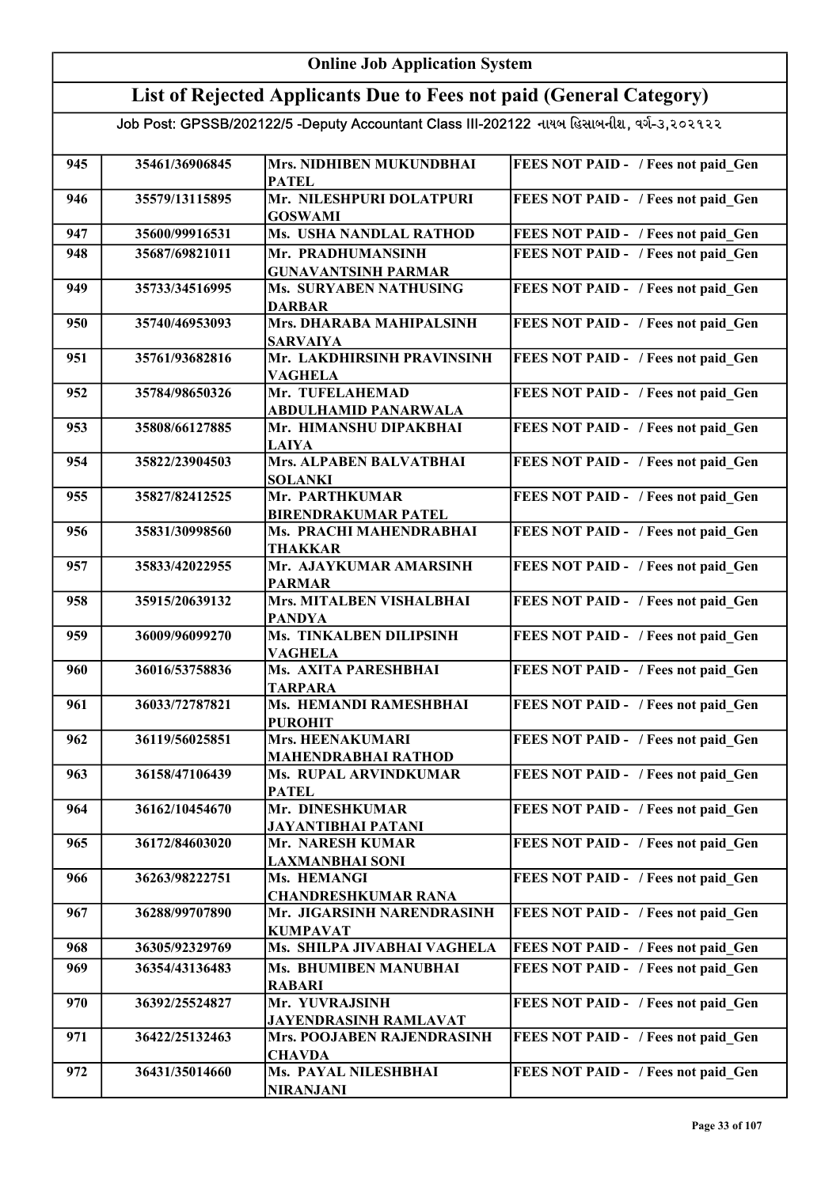| <b>Online Job Application System</b>                                                      |                |                                                            |                                     |  |
|-------------------------------------------------------------------------------------------|----------------|------------------------------------------------------------|-------------------------------------|--|
| List of Rejected Applicants Due to Fees not paid (General Category)                       |                |                                                            |                                     |  |
| Job Post: GPSSB/202122/5 -Deputy Accountant Class III-202122 નાયબ હિસાબનીશ, વર્ગ-૩,૨૦૨૧૨૨ |                |                                                            |                                     |  |
|                                                                                           |                |                                                            |                                     |  |
| 945                                                                                       | 35461/36906845 | Mrs. NIDHIBEN MUKUNDBHAI<br><b>PATEL</b>                   | FEES NOT PAID - / Fees not paid Gen |  |
| 946                                                                                       | 35579/13115895 | Mr. NILESHPURI DOLATPURI                                   | FEES NOT PAID - / Fees not paid Gen |  |
|                                                                                           |                | <b>GOSWAMI</b>                                             |                                     |  |
| 947                                                                                       | 35600/99916531 | Ms. USHA NANDLAL RATHOD                                    | FEES NOT PAID - / Fees not paid Gen |  |
| 948                                                                                       | 35687/69821011 | Mr. PRADHUMANSINH<br><b>GUNAVANTSINH PARMAR</b>            | FEES NOT PAID - / Fees not paid Gen |  |
| 949                                                                                       | 35733/34516995 | <b>Ms. SURYABEN NATHUSING</b>                              | FEES NOT PAID - / Fees not paid Gen |  |
|                                                                                           |                | <b>DARBAR</b>                                              |                                     |  |
| 950                                                                                       | 35740/46953093 | Mrs. DHARABA MAHIPALSINH<br><b>SARVAIYA</b>                | FEES NOT PAID - / Fees not paid Gen |  |
| 951                                                                                       | 35761/93682816 | Mr. LAKDHIRSINH PRAVINSINH<br><b>VAGHELA</b>               | FEES NOT PAID - / Fees not paid Gen |  |
| 952                                                                                       | 35784/98650326 | Mr. TUFELAHEMAD                                            | FEES NOT PAID - / Fees not paid Gen |  |
|                                                                                           |                | <b>ABDULHAMID PANARWALA</b>                                |                                     |  |
| 953                                                                                       | 35808/66127885 | Mr. HIMANSHU DIPAKBHAI<br><b>LAIYA</b>                     | FEES NOT PAID - / Fees not paid_Gen |  |
| 954                                                                                       | 35822/23904503 | Mrs. ALPABEN BALVATBHAI<br><b>SOLANKI</b>                  | FEES NOT PAID - / Fees not paid_Gen |  |
| 955                                                                                       | 35827/82412525 | Mr. PARTHKUMAR<br><b>BIRENDRAKUMAR PATEL</b>               | FEES NOT PAID - / Fees not paid_Gen |  |
| 956                                                                                       | 35831/30998560 | Ms. PRACHI MAHENDRABHAI<br><b>THAKKAR</b>                  | FEES NOT PAID - / Fees not paid_Gen |  |
| 957                                                                                       | 35833/42022955 | Mr. AJAYKUMAR AMARSINH<br><b>PARMAR</b>                    | FEES NOT PAID - / Fees not paid Gen |  |
| 958                                                                                       | 35915/20639132 | Mrs. MITALBEN VISHALBHAI<br><b>PANDYA</b>                  | FEES NOT PAID - / Fees not paid Gen |  |
| 959                                                                                       | 36009/96099270 | Ms. TINKALBEN DILIPSINH                                    | FEES NOT PAID - / Fees not paid Gen |  |
| 960                                                                                       | 36016/53758836 | <b>VAGHELA</b><br><b>Ms. AXITA PARESHBHAI</b>              | FEES NOT PAID - / Fees not paid Gen |  |
| 961                                                                                       | 36033/72787821 | <b>TARPARA</b><br>Ms. HEMANDI RAMESHBHAI                   | FEES NOT PAID - / Fees not paid Gen |  |
|                                                                                           |                | <b>PUROHIT</b>                                             |                                     |  |
| 962                                                                                       | 36119/56025851 | <b>Mrs. HEENAKUMARI</b>                                    | FEES NOT PAID - / Fees not paid Gen |  |
| 963                                                                                       | 36158/47106439 | <b>MAHENDRABHAI RATHOD</b><br>Ms. RUPAL ARVINDKUMAR        | FEES NOT PAID - / Fees not paid Gen |  |
|                                                                                           |                | <b>PATEL</b>                                               |                                     |  |
| 964                                                                                       | 36162/10454670 | Mr. DINESHKUMAR                                            | FEES NOT PAID - / Fees not paid Gen |  |
| 965                                                                                       | 36172/84603020 | JAYANTIBHAI PATANI<br>Mr. NARESH KUMAR                     | FEES NOT PAID - / Fees not paid Gen |  |
|                                                                                           |                | <b>LAXMANBHAI SONI</b>                                     |                                     |  |
| 966                                                                                       | 36263/98222751 | Ms. HEMANGI                                                | FEES NOT PAID - / Fees not paid Gen |  |
| 967                                                                                       | 36288/99707890 | <b>CHANDRESHKUMAR RANA</b><br>Mr. JIGARSINH NARENDRASINH   | FEES NOT PAID - / Fees not paid Gen |  |
|                                                                                           |                | <b>KUMPAVAT</b>                                            |                                     |  |
| 968                                                                                       | 36305/92329769 | Ms. SHILPA JIVABHAI VAGHELA                                | FEES NOT PAID - / Fees not paid Gen |  |
| 969                                                                                       | 36354/43136483 | Ms. BHUMIBEN MANUBHAI<br><b>RABARI</b>                     | FEES NOT PAID - / Fees not paid Gen |  |
| 970                                                                                       | 36392/25524827 | Mr. YUVRAJSINH                                             | FEES NOT PAID - / Fees not paid Gen |  |
| 971                                                                                       | 36422/25132463 | <b>JAYENDRASINH RAMLAVAT</b><br>Mrs. POOJABEN RAJENDRASINH | FEES NOT PAID - / Fees not paid Gen |  |
| 972                                                                                       | 36431/35014660 | <b>CHAVDA</b><br>Ms. PAYAL NILESHBHAI<br><b>NIRANJANI</b>  | FEES NOT PAID - / Fees not paid Gen |  |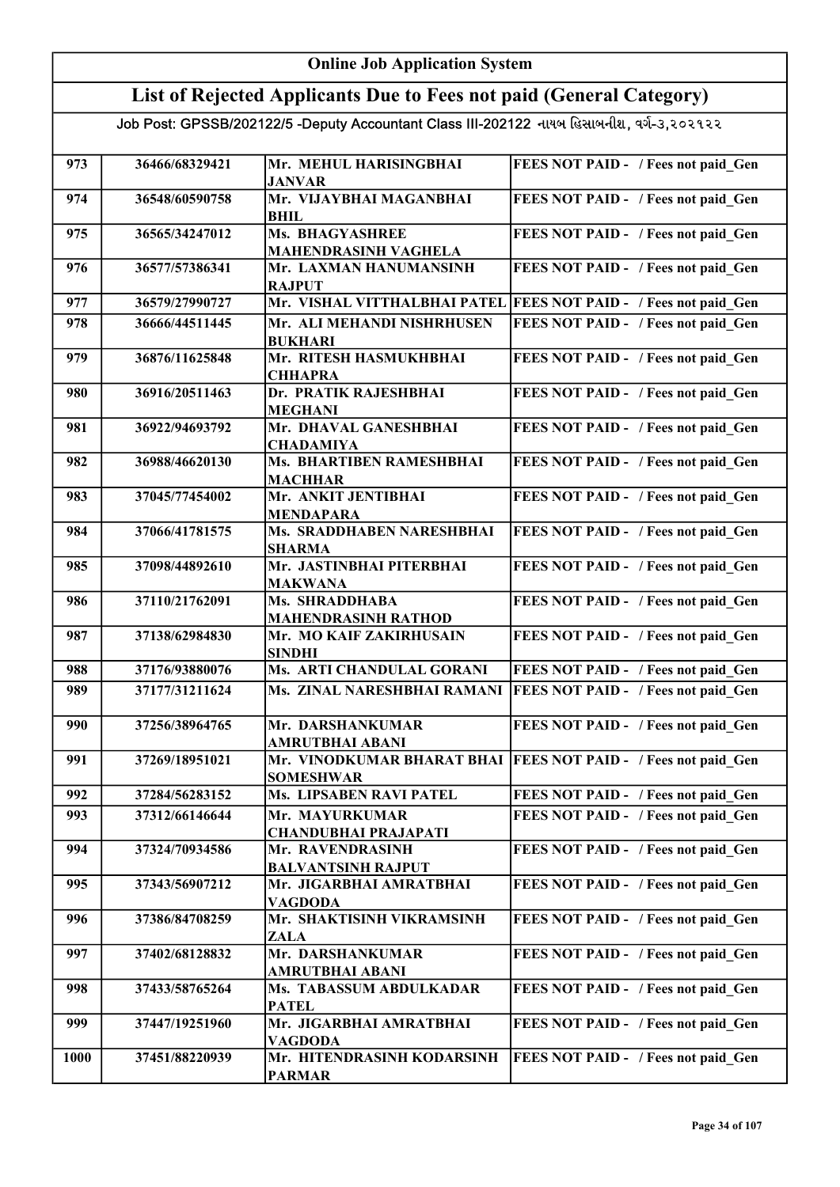#### Online Job Application System List of Rejected Applicants Due to Fees not paid (General Category) Job Post: GPSSB/202122/5 -Deputy Accountant Class III-202122 નાયબ હિસાબનીશ, વર્ગ-૩,૨૦૨૧૨૨ 973 36466/68329421 Mr. MEHUL HARISINGBHAI JANVAR FEES NOT PAID - / Fees not paid Gen 974 36548/60590758 Mr. VIJAYBHAI MAGANBHAI BHIL FEES NOT PAID - / Fees not paid\_Gen 975 36565/34247012 Ms. BHAGYASHREE MAHENDRASINH VAGHELA FEES NOT PAID - / Fees not paid Gen 976 36577/57386341 Mr. LAXMAN HANUMANSINH **RAJPUT** FEES NOT PAID - / Fees not paid Gen 977 36579/27990727 Mr. VISHAL VITTHALBHAI PATEL FEES NOT PAID - / Fees not paid Gen 978 36666/44511445 Mr. ALI MEHANDI NISHRHUSEN BUKHARI FEES NOT PAID - / Fees not paid Gen 979 36876/11625848 Mr. RITESH HASMUKHBHAI **CHHAPRA** FEES NOT PAID - / Fees not paid Gen 980 36916/20511463 Dr. PRATIK RAJESHBHAI MEGHANI FEES NOT PAID - / Fees not paid Gen 981 36922/94693792 Mr. DHAVAL GANESHBHAI CHADAMIYA FEES NOT PAID - / Fees not paid Gen 982 36988/46620130 Ms. BHARTIBEN RAMESHBHAI **MACHHAR** FEES NOT PAID - / Fees not paid Gen 983 37045/77454002 Mr. ANKIT JENTIBHAI MENDAPARA FEES NOT PAID - / Fees not paid Gen 984 37066/41781575 Ms. SRADDHABEN NARESHBHAI SHARMA FEES NOT PAID - / Fees not paid\_Gen 985 37098/44892610 Mr. JASTINBHAI PITERBHAI MAKWANA FEES NOT PAID - / Fees not paid Gen 986 37110/21762091 Ms. SHRADDHABA MAHENDRASINH RATHOD FEES NOT PAID - / Fees not paid Gen 987 | 37138/62984830 | Mr. MO KAIF ZAKIRHUSAIN SINDHI FEES NOT PAID - / Fees not paid Gen 988 37176/93880076 Ms. ARTI CHANDULAL GORANI FEES NOT PAID - / Fees not paid Gen 989 37177/31211624 Ms. ZINAL NARESHBHAI RAMANI FEES NOT PAID - / Fees not paid Gen 990 37256/38964765 Mr. DARSHANKUMAR AMRUTBHAI ABANI FEES NOT PAID - / Fees not paid Gen 991 37269/18951021 Mr. VINODKUMAR BHARAT BHAI FEES NOT PAID - / Fees not paid\_Gen SOMESHWAR 992 37284/56283152 Ms. LIPSABEN RAVI PATEL FEES NOT PAID - / Fees not paid Gen 993 37312/66146644 Mr. MAYURKUMAR CHANDUBHAI PRAJAPATI FEES NOT PAID - / Fees not paid Gen 994 37324/70934586 Mr. RAVENDRASINH BALVANTSINH RAJPUT FEES NOT PAID - / Fees not paid Gen 995 37343/56907212 Mr. JIGARBHAI AMRATBHAI VAGDODA FEES NOT PAID - / Fees not paid Gen 996 37386/84708259 Mr. SHAKTISINH VIKRAMSINH ZALA FEES NOT PAID - / Fees not paid Gen 997 37402/68128832 Mr. DARSHANKUMAR AMRUTBHAI ABANI FEES NOT PAID - / Fees not paid Gen 998 37433/58765264 Ms. TABASSUM ABDULKADAR PATEL FEES NOT PAID - / Fees not paid Gen 999 | 37447/19251960 | Mr. JIGARBHAI AMRATBHAI VAGDODA FEES NOT PAID - / Fees not paid Gen 1000 37451/88220939 Mr. HITENDRASINH KODARSINH PARMAR FEES NOT PAID - / Fees not paid Gen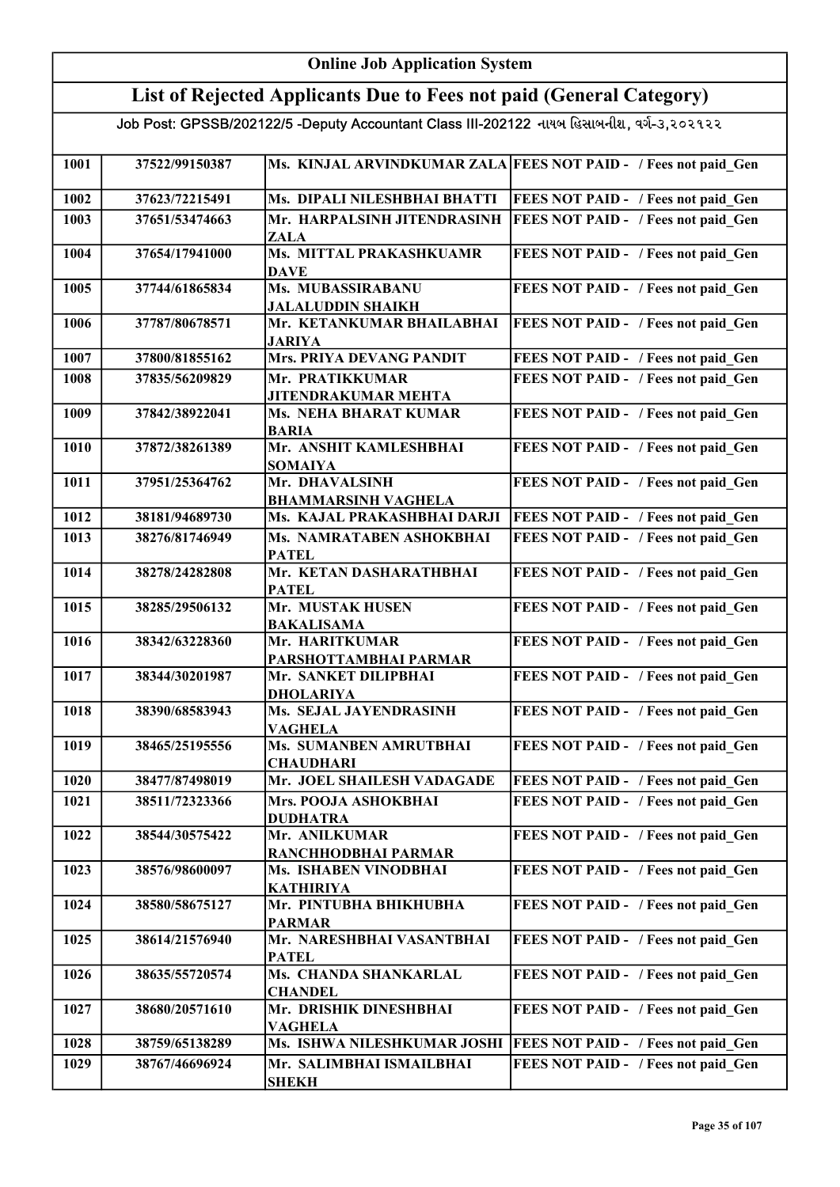#### Online Job Application System List of Rejected Applicants Due to Fees not paid (General Category) Job Post: GPSSB/202122/5 -Deputy Accountant Class III-202122 નાયબ હિસાબનીશ, વર્ગ-૩,૨૦૨૧૨૨ 1001 37522/99150387 Ms. KINJAL ARVINDKUMAR ZALA FEES NOT PAID - / Fees not paid Gen 1002 37623/72215491 Ms. DIPALI NILESHBHAI BHATTI FEES NOT PAID - / Fees not paid\_Gen 1003 37651/53474663 Mr. HARPALSINH JITENDRASINH ZALA FEES NOT PAID - / Fees not paid\_Gen 1004 37654/17941000 Ms. MITTAL PRAKASHKUAMR **DAVE** FEES NOT PAID - / Fees not paid Gen 1005 37744/61865834 Ms. MUBASSIRABANU JALALUDDIN SHAIKH FEES NOT PAID - / Fees not paid Gen 1006 37787/80678571 Mr. KETANKUMAR BHAILABHAI JARIYA FEES NOT PAID - / Fees not paid Gen 1007 37800/81855162 Mrs. PRIYA DEVANG PANDIT FEES NOT PAID - / Fees not paid Gen 1008 37835/56209829 Mr. PRATIKKUMAR JITENDRAKUMAR MEHTA FEES NOT PAID - / Fees not paid\_Gen 1009 37842/38922041 Ms. NEHA BHARAT KUMAR BARIA FEES NOT PAID - / Fees not paid Gen 1010 37872/38261389 Mr. ANSHIT KAMLESHBHAI SOMAIYA FEES NOT PAID - / Fees not paid Gen 1011 37951/25364762 Mr. DHAVALSINH BHAMMARSINH VAGHELA FEES NOT PAID - / Fees not paid Gen 1012 38181/94689730 Ms. KAJAL PRAKASHBHAI DARJI FEES NOT PAID - / Fees not paid Gen 1013 38276/81746949 Ms. NAMRATABEN ASHOKBHAI PATEL FEES NOT PAID - / Fees not paid Gen 1014 38278/24282808 Mr. KETAN DASHARATHBHAI **PATEL** FEES NOT PAID - / Fees not paid Gen 1015 38285/29506132 Mr. MUSTAK HUSEN BAKALISAMA FEES NOT PAID - / Fees not paid Gen 1016 38342/63228360 Mr. HARITKUMAR PARSHOTTAMBHAI PARMAR FEES NOT PAID - / Fees not paid Gen 1017 38344/30201987 Mr. SANKET DILIPBHAI DHOLARIYA FEES NOT PAID - / Fees not paid Gen 1018 38390/68583943 Ms. SEJAL JAYENDRASINH VAGHELA FEES NOT PAID - / Fees not paid Gen 1019 38465/25195556 Ms. SUMANBEN AMRUTBHAI **CHAUDHARI** FEES NOT PAID - / Fees not paid Gen 1020 38477/87498019 Mr. JOEL SHAILESH VADAGADE FEES NOT PAID - / Fees not paid Gen 1021 38511/72323366 Mrs. POOJA ASHOKBHAI DUDHATRA FEES NOT PAID - / Fees not paid Gen 1022 38544/30575422 Mr. ANILKUMAR RANCHHODBHAI PARMAR FEES NOT PAID - / Fees not paid Gen 1023 38576/98600097 Ms. ISHABEN VINODBHAI KATHIRIYA FEES NOT PAID - / Fees not paid\_Gen 1024 38580/58675127 Mr. PINTUBHA BHIKHUBHA PARMAR FEES NOT PAID - / Fees not paid Gen 1025 38614/21576940 Mr. NARESHBHAI VASANTBHAI PATEL FEES NOT PAID - / Fees not paid Gen 1026 38635/55720574 Ms. CHANDA SHANKARLAL **CHANDEL** FEES NOT PAID - / Fees not paid Gen 1027 38680/20571610 Mr. DRISHIK DINESHBHAI VAGHELA FEES NOT PAID - / Fees not paid\_Gen 1028 38759/65138289 Ms. ISHWA NILESHKUMAR JOSHI FEES NOT PAID - / Fees not paid Gen 1029 38767/46696924 Mr. SALIMBHAI ISMAILBHAI SHEKH FEES NOT PAID - / Fees not paid Gen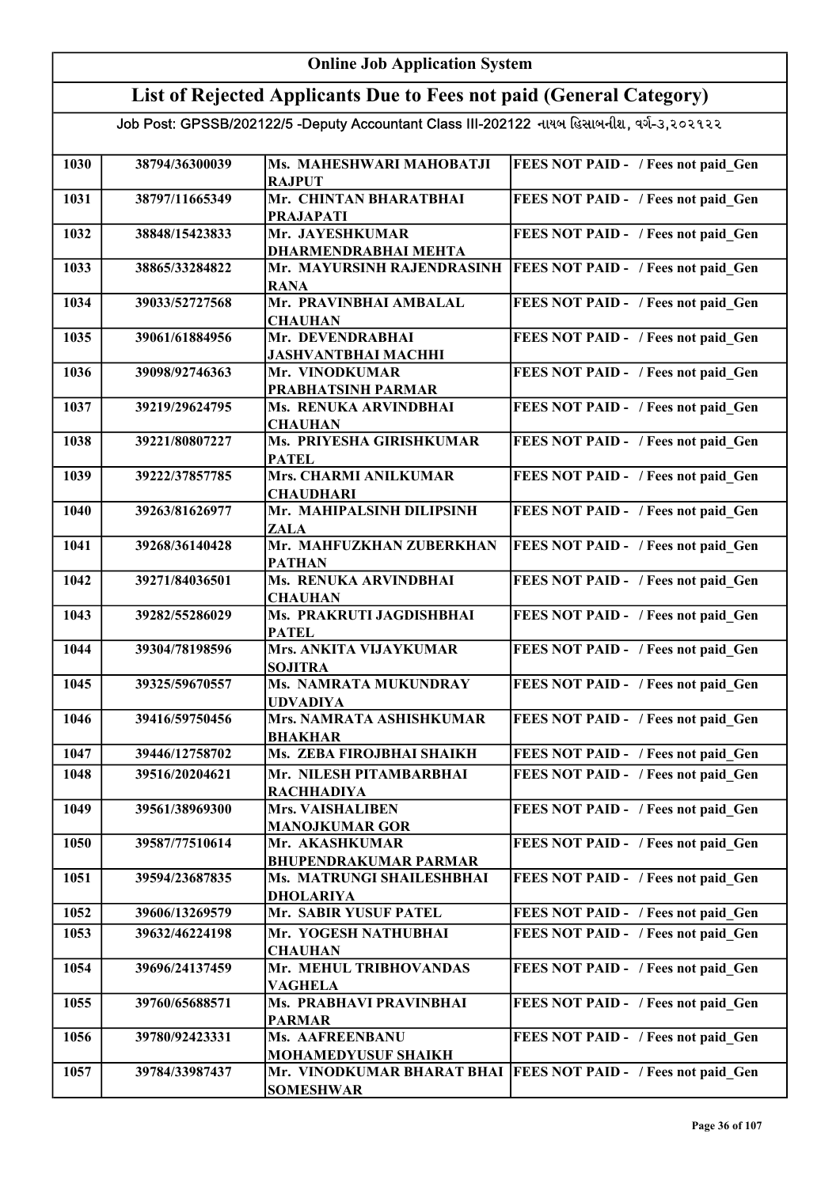| <b>Online Job Application System</b>                                                      |                                  |                                                          |                                                                            |
|-------------------------------------------------------------------------------------------|----------------------------------|----------------------------------------------------------|----------------------------------------------------------------------------|
| List of Rejected Applicants Due to Fees not paid (General Category)                       |                                  |                                                          |                                                                            |
| Job Post: GPSSB/202122/5 -Deputy Accountant Class III-202122 નાયબ હિસાબનીશ, વર્ગ-૩,૨૦૨૧૨૨ |                                  |                                                          |                                                                            |
|                                                                                           |                                  |                                                          |                                                                            |
| 1030                                                                                      | 38794/36300039                   | Ms. MAHESHWARI MAHOBATJI<br><b>RAJPUT</b>                | FEES NOT PAID - / Fees not paid Gen                                        |
| 1031                                                                                      | 38797/11665349                   | Mr. CHINTAN BHARATBHAI                                   | FEES NOT PAID - / Fees not paid_Gen                                        |
| 1032                                                                                      | 38848/15423833                   | <b>PRAJAPATI</b><br>Mr. JAYESHKUMAR                      | FEES NOT PAID - / Fees not paid Gen                                        |
|                                                                                           |                                  | <b>DHARMENDRABHAI MEHTA</b>                              |                                                                            |
| 1033                                                                                      | 38865/33284822                   | Mr. MAYURSINH RAJENDRASINH                               | FEES NOT PAID - / Fees not paid Gen                                        |
| 1034                                                                                      | 39033/52727568                   | <b>RANA</b><br>Mr. PRAVINBHAI AMBALAL                    | FEES NOT PAID - / Fees not paid Gen                                        |
|                                                                                           |                                  | <b>CHAUHAN</b>                                           |                                                                            |
| 1035                                                                                      | 39061/61884956                   | Mr. DEVENDRABHAI<br><b>JASHVANTBHAI MACHHI</b>           | FEES NOT PAID - / Fees not paid Gen                                        |
| 1036                                                                                      | 39098/92746363                   | Mr. VINODKUMAR                                           | FEES NOT PAID - / Fees not paid Gen                                        |
|                                                                                           |                                  | PRABHATSINH PARMAR                                       |                                                                            |
| 1037                                                                                      | 39219/29624795                   | Ms. RENUKA ARVINDBHAI<br><b>CHAUHAN</b>                  | FEES NOT PAID - / Fees not paid Gen                                        |
| 1038                                                                                      | 39221/80807227                   | Ms. PRIYESHA GIRISHKUMAR                                 | FEES NOT PAID - / Fees not paid Gen                                        |
|                                                                                           |                                  | <b>PATEL</b>                                             |                                                                            |
| 1039                                                                                      | 39222/37857785                   | Mrs. CHARMI ANILKUMAR<br><b>CHAUDHARI</b>                | FEES NOT PAID - / Fees not paid Gen                                        |
| 1040                                                                                      | 39263/81626977                   | Mr. MAHIPALSINH DILIPSINH                                | FEES NOT PAID - / Fees not paid Gen                                        |
| 1041                                                                                      | 39268/36140428                   | <b>ZALA</b><br>Mr. MAHFUZKHAN ZUBERKHAN                  | FEES NOT PAID - / Fees not paid Gen                                        |
|                                                                                           |                                  | <b>PATHAN</b>                                            |                                                                            |
| 1042                                                                                      | 39271/84036501                   | Ms. RENUKA ARVINDBHAI                                    | FEES NOT PAID - / Fees not paid_Gen                                        |
| 1043                                                                                      | 39282/55286029                   | <b>CHAUHAN</b><br>Ms. PRAKRUTI JAGDISHBHAI               | FEES NOT PAID - / Fees not paid Gen                                        |
|                                                                                           |                                  | <b>PATEL</b>                                             |                                                                            |
| 1044                                                                                      | 39304/78198596                   | <b>Mrs. ANKITA VIJAYKUMAR</b><br><b>SOJITRA</b>          | FEES NOT PAID - / Fees not paid Gen                                        |
| 1045                                                                                      | 39325/59670557                   | <b>Ms. NAMRATA MUKUNDRAY</b>                             | <b>FEES NOT PAID -</b> / Fees not paid Gen                                 |
| 1046                                                                                      | 39416/59750456                   | <b>UDVADIYA</b><br>Mrs. NAMRATA ASHISHKUMAR              | FEES NOT PAID - / Fees not paid Gen                                        |
|                                                                                           |                                  | <b>BHAKHAR</b>                                           |                                                                            |
| 1047                                                                                      | 39446/12758702                   | Ms. ZEBA FIROJBHAI SHAIKH                                | FEES NOT PAID - / Fees not paid Gen                                        |
| 1048                                                                                      | 39516/20204621                   | Mr. NILESH PITAMBARBHAI<br><b>RACHHADIYA</b>             | FEES NOT PAID - / Fees not paid Gen                                        |
| 1049                                                                                      | 39561/38969300                   | <b>Mrs. VAISHALIBEN</b>                                  | FEES NOT PAID - / Fees not paid Gen                                        |
|                                                                                           |                                  | <b>MANOJKUMAR GOR</b>                                    |                                                                            |
| 1050                                                                                      | 39587/77510614                   | Mr. AKASHKUMAR<br><b>BHUPENDRAKUMAR PARMAR</b>           | FEES NOT PAID - / Fees not paid Gen                                        |
| 1051                                                                                      | 39594/23687835                   | Ms. MATRUNGI SHAILESHBHAI                                | FEES NOT PAID - / Fees not paid Gen                                        |
|                                                                                           |                                  | <b>DHOLARIYA</b>                                         |                                                                            |
| 1052<br>1053                                                                              | 39606/13269579<br>39632/46224198 | Mr. SABIR YUSUF PATEL<br>Mr. YOGESH NATHUBHAI            | FEES NOT PAID - / Fees not paid Gen<br>FEES NOT PAID - / Fees not paid Gen |
|                                                                                           |                                  | <b>CHAUHAN</b>                                           |                                                                            |
| 1054                                                                                      | 39696/24137459                   | Mr. MEHUL TRIBHOVANDAS                                   | FEES NOT PAID - / Fees not paid Gen                                        |
| 1055                                                                                      | 39760/65688571                   | <b>VAGHELA</b><br>Ms. PRABHAVI PRAVINBHAI                | FEES NOT PAID - / Fees not paid Gen                                        |
|                                                                                           |                                  | <b>PARMAR</b>                                            |                                                                            |
| 1056                                                                                      | 39780/92423331                   | Ms. AAFREENBANU                                          | FEES NOT PAID - / Fees not paid Gen                                        |
| 1057                                                                                      | 39784/33987437                   | <b>MOHAMEDYUSUF SHAIKH</b><br>Mr. VINODKUMAR BHARAT BHAI | <b>FEES NOT PAID - / Fees not paid Gen</b>                                 |
|                                                                                           |                                  | <b>SOMESHWAR</b>                                         |                                                                            |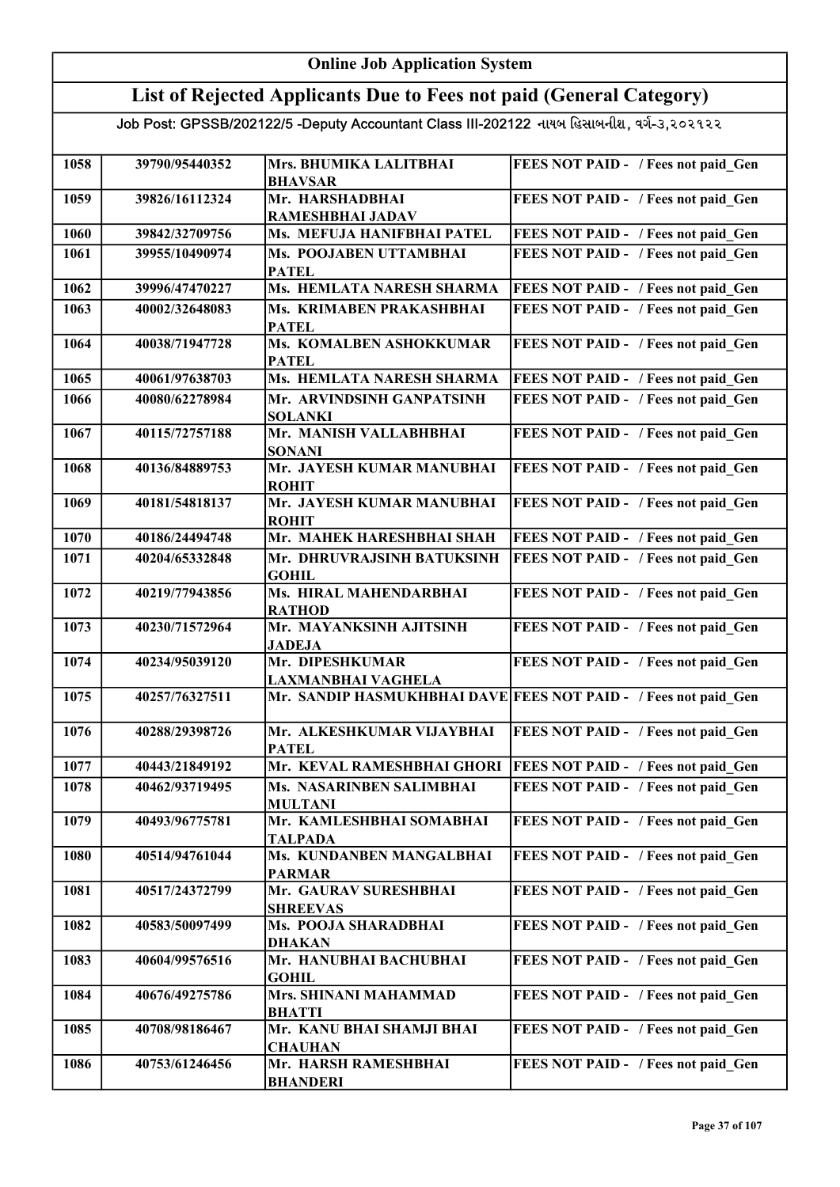### Online Job Application System

## List of Rejected Applicants Due to Fees not paid (General Category)

| 1058 | 39790/95440352 | Mrs. BHUMIKA LALITBHAI<br><b>BHAVSAR</b>   | FEES NOT PAID - / Fees not paid Gen                             |
|------|----------------|--------------------------------------------|-----------------------------------------------------------------|
| 1059 | 39826/16112324 | Mr. HARSHADBHAI                            | FEES NOT PAID - / Fees not paid Gen                             |
|      |                | RAMESHBHAI JADAV                           |                                                                 |
| 1060 | 39842/32709756 | Ms. MEFUJA HANIFBHAI PATEL                 | FEES NOT PAID - / Fees not paid Gen                             |
| 1061 | 39955/10490974 | Ms. POOJABEN UTTAMBHAI                     | FEES NOT PAID - / Fees not paid Gen                             |
|      |                | <b>PATEL</b>                               |                                                                 |
| 1062 | 39996/47470227 | Ms. HEMLATA NARESH SHARMA                  | FEES NOT PAID - / Fees not paid Gen                             |
| 1063 | 40002/32648083 | Ms. KRIMABEN PRAKASHBHAI                   | FEES NOT PAID - / Fees not paid Gen                             |
|      |                | <b>PATEL</b>                               |                                                                 |
| 1064 | 40038/71947728 | Ms. KOMALBEN ASHOKKUMAR                    | FEES NOT PAID - / Fees not paid Gen                             |
|      |                | <b>PATEL</b>                               |                                                                 |
| 1065 | 40061/97638703 | <b>Ms. HEMLATA NARESH SHARMA</b>           | FEES NOT PAID - / Fees not paid Gen                             |
| 1066 | 40080/62278984 | Mr. ARVINDSINH GANPATSINH                  | FEES NOT PAID - / Fees not paid Gen                             |
|      |                | <b>SOLANKI</b>                             |                                                                 |
| 1067 | 40115/72757188 | Mr. MANISH VALLABHBHAI                     | <b>FEES NOT PAID - / Fees not paid Gen</b>                      |
|      |                | <b>SONANI</b>                              |                                                                 |
| 1068 | 40136/84889753 | Mr. JAYESH KUMAR MANUBHAI                  | FEES NOT PAID - / Fees not paid Gen                             |
|      |                | <b>ROHIT</b>                               |                                                                 |
| 1069 | 40181/54818137 | Mr. JAYESH KUMAR MANUBHAI                  | FEES NOT PAID - / Fees not paid Gen                             |
| 1070 | 40186/24494748 | <b>ROHIT</b><br>Mr. MAHEK HARESHBHAI SHAH  | FEES NOT PAID - / Fees not paid Gen                             |
|      |                |                                            |                                                                 |
| 1071 | 40204/65332848 | Mr. DHRUVRAJSINH BATUKSINH<br><b>GOHIL</b> | FEES NOT PAID - / Fees not paid Gen                             |
| 1072 | 40219/77943856 | Ms. HIRAL MAHENDARBHAI                     | FEES NOT PAID - / Fees not paid Gen                             |
|      |                | <b>RATHOD</b>                              |                                                                 |
| 1073 | 40230/71572964 | Mr. MAYANKSINH AJITSINH                    | FEES NOT PAID - / Fees not paid Gen                             |
|      |                | <b>JADEJA</b>                              |                                                                 |
| 1074 | 40234/95039120 | Mr. DIPESHKUMAR                            | FEES NOT PAID - / Fees not paid Gen                             |
|      |                | LAXMANBHAI VAGHELA                         |                                                                 |
| 1075 | 40257/76327511 |                                            | Mr. SANDIP HASMUKHBHAI DAVE FEES NOT PAID - / Fees not paid Gen |
| 1076 | 40288/29398726 | Mr. ALKESHKUMAR VIJAYBHAI                  | FEES NOT PAID - / Fees not paid Gen                             |
|      |                | <b>PATEL</b>                               |                                                                 |
| 1077 | 40443/21849192 | Mr. KEVAL RAMESHBHAI GHORI                 | <b>FEES NOT PAID - / Fees not paid Gen</b>                      |
| 1078 | 40462/93719495 | Ms. NASARINBEN SALIMBHAI                   | <b>FEES NOT PAID - / Fees not paid Gen</b>                      |
|      |                | <b>MULTANI</b>                             |                                                                 |
| 1079 | 40493/96775781 | Mr. KAMLESHBHAI SOMABHAI                   | FEES NOT PAID - / Fees not paid Gen                             |
|      |                | <b>TALPADA</b>                             |                                                                 |
| 1080 | 40514/94761044 | Ms. KUNDANBEN MANGALBHAI                   | FEES NOT PAID - / Fees not paid Gen                             |
|      |                | <b>PARMAR</b>                              |                                                                 |
| 1081 | 40517/24372799 | Mr. GAURAV SURESHBHAI                      | FEES NOT PAID - / Fees not paid Gen                             |
|      |                | <b>SHREEVAS</b>                            |                                                                 |
| 1082 | 40583/50097499 | Ms. POOJA SHARADBHAI                       | FEES NOT PAID - / Fees not paid Gen                             |
|      |                | <b>DHAKAN</b>                              |                                                                 |
| 1083 | 40604/99576516 | Mr. HANUBHAI BACHUBHAI<br><b>GOHIL</b>     | FEES NOT PAID - / Fees not paid Gen                             |
| 1084 | 40676/49275786 | Mrs. SHINANI MAHAMMAD                      | FEES NOT PAID - / Fees not paid Gen                             |
|      |                | <b>BHATTI</b>                              |                                                                 |
| 1085 | 40708/98186467 | Mr. KANU BHAI SHAMJI BHAI                  | FEES NOT PAID - / Fees not paid Gen                             |
|      |                | <b>CHAUHAN</b>                             |                                                                 |
| 1086 | 40753/61246456 | Mr. HARSH RAMESHBHAI                       | FEES NOT PAID - / Fees not paid Gen                             |
|      |                | <b>BHANDERI</b>                            |                                                                 |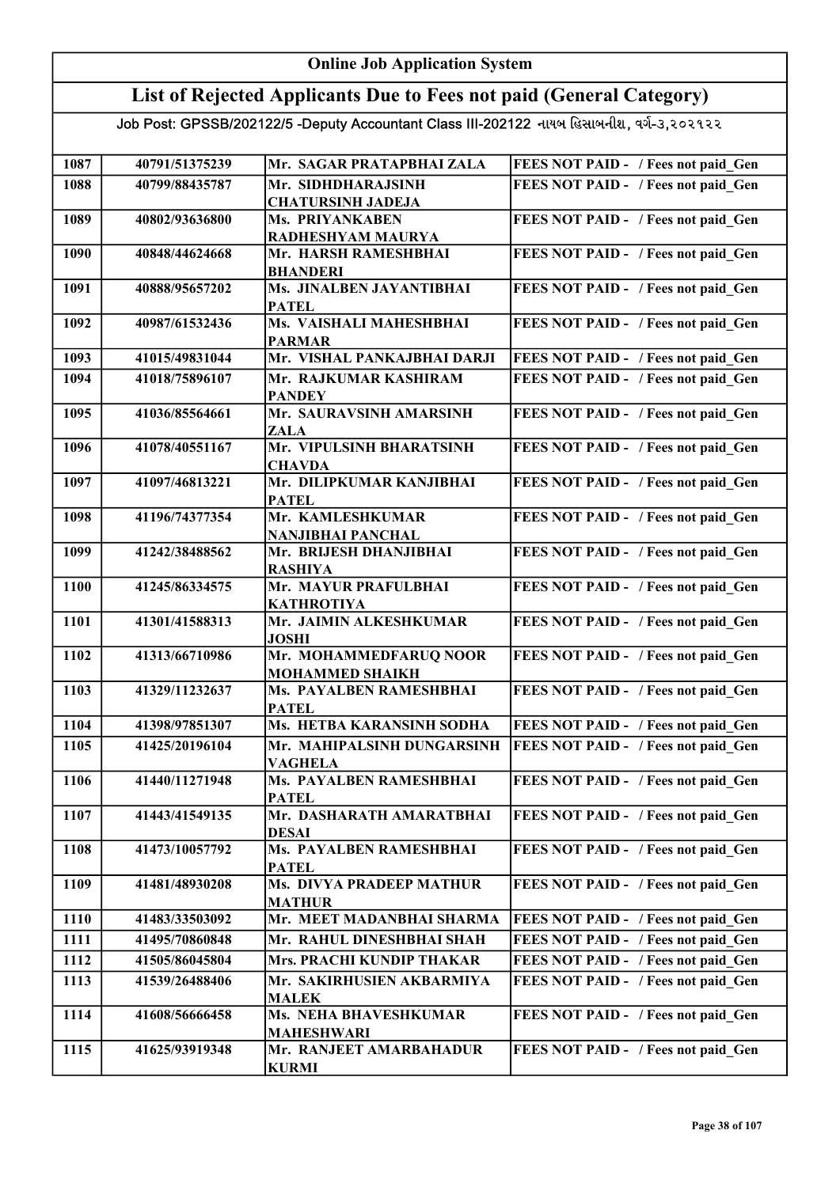## Online Job Application System List of Rejected Applicants Due to Fees not paid (General Category)

| 1087 | 40791/51375239 | Mr. SAGAR PRATAPBHAI ZALA                  | FEES NOT PAID - / Fees not paid Gen |
|------|----------------|--------------------------------------------|-------------------------------------|
| 1088 | 40799/88435787 | Mr. SIDHDHARAJSINH                         | FEES NOT PAID - / Fees not paid Gen |
|      |                | <b>CHATURSINH JADEJA</b>                   |                                     |
| 1089 | 40802/93636800 | Ms. PRIYANKABEN                            | FEES NOT PAID - / Fees not paid Gen |
|      |                | RADHESHYAM MAURYA                          |                                     |
| 1090 | 40848/44624668 | Mr. HARSH RAMESHBHAI                       | FEES NOT PAID - / Fees not paid Gen |
|      |                | <b>BHANDERI</b>                            |                                     |
| 1091 | 40888/95657202 | Ms. JINALBEN JAYANTIBHAI                   | FEES NOT PAID - / Fees not paid Gen |
|      |                | <b>PATEL</b>                               |                                     |
| 1092 | 40987/61532436 | Ms. VAISHALI MAHESHBHAI                    | FEES NOT PAID - / Fees not paid Gen |
|      |                | <b>PARMAR</b>                              |                                     |
| 1093 | 41015/49831044 | Mr. VISHAL PANKAJBHAI DARJI                | FEES NOT PAID - / Fees not paid Gen |
| 1094 | 41018/75896107 | Mr. RAJKUMAR KASHIRAM                      | FEES NOT PAID - / Fees not paid Gen |
|      |                | <b>PANDEY</b>                              |                                     |
| 1095 | 41036/85564661 | Mr. SAURAVSINH AMARSINH                    | FEES NOT PAID - / Fees not paid_Gen |
|      |                | ZALA                                       |                                     |
| 1096 | 41078/40551167 | Mr. VIPULSINH BHARATSINH                   | FEES NOT PAID - / Fees not paid_Gen |
|      |                | <b>CHAVDA</b>                              |                                     |
| 1097 | 41097/46813221 | Mr. DILIPKUMAR KANJIBHAI                   | FEES NOT PAID - / Fees not paid Gen |
| 1098 | 41196/74377354 | <b>PATEL</b><br>Mr. KAMLESHKUMAR           |                                     |
|      |                | <b>NANJIBHAI PANCHAL</b>                   | FEES NOT PAID - / Fees not paid_Gen |
| 1099 | 41242/38488562 | Mr. BRIJESH DHANJIBHAI                     | FEES NOT PAID - / Fees not paid Gen |
|      |                | <b>RASHIYA</b>                             |                                     |
| 1100 | 41245/86334575 | Mr. MAYUR PRAFULBHAI                       | FEES NOT PAID - / Fees not paid Gen |
|      |                | <b>KATHROTIYA</b>                          |                                     |
| 1101 | 41301/41588313 | Mr. JAIMIN ALKESHKUMAR                     | FEES NOT PAID - / Fees not paid Gen |
|      |                | <b>JOSHI</b>                               |                                     |
| 1102 | 41313/66710986 | Mr. MOHAMMEDFARUQ NOOR                     | FEES NOT PAID - / Fees not paid Gen |
|      |                | <b>MOHAMMED SHAIKH</b>                     |                                     |
| 1103 | 41329/11232637 | Ms. PAYALBEN RAMESHBHAI                    | FEES NOT PAID - / Fees not paid Gen |
|      |                | <b>PATEL</b>                               |                                     |
| 1104 | 41398/97851307 | Ms. HETBA KARANSINH SODHA                  | FEES NOT PAID - / Fees not paid Gen |
| 1105 | 41425/20196104 | Mr. MAHIPALSINH DUNGARSINH                 | FEES NOT PAID - / Fees not paid Gen |
|      |                | <b>VAGHELA</b>                             |                                     |
| 1106 | 41440/11271948 | Ms. PAYALBEN RAMESHBHAI                    | FEES NOT PAID - / Fees not paid_Gen |
|      |                | <b>PATEL</b>                               |                                     |
| 1107 | 41443/41549135 | Mr. DASHARATH AMARATBHAI                   | FEES NOT PAID - / Fees not paid Gen |
|      |                | <b>DESAI</b>                               |                                     |
| 1108 | 41473/10057792 | Ms. PAYALBEN RAMESHBHAI                    | FEES NOT PAID - / Fees not paid Gen |
|      |                | <b>PATEL</b>                               |                                     |
| 1109 | 41481/48930208 | Ms. DIVYA PRADEEP MATHUR                   | FEES NOT PAID - / Fees not paid Gen |
| 1110 | 41483/33503092 | <b>MATHUR</b><br>Mr. MEET MADANBHAI SHARMA | FEES NOT PAID - / Fees not paid Gen |
|      |                |                                            |                                     |
| 1111 | 41495/70860848 | Mr. RAHUL DINESHBHAI SHAH                  | FEES NOT PAID - / Fees not paid Gen |
| 1112 | 41505/86045804 | <b>Mrs. PRACHI KUNDIP THAKAR</b>           | FEES NOT PAID - / Fees not paid Gen |
| 1113 | 41539/26488406 | Mr. SAKIRHUSIEN AKBARMIYA                  | FEES NOT PAID - / Fees not paid Gen |
|      |                | <b>MALEK</b>                               |                                     |
| 1114 | 41608/56666458 | Ms. NEHA BHAVESHKUMAR                      | FEES NOT PAID - / Fees not paid_Gen |
|      |                | <b>MAHESHWARI</b>                          |                                     |
| 1115 | 41625/93919348 | Mr. RANJEET AMARBAHADUR                    | FEES NOT PAID - / Fees not paid Gen |
|      |                | <b>KURMI</b>                               |                                     |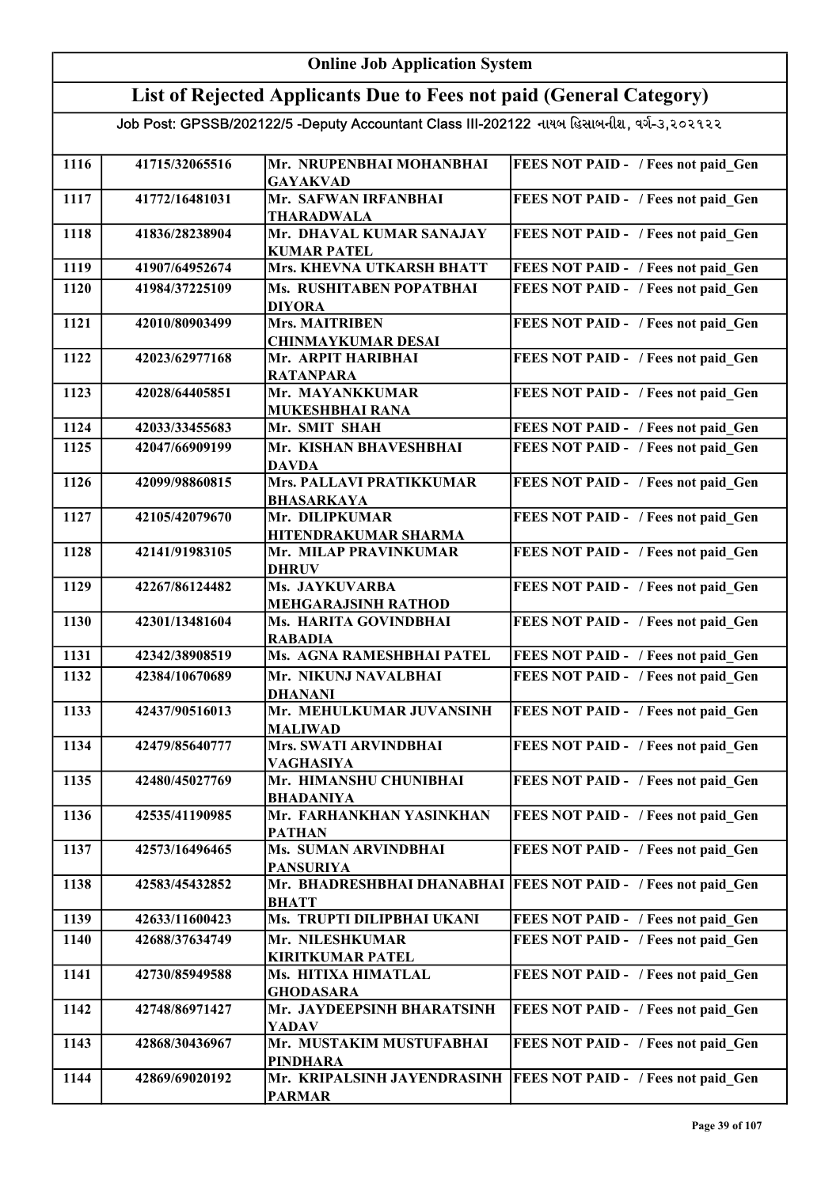| <b>Online Job Application System</b> |                |                                                                                           |                                            |
|--------------------------------------|----------------|-------------------------------------------------------------------------------------------|--------------------------------------------|
|                                      |                | List of Rejected Applicants Due to Fees not paid (General Category)                       |                                            |
|                                      |                | Job Post: GPSSB/202122/5 -Deputy Accountant Class III-202122 નાયબ હિસાબનીશ, વર્ગ-૩,૨૦૨૧૨૨ |                                            |
| 1116                                 | 41715/32065516 | Mr. NRUPENBHAI MOHANBHAI<br><b>GAYAKVAD</b>                                               | FEES NOT PAID - / Fees not paid Gen        |
| 1117                                 | 41772/16481031 | Mr. SAFWAN IRFANBHAI<br>THARADWALA                                                        | FEES NOT PAID - / Fees not paid Gen        |
| 1118                                 | 41836/28238904 | Mr. DHAVAL KUMAR SANAJAY<br><b>KUMAR PATEL</b>                                            | FEES NOT PAID - / Fees not paid Gen        |
| 1119                                 | 41907/64952674 | Mrs. KHEVNA UTKARSH BHATT                                                                 | FEES NOT PAID - / Fees not paid Gen        |
| 1120                                 | 41984/37225109 | Ms. RUSHITABEN POPATBHAI<br><b>DIYORA</b>                                                 | FEES NOT PAID - / Fees not paid Gen        |
| 1121                                 | 42010/80903499 | Mrs. MAITRIBEN<br><b>CHINMAYKUMAR DESAI</b>                                               | FEES NOT PAID - / Fees not paid Gen        |
| 1122                                 | 42023/62977168 | Mr. ARPIT HARIBHAI<br><b>RATANPARA</b>                                                    | FEES NOT PAID - / Fees not paid_Gen        |
| 1123                                 | 42028/64405851 | Mr. MAYANKKUMAR<br><b>MUKESHBHAI RANA</b>                                                 | FEES NOT PAID - / Fees not paid Gen        |
| 1124                                 | 42033/33455683 | Mr. SMIT SHAH                                                                             | FEES NOT PAID - / Fees not paid Gen        |
| 1125                                 | 42047/66909199 | Mr. KISHAN BHAVESHBHAI<br><b>DAVDA</b>                                                    | FEES NOT PAID - / Fees not paid Gen        |
| 1126                                 | 42099/98860815 | Mrs. PALLAVI PRATIKKUMAR<br><b>BHASARKAYA</b>                                             | FEES NOT PAID - / Fees not paid_Gen        |
| 1127                                 | 42105/42079670 | Mr. DILIPKUMAR<br>HITENDRAKUMAR SHARMA                                                    | FEES NOT PAID - / Fees not paid_Gen        |
| 1128                                 | 42141/91983105 | Mr. MILAP PRAVINKUMAR<br><b>DHRUV</b>                                                     | FEES NOT PAID - / Fees not paid Gen        |
| 1129                                 | 42267/86124482 | Ms. JAYKUVARBA<br><b>MEHGARAJSINH RATHOD</b>                                              | FEES NOT PAID - / Fees not paid Gen        |
| 1130                                 | 42301/13481604 | Ms. HARITA GOVINDBHAI<br><b>RABADIA</b>                                                   | FEES NOT PAID - / Fees not paid Gen        |
| 1131                                 | 42342/38908519 | Ms. AGNA RAMESHBHAI PATEL                                                                 | FEES NOT PAID - / Fees not paid Gen        |
| 1132                                 | 42384/10670689 | Mr. NIKUNJ NAVALBHAI<br><b>DHANANI</b>                                                    | FEES NOT PAID - / Fees not paid_Gen        |
| 1133                                 | 42437/90516013 | Mr. MEHULKUMAR JUVANSINH<br><b>MALIWAD</b>                                                | FEES NOT PAID - / Fees not paid Gen        |
| 1134                                 | 42479/85640777 | Mrs. SWATI ARVINDBHAI<br><b>VAGHASIYA</b>                                                 | FEES NOT PAID - / Fees not paid Gen        |
| 1135                                 | 42480/45027769 | Mr. HIMANSHU CHUNIBHAI<br><b>BHADANIYA</b>                                                | FEES NOT PAID - / Fees not paid Gen        |
| 1136                                 | 42535/41190985 | Mr. FARHANKHAN YASINKHAN<br><b>PATHAN</b>                                                 | FEES NOT PAID - / Fees not paid Gen        |
| 1137                                 | 42573/16496465 | Ms. SUMAN ARVINDBHAI<br><b>PANSURIYA</b>                                                  | FEES NOT PAID - / Fees not paid Gen        |
| 1138                                 | 42583/45432852 | Mr. BHADRESHBHAI DHANABHAI<br><b>BHATT</b>                                                | <b>FEES NOT PAID - / Fees not paid Gen</b> |
| 1139                                 | 42633/11600423 | Ms. TRUPTI DILIPBHAI UKANI                                                                | FEES NOT PAID - / Fees not paid Gen        |
| 1140                                 | 42688/37634749 | Mr. NILESHKUMAR<br><b>KIRITKUMAR PATEL</b>                                                | FEES NOT PAID - / Fees not paid Gen        |
| 1141                                 | 42730/85949588 | Ms. HITIXA HIMATLAL<br><b>GHODASARA</b>                                                   | FEES NOT PAID - / Fees not paid Gen        |
| 1142                                 | 42748/86971427 | Mr. JAYDEEPSINH BHARATSINH<br><b>YADAV</b>                                                | FEES NOT PAID - / Fees not paid Gen        |
| 1143                                 | 42868/30436967 | Mr. MUSTAKIM MUSTUFABHAI<br><b>PINDHARA</b>                                               | FEES NOT PAID - / Fees not paid Gen        |
| 1144                                 | 42869/69020192 | Mr. KRIPALSINH JAYENDRASINH<br><b>PARMAR</b>                                              | <b>FEES NOT PAID - / Fees not paid Gen</b> |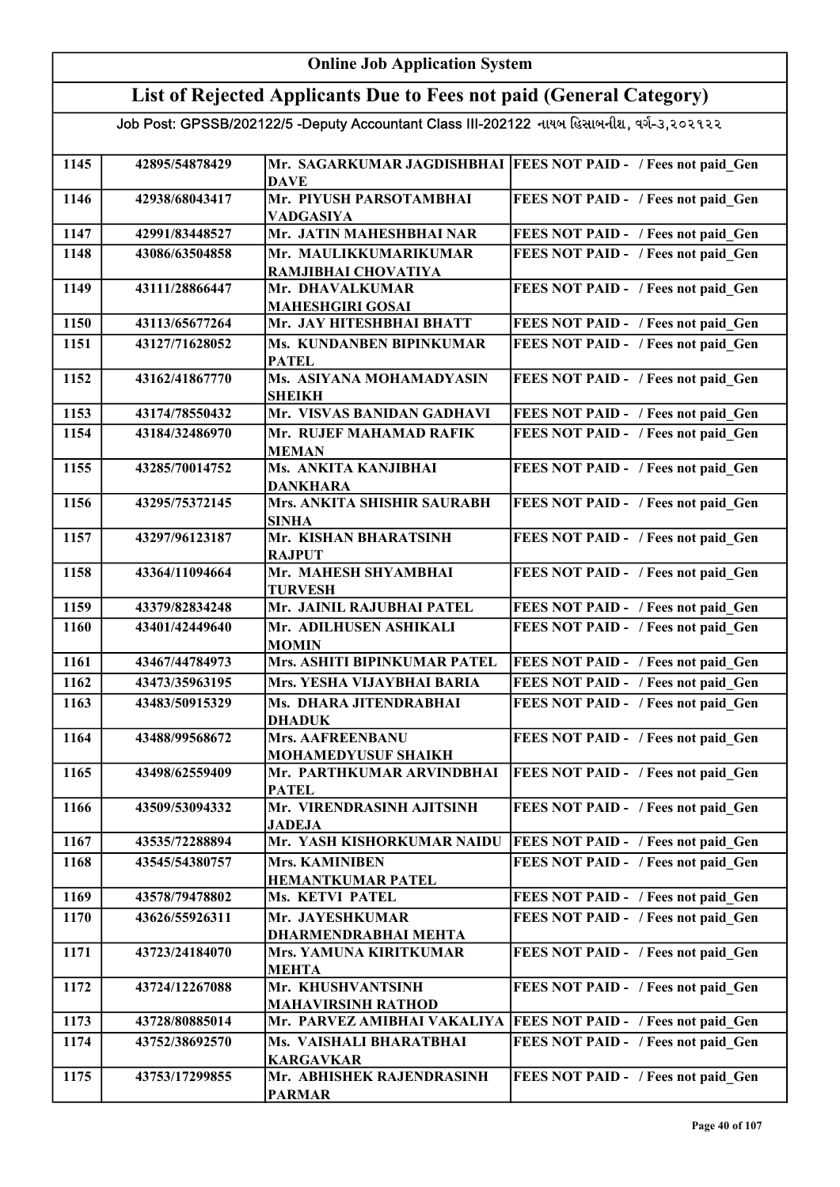#### Online Job Application System List of Rejected Applicants Due to Fees not paid (General Category) Job Post: GPSSB/202122/5 -Deputy Accountant Class III-202122 નાયબ હિસાબનીશ, વર્ગ-૩,૨૦૨૧૨૨ 1145 | 42895/54878429 Mr. SAGARKUMAR JAGDISHBHAI FEES NOT PAID - / Fees not paid\_Gen DAVE 1146 42938/68043417 Mr. PIYUSH PARSOTAMBHAI VADGASIYA FEES NOT PAID - / Fees not paid\_Gen 1147 42991/83448527 Mr. JATIN MAHESHBHAI NAR FEES NOT PAID - / Fees not paid Gen 1148 43086/63504858 Mr. MAULIKKUMARIKUMAR RAMJIBHAI CHOVATIYA FEES NOT PAID - / Fees not paid Gen 1149 43111/28866447 Mr. DHAVALKUMAR MAHESHGIRI GOSAI FEES NOT PAID - / Fees not paid Gen 1150 43113/65677264 Mr. JAY HITESHBHAI BHATT FEES NOT PAID - / Fees not paid\_Gen 1151 43127/71628052 Ms. KUNDANBEN BIPINKUMAR PATEL FEES NOT PAID - / Fees not paid Gen 1152 43162/41867770 Ms. ASIYANA MOHAMADYASIN SHEIKH FEES NOT PAID - / Fees not paid\_Gen 1153 43174/78550432 Mr. VISVAS BANIDAN GADHAVI FEES NOT PAID - / Fees not paid Gen 1154 43184/32486970 Mr. RUJEF MAHAMAD RAFIK MEMAN FEES NOT PAID - / Fees not paid\_Gen 1155 43285/70014752 Ms. ANKITA KANJIBHAI DANKHARA FEES NOT PAID - / Fees not paid\_Gen 1156 43295/75372145 Mrs. ANKITA SHISHIR SAURABH SINHA FEES NOT PAID - / Fees not paid Gen 1157 43297/96123187 Mr. KISHAN BHARATSINH RAJPUT FEES NOT PAID - / Fees not paid Gen 1158 43364/11094664 Mr. MAHESH SHYAMBHAI TURVESH FEES NOT PAID - / Fees not paid Gen 1159 43379/82834248 Mr. JAINIL RAJUBHAI PATEL FEES NOT PAID - / Fees not paid\_Gen 1160 43401/42449640 Mr. ADILHUSEN ASHIKALI MOMIN FEES NOT PAID - / Fees not paid Gen 1161 43467/44784973 Mrs. ASHITI BIPINKUMAR PATEL FEES NOT PAID - / Fees not paid\_Gen 1162 43473/35963195 Mrs. YESHA VIJAYBHAI BARIA FEES NOT PAID - / Fees not paid\_Gen 1163 43483/50915329 Ms. DHARA JITENDRABHAI DHADUK FEES NOT PAID - / Fees not paid Gen 1164 43488/99568672 Mrs. AAFREENBANU MOHAMEDYUSUF SHAIKH FEES NOT PAID - / Fees not paid\_Gen 1165 43498/62559409 Mr. PARTHKUMAR ARVINDBHAI **PATEL FEES NOT PAID - / Fees not paid Gen** 1166 43509/53094332 Mr. VIRENDRASINH AJITSINH JADEJA FEES NOT PAID - / Fees not paid\_Gen 1167 43535/72288894 Mr. YASH KISHORKUMAR NAIDU FEES NOT PAID - / Fees not paid\_Gen 1168 43545/54380757 Mrs. KAMINIBEN HEMANTKUMAR PATEL FEES NOT PAID - / Fees not paid Gen 1169 43578/79478802 Ms. KETVI PATEL FEES NOT PAID - / Fees not paid Gen 1170 43626/55926311 Mr. JAYESHKUMAR DHARMENDRABHAI MEHTA FEES NOT PAID - / Fees not paid Gen 1171 43723/24184070 Mrs. YAMUNA KIRITKUMAR MEHTA FEES NOT PAID - / Fees not paid Gen 1172 43724/12267088 Mr. KHUSHVANTSINH MAHAVIRSINH RATHOD FEES NOT PAID - / Fees not paid Gen 1173 43728/80885014 Mr. PARVEZ AMIBHAI VAKALIYA FEES NOT PAID - / Fees not paid\_Gen 1174 43752/38692570 Ms. VAISHALI BHARATBHAI KARGAVKAR FEES NOT PAID - / Fees not paid Gen 1175 43753/17299855 Mr. ABHISHEK RAJENDRASINH PARMAR FEES NOT PAID - / Fees not paid Gen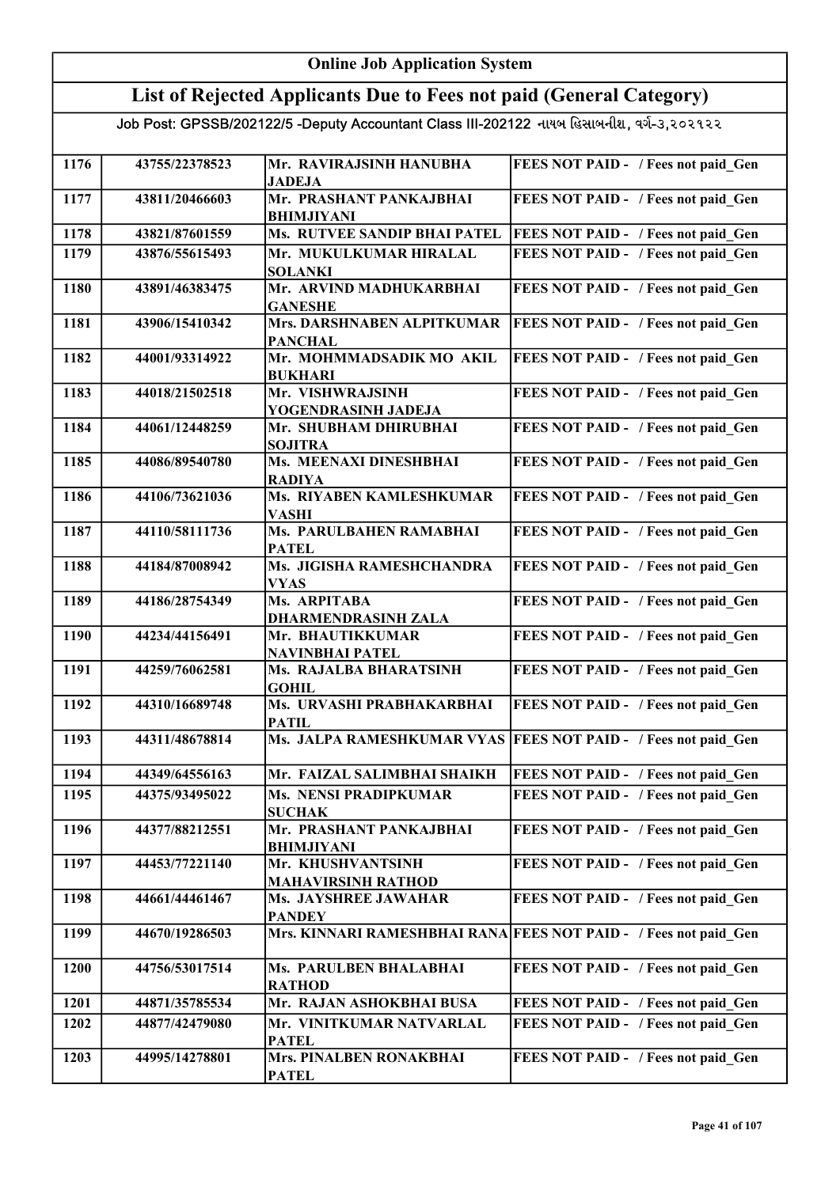#### Online Job Application System List of Rejected Applicants Due to Fees not paid (General Category) Job Post: GPSSB/202122/5 -Deputy Accountant Class III-202122 નાયબ હિસાબનીશ, વર્ગ-૩,૨૦૨૧૨૨ 1176 43755/22378523 Mr. RAVIRAJSINH HANUBHA JADEJA FEES NOT PAID - / Fees not paid Gen 1177 43811/20466603 Mr. PRASHANT PANKAJBHAI BHIMJIYANI FEES NOT PAID - / Fees not paid\_Gen 1178 43821/87601559 Ms. RUTVEE SANDIP BHAI PATEL FEES NOT PAID - / Fees not paid Gen 1179 43876/55615493 Mr. MUKULKUMAR HIRALAL SOLANKI FEES NOT PAID - / Fees not paid Gen 1180 43891/46383475 Mr. ARVIND MADHUKARBHAI GANESHE FEES NOT PAID - / Fees not paid Gen 1181 43906/15410342 Mrs. DARSHNABEN ALPITKUMAR **PANCHAL** FEES NOT PAID - / Fees not paid Gen 1182 44001/93314922 Mr. MOHMMADSADIK MO AKIL BUKHARI FEES NOT PAID - / Fees not paid Gen 1183 44018/21502518 Mr. VISHWRAJSINH YOGENDRASINH JADEJA FEES NOT PAID - / Fees not paid Gen 1184 44061/12448259 Mr. SHUBHAM DHIRUBHAI SOJITRA FEES NOT PAID - / Fees not paid Gen 1185 44086/89540780 Ms. MEENAXI DINESHBHAI RADIYA FEES NOT PAID - / Fees not paid Gen 1186 44106/73621036 Ms. RIYABEN KAMLESHKUMAR VASHI FEES NOT PAID - / Fees not paid Gen 1187 44110/58111736 Ms. PARULBAHEN RAMABHAI PATEL FEES NOT PAID - / Fees not paid\_Gen 1188 44184/87008942 Ms. JIGISHA RAMESHCHANDRA VYAS FEES NOT PAID - / Fees not paid Gen 1189 44186/28754349 Ms. ARPITABA DHARMENDRASINH ZALA FEES NOT PAID - / Fees not paid Gen 1190 44234/44156491 Mr. BHAUTIKKUMAR NAVINBHAI PATEL FEES NOT PAID - / Fees not paid Gen 1191 44259/76062581 Ms. RAJALBA BHARATSINH **GOHIL** FEES NOT PAID - / Fees not paid Gen 1192 44310/16689748 Ms. URVASHI PRABHAKARBHAI PATIL FEES NOT PAID - / Fees not paid Gen 1193 44311/48678814 Ms. JALPA RAMESHKUMAR VYAS FEES NOT PAID - / Fees not paid\_Gen 1194 44349/64556163 Mr. FAIZAL SALIMBHAI SHAIKH FEES NOT PAID - / Fees not paid Gen 1195 44375/93495022 Ms. NENSI PRADIPKUMAR **SUCHAK** FEES NOT PAID - / Fees not paid Gen 1196 44377/88212551 Mr. PRASHANT PANKAJBHAI BHIMJIYANI FEES NOT PAID - / Fees not paid Gen 1197 44453/77221140 Mr. KHUSHVANTSINH MAHAVIRSINH RATHOD FEES NOT PAID - / Fees not paid Gen 1198 44661/44461467 Ms. JAYSHREE JAWAHAR PANDEY FEES NOT PAID - / Fees not paid Gen 1199 44670/19286503 Mrs. KINNARI RAMESHBHAI RANA FEES NOT PAID - / Fees not paid\_Gen 1200 44756/53017514 Ms. PARULBEN BHALABHAI RATHOD FEES NOT PAID - / Fees not paid Gen 1201 44871/35785534 Mr. RAJAN ASHOKBHAI BUSA FEES NOT PAID - / Fees not paid\_Gen 1202 44877/42479080 Mr. VINITKUMAR NATVARLAL PATEL FEES NOT PAID - / Fees not paid Gen 1203 44995/14278801 Mrs. PINALBEN RONAKBHAI PATEL FEES NOT PAID - / Fees not paid Gen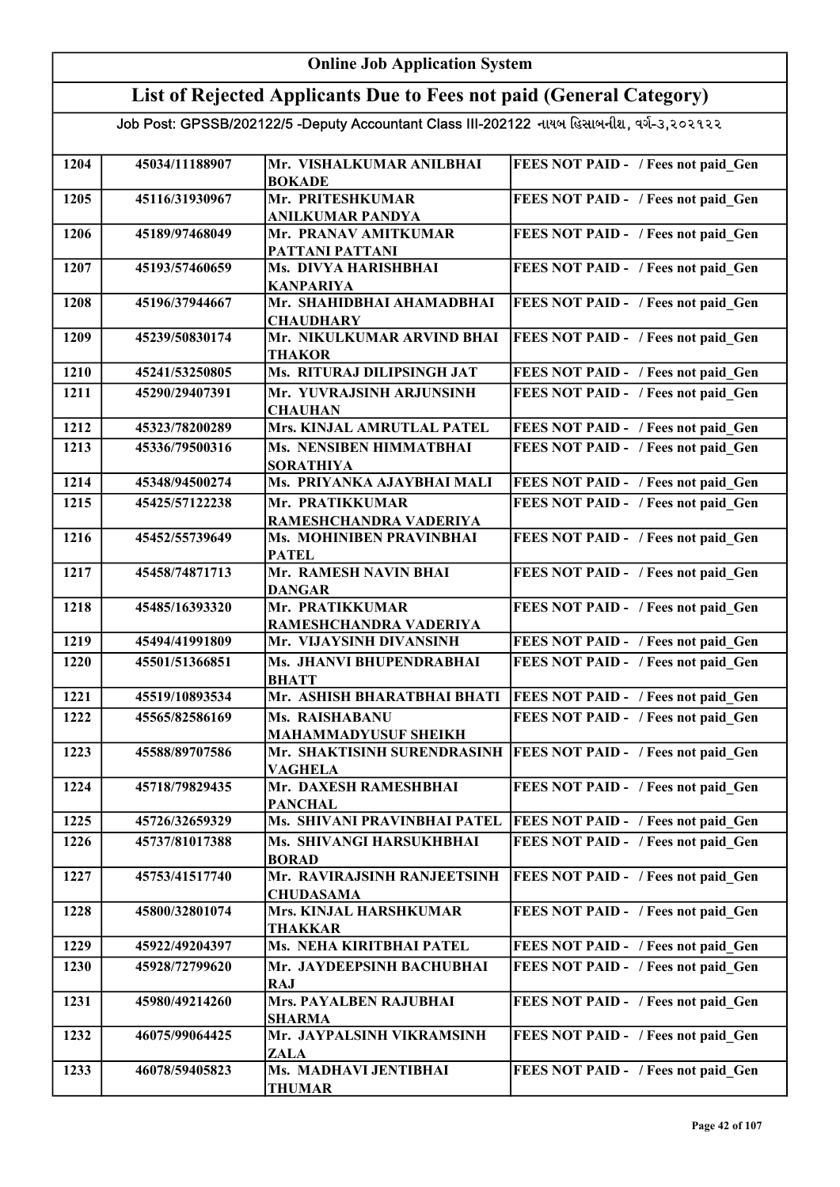| <b>Online Job Application System</b> |                |                                                                                           |                                     |
|--------------------------------------|----------------|-------------------------------------------------------------------------------------------|-------------------------------------|
|                                      |                | List of Rejected Applicants Due to Fees not paid (General Category)                       |                                     |
|                                      |                | Job Post: GPSSB/202122/5 -Deputy Accountant Class III-202122 નાયબ હિસાબનીશ, વર્ગ-૩,૨૦૨૧૨૨ |                                     |
| 1204                                 | 45034/11188907 | Mr. VISHALKUMAR ANILBHAI<br><b>BOKADE</b>                                                 | FEES NOT PAID - / Fees not paid Gen |
| 1205                                 | 45116/31930967 | Mr. PRITESHKUMAR<br><b>ANILKUMAR PANDYA</b>                                               | FEES NOT PAID - / Fees not paid Gen |
| 1206                                 | 45189/97468049 | Mr. PRANAV AMITKUMAR<br>PATTANI PATTANI                                                   | FEES NOT PAID - / Fees not paid Gen |
| 1207                                 | 45193/57460659 | Ms. DIVYA HARISHBHAI<br><b>KANPARIYA</b>                                                  | FEES NOT PAID - / Fees not paid Gen |
| 1208                                 | 45196/37944667 | Mr. SHAHIDBHAI AHAMADBHAI<br><b>CHAUDHARY</b>                                             | FEES NOT PAID - / Fees not paid Gen |
| 1209                                 | 45239/50830174 | Mr. NIKULKUMAR ARVIND BHAI<br><b>THAKOR</b>                                               | FEES NOT PAID - / Fees not paid Gen |
| 1210                                 | 45241/53250805 | Ms. RITURAJ DILIPSINGH JAT                                                                | FEES NOT PAID - / Fees not paid Gen |
| 1211                                 | 45290/29407391 | Mr. YUVRAJSINH ARJUNSINH<br><b>CHAUHAN</b>                                                | FEES NOT PAID - / Fees not paid Gen |
| 1212                                 | 45323/78200289 | Mrs. KINJAL AMRUTLAL PATEL                                                                | FEES NOT PAID - / Fees not paid Gen |
| 1213                                 | 45336/79500316 | Ms. NENSIBEN HIMMATBHAI<br><b>SORATHIYA</b>                                               | FEES NOT PAID - / Fees not paid Gen |
| 1214                                 | 45348/94500274 | Ms. PRIYANKA AJAYBHAI MALI                                                                | FEES NOT PAID - / Fees not paid Gen |
| 1215                                 | 45425/57122238 | Mr. PRATIKKUMAR<br>RAMESHCHANDRA VADERIYA                                                 | FEES NOT PAID - / Fees not paid Gen |
| 1216                                 | 45452/55739649 | Ms. MOHINIBEN PRAVINBHAI<br><b>PATEL</b>                                                  | FEES NOT PAID - / Fees not paid Gen |
| 1217                                 | 45458/74871713 | Mr. RAMESH NAVIN BHAI<br><b>DANGAR</b>                                                    | FEES NOT PAID - / Fees not paid Gen |
| 1218                                 | 45485/16393320 | Mr. PRATIKKUMAR<br>RAMESHCHANDRA VADERIYA                                                 | FEES NOT PAID - / Fees not paid Gen |
| 1219                                 | 45494/41991809 | Mr. VIJAYSINH DIVANSINH                                                                   | FEES NOT PAID - / Fees not paid Gen |
| 1220                                 | 45501/51366851 | Ms. JHANVI BHUPENDRABHAI<br><b>BHATT</b>                                                  | FEES NOT PAID - / Fees not paid Gen |
| 1221                                 | 45519/10893534 | Mr. ASHISH BHARATBHAI BHATI                                                               | FEES NOT PAID - / Fees not paid Gen |
| 1222                                 | 45565/82586169 | Ms. RAISHABANU<br><b>MAHAMMADYUSUF SHEIKH</b>                                             | FEES NOT PAID - / Fees not paid Gen |
| 1223                                 | 45588/89707586 | Mr. SHAKTISINH SURENDRASINH<br><b>VAGHELA</b>                                             | FEES NOT PAID - / Fees not paid Gen |
| 1224                                 | 45718/79829435 | Mr. DAXESH RAMESHBHAI<br><b>PANCHAL</b>                                                   | FEES NOT PAID - / Fees not paid Gen |
| 1225                                 | 45726/32659329 | Ms. SHIVANI PRAVINBHAI PATEL                                                              | FEES NOT PAID - / Fees not paid Gen |
| 1226                                 | 45737/81017388 | Ms. SHIVANGI HARSUKHBHAI<br><b>BORAD</b>                                                  | FEES NOT PAID - / Fees not paid Gen |
| 1227                                 | 45753/41517740 | Mr. RAVIRAJSINH RANJEETSINH<br><b>CHUDASAMA</b>                                           | FEES NOT PAID - / Fees not paid Gen |
| 1228                                 | 45800/32801074 | Mrs. KINJAL HARSHKUMAR<br><b>THAKKAR</b>                                                  | FEES NOT PAID - / Fees not paid Gen |
| 1229                                 | 45922/49204397 | Ms. NEHA KIRITBHAI PATEL                                                                  | FEES NOT PAID - / Fees not paid Gen |
| 1230                                 | 45928/72799620 | Mr. JAYDEEPSINH BACHUBHAI<br><b>RAJ</b>                                                   | FEES NOT PAID - / Fees not paid Gen |
| 1231                                 | 45980/49214260 | <b>Mrs. PAYALBEN RAJUBHAI</b><br><b>SHARMA</b>                                            | FEES NOT PAID - / Fees not paid Gen |
| 1232                                 | 46075/99064425 | Mr. JAYPALSINH VIKRAMSINH<br><b>ZALA</b>                                                  | FEES NOT PAID - / Fees not paid Gen |
| 1233                                 | 46078/59405823 | Ms. MADHAVI JENTIBHAI<br><b>THUMAR</b>                                                    | FEES NOT PAID - / Fees not paid Gen |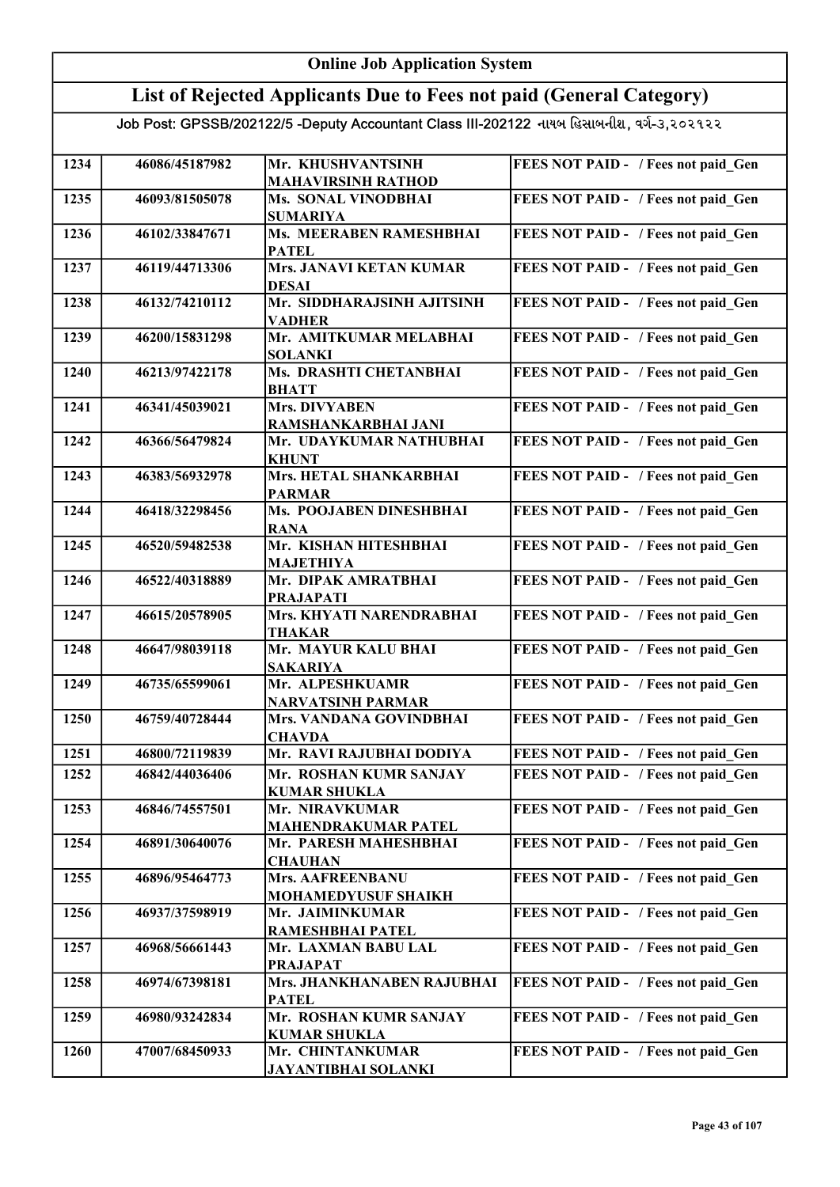#### Online Job Application System List of Rejected Applicants Due to Fees not paid (General Category) Job Post: GPSSB/202122/5 -Deputy Accountant Class III-202122 નાયબ હિસાબનીશ, વર્ગ-૩,૨૦૨૧૨૨ 1234 46086/45187982 Mr. KHUSHVANTSINH MAHAVIRSINH RATHOD FEES NOT PAID - / Fees not paid Gen 1235 46093/81505078 Ms. SONAL VINODBHAI SUMARIYA FEES NOT PAID - / Fees not paid\_Gen 1236 46102/33847671 Ms. MEERABEN RAMESHBHAI PATEL FEES NOT PAID - / Fees not paid Gen 1237 46119/44713306 Mrs. JANAVI KETAN KUMAR DESAI FEES NOT PAID - / Fees not paid Gen 1238 46132/74210112 Mr. SIDDHARAJSINH AJITSINH VADHER FEES NOT PAID - / Fees not paid Gen 1239 46200/15831298 Mr. AMITKUMAR MELABHAI SOLANKI FEES NOT PAID - / Fees not paid Gen 1240 | 46213/97422178 | Ms. DRASHTI CHETANBHAI BHATT FEES NOT PAID - / Fees not paid Gen 1241 46341/45039021 Mrs. DIVYABEN RAMSHANKARBHAI JANI FEES NOT PAID - / Fees not paid Gen 1242 46366/56479824 Mr. UDAYKUMAR NATHUBHAI KHUNT FEES NOT PAID - / Fees not paid Gen 1243 46383/56932978 Mrs. HETAL SHANKARBHAI PARMAR FEES NOT PAID - / Fees not paid Gen 1244 46418/32298456 Ms. POOJABEN DINESHBHAI RANA FEES NOT PAID - / Fees not paid Gen 1245 | 46520/59482538 | Mr. KISHAN HITESHBHAI MAJETHIYA FEES NOT PAID - / Fees not paid\_Gen 1246 46522/40318889 Mr. DIPAK AMRATBHAI PRAJAPATI FEES NOT PAID - / Fees not paid Gen 1247 46615/20578905 Mrs. KHYATI NARENDRABHAI THAKAR FEES NOT PAID - / Fees not paid Gen 1248 46647/98039118 Mr. MAYUR KALU BHAI SAKARIYA FEES NOT PAID - / Fees not paid\_Gen 1249 46735/65599061 Mr. ALPESHKUAMR NARVATSINH PARMAR FEES NOT PAID - / Fees not paid\_Gen 1250 | 46759/40728444 | Mrs. VANDANA GOVINDBHAI **CHAVDA** FEES NOT PAID - / Fees not paid Gen 1251 46800/72119839 Mr. RAVI RAJUBHAI DODIYA FEES NOT PAID - / Fees not paid\_Gen 1252 46842/44036406 Mr. ROSHAN KUMR SANJAY KUMAR SHUKLA FEES NOT PAID - / Fees not paid Gen 1253 46846/74557501 Mr. NIRAVKUMAR MAHENDRAKUMAR PATEL FEES NOT PAID - / Fees not paid\_Gen 1254 46891/30640076 Mr. PARESH MAHESHBHAI **CHAUHAN** FEES NOT PAID - / Fees not paid\_Gen 1255 46896/95464773 Mrs. AAFREENBANU MOHAMEDYUSUF SHAIKH FEES NOT PAID - / Fees not paid Gen 1256 46937/37598919 Mr. JAIMINKUMAR RAMESHBHAI PATEL FEES NOT PAID - / Fees not paid Gen 1257 46968/56661443 Mr. LAXMAN BABU LAL PRAJAPAT FEES NOT PAID - / Fees not paid\_Gen 1258 46974/67398181 Mrs. JHANKHANABEN RAJUBHAI PATEL **FEES NOT PAID - / Fees not paid Gen** 1259 46980/93242834 Mr. ROSHAN KUMR SANJAY KUMAR SHUKLA FEES NOT PAID - / Fees not paid Gen 1260 47007/68450933 Mr. CHINTANKUMAR JAYANTIBHAI SOLANKI FEES NOT PAID - / Fees not paid Gen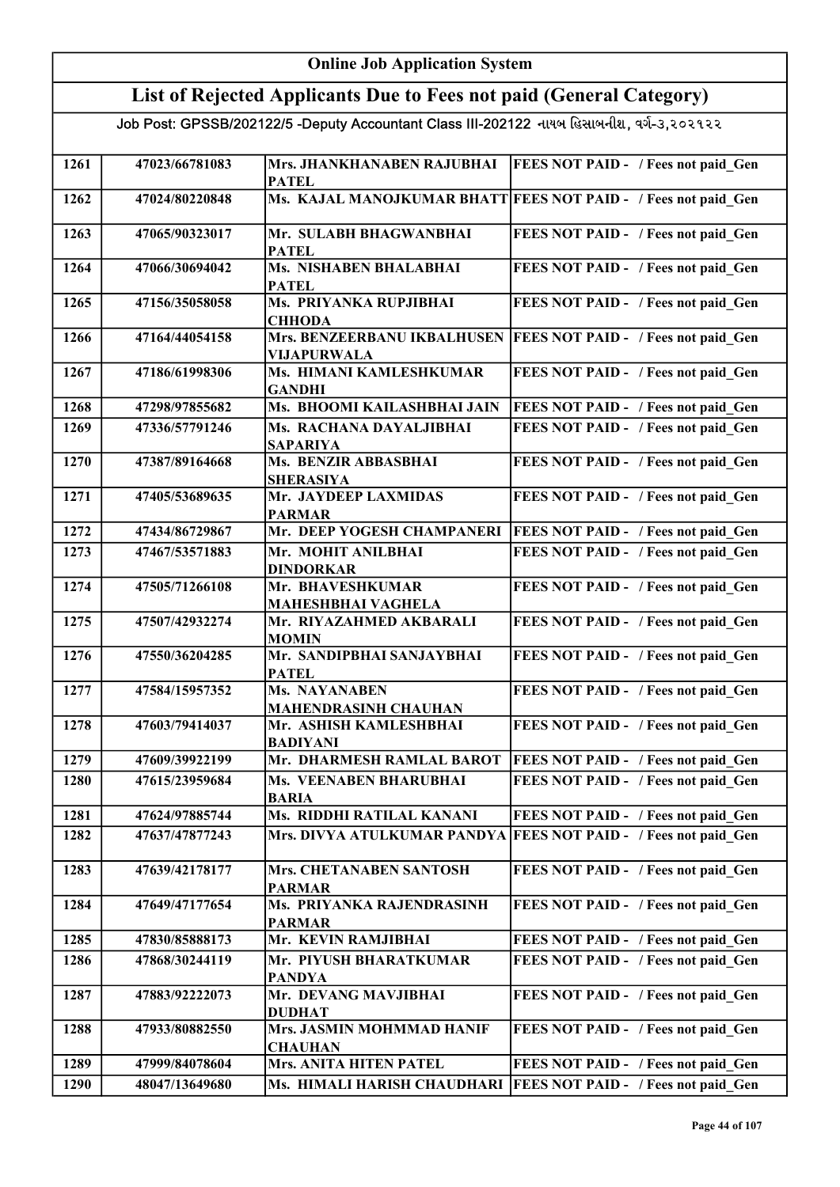| <b>Online Job Application System</b> |                |                                                                                           |                                                                |
|--------------------------------------|----------------|-------------------------------------------------------------------------------------------|----------------------------------------------------------------|
|                                      |                | List of Rejected Applicants Due to Fees not paid (General Category)                       |                                                                |
|                                      |                | Job Post: GPSSB/202122/5 -Deputy Accountant Class III-202122 નાયબ હિસાબનીશ, વર્ગ-૩,૨૦૨૧૨૨ |                                                                |
| 1261                                 | 47023/66781083 | Mrs. JHANKHANABEN RAJUBHAI<br><b>PATEL</b>                                                | <b>FEES NOT PAID - / Fees not paid_Gen</b>                     |
| 1262                                 | 47024/80220848 |                                                                                           | Ms. KAJAL MANOJKUMAR BHATT FEES NOT PAID - / Fees not paid Gen |
| 1263                                 | 47065/90323017 | Mr. SULABH BHAGWANBHAI<br><b>PATEL</b>                                                    | FEES NOT PAID - / Fees not paid Gen                            |
| 1264                                 | 47066/30694042 | Ms. NISHABEN BHALABHAI<br><b>PATEL</b>                                                    | FEES NOT PAID - / Fees not paid Gen                            |
| 1265                                 | 47156/35058058 | Ms. PRIYANKA RUPJIBHAI<br><b>CHHODA</b>                                                   | FEES NOT PAID - / Fees not paid_Gen                            |
| 1266                                 | 47164/44054158 | Mrs. BENZEERBANU IKBALHUSEN<br><b>VIJAPURWALA</b>                                         | <b>FEES NOT PAID - / Fees not paid Gen</b>                     |
| 1267                                 | 47186/61998306 | Ms. HIMANI KAMLESHKUMAR<br><b>GANDHI</b>                                                  | FEES NOT PAID - / Fees not paid Gen                            |
| 1268                                 | 47298/97855682 | Ms. BHOOMI KAILASHBHAI JAIN                                                               | FEES NOT PAID - / Fees not paid Gen                            |
| 1269                                 | 47336/57791246 | Ms. RACHANA DAYALJIBHAI<br><b>SAPARIYA</b>                                                | FEES NOT PAID - / Fees not paid Gen                            |
| 1270                                 | 47387/89164668 | Ms. BENZIR ABBASBHAI<br><b>SHERASIYA</b>                                                  | FEES NOT PAID - / Fees not paid Gen                            |
| 1271                                 | 47405/53689635 | Mr. JAYDEEP LAXMIDAS<br><b>PARMAR</b>                                                     | FEES NOT PAID - / Fees not paid Gen                            |
| 1272                                 | 47434/86729867 | Mr. DEEP YOGESH CHAMPANERI                                                                | <b>FEES NOT PAID - / Fees not paid Gen</b>                     |
| 1273                                 | 47467/53571883 | Mr. MOHIT ANILBHAI<br><b>DINDORKAR</b>                                                    | FEES NOT PAID - / Fees not paid Gen                            |
| 1274                                 | 47505/71266108 | Mr. BHAVESHKUMAR<br><b>MAHESHBHAI VAGHELA</b>                                             | FEES NOT PAID - / Fees not paid Gen                            |
| 1275                                 | 47507/42932274 | Mr. RIYAZAHMED AKBARALI<br><b>MOMIN</b>                                                   | FEES NOT PAID - / Fees not paid Gen                            |
| 1276                                 | 47550/36204285 | Mr. SANDIPBHAI SANJAYBHAI<br><b>PATEL</b>                                                 | FEES NOT PAID - / Fees not paid Gen                            |
| 1277                                 | 47584/15957352 | Ms. NAYANABEN<br><b>MAHENDRASINH CHAUHAN</b>                                              | FEES NOT PAID - / Fees not paid Gen                            |
| 1278                                 | 47603/79414037 | Mr. ASHISH KAMLESHBHAI<br><b>BADIYANI</b>                                                 | FEES NOT PAID - / Fees not paid Gen                            |
| 1279                                 | 47609/39922199 | Mr. DHARMESH RAMLAL BAROT                                                                 | <b>FEES NOT PAID - / Fees not paid Gen</b>                     |
| 1280                                 | 47615/23959684 | Ms. VEENABEN BHARUBHAI<br><b>BARIA</b>                                                    | <b>FEES NOT PAID - / Fees not paid Gen</b>                     |
| 1281                                 | 47624/97885744 | Ms. RIDDHI RATILAL KANANI                                                                 | FEES NOT PAID - / Fees not paid Gen                            |
| 1282                                 | 47637/47877243 | Mrs. DIVYA ATULKUMAR PANDYA                                                               | <b>FEES NOT PAID - / Fees not paid Gen</b>                     |
| 1283                                 | 47639/42178177 | Mrs. CHETANABEN SANTOSH<br><b>PARMAR</b>                                                  | FEES NOT PAID - / Fees not paid Gen                            |
| 1284                                 | 47649/47177654 | Ms. PRIYANKA RAJENDRASINH<br><b>PARMAR</b>                                                | FEES NOT PAID - / Fees not paid Gen                            |
| 1285                                 | 47830/85888173 | Mr. KEVIN RAMJIBHAI                                                                       | FEES NOT PAID - / Fees not paid Gen                            |
| 1286                                 | 47868/30244119 | Mr. PIYUSH BHARATKUMAR<br><b>PANDYA</b>                                                   | FEES NOT PAID - / Fees not paid Gen                            |
| 1287                                 | 47883/92222073 | Mr. DEVANG MAVJIBHAI<br><b>DUDHAT</b>                                                     | FEES NOT PAID - / Fees not paid Gen                            |
| 1288                                 | 47933/80882550 | Mrs. JASMIN MOHMMAD HANIF<br><b>CHAUHAN</b>                                               | FEES NOT PAID - / Fees not paid Gen                            |
| 1289                                 | 47999/84078604 | <b>Mrs. ANITA HITEN PATEL</b>                                                             | FEES NOT PAID - / Fees not paid Gen                            |
| 1290                                 | 48047/13649680 | Ms. HIMALI HARISH CHAUDHARI                                                               | <b>FEES NOT PAID - / Fees not paid Gen</b>                     |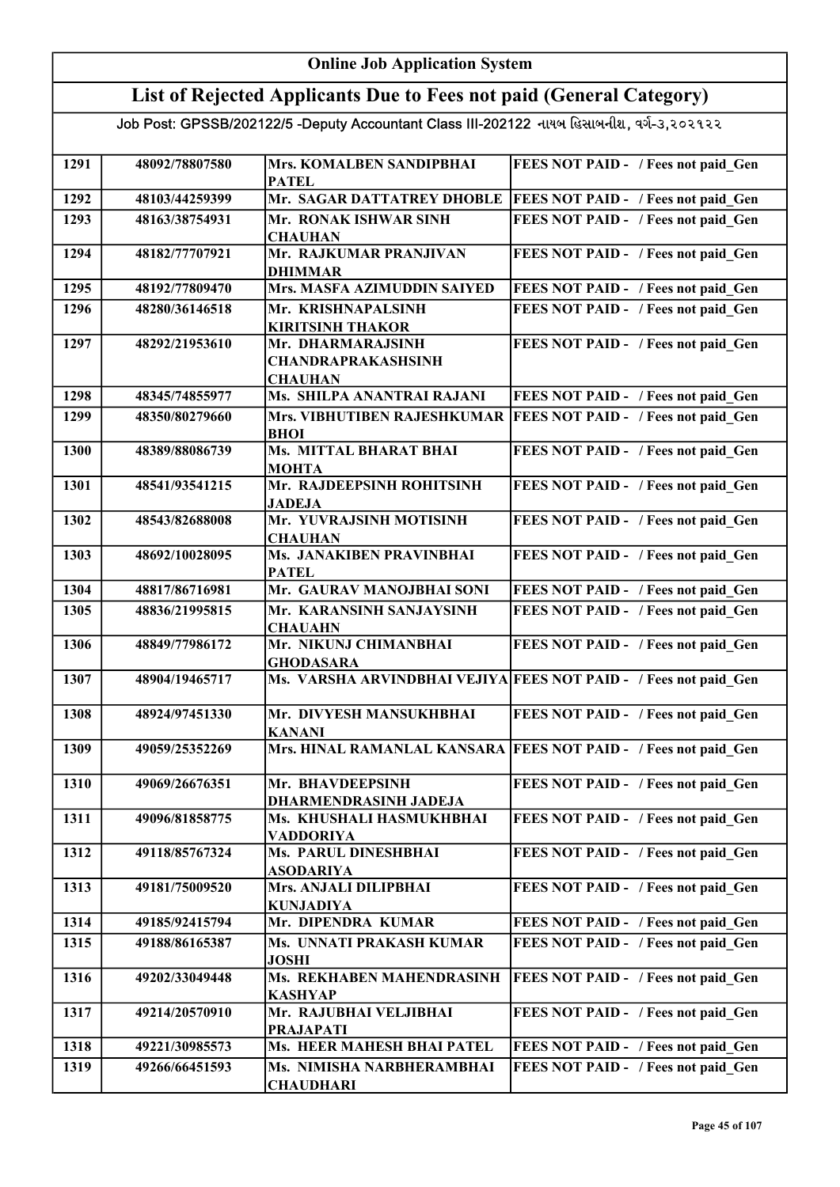#### Online Job Application System List of Rejected Applicants Due to Fees not paid (General Category) Job Post: GPSSB/202122/5 -Deputy Accountant Class III-202122 નાયબ હિસાબનીશ, વર્ગ-૩,૨૦૨૧૨૨ 1291 48092/78807580 Mrs. KOMALBEN SANDIPBHAI PATEL FEES NOT PAID - / Fees not paid Gen 1292 48103/44259399 Mr. SAGAR DATTATREY DHOBLE FEES NOT PAID - / Fees not paid\_Gen 1293 48163/38754931 Mr. RONAK ISHWAR SINH **CHAUHAN** FEES NOT PAID - / Fees not paid Gen 1294 48182/77707921 Mr. RAJKUMAR PRANJIVAN DHIMMAR FEES NOT PAID - / Fees not paid Gen 1295 48192/77809470 Mrs. MASFA AZIMUDDIN SAIYED FEES NOT PAID - / Fees not paid\_Gen 1296 48280/36146518 Mr. KRISHNAPALSINH KIRITSINH THAKOR FEES NOT PAID - / Fees not paid Gen 1297 | 48292/21953610 | Mr. DHARMARAJSINH CHANDRAPRAKASHSINH <u>CHAUHAN<br>Ms. SHILPA ANANTRAI RAJANI</u> FEES NOT PAID - / Fees not paid\_Gen 1298 48345/74855977 Ms. SHILPA ANANTRAI RAJANI FEES NOT PAID - / Fees not paid\_Gen 1299 48350/80279660 Mrs. VIBHUTIBEN RAJESHKUMAR FEES NOT PAID - / Fees not paid\_Gen BHOI 1300 48389/88086739 Ms. MITTAL BHARAT BHAI MOHTA FEES NOT PAID - / Fees not paid Gen 1301 48541/93541215 Mr. RAJDEEPSINH ROHITSINH JADEJA FEES NOT PAID - / Fees not paid Gen 1302 48543/82688008 Mr. YUVRAJSINH MOTISINH **CHAUHAN** FEES NOT PAID - / Fees not paid Gen 1303 48692/10028095 Ms. JANAKIBEN PRAVINBHAI PATEL FEES NOT PAID - / Fees not paid\_Gen 1304 48817/86716981 Mr. GAURAV MANOJBHAI SONI FEES NOT PAID - / Fees not paid\_Gen 1305 48836/21995815 Mr. KARANSINH SANJAYSINH **CHAUAHN** FEES NOT PAID - / Fees not paid Gen 1306 48849/77986172 Mr. NIKUNJ CHIMANBHAI **GHODASARA** FEES NOT PAID - / Fees not paid Gen 1307 48904/19465717 Ms. VARSHA ARVINDBHAI VEJIYA FEES NOT PAID - / Fees not paid Gen 1308 48924/97451330 Mr. DIVYESH MANSUKHBHAI KANANI FEES NOT PAID - / Fees not paid Gen 1309 49059/25352269 Mrs. HINAL RAMANLAL KANSARA FEES NOT PAID - / Fees not paid Gen 1310 49069/26676351 Mr. BHAVDEEPSINH DHARMENDRASINH JADEJA FEES NOT PAID - / Fees not paid Gen 1311 | 49096/81858775 | Ms. KHUSHALI HASMUKHBHAI VADDORIYA FEES NOT PAID - / Fees not paid Gen 1312 49118/85767324 Ms. PARUL DINESHBHAI ASODARIYA FEES NOT PAID - / Fees not paid Gen 1313 49181/75009520 Mrs. ANJALI DILIPBHAI KUNJADIYA FEES NOT PAID - / Fees not paid Gen 1314 49185/92415794 Mr. DIPENDRA KUMAR FEES NOT PAID - / Fees not paid Gen 1315 49188/86165387 Ms. UNNATI PRAKASH KUMAR JOSHI FEES NOT PAID - / Fees not paid\_Gen 1316 49202/33049448 Ms. REKHABEN MAHENDRASINH KASHYAP FEES NOT PAID - / Fees not paid Gen 1317 49214/20570910 Mr. RAJUBHAI VELJIBHAI PRAJAPATI FEES NOT PAID - / Fees not paid Gen 1318 49221/30985573 Ms. HEER MAHESH BHAI PATEL FEES NOT PAID - / Fees not paid Gen 1319 49266/66451593 Ms. NIMISHA NARBHERAMBHAI **CHAUDHARI** FEES NOT PAID - / Fees not paid Gen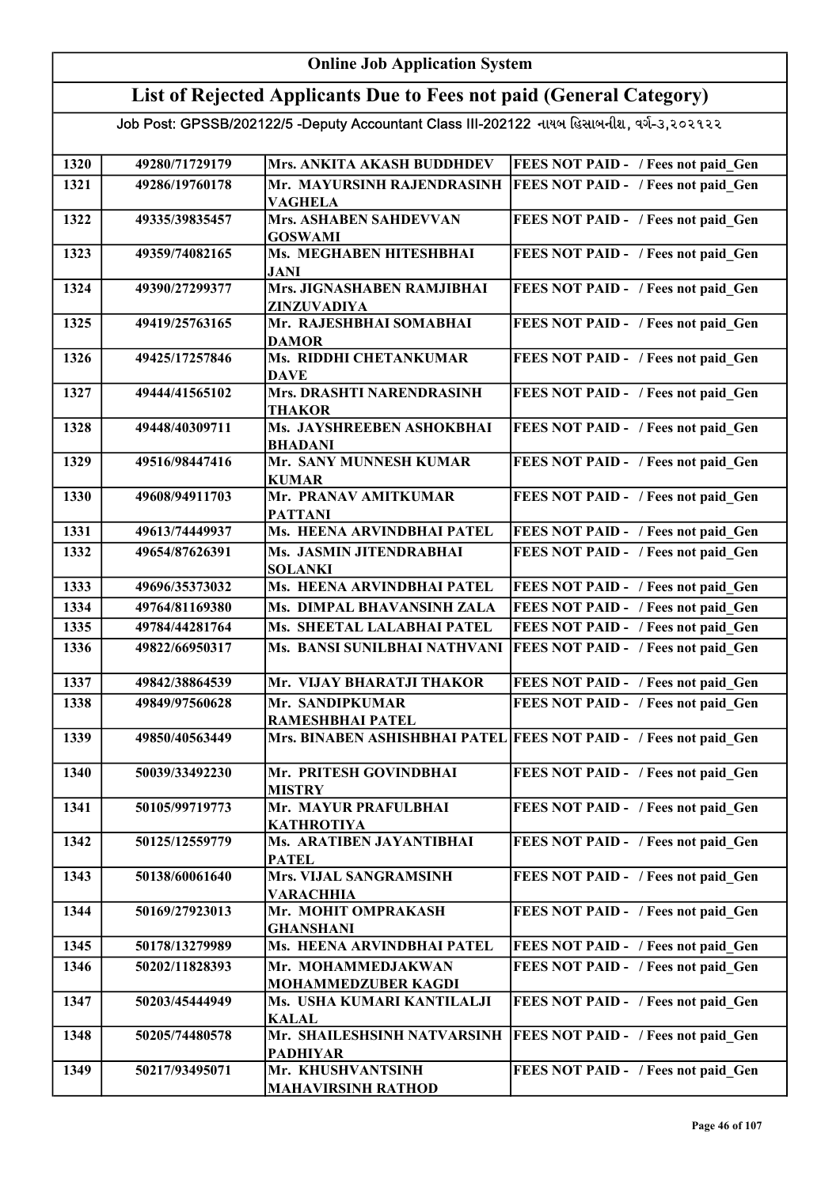#### Online Job Application System List of Rejected Applicants Due to Fees not paid (General Category) Job Post: GPSSB/202122/5 -Deputy Accountant Class III-202122 નાયબ હિસાબનીશ, વર્ગ-૩,૨૦૨૧૨૨ 1320 49280/71729179 Mrs. ANKITA AKASH BUDDHDEV FEES NOT PAID - / Fees not paid\_Gen 1321 49286/19760178 Mr. MAYURSINH RAJENDRASINH VAGHELA **FEES NOT PAID - / Fees not paid Gen** 1322 49335/39835457 Mrs. ASHABEN SAHDEVVAN GOSWAMI FEES NOT PAID - / Fees not paid Gen 1323 49359/74082165 Ms. MEGHABEN HITESHBHAI JANI FEES NOT PAID - / Fees not paid Gen 1324 49390/27299377 Mrs. JIGNASHABEN RAMJIBHAI ZINZUVADIYA FEES NOT PAID - / Fees not paid Gen 1325 49419/25763165 Mr. RAJESHBHAI SOMABHAI DAMOR FEES NOT PAID - / Fees not paid Gen 1326 49425/17257846 Ms. RIDDHI CHETANKUMAR **DAVE** FEES NOT PAID - / Fees not paid Gen 1327 49444/41565102 Mrs. DRASHTI NARENDRASINH THAKOR FEES NOT PAID - / Fees not paid Gen 1328 49448/40309711 Ms. JAYSHREEBEN ASHOKBHAI BHADANI FEES NOT PAID - / Fees not paid Gen 1329 49516/98447416 Mr. SANY MUNNESH KUMAR KUMAR FEES NOT PAID - / Fees not paid Gen 1330 49608/94911703 Mr. PRANAV AMITKUMAR PATTANI FEES NOT PAID - / Fees not paid Gen 1331 49613/74449937 Ms. HEENA ARVINDBHAI PATEL FEES NOT PAID - / Fees not paid\_Gen 1332 49654/87626391 Ms. JASMIN JITENDRABHAI SOLANKI FEES NOT PAID - / Fees not paid Gen 1333 49696/35373032 Ms. HEENA ARVINDBHAI PATEL FEES NOT PAID - / Fees not paid Gen 1334 49764/81169380 Ms. DIMPAL BHAVANSINH ZALA FEES NOT PAID - / Fees not paid Gen 1335 49784/44281764 Ms. SHEETAL LALABHAI PATEL FEES NOT PAID - / Fees not paid Gen 1336 49822/66950317 Ms. BANSI SUNILBHAI NATHVANI FEES NOT PAID - / Fees not paid\_Gen 1337 49842/38864539 Mr. VIJAY BHARATJI THAKOR FEES NOT PAID - / Fees not paid\_Gen 1338 49849/97560628 Mr. SANDIPKUMAR RAMESHBHAI PATEL FEES NOT PAID - / Fees not paid Gen 1339 49850/40563449 Mrs. BINABEN ASHISHBHAI PATEL FEES NOT PAID - / Fees not paid\_Gen 1340 50039/33492230 Mr. PRITESH GOVINDBHAI MISTRY FEES NOT PAID - / Fees not paid Gen 1341 50105/99719773 Mr. MAYUR PRAFULBHAI KATHROTIYA FEES NOT PAID - / Fees not paid\_Gen 1342 50125/12559779 Ms. ARATIBEN JAYANTIBHAI **PATEL** FEES NOT PAID - / Fees not paid Gen 1343 50138/60061640 Mrs. VIJAL SANGRAMSINH VARACHHIA FEES NOT PAID - / Fees not paid Gen 1344 50169/27923013 Mr. MOHIT OMPRAKASH GHANSHANI FEES NOT PAID - / Fees not paid Gen 1345 50178/13279989 Ms. HEENA ARVINDBHAI PATEL FEES NOT PAID - / Fees not paid\_Gen 1346 50202/11828393 Mr. MOHAMMEDJAKWAN MOHAMMEDZUBER KAGDI FEES NOT PAID - / Fees not paid Gen 1347 | 50203/45444949 | Ms. USHA KUMARI KANTILALJI KALAL FEES NOT PAID - / Fees not paid Gen 1348 50205/74480578 Mr. SHAILESHSINH NATVARSINH PADHIYAR FEES NOT PAID - / Fees not paid\_Gen 1349 50217/93495071 Mr. KHUSHVANTSINH MAHAVIRSINH RATHOD FEES NOT PAID - / Fees not paid\_Gen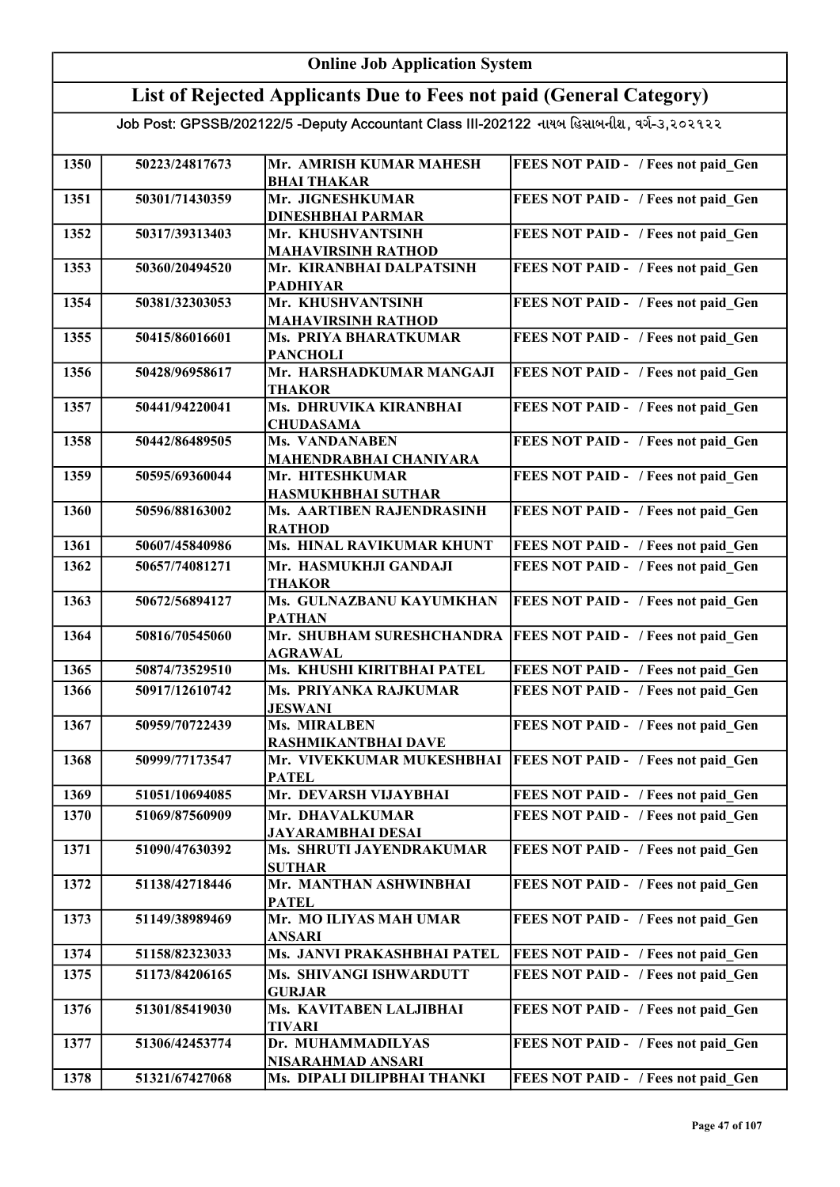|      | <b>Online Job Application System</b> |                                                                                           |                                     |  |
|------|--------------------------------------|-------------------------------------------------------------------------------------------|-------------------------------------|--|
|      |                                      | List of Rejected Applicants Due to Fees not paid (General Category)                       |                                     |  |
|      |                                      | Job Post: GPSSB/202122/5 -Deputy Accountant Class III-202122 નાયબ હિસાબનીશ, વર્ગ-૩,૨૦૨૧૨૨ |                                     |  |
| 1350 | 50223/24817673                       | Mr. AMRISH KUMAR MAHESH<br><b>BHAI THAKAR</b>                                             | FEES NOT PAID - / Fees not paid_Gen |  |
| 1351 | 50301/71430359                       | Mr. JIGNESHKUMAR<br><b>DINESHBHAI PARMAR</b>                                              | FEES NOT PAID - / Fees not paid Gen |  |
| 1352 | 50317/39313403                       | Mr. KHUSHVANTSINH<br><b>MAHAVIRSINH RATHOD</b>                                            | FEES NOT PAID - / Fees not paid Gen |  |
| 1353 | 50360/20494520                       | Mr. KIRANBHAI DALPATSINH<br><b>PADHIYAR</b>                                               | FEES NOT PAID - / Fees not paid Gen |  |
| 1354 | 50381/32303053                       | Mr. KHUSHVANTSINH<br><b>MAHAVIRSINH RATHOD</b>                                            | FEES NOT PAID - / Fees not paid Gen |  |
| 1355 | 50415/86016601                       | Ms. PRIYA BHARATKUMAR<br><b>PANCHOLI</b>                                                  | FEES NOT PAID - / Fees not paid Gen |  |
| 1356 | 50428/96958617                       | Mr. HARSHADKUMAR MANGAJI<br><b>THAKOR</b>                                                 | FEES NOT PAID - / Fees not paid Gen |  |
| 1357 | 50441/94220041                       | Ms. DHRUVIKA KIRANBHAI<br><b>CHUDASAMA</b>                                                | FEES NOT PAID - / Fees not paid Gen |  |
| 1358 | 50442/86489505                       | <b>Ms. VANDANABEN</b><br>MAHENDRABHAI CHANIYARA                                           | FEES NOT PAID - / Fees not paid_Gen |  |
| 1359 | 50595/69360044                       | Mr. HITESHKUMAR<br><b>HASMUKHBHAI SUTHAR</b>                                              | FEES NOT PAID - / Fees not paid Gen |  |
| 1360 | 50596/88163002                       | Ms. AARTIBEN RAJENDRASINH<br><b>RATHOD</b>                                                | FEES NOT PAID - / Fees not paid Gen |  |
| 1361 | 50607/45840986                       | Ms. HINAL RAVIKUMAR KHUNT                                                                 | FEES NOT PAID - / Fees not paid Gen |  |
| 1362 | 50657/74081271                       | Mr. HASMUKHJI GANDAJI<br><b>THAKOR</b>                                                    | FEES NOT PAID - / Fees not paid Gen |  |
| 1363 | 50672/56894127                       | Ms. GULNAZBANU KAYUMKHAN<br><b>PATHAN</b>                                                 | FEES NOT PAID - / Fees not paid Gen |  |
| 1364 | 50816/70545060                       | Mr. SHUBHAM SURESHCHANDRA<br><b>AGRAWAL</b>                                               | FEES NOT PAID - / Fees not paid Gen |  |
| 1365 | 50874/73529510                       | Ms. KHUSHI KIRITBHAI PATEL                                                                | FEES NOT PAID - / Fees not paid Gen |  |
| 1366 | 50917/12610742                       | Ms. PRIYANKA RAJKUMAR<br><b>JESWANI</b>                                                   | FEES NOT PAID - / Fees not paid Gen |  |
| 1367 | 50959/70722439                       | Ms. MIRALBEN<br>RASHMIKANTBHAI DAVE                                                       | FEES NOT PAID - / Fees not paid Gen |  |
| 1368 | 50999/77173547                       | Mr. VIVEKKUMAR MUKESHBHAI<br><b>PATEL</b>                                                 | FEES NOT PAID - / Fees not paid Gen |  |
| 1369 | 51051/10694085                       | Mr. DEVARSH VIJAYBHAI                                                                     | FEES NOT PAID - / Fees not paid Gen |  |
| 1370 | 51069/87560909                       | Mr. DHAVALKUMAR<br><b>JAYARAMBHAI DESAI</b>                                               | FEES NOT PAID - / Fees not paid Gen |  |
| 1371 | 51090/47630392                       | Ms. SHRUTI JAYENDRAKUMAR<br><b>SUTHAR</b>                                                 | FEES NOT PAID - / Fees not paid Gen |  |
| 1372 | 51138/42718446                       | Mr. MANTHAN ASHWINBHAI<br><b>PATEL</b>                                                    | FEES NOT PAID - / Fees not paid Gen |  |
| 1373 | 51149/38989469                       | Mr. MO ILIYAS MAH UMAR<br>ANSARI                                                          | FEES NOT PAID - / Fees not paid Gen |  |
| 1374 | 51158/82323033                       | Ms. JANVI PRAKASHBHAI PATEL                                                               | FEES NOT PAID - / Fees not paid Gen |  |
| 1375 | 51173/84206165                       | Ms. SHIVANGI ISHWARDUTT<br><b>GURJAR</b>                                                  | FEES NOT PAID - / Fees not paid Gen |  |
| 1376 | 51301/85419030                       | Ms. KAVITABEN LALJIBHAI<br><b>TIVARI</b>                                                  | FEES NOT PAID - / Fees not paid Gen |  |
| 1377 | 51306/42453774                       | Dr. MUHAMMADILYAS<br>NISARAHMAD ANSARI                                                    | FEES NOT PAID - / Fees not paid Gen |  |
| 1378 | 51321/67427068                       | Ms. DIPALI DILIPBHAI THANKI                                                               | FEES NOT PAID - / Fees not paid Gen |  |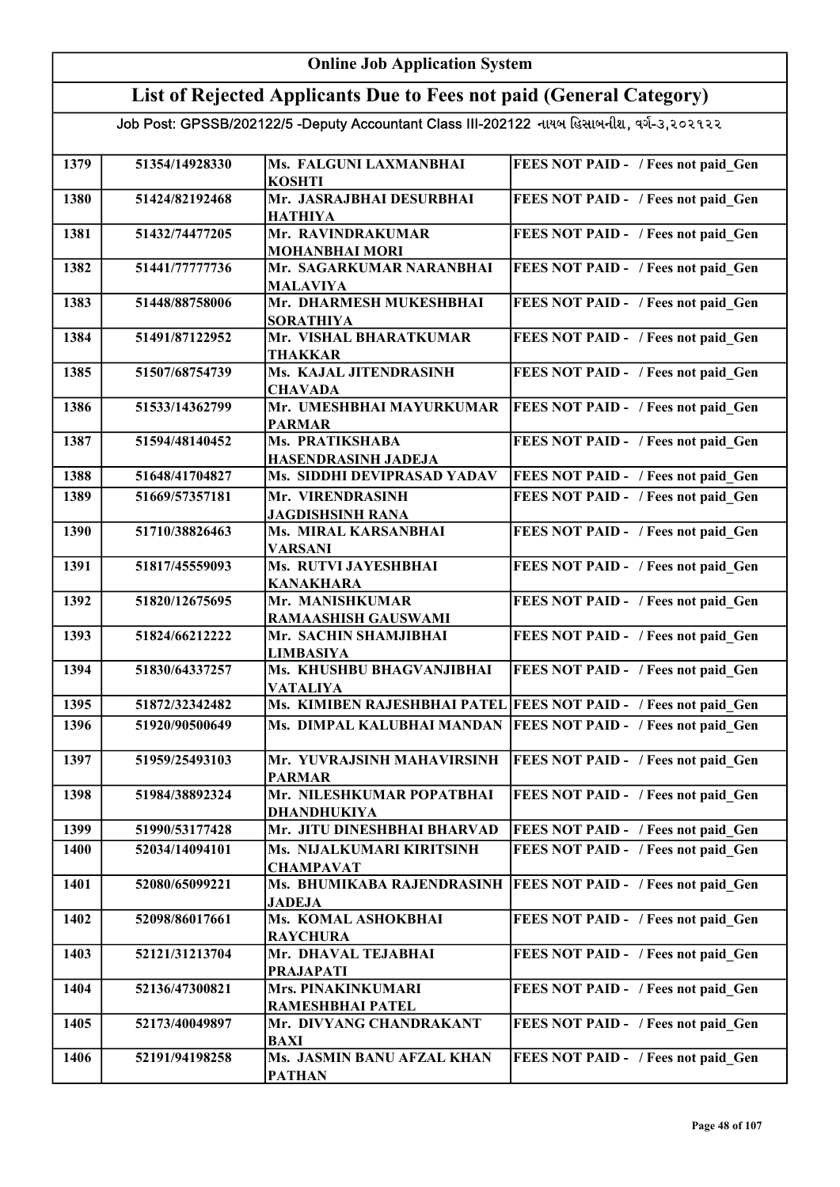|      | <b>Online Job Application System</b> |                                                                                           |                                                                  |  |
|------|--------------------------------------|-------------------------------------------------------------------------------------------|------------------------------------------------------------------|--|
|      |                                      | List of Rejected Applicants Due to Fees not paid (General Category)                       |                                                                  |  |
|      |                                      | Job Post: GPSSB/202122/5 -Deputy Accountant Class III-202122 નાયબ હિસાબનીશ, વર્ગ-૩,૨૦૨૧૨૨ |                                                                  |  |
| 1379 | 51354/14928330                       | Ms. FALGUNI LAXMANBHAI<br><b>KOSHTI</b>                                                   | FEES NOT PAID - / Fees not paid Gen                              |  |
| 1380 | 51424/82192468                       | Mr. JASRAJBHAI DESURBHAI<br><b>HATHIYA</b>                                                | FEES NOT PAID - / Fees not paid Gen                              |  |
| 1381 | 51432/74477205                       | Mr. RAVINDRAKUMAR<br><b>MOHANBHAI MORI</b>                                                | FEES NOT PAID - / Fees not paid Gen                              |  |
| 1382 | 51441/77777736                       | Mr. SAGARKUMAR NARANBHAI<br><b>MALAVIYA</b>                                               | FEES NOT PAID - / Fees not paid Gen                              |  |
| 1383 | 51448/88758006                       | Mr. DHARMESH MUKESHBHAI<br><b>SORATHIYA</b>                                               | FEES NOT PAID - / Fees not paid Gen                              |  |
| 1384 | 51491/87122952                       | Mr. VISHAL BHARATKUMAR<br><b>THAKKAR</b>                                                  | FEES NOT PAID - / Fees not paid Gen                              |  |
| 1385 | 51507/68754739                       | Ms. KAJAL JITENDRASINH<br><b>CHAVADA</b>                                                  | FEES NOT PAID - / Fees not paid Gen                              |  |
| 1386 | 51533/14362799                       | Mr. UMESHBHAI MAYURKUMAR<br><b>PARMAR</b>                                                 | FEES NOT PAID - / Fees not paid Gen                              |  |
| 1387 | 51594/48140452                       | Ms. PRATIKSHABA<br><b>HASENDRASINH JADEJA</b>                                             | FEES NOT PAID - / Fees not paid Gen                              |  |
| 1388 | 51648/41704827                       | Ms. SIDDHI DEVIPRASAD YADAV                                                               | FEES NOT PAID - / Fees not paid Gen                              |  |
| 1389 | 51669/57357181                       | Mr. VIRENDRASINH<br><b>JAGDISHSINH RANA</b>                                               | FEES NOT PAID - / Fees not paid Gen                              |  |
| 1390 | 51710/38826463                       | Ms. MIRAL KARSANBHAI<br><b>VARSANI</b>                                                    | FEES NOT PAID - / Fees not paid_Gen                              |  |
| 1391 | 51817/45559093                       | Ms. RUTVI JAYESHBHAI<br><b>KANAKHARA</b>                                                  | FEES NOT PAID - / Fees not paid_Gen                              |  |
| 1392 | 51820/12675695                       | Mr. MANISHKUMAR<br>RAMAASHISH GAUSWAMI                                                    | FEES NOT PAID - / Fees not paid_Gen                              |  |
| 1393 | 51824/66212222                       | Mr. SACHIN SHAMJIBHAI<br><b>LIMBASIYA</b>                                                 | FEES NOT PAID - / Fees not paid Gen                              |  |
| 1394 | 51830/64337257                       | Ms. KHUSHBU BHAGVANJIBHAI<br><b>VATALIYA</b>                                              | FEES NOT PAID - / Fees not paid Gen                              |  |
| 1395 | 51872/32342482                       |                                                                                           | Ms. KIMIBEN RAJESHBHAI PATEL FEES NOT PAID - / Fees not paid Gen |  |
| 1396 | 51920/90500649                       | Ms. DIMPAL KALUBHAI MANDAN                                                                | <b>FEES NOT PAID - / Fees not paid Gen</b>                       |  |
| 1397 | 51959/25493103                       | Mr. YUVRAJSINH MAHAVIRSINH<br><b>PARMAR</b>                                               | FEES NOT PAID - / Fees not paid Gen                              |  |
| 1398 | 51984/38892324                       | Mr. NILESHKUMAR POPATBHAI<br>DHANDHUKIYA                                                  | FEES NOT PAID - / Fees not paid Gen                              |  |
| 1399 | 51990/53177428                       | Mr. JITU DINESHBHAI BHARVAD                                                               | FEES NOT PAID - / Fees not paid Gen                              |  |
| 1400 | 52034/14094101                       | Ms. NIJALKUMARI KIRITSINH<br><b>CHAMPAVAT</b>                                             | FEES NOT PAID - / Fees not paid Gen                              |  |
| 1401 | 52080/65099221                       | Ms. BHUMIKABA RAJENDRASINH<br><b>JADEJA</b>                                               | FEES NOT PAID - / Fees not paid Gen                              |  |
| 1402 | 52098/86017661                       | Ms. KOMAL ASHOKBHAI<br><b>RAYCHURA</b>                                                    | FEES NOT PAID - / Fees not paid_Gen                              |  |
| 1403 | 52121/31213704                       | Mr. DHAVAL TEJABHAI<br><b>PRAJAPATI</b>                                                   | FEES NOT PAID - / Fees not paid Gen                              |  |
| 1404 | 52136/47300821                       | Mrs. PINAKINKUMARI<br>RAMESHBHAI PATEL                                                    | FEES NOT PAID - / Fees not paid Gen                              |  |
| 1405 | 52173/40049897                       | Mr. DIVYANG CHANDRAKANT<br><b>BAXI</b>                                                    | FEES NOT PAID - / Fees not paid Gen                              |  |
| 1406 | 52191/94198258                       | Ms. JASMIN BANU AFZAL KHAN<br><b>PATHAN</b>                                               | FEES NOT PAID - / Fees not paid Gen                              |  |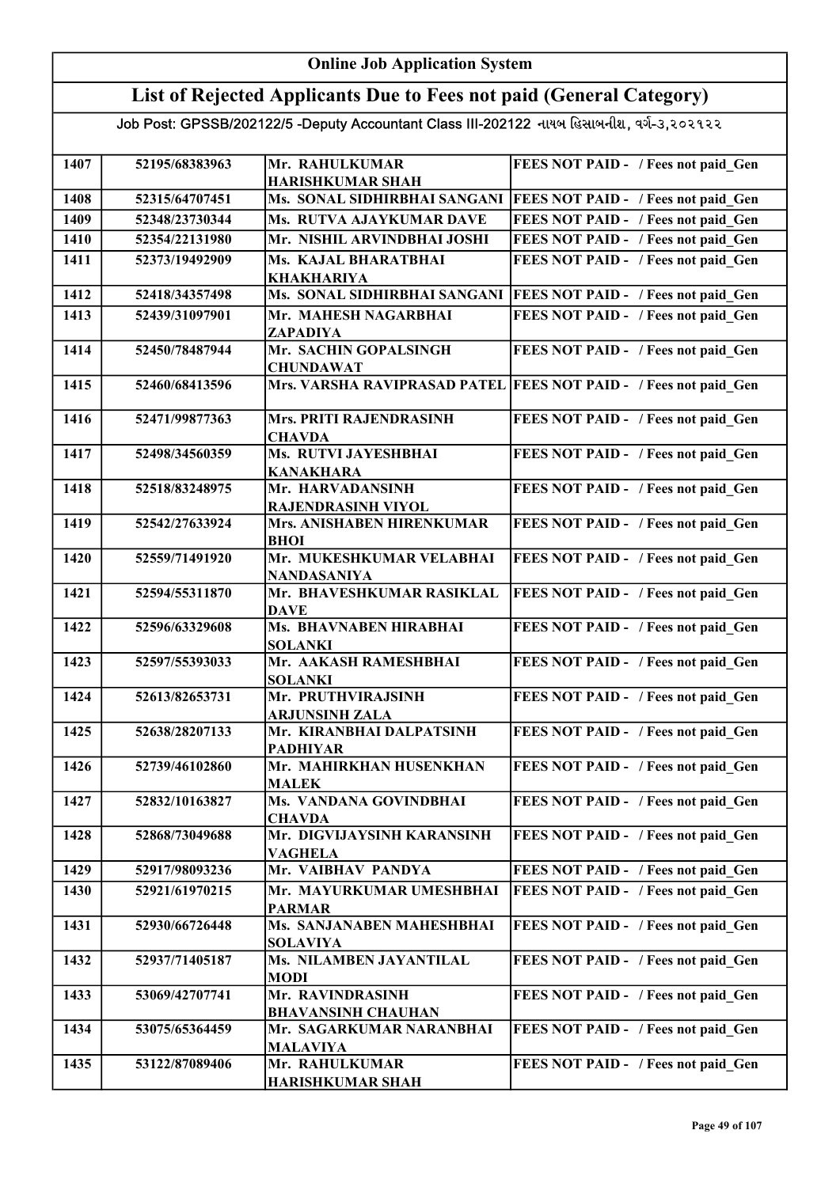### Online Job Application System

## List of Rejected Applicants Due to Fees not paid (General Category)

| 1407 | 52195/68383963 | Mr. RAHULKUMAR                                         | FEES NOT PAID - / Fees not paid Gen                              |
|------|----------------|--------------------------------------------------------|------------------------------------------------------------------|
|      |                | <b>HARISHKUMAR SHAH</b>                                |                                                                  |
| 1408 | 52315/64707451 | Ms. SONAL SIDHIRBHAI SANGANI                           | <b>FEES NOT PAID - / Fees not paid Gen</b>                       |
| 1409 | 52348/23730344 | Ms. RUTVA AJAYKUMAR DAVE                               | FEES NOT PAID - / Fees not paid Gen                              |
| 1410 | 52354/22131980 | Mr. NISHIL ARVINDBHAI JOSHI                            | FEES NOT PAID - / Fees not paid Gen                              |
| 1411 | 52373/19492909 | Ms. KAJAL BHARATBHAI                                   | FEES NOT PAID - / Fees not paid Gen                              |
|      |                | <b>KHAKHARIYA</b>                                      |                                                                  |
| 1412 | 52418/34357498 | Ms. SONAL SIDHIRBHAI SANGANI                           | <b>FEES NOT PAID - / Fees not paid Gen</b>                       |
| 1413 | 52439/31097901 | Mr. MAHESH NAGARBHAI<br>ZAPADIYA                       | FEES NOT PAID - / Fees not paid Gen                              |
| 1414 | 52450/78487944 | Mr. SACHIN GOPALSINGH                                  | FEES NOT PAID - / Fees not paid Gen                              |
|      |                | <b>CHUNDAWAT</b>                                       |                                                                  |
| 1415 | 52460/68413596 |                                                        | Mrs. VARSHA RAVIPRASAD PATEL FEES NOT PAID - / Fees not paid Gen |
|      |                |                                                        |                                                                  |
| 1416 | 52471/99877363 | Mrs. PRITI RAJENDRASINH                                | FEES NOT PAID - / Fees not paid Gen                              |
|      |                | <b>CHAVDA</b>                                          |                                                                  |
| 1417 | 52498/34560359 | Ms. RUTVI JAYESHBHAI                                   | FEES NOT PAID - / Fees not paid Gen                              |
|      |                | <b>KANAKHARA</b>                                       |                                                                  |
| 1418 | 52518/83248975 | Mr. HARVADANSINH                                       | FEES NOT PAID - / Fees not paid Gen                              |
| 1419 | 52542/27633924 | <b>RAJENDRASINH VIYOL</b><br>Mrs. ANISHABEN HIRENKUMAR | FEES NOT PAID - / Fees not paid Gen                              |
|      |                | <b>BHOI</b>                                            |                                                                  |
| 1420 | 52559/71491920 | Mr. MUKESHKUMAR VELABHAI                               | FEES NOT PAID - / Fees not paid_Gen                              |
|      |                | <b>NANDASANIYA</b>                                     |                                                                  |
| 1421 | 52594/55311870 | Mr. BHAVESHKUMAR RASIKLAL                              | FEES NOT PAID - / Fees not paid Gen                              |
|      |                | <b>DAVE</b>                                            |                                                                  |
| 1422 | 52596/63329608 | Ms. BHAVNABEN HIRABHAI                                 | FEES NOT PAID - / Fees not paid Gen                              |
|      |                | <b>SOLANKI</b>                                         |                                                                  |
| 1423 | 52597/55393033 | Mr. AAKASH RAMESHBHAI                                  | FEES NOT PAID - / Fees not paid Gen                              |
| 1424 | 52613/82653731 | <b>SOLANKI</b><br>Mr. PRUTHVIRAJSINH                   | FEES NOT PAID - / Fees not paid Gen                              |
|      |                | <b>ARJUNSINH ZALA</b>                                  |                                                                  |
| 1425 | 52638/28207133 | Mr. KIRANBHAI DALPATSINH                               | FEES NOT PAID - / Fees not paid Gen                              |
|      |                | <b>PADHIYAR</b>                                        |                                                                  |
| 1426 | 52739/46102860 | Mr. MAHIRKHAN HUSENKHAN                                | FEES NOT PAID - / Fees not paid Gen                              |
|      |                | <b>MALEK</b>                                           |                                                                  |
| 1427 | 52832/10163827 | Ms. VANDANA GOVINDBHAI                                 | FEES NOT PAID - / Fees not paid Gen                              |
|      |                | <b>CHAVDA</b>                                          |                                                                  |
| 1428 | 52868/73049688 | Mr. DIGVIJAYSINH KARANSINH                             | FEES NOT PAID - / Fees not paid Gen                              |
| 1429 | 52917/98093236 | VAGHELA                                                |                                                                  |
|      |                | Mr. VAIBHAV PANDYA                                     | FEES NOT PAID - / Fees not paid Gen                              |
| 1430 | 52921/61970215 | Mr. MAYURKUMAR UMESHBHAI<br><b>PARMAR</b>              | FEES NOT PAID - / Fees not paid Gen                              |
| 1431 | 52930/66726448 | Ms. SANJANABEN MAHESHBHAI                              | FEES NOT PAID - / Fees not paid Gen                              |
|      |                | <b>SOLAVIYA</b>                                        |                                                                  |
| 1432 | 52937/71405187 | Ms. NILAMBEN JAYANTILAL                                | FEES NOT PAID - / Fees not paid Gen                              |
|      |                | <b>MODI</b>                                            |                                                                  |
| 1433 | 53069/42707741 | Mr. RAVINDRASINH                                       | FEES NOT PAID - / Fees not paid Gen                              |
|      |                | <b>BHAVANSINH CHAUHAN</b>                              |                                                                  |
| 1434 | 53075/65364459 | Mr. SAGARKUMAR NARANBHAI                               | FEES NOT PAID - / Fees not paid Gen                              |
|      |                | <b>MALAVIYA</b>                                        |                                                                  |
| 1435 | 53122/87089406 | Mr. RAHULKUMAR                                         | FEES NOT PAID - / Fees not paid Gen                              |
|      |                | <b>HARISHKUMAR SHAH</b>                                |                                                                  |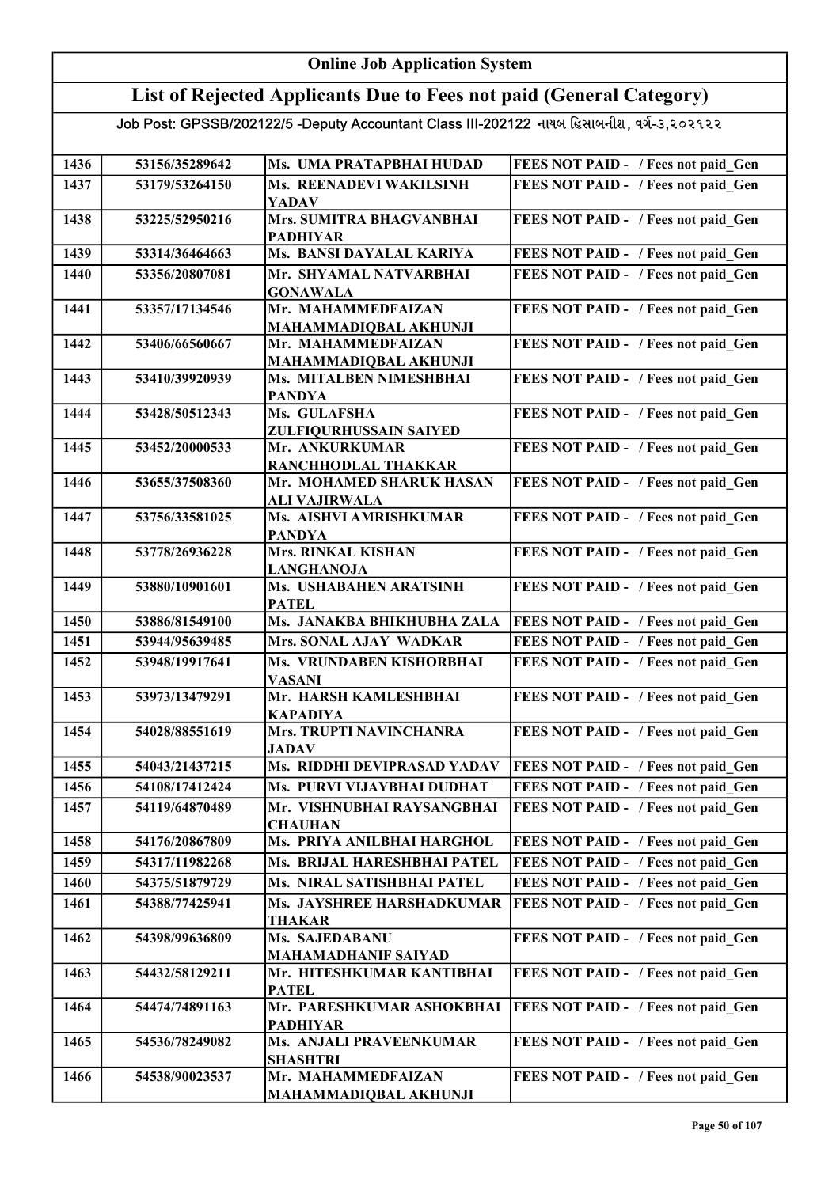#### Online Job Application System List of Rejected Applicants Due to Fees not paid (General Category) Job Post: GPSSB/202122/5 -Deputy Accountant Class III-202122 નાયબ હિસાબનીશ, વર્ગ-૩,૨૦૨૧૨૨ 1436 53156/35289642 Ms. UMA PRATAPBHAI HUDAD FEES NOT PAID - / Fees not paid Gen 1437 53179/53264150 Ms. REENADEVI WAKILSINH YADAV FEES NOT PAID - / Fees not paid Gen 1438 53225/52950216 Mrs. SUMITRA BHAGVANBHAI PADHIYAR FEES NOT PAID - / Fees not paid Gen 1439 53314/36464663 Ms. BANSI DAYALAL KARIYA FEES NOT PAID - / Fees not paid\_Gen 1440 53356/20807081 Mr. SHYAMAL NATVARBHAI GONAWALA FEES NOT PAID - / Fees not paid Gen 1441 53357/17134546 Mr. MAHAMMEDFAIZAN MAHAMMADIQBAL AKHUNJI FEES NOT PAID - / Fees not paid Gen 1442 53406/66560667 Mr. MAHAMMEDFAIZAN MAHAMMADIQBAL AKHUNJI FEES NOT PAID - / Fees not paid Gen 1443 53410/39920939 Ms. MITALBEN NIMESHBHAI PANDYA FEES NOT PAID - / Fees not paid\_Gen 1444 53428/50512343 Ms. GULAFSHA ZULFIQURHUSSAIN SAIYED FEES NOT PAID - / Fees not paid Gen 1445 53452/20000533 Mr. ANKURKUMAR RANCHHODLAL THAKKAR FEES NOT PAID - / Fees not paid Gen 1446 53655/37508360 Mr. MOHAMED SHARUK HASAN ALI VAJIRWALA FEES NOT PAID - / Fees not paid Gen 1447 53756/33581025 Ms. AISHVI AMRISHKUMAR PANDYA FEES NOT PAID - / Fees not paid Gen 1448 53778/26936228 Mrs. RINKAL KISHAN LANGHANOJA FEES NOT PAID - / Fees not paid Gen 1449 53880/10901601 Ms. USHABAHEN ARATSINH PATEL FEES NOT PAID - / Fees not paid Gen 1450 53886/81549100 Ms. JANAKBA BHIKHUBHA ZALA FEES NOT PAID - / Fees not paid\_Gen 1451 | 53944/95639485 | Mrs. SONAL AJAY WADKAR | FEES NOT PAID - / Fees not paid\_Gen 1452 53948/19917641 Ms. VRUNDABEN KISHORBHAI VASANI FEES NOT PAID - / Fees not paid Gen 1453 53973/13479291 Mr. HARSH KAMLESHBHAI KAPADIYA FEES NOT PAID - / Fees not paid\_Gen 1454 | 54028/88551619 | Mrs. TRUPTI NAVINCHANRA **JADAV** FEES NOT PAID - / Fees not paid Gen 1455 54043/21437215 Ms. RIDDHI DEVIPRASAD YADAV FEES NOT PAID - / Fees not paid Gen 1456 54108/17412424 Ms. PURVI VIJAYBHAI DUDHAT FEES NOT PAID - / Fees not paid\_Gen 1457 54119/64870489 Mr. VISHNUBHAI RAYSANGBHAI **CHAUHAN** FEES NOT PAID - / Fees not paid\_Gen 1458 54176/20867809 Ms. PRIYA ANILBHAI HARGHOL FEES NOT PAID - / Fees not paid\_Gen 1459 54317/11982268 Ms. BRIJAL HARESHBHAI PATEL FEES NOT PAID - / Fees not paid Gen 1460 54375/51879729 Ms. NIRAL SATISHBHAI PATEL FEES NOT PAID - / Fees not paid\_Gen 1461 | 54388/77425941 | Ms. JAYSHREE HARSHADKUMAR THAKAR FEES NOT PAID - / Fees not paid\_Gen 1462 54398/99636809 Ms. SAJEDABANU MAHAMADHANIF SAIYAD FEES NOT PAID - / Fees not paid Gen 1463 | 54432/58129211 | Mr. HITESHKUMAR KANTIBHAI PATEL FEES NOT PAID - / Fees not paid Gen 1464 54474/74891163 Mr. PARESHKUMAR ASHOKBHAI PADHIYAR FEES NOT PAID - / Fees not paid Gen 1465 54536/78249082 Ms. ANJALI PRAVEENKUMAR SHASHTRI FEES NOT PAID - / Fees not paid Gen 1466 54538/90023537 Mr. MAHAMMEDFAIZAN MAHAMMADIQBAL AKHUNJI FEES NOT PAID - / Fees not paid Gen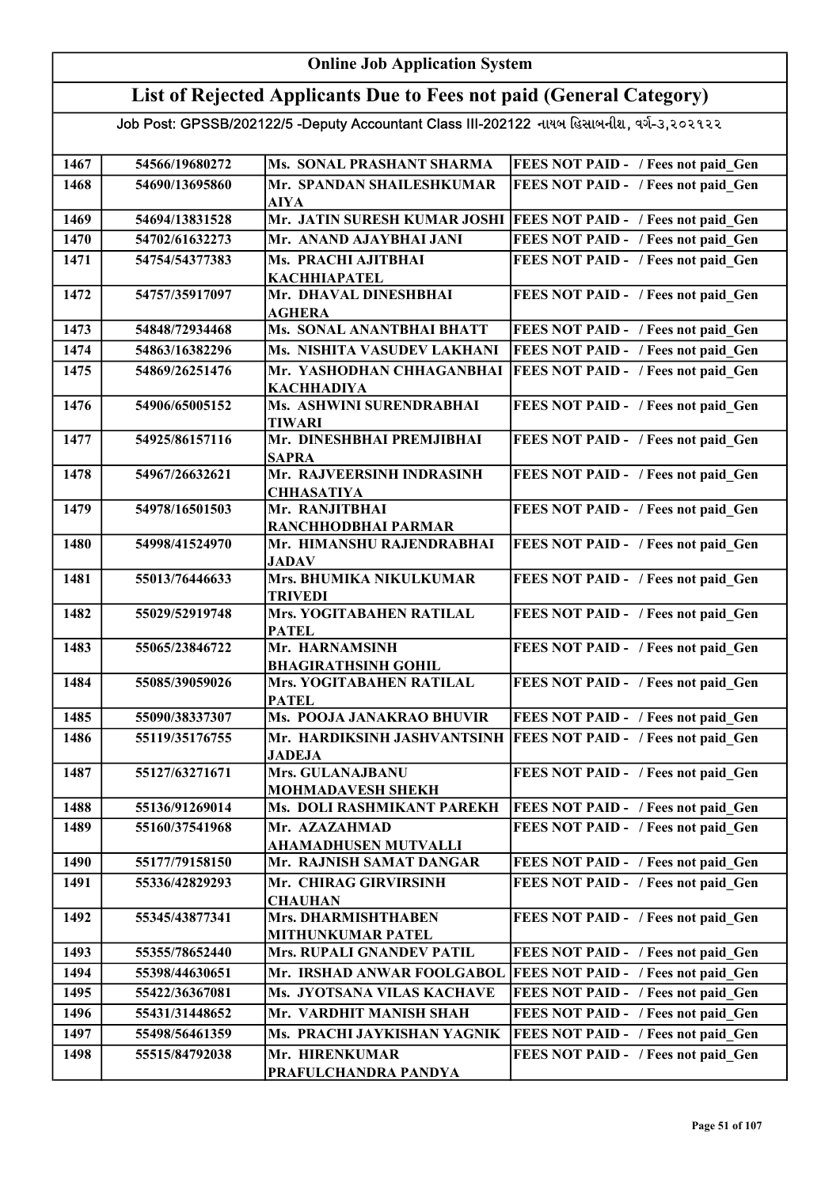#### Online Job Application System List of Rejected Applicants Due to Fees not paid (General Category) Job Post: GPSSB/202122/5 -Deputy Accountant Class III-202122 નાયબ હિસાબનીશ, વર્ગ-૩,૨૦૨૧૨૨ 1467 54566/19680272 Ms. SONAL PRASHANT SHARMA FEES NOT PAID - / Fees not paid Gen 1468 54690/13695860 Mr. SPANDAN SHAILESHKUMAR AIYA FEES NOT PAID - / Fees not paid Gen 1469 54694/13831528 Mr. JATIN SURESH KUMAR JOSHI FEES NOT PAID - / Fees not paid\_Gen 1470 54702/61632273 Mr. ANAND AJAYBHAI JANI FEES NOT PAID - / Fees not paid Gen 1471 54754/54377383 Ms. PRACHI AJITBHAI KACHHIAPATEL FEES NOT PAID - / Fees not paid Gen 1472 54757/35917097 Mr. DHAVAL DINESHBHAI AGHERA FEES NOT PAID - / Fees not paid Gen 1473 54848/72934468 Ms. SONAL ANANTBHAI BHATT FEES NOT PAID - / Fees not paid\_Gen 1474 54863/16382296 Ms. NISHITA VASUDEV LAKHANI FEES NOT PAID - / Fees not paid Gen 1475 | 54869/26251476 | Mr. YASHODHAN CHHAGANBHAI KACHHADIYA FEES NOT PAID - / Fees not paid\_Gen 1476 | 54906/65005152 | Ms. ASHWINI SURENDRABHAI TIWARI FEES NOT PAID - / Fees not paid Gen 1477 54925/86157116 Mr. DINESHBHAI PREMJIBHAI SAPRA FEES NOT PAID - / Fees not paid Gen 1478 54967/26632621 Mr. RAJVEERSINH INDRASINH **CHHASATIYA** FEES NOT PAID - / Fees not paid Gen 1479 54978/16501503 Mr. RANJITBHAI RANCHHODBHAI PARMAR FEES NOT PAID - / Fees not paid Gen 1480 54998/41524970 Mr. HIMANSHU RAJENDRABHAI JADAV FEES NOT PAID - / Fees not paid Gen 1481 55013/76446633 Mrs. BHUMIKA NIKULKUMAR TRIVEDI FEES NOT PAID - / Fees not paid Gen 1482 55029/52919748 Mrs. YOGITABAHEN RATILAL PATEL FEES NOT PAID - / Fees not paid Gen 1483 | 55065/23846722 | Mr. HARNAMSINH BHAGIRATHSINH GOHIL FEES NOT PAID - / Fees not paid\_Gen 1484 55085/39059026 Mrs. YOGITABAHEN RATILAL PATEL FEES NOT PAID - / Fees not paid Gen 1485 55090/38337307 Ms. POOJA JANAKRAO BHUVIR FEES NOT PAID - / Fees not paid Gen 1486 55119/35176755 Mr. HARDIKSINH JASHVANTSINH FEES NOT PAID - / Fees not paid\_Gen JADEJA 1487 55127/63271671 Mrs. GULANAJBANU MOHMADAVESH SHEKH FEES NOT PAID - / Fees not paid Gen 1488 55136/91269014 Ms. DOLI RASHMIKANT PAREKH FEES NOT PAID - / Fees not paid\_Gen 1489 55160/37541968 Mr. AZAZAHMAD AHAMADHUSEN MUTVALLI FEES NOT PAID - / Fees not paid Gen 1490 55177/79158150 Mr. RAJNISH SAMAT DANGAR FEES NOT PAID - / Fees not paid Gen 1491 55336/42829293 Mr. CHIRAG GIRVIRSINH **CHAUHAN** FEES NOT PAID - / Fees not paid Gen 1492 55345/43877341 Mrs. DHARMISHTHABEN MITHUNKUMAR PATEL FEES NOT PAID - / Fees not paid Gen 1493 55355/78652440 Mrs. RUPALI GNANDEV PATIL FEES NOT PAID - / Fees not paid\_Gen 1494 55398/44630651 Mr. IRSHAD ANWAR FOOLGABOL FEES NOT PAID - / Fees not paid Gen 1495 55422/36367081 Ms. JYOTSANA VILAS KACHAVE FEES NOT PAID - / Fees not paid Gen 1496 55431/31448652 Mr. VARDHIT MANISH SHAH FEES NOT PAID - / Fees not paid Gen 1497 55498/56461359 Ms. PRACHI JAYKISHAN YAGNIK FEES NOT PAID - / Fees not paid\_Gen 1498 55515/84792038 Mr. HIRENKUMAR FEES NOT PAID - / Fees not paid Gen

PRAFULCHANDRA PANDYA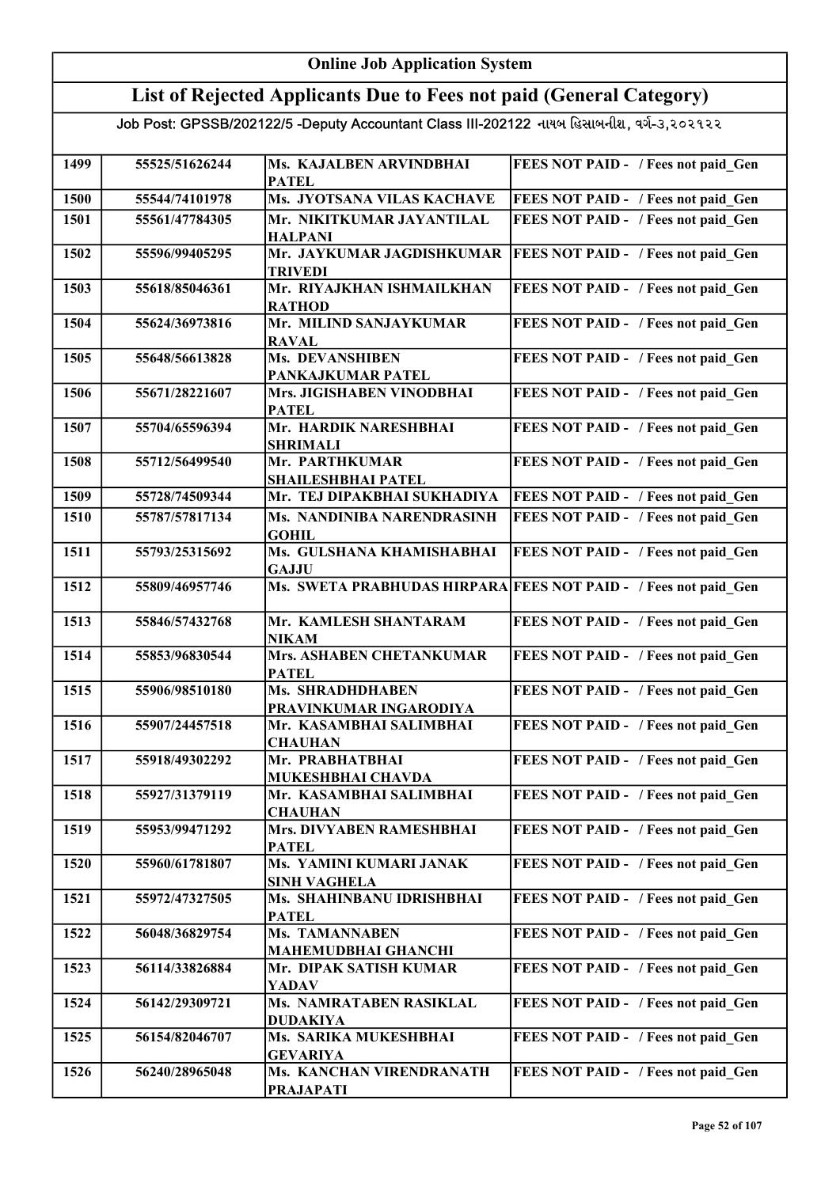#### Online Job Application System List of Rejected Applicants Due to Fees not paid (General Category) Job Post: GPSSB/202122/5 -Deputy Accountant Class III-202122 નાયબ હિસાબનીશ, વર્ગ-૩,૨૦૨૧૨૨ 1499 55525/51626244 Ms. KAJALBEN ARVINDBHAI PATEL FEES NOT PAID - / Fees not paid Gen 1500 55544/74101978 Ms. JYOTSANA VILAS KACHAVE FEES NOT PAID - / Fees not paid\_Gen 1501 55561/47784305 Mr. NIKITKUMAR JAYANTILAL HALPANI FEES NOT PAID - / Fees not paid Gen 1502 55596/99405295 Mr. JAYKUMAR JAGDISHKUMAR TRIVEDI **FEES NOT PAID - / Fees not paid Gen** 1503 55618/85046361 Mr. RIYAJKHAN ISHMAILKHAN **RATHOD** FEES NOT PAID - / Fees not paid Gen 1504 55624/36973816 Mr. MILIND SANJAYKUMAR RAVAL FEES NOT PAID - / Fees not paid Gen 1505 55648/56613828 Ms. DEVANSHIBEN PANKAJKUMAR PATEL FEES NOT PAID - / Fees not paid Gen 1506 55671/28221607 Mrs. JIGISHABEN VINODBHAI **PATEL** FEES NOT PAID - / Fees not paid Gen 1507 55704/65596394 Mr. HARDIK NARESHBHAI SHRIMALI FEES NOT PAID - / Fees not paid Gen 1508 55712/56499540 Mr. PARTHKUMAR SHAILESHBHAI PATEL FEES NOT PAID - / Fees not paid Gen 1509 55728/74509344 Mr. TEJ DIPAKBHAI SUKHADIYA FEES NOT PAID - / Fees not paid\_Gen 1510 55787/57817134 Ms. NANDINIBA NARENDRASINH GOHIL FEES NOT PAID - / Fees not paid Gen 1511 55793/25315692 Ms. GULSHANA KHAMISHABHAI **GAJJU** FEES NOT PAID - / Fees not paid Gen 1512 55809/46957746 Ms. SWETA PRABHUDAS HIRPARA FEES NOT PAID - / Fees not paid\_Gen 1513 55846/57432768 Mr. KAMLESH SHANTARAM NIKAM FEES NOT PAID - / Fees not paid Gen 1514 55853/96830544 Mrs. ASHABEN CHETANKUMAR **PATEL** FEES NOT PAID - / Fees not paid Gen 1515 55906/98510180 Ms. SHRADHDHABEN PRAVINKUMAR INGARODIYA FEES NOT PAID - / Fees not paid Gen 1516 55907/24457518 Mr. KASAMBHAI SALIMBHAI **CHAUHAN** FEES NOT PAID - / Fees not paid Gen 1517 55918/49302292 Mr. PRABHATBHAI MUKESHBHAI CHAVDA FEES NOT PAID - / Fees not paid\_Gen 1518 55927/31379119 Mr. KASAMBHAI SALIMBHAI **CHAUHAN** FEES NOT PAID - / Fees not paid Gen 1519 55953/99471292 Mrs. DIVYABEN RAMESHBHAI PATEL FEES NOT PAID - / Fees not paid Gen 1520 55960/61781807 Ms. YAMINI KUMARI JANAK SINH VAGHELA FEES NOT PAID - / Fees not paid Gen 1521 55972/47327505 Ms. SHAHINBANU IDRISHBHAI PATEL FEES NOT PAID - / Fees not paid Gen 1522 56048/36829754 Ms. TAMANNABEN MAHEMUDBHAI GHANCHI FEES NOT PAID - / Fees not paid Gen 1523 56114/33826884 Mr. DIPAK SATISH KUMAR YADAV FEES NOT PAID - / Fees not paid Gen 1524 56142/29309721 Ms. NAMRATABEN RASIKLAL DUDAKIYA FEES NOT PAID - / Fees not paid Gen 1525 56154/82046707 Ms. SARIKA MUKESHBHAI GEVARIYA FEES NOT PAID - / Fees not paid\_Gen 1526 56240/28965048 Ms. KANCHAN VIRENDRANATH PRAJAPATI FEES NOT PAID - / Fees not paid Gen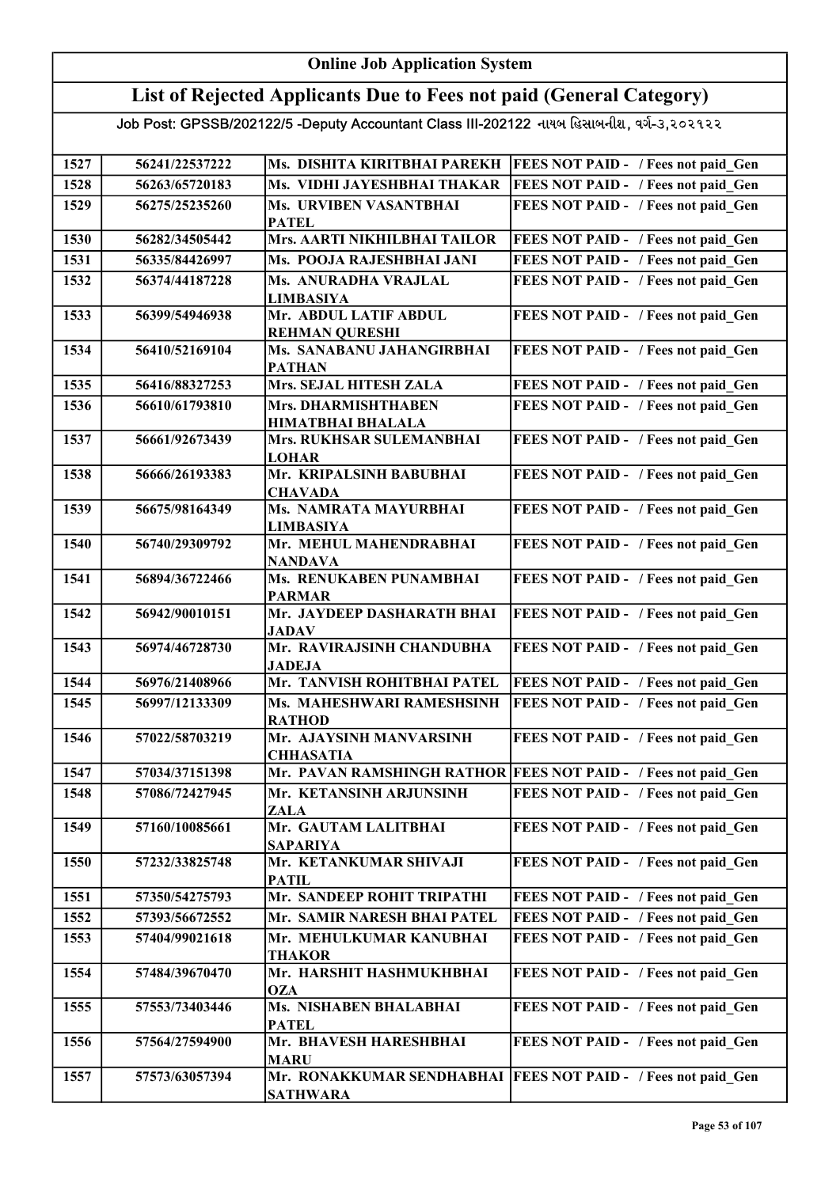### Online Job Application System

## List of Rejected Applicants Due to Fees not paid (General Category)

| 1527 | 56241/22537222 | Ms. DISHITA KIRITBHAI PAREKH                   | <b>FEES NOT PAID - / Fees not paid Gen</b>                     |
|------|----------------|------------------------------------------------|----------------------------------------------------------------|
| 1528 | 56263/65720183 | Ms. VIDHI JAYESHBHAI THAKAR                    | FEES NOT PAID - / Fees not paid Gen                            |
| 1529 | 56275/25235260 | Ms. URVIBEN VASANTBHAI                         | FEES NOT PAID - / Fees not paid Gen                            |
|      |                | <b>PATEL</b>                                   |                                                                |
| 1530 | 56282/34505442 | Mrs. AARTI NIKHILBHAI TAILOR                   | FEES NOT PAID - / Fees not paid Gen                            |
| 1531 | 56335/84426997 | Ms. POOJA RAJESHBHAI JANI                      | FEES NOT PAID - / Fees not paid Gen                            |
| 1532 | 56374/44187228 | Ms. ANURADHA VRAJLAL                           | FEES NOT PAID - / Fees not paid Gen                            |
|      |                | <b>LIMBASIYA</b>                               |                                                                |
| 1533 | 56399/54946938 | Mr. ABDUL LATIF ABDUL<br><b>REHMAN QURESHI</b> | FEES NOT PAID - / Fees not paid Gen                            |
| 1534 | 56410/52169104 | Ms. SANABANU JAHANGIRBHAI                      | FEES NOT PAID - / Fees not paid Gen                            |
|      |                | <b>PATHAN</b>                                  |                                                                |
| 1535 | 56416/88327253 | Mrs. SEJAL HITESH ZALA                         | FEES NOT PAID - / Fees not paid Gen                            |
| 1536 | 56610/61793810 | Mrs. DHARMISHTHABEN                            | FEES NOT PAID - / Fees not paid Gen                            |
|      |                | <b>HIMATBHAI BHALALA</b>                       |                                                                |
| 1537 | 56661/92673439 | Mrs. RUKHSAR SULEMANBHAI                       | FEES NOT PAID - / Fees not paid Gen                            |
|      |                | <b>LOHAR</b>                                   |                                                                |
| 1538 | 56666/26193383 | Mr. KRIPALSINH BABUBHAI                        | FEES NOT PAID - / Fees not paid Gen                            |
|      |                | <b>CHAVADA</b>                                 |                                                                |
| 1539 | 56675/98164349 | Ms. NAMRATA MAYURBHAI                          | FEES NOT PAID - / Fees not paid Gen                            |
| 1540 | 56740/29309792 | <b>LIMBASIYA</b><br>Mr. MEHUL MAHENDRABHAI     | FEES NOT PAID - / Fees not paid Gen                            |
|      |                | <b>NANDAVA</b>                                 |                                                                |
| 1541 | 56894/36722466 | Ms. RENUKABEN PUNAMBHAI                        | FEES NOT PAID - / Fees not paid_Gen                            |
|      |                | <b>PARMAR</b>                                  |                                                                |
| 1542 | 56942/90010151 | Mr. JAYDEEP DASHARATH BHAI                     | FEES NOT PAID - / Fees not paid_Gen                            |
|      |                | <b>JADAV</b>                                   |                                                                |
| 1543 | 56974/46728730 | Mr. RAVIRAJSINH CHANDUBHA                      | FEES NOT PAID - / Fees not paid Gen                            |
| 1544 | 56976/21408966 | <b>JADEJA</b><br>Mr. TANVISH ROHITBHAI PATEL   | FEES NOT PAID - / Fees not paid Gen                            |
| 1545 | 56997/12133309 | Ms. MAHESHWARI RAMESHSINH                      | FEES NOT PAID - / Fees not paid Gen                            |
|      |                | <b>RATHOD</b>                                  |                                                                |
| 1546 | 57022/58703219 | Mr. AJAYSINH MANVARSINH                        | FEES NOT PAID - / Fees not paid Gen                            |
|      |                | <b>CHHASATIA</b>                               |                                                                |
| 1547 | 57034/37151398 |                                                | Mr. PAVAN RAMSHINGH RATHOR FEES NOT PAID - / Fees not paid Gen |
| 1548 | 57086/72427945 | Mr. KETANSINH ARJUNSINH                        | FEES NOT PAID - / Fees not paid Gen                            |
|      |                | <b>ZALA</b>                                    |                                                                |
| 1549 | 57160/10085661 | Mr. GAUTAM LALITBHAI                           | FEES NOT PAID - / Fees not paid Gen                            |
|      |                | <b>SAPARIYA</b>                                |                                                                |
| 1550 | 57232/33825748 | Mr. KETANKUMAR SHIVAJI                         | FEES NOT PAID - / Fees not paid Gen                            |
|      |                | <b>PATIL</b><br>Mr. SANDEEP ROHIT TRIPATHI     |                                                                |
| 1551 | 57350/54275793 |                                                | FEES NOT PAID - / Fees not paid Gen                            |
| 1552 | 57393/56672552 | Mr. SAMIR NARESH BHAI PATEL                    | FEES NOT PAID - / Fees not paid Gen                            |
| 1553 | 57404/99021618 | Mr. MEHULKUMAR KANUBHAI                        | FEES NOT PAID - / Fees not paid Gen                            |
| 1554 | 57484/39670470 | <b>THAKOR</b><br>Mr. HARSHIT HASHMUKHBHAI      | FEES NOT PAID - / Fees not paid Gen                            |
|      |                | <b>OZA</b>                                     |                                                                |
| 1555 | 57553/73403446 | Ms. NISHABEN BHALABHAI                         | FEES NOT PAID - / Fees not paid Gen                            |
|      |                | <b>PATEL</b>                                   |                                                                |
| 1556 | 57564/27594900 | Mr. BHAVESH HARESHBHAI                         | FEES NOT PAID - / Fees not paid Gen                            |
|      |                | <b>MARU</b>                                    |                                                                |
| 1557 | 57573/63057394 | Mr. RONAKKUMAR SENDHABHAI                      | <b>FEES NOT PAID - / Fees not paid_Gen</b>                     |
|      |                | <b>SATHWARA</b>                                |                                                                |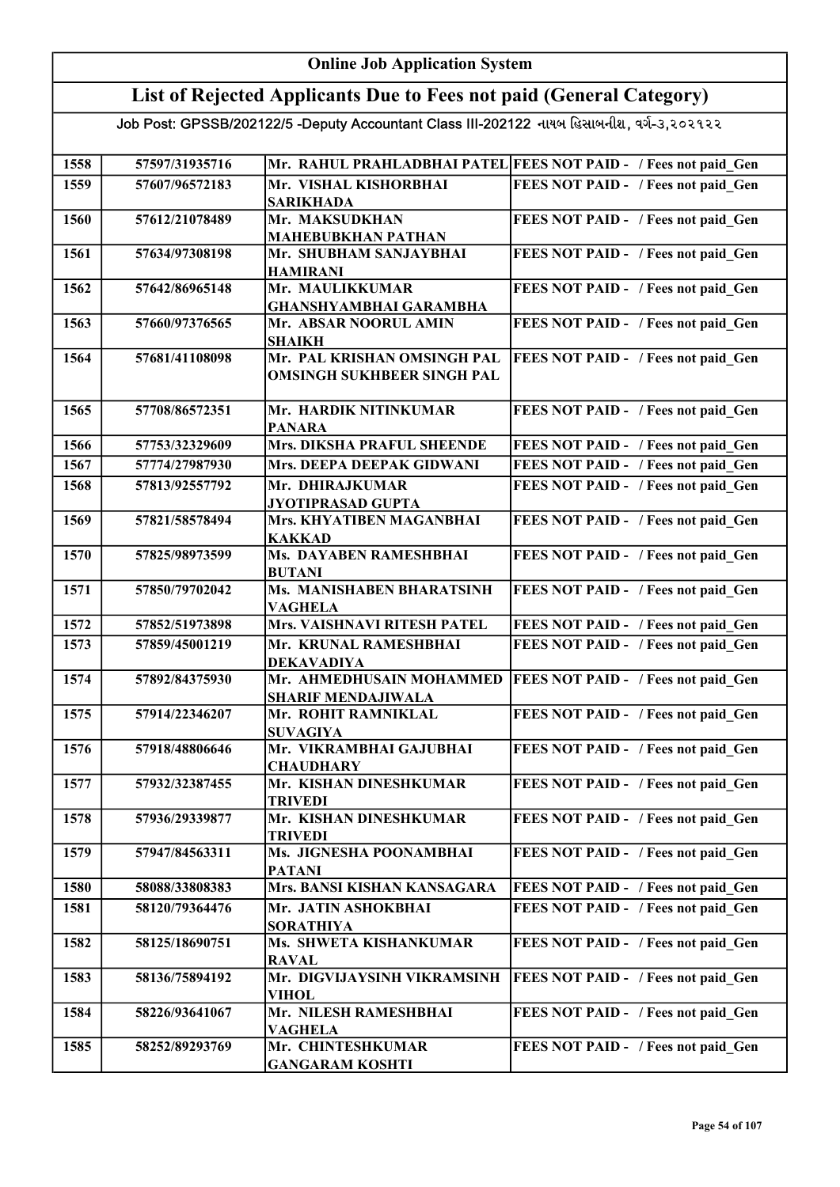#### Online Job Application System List of Rejected Applicants Due to Fees not paid (General Category) Job Post: GPSSB/202122/5 -Deputy Accountant Class III-202122 નાયબ હિસાબનીશ, વર્ગ-૩,૨૦૨૧૨૨ 1558 | 57597/31935716 | Mr. RAHUL PRAHLADBHAI PATEL FEES NOT PAID - / Fees not paid\_Gen 1559 57607/96572183 Mr. VISHAL KISHORBHAI SARIKHADA FEES NOT PAID - / Fees not paid\_Gen 1560 57612/21078489 Mr. MAKSUDKHAN MAHEBUBKHAN PATHAN FEES NOT PAID - / Fees not paid Gen 1561 57634/97308198 Mr. SHUBHAM SANJAYBHAI HAMIRANI FEES NOT PAID - / Fees not paid Gen 1562 57642/86965148 Mr. MAULIKKUMAR GHANSHYAMBHAI GARAMBHA FEES NOT PAID - / Fees not paid Gen 1563 57660/97376565 Mr. ABSAR NOORUL AMIN SHAIKH FEES NOT PAID - / Fees not paid Gen 1564 57681/41108098 Mr. PAL KRISHAN OMSINGH PAL OMSINGH SUKHBEER SINGH PAL FEES NOT PAID - / Fees not paid Gen 1565 57708/86572351 Mr. HARDIK NITINKUMAR PANARA FEES NOT PAID - / Fees not paid Gen 1566 57753/32329609 Mrs. DIKSHA PRAFUL SHEENDE FEES NOT PAID - / Fees not paid Gen 1567 | 57774/27987930 | Mrs. DEEPA DEEPAK GIDWANI | FEES NOT PAID - / Fees not paid Gen 1568 57813/92557792 Mr. DHIRAJKUMAR JYOTIPRASAD GUPTA FEES NOT PAID - / Fees not paid Gen 1569 57821/58578494 Mrs. KHYATIBEN MAGANBHAI KAKKAD FEES NOT PAID - / Fees not paid Gen 1570 57825/98973599 Ms. DAYABEN RAMESHBHAI BUTANI FEES NOT PAID - / Fees not paid\_Gen 1571 57850/79702042 Ms. MANISHABEN BHARATSINH VAGHELA FEES NOT PAID - / Fees not paid Gen 1572 57852/51973898 Mrs. VAISHNAVI RITESH PATEL FEES NOT PAID - / Fees not paid Gen 1573 | 57859/45001219 | Mr. KRUNAL RAMESHBHAI DEKAVADIYA FEES NOT PAID - / Fees not paid Gen 1574 57892/84375930 Mr. AHMEDHUSAIN MOHAMMED SHARIF MENDAJIWALA **FEES NOT PAID - / Fees not paid Gen** 1575 57914/22346207 Mr. ROHIT RAMNIKLAL SUVAGIYA FEES NOT PAID - / Fees not paid Gen 1576 57918/48806646 Mr. VIKRAMBHAI GAJUBHAI **CHAUDHARY** FEES NOT PAID - / Fees not paid Gen 1577 | 57932/32387455 | Mr. KISHAN DINESHKUMAR TRIVEDI FEES NOT PAID - / Fees not paid Gen 1578 57936/29339877 Mr. KISHAN DINESHKUMAR TRIVEDI FEES NOT PAID - / Fees not paid Gen 1579 | 57947/84563311 | Ms. JIGNESHA POONAMBHAI PATANI FEES NOT PAID - / Fees not paid Gen 1580 58088/33808383 Mrs. BANSI KISHAN KANSAGARA FEES NOT PAID - / Fees not paid\_Gen 1581 58120/79364476 Mr. JATIN ASHOKBHAI SORATHIYA FEES NOT PAID - / Fees not paid Gen 1582 58125/18690751 Ms. SHWETA KISHANKUMAR RAVAL FEES NOT PAID - / Fees not paid\_Gen 1583 58136/75894192 Mr. DIGVIJAYSINH VIKRAMSINH VIHOL **FEES NOT PAID - / Fees not paid Gen** 1584 58226/93641067 Mr. NILESH RAMESHBHAI VAGHELA FEES NOT PAID - / Fees not paid Gen 1585 58252/89293769 Mr. CHINTESHKUMAR GANGARAM KOSHTI FEES NOT PAID - / Fees not paid Gen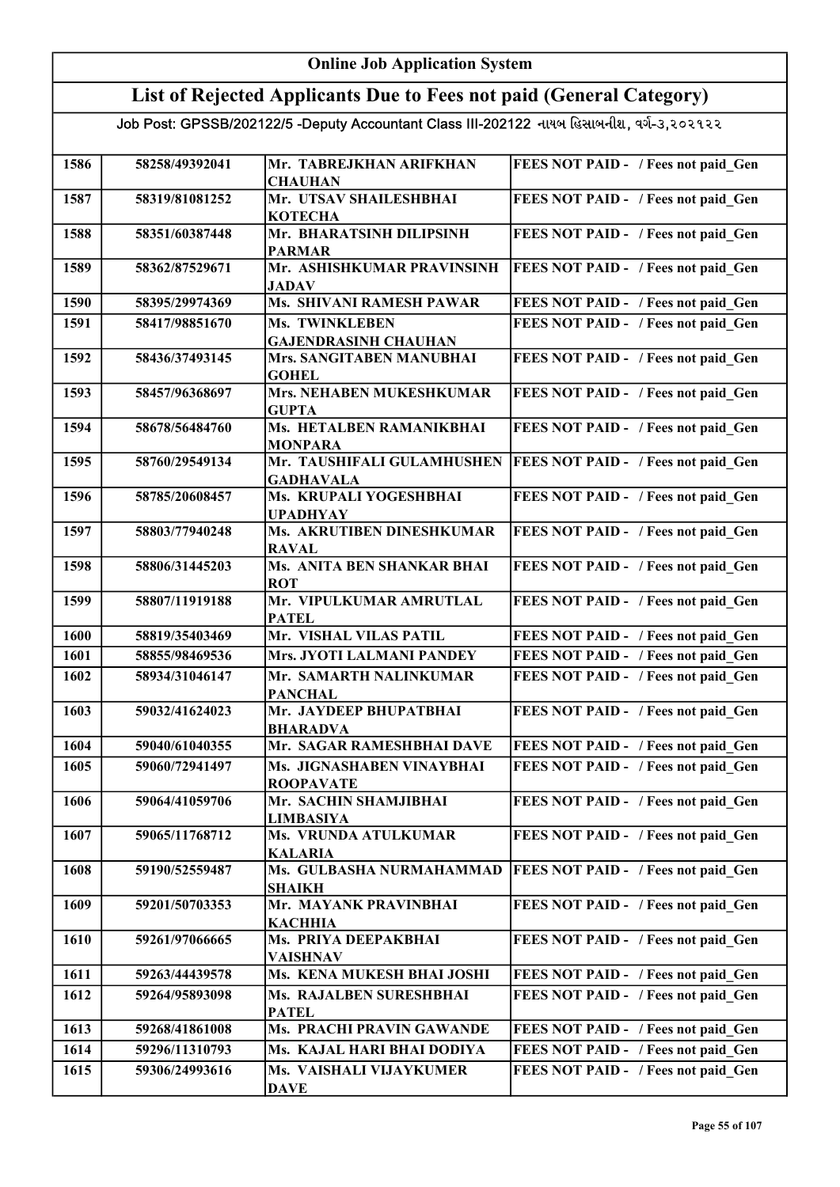| <b>Online Job Application System</b> |                |                                                                                           |                                     |
|--------------------------------------|----------------|-------------------------------------------------------------------------------------------|-------------------------------------|
|                                      |                | List of Rejected Applicants Due to Fees not paid (General Category)                       |                                     |
|                                      |                | Job Post: GPSSB/202122/5 -Deputy Accountant Class III-202122 નાયબ હિસાબનીશ, વર્ગ-૩,૨૦૨૧૨૨ |                                     |
| 1586                                 | 58258/49392041 | Mr. TABREJKHAN ARIFKHAN<br><b>CHAUHAN</b>                                                 | FEES NOT PAID - / Fees not paid Gen |
| 1587                                 | 58319/81081252 | Mr. UTSAV SHAILESHBHAI<br><b>КОТЕСНА</b>                                                  | FEES NOT PAID - / Fees not paid Gen |
| 1588                                 | 58351/60387448 | Mr. BHARATSINH DILIPSINH<br><b>PARMAR</b>                                                 | FEES NOT PAID - / Fees not paid Gen |
| 1589                                 | 58362/87529671 | Mr. ASHISHKUMAR PRAVINSINH<br><b>JADAV</b>                                                | FEES NOT PAID - / Fees not paid Gen |
| 1590                                 | 58395/29974369 | <b>Ms. SHIVANI RAMESH PAWAR</b>                                                           | FEES NOT PAID - / Fees not paid Gen |
| 1591                                 | 58417/98851670 | Ms. TWINKLEBEN<br><b>GAJENDRASINH CHAUHAN</b>                                             | FEES NOT PAID - / Fees not paid Gen |
| 1592                                 | 58436/37493145 | Mrs. SANGITABEN MANUBHAI<br><b>GOHEL</b>                                                  | FEES NOT PAID - / Fees not paid Gen |
| 1593                                 | 58457/96368697 | Mrs. NEHABEN MUKESHKUMAR<br><b>GUPTA</b>                                                  | FEES NOT PAID - / Fees not paid Gen |
| 1594                                 | 58678/56484760 | Ms. HETALBEN RAMANIKBHAI<br><b>MONPARA</b>                                                | FEES NOT PAID - / Fees not paid Gen |
| 1595                                 | 58760/29549134 | Mr. TAUSHIFALI GULAMHUSHEN<br><b>GADHAVALA</b>                                            | FEES NOT PAID - / Fees not paid Gen |
| 1596                                 | 58785/20608457 | Ms. KRUPALI YOGESHBHAI<br><b>UPADHYAY</b>                                                 | FEES NOT PAID - / Fees not paid_Gen |
| 1597                                 | 58803/77940248 | Ms. AKRUTIBEN DINESHKUMAR<br><b>RAVAL</b>                                                 | FEES NOT PAID - / Fees not paid_Gen |
| 1598                                 | 58806/31445203 | Ms. ANITA BEN SHANKAR BHAI<br><b>ROT</b>                                                  | FEES NOT PAID - / Fees not paid_Gen |
| 1599                                 | 58807/11919188 | Mr. VIPULKUMAR AMRUTLAL<br><b>PATEL</b>                                                   | FEES NOT PAID - / Fees not paid Gen |
| 1600                                 | 58819/35403469 | Mr. VISHAL VILAS PATIL                                                                    | FEES NOT PAID - / Fees not paid Gen |
| 1601                                 | 58855/98469536 | Mrs. JYOTI LALMANI PANDEY                                                                 | FEES NOT PAID - / Fees not paid Gen |
| 1602                                 | 58934/31046147 | Mr. SAMARTH NALINKUMAR<br><b>PANCHAL</b>                                                  | FEES NOT PAID - / Fees not paid_Gen |
| 1603                                 | 59032/41624023 | Mr. JAYDEEP BHUPATBHAI<br><b>BHARADVA</b>                                                 | FEES NOT PAID - / Fees not paid Gen |
| 1604                                 | 59040/61040355 | Mr. SAGAR RAMESHBHAI DAVE                                                                 | FEES NOT PAID - / Fees not paid Gen |
| 1605                                 | 59060/72941497 | Ms. JIGNASHABEN VINAYBHAI<br><b>ROOPAVATE</b>                                             | FEES NOT PAID - / Fees not paid Gen |
| 1606                                 | 59064/41059706 | Mr. SACHIN SHAMJIBHAI<br><b>LIMBASIYA</b>                                                 | FEES NOT PAID - / Fees not paid Gen |
| 1607                                 | 59065/11768712 | Ms. VRUNDA ATULKUMAR<br><b>KALARIA</b>                                                    | FEES NOT PAID - / Fees not paid Gen |
| 1608                                 | 59190/52559487 | Ms. GULBASHA NURMAHAMMAD<br><b>SHAIKH</b>                                                 | FEES NOT PAID - / Fees not paid Gen |
| 1609                                 | 59201/50703353 | Mr. MAYANK PRAVINBHAI<br><b>КАСННІА</b>                                                   | FEES NOT PAID - / Fees not paid Gen |
| 1610                                 | 59261/97066665 | Ms. PRIYA DEEPAKBHAI<br><b>VAISHNAV</b>                                                   | FEES NOT PAID - / Fees not paid Gen |
| 1611                                 | 59263/44439578 | Ms. KENA MUKESH BHAI JOSHI                                                                | FEES NOT PAID - / Fees not paid Gen |
| 1612                                 | 59264/95893098 | Ms. RAJALBEN SURESHBHAI<br><b>PATEL</b>                                                   | FEES NOT PAID - / Fees not paid Gen |
| 1613                                 | 59268/41861008 | Ms. PRACHI PRAVIN GAWANDE                                                                 | FEES NOT PAID - / Fees not paid Gen |
| 1614                                 | 59296/11310793 | Ms. KAJAL HARI BHAI DODIYA                                                                | FEES NOT PAID - / Fees not paid Gen |
| 1615                                 | 59306/24993616 | Ms. VAISHALI VIJAYKUMER<br><b>DAVE</b>                                                    | FEES NOT PAID - / Fees not paid Gen |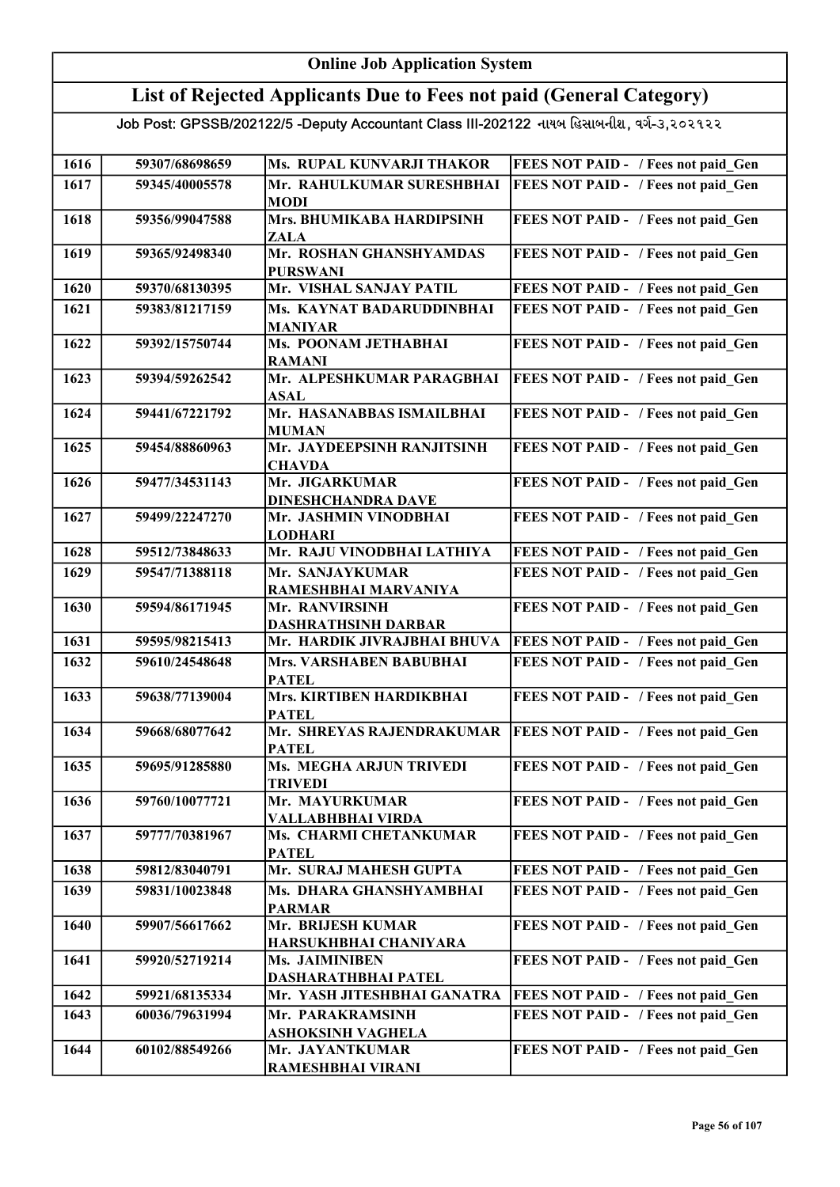#### Online Job Application System List of Rejected Applicants Due to Fees not paid (General Category) Job Post: GPSSB/202122/5 -Deputy Accountant Class III-202122 નાયબ હિસાબનીશ, વર્ગ-૩,૨૦૨૧૨૨ 1616 59307/68698659 Ms. RUPAL KUNVARJI THAKOR FEES NOT PAID - / Fees not paid\_Gen 1617 59345/40005578 Mr. RAHULKUMAR SURESHBHAI MODI FEES NOT PAID - / Fees not paid Gen 1618 59356/99047588 Mrs. BHUMIKABA HARDIPSINH ZALA FEES NOT PAID - / Fees not paid Gen 1619 59365/92498340 Mr. ROSHAN GHANSHYAMDAS PURSWANI FEES NOT PAID - / Fees not paid Gen 1620 59370/68130395 Mr. VISHAL SANJAY PATIL FEES NOT PAID - / Fees not paid\_Gen 1621 59383/81217159 Ms. KAYNAT BADARUDDINBHAI MANIYAR FEES NOT PAID - / Fees not paid Gen 1622 59392/15750744 Ms. POONAM JETHABHAI RAMANI FEES NOT PAID - / Fees not paid\_Gen 1623 59394/59262542 Mr. ALPESHKUMAR PARAGBHAI ASAL **FEES NOT PAID - / Fees not paid Gen** 1624 59441/67221792 Mr. HASANABBAS ISMAILBHAI MUMAN FEES NOT PAID - / Fees not paid Gen 1625 59454/88860963 Mr. JAYDEEPSINH RANJITSINH **CHAVDA** FEES NOT PAID - / Fees not paid Gen 1626 59477/34531143 Mr. JIGARKUMAR DINESHCHANDRA DAVE FEES NOT PAID - / Fees not paid Gen 1627 59499/22247270 Mr. JASHMIN VINODBHAI LODHARI FEES NOT PAID - / Fees not paid Gen 1628 59512/73848633 Mr. RAJU VINODBHAI LATHIYA FEES NOT PAID - / Fees not paid Gen 1629 | 59547/71388118 | Mr. SANJAYKUMAR RAMESHBHAI MARVANIYA FEES NOT PAID - / Fees not paid Gen 1630 59594/86171945 Mr. RANVIRSINH DASHRATHSINH DARBAR FEES NOT PAID - / Fees not paid Gen 1631 59595/98215413 Mr. HARDIK JIVRAJBHAI BHUVA FEES NOT PAID - / Fees not paid Gen 1632 59610/24548648 Mrs. VARSHABEN BABUBHAI **PATEL** FEES NOT PAID - / Fees not paid Gen 1633 | 59638/77139004 | Mrs. KIRTIBEN HARDIKBHAI PATEL FEES NOT PAID - / Fees not paid\_Gen 1634 59668/68077642 Mr. SHREYAS RAJENDRAKUMAR PATEL FEES NOT PAID - / Fees not paid\_Gen 1635 59695/91285880 Ms. MEGHA ARJUN TRIVEDI TRIVEDI FEES NOT PAID - / Fees not paid Gen 1636 59760/10077721 Mr. MAYURKUMAR VALLABHBHAI VIRDA FEES NOT PAID - / Fees not paid Gen 1637 | 59777/70381967 | Ms. CHARMI CHETANKUMAR PATEL FEES NOT PAID - / Fees not paid Gen 1638 59812/83040791 Mr. SURAJ MAHESH GUPTA FEES NOT PAID - / Fees not paid\_Gen 1639 59831/10023848 Ms. DHARA GHANSHYAMBHAI PARMAR FEES NOT PAID - / Fees not paid Gen 1640 59907/56617662 Mr. BRIJESH KUMAR HARSUKHBHAI CHANIYARA FEES NOT PAID - / Fees not paid Gen 1641 | 59920/52719214 | Ms. JAIMINIBEN DASHARATHBHAI PATEL FEES NOT PAID - / Fees not paid Gen 1642 59921/68135334 Mr. YASH JITESHBHAI GANATRA FEES NOT PAID - / Fees not paid Gen 1643 60036/79631994 Mr. PARAKRAMSINH ASHOKSINH VAGHELA FEES NOT PAID - / Fees not paid Gen 1644 60102/88549266 Mr. JAYANTKUMAR RAMESHBHAI VIRANI FEES NOT PAID - / Fees not paid Gen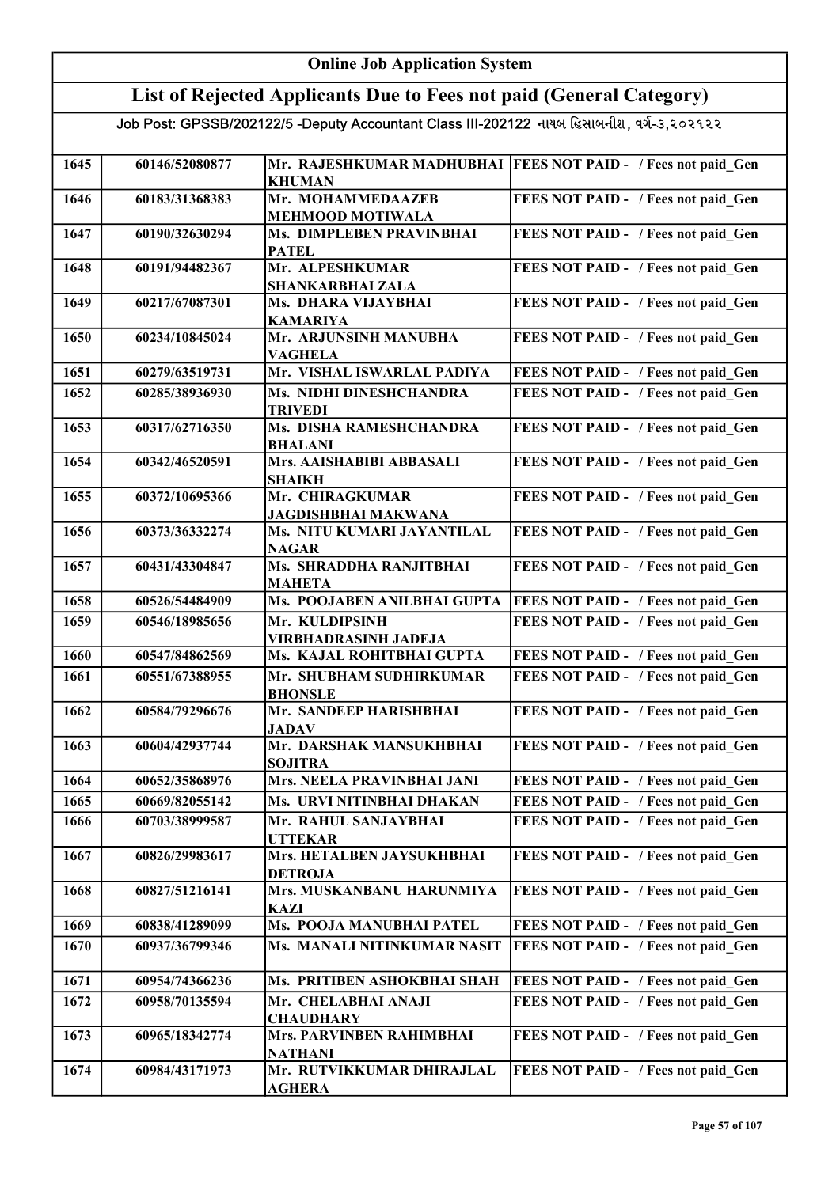|      | <b>Online Job Application System</b> |                                                                                           |                                                                 |  |
|------|--------------------------------------|-------------------------------------------------------------------------------------------|-----------------------------------------------------------------|--|
|      |                                      | List of Rejected Applicants Due to Fees not paid (General Category)                       |                                                                 |  |
|      |                                      | Job Post: GPSSB/202122/5 -Deputy Accountant Class III-202122 નાયબ હિસાબનીશ, વર્ગ-૩,૨૦૨૧૨૨ |                                                                 |  |
| 1645 | 60146/52080877                       | <b>KHUMAN</b>                                                                             | Mr. RAJESHKUMAR MADHUBHAI   FEES NOT PAID - / Fees not paid Gen |  |
| 1646 | 60183/31368383                       | Mr. MOHAMMEDAAZEB<br><b>MEHMOOD MOTIWALA</b>                                              | FEES NOT PAID - / Fees not paid_Gen                             |  |
| 1647 | 60190/32630294                       | Ms. DIMPLEBEN PRAVINBHAI<br><b>PATEL</b>                                                  | FEES NOT PAID - / Fees not paid Gen                             |  |
| 1648 | 60191/94482367                       | Mr. ALPESHKUMAR<br><b>SHANKARBHAI ZALA</b>                                                | FEES NOT PAID - / Fees not paid Gen                             |  |
| 1649 | 60217/67087301                       | Ms. DHARA VIJAYBHAI<br><b>KAMARIYA</b>                                                    | FEES NOT PAID - / Fees not paid Gen                             |  |
| 1650 | 60234/10845024                       | Mr. ARJUNSINH MANUBHA<br><b>VAGHELA</b>                                                   | FEES NOT PAID - / Fees not paid Gen                             |  |
| 1651 | 60279/63519731                       | Mr. VISHAL ISWARLAL PADIYA                                                                | FEES NOT PAID - / Fees not paid Gen                             |  |
| 1652 | 60285/38936930                       | Ms. NIDHI DINESHCHANDRA<br><b>TRIVEDI</b>                                                 | FEES NOT PAID - / Fees not paid Gen                             |  |
| 1653 | 60317/62716350                       | Ms. DISHA RAMESHCHANDRA<br><b>BHALANI</b>                                                 | FEES NOT PAID - / Fees not paid Gen                             |  |
| 1654 | 60342/46520591                       | Mrs. AAISHABIBI ABBASALI<br><b>SHAIKH</b>                                                 | FEES NOT PAID - / Fees not paid Gen                             |  |
| 1655 | 60372/10695366                       | Mr. CHIRAGKUMAR<br><b>JAGDISHBHAI MAKWANA</b>                                             | FEES NOT PAID - / Fees not paid Gen                             |  |
| 1656 | 60373/36332274                       | Ms. NITU KUMARI JAYANTILAL<br><b>NAGAR</b>                                                | FEES NOT PAID - / Fees not paid_Gen                             |  |
| 1657 | 60431/43304847                       | Ms. SHRADDHA RANJITBHAI<br><b>MAHETA</b>                                                  | FEES NOT PAID - / Fees not paid Gen                             |  |
| 1658 | 60526/54484909                       | Ms. POOJABEN ANILBHAI GUPTA                                                               | FEES NOT PAID - / Fees not paid_Gen                             |  |
| 1659 | 60546/18985656                       | Mr. KULDIPSINH<br><b>VIRBHADRASINH JADEJA</b>                                             | FEES NOT PAID - / Fees not paid Gen                             |  |
| 1660 | 60547/84862569                       | Ms. KAJAL ROHITBHAI GUPTA                                                                 | FEES NOT PAID - / Fees not paid Gen                             |  |
| 1661 | 60551/67388955                       | Mr. SHUBHAM SUDHIRKUMAR<br><b>BHONSLE</b>                                                 | FEES NOT PAID - / Fees not paid Gen                             |  |
| 1662 | 60584/79296676                       | Mr. SANDEEP HARISHBHAI<br><b>JADAV</b>                                                    | FEES NOT PAID - / Fees not paid_Gen                             |  |
| 1663 | 60604/42937744                       | Mr. DARSHAK MANSUKHBHAI<br><b>SOJITRA</b>                                                 | FEES NOT PAID - / Fees not paid Gen                             |  |
| 1664 | 60652/35868976                       | Mrs. NEELA PRAVINBHAI JANI                                                                | FEES NOT PAID - / Fees not paid Gen                             |  |
| 1665 | 60669/82055142                       | Ms. URVI NITINBHAI DHAKAN                                                                 | FEES NOT PAID - / Fees not paid Gen                             |  |
| 1666 | 60703/38999587                       | Mr. RAHUL SANJAYBHAI<br><b>UTTEKAR</b>                                                    | FEES NOT PAID - / Fees not paid Gen                             |  |
| 1667 | 60826/29983617                       | Mrs. HETALBEN JAYSUKHBHAI<br><b>DETROJA</b>                                               | FEES NOT PAID - / Fees not paid Gen                             |  |
| 1668 | 60827/51216141                       | Mrs. MUSKANBANU HARUNMIYA<br><b>KAZI</b>                                                  | FEES NOT PAID - / Fees not paid Gen                             |  |
| 1669 | 60838/41289099                       | Ms. POOJA MANUBHAI PATEL                                                                  | FEES NOT PAID - / Fees not paid Gen                             |  |
| 1670 | 60937/36799346                       | Ms. MANALI NITINKUMAR NASIT                                                               | FEES NOT PAID - / Fees not paid Gen                             |  |
| 1671 | 60954/74366236                       | Ms. PRITIBEN ASHOKBHAI SHAH                                                               | FEES NOT PAID - / Fees not paid Gen                             |  |
| 1672 | 60958/70135594                       | Mr. CHELABHAI ANAJI<br><b>CHAUDHARY</b>                                                   | FEES NOT PAID - / Fees not paid Gen                             |  |
| 1673 | 60965/18342774                       | Mrs. PARVINBEN RAHIMBHAI<br><b>NATHANI</b>                                                | FEES NOT PAID - / Fees not paid Gen                             |  |
| 1674 | 60984/43171973                       | Mr. RUTVIKKUMAR DHIRAJLAL<br><b>AGHERA</b>                                                | FEES NOT PAID - / Fees not paid Gen                             |  |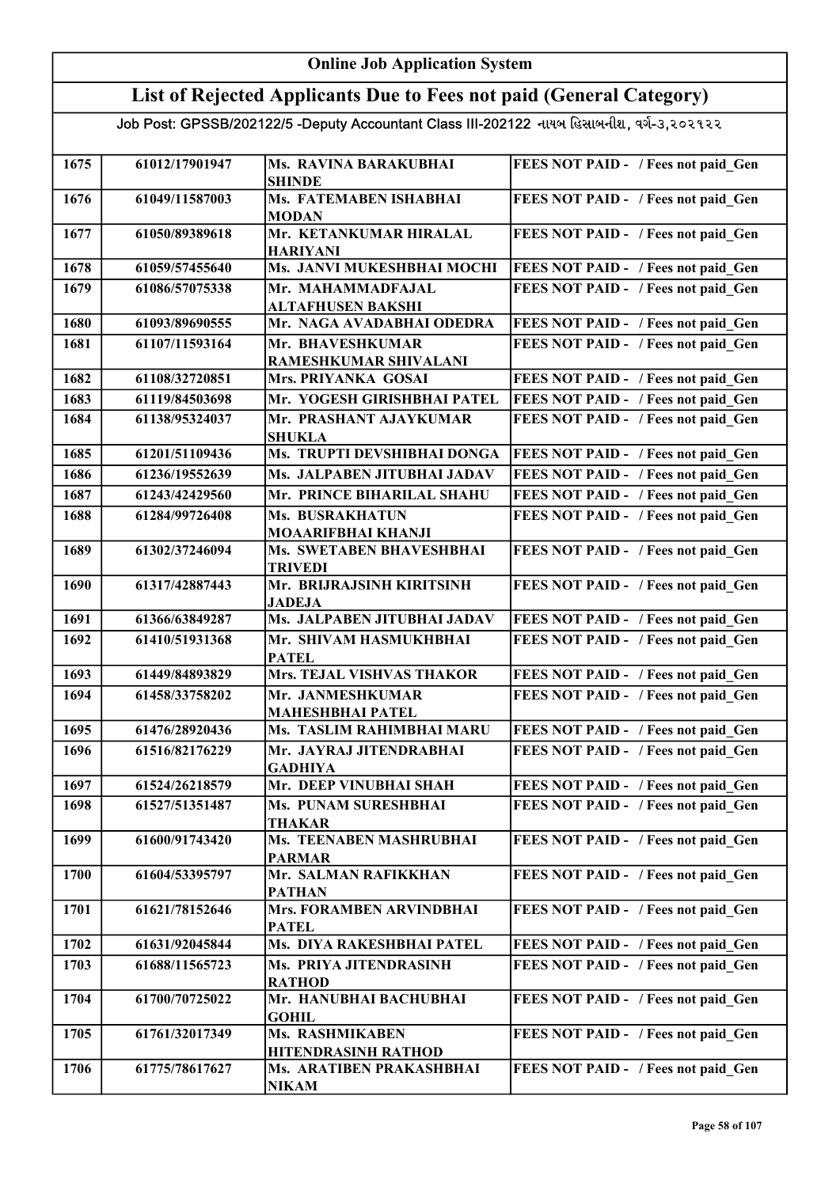#### Online Job Application System List of Rejected Applicants Due to Fees not paid (General Category) Job Post: GPSSB/202122/5 -Deputy Accountant Class III-202122 નાયબ હિસાબનીશ, વર્ગ-૩,૨૦૨૧૨૨ 1675 61012/17901947 Ms. RAVINA BARAKUBHAI SHINDE FEES NOT PAID - / Fees not paid Gen 1676 61049/11587003 Ms. FATEMABEN ISHABHAI **MODAN** FEES NOT PAID - / Fees not paid\_Gen 1677 61050/89389618 Mr. KETANKUMAR HIRALAL HARIYANI FEES NOT PAID - / Fees not paid Gen 1678 61059/57455640 Ms. JANVI MUKESHBHAI MOCHI FEES NOT PAID - / Fees not paid\_Gen 1679 61086/57075338 Mr. MAHAMMADFAJAL ALTAFHUSEN BAKSHI FEES NOT PAID - / Fees not paid Gen 1680 61093/89690555 Mr. NAGA AVADABHAI ODEDRA FEES NOT PAID - / Fees not paid Gen 1681 61107/11593164 Mr. BHAVESHKUMAR RAMESHKUMAR SHIVALANI FEES NOT PAID - / Fees not paid Gen 1682 61108/32720851 Mrs. PRIYANKA GOSAI FEES NOT PAID - / Fees not paid\_Gen 1683 61119/84503698 Mr. YOGESH GIRISHBHAI PATEL FEES NOT PAID - / Fees not paid Gen 1684 61138/95324037 Mr. PRASHANT AJAYKUMAR SHUKLA FEES NOT PAID - / Fees not paid Gen 1685 61201/51109436 Ms. TRUPTI DEVSHIBHAI DONGA FEES NOT PAID - / Fees not paid Gen 1686 61236/19552639 Ms. JALPABEN JITUBHAI JADAV FEES NOT PAID - / Fees not paid Gen 1687 61243/42429560 Mr. PRINCE BIHARILAL SHAHU FEES NOT PAID - / Fees not paid Gen 1688 61284/99726408 Ms. BUSRAKHATUN MOAARIFBHAI KHANJI FEES NOT PAID - / Fees not paid Gen 1689 61302/37246094 Ms. SWETABEN BHAVESHBHAI TRIVEDI FEES NOT PAID - / Fees not paid Gen 1690 61317/42887443 Mr. BRIJRAJSINH KIRITSINH JADEJA FEES NOT PAID - / Fees not paid Gen 1691 61366/63849287 Ms. JALPABEN JITUBHAI JADAV FEES NOT PAID - / Fees not paid\_Gen 1692 61410/51931368 Mr. SHIVAM HASMUKHBHAI **PATEL** FEES NOT PAID - / Fees not paid Gen 1693 61449/84893829 Mrs. TEJAL VISHVAS THAKOR FEES NOT PAID - / Fees not paid Gen 1694 61458/33758202 Mr. JANMESHKUMAR MAHESHBHAI PATEL FEES NOT PAID - / Fees not paid Gen 1695 61476/28920436 Ms. TASLIM RAHIMBHAI MARU FEES NOT PAID - / Fees not paid Gen 1696 61516/82176229 Mr. JAYRAJ JITENDRABHAI GADHIYA<br>Mr. DEEP VINUBHAI SHAH FEES NOT PAID - / Fees not paid Gen 1697 61524/26218579 Mr. DEEP VINUBHAI SHAH FEES NOT PAID - / Fees not paid\_Gen 1698 61527/51351487 Ms. PUNAM SURESHBHAI THAKAR FEES NOT PAID - / Fees not paid Gen 1699 61600/91743420 Ms. TEENABEN MASHRUBHAI PARMAR FEES NOT PAID - / Fees not paid Gen 1700 61604/53395797 Mr. SALMAN RAFIKKHAN PATHAN FEES NOT PAID - / Fees not paid Gen 1701 61621/78152646 Mrs. FORAMBEN ARVINDBHAI **PATEL** FEES NOT PAID - / Fees not paid Gen 1702 61631/92045844 Ms. DIYA RAKESHBHAI PATEL FEES NOT PAID - / Fees not paid\_Gen 1703 61688/11565723 Ms. PRIYA JITENDRASINH RATHOD FEES NOT PAID - / Fees not paid Gen 1704 61700/70725022 Mr. HANUBHAI BACHUBHAI **GOHIL** FEES NOT PAID - / Fees not paid Gen 1705 61761/32017349 Ms. RASHMIKABEN HITENDRASINH RATHOD FEES NOT PAID - / Fees not paid Gen 1706 61775/78617627 Ms. ARATIBEN PRAKASHBHAI NIKAM FEES NOT PAID - / Fees not paid\_Gen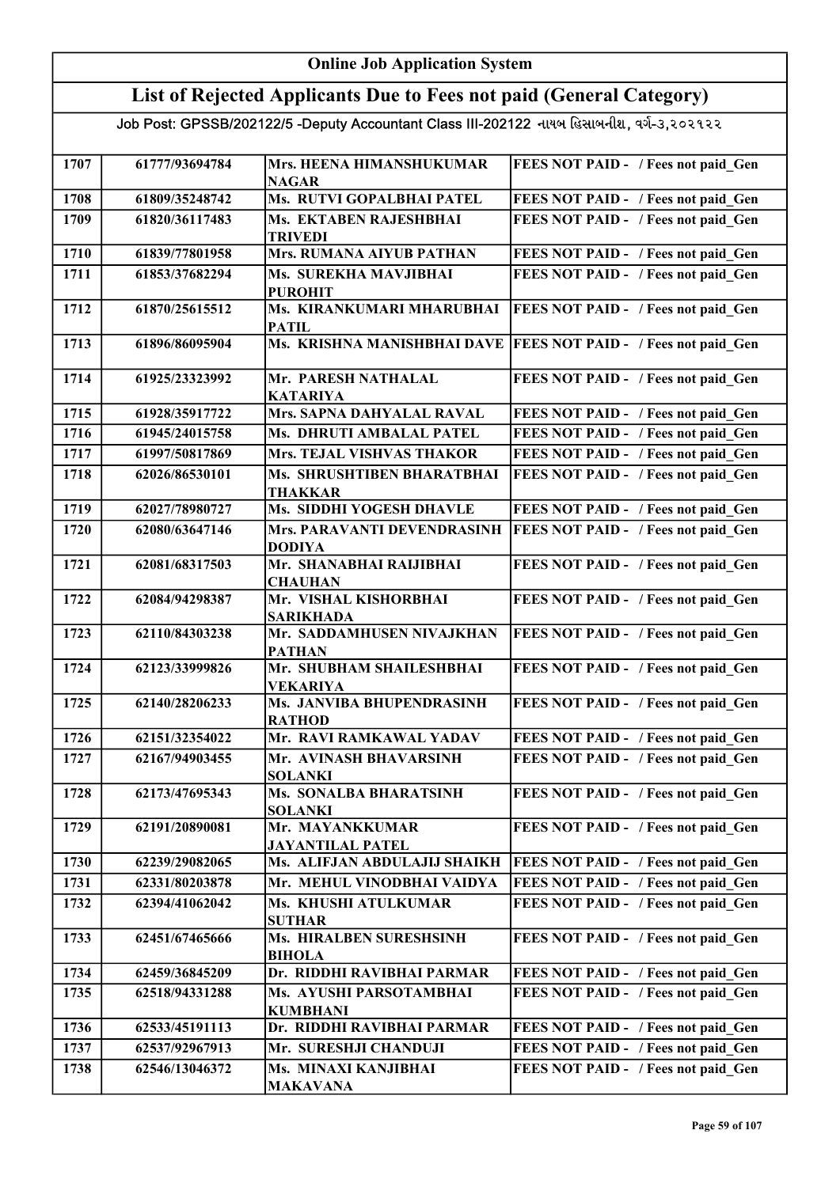#### Online Job Application System List of Rejected Applicants Due to Fees not paid (General Category) Job Post: GPSSB/202122/5 -Deputy Accountant Class III-202122 નાયબ હિસાબનીશ, વર્ગ-૩,૨૦૨૧૨૨ 1707 61777/93694784 Mrs. HEENA HIMANSHUKUMAR NAGAR FEES NOT PAID - / Fees not paid Gen 1708 61809/35248742 Ms. RUTVI GOPALBHAI PATEL FEES NOT PAID - / Fees not paid\_Gen 1709 61820/36117483 Ms. EKTABEN RAJESHBHAI TRIVEDI FEES NOT PAID - / Fees not paid Gen 1710 61839/77801958 Mrs. RUMANA AIYUB PATHAN FEES NOT PAID - / Fees not paid Gen 1711 61853/37682294 Ms. SUREKHA MAVJIBHAI PUROHIT FEES NOT PAID - / Fees not paid Gen 1712 61870/25615512 Ms. KIRANKUMARI MHARUBHAI PATIL FEES NOT PAID - / Fees not paid Gen 1713 61896/86095904 Ms. KRISHNA MANISHBHAI DAVE FEES NOT PAID - / Fees not paid\_Gen 1714 61925/23323992 Mr. PARESH NATHALAL KATARIYA<br>Mrs. SAPNA DAHYALAL RAVAL FEES NOT PAID - / Fees not paid Gen 1715 61928/35917722 Mrs. SAPNA DAHYALAL RAVAL FEES NOT PAID - / Fees not paid Gen 1716 61945/24015758 Ms. DHRUTI AMBALAL PATEL FEES NOT PAID - / Fees not paid\_Gen 1717 61997/50817869 Mrs. TEJAL VISHVAS THAKOR FEES NOT PAID - / Fees not paid Gen 1718 62026/86530101 Ms. SHRUSHTIBEN BHARATBHAI THAKKAR FEES NOT PAID - / Fees not paid Gen 1719 62027/78980727 Ms. SIDDHI YOGESH DHAVLE FEES NOT PAID - / Fees not paid Gen 1720 62080/63647146 Mrs. PARAVANTI DEVENDRASINH DODIYA **FEES NOT PAID - / Fees not paid Gen** 1721 62081/68317503 Mr. SHANABHAI RAIJIBHAI **CHAUHAN** FEES NOT PAID - / Fees not paid Gen 1722 62084/94298387 Mr. VISHAL KISHORBHAI SARIKHADA FEES NOT PAID - / Fees not paid Gen 1723 62110/84303238 Mr. SADDAMHUSEN NIVAJKHAN PATHAN FEES NOT PAID - / Fees not paid\_Gen 1724 62123/33999826 Mr. SHUBHAM SHAILESHBHAI VEKARIYA FEES NOT PAID - / Fees not paid Gen 1725 62140/28206233 Ms. JANVIBA BHUPENDRASINH RATHOD FEES NOT PAID - / Fees not paid Gen 1726 62151/32354022 Mr. RAVI RAMKAWAL YADAV FEES NOT PAID - / Fees not paid\_Gen 1727 62167/94903455 Mr. AVINASH BHAVARSINH SOLANKI FEES NOT PAID - / Fees not paid Gen 1728 62173/47695343 Ms. SONALBA BHARATSINH SOLANKI FEES NOT PAID - / Fees not paid\_Gen 1729 62191/20890081 Mr. MAYANKKUMAR JAYANTILAL PATEL FEES NOT PAID - / Fees not paid Gen 1730 62239/29082065 Ms. ALIFJAN ABDULAJIJ SHAIKH FEES NOT PAID - / Fees not paid Gen 1731 62331/80203878 Mr. MEHUL VINODBHAI VAIDYA FEES NOT PAID - / Fees not paid\_Gen 1732 62394/41062042 Ms. KHUSHI ATULKUMAR SUTHAR FEES NOT PAID - / Fees not paid Gen 1733 62451/67465666 Ms. HIRALBEN SURESHSINH BIHOLA FEES NOT PAID - / Fees not paid Gen 1734 62459/36845209 Dr. RIDDHI RAVIBHAI PARMAR FEES NOT PAID - / Fees not paid\_Gen 1735 62518/94331288 Ms. AYUSHI PARSOTAMBHAI KUMBHANI FEES NOT PAID - / Fees not paid Gen 1736 62533/45191113 Dr. RIDDHI RAVIBHAI PARMAR FEES NOT PAID - / Fees not paid\_Gen 1737 62537/92967913 Mr. SURESHJI CHANDUJI 1738 62546/13046372 Ms. MINAXI KANJIBHAI FEES NOT PAID - / Fees not paid\_Gen MAKAVANA FEES NOT PAID - / Fees not paid Gen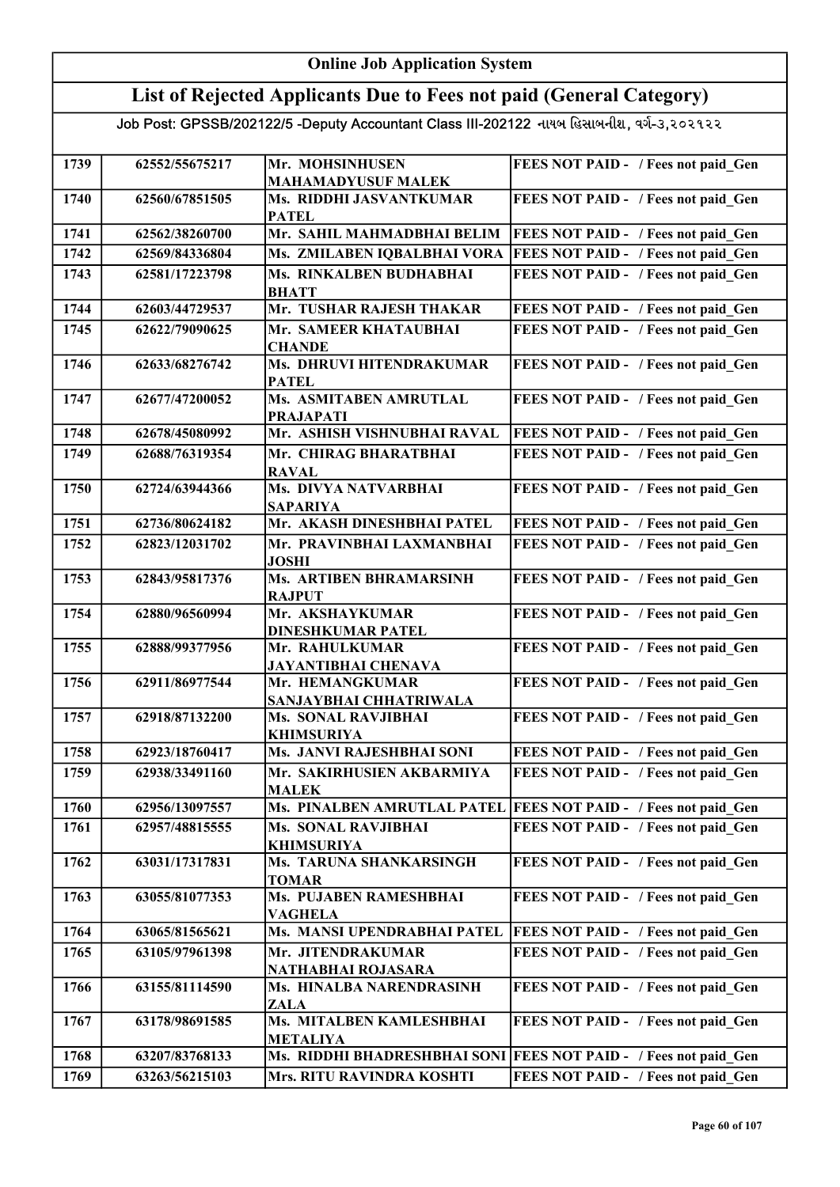### Online Job Application System

## List of Rejected Applicants Due to Fees not paid (General Category)

| 1739 | 62552/55675217 | Mr. MOHSINHUSEN                           | FEES NOT PAID - / Fees not paid Gen                             |
|------|----------------|-------------------------------------------|-----------------------------------------------------------------|
|      |                | <b>MAHAMADYUSUF MALEK</b>                 |                                                                 |
| 1740 | 62560/67851505 | Ms. RIDDHI JASVANTKUMAR<br><b>PATEL</b>   | FEES NOT PAID - / Fees not paid Gen                             |
| 1741 | 62562/38260700 | Mr. SAHIL MAHMADBHAI BELIM                | <b>FEES NOT PAID - / Fees not paid Gen</b>                      |
| 1742 | 62569/84336804 | Ms. ZMILABEN IQBALBHAI VORA               | <b>FEES NOT PAID - / Fees not paid Gen</b>                      |
| 1743 | 62581/17223798 | Ms. RINKALBEN BUDHABHAI                   | FEES NOT PAID - / Fees not paid Gen                             |
|      |                | <b>BHATT</b>                              |                                                                 |
| 1744 | 62603/44729537 | Mr. TUSHAR RAJESH THAKAR                  | FEES NOT PAID - / Fees not paid Gen                             |
| 1745 | 62622/79090625 | Mr. SAMEER KHATAUBHAI                     | FEES NOT PAID - / Fees not paid Gen                             |
|      |                | <b>CHANDE</b>                             |                                                                 |
| 1746 | 62633/68276742 | Ms. DHRUVI HITENDRAKUMAR                  | FEES NOT PAID - / Fees not paid Gen                             |
|      |                | <b>PATEL</b>                              |                                                                 |
| 1747 | 62677/47200052 | Ms. ASMITABEN AMRUTLAL                    | FEES NOT PAID - / Fees not paid_Gen                             |
|      |                | <b>PRAJAPATI</b>                          |                                                                 |
| 1748 | 62678/45080992 | Mr. ASHISH VISHNUBHAI RAVAL               | <b>FEES NOT PAID - / Fees not paid Gen</b>                      |
| 1749 | 62688/76319354 | Mr. CHIRAG BHARATBHAI                     | FEES NOT PAID - / Fees not paid Gen                             |
|      |                | <b>RAVAL</b>                              |                                                                 |
| 1750 | 62724/63944366 | Ms. DIVYA NATVARBHAI                      | FEES NOT PAID - / Fees not paid Gen                             |
|      |                | <b>SAPARIYA</b>                           |                                                                 |
| 1751 | 62736/80624182 | Mr. AKASH DINESHBHAI PATEL                | FEES NOT PAID - / Fees not paid Gen                             |
| 1752 | 62823/12031702 | Mr. PRAVINBHAI LAXMANBHAI                 | FEES NOT PAID - / Fees not paid Gen                             |
|      |                | <b>JOSHI</b>                              |                                                                 |
| 1753 | 62843/95817376 | <b>Ms. ARTIBEN BHRAMARSINH</b>            | FEES NOT PAID - / Fees not paid Gen                             |
|      |                | <b>RAJPUT</b>                             |                                                                 |
| 1754 | 62880/96560994 | Mr. AKSHAYKUMAR                           | FEES NOT PAID - / Fees not paid Gen                             |
|      |                | <b>DINESHKUMAR PATEL</b>                  |                                                                 |
| 1755 | 62888/99377956 | Mr. RAHULKUMAR                            | FEES NOT PAID - / Fees not paid_Gen                             |
|      | 62911/86977544 | JAYANTIBHAI CHENAVA                       |                                                                 |
| 1756 |                | Mr. HEMANGKUMAR<br>SANJAYBHAI CHHATRIWALA | FEES NOT PAID - / Fees not paid_Gen                             |
| 1757 | 62918/87132200 | <b>Ms. SONAL RAVJIBHAI</b>                | FEES NOT PAID - / Fees not paid Gen                             |
|      |                | <b>KHIMSURIYA</b>                         |                                                                 |
| 1758 | 62923/18760417 | Ms. JANVI RAJESHBHAI SONI                 | FEES NOT PAID - / Fees not paid Gen                             |
| 1759 | 62938/33491160 | Mr. SAKIRHUSIEN AKBARMIYA                 | FEES NOT PAID - / Fees not paid Gen                             |
|      |                | <b>MALEK</b>                              |                                                                 |
| 1760 | 62956/13097557 |                                           | Ms. PINALBEN AMRUTLAL PATEL FEES NOT PAID - / Fees not paid Gen |
| 1761 | 62957/48815555 | <b>Ms. SONAL RAVJIBHAI</b>                | FEES NOT PAID - / Fees not paid Gen                             |
|      |                | <b>KHIMSURIYA</b>                         |                                                                 |
| 1762 | 63031/17317831 | Ms. TARUNA SHANKARSINGH                   | FEES NOT PAID - / Fees not paid Gen                             |
|      |                | <b>TOMAR</b>                              |                                                                 |
| 1763 | 63055/81077353 | Ms. PUJABEN RAMESHBHAI                    | FEES NOT PAID - / Fees not paid Gen                             |
|      |                | <b>VAGHELA</b>                            |                                                                 |
| 1764 | 63065/81565621 | Ms. MANSI UPENDRABHAI PATEL               | FEES NOT PAID - / Fees not paid Gen                             |
| 1765 | 63105/97961398 | Mr. JITENDRAKUMAR                         | FEES NOT PAID - / Fees not paid Gen                             |
|      |                | NATHABHAI ROJASARA                        |                                                                 |
| 1766 | 63155/81114590 | Ms. HINALBA NARENDRASINH                  | FEES NOT PAID - / Fees not paid Gen                             |
|      |                | <b>ZALA</b>                               |                                                                 |
| 1767 | 63178/98691585 | Ms. MITALBEN KAMLESHBHAI                  | FEES NOT PAID - / Fees not paid Gen                             |
|      |                | <b>METALIYA</b>                           |                                                                 |
| 1768 | 63207/83768133 | Ms. RIDDHI BHADRESHBHAI SONI              | <b>FEES NOT PAID - / Fees not paid Gen</b>                      |
| 1769 | 63263/56215103 | Mrs. RITU RAVINDRA KOSHTI                 | FEES NOT PAID - / Fees not paid Gen                             |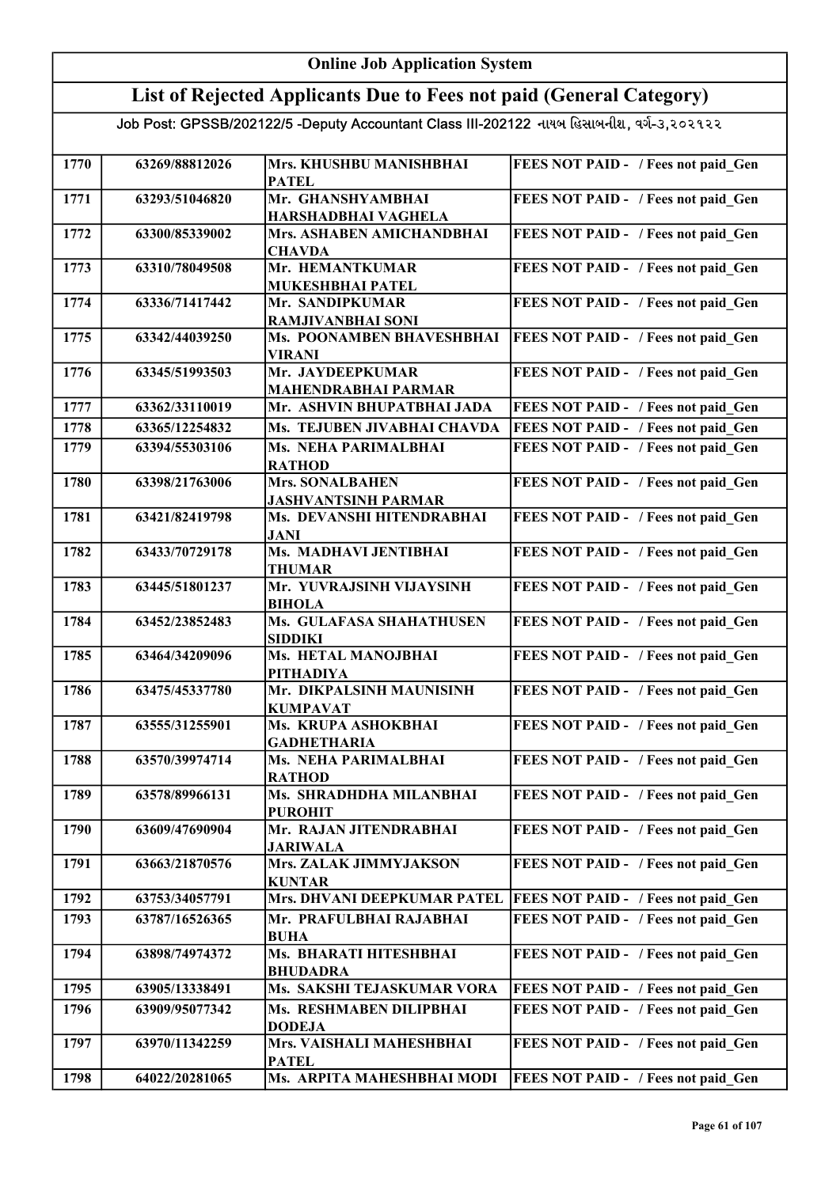| <b>Online Job Application System</b>                                                      |                |                                                            |                                                                            |
|-------------------------------------------------------------------------------------------|----------------|------------------------------------------------------------|----------------------------------------------------------------------------|
| List of Rejected Applicants Due to Fees not paid (General Category)                       |                |                                                            |                                                                            |
| Job Post: GPSSB/202122/5 -Deputy Accountant Class III-202122 નાયબ હિસાબનીશ, વર્ગ-૩,૨૦૨૧૨૨ |                |                                                            |                                                                            |
|                                                                                           |                |                                                            |                                                                            |
| 1770                                                                                      | 63269/88812026 | Mrs. KHUSHBU MANISHBHAI<br><b>PATEL</b>                    | FEES NOT PAID - / Fees not paid Gen                                        |
| 1771                                                                                      | 63293/51046820 | Mr. GHANSHYAMBHAI                                          | FEES NOT PAID - / Fees not paid Gen                                        |
| 1772                                                                                      | 63300/85339002 | HARSHADBHAI VAGHELA<br>Mrs. ASHABEN AMICHANDBHAI           | FEES NOT PAID - / Fees not paid Gen                                        |
|                                                                                           |                | <b>CHAVDA</b>                                              |                                                                            |
| 1773                                                                                      | 63310/78049508 | Mr. HEMANTKUMAR                                            | FEES NOT PAID - / Fees not paid Gen                                        |
| 1774                                                                                      | 63336/71417442 | <b>MUKESHBHAI PATEL</b><br>Mr. SANDIPKUMAR                 | FEES NOT PAID - / Fees not paid Gen                                        |
|                                                                                           |                | <b>RAMJIVANBHAI SONI</b>                                   |                                                                            |
| 1775                                                                                      | 63342/44039250 | Ms. POONAMBEN BHAVESHBHAI<br><b>VIRANI</b>                 | FEES NOT PAID - / Fees not paid Gen                                        |
| 1776                                                                                      | 63345/51993503 | Mr. JAYDEEPKUMAR                                           | FEES NOT PAID - / Fees not paid Gen                                        |
| 1777                                                                                      | 63362/33110019 | <b>MAHENDRABHAI PARMAR</b><br>Mr. ASHVIN BHUPATBHAI JADA   |                                                                            |
| 1778                                                                                      | 63365/12254832 | Ms. TEJUBEN JIVABHAI CHAVDA                                | FEES NOT PAID - / Fees not paid Gen<br>FEES NOT PAID - / Fees not paid Gen |
| 1779                                                                                      | 63394/55303106 | Ms. NEHA PARIMALBHAI                                       | FEES NOT PAID - / Fees not paid Gen                                        |
|                                                                                           |                | <b>RATHOD</b>                                              |                                                                            |
| 1780                                                                                      | 63398/21763006 | <b>Mrs. SONALBAHEN</b>                                     | FEES NOT PAID - / Fees not paid_Gen                                        |
| 1781                                                                                      | 63421/82419798 | <b>JASHVANTSINH PARMAR</b><br>Ms. DEVANSHI HITENDRABHAI    | FEES NOT PAID - / Fees not paid Gen                                        |
|                                                                                           |                | JANI                                                       |                                                                            |
| 1782                                                                                      | 63433/70729178 | Ms. MADHAVI JENTIBHAI<br><b>THUMAR</b>                     | FEES NOT PAID - / Fees not paid Gen                                        |
| 1783                                                                                      | 63445/51801237 | Mr. YUVRAJSINH VIJAYSINH<br><b>BIHOLA</b>                  | FEES NOT PAID - / Fees not paid Gen                                        |
| 1784                                                                                      | 63452/23852483 | Ms. GULAFASA SHAHATHUSEN<br><b>SIDDIKI</b>                 | FEES NOT PAID - / Fees not paid Gen                                        |
| 1785                                                                                      | 63464/34209096 | <b>Ms. HETAL MANOJBHAI</b><br><b>PITHADIYA</b>             | FEES NOT PAID - / Fees not paid Gen                                        |
| 1786                                                                                      | 63475/45337780 | Mr. DIKPALSINH MAUNISINH<br><b>KUMPAVAT</b>                | FEES NOT PAID - / Fees not paid Gen                                        |
| 1787                                                                                      | 63555/31255901 | Ms. KRUPA ASHOKBHAI                                        | FEES NOT PAID - / Fees not paid Gen                                        |
| 1788                                                                                      | 63570/39974714 | <b>GADHETHARIA</b><br>Ms. NEHA PARIMALBHAI                 | FEES NOT PAID - / Fees not paid Gen                                        |
| 1789                                                                                      | 63578/89966131 | <b>RATHOD</b><br>Ms. SHRADHDHA MILANBHAI<br><b>PUROHIT</b> | FEES NOT PAID - / Fees not paid Gen                                        |
| 1790                                                                                      | 63609/47690904 | Mr. RAJAN JITENDRABHAI                                     | FEES NOT PAID - / Fees not paid Gen                                        |
| 1791                                                                                      | 63663/21870576 | <b>JARIWALA</b><br>Mrs. ZALAK JIMMYJAKSON<br><b>KUNTAR</b> | FEES NOT PAID - / Fees not paid Gen                                        |
| 1792                                                                                      | 63753/34057791 | Mrs. DHVANI DEEPKUMAR PATEL                                | <b>FEES NOT PAID - / Fees not paid Gen</b>                                 |
| 1793                                                                                      | 63787/16526365 | Mr. PRAFULBHAI RAJABHAI<br><b>BUHA</b>                     | FEES NOT PAID - / Fees not paid Gen                                        |
| 1794                                                                                      | 63898/74974372 | Ms. BHARATI HITESHBHAI<br><b>BHUDADRA</b>                  | FEES NOT PAID - / Fees not paid Gen                                        |
| 1795                                                                                      | 63905/13338491 | Ms. SAKSHI TEJASKUMAR VORA                                 | FEES NOT PAID - / Fees not paid Gen                                        |
| 1796                                                                                      | 63909/95077342 | Ms. RESHMABEN DILIPBHAI<br><b>DODEJA</b>                   | FEES NOT PAID - / Fees not paid Gen                                        |
| 1797                                                                                      | 63970/11342259 | Mrs. VAISHALI MAHESHBHAI<br><b>PATEL</b>                   | FEES NOT PAID - / Fees not paid Gen                                        |
| 1798                                                                                      | 64022/20281065 | Ms. ARPITA MAHESHBHAI MODI                                 | <b>FEES NOT PAID - / Fees not paid Gen</b>                                 |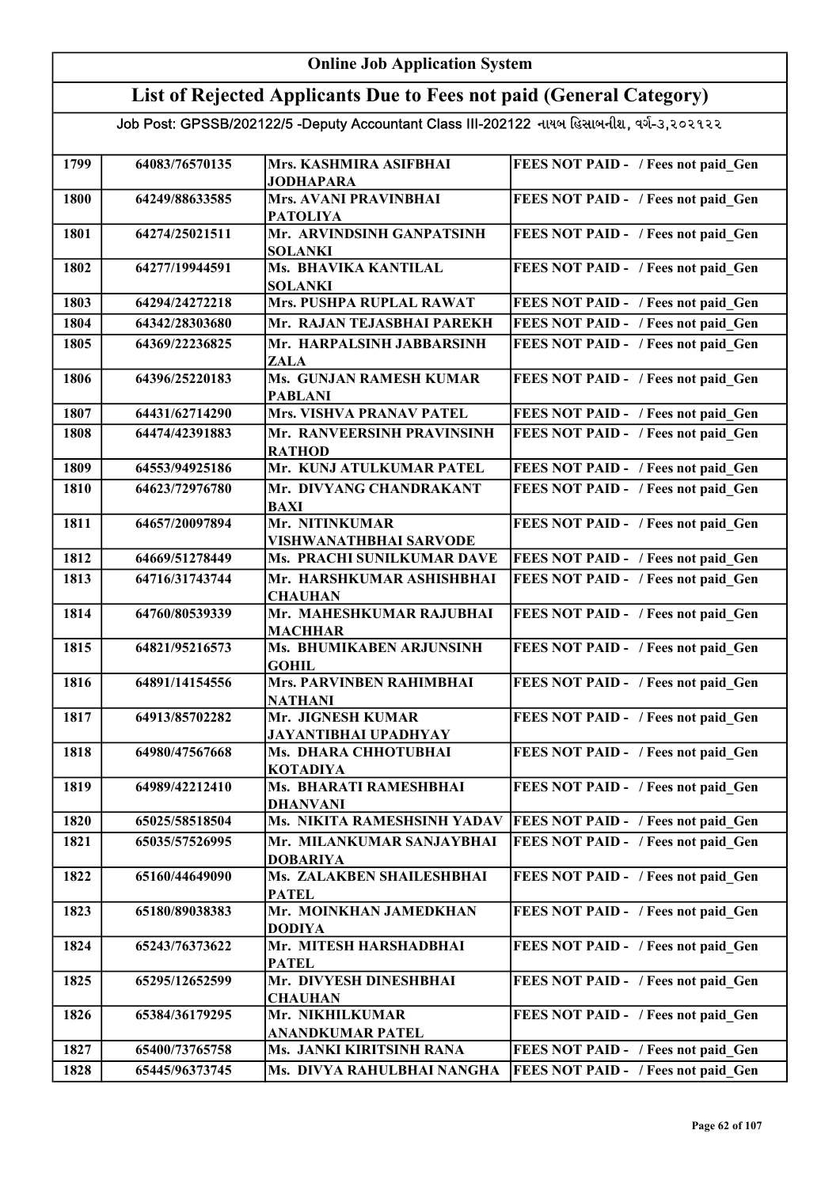#### Online Job Application System List of Rejected Applicants Due to Fees not paid (General Category) Job Post: GPSSB/202122/5 -Deputy Accountant Class III-202122 નાયબ હિસાબનીશ, વર્ગ-૩,૨૦૨૧૨૨ 1799 64083/76570135 Mrs. KASHMIRA ASIFBHAI JODHAPARA FEES NOT PAID - / Fees not paid Gen 1800 64249/88633585 Mrs. AVANI PRAVINBHAI PATOLIYA FEES NOT PAID - / Fees not paid\_Gen 1801 64274/25021511 Mr. ARVINDSINH GANPATSINH SOLANKI FEES NOT PAID - / Fees not paid Gen 1802 64277/19944591 Ms. BHAVIKA KANTILAL SOLANKI FEES NOT PAID - / Fees not paid Gen 1803 64294/24272218 Mrs. PUSHPA RUPLAL RAWAT FEES NOT PAID - / Fees not paid\_Gen 1804 64342/28303680 Mr. RAJAN TEJASBHAI PAREKH FEES NOT PAID - / Fees not paid\_Gen 1805 64369/22236825 Mr. HARPALSINH JABBARSINH ZALA FEES NOT PAID - / Fees not paid Gen 1806 64396/25220183 Ms. GUNJAN RAMESH KUMAR PABLANI<br>Mrs. VISHVA PRANAV PATEL FEES NOT PAID - / Fees not paid Gen 1807 64431/62714290 Mrs. VISHVA PRANAV PATEL FEES NOT PAID - / Fees not paid Gen 1808 64474/42391883 Mr. RANVEERSINH PRAVINSINH RATHOD FEES NOT PAID - / Fees not paid\_Gen 1809 64553/94925186 Mr. KUNJ ATULKUMAR PATEL FEES NOT PAID - / Fees not paid Gen 1810 64623/72976780 Mr. DIVYANG CHANDRAKANT BAXI FEES NOT PAID - / Fees not paid Gen 1811 64657/20097894 Mr. NITINKUMAR VISHWANATHBHAI SARVODE FEES NOT PAID - / Fees not paid Gen 1812 64669/51278449 Ms. PRACHI SUNILKUMAR DAVE FEES NOT PAID - / Fees not paid\_Gen 1813 64716/31743744 Mr. HARSHKUMAR ASHISHBHAI **CHAUHAN** FEES NOT PAID - / Fees not paid Gen 1814 64760/80539339 Mr. MAHESHKUMAR RAJUBHAI MACHHAR FEES NOT PAID - / Fees not paid Gen 1815 64821/95216573 Ms. BHUMIKABEN ARJUNSINH GOHIL FEES NOT PAID - / Fees not paid\_Gen 1816 64891/14154556 Mrs. PARVINBEN RAHIMBHAI NATHANI FEES NOT PAID - / Fees not paid Gen 1817 64913/85702282 Mr. JIGNESH KUMAR JAYANTIBHAI UPADHYAY FEES NOT PAID - / Fees not paid Gen 1818 64980/47567668 Ms. DHARA CHHOTUBHAI KOTADIYA FEES NOT PAID - / Fees not paid Gen 1819 64989/42212410 Ms. BHARATI RAMESHBHAI DHANVANI FEES NOT PAID - / Fees not paid Gen 1820 65025/58518504 Ms. NIKITA RAMESHSINH YADAV FEES NOT PAID - / Fees not paid\_Gen 1821 65035/57526995 Mr. MILANKUMAR SANJAYBHAI DOBARIYA FEES NOT PAID - / Fees not paid Gen 1822 65160/44649090 Ms. ZALAKBEN SHAILESHBHAI PATEL FEES NOT PAID - / Fees not paid Gen 1823 65180/89038383 Mr. MOINKHAN JAMEDKHAN DODIYA FEES NOT PAID - / Fees not paid Gen 1824 65243/76373622 Mr. MITESH HARSHADBHAI PATEL FEES NOT PAID - / Fees not paid Gen 1825 65295/12652599 Mr. DIVYESH DINESHBHAI **CHAUHAN** FEES NOT PAID - / Fees not paid Gen 1826 65384/36179295 Mr. NIKHILKUMAR ANANDKUMAR PATEL FEES NOT PAID - / Fees not paid Gen 1827 65400/73765758 Ms. JANKI KIRITSINH RANA FEES NOT PAID - / Fees not paid\_Gen 1828 65445/96373745 Ms. DIVYA RAHULBHAI NANGHA FEES NOT PAID - / Fees not paid Gen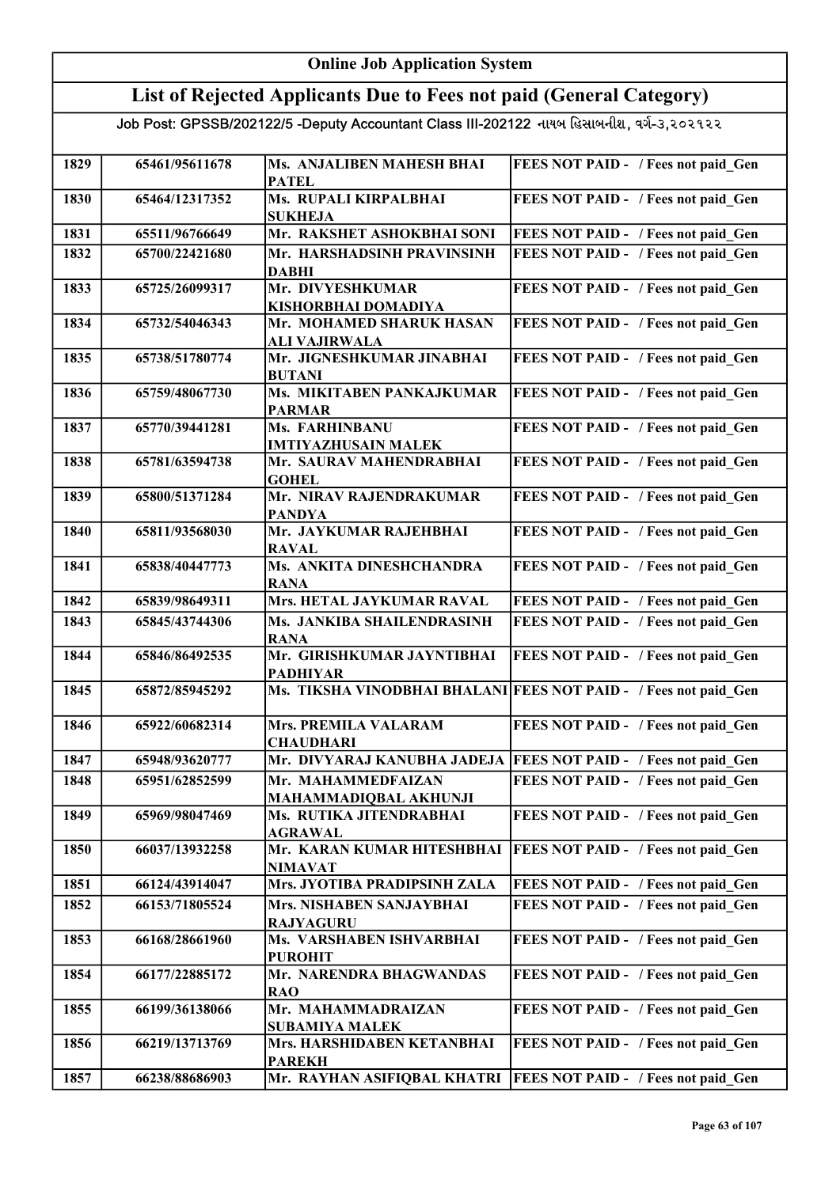#### Online Job Application System List of Rejected Applicants Due to Fees not paid (General Category) Job Post: GPSSB/202122/5 -Deputy Accountant Class III-202122 નાયબ હિસાબનીશ, વર્ગ-૩,૨૦૨૧૨૨ 1829 65461/95611678 Ms. ANJALIBEN MAHESH BHAI PATEL FEES NOT PAID - / Fees not paid Gen 1830 65464/12317352 Ms. RUPALI KIRPALBHAI SUKHEJA FEES NOT PAID - / Fees not paid\_Gen 1831 65511/96766649 Mr. RAKSHET ASHOKBHAI SONI FEES NOT PAID - / Fees not paid Gen 1832 65700/22421680 Mr. HARSHADSINH PRAVINSINH DABHI FEES NOT PAID - / Fees not paid Gen 1833 65725/26099317 Mr. DIVYESHKUMAR KISHORBHAI DOMADIYA FEES NOT PAID - / Fees not paid Gen 1834 65732/54046343 Mr. MOHAMED SHARUK HASAN ALI VAJIRWALA FEES NOT PAID - / Fees not paid Gen 1835 65738/51780774 Mr. JIGNESHKUMAR JINABHAI BUTANI FEES NOT PAID - / Fees not paid Gen 1836 65759/48067730 Ms. MIKITABEN PANKAJKUMAR PARMAR FEES NOT PAID - / Fees not paid Gen 1837 65770/39441281 Ms. FARHINBANU IMTIYAZHUSAIN MALEK FEES NOT PAID - / Fees not paid Gen 1838 65781/63594738 Mr. SAURAV MAHENDRABHAI **GOHEL** FEES NOT PAID - / Fees not paid Gen 1839 65800/51371284 Mr. NIRAV RAJENDRAKUMAR PANDYA FEES NOT PAID - / Fees not paid Gen 1840 65811/93568030 Mr. JAYKUMAR RAJEHBHAI RAVAL FEES NOT PAID - / Fees not paid Gen 1841 65838/40447773 Ms. ANKITA DINESHCHANDRA RANA FEES NOT PAID - / Fees not paid Gen 1842 65839/98649311 Mrs. HETAL JAYKUMAR RAVAL FEES NOT PAID - / Fees not paid\_Gen 1843 65845/43744306 Ms. JANKIBA SHAILENDRASINH RANA FEES NOT PAID - / Fees not paid Gen 1844 65846/86492535 Mr. GIRISHKUMAR JAYNTIBHAI PADHIYAR FEES NOT PAID - / Fees not paid Gen 1845 65872/85945292 Ms. TIKSHA VINODBHAI BHALANI FEES NOT PAID - / Fees not paid Gen 1846 65922/60682314 Mrs. PREMILA VALARAM **CHAUDHARI** FEES NOT PAID - / Fees not paid Gen 1847 65948/93620777 Mr. DIVYARAJ KANUBHA JADEJA FEES NOT PAID - / Fees not paid\_Gen 1848 65951/62852599 Mr. MAHAMMEDFAIZAN MAHAMMADIQBAL AKHUNJI FEES NOT PAID - / Fees not paid Gen 1849 65969/98047469 Ms. RUTIKA JITENDRABHAI AGRAWAL FEES NOT PAID - / Fees not paid Gen 1850 66037/13932258 Mr. KARAN KUMAR HITESHBHAI NIMAVAT **FEES NOT PAID - / Fees not paid Gen** 1851 66124/43914047 Mrs. JYOTIBA PRADIPSINH ZALA FEES NOT PAID - / Fees not paid Gen 1852 66153/71805524 Mrs. NISHABEN SANJAYBHAI RAJYAGURU FEES NOT PAID - / Fees not paid Gen 1853 66168/28661960 Ms. VARSHABEN ISHVARBHAI PUROHIT FEES NOT PAID - / Fees not paid Gen 1854 66177/22885172 Mr. NARENDRA BHAGWANDAS RAO FEES NOT PAID - / Fees not paid Gen 1855 66199/36138066 Mr. MAHAMMADRAIZAN SUBAMIYA MALEK FEES NOT PAID - / Fees not paid\_Gen 1856 66219/13713769 Mrs. HARSHIDABEN KETANBHAI PAREKH **FEES NOT PAID - / Fees not paid Gen** 1857 66238/88686903 Mr. RAYHAN ASIFIQBAL KHATRI FEES NOT PAID - / Fees not paid\_Gen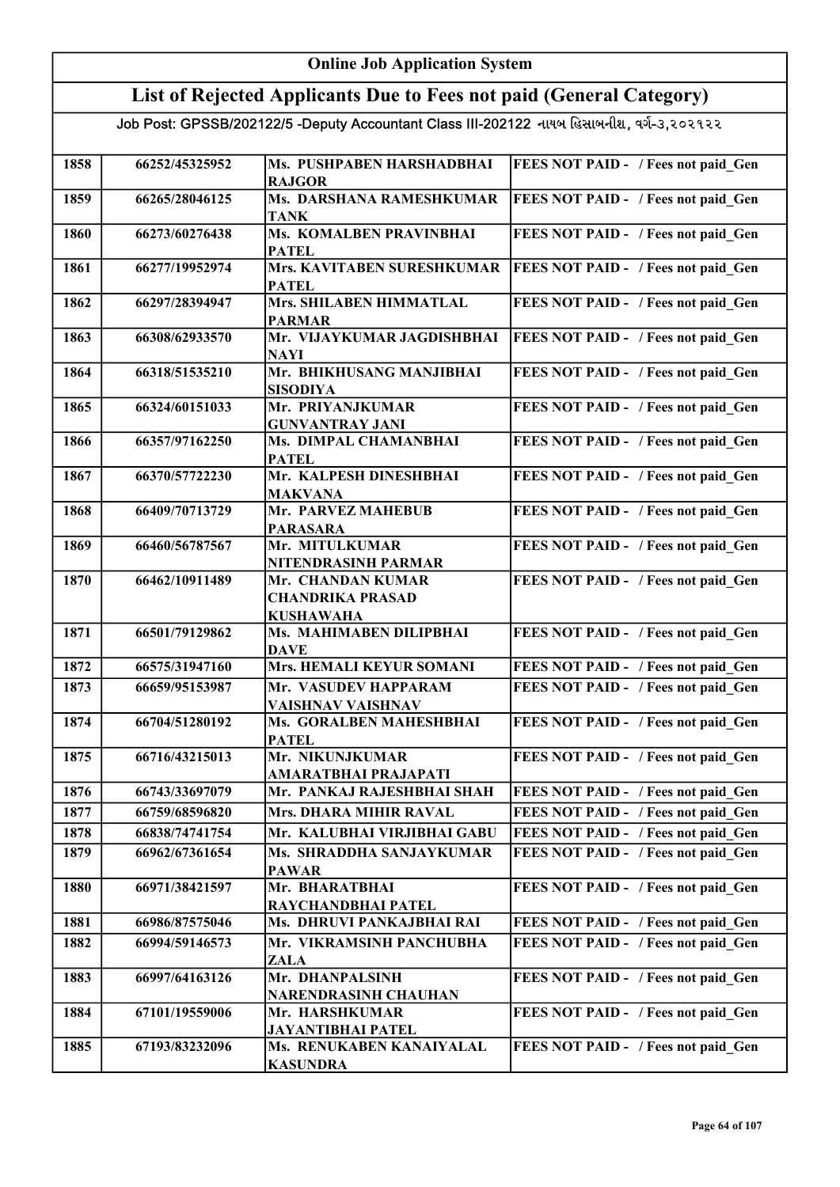| List of Rejected Applicants Due to Fees not paid (General Category)                       |                                  |                                                                  |                                                                            |
|-------------------------------------------------------------------------------------------|----------------------------------|------------------------------------------------------------------|----------------------------------------------------------------------------|
| Job Post: GPSSB/202122/5 -Deputy Accountant Class III-202122 નાયબ હિસાબનીશ, વર્ગ-૩,૨૦૨૧૨૨ |                                  |                                                                  |                                                                            |
|                                                                                           |                                  |                                                                  |                                                                            |
| 1858                                                                                      | 66252/45325952                   | Ms. PUSHPABEN HARSHADBHAI                                        | FEES NOT PAID - / Fees not paid Gen                                        |
| 1859                                                                                      | 66265/28046125                   | <b>RAJGOR</b><br>Ms. DARSHANA RAMESHKUMAR                        | FEES NOT PAID - / Fees not paid Gen                                        |
|                                                                                           |                                  | <b>TANK</b>                                                      |                                                                            |
| 1860                                                                                      | 66273/60276438                   | Ms. KOMALBEN PRAVINBHAI<br><b>PATEL</b>                          | FEES NOT PAID - / Fees not paid Gen                                        |
| 1861                                                                                      | 66277/19952974                   | Mrs. KAVITABEN SURESHKUMAR<br><b>PATEL</b>                       | FEES NOT PAID - / Fees not paid Gen                                        |
| 1862                                                                                      | 66297/28394947                   | Mrs. SHILABEN HIMMATLAL<br><b>PARMAR</b>                         | FEES NOT PAID - / Fees not paid Gen                                        |
| 1863                                                                                      | 66308/62933570                   | Mr. VIJAYKUMAR JAGDISHBHAI<br><b>NAYI</b>                        | FEES NOT PAID - / Fees not paid Gen                                        |
| 1864                                                                                      | 66318/51535210                   | Mr. BHIKHUSANG MANJIBHAI<br><b>SISODIYA</b>                      | FEES NOT PAID - / Fees not paid Gen                                        |
| 1865                                                                                      | 66324/60151033                   | Mr. PRIYANJKUMAR<br><b>GUNVANTRAY JANI</b>                       | FEES NOT PAID - / Fees not paid_Gen                                        |
| 1866                                                                                      | 66357/97162250                   | Ms. DIMPAL CHAMANBHAI<br><b>PATEL</b>                            | FEES NOT PAID - / Fees not paid Gen                                        |
| 1867                                                                                      | 66370/57722230                   | Mr. KALPESH DINESHBHAI<br><b>MAKVANA</b>                         | FEES NOT PAID - / Fees not paid Gen                                        |
| 1868                                                                                      | 66409/70713729                   | Mr. PARVEZ MAHEBUB                                               | FEES NOT PAID - / Fees not paid Gen                                        |
| 1869                                                                                      | 66460/56787567                   | <b>PARASARA</b><br>Mr. MITULKUMAR                                | FEES NOT PAID - / Fees not paid Gen                                        |
| 1870                                                                                      | 66462/10911489                   | NITENDRASINH PARMAR<br>Mr. CHANDAN KUMAR                         | FEES NOT PAID - / Fees not paid Gen                                        |
|                                                                                           |                                  | <b>CHANDRIKA PRASAD</b><br><b>KUSHAWAHA</b>                      |                                                                            |
| 1871                                                                                      | 66501/79129862                   | Ms. MAHIMABEN DILIPBHAI<br><b>DAVE</b>                           | FEES NOT PAID - / Fees not paid Gen                                        |
| 1872                                                                                      | 66575/31947160                   | Mrs. HEMALI KEYUR SOMANI                                         | FEES NOT PAID - / Fees not paid Gen                                        |
| 1873                                                                                      | 66659/95153987                   | Mr. VASUDEV HAPPARAM                                             | FEES NOT PAID - / Fees not paid Gen                                        |
| 1874                                                                                      |                                  | VAISHNAV VAISHNAV<br>Ms. GORALBEN MAHESHBHAI                     |                                                                            |
|                                                                                           | 66704/51280192                   | <b>PATEL</b>                                                     | FEES NOT PAID - / Fees not paid Gen                                        |
| 1875                                                                                      | 66716/43215013                   | Mr. NIKUNJKUMAR                                                  | FEES NOT PAID - / Fees not paid Gen                                        |
|                                                                                           |                                  | AMARATBHAI PRAJAPATI                                             |                                                                            |
| 1876<br>1877                                                                              | 66743/33697079<br>66759/68596820 | Mr. PANKAJ RAJESHBHAI SHAH<br><b>Mrs. DHARA MIHIR RAVAL</b>      | FEES NOT PAID - / Fees not paid Gen<br>FEES NOT PAID - / Fees not paid Gen |
| 1878                                                                                      | 66838/74741754                   | Mr. KALUBHAI VIRJIBHAI GABU                                      | FEES NOT PAID - / Fees not paid Gen                                        |
| 1879                                                                                      | 66962/67361654                   | Ms. SHRADDHA SANJAYKUMAR                                         | FEES NOT PAID - / Fees not paid Gen                                        |
|                                                                                           |                                  | <b>PAWAR</b>                                                     |                                                                            |
| 1880                                                                                      | 66971/38421597                   | Mr. BHARATBHAI<br>RAYCHANDBHAI PATEL                             | FEES NOT PAID - / Fees not paid Gen                                        |
| 1881                                                                                      | 66986/87575046                   | Ms. DHRUVI PANKAJBHAI RAI                                        | FEES NOT PAID - / Fees not paid Gen                                        |
| 1882                                                                                      | 66994/59146573                   | Mr. VIKRAMSINH PANCHUBHA<br><b>ZALA</b>                          | FEES NOT PAID - / Fees not paid Gen                                        |
| 1883                                                                                      | 66997/64163126                   | Mr. DHANPALSINH<br>NARENDRASINH CHAUHAN                          | FEES NOT PAID - / Fees not paid Gen                                        |
| 1884                                                                                      | 67101/19559006                   | Mr. HARSHKUMAR                                                   | FEES NOT PAID - / Fees not paid Gen                                        |
| 1885                                                                                      | 67193/83232096                   | JAYANTIBHAI PATEL<br>Ms. RENUKABEN KANAIYALAL<br><b>KASUNDRA</b> | FEES NOT PAID - / Fees not paid Gen                                        |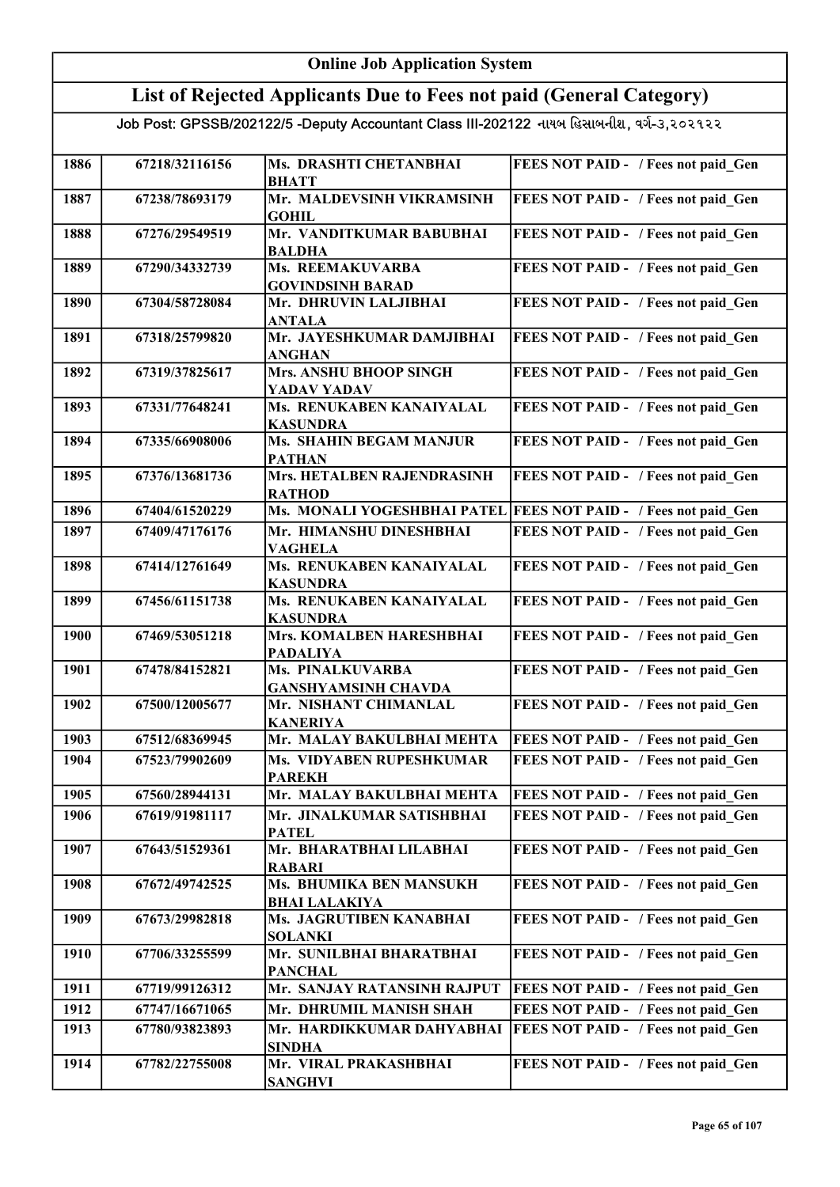| <b>Online Job Application System</b>                                                      |                |                                                 |                                            |
|-------------------------------------------------------------------------------------------|----------------|-------------------------------------------------|--------------------------------------------|
| List of Rejected Applicants Due to Fees not paid (General Category)                       |                |                                                 |                                            |
| Job Post: GPSSB/202122/5 -Deputy Accountant Class III-202122 નાયબ હિસાબનીશ, વર્ગ-૩,૨૦૨૧૨૨ |                |                                                 |                                            |
| 1886                                                                                      | 67218/32116156 | Ms. DRASHTI CHETANBHAI<br><b>BHATT</b>          | FEES NOT PAID - / Fees not paid Gen        |
| 1887                                                                                      | 67238/78693179 | Mr. MALDEVSINH VIKRAMSINH<br><b>GOHIL</b>       | FEES NOT PAID - / Fees not paid Gen        |
| 1888                                                                                      | 67276/29549519 | Mr. VANDITKUMAR BABUBHAI<br><b>BALDHA</b>       | FEES NOT PAID - / Fees not paid Gen        |
| 1889                                                                                      | 67290/34332739 | Ms. REEMAKUVARBA<br><b>GOVINDSINH BARAD</b>     | FEES NOT PAID - / Fees not paid Gen        |
| 1890                                                                                      | 67304/58728084 | Mr. DHRUVIN LALJIBHAI<br><b>ANTALA</b>          | FEES NOT PAID - / Fees not paid Gen        |
| 1891                                                                                      | 67318/25799820 | Mr. JAYESHKUMAR DAMJIBHAI<br><b>ANGHAN</b>      | FEES NOT PAID - / Fees not paid Gen        |
| 1892                                                                                      | 67319/37825617 | <b>Mrs. ANSHU BHOOP SINGH</b><br>YADAV YADAV    | FEES NOT PAID - / Fees not paid Gen        |
| 1893                                                                                      | 67331/77648241 | Ms. RENUKABEN KANAIYALAL<br><b>KASUNDRA</b>     | FEES NOT PAID - / Fees not paid_Gen        |
| 1894                                                                                      | 67335/66908006 | <b>Ms. SHAHIN BEGAM MANJUR</b><br><b>PATHAN</b> | FEES NOT PAID - / Fees not paid Gen        |
| 1895                                                                                      | 67376/13681736 | Mrs. HETALBEN RAJENDRASINH<br><b>RATHOD</b>     | FEES NOT PAID - / Fees not paid Gen        |
| 1896                                                                                      | 67404/61520229 | Ms. MONALI YOGESHBHAI PATEL                     | <b>FEES NOT PAID - / Fees not paid_Gen</b> |
| 1897                                                                                      | 67409/47176176 | Mr. HIMANSHU DINESHBHAI<br><b>VAGHELA</b>       | FEES NOT PAID - / Fees not paid Gen        |
| 1898                                                                                      | 67414/12761649 | Ms. RENUKABEN KANAIYALAL<br><b>KASUNDRA</b>     | FEES NOT PAID - / Fees not paid_Gen        |
| 1899                                                                                      | 67456/61151738 | Ms. RENUKABEN KANAIYALAL<br><b>KASUNDRA</b>     | FEES NOT PAID - / Fees not paid Gen        |
| 1900                                                                                      | 67469/53051218 | Mrs. KOMALBEN HARESHBHAI<br><b>PADALIYA</b>     | FEES NOT PAID - / Fees not paid Gen        |
| 1901                                                                                      | 67478/84152821 | Ms. PINALKUVARBA<br><b>GANSHYAMSINH CHAVDA</b>  | FEES NOT PAID - / Fees not paid_Gen        |
| 1902                                                                                      | 67500/12005677 | Mr. NISHANT CHIMANLAL<br><b>KANERIYA</b>        | FEES NOT PAID - / Fees not paid Gen        |
| 1903                                                                                      | 67512/68369945 | Mr. MALAY BAKULBHAI MEHTA                       | FEES NOT PAID - / Fees not paid Gen        |
| 1904                                                                                      | 67523/79902609 | Ms. VIDYABEN RUPESHKUMAR<br><b>PAREKH</b>       | FEES NOT PAID - / Fees not paid Gen        |
| 1905                                                                                      | 67560/28944131 | Mr. MALAY BAKULBHAI MEHTA                       | FEES NOT PAID - / Fees not paid Gen        |
| 1906                                                                                      | 67619/91981117 | Mr. JINALKUMAR SATISHBHAI<br><b>PATEL</b>       | FEES NOT PAID - / Fees not paid Gen        |
| 1907                                                                                      | 67643/51529361 | Mr. BHARATBHAI LILABHAI<br><b>RABARI</b>        | FEES NOT PAID - / Fees not paid Gen        |
| 1908                                                                                      | 67672/49742525 | Ms. BHUMIKA BEN MANSUKH<br><b>BHAI LALAKIYA</b> | FEES NOT PAID - / Fees not paid Gen        |
| 1909                                                                                      | 67673/29982818 | Ms. JAGRUTIBEN KANABHAI<br><b>SOLANKI</b>       | FEES NOT PAID - / Fees not paid Gen        |
| 1910                                                                                      | 67706/33255599 | Mr. SUNILBHAI BHARATBHAI<br><b>PANCHAL</b>      | FEES NOT PAID - / Fees not paid Gen        |
| 1911                                                                                      | 67719/99126312 | Mr. SANJAY RATANSINH RAJPUT                     | FEES NOT PAID - / Fees not paid Gen        |
| 1912                                                                                      | 67747/16671065 | Mr. DHRUMIL MANISH SHAH                         | FEES NOT PAID - / Fees not paid Gen        |
| 1913                                                                                      | 67780/93823893 | Mr. HARDIKKUMAR DAHYABHAI<br><b>SINDHA</b>      | FEES NOT PAID - / Fees not paid Gen        |
| 1914                                                                                      | 67782/22755008 | Mr. VIRAL PRAKASHBHAI<br><b>SANGHVI</b>         | FEES NOT PAID - / Fees not paid Gen        |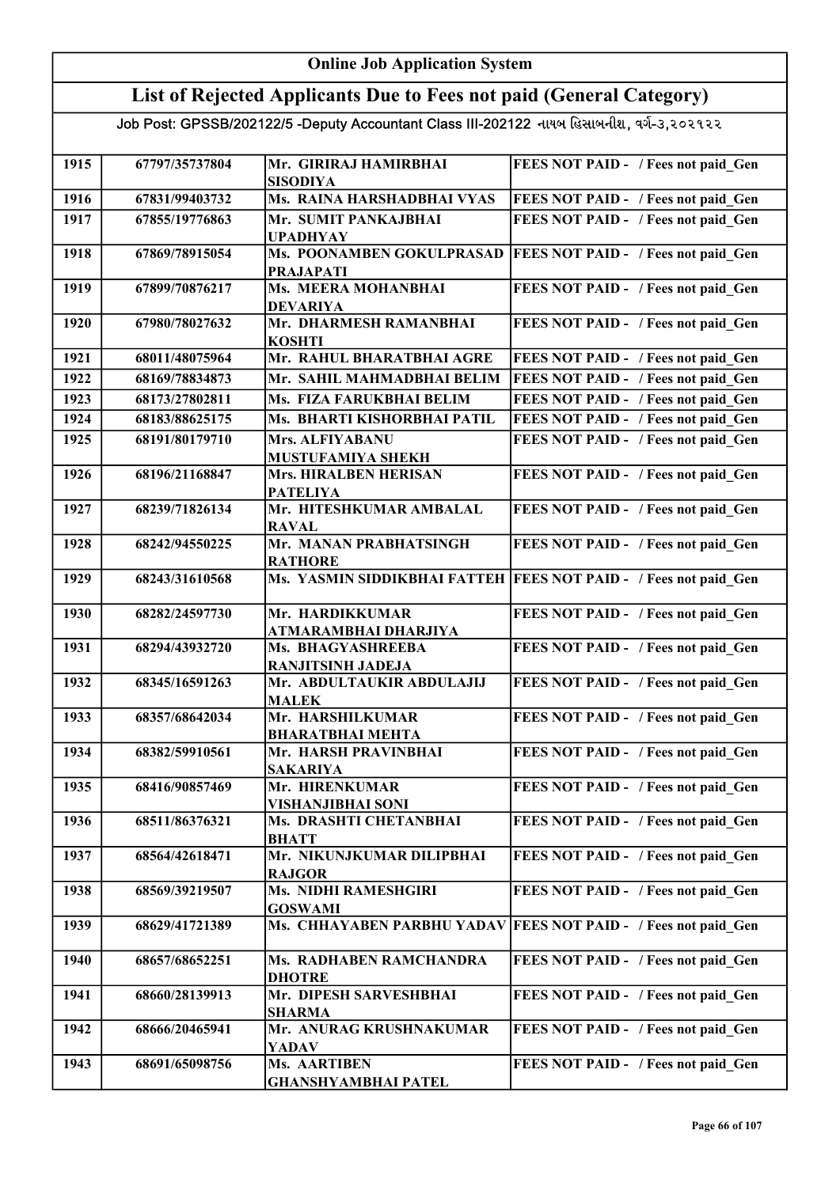## Online Job Application System List of Rejected Applicants Due to Fees not paid (General Category)

| 1915 | 67797/35737804 | Mr. GIRIRAJ HAMIRBHAI<br><b>SISODIYA</b>       | FEES NOT PAID - / Fees not paid Gen        |
|------|----------------|------------------------------------------------|--------------------------------------------|
| 1916 | 67831/99403732 | Ms. RAINA HARSHADBHAI VYAS                     | FEES NOT PAID - / Fees not paid Gen        |
| 1917 | 67855/19776863 | Mr. SUMIT PANKAJBHAI                           | FEES NOT PAID - / Fees not paid Gen        |
|      |                | <b>UPADHYAY</b>                                |                                            |
| 1918 | 67869/78915054 | Ms. POONAMBEN GOKULPRASAD                      | FEES NOT PAID - / Fees not paid Gen        |
|      |                | <b>PRAJAPATI</b>                               |                                            |
| 1919 | 67899/70876217 | <b>Ms. MEERA MOHANBHAI</b>                     | FEES NOT PAID - / Fees not paid Gen        |
| 1920 | 67980/78027632 | <b>DEVARIYA</b><br>Mr. DHARMESH RAMANBHAI      | FEES NOT PAID - / Fees not paid_Gen        |
|      |                | <b>KOSHTI</b>                                  |                                            |
| 1921 | 68011/48075964 | Mr. RAHUL BHARATBHAI AGRE                      | FEES NOT PAID - / Fees not paid Gen        |
| 1922 | 68169/78834873 | Mr. SAHIL MAHMADBHAI BELIM                     | FEES NOT PAID - / Fees not paid Gen        |
| 1923 | 68173/27802811 | Ms. FIZA FARUKBHAI BELIM                       | FEES NOT PAID - / Fees not paid Gen        |
| 1924 | 68183/88625175 | Ms. BHARTI KISHORBHAI PATIL                    | FEES NOT PAID - / Fees not paid Gen        |
| 1925 | 68191/80179710 | Mrs. ALFIYABANU                                | FEES NOT PAID - / Fees not paid Gen        |
|      |                | MUSTUFAMIYA SHEKH                              |                                            |
| 1926 | 68196/21168847 | <b>Mrs. HIRALBEN HERISAN</b>                   | FEES NOT PAID - / Fees not paid Gen        |
|      |                | <b>PATELIYA</b>                                |                                            |
| 1927 | 68239/71826134 | Mr. HITESHKUMAR AMBALAL                        | FEES NOT PAID - / Fees not paid_Gen        |
|      |                | <b>RAVAL</b>                                   |                                            |
| 1928 | 68242/94550225 | Mr. MANAN PRABHATSINGH                         | FEES NOT PAID - / Fees not paid_Gen        |
|      | 68243/31610568 | <b>RATHORE</b><br>Ms. YASMIN SIDDIKBHAI FATTEH |                                            |
| 1929 |                |                                                | <b>FEES NOT PAID - / Fees not paid_Gen</b> |
| 1930 | 68282/24597730 | Mr. HARDIKKUMAR                                | FEES NOT PAID - / Fees not paid_Gen        |
|      |                | ATMARAMBHAI DHARJIYA                           |                                            |
| 1931 | 68294/43932720 | Ms. BHAGYASHREEBA                              | FEES NOT PAID - / Fees not paid Gen        |
|      |                | <b>RANJITSINH JADEJA</b>                       |                                            |
| 1932 | 68345/16591263 | Mr. ABDULTAUKIR ABDULAJIJ                      | FEES NOT PAID - / Fees not paid_Gen        |
| 1933 | 68357/68642034 | <b>MALEK</b><br>Mr. HARSHILKUMAR               | FEES NOT PAID - / Fees not paid Gen        |
|      |                | <b>BHARATBHAI MEHTA</b>                        |                                            |
| 1934 | 68382/59910561 | Mr. HARSH PRAVINBHAI                           | FEES NOT PAID - / Fees not paid Gen        |
|      |                | <b>SAKARIYA</b>                                |                                            |
| 1935 | 68416/90857469 | Mr. HIRENKUMAR                                 | FEES NOT PAID - / Fees not paid Gen        |
|      |                | VISHANJIBHAI SONI                              |                                            |
| 1936 | 68511/86376321 | Ms. DRASHTI CHETANBHAI                         | FEES NOT PAID - / Fees not paid Gen        |
|      |                | <b>BHATT</b>                                   |                                            |
| 1937 | 68564/42618471 | Mr. NIKUNJKUMAR DILIPBHAI<br><b>RAJGOR</b>     | FEES NOT PAID - / Fees not paid Gen        |
| 1938 | 68569/39219507 | <b>Ms. NIDHI RAMESHGIRI</b>                    | FEES NOT PAID - / Fees not paid Gen        |
|      |                | <b>GOSWAMI</b>                                 |                                            |
| 1939 | 68629/41721389 | Ms. CHHAYABEN PARBHU YADAV                     | <b>FEES NOT PAID - / Fees not paid Gen</b> |
|      |                |                                                |                                            |
| 1940 | 68657/68652251 | Ms. RADHABEN RAMCHANDRA                        | FEES NOT PAID - / Fees not paid Gen        |
|      |                | <b>DHOTRE</b>                                  |                                            |
| 1941 | 68660/28139913 | Mr. DIPESH SARVESHBHAI                         | <b>FEES NOT PAID - / Fees not paid Gen</b> |
| 1942 | 68666/20465941 | <b>SHARMA</b><br>Mr. ANURAG KRUSHNAKUMAR       | FEES NOT PAID - / Fees not paid Gen        |
|      |                | <b>YADAV</b>                                   |                                            |
| 1943 | 68691/65098756 | Ms. AARTIBEN                                   | FEES NOT PAID - / Fees not paid Gen        |
|      |                | <b>GHANSHYAMBHAI PATEL</b>                     |                                            |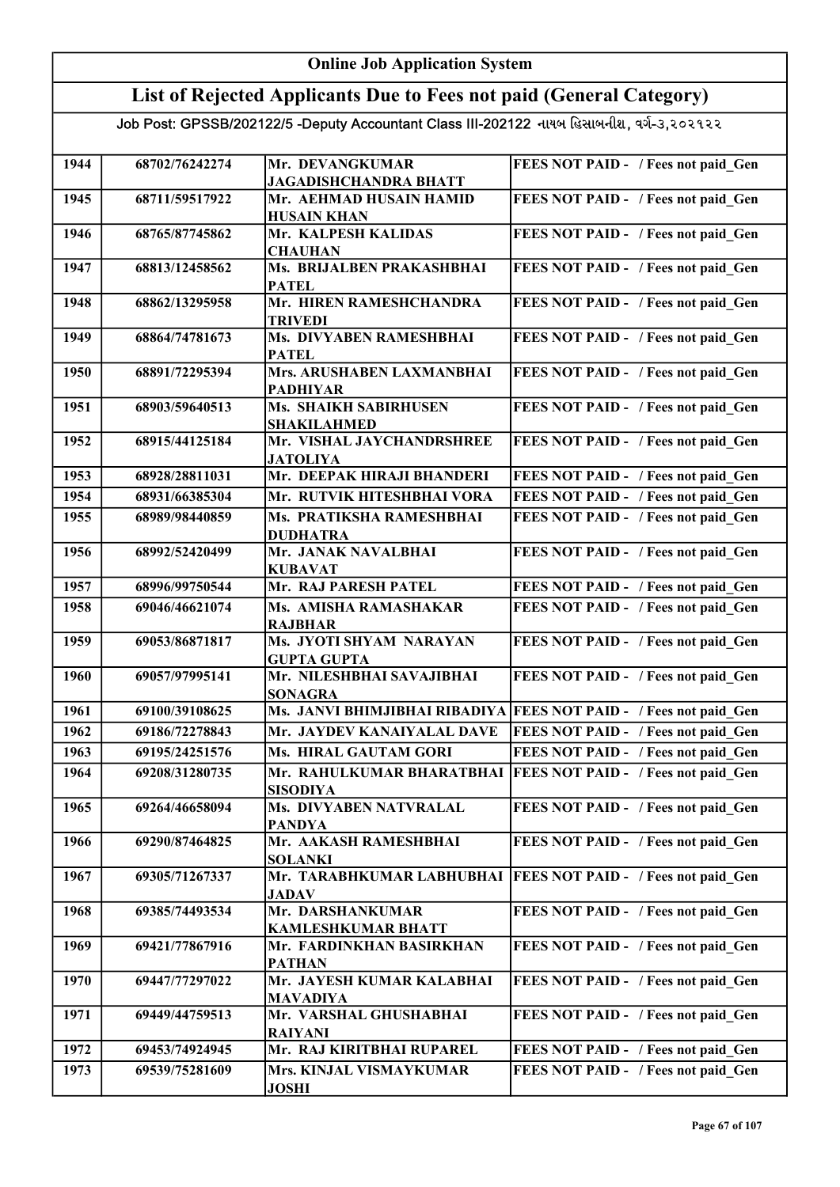#### Online Job Application System List of Rejected Applicants Due to Fees not paid (General Category) Job Post: GPSSB/202122/5 -Deputy Accountant Class III-202122 નાયબ હિસાબનીશ, વર્ગ-૩,૨૦૨૧૨૨ 1944 68702/76242274 Mr. DEVANGKUMAR JAGADISHCHANDRA BHATT FEES NOT PAID - / Fees not paid Gen 1945 68711/59517922 Mr. AEHMAD HUSAIN HAMID HUSAIN KHAN FEES NOT PAID - / Fees not paid\_Gen 1946 68765/87745862 Mr. KALPESH KALIDAS **CHAUHAN** FEES NOT PAID - / Fees not paid Gen 1947 68813/12458562 Ms. BRIJALBEN PRAKASHBHAI **PATEL** FEES NOT PAID - / Fees not paid Gen 1948 68862/13295958 Mr. HIREN RAMESHCHANDRA TRIVEDI FEES NOT PAID - / Fees not paid Gen 1949 68864/74781673 Ms. DIVYABEN RAMESHBHAI PATEL FEES NOT PAID - / Fees not paid Gen 1950 68891/72295394 Mrs. ARUSHABEN LAXMANBHAI PADHIYAR FEES NOT PAID - / Fees not paid Gen 1951 68903/59640513 Ms. SHAIKH SABIRHUSEN SHAKILAHMED FEES NOT PAID - / Fees not paid Gen 1952 68915/44125184 Mr. VISHAL JAYCHANDRSHREE JATOLIYA FEES NOT PAID - / Fees not paid Gen 1953 68928/28811031 Mr. DEEPAK HIRAJI BHANDERI FEES NOT PAID - / Fees not paid\_Gen 1954 68931/66385304 Mr. RUTVIK HITESHBHAI VORA FEES NOT PAID - / Fees not paid Gen 1955 68989/98440859 Ms. PRATIKSHA RAMESHBHAI DUDHATRA FEES NOT PAID - / Fees not paid Gen 1956 68992/52420499 Mr. JANAK NAVALBHAI KUBAVAT FEES NOT PAID - / Fees not paid Gen 1957 68996/99750544 Mr. RAJ PARESH PATEL FEES NOT PAID - / Fees not paid Gen 1958 69046/46621074 Ms. AMISHA RAMASHAKAR RAJBHAR FEES NOT PAID - / Fees not paid Gen 1959 69053/86871817 Ms. JYOTI SHYAM NARAYAN GUPTA GUPTA FEES NOT PAID - / Fees not paid Gen 1960 69057/97995141 Mr. NILESHBHAI SAVAJIBHAI SONAGRA FEES NOT PAID - / Fees not paid Gen 1961 69100/39108625 Ms. JANVI BHIMJIBHAI RIBADIYA FEES NOT PAID - / Fees not paid\_Gen 1962 69186/72278843 Mr. JAYDEV KANAIYALAL DAVE FEES NOT PAID - / Fees not paid\_Gen 1963 69195/24251576 Ms. HIRAL GAUTAM GORI FEES NOT PAID - / Fees not paid\_Gen 1964 69208/31280735 Mr. RAHULKUMAR BHARATBHAI FEES NOT PAID - / Fees not paid\_Gen SISODIYA 1965 69264/46658094 Ms. DIVYABEN NATVRALAL PANDYA FEES NOT PAID - / Fees not paid\_Gen 1966 69290/87464825 Mr. AAKASH RAMESHBHAI SOLANKI FEES NOT PAID - / Fees not paid Gen 1967 69305/71267337 Mr. TARABHKUMAR LABHUBHAI JADAV **FEES NOT PAID - / Fees not paid Gen** 1968 69385/74493534 Mr. DARSHANKUMAR KAMLESHKUMAR BHATT FEES NOT PAID - / Fees not paid Gen 1969 69421/77867916 Mr. FARDINKHAN BASIRKHAN PATHAN FEES NOT PAID - / Fees not paid\_Gen 1970 69447/77297022 Mr. JAYESH KUMAR KALABHAI MAVADIYA FEES NOT PAID - / Fees not paid Gen 1971 69449/44759513 Mr. VARSHAL GHUSHABHAI RAIYANI FEES NOT PAID - / Fees not paid Gen 1972 69453/74924945 Mr. RAJ KIRITBHAI RUPAREL FEES NOT PAID - / Fees not paid\_Gen 1973 69539/75281609 Mrs. KINJAL VISMAYKUMAR JOSHI FEES NOT PAID - / Fees not paid\_Gen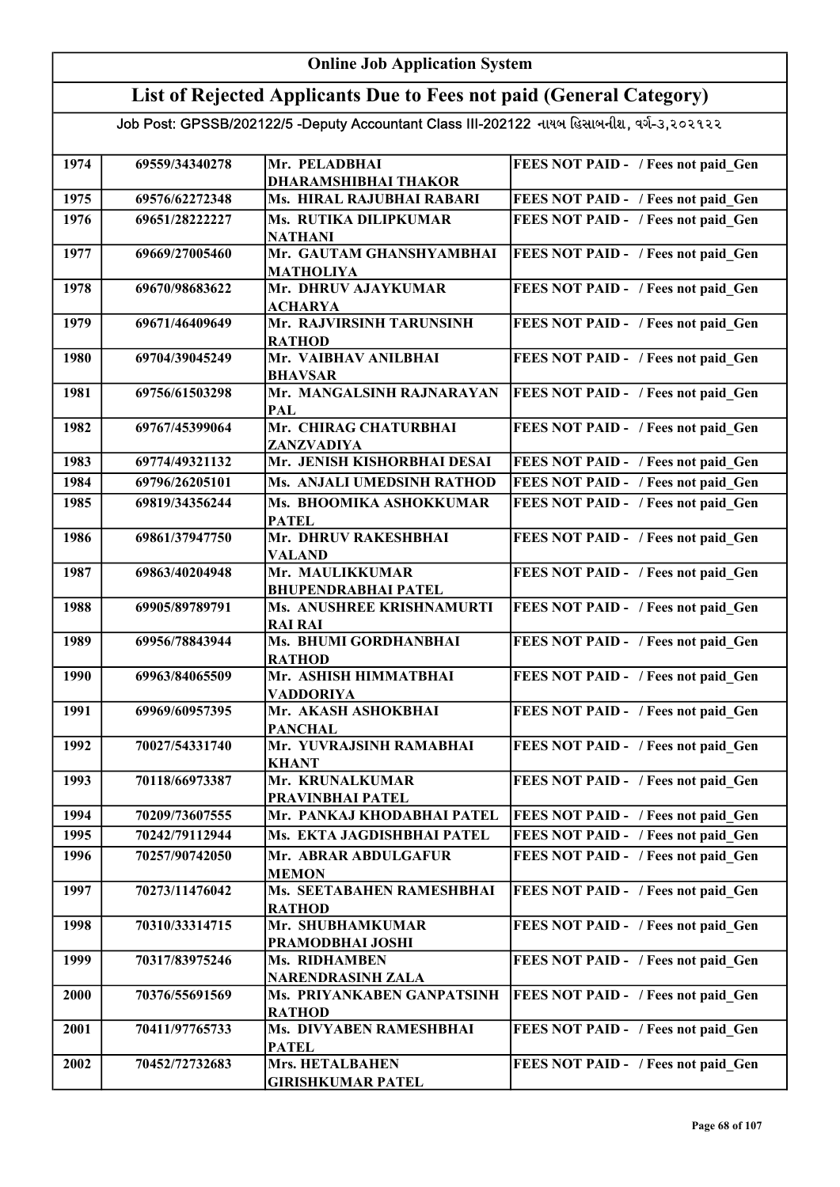## Online Job Application System List of Rejected Applicants Due to Fees not paid (General Category)

| 1974 | 69559/34340278 | Mr. PELADBHAI<br><b>DHARAMSHIBHAI THAKOR</b> | FEES NOT PAID - / Fees not paid Gen |
|------|----------------|----------------------------------------------|-------------------------------------|
| 1975 | 69576/62272348 | Ms. HIRAL RAJUBHAI RABARI                    | FEES NOT PAID - / Fees not paid Gen |
| 1976 | 69651/28222227 | Ms. RUTIKA DILIPKUMAR                        | FEES NOT PAID - / Fees not paid Gen |
|      |                | <b>NATHANI</b>                               |                                     |
| 1977 | 69669/27005460 | Mr. GAUTAM GHANSHYAMBHAI                     | FEES NOT PAID - / Fees not paid Gen |
|      |                | <b>MATHOLIYA</b>                             |                                     |
| 1978 | 69670/98683622 | Mr. DHRUV AJAYKUMAR                          | FEES NOT PAID - / Fees not paid Gen |
|      |                | <b>ACHARYA</b>                               |                                     |
| 1979 | 69671/46409649 | Mr. RAJVIRSINH TARUNSINH                     | FEES NOT PAID - / Fees not paid Gen |
| 1980 | 69704/39045249 | <b>RATHOD</b><br>Mr. VAIBHAV ANILBHAI        | FEES NOT PAID - / Fees not paid_Gen |
|      |                | <b>BHAVSAR</b>                               |                                     |
| 1981 | 69756/61503298 | Mr. MANGALSINH RAJNARAYAN                    | FEES NOT PAID - / Fees not paid_Gen |
|      |                | PAL                                          |                                     |
| 1982 | 69767/45399064 | Mr. CHIRAG CHATURBHAI                        | FEES NOT PAID - / Fees not paid_Gen |
|      |                | ZANZVADIYA                                   |                                     |
| 1983 | 69774/49321132 | Mr. JENISH KISHORBHAI DESAI                  | FEES NOT PAID - / Fees not paid Gen |
| 1984 | 69796/26205101 | Ms. ANJALI UMEDSINH RATHOD                   | FEES NOT PAID - / Fees not paid Gen |
| 1985 | 69819/34356244 | Ms. BHOOMIKA ASHOKKUMAR                      | FEES NOT PAID - / Fees not paid Gen |
|      |                | <b>PATEL</b>                                 |                                     |
| 1986 | 69861/37947750 | Mr. DHRUV RAKESHBHAI                         | FEES NOT PAID - / Fees not paid Gen |
| 1987 | 69863/40204948 | <b>VALAND</b><br>Mr. MAULIKKUMAR             | FEES NOT PAID - / Fees not paid_Gen |
|      |                | <b>BHUPENDRABHAI PATEL</b>                   |                                     |
| 1988 | 69905/89789791 | Ms. ANUSHREE KRISHNAMURTI                    | FEES NOT PAID - / Fees not paid Gen |
|      |                | <b>RAI RAI</b>                               |                                     |
| 1989 | 69956/78843944 | Ms. BHUMI GORDHANBHAI                        | FEES NOT PAID - / Fees not paid Gen |
|      |                | <b>RATHOD</b>                                |                                     |
| 1990 | 69963/84065509 | Mr. ASHISH HIMMATBHAI                        | FEES NOT PAID - / Fees not paid Gen |
| 1991 | 69969/60957395 | <b>VADDORIYA</b><br>Mr. AKASH ASHOKBHAI      | FEES NOT PAID - / Fees not paid Gen |
|      |                | <b>PANCHAL</b>                               |                                     |
| 1992 | 70027/54331740 | Mr. YUVRAJSINH RAMABHAI                      | FEES NOT PAID - / Fees not paid Gen |
|      |                | <b>KHANT</b>                                 |                                     |
| 1993 | 70118/66973387 | Mr. KRUNALKUMAR                              | FEES NOT PAID - / Fees not paid Gen |
|      |                | PRAVINBHAI PATEL                             |                                     |
| 1994 | 70209/73607555 | Mr. PANKAJ KHODABHAI PATEL                   | FEES NOT PAID - / Fees not paid Gen |
| 1995 | 70242/79112944 | Ms. EKTA JAGDISHBHAI PATEL                   | FEES NOT PAID - / Fees not paid Gen |
| 1996 | 70257/90742050 | Mr. ABRAR ABDULGAFUR                         | FEES NOT PAID - / Fees not paid Gen |
| 1997 | 70273/11476042 | <b>MEMON</b><br>Ms. SEETABAHEN RAMESHBHAI    | FEES NOT PAID - / Fees not paid Gen |
|      |                | <b>RATHOD</b>                                |                                     |
| 1998 | 70310/33314715 | Mr. SHUBHAMKUMAR                             | FEES NOT PAID - / Fees not paid Gen |
|      |                | PRAMODBHAI JOSHI                             |                                     |
| 1999 | 70317/83975246 | Ms. RIDHAMBEN                                | FEES NOT PAID - / Fees not paid Gen |
|      |                | <b>NARENDRASINH ZALA</b>                     |                                     |
| 2000 | 70376/55691569 | Ms. PRIYANKABEN GANPATSINH                   | FEES NOT PAID - / Fees not paid Gen |
|      |                | <b>RATHOD</b>                                |                                     |
| 2001 | 70411/97765733 | Ms. DIVYABEN RAMESHBHAI<br><b>PATEL</b>      | FEES NOT PAID - / Fees not paid Gen |
| 2002 | 70452/72732683 | Mrs. HETALBAHEN                              | FEES NOT PAID - / Fees not paid Gen |
|      |                | <b>GIRISHKUMAR PATEL</b>                     |                                     |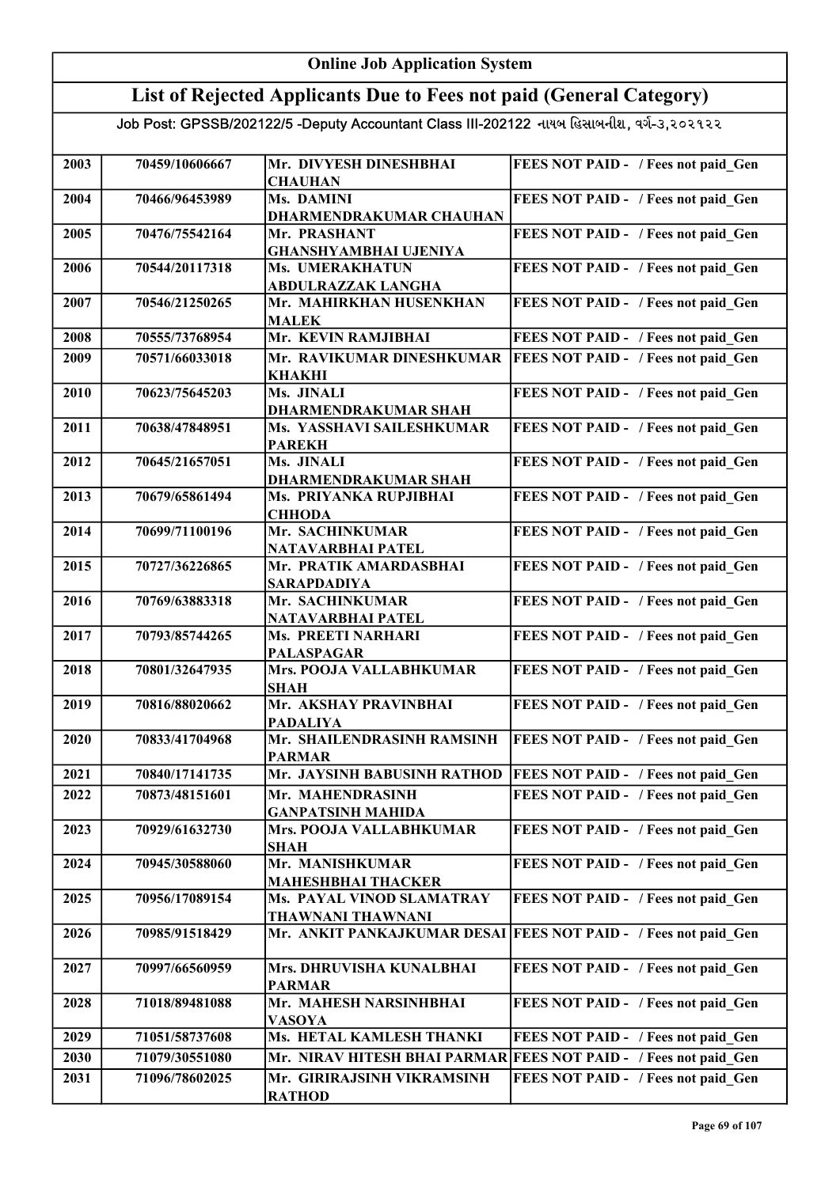#### Online Job Application System List of Rejected Applicants Due to Fees not paid (General Category) Job Post: GPSSB/202122/5 -Deputy Accountant Class III-202122 નાયબ હિસાબનીશ, વર્ગ-૩,૨૦૨૧૨૨ 2003 70459/10606667 Mr. DIVYESH DINESHBHAI **CHAUHAN** FEES NOT PAID - / Fees not paid Gen 2004 70466/96453989 Ms. DAMINI DHARMENDRAKUMAR CHAUHAN FEES NOT PAID - / Fees not paid\_Gen 2005 70476/75542164 Mr. PRASHANT GHANSHYAMBHAI UJENIYA FEES NOT PAID - / Fees not paid Gen 2006 70544/20117318 Ms. UMERAKHATUN ABDULRAZZAK LANGHA FEES NOT PAID - / Fees not paid Gen 2007 70546/21250265 Mr. MAHIRKHAN HUSENKHAN MALEK FEES NOT PAID - / Fees not paid Gen 2008 70555/73768954 Mr. KEVIN RAMJIBHAI 2009 70571/66033018 Mr. RAVIKUMAR DINESHKUMAR FEES NOT PAID - / Fees not paid Gen KHAKHI **FEES NOT PAID - / Fees not paid Gen** 2010 70623/75645203 Ms. JINALI DHARMENDRAKUMAR SHAH FEES NOT PAID - / Fees not paid Gen 2011 70638/47848951 Ms. YASSHAVI SAILESHKUMAR PAREKH FEES NOT PAID - / Fees not paid Gen 2012 70645/21657051 Ms. JINALI DHARMENDRAKUMAR SHAH FEES NOT PAID - / Fees not paid Gen 2013 70679/65861494 Ms. PRIYANKA RUPJIBHAI **CHHODA** FEES NOT PAID - / Fees not paid Gen 2014 70699/71100196 Mr. SACHINKUMAR NATAVARBHAI PATEL FEES NOT PAID - / Fees not paid Gen 2015 70727/36226865 Mr. PRATIK AMARDASBHAI SARAPDADIYA FEES NOT PAID - / Fees not paid Gen 2016 70769/63883318 Mr. SACHINKUMAR NATAVARBHAI PATEL FEES NOT PAID - / Fees not paid Gen 2017 | 70793/85744265 | Ms. PREETI NARHARI PALASPAGAR FEES NOT PAID - / Fees not paid Gen 2018 70801/32647935 Mrs. POOJA VALLABHKUMAR SHAH FEES NOT PAID - / Fees not paid Gen 2019 70816/88020662 Mr. AKSHAY PRAVINBHAI PADALIYA FEES NOT PAID - / Fees not paid Gen 2020 70833/41704968 Mr. SHAILENDRASINH RAMSINH PARMAR FEES NOT PAID - / Fees not paid Gen 2021 70840/17141735 Mr. JAYSINH BABUSINH RATHOD FEES NOT PAID - / Fees not paid Gen 2022 70873/48151601 Mr. MAHENDRASINH GANPATSINH MAHIDA FEES NOT PAID - / Fees not paid Gen 2023 70929/61632730 Mrs. POOJA VALLABHKUMAR SHAH FEES NOT PAID - / Fees not paid Gen 2024 70945/30588060 Mr. MANISHKUMAR MAHESHBHAI THACKER FEES NOT PAID - / Fees not paid Gen 2025 70956/17089154 Ms. PAYAL VINOD SLAMATRAY THAWNANI THAWNANI FEES NOT PAID - / Fees not paid Gen 2026 70985/91518429 Mr. ANKIT PANKAJKUMAR DESAI FEES NOT PAID - / Fees not paid Gen 2027 70997/66560959 Mrs. DHRUVISHA KUNALBHAI PARMAR FEES NOT PAID - / Fees not paid Gen 2028 71018/89481088 Mr. MAHESH NARSINHBHAI VASOYA FEES NOT PAID - / Fees not paid Gen 2029 71051/58737608 Ms. HETAL KAMLESH THANKI FEES NOT PAID - / Fees not paid Gen 2030 71079/30551080 Mr. NIRAV HITESH BHAI PARMAR FEES NOT PAID - / Fees not paid Gen 2031 71096/78602025 Mr. GIRIRAJSINH VIKRAMSINH RATHOD FEES NOT PAID - / Fees not paid\_Gen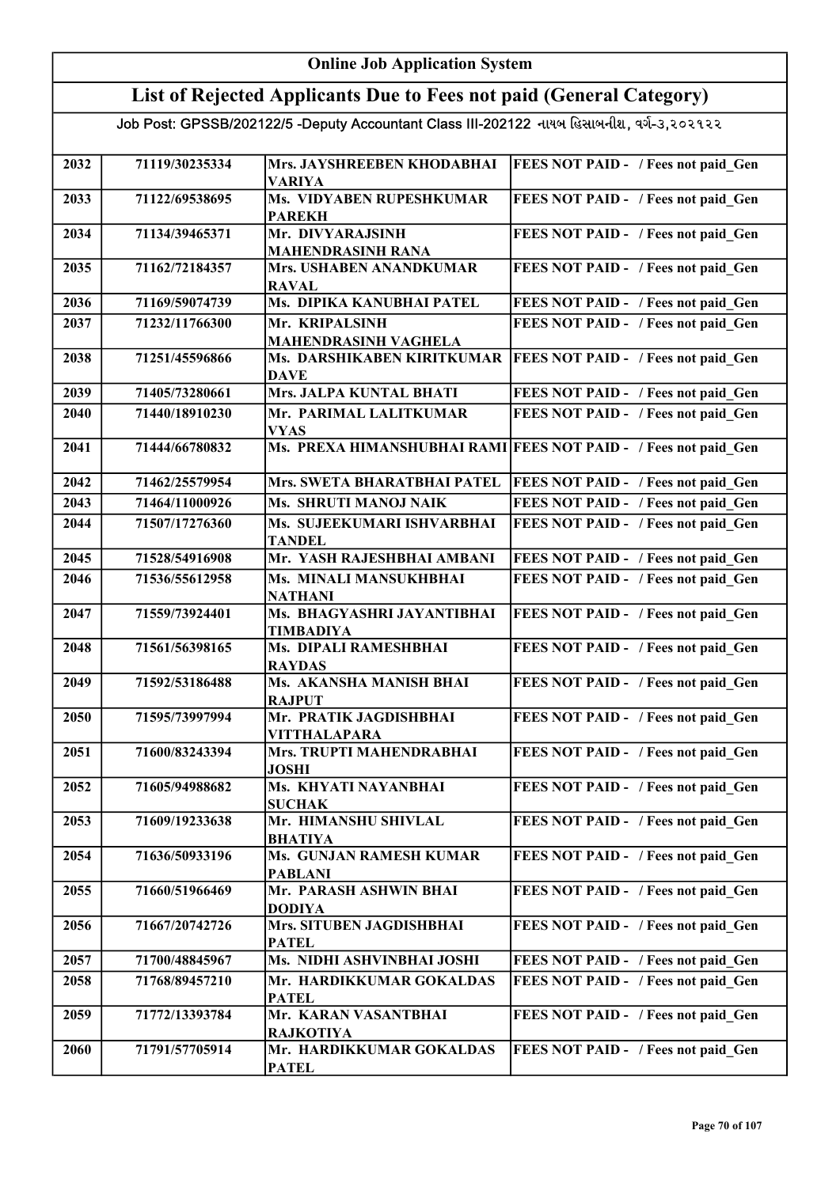| <b>Online Job Application System</b>                                                      |                |                                                  |                                                                 |
|-------------------------------------------------------------------------------------------|----------------|--------------------------------------------------|-----------------------------------------------------------------|
| List of Rejected Applicants Due to Fees not paid (General Category)                       |                |                                                  |                                                                 |
| Job Post: GPSSB/202122/5 -Deputy Accountant Class III-202122 નાયબ હિસાબનીશ, વર્ગ-૩,૨૦૨૧૨૨ |                |                                                  |                                                                 |
| 2032                                                                                      | 71119/30235334 | Mrs. JAYSHREEBEN KHODABHAI<br><b>VARIYA</b>      | <b>FEES NOT PAID - / Fees not paid Gen</b>                      |
| 2033                                                                                      | 71122/69538695 | Ms. VIDYABEN RUPESHKUMAR<br><b>PAREKH</b>        | FEES NOT PAID - / Fees not paid Gen                             |
| 2034                                                                                      | 71134/39465371 | Mr. DIVYARAJSINH<br><b>MAHENDRASINH RANA</b>     | FEES NOT PAID - / Fees not paid Gen                             |
| 2035                                                                                      | 71162/72184357 | Mrs. USHABEN ANANDKUMAR<br><b>RAVAL</b>          | FEES NOT PAID - / Fees not paid Gen                             |
| 2036                                                                                      | 71169/59074739 | Ms. DIPIKA KANUBHAI PATEL                        | FEES NOT PAID - / Fees not paid Gen                             |
| 2037                                                                                      | 71232/11766300 | Mr. KRIPALSINH<br><b>MAHENDRASINH VAGHELA</b>    | FEES NOT PAID - / Fees not paid Gen                             |
| 2038                                                                                      | 71251/45596866 | Ms. DARSHIKABEN KIRITKUMAR<br><b>DAVE</b>        | <b>FEES NOT PAID - / Fees not paid Gen</b>                      |
| 2039                                                                                      | 71405/73280661 | Mrs. JALPA KUNTAL BHATI                          | FEES NOT PAID - / Fees not paid Gen                             |
| 2040                                                                                      | 71440/18910230 | Mr. PARIMAL LALITKUMAR<br><b>VYAS</b>            | FEES NOT PAID - / Fees not paid Gen                             |
| 2041                                                                                      | 71444/66780832 |                                                  | Ms. PREXA HIMANSHUBHAI RAMI FEES NOT PAID - / Fees not paid Gen |
| 2042                                                                                      | 71462/25579954 | Mrs. SWETA BHARATBHAI PATEL                      | FEES NOT PAID - / Fees not paid Gen                             |
| 2043                                                                                      | 71464/11000926 | Ms. SHRUTI MANOJ NAIK                            | FEES NOT PAID - / Fees not paid Gen                             |
| 2044                                                                                      | 71507/17276360 | Ms. SUJEEKUMARI ISHVARBHAI<br><b>TANDEL</b>      | FEES NOT PAID - / Fees not paid Gen                             |
| 2045                                                                                      | 71528/54916908 | Mr. YASH RAJESHBHAI AMBANI                       | FEES NOT PAID - / Fees not paid Gen                             |
| 2046                                                                                      | 71536/55612958 | Ms. MINALI MANSUKHBHAI<br><b>NATHANI</b>         | FEES NOT PAID - / Fees not paid Gen                             |
| 2047                                                                                      | 71559/73924401 | Ms. BHAGYASHRI JAYANTIBHAI<br><b>TIMBADIYA</b>   | FEES NOT PAID - / Fees not paid Gen                             |
| 2048                                                                                      | 71561/56398165 | Ms. DIPALI RAMESHBHAI<br><b>RAYDAS</b>           | FEES NOT PAID - / Fees not paid Gen                             |
| 2049                                                                                      | 71592/53186488 | Ms. AKANSHA MANISH BHAI<br><b>RAJPUT</b>         | FEES NOT PAID - / Fees not paid Gen                             |
| 2050                                                                                      | 71595/73997994 | Mr. PRATIK JAGDISHBHAI<br><b>VITTHALAPARA</b>    | FEES NOT PAID - / Fees not paid Gen                             |
| 2051                                                                                      | 71600/83243394 | Mrs. TRUPTI MAHENDRABHAI<br><b>JOSHI</b>         | FEES NOT PAID - / Fees not paid Gen                             |
| 2052                                                                                      | 71605/94988682 | Ms. KHYATI NAYANBHAI<br><b>SUCHAK</b>            | FEES NOT PAID - / Fees not paid Gen                             |
| 2053                                                                                      | 71609/19233638 | Mr. HIMANSHU SHIVLAL<br><b>BHATIYA</b>           | FEES NOT PAID - / Fees not paid Gen                             |
| 2054                                                                                      | 71636/50933196 | <b>Ms. GUNJAN RAMESH KUMAR</b><br><b>PABLANI</b> | FEES NOT PAID - / Fees not paid Gen                             |
| 2055                                                                                      | 71660/51966469 | Mr. PARASH ASHWIN BHAI<br><b>DODIYA</b>          | FEES NOT PAID - / Fees not paid Gen                             |
| 2056                                                                                      | 71667/20742726 | Mrs. SITUBEN JAGDISHBHAI<br><b>PATEL</b>         | FEES NOT PAID - / Fees not paid Gen                             |
| 2057                                                                                      | 71700/48845967 | Ms. NIDHI ASHVINBHAI JOSHI                       | FEES NOT PAID - / Fees not paid Gen                             |
| 2058                                                                                      | 71768/89457210 | Mr. HARDIKKUMAR GOKALDAS<br><b>PATEL</b>         | FEES NOT PAID - / Fees not paid Gen                             |
| 2059                                                                                      | 71772/13393784 | Mr. KARAN VASANTBHAI<br><b>RAJKOTIYA</b>         | FEES NOT PAID - / Fees not paid Gen                             |
| 2060                                                                                      | 71791/57705914 | Mr. HARDIKKUMAR GOKALDAS<br><b>PATEL</b>         | FEES NOT PAID - / Fees not paid Gen                             |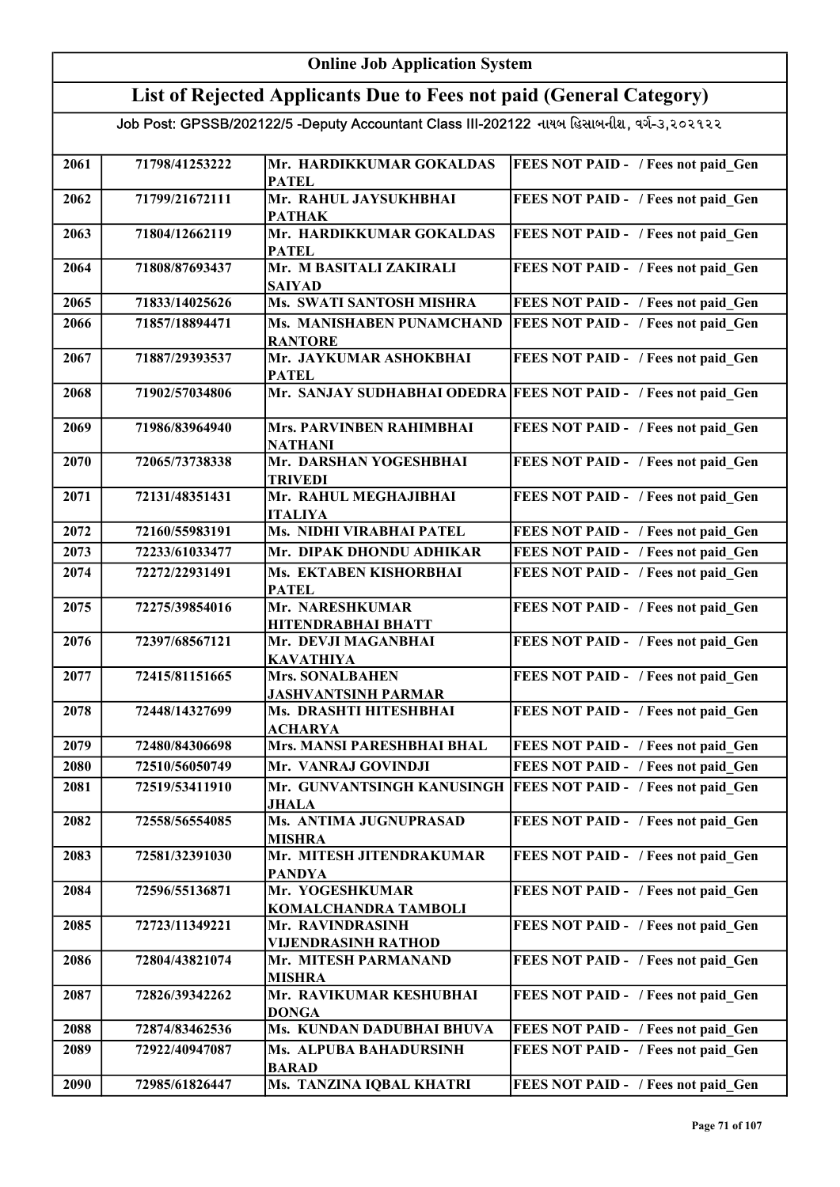| <b>Online Job Application System</b>                                |                |                                                                                           |                                                                 |
|---------------------------------------------------------------------|----------------|-------------------------------------------------------------------------------------------|-----------------------------------------------------------------|
| List of Rejected Applicants Due to Fees not paid (General Category) |                |                                                                                           |                                                                 |
|                                                                     |                | Job Post: GPSSB/202122/5 -Deputy Accountant Class III-202122 નાયબ હિસાબનીશ, વર્ગ-૩,૨૦૨૧૨૨ |                                                                 |
|                                                                     |                |                                                                                           |                                                                 |
| 2061                                                                | 71798/41253222 | Mr. HARDIKKUMAR GOKALDAS<br><b>PATEL</b>                                                  | FEES NOT PAID - / Fees not paid Gen                             |
| 2062                                                                | 71799/21672111 | Mr. RAHUL JAYSUKHBHAI<br><b>PATHAK</b>                                                    | FEES NOT PAID - / Fees not paid Gen                             |
| 2063                                                                | 71804/12662119 | Mr. HARDIKKUMAR GOKALDAS<br><b>PATEL</b>                                                  | FEES NOT PAID - / Fees not paid Gen                             |
| 2064                                                                | 71808/87693437 | Mr. M BASITALI ZAKIRALI<br><b>SAIYAD</b>                                                  | FEES NOT PAID - / Fees not paid Gen                             |
| 2065                                                                | 71833/14025626 | Ms. SWATI SANTOSH MISHRA                                                                  | FEES NOT PAID - / Fees not paid Gen                             |
| 2066                                                                | 71857/18894471 | Ms. MANISHABEN PUNAMCHAND<br><b>RANTORE</b>                                               | FEES NOT PAID - / Fees not paid Gen                             |
| 2067                                                                | 71887/29393537 | Mr. JAYKUMAR ASHOKBHAI<br><b>PATEL</b>                                                    | FEES NOT PAID - / Fees not paid Gen                             |
| 2068                                                                | 71902/57034806 |                                                                                           | Mr. SANJAY SUDHABHAI ODEDRA FEES NOT PAID - / Fees not paid Gen |
| 2069                                                                | 71986/83964940 | Mrs. PARVINBEN RAHIMBHAI<br><b>NATHANI</b>                                                | FEES NOT PAID - / Fees not paid Gen                             |
| 2070                                                                | 72065/73738338 | Mr. DARSHAN YOGESHBHAI<br><b>TRIVEDI</b>                                                  | FEES NOT PAID - / Fees not paid_Gen                             |
| 2071                                                                | 72131/48351431 | Mr. RAHUL MEGHAJIBHAI<br><b>ITALIYA</b>                                                   | FEES NOT PAID - / Fees not paid Gen                             |
| 2072                                                                | 72160/55983191 | Ms. NIDHI VIRABHAI PATEL                                                                  | FEES NOT PAID - / Fees not paid Gen                             |
| 2073                                                                | 72233/61033477 | Mr. DIPAK DHONDU ADHIKAR                                                                  | FEES NOT PAID - / Fees not paid Gen                             |
| 2074                                                                | 72272/22931491 | Ms. EKTABEN KISHORBHAI<br><b>PATEL</b>                                                    | FEES NOT PAID - / Fees not paid Gen                             |
| 2075                                                                | 72275/39854016 | Mr. NARESHKUMAR<br><b>HITENDRABHAI BHATT</b>                                              | FEES NOT PAID - / Fees not paid Gen                             |
| 2076                                                                | 72397/68567121 | Mr. DEVJI MAGANBHAI<br><b>KAVATHIYA</b>                                                   | FEES NOT PAID - / Fees not paid Gen                             |
| 2077                                                                | 72415/81151665 | <b>Mrs. SONALBAHEN</b><br><b>JASHVANTSINH PARMAR</b>                                      | FEES NOT PAID - / Fees not paid_Gen                             |
| 2078                                                                | 72448/14327699 | Ms. DRASHTI HITESHBHAI<br><b>ACHARYA</b>                                                  | FEES NOT PAID - / Fees not paid Gen                             |
| 2079                                                                | 72480/84306698 | Mrs. MANSI PARESHBHAI BHAL                                                                | FEES NOT PAID - / Fees not paid Gen                             |
| 2080                                                                | 72510/56050749 | Mr. VANRAJ GOVINDJI                                                                       | FEES NOT PAID - / Fees not paid Gen                             |
| 2081                                                                | 72519/53411910 | Mr. GUNVANTSINGH KANUSINGH<br><b>JHALA</b>                                                | FEES NOT PAID - / Fees not paid Gen                             |
| 2082                                                                | 72558/56554085 | Ms. ANTIMA JUGNUPRASAD<br><b>MISHRA</b>                                                   | FEES NOT PAID - / Fees not paid Gen                             |
| 2083                                                                | 72581/32391030 | Mr. MITESH JITENDRAKUMAR<br><b>PANDYA</b>                                                 | FEES NOT PAID - / Fees not paid Gen                             |
| 2084                                                                | 72596/55136871 | Mr. YOGESHKUMAR<br>KOMALCHANDRA TAMBOLI                                                   | FEES NOT PAID - / Fees not paid Gen                             |
| 2085                                                                | 72723/11349221 | Mr. RAVINDRASINH<br><b>VIJENDRASINH RATHOD</b>                                            | FEES NOT PAID - / Fees not paid Gen                             |
| 2086                                                                | 72804/43821074 | Mr. MITESH PARMANAND<br><b>MISHRA</b>                                                     | FEES NOT PAID - / Fees not paid Gen                             |
| 2087                                                                | 72826/39342262 | Mr. RAVIKUMAR KESHUBHAI<br><b>DONGA</b>                                                   | FEES NOT PAID - / Fees not paid Gen                             |
| 2088                                                                | 72874/83462536 | Ms. KUNDAN DADUBHAI BHUVA                                                                 | FEES NOT PAID - / Fees not paid Gen                             |
| 2089                                                                | 72922/40947087 | Ms. ALPUBA BAHADURSINH<br><b>BARAD</b>                                                    | FEES NOT PAID - / Fees not paid Gen                             |
| 2090                                                                | 72985/61826447 | Ms. TANZINA IQBAL KHATRI                                                                  | FEES NOT PAID - / Fees not paid Gen                             |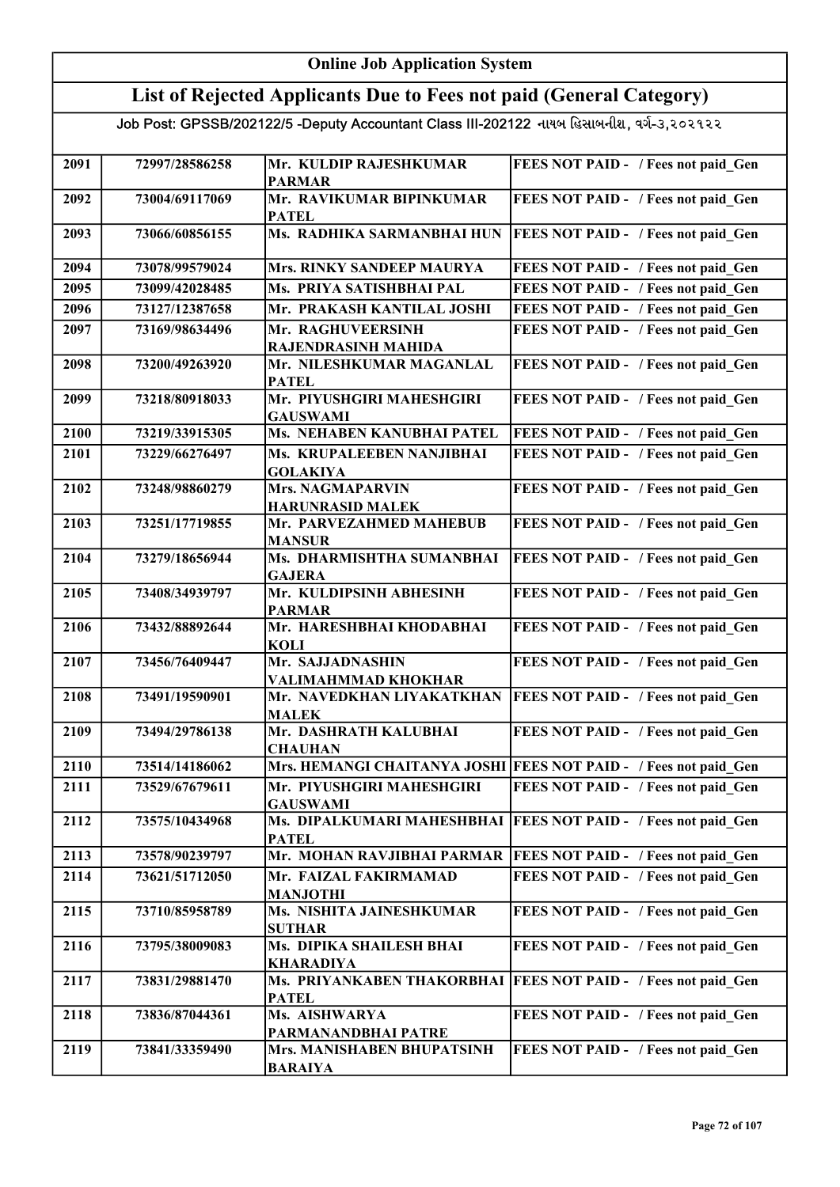#### Online Job Application System List of Rejected Applicants Due to Fees not paid (General Category) Job Post: GPSSB/202122/5 -Deputy Accountant Class III-202122 નાયબ હિસાબનીશ, વર્ગ-૩,૨૦૨૧૨૨ 2091 72997/28586258 Mr. KULDIP RAJESHKUMAR PARMAR FEES NOT PAID - / Fees not paid Gen 2092 73004/69117069 Mr. RAVIKUMAR BIPINKUMAR PATEL FEES NOT PAID - / Fees not paid\_Gen 2093 73066/60856155 Ms. RADHIKA SARMANBHAI HUN FEES NOT PAID - / Fees not paid Gen 2094 73078/99579024 Mrs. RINKY SANDEEP MAURYA FEES NOT PAID - / Fees not paid\_Gen 2095 73099/42028485 Ms. PRIYA SATISHBHAI PAL FEES NOT PAID - / Fees not paid\_Gen 2096 73127/12387658 Mr. PRAKASH KANTILAL JOSHI FEES NOT PAID - / Fees not paid\_Gen 2097 73169/98634496 Mr. RAGHUVEERSINH RAJENDRASINH MAHIDA FEES NOT PAID - / Fees not paid Gen 2098 73200/49263920 Mr. NILESHKUMAR MAGANLAL PATEL FEES NOT PAID - / Fees not paid Gen 2099 | 73218/80918033 | Mr. PIYUSHGIRI MAHESHGIRI GAUSWAMI FEES NOT PAID - / Fees not paid Gen 2100 73219/33915305 Ms. NEHABEN KANUBHAI PATEL FEES NOT PAID - / Fees not paid\_Gen 2101 73229/66276497 Ms. KRUPALEEBEN NANJIBHAI GOLAKIYA FEES NOT PAID - / Fees not paid Gen 2102 73248/98860279 Mrs. NAGMAPARVIN HARUNRASID MALEK FEES NOT PAID - / Fees not paid Gen 2103 73251/17719855 Mr. PARVEZAHMED MAHEBUB MANSUR FEES NOT PAID - / Fees not paid Gen 2104 73279/18656944 Ms. DHARMISHTHA SUMANBHAI GAJERA FEES NOT PAID - / Fees not paid Gen 2105 73408/34939797 Mr. KULDIPSINH ABHESINH PARMAR FEES NOT PAID - / Fees not paid Gen 2106 73432/88892644 Mr. HARESHBHAI KHODABHAI KOLI FEES NOT PAID - / Fees not paid Gen 2107 73456/76409447 Mr. SAJJADNASHIN VALIMAHMMAD KHOKHAR FEES NOT PAID - / Fees not paid Gen 2108 73491/19590901 Mr. NAVEDKHAN LIYAKATKHAN MALEK FEES NOT PAID - / Fees not paid\_Gen 2109 73494/29786138 Mr. DASHRATH KALUBHAI **CHAUHAN** FEES NOT PAID - / Fees not paid Gen 2110 73514/14186062 Mrs. HEMANGI CHAITANYA JOSHI FEES NOT PAID - / Fees not paid Gen 2111 73529/67679611 Mr. PIYUSHGIRI MAHESHGIRI GAUSWAMI FEES NOT PAID - / Fees not paid Gen 2112 73575/10434968 Ms. DIPALKUMARI MAHESHBHAI FEES NOT PAID - / Fees not paid\_Gen PATEL<br>Mr. MOHAN RAVJIBHAI PARMAR 2113 73578/90239797 Mr. MOHAN RAVJIBHAI PARMAR FEES NOT PAID - / Fees not paid Gen 2114 73621/51712050 Mr. FAIZAL FAKIRMAMAD MANJOTHI FEES NOT PAID - / Fees not paid Gen 2115 | 73710/85958789 | Ms. NISHITA JAINESHKUMAR SUTHAR FEES NOT PAID - / Fees not paid Gen 2116 73795/38009083 Ms. DIPIKA SHAILESH BHAI KHARADIYA FEES NOT PAID - / Fees not paid Gen 2117 73831/29881470 Ms. PRIYANKABEN THAKORBHAI FEES NOT PAID - / Fees not paid\_Gen **PATEL**

2118 73836/87044361 Ms. AISHWARYA

2119 73841/33359490 Mrs. MANISHABEN BHUPATSINH

BARAIYA

PARMANANDBHAI PATRE

FEES NOT PAID - / Fees not paid Gen

FEES NOT PAID - / Fees not paid Gen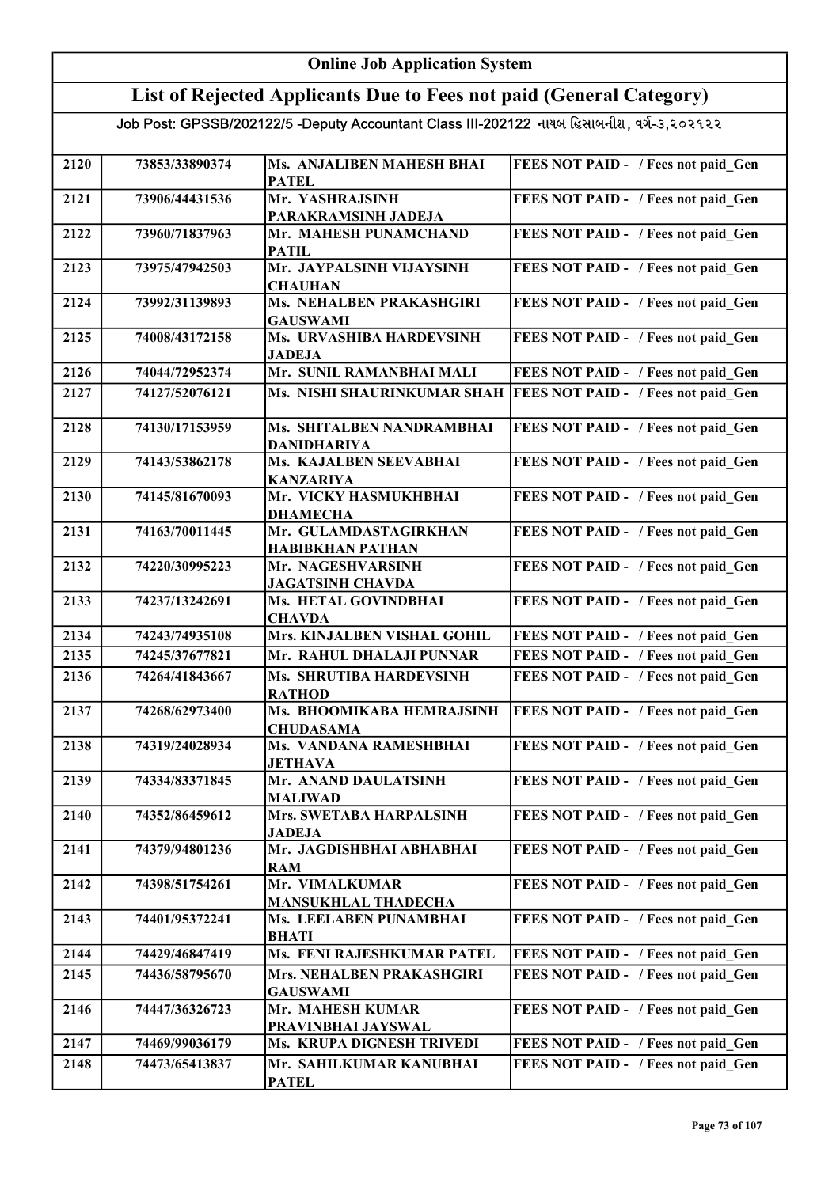| <b>Online Job Application System</b> |                |                                                                                           |                                            |
|--------------------------------------|----------------|-------------------------------------------------------------------------------------------|--------------------------------------------|
|                                      |                | List of Rejected Applicants Due to Fees not paid (General Category)                       |                                            |
|                                      |                | Job Post: GPSSB/202122/5 -Deputy Accountant Class III-202122 નાયબ હિસાબનીશ, વર્ગ-૩,૨૦૨૧૨૨ |                                            |
|                                      |                |                                                                                           |                                            |
| 2120                                 | 73853/33890374 | Ms. ANJALIBEN MAHESH BHAI<br><b>PATEL</b>                                                 | FEES NOT PAID - / Fees not paid_Gen        |
| 2121                                 | 73906/44431536 | Mr. YASHRAJSINH                                                                           | FEES NOT PAID - / Fees not paid Gen        |
|                                      |                | PARAKRAMSINH JADEJA                                                                       |                                            |
| 2122                                 | 73960/71837963 | Mr. MAHESH PUNAMCHAND<br><b>PATIL</b>                                                     | FEES NOT PAID - / Fees not paid Gen        |
| 2123                                 | 73975/47942503 | Mr. JAYPALSINH VIJAYSINH<br><b>CHAUHAN</b>                                                | FEES NOT PAID - / Fees not paid Gen        |
| 2124                                 | 73992/31139893 | Ms. NEHALBEN PRAKASHGIRI                                                                  | FEES NOT PAID - / Fees not paid_Gen        |
| 2125                                 | 74008/43172158 | <b>GAUSWAMI</b><br>Ms. URVASHIBA HARDEVSINH                                               | FEES NOT PAID - / Fees not paid Gen        |
|                                      |                | <b>JADEJA</b>                                                                             |                                            |
| 2126                                 | 74044/72952374 | Mr. SUNIL RAMANBHAI MALI                                                                  | FEES NOT PAID - / Fees not paid Gen        |
| 2127                                 | 74127/52076121 | Ms. NISHI SHAURINKUMAR SHAH                                                               | <b>FEES NOT PAID - / Fees not paid Gen</b> |
| 2128                                 | 74130/17153959 | Ms. SHITALBEN NANDRAMBHAI<br><b>DANIDHARIYA</b>                                           | FEES NOT PAID - / Fees not paid Gen        |
| 2129                                 | 74143/53862178 | Ms. KAJALBEN SEEVABHAI                                                                    | FEES NOT PAID - / Fees not paid_Gen        |
|                                      |                | <b>KANZARIYA</b>                                                                          |                                            |
| 2130                                 | 74145/81670093 | Mr. VICKY HASMUKHBHAI<br><b>DHAMECHA</b>                                                  | FEES NOT PAID - / Fees not paid_Gen        |
| 2131                                 | 74163/70011445 | Mr. GULAMDASTAGIRKHAN                                                                     | FEES NOT PAID - / Fees not paid Gen        |
| 2132                                 | 74220/30995223 | <b>HABIBKHAN PATHAN</b><br>Mr. NAGESHVARSINH                                              | FEES NOT PAID - / Fees not paid Gen        |
|                                      |                | <b>JAGATSINH CHAVDA</b>                                                                   |                                            |
| 2133                                 | 74237/13242691 | Ms. HETAL GOVINDBHAI<br><b>CHAVDA</b>                                                     | FEES NOT PAID - / Fees not paid Gen        |
| 2134                                 | 74243/74935108 | Mrs. KINJALBEN VISHAL GOHIL                                                               | FEES NOT PAID - / Fees not paid Gen        |
| 2135                                 | 74245/37677821 | Mr. RAHUL DHALAJI PUNNAR                                                                  | FEES NOT PAID - / Fees not paid Gen        |
| 2136                                 | 74264/41843667 | Ms. SHRUTIBA HARDEVSINH<br><b>RATHOD</b>                                                  | FEES NOT PAID - / Fees not paid_Gen        |
| 2137                                 | 74268/62973400 | Ms. BHOOMIKABA HEMRAJSINH                                                                 | FEES NOT PAID - / Fees not paid Gen        |
| 2138                                 | 74319/24028934 | <b>CHUDASAMA</b><br>Ms. VANDANA RAMESHBHAI                                                | FEES NOT PAID - / Fees not paid Gen        |
|                                      |                | <b>JETHAVA</b>                                                                            |                                            |
| 2139                                 | 74334/83371845 | Mr. ANAND DAULATSINH<br><b>MALIWAD</b>                                                    | FEES NOT PAID - / Fees not paid Gen        |
| 2140                                 | 74352/86459612 | Mrs. SWETABA HARPALSINH                                                                   | FEES NOT PAID - / Fees not paid Gen        |
|                                      |                | <b>JADEJA</b>                                                                             |                                            |
| 2141                                 | 74379/94801236 | Mr. JAGDISHBHAI ABHABHAI<br><b>RAM</b>                                                    | FEES NOT PAID - / Fees not paid Gen        |
| 2142                                 | 74398/51754261 | Mr. VIMALKUMAR<br><b>MANSUKHLAL THADECHA</b>                                              | FEES NOT PAID - / Fees not paid Gen        |
| 2143                                 | 74401/95372241 | Ms. LEELABEN PUNAMBHAI                                                                    | FEES NOT PAID - / Fees not paid Gen        |
| 2144                                 | 74429/46847419 | <b>BHATI</b><br>Ms. FENI RAJESHKUMAR PATEL                                                | FEES NOT PAID - / Fees not paid Gen        |
| 2145                                 | 74436/58795670 | Mrs. NEHALBEN PRAKASHGIRI                                                                 | FEES NOT PAID - / Fees not paid Gen        |
| 2146                                 | 74447/36326723 | <b>GAUSWAMI</b><br>Mr. MAHESH KUMAR                                                       | FEES NOT PAID - / Fees not paid Gen        |
|                                      |                | PRAVINBHAI JAYSWAL                                                                        |                                            |
| 2147                                 | 74469/99036179 | Ms. KRUPA DIGNESH TRIVEDI                                                                 | FEES NOT PAID - / Fees not paid Gen        |
| 2148                                 | 74473/65413837 | Mr. SAHILKUMAR KANUBHAI<br><b>PATEL</b>                                                   | FEES NOT PAID - / Fees not paid Gen        |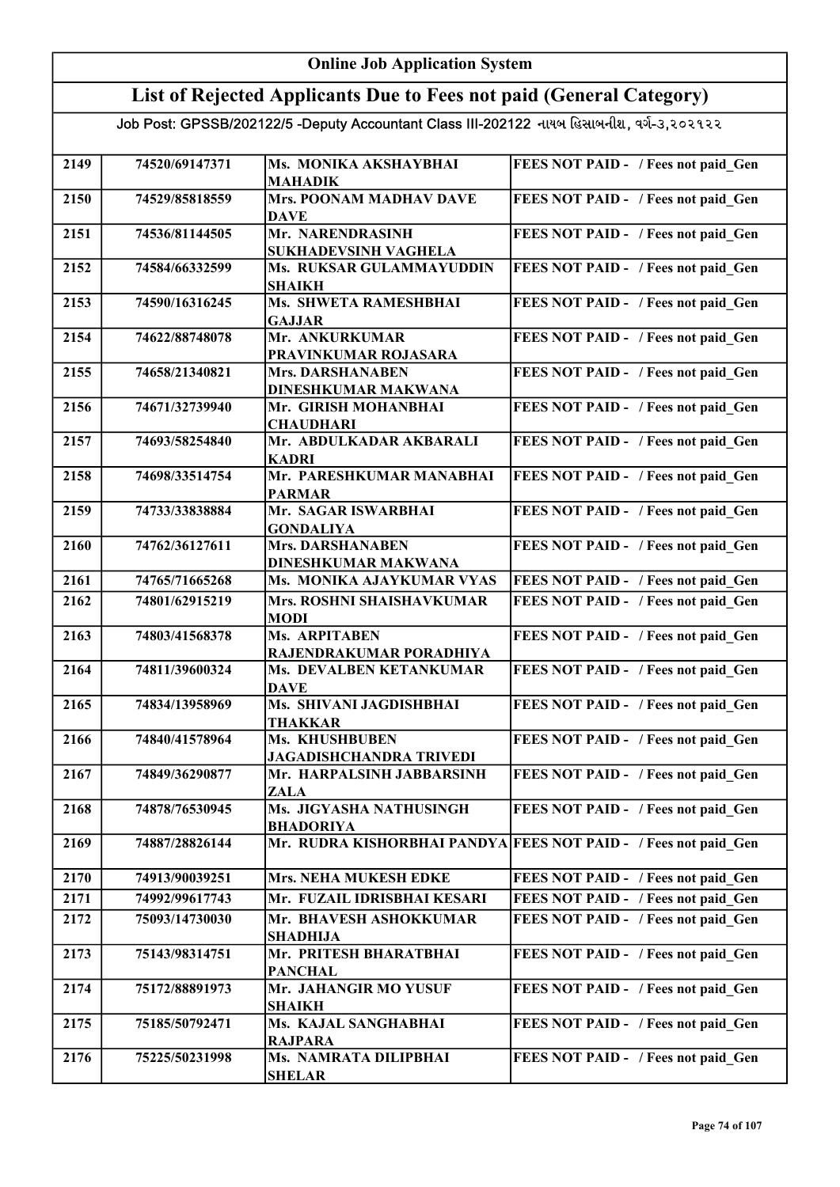#### Online Job Application System List of Rejected Applicants Due to Fees not paid (General Category) Job Post: GPSSB/202122/5 -Deputy Accountant Class III-202122 નાયબ હિસાબનીશ, વર્ગ-૩,૨૦૨૧૨૨ 2149 74520/69147371 Ms. MONIKA AKSHAYBHAI MAHADIK FEES NOT PAID - / Fees not paid Gen 2150 74529/85818559 Mrs. POONAM MADHAV DAVE DAVE FEES NOT PAID - / Fees not paid\_Gen 2151 74536/81144505 Mr. NARENDRASINH SUKHADEVSINH VAGHELA FEES NOT PAID - / Fees not paid Gen 2152 74584/66332599 Ms. RUKSAR GULAMMAYUDDIN SHAIKH FEES NOT PAID - / Fees not paid Gen 2153 74590/16316245 Ms. SHWETA RAMESHBHAI GAJJAR FEES NOT PAID - / Fees not paid Gen 2154 74622/88748078 Mr. ANKURKUMAR PRAVINKUMAR ROJASARA FEES NOT PAID - / Fees not paid Gen 2155 74658/21340821 Mrs. DARSHANABEN DINESHKUMAR MAKWANA FEES NOT PAID - / Fees not paid Gen 2156 74671/32739940 Mr. GIRISH MOHANBHAI **CHAUDHARI** FEES NOT PAID - / Fees not paid Gen 2157 74693/58254840 Mr. ABDULKADAR AKBARALI KADRI FEES NOT PAID - / Fees not paid Gen 2158 74698/33514754 Mr. PARESHKUMAR MANABHAI PARMAR FEES NOT PAID - / Fees not paid Gen 2159 74733/33838884 Mr. SAGAR ISWARBHAI GONDALIYA FEES NOT PAID - / Fees not paid Gen 2160 74762/36127611 Mrs. DARSHANABEN DINESHKUMAR MAKWANA FEES NOT PAID - / Fees not paid Gen 2161 74765/71665268 Ms. MONIKA AJAYKUMAR VYAS FEES NOT PAID - / Fees not paid Gen 2162 74801/62915219 Mrs. ROSHNI SHAISHAVKUMAR MODI FEES NOT PAID - / Fees not paid Gen 2163 74803/41568378 Ms. ARPITABEN RAJENDRAKUMAR PORADHIYA FEES NOT PAID - / Fees not paid Gen 2164 74811/39600324 Ms. DEVALBEN KETANKUMAR **DAVE** FEES NOT PAID - / Fees not paid Gen 2165 74834/13958969 Ms. SHIVANI JAGDISHBHAI THAKKAR FEES NOT PAID - / Fees not paid Gen 2166 74840/41578964 Ms. KHUSHBUBEN JAGADISHCHANDRA TRIVEDI FEES NOT PAID - / Fees not paid Gen 2167 74849/36290877 Mr. HARPALSINH JABBARSINH ZALA FEES NOT PAID - / Fees not paid Gen 2168 74878/76530945 Ms. JIGYASHA NATHUSINGH BHADORIYA FEES NOT PAID - / Fees not paid\_Gen 2169 74887/28826144 Mr. RUDRA KISHORBHAI PANDYA FEES NOT PAID - / Fees not paid\_Gen 2170 74913/90039251 Mrs. NEHA MUKESH EDKE FEES NOT PAID - / Fees not paid Gen 2171 74992/99617743 Mr. FUZAIL IDRISBHAI KESARI FEES NOT PAID - / Fees not paid Gen 2172 75093/14730030 Mr. BHAVESH ASHOKKUMAR SHADHIJA FEES NOT PAID - / Fees not paid Gen 2173 75143/98314751 Mr. PRITESH BHARATBHAI PANCHAL FEES NOT PAID - / Fees not paid Gen 2174 | 75172/88891973 | Mr. JAHANGIR MO YUSUF SHAIKH FEES NOT PAID - / Fees not paid Gen 2175 75185/50792471 Ms. KAJAL SANGHABHAI RAJPARA FEES NOT PAID - / Fees not paid Gen 2176 75225/50231998 Ms. NAMRATA DILIPBHAI SHELAR FEES NOT PAID - / Fees not paid Gen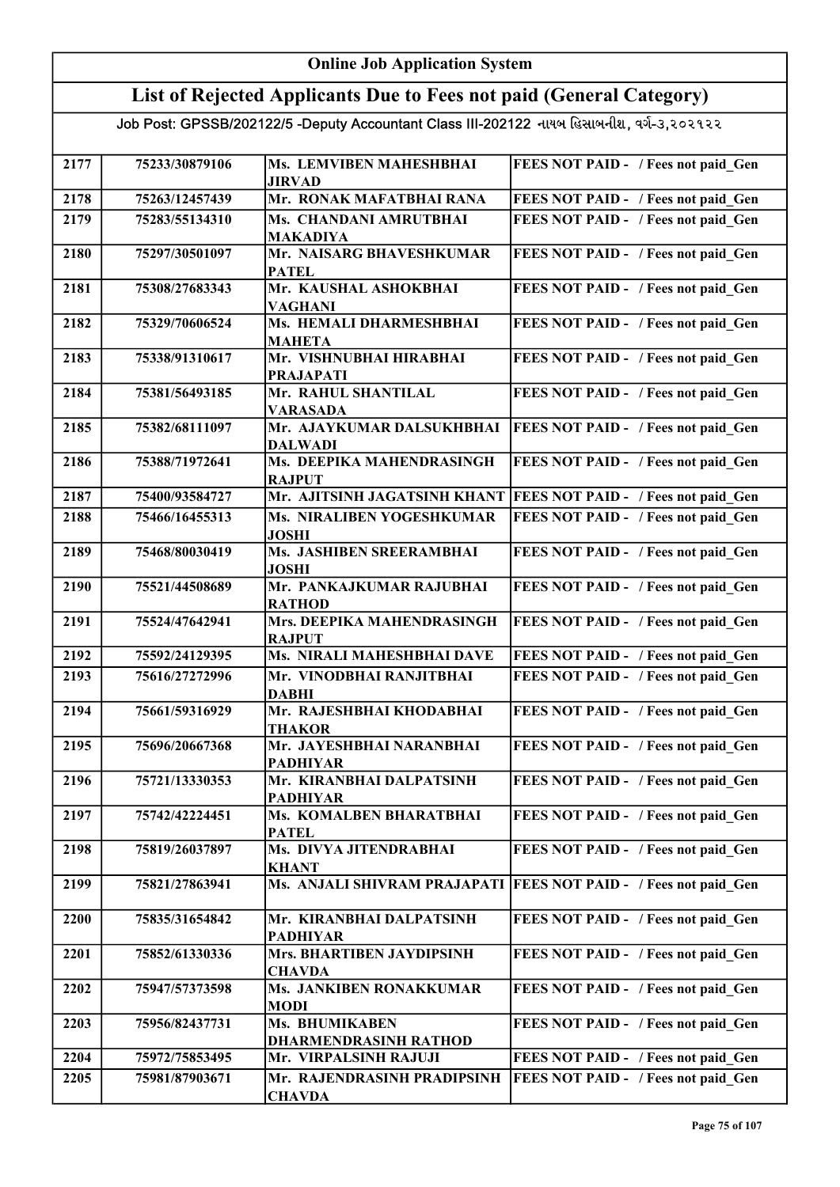#### Online Job Application System List of Rejected Applicants Due to Fees not paid (General Category) Job Post: GPSSB/202122/5 -Deputy Accountant Class III-202122 નાયબ હિસાબનીશ, વર્ગ-૩,૨૦૨૧૨૨ 2177 75233/30879106 Ms. LEMVIBEN MAHESHBHAI JIRVAD FEES NOT PAID - / Fees not paid Gen 2178 75263/12457439 Mr. RONAK MAFATBHAI RANA FEES NOT PAID - / Fees not paid\_Gen 2179 75283/55134310 Ms. CHANDANI AMRUTBHAI MAKADIYA FEES NOT PAID - / Fees not paid Gen 2180 75297/30501097 Mr. NAISARG BHAVESHKUMAR PATEL FEES NOT PAID - / Fees not paid Gen 2181 75308/27683343 Mr. KAUSHAL ASHOKBHAI VAGHANI FEES NOT PAID - / Fees not paid Gen 2182 75329/70606524 Ms. HEMALI DHARMESHBHAI MAHETA FEES NOT PAID - / Fees not paid Gen 2183 75338/91310617 Mr. VISHNUBHAI HIRABHAI PRAJAPATI FEES NOT PAID - / Fees not paid Gen 2184 75381/56493185 Mr. RAHUL SHANTILAL VARASADA FEES NOT PAID - / Fees not paid Gen 2185 75382/68111097 Mr. AJAYKUMAR DALSUKHBHAI DALWADI **FEES NOT PAID - / Fees not paid Gen** 2186 | 75388/71972641 | Ms. DEEPIKA MAHENDRASINGH **RAJPUT** FEES NOT PAID - / Fees not paid Gen 2187 75400/93584727 Mr. AJITSINH JAGATSINH KHANT FEES NOT PAID - / Fees not paid Gen 2188 75466/16455313 Ms. NIRALIBEN YOGESHKUMAR JOSHI FEES NOT PAID - / Fees not paid Gen 2189 75468/80030419 Ms. JASHIBEN SREERAMBHAI JOSHI FEES NOT PAID - / Fees not paid Gen 2190 75521/44508689 Mr. PANKAJKUMAR RAJUBHAI RATHOD FEES NOT PAID - / Fees not paid Gen 2191 | 75524/47642941 | Mrs. DEEPIKA MAHENDRASINGH RAJPUT FEES NOT PAID - / Fees not paid Gen 2192 75592/24129395 Ms. NIRALI MAHESHBHAI DAVE FEES NOT PAID - / Fees not paid\_Gen 2193 75616/27272996 Mr. VINODBHAI RANJITBHAI DABHI FEES NOT PAID - / Fees not paid Gen 2194 75661/59316929 Mr. RAJESHBHAI KHODABHAI THAKOR FEES NOT PAID - / Fees not paid Gen 2195 75696/20667368 Mr. JAYESHBHAI NARANBHAI PADHIYAR FEES NOT PAID - / Fees not paid\_Gen 2196 75721/13330353 Mr. KIRANBHAI DALPATSINH PADHIYAR FEES NOT PAID - / Fees not paid Gen 2197 | 75742/42224451 | Ms. KOMALBEN BHARATBHAI PATEL FEES NOT PAID - / Fees not paid Gen 2198 75819/26037897 Ms. DIVYA JITENDRABHAI KHANT FEES NOT PAID - / Fees not paid Gen 2199 75821/27863941 Ms. ANJALI SHIVRAM PRAJAPATI FEES NOT PAID - / Fees not paid\_Gen 2200 75835/31654842 Mr. KIRANBHAI DALPATSINH PADHIYAR FEES NOT PAID - / Fees not paid Gen 2201 | 75852/61330336 | Mrs. BHARTIBEN JAYDIPSINH CHAVDA FEES NOT PAID - / Fees not paid Gen 2202 75947/57373598 Ms. JANKIBEN RONAKKUMAR MODI FEES NOT PAID - / Fees not paid Gen 2203 | 75956/82437731 | Ms. BHUMIKABEN DHARMENDRASINH RATHOD FEES NOT PAID - / Fees not paid Gen 2204 75972/75853495 Mr. VIRPALSINH RAJUJI 2205 75981/87903671 Mr. RAJENDRASINH PRADIPSINH FEES NOT PAID - / Fees not paid Gen CHAVDA FEES NOT PAID - / Fees not paid\_Gen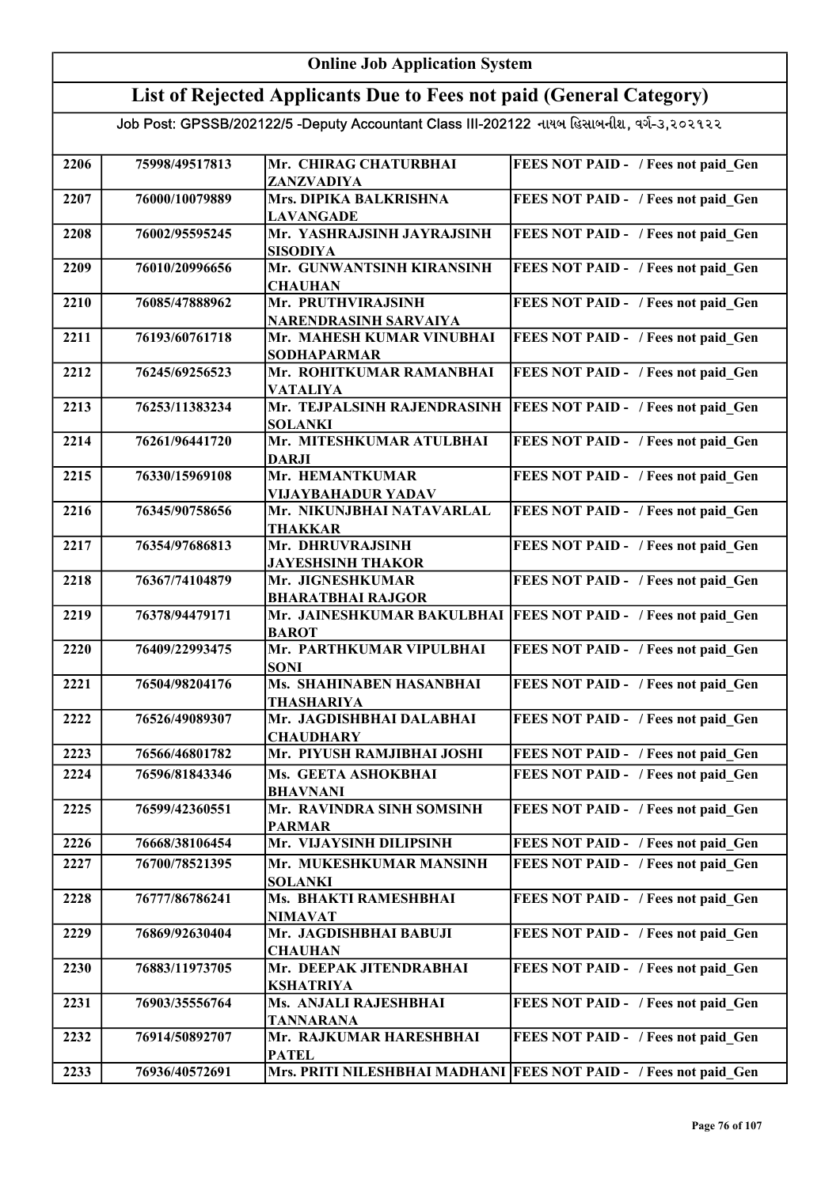| <b>Online Job Application System</b> |                |                                                                                           |                                                                   |
|--------------------------------------|----------------|-------------------------------------------------------------------------------------------|-------------------------------------------------------------------|
|                                      |                | List of Rejected Applicants Due to Fees not paid (General Category)                       |                                                                   |
|                                      |                | Job Post: GPSSB/202122/5 -Deputy Accountant Class III-202122 નાયબ હિસાબનીશ, વર્ગ-૩,૨૦૨૧૨૨ |                                                                   |
| 2206                                 | 75998/49517813 | Mr. CHIRAG CHATURBHAI<br>ZANZVADIYA                                                       | FEES NOT PAID - / Fees not paid Gen                               |
| 2207                                 | 76000/10079889 | Mrs. DIPIKA BALKRISHNA<br><b>LAVANGADE</b>                                                | FEES NOT PAID - / Fees not paid Gen                               |
| 2208                                 | 76002/95595245 | Mr. YASHRAJSINH JAYRAJSINH<br><b>SISODIYA</b>                                             | FEES NOT PAID - / Fees not paid Gen                               |
| 2209                                 | 76010/20996656 | Mr. GUNWANTSINH KIRANSINH<br><b>CHAUHAN</b>                                               | FEES NOT PAID - / Fees not paid Gen                               |
| 2210                                 | 76085/47888962 | Mr. PRUTHVIRAJSINH<br>NARENDRASINH SARVAIYA                                               | FEES NOT PAID - / Fees not paid Gen                               |
| 2211                                 | 76193/60761718 | Mr. MAHESH KUMAR VINUBHAI<br><b>SODHAPARMAR</b>                                           | FEES NOT PAID - / Fees not paid_Gen                               |
| 2212                                 | 76245/69256523 | Mr. ROHITKUMAR RAMANBHAI<br><b>VATALIYA</b>                                               | FEES NOT PAID - / Fees not paid Gen                               |
| 2213                                 | 76253/11383234 | Mr. TEJPALSINH RAJENDRASINH<br><b>SOLANKI</b>                                             | FEES NOT PAID - / Fees not paid Gen                               |
| 2214                                 | 76261/96441720 | Mr. MITESHKUMAR ATULBHAI<br><b>DARJI</b>                                                  | FEES NOT PAID - / Fees not paid Gen                               |
| 2215                                 | 76330/15969108 | Mr. HEMANTKUMAR<br><b>VIJAYBAHADUR YADAV</b>                                              | FEES NOT PAID - / Fees not paid Gen                               |
| 2216                                 | 76345/90758656 | Mr. NIKUNJBHAI NATAVARLAL<br><b>THAKKAR</b>                                               | FEES NOT PAID - / Fees not paid Gen                               |
| 2217                                 | 76354/97686813 | Mr. DHRUVRAJSINH<br><b>JAYESHSINH THAKOR</b>                                              | FEES NOT PAID - / Fees not paid Gen                               |
| 2218                                 | 76367/74104879 | Mr. JIGNESHKUMAR<br><b>BHARATBHAI RAJGOR</b>                                              | FEES NOT PAID - / Fees not paid Gen                               |
| 2219                                 | 76378/94479171 | Mr. JAINESHKUMAR BAKULBHAI<br><b>BAROT</b>                                                | <b>FEES NOT PAID - / Fees not paid_Gen</b>                        |
| 2220                                 | 76409/22993475 | Mr. PARTHKUMAR VIPULBHAI<br><b>SONI</b>                                                   | FEES NOT PAID - / Fees not paid Gen                               |
| 2221                                 | 76504/98204176 | Ms. SHAHINABEN HASANBHAI<br>THASHARIYA                                                    | FEES NOT PAID - / Fees not paid_Gen                               |
| 2222                                 | 76526/49089307 | Mr. JAGDISHBHAI DALABHAI<br><b>CHAUDHARY</b>                                              | FEES NOT PAID - / Fees not paid Gen                               |
| 2223                                 | 76566/46801782 | Mr. PIYUSH RAMJIBHAI JOSHI                                                                | FEES NOT PAID - / Fees not paid Gen                               |
| 2224                                 | 76596/81843346 | Ms. GEETA ASHOKBHAI<br><b>BHAVNANI</b>                                                    | FEES NOT PAID - / Fees not paid Gen                               |
| 2225                                 | 76599/42360551 | Mr. RAVINDRA SINH SOMSINH<br><b>PARMAR</b>                                                | FEES NOT PAID - / Fees not paid Gen                               |
| 2226                                 | 76668/38106454 | Mr. VIJAYSINH DILIPSINH                                                                   | FEES NOT PAID - / Fees not paid Gen                               |
| 2227                                 | 76700/78521395 | Mr. MUKESHKUMAR MANSINH<br><b>SOLANKI</b>                                                 | FEES NOT PAID - / Fees not paid Gen                               |
| 2228                                 | 76777/86786241 | Ms. BHAKTI RAMESHBHAI<br><b>NIMAVAT</b>                                                   | FEES NOT PAID - / Fees not paid Gen                               |
| 2229                                 | 76869/92630404 | Mr. JAGDISHBHAI BABUJI<br><b>CHAUHAN</b>                                                  | FEES NOT PAID - / Fees not paid Gen                               |
| 2230                                 | 76883/11973705 | Mr. DEEPAK JITENDRABHAI<br><b>KSHATRIYA</b>                                               | FEES NOT PAID - / Fees not paid Gen                               |
| 2231                                 | 76903/35556764 | Ms. ANJALI RAJESHBHAI<br><b>TANNARANA</b>                                                 | FEES NOT PAID - / Fees not paid Gen                               |
| 2232                                 | 76914/50892707 | Mr. RAJKUMAR HARESHBHAI<br><b>PATEL</b>                                                   | FEES NOT PAID - / Fees not paid Gen                               |
| 2233                                 | 76936/40572691 |                                                                                           | Mrs. PRITI NILESHBHAI MADHANI FEES NOT PAID - / Fees not paid Gen |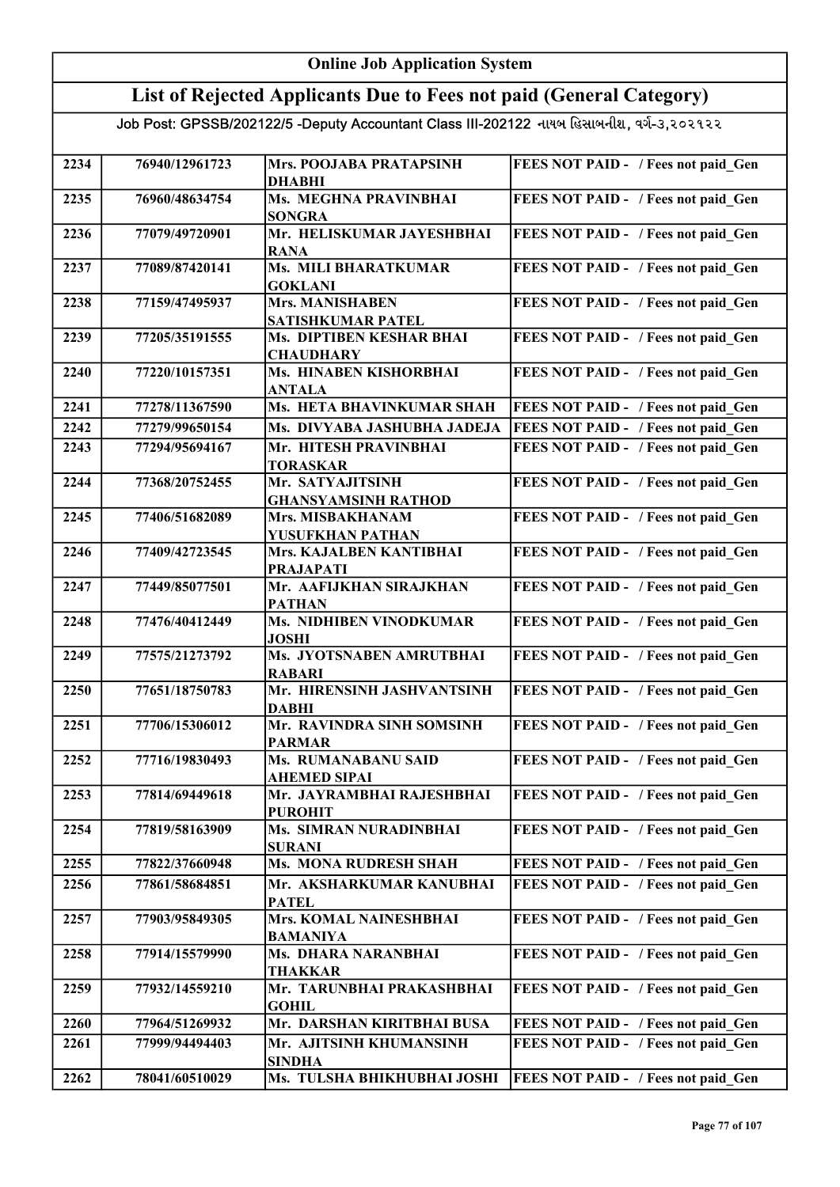#### Online Job Application System List of Rejected Applicants Due to Fees not paid (General Category) Job Post: GPSSB/202122/5 -Deputy Accountant Class III-202122 નાયબ હિસાબનીશ, વર્ગ-૩,૨૦૨૧૨૨ 2234 76940/12961723 Mrs. POOJABA PRATAPSINH DHABHI FEES NOT PAID - / Fees not paid Gen 2235 76960/48634754 Ms. MEGHNA PRAVINBHAI SONGRA FEES NOT PAID - / Fees not paid\_Gen 2236 77079/49720901 Mr. HELISKUMAR JAYESHBHAI RANA FEES NOT PAID - / Fees not paid Gen 2237 77089/87420141 Ms. MILI BHARATKUMAR GOKLANI FEES NOT PAID - / Fees not paid Gen 2238 77159/47495937 Mrs. MANISHABEN SATISHKUMAR PATEL FEES NOT PAID - / Fees not paid Gen 2239 77205/35191555 Ms. DIPTIBEN KESHAR BHAI **CHAUDHARY** FEES NOT PAID - / Fees not paid Gen 2240 77220/10157351 Ms. HINABEN KISHORBHAI ANTALA FEES NOT PAID - / Fees not paid Gen 2241 77278/11367590 Ms. HETA BHAVINKUMAR SHAH FEES NOT PAID - / Fees not paid Gen 2242 77279/99650154 Ms. DIVYABA JASHUBHA JADEJA FEES NOT PAID - / Fees not paid\_Gen 2243 77294/95694167 Mr. HITESH PRAVINBHAI TORASKAR FEES NOT PAID - / Fees not paid Gen 2244 77368/20752455 Mr. SATYAJITSINH GHANSYAMSINH RATHOD FEES NOT PAID - / Fees not paid Gen 2245 77406/51682089 Mrs. MISBAKHANAM YUSUFKHAN PATHAN FEES NOT PAID - / Fees not paid Gen 2246 77409/42723545 Mrs. KAJALBEN KANTIBHAI PRAJAPATI FEES NOT PAID - / Fees not paid Gen 2247 77449/85077501 Mr. AAFIJKHAN SIRAJKHAN PATHAN FEES NOT PAID - / Fees not paid Gen 2248 77476/40412449 Ms. NIDHIBEN VINODKUMAR JOSHI FEES NOT PAID - / Fees not paid Gen 2249 77575/21273792 Ms. JYOTSNABEN AMRUTBHAI RABARI FEES NOT PAID - / Fees not paid Gen 2250 77651/18750783 Mr. HIRENSINH JASHVANTSINH DABHI FEES NOT PAID - / Fees not paid Gen 2251 77706/15306012 Mr. RAVINDRA SINH SOMSINH PARMAR FEES NOT PAID - / Fees not paid Gen 2252 77716/19830493 Ms. RUMANABANU SAID AHEMED SIPAI FEES NOT PAID - / Fees not paid\_Gen 2253 77814/69449618 Mr. JAYRAMBHAI RAJESHBHAI PUROHIT FEES NOT PAID - / Fees not paid Gen 2254 77819/58163909 Ms. SIMRAN NURADINBHAI SURANI FEES NOT PAID - / Fees not paid Gen 2255 77822/37660948 Ms. MONA RUDRESH SHAH FEES NOT PAID - / Fees not paid Gen 2256 77861/58684851 Mr. AKSHARKUMAR KANUBHAI **PATEL** FEES NOT PAID - / Fees not paid Gen 2257 77903/95849305 Mrs. KOMAL NAINESHBHAI BAMANIYA FEES NOT PAID - / Fees not paid Gen 2258 77914/15579990 Ms. DHARA NARANBHAI THAKKAR FEES NOT PAID - / Fees not paid Gen 2259 77932/14559210 Mr. TARUNBHAI PRAKASHBHAI **GOHIL** FEES NOT PAID - / Fees not paid Gen 2260 77964/51269932 Mr. DARSHAN KIRITBHAI BUSA FEES NOT PAID - / Fees not paid Gen 2261 77999/94494403 Mr. AJITSINH KHUMANSINH SINDHA FEES NOT PAID - / Fees not paid Gen 2262 78041/60510029 Ms. TULSHA BHIKHUBHAI JOSHI FEES NOT PAID - / Fees not paid\_Gen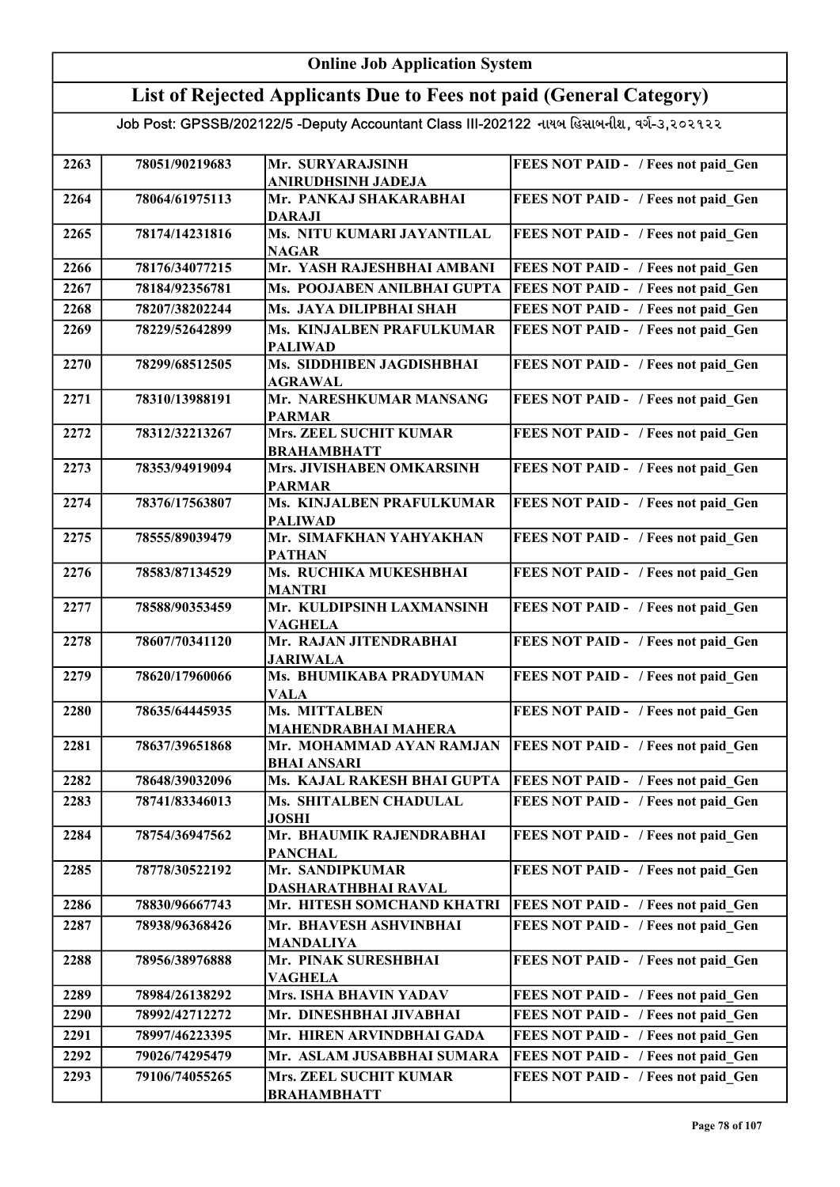### List of Rejected Applicants Due to Fees not paid (General Category)

| 2263 | 78051/90219683 | Mr. SURYARAJSINH                             | FEES NOT PAID - / Fees not paid Gen        |
|------|----------------|----------------------------------------------|--------------------------------------------|
|      |                | <b>ANIRUDHSINH JADEJA</b>                    |                                            |
| 2264 | 78064/61975113 | Mr. PANKAJ SHAKARABHAI                       | FEES NOT PAID - / Fees not paid Gen        |
|      |                | <b>DARAJI</b>                                |                                            |
| 2265 | 78174/14231816 | Ms. NITU KUMARI JAYANTILAL                   | FEES NOT PAID - / Fees not paid Gen        |
|      |                | <b>NAGAR</b>                                 |                                            |
| 2266 | 78176/34077215 | Mr. YASH RAJESHBHAI AMBANI                   | FEES NOT PAID - / Fees not paid Gen        |
| 2267 | 78184/92356781 | Ms. POOJABEN ANILBHAI GUPTA                  | FEES NOT PAID - / Fees not paid Gen        |
| 2268 | 78207/38202244 | Ms. JAYA DILIPBHAI SHAH                      | FEES NOT PAID - / Fees not paid Gen        |
| 2269 | 78229/52642899 | Ms. KINJALBEN PRAFULKUMAR                    | FEES NOT PAID - / Fees not paid Gen        |
|      |                | <b>PALIWAD</b>                               |                                            |
| 2270 | 78299/68512505 | Ms. SIDDHIBEN JAGDISHBHAI                    | FEES NOT PAID - / Fees not paid Gen        |
|      |                | <b>AGRAWAL</b>                               |                                            |
| 2271 | 78310/13988191 | Mr. NARESHKUMAR MANSANG                      | FEES NOT PAID - / Fees not paid_Gen        |
|      |                | <b>PARMAR</b>                                |                                            |
| 2272 | 78312/32213267 | Mrs. ZEEL SUCHIT KUMAR<br><b>BRAHAMBHATT</b> | FEES NOT PAID - / Fees not paid Gen        |
| 2273 | 78353/94919094 | Mrs. JIVISHABEN OMKARSINH                    | FEES NOT PAID - / Fees not paid Gen        |
|      |                | <b>PARMAR</b>                                |                                            |
| 2274 | 78376/17563807 | Ms. KINJALBEN PRAFULKUMAR                    | FEES NOT PAID - / Fees not paid Gen        |
|      |                | <b>PALIWAD</b>                               |                                            |
| 2275 | 78555/89039479 | Mr. SIMAFKHAN YAHYAKHAN                      | FEES NOT PAID - / Fees not paid_Gen        |
|      |                | <b>PATHAN</b>                                |                                            |
| 2276 | 78583/87134529 | Ms. RUCHIKA MUKESHBHAI                       | FEES NOT PAID - / Fees not paid Gen        |
|      |                | <b>MANTRI</b>                                |                                            |
| 2277 | 78588/90353459 | Mr. KULDIPSINH LAXMANSINH                    | FEES NOT PAID - / Fees not paid Gen        |
| 2278 | 78607/70341120 | <b>VAGHELA</b><br>Mr. RAJAN JITENDRABHAI     | FEES NOT PAID - / Fees not paid Gen        |
|      |                | <b>JARIWALA</b>                              |                                            |
| 2279 | 78620/17960066 | Ms. BHUMIKABA PRADYUMAN                      | FEES NOT PAID - / Fees not paid Gen        |
|      |                | <b>VALA</b>                                  |                                            |
| 2280 | 78635/64445935 | Ms. MITTALBEN                                | FEES NOT PAID - / Fees not paid Gen        |
|      |                | MAHENDRABHAI MAHERA                          |                                            |
| 2281 | 78637/39651868 | Mr. MOHAMMAD AYAN RAMJAN                     | FEES NOT PAID - / Fees not paid Gen        |
|      |                | <b>BHAI ANSARI</b>                           |                                            |
| 2282 | 78648/39032096 | Ms. KAJAL RAKESH BHAI GUPTA                  | <b>FEES NOT PAID - / Fees not paid_Gen</b> |
| 2283 | 78741/83346013 | Ms. SHITALBEN CHADULAL                       | FEES NOT PAID - / Fees not paid Gen        |
| 2284 | 78754/36947562 | <b>JOSHI</b><br>Mr. BHAUMIK RAJENDRABHAI     | FEES NOT PAID - / Fees not paid Gen        |
|      |                | <b>PANCHAL</b>                               |                                            |
| 2285 | 78778/30522192 | Mr. SANDIPKUMAR                              | FEES NOT PAID - / Fees not paid Gen        |
|      |                | <b>DASHARATHBHAI RAVAL</b>                   |                                            |
| 2286 | 78830/96667743 | Mr. HITESH SOMCHAND KHATRI                   | FEES NOT PAID - / Fees not paid Gen        |
| 2287 | 78938/96368426 | Mr. BHAVESH ASHVINBHAI                       | FEES NOT PAID - / Fees not paid Gen        |
|      |                | <b>MANDALIYA</b>                             |                                            |
| 2288 | 78956/38976888 | Mr. PINAK SURESHBHAI                         | FEES NOT PAID - / Fees not paid Gen        |
|      |                | <b>VAGHELA</b>                               |                                            |
| 2289 | 78984/26138292 | Mrs. ISHA BHAVIN YADAV                       | FEES NOT PAID - / Fees not paid Gen        |
| 2290 | 78992/42712272 | Mr. DINESHBHAI JIVABHAI                      | FEES NOT PAID - / Fees not paid Gen        |
| 2291 | 78997/46223395 | Mr. HIREN ARVINDBHAI GADA                    | FEES NOT PAID - / Fees not paid Gen        |
| 2292 | 79026/74295479 | Mr. ASLAM JUSABBHAI SUMARA                   | FEES NOT PAID - / Fees not paid Gen        |
| 2293 | 79106/74055265 | Mrs. ZEEL SUCHIT KUMAR                       | FEES NOT PAID - / Fees not paid Gen        |
|      |                | <b>BRAHAMBHATT</b>                           |                                            |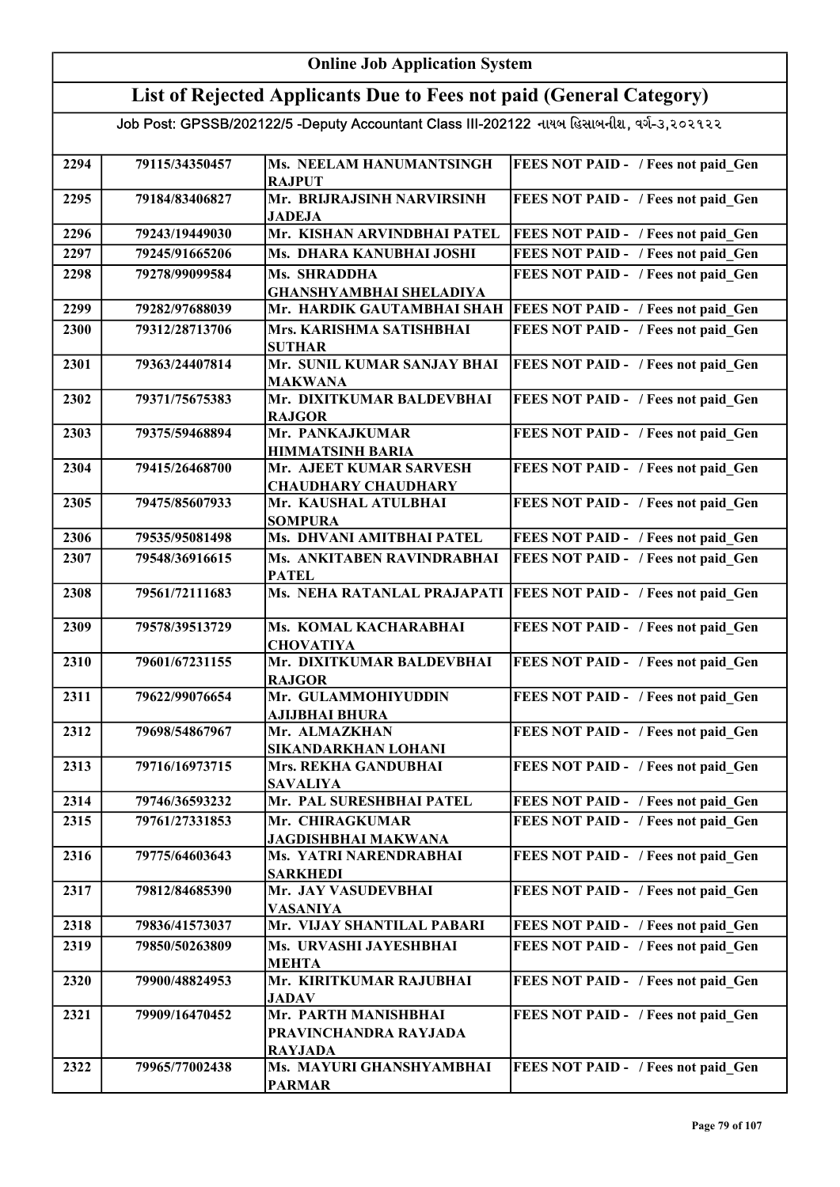#### Online Job Application System List of Rejected Applicants Due to Fees not paid (General Category) Job Post: GPSSB/202122/5 -Deputy Accountant Class III-202122 નાયબ હિસાબનીશ, વર્ગ-૩,૨૦૨૧૨૨ 2294 79115/34350457 Ms. NEELAM HANUMANTSINGH RAJPUT FEES NOT PAID - / Fees not paid Gen 2295 79184/83406827 Mr. BRIJRAJSINH NARVIRSINH JADEJA FEES NOT PAID - / Fees not paid\_Gen 2296 79243/19449030 Mr. KISHAN ARVINDBHAI PATEL FEES NOT PAID - / Fees not paid Gen 2297 79245/91665206 Ms. DHARA KANUBHAI JOSHI FEES NOT PAID - / Fees not paid Gen 2298 79278/99099584 Ms. SHRADDHA GHANSHYAMBHAI SHELADIYA FEES NOT PAID - / Fees not paid Gen 2299 79282/97688039 Mr. HARDIK GAUTAMBHAI SHAH FEES NOT PAID - / Fees not paid\_Gen 2300 79312/28713706 Mrs. KARISHMA SATISHBHAI SUTHAR FEES NOT PAID - / Fees not paid Gen 2301 79363/24407814 Mr. SUNIL KUMAR SANJAY BHAI MAKWANA **FEES NOT PAID - / Fees not paid Gen** 2302 79371/75675383 Mr. DIXITKUMAR BALDEVBHAI RAJGOR FEES NOT PAID - / Fees not paid Gen 2303 79375/59468894 Mr. PANKAJKUMAR HIMMATSINH BARIA FEES NOT PAID - / Fees not paid\_Gen 2304 79415/26468700 Mr. AJEET KUMAR SARVESH CHAUDHARY CHAUDHARY FEES NOT PAID - / Fees not paid\_Gen 2305 79475/85607933 Mr. KAUSHAL ATULBHAI **SOMPURA** FEES NOT PAID - / Fees not paid Gen 2306 79535/95081498 Ms. DHVANI AMITBHAI PATEL FEES NOT PAID - / Fees not paid\_Gen 2307 79548/36916615 Ms. ANKITABEN RAVINDRABHAI PATEL **FEES NOT PAID - / Fees not paid Gen** 2308 79561/72111683 Ms. NEHA RATANLAL PRAJAPATI FEES NOT PAID - / Fees not paid Gen 2309 79578/39513729 Ms. KOMAL KACHARABHAI **CHOVATIYA** FEES NOT PAID - / Fees not paid Gen 2310 79601/67231155 Mr. DIXITKUMAR BALDEVBHAI RAJGOR FEES NOT PAID - / Fees not paid Gen 2311 79622/99076654 Mr. GULAMMOHIYUDDIN AJIJBHAI BHURA FEES NOT PAID - / Fees not paid\_Gen 2312 79698/54867967 Mr. ALMAZKHAN SIKANDARKHAN LOHANI FEES NOT PAID - / Fees not paid Gen 2313 79716/16973715 Mrs. REKHA GANDUBHAI SAVALIYA FEES NOT PAID - / Fees not paid Gen 2314 79746/36593232 Mr. PAL SURESHBHAI PATEL FEES NOT PAID - / Fees not paid Gen 2315 79761/27331853 Mr. CHIRAGKUMAR JAGDISHBHAI MAKWANA FEES NOT PAID - / Fees not paid\_Gen 2316 79775/64603643 Ms. YATRI NARENDRABHAI SARKHEDI FEES NOT PAID - / Fees not paid Gen 2317 79812/84685390 Mr. JAY VASUDEVBHAI VASANIYA FEES NOT PAID - / Fees not paid Gen 2318 79836/41573037 Mr. VIJAY SHANTILAL PABARI FEES NOT PAID - / Fees not paid\_Gen 2319 79850/50263809 Ms. URVASHI JAYESHBHAI MEHTA FEES NOT PAID - / Fees not paid Gen 2320 79900/48824953 Mr. KIRITKUMAR RAJUBHAI **JADAV** FEES NOT PAID - / Fees not paid Gen 2321 79909/16470452 Mr. PARTH MANISHBHAI PRAVINCHANDRA RAYJADA RAYJADA FEES NOT PAID - / Fees not paid Gen 2322 79965/77002438 Ms. MAYURI GHANSHYAMBHAI PARMAR FEES NOT PAID - / Fees not paid Gen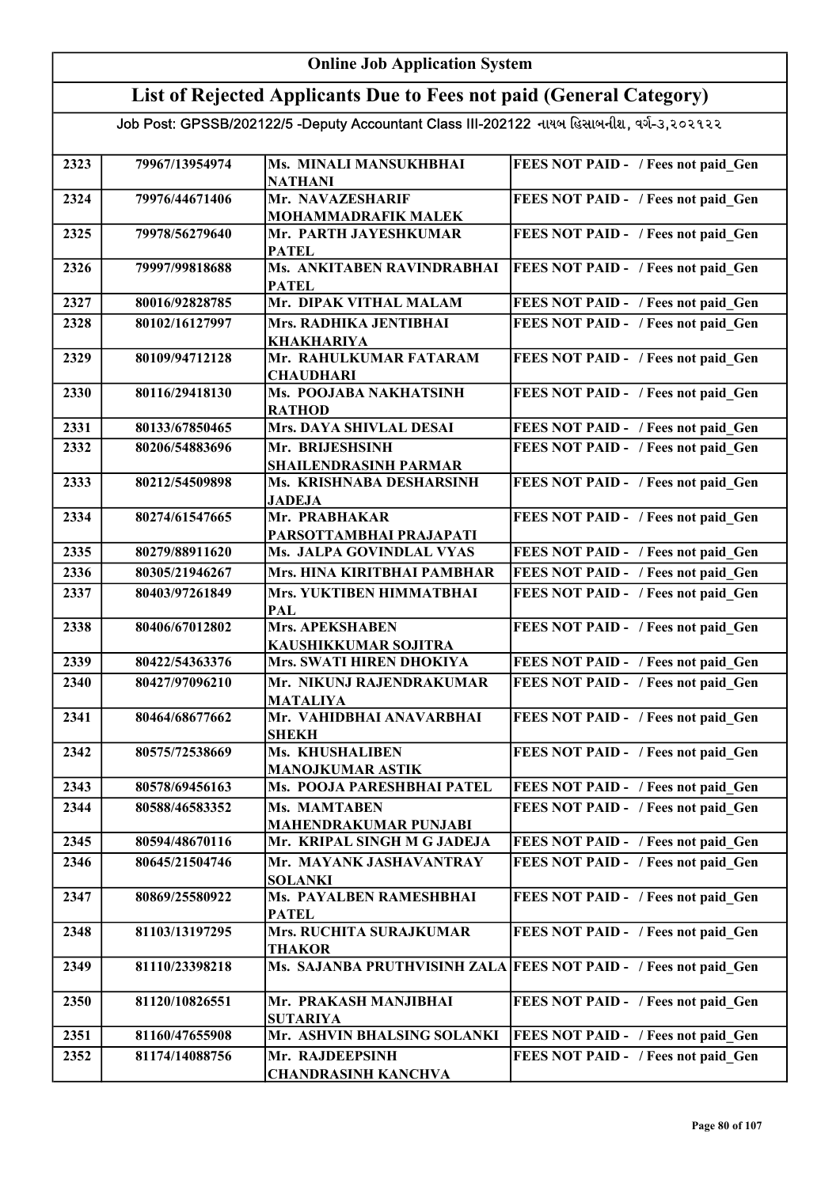#### Online Job Application System List of Rejected Applicants Due to Fees not paid (General Category) Job Post: GPSSB/202122/5 -Deputy Accountant Class III-202122 નાયબ હિસાબનીશ, વર્ગ-૩,૨૦૨૧૨૨ 2323 79967/13954974 Ms. MINALI MANSUKHBHAI NATHANI FEES NOT PAID - / Fees not paid Gen 2324 79976/44671406 Mr. NAVAZESHARIF MOHAMMADRAFIK MALEK FEES NOT PAID - / Fees not paid\_Gen 2325 79978/56279640 Mr. PARTH JAYESHKUMAR **PATEL** FEES NOT PAID - / Fees not paid Gen 2326 79997/99818688 Ms. ANKITABEN RAVINDRABHAI **PATEL** FEES NOT PAID - / Fees not paid Gen 2327 80016/92828785 Mr. DIPAK VITHAL MALAM FEES NOT PAID - / Fees not paid\_Gen 2328 80102/16127997 Mrs. RADHIKA JENTIBHAI KHAKHARIYA FEES NOT PAID - / Fees not paid Gen 2329 80109/94712128 Mr. RAHULKUMAR FATARAM **CHAUDHARI** FEES NOT PAID - / Fees not paid Gen 2330 80116/29418130 Ms. POOJABA NAKHATSINH RATHOD FEES NOT PAID - / Fees not paid Gen 2331 80133/67850465 Mrs. DAYA SHIVLAL DESAI FEES NOT PAID - / Fees not paid Gen 2332 80206/54883696 Mr. BRIJESHSINH SHAILENDRASINH PARMAR FEES NOT PAID - / Fees not paid Gen 2333 80212/54509898 Ms. KRISHNABA DESHARSINH JADEJA FEES NOT PAID - / Fees not paid Gen 2334 80274/61547665 Mr. PRABHAKAR PARSOTTAMBHAI PRAJAPATI FEES NOT PAID - / Fees not paid Gen 2335 80279/88911620 Ms. JALPA GOVINDLAL VYAS FEES NOT PAID - / Fees not paid Gen 2336 80305/21946267 Mrs. HINA KIRITBHAI PAMBHAR FEES NOT PAID - / Fees not paid Gen 2337 80403/97261849 Mrs. YUKTIBEN HIMMATBHAI PAL FEES NOT PAID - / Fees not paid Gen 2338 80406/67012802 Mrs. APEKSHABEN KAUSHIKKUMAR SOJITRA FEES NOT PAID - / Fees not paid\_Gen 2339 80422/54363376 Mrs. SWATI HIREN DHOKIYA FEES NOT PAID - / Fees not paid Gen 2340 80427/97096210 Mr. NIKUNJ RAJENDRAKUMAR MATALIYA FEES NOT PAID - / Fees not paid Gen 2341 80464/68677662 Mr. VAHIDBHAI ANAVARBHAI SHEKH FEES NOT PAID - / Fees not paid Gen 2342 80575/72538669 Ms. KHUSHALIBEN MANOJKUMAR ASTIK FEES NOT PAID - / Fees not paid Gen 2343 80578/69456163 Ms. POOJA PARESHBHAI PATEL FEES NOT PAID - / Fees not paid Gen 2344 | 80588/46583352 | Ms. MAMTABEN MAHENDRAKUMAR PUNJABI FEES NOT PAID - / Fees not paid Gen 2345 80594/48670116 Mr. KRIPAL SINGH M G JADEJA FEES NOT PAID - / Fees not paid Gen 2346 80645/21504746 Mr. MAYANK JASHAVANTRAY SOLANKI FEES NOT PAID - / Fees not paid Gen 2347 80869/25580922 Ms. PAYALBEN RAMESHBHAI **PATEL** FEES NOT PAID - / Fees not paid Gen 2348 81103/13197295 Mrs. RUCHITA SURAJKUMAR THAKOR FEES NOT PAID - / Fees not paid Gen 2349 81110/23398218 Ms. SAJANBA PRUTHVISINH ZALA FEES NOT PAID - / Fees not paid Gen 2350 81120/10826551 Mr. PRAKASH MANJIBHAI SUTARIYA FEES NOT PAID - / Fees not paid Gen 2351 81160/47655908 Mr. ASHVIN BHALSING SOLANKI FEES NOT PAID - / Fees not paid\_Gen 2352 81174/14088756 Mr. RAJDEEPSINH CHANDRASINH KANCHVA FEES NOT PAID - / Fees not paid Gen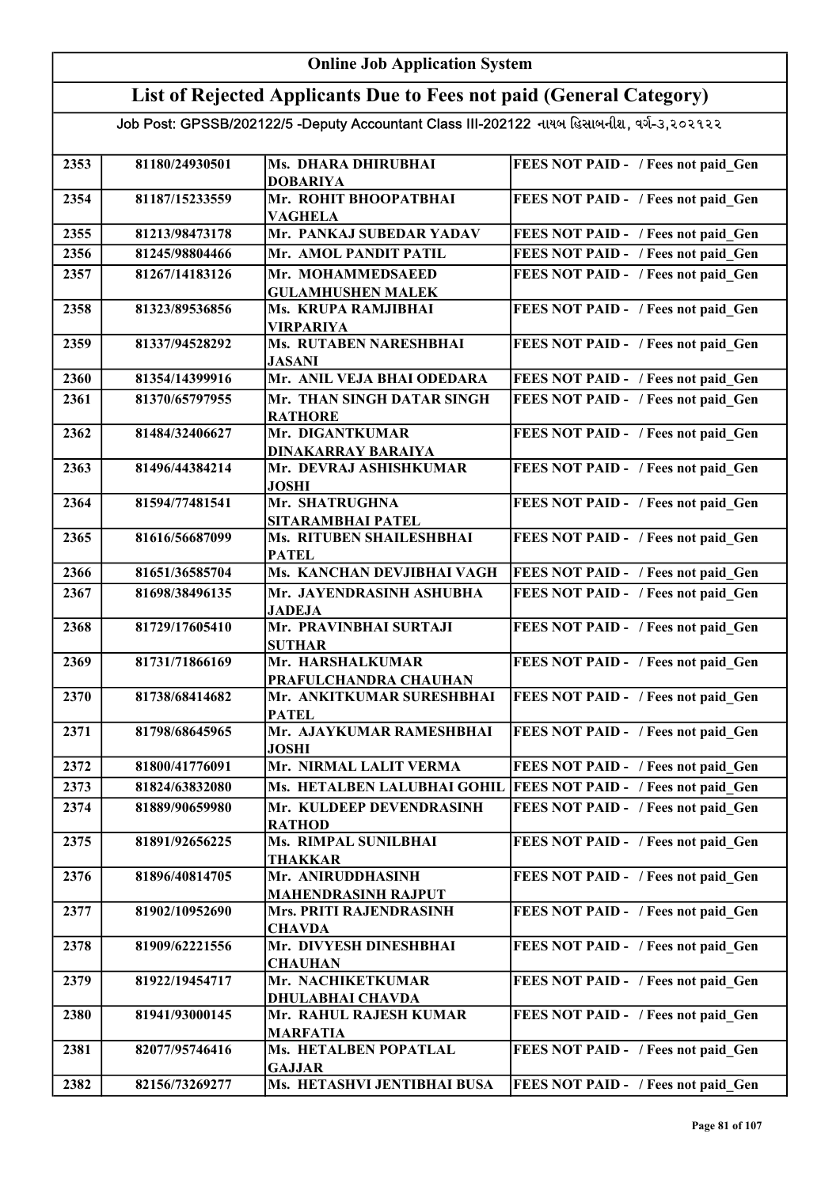### List of Rejected Applicants Due to Fees not paid (General Category)

| 2353 | 81180/24930501 | Ms. DHARA DHIRUBHAI                       | FEES NOT PAID - / Fees not paid Gen                              |
|------|----------------|-------------------------------------------|------------------------------------------------------------------|
|      |                | <b>DOBARIYA</b>                           |                                                                  |
| 2354 | 81187/15233559 | Mr. ROHIT BHOOPATBHAI<br><b>VAGHELA</b>   | FEES NOT PAID - / Fees not paid Gen                              |
| 2355 | 81213/98473178 | Mr. PANKAJ SUBEDAR YADAV                  | FEES NOT PAID - / Fees not paid Gen                              |
| 2356 | 81245/98804466 | Mr. AMOL PANDIT PATIL                     | FEES NOT PAID - / Fees not paid Gen                              |
| 2357 | 81267/14183126 | Mr. MOHAMMEDSAEED                         | FEES NOT PAID - / Fees not paid Gen                              |
|      |                | <b>GULAMHUSHEN MALEK</b>                  |                                                                  |
| 2358 | 81323/89536856 | Ms. KRUPA RAMJIBHAI                       | FEES NOT PAID - / Fees not paid Gen                              |
|      |                | <b>VIRPARIYA</b>                          |                                                                  |
| 2359 | 81337/94528292 | Ms. RUTABEN NARESHBHAI                    | FEES NOT PAID - / Fees not paid Gen                              |
|      |                | <b>JASANI</b>                             |                                                                  |
| 2360 | 81354/14399916 | Mr. ANIL VEJA BHAI ODEDARA                | FEES NOT PAID - / Fees not paid Gen                              |
| 2361 | 81370/65797955 | Mr. THAN SINGH DATAR SINGH                | FEES NOT PAID - / Fees not paid Gen                              |
|      |                | <b>RATHORE</b>                            |                                                                  |
| 2362 | 81484/32406627 | Mr. DIGANTKUMAR                           | FEES NOT PAID - / Fees not paid Gen                              |
|      |                | <b>DINAKARRAY BARAIYA</b>                 |                                                                  |
| 2363 | 81496/44384214 | Mr. DEVRAJ ASHISHKUMAR                    | FEES NOT PAID - / Fees not paid Gen                              |
|      |                | <b>JOSHI</b>                              |                                                                  |
| 2364 | 81594/77481541 | Mr. SHATRUGHNA                            | FEES NOT PAID - / Fees not paid Gen                              |
|      |                | SITARAMBHAI PATEL                         |                                                                  |
| 2365 | 81616/56687099 | Ms. RITUBEN SHAILESHBHAI                  | FEES NOT PAID - / Fees not paid Gen                              |
|      |                | <b>PATEL</b>                              |                                                                  |
| 2366 | 81651/36585704 | Ms. KANCHAN DEVJIBHAI VAGH                | FEES NOT PAID - / Fees not paid Gen                              |
| 2367 | 81698/38496135 | Mr. JAYENDRASINH ASHUBHA                  | FEES NOT PAID - / Fees not paid Gen                              |
|      |                | <b>JADEJA</b>                             |                                                                  |
| 2368 | 81729/17605410 | Mr. PRAVINBHAI SURTAJI                    | FEES NOT PAID - / Fees not paid Gen                              |
|      |                | <b>SUTHAR</b>                             |                                                                  |
| 2369 | 81731/71866169 | Mr. HARSHALKUMAR                          | FEES NOT PAID - / Fees not paid_Gen                              |
|      |                | PRAFULCHANDRA CHAUHAN                     |                                                                  |
| 2370 | 81738/68414682 | Mr. ANKITKUMAR SURESHBHAI                 | FEES NOT PAID - / Fees not paid_Gen                              |
|      |                | <b>PATEL</b>                              |                                                                  |
| 2371 | 81798/68645965 | Mr. AJAYKUMAR RAMESHBHAI                  | FEES NOT PAID - / Fees not paid Gen                              |
| 2372 | 81800/41776091 | <b>JOSHI</b><br>Mr. NIRMAL LALIT VERMA    | FEES NOT PAID - / Fees not paid Gen                              |
|      |                |                                           |                                                                  |
| 2373 | 81824/63832080 |                                           | Ms. HETALBEN LALUBHAI GOHIL  FEES NOT PAID - / Fees not paid Gen |
| 2374 | 81889/90659980 | Mr. KULDEEP DEVENDRASINH<br><b>RATHOD</b> | FEES NOT PAID - / Fees not paid Gen                              |
| 2375 | 81891/92656225 | Ms. RIMPAL SUNILBHAI                      | FEES NOT PAID - / Fees not paid Gen                              |
|      |                | THAKKAR                                   |                                                                  |
| 2376 | 81896/40814705 | Mr. ANIRUDDHASINH                         | FEES NOT PAID - / Fees not paid Gen                              |
|      |                | <b>MAHENDRASINH RAJPUT</b>                |                                                                  |
| 2377 | 81902/10952690 | Mrs. PRITI RAJENDRASINH                   | FEES NOT PAID - / Fees not paid Gen                              |
|      |                | <b>CHAVDA</b>                             |                                                                  |
| 2378 | 81909/62221556 | Mr. DIVYESH DINESHBHAI                    | FEES NOT PAID - / Fees not paid Gen                              |
|      |                | <b>CHAUHAN</b>                            |                                                                  |
| 2379 | 81922/19454717 | Mr. NACHIKETKUMAR                         | FEES NOT PAID - / Fees not paid Gen                              |
|      |                | <b>DHULABHAI CHAVDA</b>                   |                                                                  |
| 2380 | 81941/93000145 | Mr. RAHUL RAJESH KUMAR                    | FEES NOT PAID - / Fees not paid Gen                              |
|      |                | <b>MARFATIA</b>                           |                                                                  |
| 2381 | 82077/95746416 | Ms. HETALBEN POPATLAL                     | FEES NOT PAID - / Fees not paid Gen                              |
|      |                | <b>GAJJAR</b>                             |                                                                  |
| 2382 | 82156/73269277 | Ms. HETASHVI JENTIBHAI BUSA               | FEES NOT PAID - / Fees not paid Gen                              |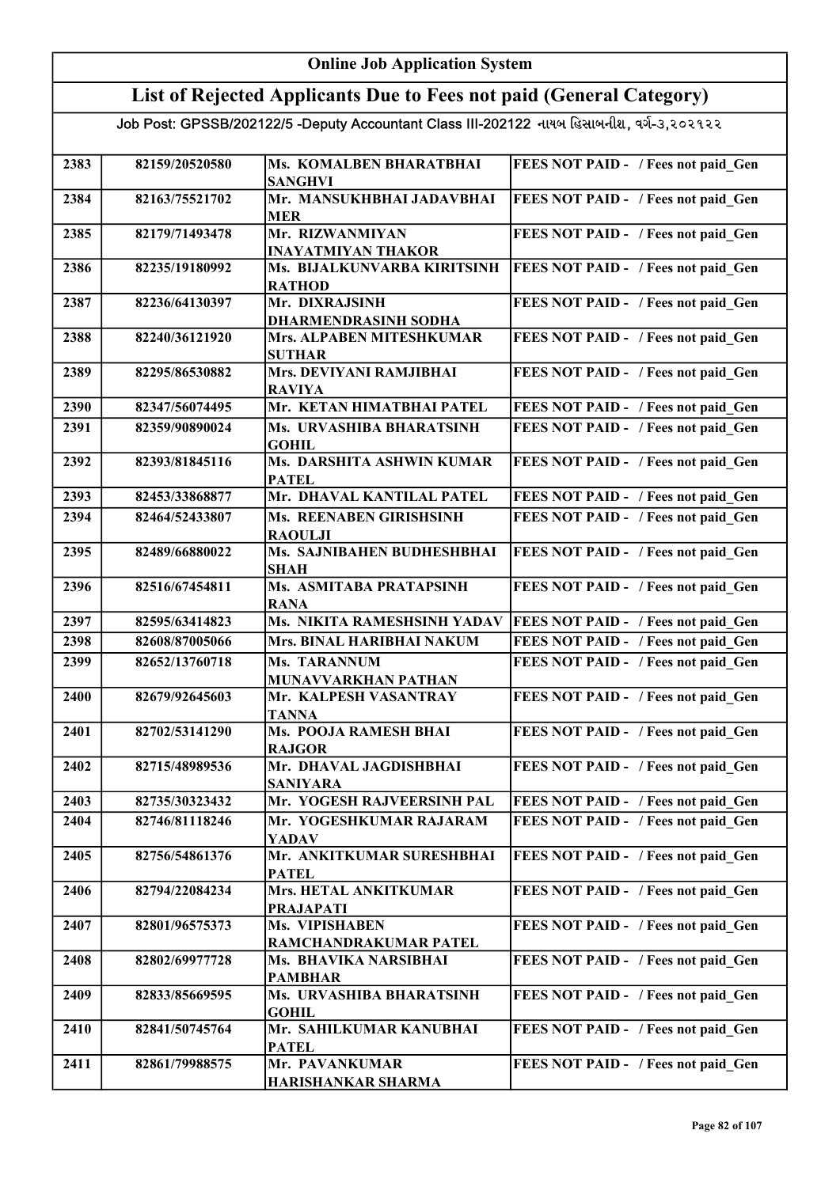| <b>Online Job Application System</b> |                |                                                                                           |                                            |
|--------------------------------------|----------------|-------------------------------------------------------------------------------------------|--------------------------------------------|
|                                      |                | List of Rejected Applicants Due to Fees not paid (General Category)                       |                                            |
|                                      |                | Job Post: GPSSB/202122/5 -Deputy Accountant Class III-202122 નાયબ હિસાબનીશ, વર્ગ-૩,૨૦૨૧૨૨ |                                            |
| 2383                                 | 82159/20520580 | Ms. KOMALBEN BHARATBHAI<br><b>SANGHVI</b>                                                 | FEES NOT PAID - / Fees not paid Gen        |
| 2384                                 | 82163/75521702 | Mr. MANSUKHBHAI JADAVBHAI<br><b>MER</b>                                                   | FEES NOT PAID - / Fees not paid Gen        |
| 2385                                 | 82179/71493478 | Mr. RIZWANMIYAN<br><b>INAYATMIYAN THAKOR</b>                                              | FEES NOT PAID - / Fees not paid Gen        |
| 2386                                 | 82235/19180992 | Ms. BIJALKUNVARBA KIRITSINH<br><b>RATHOD</b>                                              | FEES NOT PAID - / Fees not paid Gen        |
| 2387                                 | 82236/64130397 | Mr. DIXRAJSINH<br><b>DHARMENDRASINH SODHA</b>                                             | FEES NOT PAID - / Fees not paid Gen        |
| 2388                                 | 82240/36121920 | Mrs. ALPABEN MITESHKUMAR<br><b>SUTHAR</b>                                                 | FEES NOT PAID - / Fees not paid Gen        |
| 2389                                 | 82295/86530882 | Mrs. DEVIYANI RAMJIBHAI<br><b>RAVIYA</b>                                                  | FEES NOT PAID - / Fees not paid Gen        |
| 2390                                 | 82347/56074495 | Mr. KETAN HIMATBHAI PATEL                                                                 | FEES NOT PAID - / Fees not paid Gen        |
| 2391                                 | 82359/90890024 | Ms. URVASHIBA BHARATSINH<br><b>GOHIL</b>                                                  | FEES NOT PAID - / Fees not paid Gen        |
| 2392                                 | 82393/81845116 | Ms. DARSHITA ASHWIN KUMAR<br><b>PATEL</b>                                                 | FEES NOT PAID - / Fees not paid Gen        |
| 2393                                 | 82453/33868877 | Mr. DHAVAL KANTILAL PATEL                                                                 | FEES NOT PAID - / Fees not paid Gen        |
| 2394                                 | 82464/52433807 | Ms. REENABEN GIRISHSINH<br><b>RAOULJI</b>                                                 | FEES NOT PAID - / Fees not paid Gen        |
| 2395                                 | 82489/66880022 | Ms. SAJNIBAHEN BUDHESHBHAI<br><b>SHAH</b>                                                 | FEES NOT PAID - / Fees not paid Gen        |
| 2396                                 | 82516/67454811 | Ms. ASMITABA PRATAPSINH<br><b>RANA</b>                                                    | FEES NOT PAID - / Fees not paid Gen        |
| 2397                                 | 82595/63414823 | Ms. NIKITA RAMESHSINH YADAV                                                               | <b>FEES NOT PAID - / Fees not paid Gen</b> |
| 2398                                 | 82608/87005066 | Mrs. BINAL HARIBHAI NAKUM                                                                 | FEES NOT PAID - / Fees not paid Gen        |
| 2399                                 | 82652/13760718 | Ms. TARANNUM<br><b>MUNAVVARKHAN PATHAN</b>                                                | FEES NOT PAID - / Fees not paid Gen        |
| 2400                                 | 82679/92645603 | Mr. KALPESH VASANTRAY<br><b>TANNA</b>                                                     | FEES NOT PAID - / Fees not paid Gen        |
| 2401                                 | 82702/53141290 | Ms. POOJA RAMESH BHAI<br><b>RAJGOR</b>                                                    | FEES NOT PAID - / Fees not paid Gen        |
| 2402                                 | 82715/48989536 | Mr. DHAVAL JAGDISHBHAI<br><b>SANIYARA</b>                                                 | FEES NOT PAID - / Fees not paid Gen        |
| 2403                                 | 82735/30323432 | Mr. YOGESH RAJVEERSINH PAL                                                                | FEES NOT PAID - / Fees not paid Gen        |
| 2404                                 | 82746/81118246 | Mr. YOGESHKUMAR RAJARAM<br><b>YADAV</b>                                                   | FEES NOT PAID - / Fees not paid Gen        |
| 2405                                 | 82756/54861376 | Mr. ANKITKUMAR SURESHBHAI<br><b>PATEL</b>                                                 | FEES NOT PAID - / Fees not paid Gen        |
| 2406                                 | 82794/22084234 | Mrs. HETAL ANKITKUMAR<br><b>PRAJAPATI</b>                                                 | FEES NOT PAID - / Fees not paid Gen        |
| 2407                                 | 82801/96575373 | Ms. VIPISHABEN<br>RAMCHANDRAKUMAR PATEL                                                   | FEES NOT PAID - / Fees not paid Gen        |
| 2408                                 | 82802/69977728 | Ms. BHAVIKA NARSIBHAI<br><b>PAMBHAR</b>                                                   | FEES NOT PAID - / Fees not paid Gen        |
| 2409                                 | 82833/85669595 | Ms. URVASHIBA BHARATSINH<br><b>GOHIL</b>                                                  | FEES NOT PAID - / Fees not paid Gen        |
| 2410                                 | 82841/50745764 | Mr. SAHILKUMAR KANUBHAI<br><b>PATEL</b>                                                   | FEES NOT PAID - / Fees not paid Gen        |
| 2411                                 | 82861/79988575 | Mr. PAVANKUMAR<br>HARISHANKAR SHARMA                                                      | FEES NOT PAID - / Fees not paid Gen        |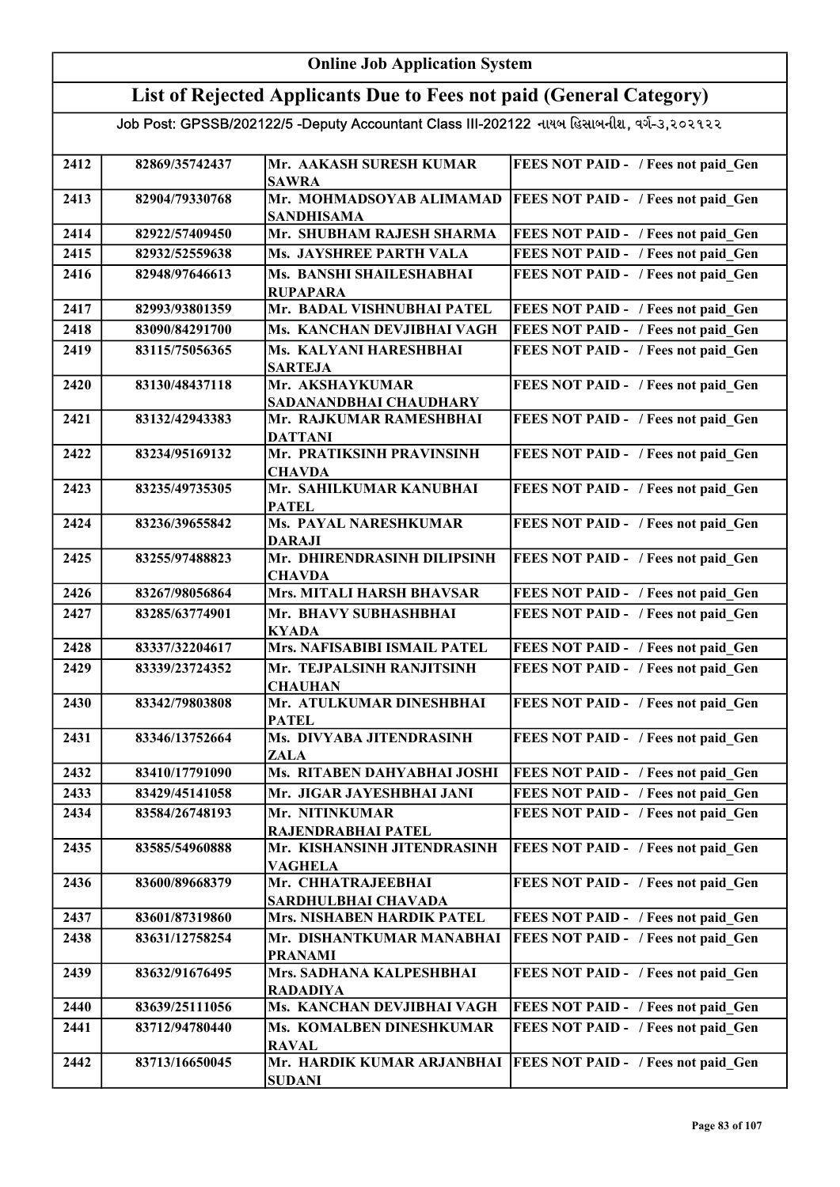#### Online Job Application System List of Rejected Applicants Due to Fees not paid (General Category) Job Post: GPSSB/202122/5 -Deputy Accountant Class III-202122 નાયબ હિસાબનીશ, વર્ગ-૩,૨૦૨૧૨૨ 2412 82869/35742437 Mr. AAKASH SURESH KUMAR SAWRA FEES NOT PAID - / Fees not paid Gen 2413 82904/79330768 Mr. MOHMADSOYAB ALIMAMAD SANDHISAMA FEES NOT PAID - / Fees not paid Gen 2414 82922/57409450 Mr. SHUBHAM RAJESH SHARMA FEES NOT PAID - / Fees not paid Gen 2415 82932/52559638 Ms. JAYSHREE PARTH VALA FEES NOT PAID - / Fees not paid\_Gen 2416 82948/97646613 Ms. BANSHI SHAILESHABHAI RUPAPARA FEES NOT PAID - / Fees not paid Gen 2417 82993/93801359 Mr. BADAL VISHNUBHAI PATEL FEES NOT PAID - / Fees not paid\_Gen 2418 83090/84291700 Ms. KANCHAN DEVJIBHAI VAGH FEES NOT PAID - / Fees not paid Gen 2419 83115/75056365 Ms. KALYANI HARESHBHAI SARTEJA FEES NOT PAID - / Fees not paid Gen 2420 83130/48437118 Mr. AKSHAYKUMAR SADANANDBHAI CHAUDHARY FEES NOT PAID - / Fees not paid Gen 2421 83132/42943383 Mr. RAJKUMAR RAMESHBHAI DATTANI FEES NOT PAID - / Fees not paid Gen 2422 83234/95169132 Mr. PRATIKSINH PRAVINSINH **CHAVDA** FEES NOT PAID - / Fees not paid Gen 2423 83235/49735305 Mr. SAHILKUMAR KANUBHAI PATEL FEES NOT PAID - / Fees not paid Gen 2424 83236/39655842 Ms. PAYAL NARESHKUMAR DARAJI FEES NOT PAID - / Fees not paid Gen 2425 83255/97488823 Mr. DHIRENDRASINH DILIPSINH **CHAVDA** FEES NOT PAID - / Fees not paid Gen 2426 83267/98056864 Mrs. MITALI HARSH BHAVSAR FEES NOT PAID - / Fees not paid\_Gen 2427 83285/63774901 Mr. BHAVY SUBHASHBHAI KYADA FEES NOT PAID - / Fees not paid Gen 2428 | 83337/32204617 | Mrs. NAFISABIBI ISMAIL PATEL | FEES NOT PAID - / Fees not paid\_Gen 2429 83339/23724352 Mr. TEJPALSINH RANJITSINH **CHAUHAN** FEES NOT PAID - / Fees not paid Gen 2430 | 83342/79803808 | Mr. ATULKUMAR DINESHBHAI PATEL FEES NOT PAID - / Fees not paid Gen 2431 | 83346/13752664 | Ms. DIVYABA JITENDRASINH ZALA FEES NOT PAID - / Fees not paid\_Gen 2432 83410/17791090 Ms. RITABEN DAHYABHAI JOSHI FEES NOT PAID - / Fees not paid Gen 2433 83429/45141058 Mr. JIGAR JAYESHBHAI JANI FEES NOT PAID - / Fees not paid Gen 2434 83584/26748193 Mr. NITINKUMAR RAJENDRABHAI PATEL FEES NOT PAID - / Fees not paid Gen 2435 | 83585/54960888 | Mr. KISHANSINH JITENDRASINH VAGHELA FEES NOT PAID - / Fees not paid Gen 2436 | 83600/89668379 | Mr. CHHATRAJEEBHAI SARDHULBHAI CHAVADA FEES NOT PAID - / Fees not paid\_Gen 2437 83601/87319860 Mrs. NISHABEN HARDIK PATEL FEES NOT PAID - / Fees not paid Gen 2438 83631/12758254 Mr. DISHANTKUMAR MANABHAI PRANAMI FEES NOT PAID - / Fees not paid\_Gen 2439 83632/91676495 Mrs. SADHANA KALPESHBHAI RADADIYA FEES NOT PAID - / Fees not paid Gen 2440 83639/25111056 Ms. KANCHAN DEVJIBHAI VAGH FEES NOT PAID - / Fees not paid Gen

2442 83713/16650045 Mr. HARDIK KUMAR ARJANBHAI FEES NOT PAID - / Fees not paid\_Gen

2441 83712/94780440 Ms. KOMALBEN DINESHKUMAR RAVAL

SUDANI

FEES NOT PAID - / Fees not paid Gen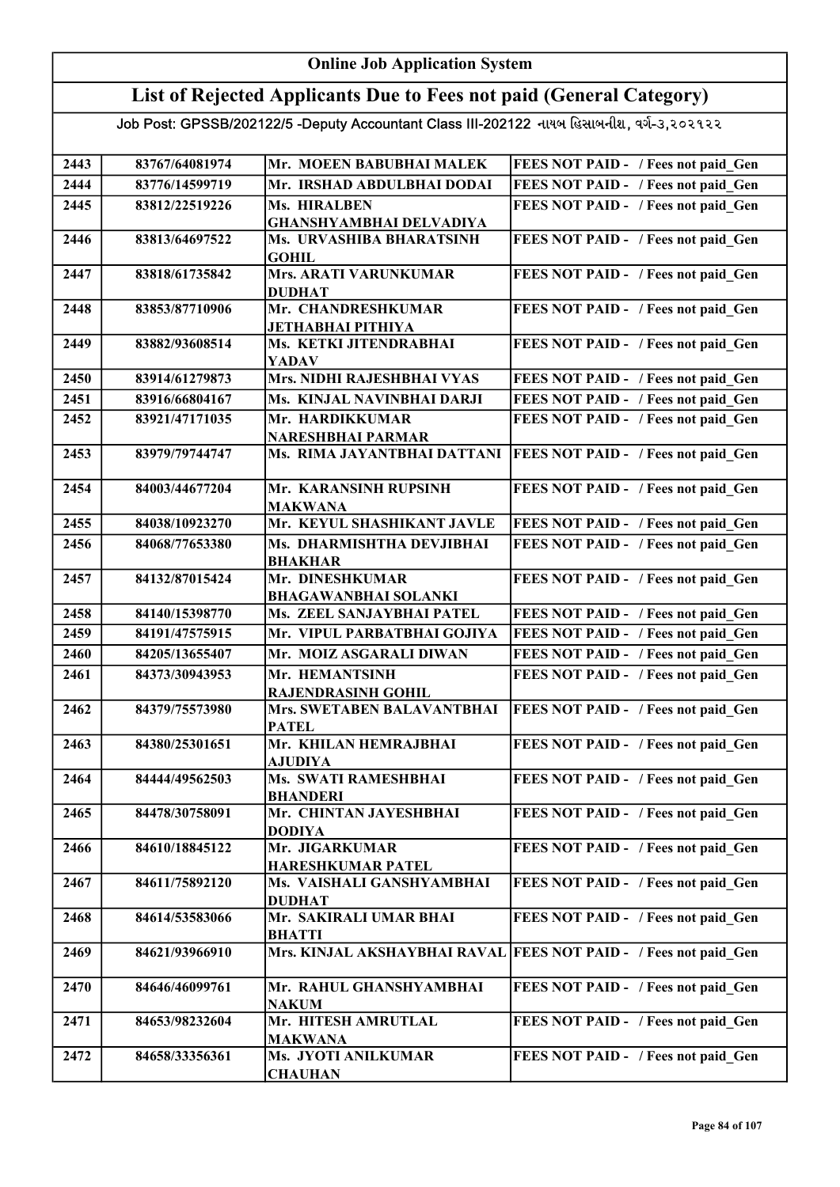### List of Rejected Applicants Due to Fees not paid (General Category)

| 2443 | 83767/64081974 | Mr. MOEEN BABUBHAI MALEK                       | FEES NOT PAID - / Fees not paid Gen        |
|------|----------------|------------------------------------------------|--------------------------------------------|
| 2444 | 83776/14599719 | Mr. IRSHAD ABDULBHAI DODAI                     | FEES NOT PAID - / Fees not paid Gen        |
| 2445 | 83812/22519226 | Ms. HIRALBEN                                   | FEES NOT PAID - / Fees not paid Gen        |
|      |                | <b>GHANSHYAMBHAI DELVADIYA</b>                 |                                            |
| 2446 | 83813/64697522 | Ms. URVASHIBA BHARATSINH<br><b>GOHIL</b>       | FEES NOT PAID - / Fees not paid Gen        |
| 2447 | 83818/61735842 | <b>Mrs. ARATI VARUNKUMAR</b><br><b>DUDHAT</b>  | FEES NOT PAID - / Fees not paid_Gen        |
| 2448 | 83853/87710906 | Mr. CHANDRESHKUMAR<br>ЈЕТНАВНАІ РІТНІҮА        | FEES NOT PAID - / Fees not paid Gen        |
| 2449 | 83882/93608514 | Ms. KETKI JITENDRABHAI<br><b>YADAV</b>         | FEES NOT PAID - / Fees not paid Gen        |
| 2450 | 83914/61279873 | Mrs. NIDHI RAJESHBHAI VYAS                     | FEES NOT PAID - / Fees not paid Gen        |
| 2451 | 83916/66804167 | Ms. KINJAL NAVINBHAI DARJI                     | FEES NOT PAID - / Fees not paid Gen        |
| 2452 | 83921/47171035 | Mr. HARDIKKUMAR<br><b>NARESHBHAI PARMAR</b>    | FEES NOT PAID - / Fees not paid Gen        |
| 2453 | 83979/79744747 | Ms. RIMA JAYANTBHAI DATTANI                    | <b>FEES NOT PAID - / Fees not paid Gen</b> |
| 2454 | 84003/44677204 | Mr. KARANSINH RUPSINH<br><b>MAKWANA</b>        | FEES NOT PAID - / Fees not paid Gen        |
| 2455 | 84038/10923270 | Mr. KEYUL SHASHIKANT JAVLE                     | FEES NOT PAID - / Fees not paid Gen        |
| 2456 | 84068/77653380 | Ms. DHARMISHTHA DEVJIBHAI<br><b>BHAKHAR</b>    | FEES NOT PAID - / Fees not paid Gen        |
| 2457 | 84132/87015424 | Mr. DINESHKUMAR<br><b>BHAGAWANBHAI SOLANKI</b> | FEES NOT PAID - / Fees not paid_Gen        |
| 2458 | 84140/15398770 | Ms. ZEEL SANJAYBHAI PATEL                      | FEES NOT PAID - / Fees not paid Gen        |
| 2459 | 84191/47575915 | Mr. VIPUL PARBATBHAI GOJIYA                    | FEES NOT PAID - / Fees not paid Gen        |
| 2460 | 84205/13655407 | Mr. MOIZ ASGARALI DIWAN                        | FEES NOT PAID - / Fees not paid Gen        |
| 2461 | 84373/30943953 | Mr. HEMANTSINH<br><b>RAJENDRASINH GOHIL</b>    | FEES NOT PAID - / Fees not paid Gen        |
| 2462 | 84379/75573980 | Mrs. SWETABEN BALAVANTBHAI<br><b>PATEL</b>     | FEES NOT PAID - / Fees not paid Gen        |
| 2463 | 84380/25301651 | Mr. KHILAN HEMRAJBHAI<br><b>AJUDIYA</b>        | FEES NOT PAID - / Fees not paid Gen        |
| 2464 | 84444/49562503 | Ms. SWATI RAMESHBHAI<br><b>BHANDERI</b>        | FEES NOT PAID - / Fees not paid_Gen        |
| 2465 | 84478/30758091 | Mr. CHINTAN JAYESHBHAI<br><b>DODIYA</b>        | FEES NOT PAID - / Fees not paid Gen        |
| 2466 | 84610/18845122 | Mr. JIGARKUMAR<br><b>HARESHKUMAR PATEL</b>     | FEES NOT PAID - / Fees not paid Gen        |
| 2467 | 84611/75892120 | Ms. VAISHALI GANSHYAMBHAI<br><b>DUDHAT</b>     | FEES NOT PAID - / Fees not paid Gen        |
| 2468 | 84614/53583066 | Mr. SAKIRALI UMAR BHAI<br><b>BHATTI</b>        | FEES NOT PAID - / Fees not paid Gen        |
| 2469 | 84621/93966910 | Mrs. KINJAL AKSHAYBHAI RAVAL                   | FEES NOT PAID - / Fees not paid Gen        |
| 2470 | 84646/46099761 | Mr. RAHUL GHANSHYAMBHAI<br><b>NAKUM</b>        | FEES NOT PAID - / Fees not paid Gen        |
| 2471 | 84653/98232604 | Mr. HITESH AMRUTLAL<br><b>MAKWANA</b>          | FEES NOT PAID - / Fees not paid Gen        |
| 2472 | 84658/33356361 | Ms. JYOTI ANILKUMAR<br><b>CHAUHAN</b>          | FEES NOT PAID - / Fees not paid Gen        |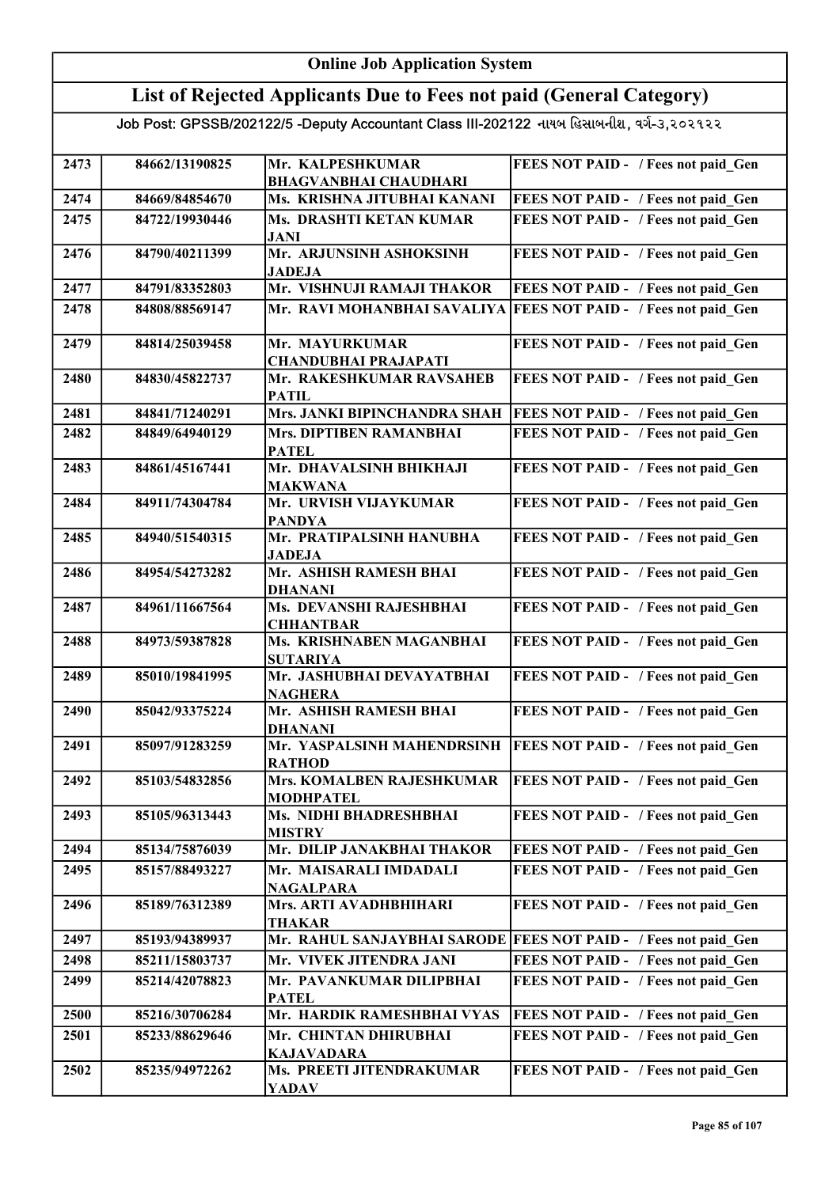#### Online Job Application System List of Rejected Applicants Due to Fees not paid (General Category) Job Post: GPSSB/202122/5 -Deputy Accountant Class III-202122 નાયબ હિસાબનીશ, વર્ગ-૩,૨૦૨૧૨૨ 2473 84662/13190825 Mr. KALPESHKUMAR BHAGVANBHAI CHAUDHARI FEES NOT PAID - / Fees not paid Gen 2474 84669/84854670 Ms. KRISHNA JITUBHAI KANANI FEES NOT PAID - / Fees not paid\_Gen 2475 | 84722/19930446 | Ms. DRASHTI KETAN KUMAR JANI FEES NOT PAID - / Fees not paid Gen 2476 84790/40211399 Mr. ARJUNSINH ASHOKSINH JADEJA FEES NOT PAID - / Fees not paid Gen 2477 | 84791/83352803 Mr. VISHNUJI RAMAJI THAKOR FEES NOT PAID - / Fees not paid Gen 2478 | 84808/88569147 | Mr. RAVI MOHANBHAI SAVALIYA | FEES NOT PAID - / Fees not paid Gen 2479 | 84814/25039458 | Mr. MAYURKUMAR CHANDUBHAI PRAJAPATI FEES NOT PAID - / Fees not paid\_Gen 2480 | 84830/45822737 | Mr. RAKESHKUMAR RAVSAHEB <u>PATIL<br>Mrs. JANKI BIPINCHANDRA SHAH</u> FEES NOT PAID - / Fees not paid Gen 2481 84841/71240291 Mrs. JANKI BIPINCHANDRA SHAH FEES NOT PAID - / Fees not paid Gen 2482 | 84849/64940129 | Mrs. DIPTIBEN RAMANBHAI PATEL FEES NOT PAID - / Fees not paid\_Gen 2483 | 84861/45167441 | Mr. DHAVALSINH BHIKHAJI MAKWANA FEES NOT PAID - / Fees not paid\_Gen 2484 84911/74304784 Mr. URVISH VIJAYKUMAR PANDYA FEES NOT PAID - / Fees not paid Gen 2485 84940/51540315 Mr. PRATIPALSINH HANUBHA JADEJA FEES NOT PAID - / Fees not paid Gen 2486 | 84954/54273282 | Mr. ASHISH RAMESH BHAI DHANANI FEES NOT PAID - / Fees not paid Gen 2487 | 84961/11667564 | Ms. DEVANSHI RAJESHBHAI CHHANTBAR FEES NOT PAID - / Fees not paid Gen 2488 | 84973/59387828 | Ms. KRISHNABEN MAGANBHAI SUTARIYA FEES NOT PAID - / Fees not paid Gen 2489 85010/19841995 Mr. JASHUBHAI DEVAYATBHAI NAGHERA FEES NOT PAID - / Fees not paid Gen 2490 85042/93375224 Mr. ASHISH RAMESH BHAI DHANANI FEES NOT PAID - / Fees not paid Gen 2491 85097/91283259 Mr. YASPALSINH MAHENDRSINH RATHOD **FEES NOT PAID - / Fees not paid Gen** 2492 85103/54832856 Mrs. KOMALBEN RAJESHKUMAR MODHPATEL FEES NOT PAID - / Fees not paid Gen 2493 85105/96313443 Ms. NIDHI BHADRESHBHAI MISTRY FEES NOT PAID - / Fees not paid Gen 2494 85134/75876039 Mr. DILIP JANAKBHAI THAKOR FEES NOT PAID - / Fees not paid Gen 2495 85157/88493227 Mr. MAISARALI IMDADALI NAGALPARA FEES NOT PAID - / Fees not paid\_Gen 2496 85189/76312389 Mrs. ARTI AVADHBHIHARI THAKAR FEES NOT PAID - / Fees not paid Gen 2497 85193/94389937 Mr. RAHUL SANJAYBHAI SARODE FEES NOT PAID - / Fees not paid Gen 2498 85211/15803737 Mr. VIVEK JITENDRA JANI FEES NOT PAID - / Fees not paid Gen 2499 85214/42078823 Mr. PAVANKUMAR DILIPBHAI PATEL FEES NOT PAID - / Fees not paid Gen 2500 85216/30706284 Mr. HARDIK RAMESHBHAI VYAS FEES NOT PAID - / Fees not paid Gen 2501 85233/88629646 Mr. CHINTAN DHIRUBHAI KAJAVADARA FEES NOT PAID - / Fees not paid Gen 2502 85235/94972262 Ms. PREETI JITENDRAKUMAR YADAV FEES NOT PAID - / Fees not paid\_Gen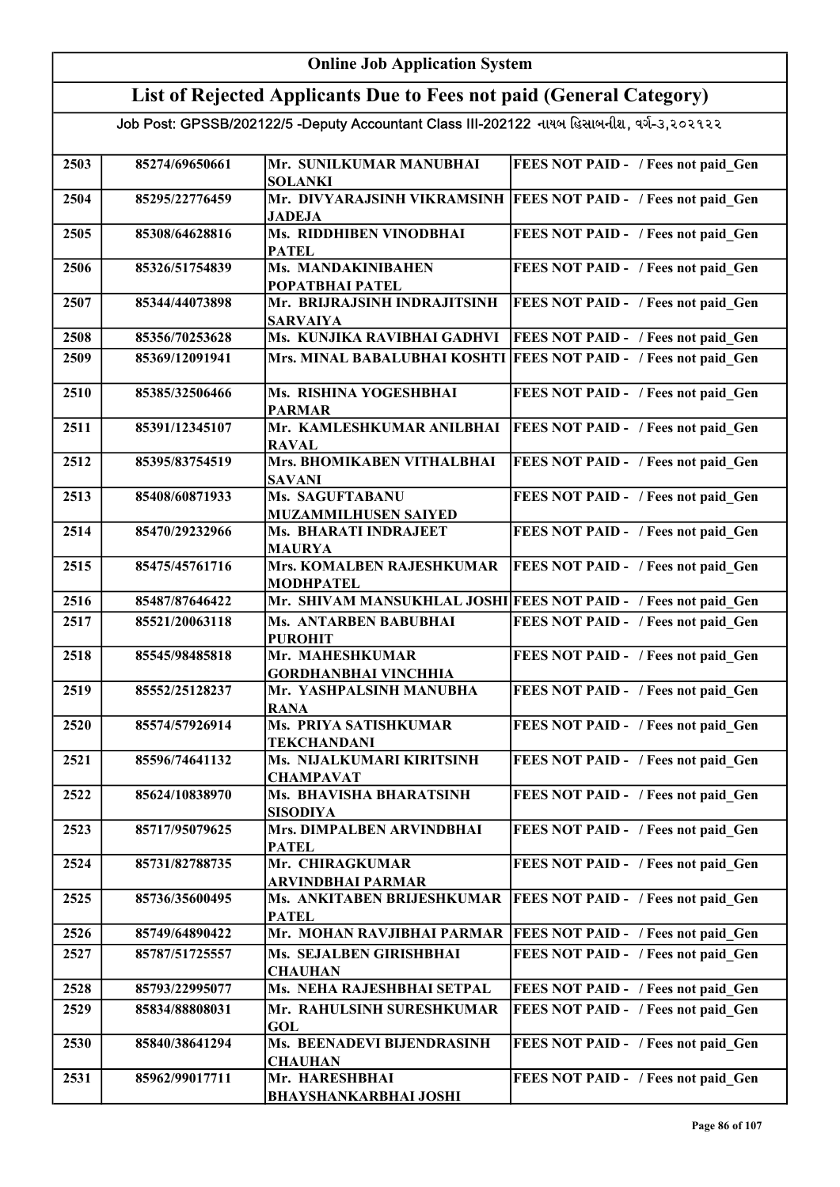| <b>Online Job Application System</b> |                |                                                                                           |                                                                  |
|--------------------------------------|----------------|-------------------------------------------------------------------------------------------|------------------------------------------------------------------|
|                                      |                | List of Rejected Applicants Due to Fees not paid (General Category)                       |                                                                  |
|                                      |                | Job Post: GPSSB/202122/5 -Deputy Accountant Class III-202122 નાયબ હિસાબનીશ, વર્ગ-૩,૨૦૨૧૨૨ |                                                                  |
| 2503                                 | 85274/69650661 | Mr. SUNILKUMAR MANUBHAI<br><b>SOLANKI</b>                                                 | FEES NOT PAID - / Fees not paid Gen                              |
| 2504                                 | 85295/22776459 | <b>JADEJA</b>                                                                             | Mr. DIVYARAJSINH VIKRAMSINH  FEES NOT PAID - / Fees not paid_Gen |
| 2505                                 | 85308/64628816 | Ms. RIDDHIBEN VINODBHAI<br><b>PATEL</b>                                                   | FEES NOT PAID - / Fees not paid Gen                              |
| 2506                                 | 85326/51754839 | Ms. MANDAKINIBAHEN<br>POPATBHAI PATEL                                                     | FEES NOT PAID - / Fees not paid Gen                              |
| 2507                                 | 85344/44073898 | Mr. BRIJRAJSINH INDRAJITSINH<br><b>SARVAIYA</b>                                           | FEES NOT PAID - / Fees not paid_Gen                              |
| 2508                                 | 85356/70253628 | Ms. KUNJIKA RAVIBHAI GADHVI                                                               | FEES NOT PAID - / Fees not paid Gen                              |
| 2509                                 | 85369/12091941 | Mrs. MINAL BABALUBHAI KOSHTI                                                              | <b>FEES NOT PAID - / Fees not paid Gen</b>                       |
| 2510                                 | 85385/32506466 | Ms. RISHINA YOGESHBHAI<br><b>PARMAR</b>                                                   | FEES NOT PAID - / Fees not paid Gen                              |
| 2511                                 | 85391/12345107 | Mr. KAMLESHKUMAR ANILBHAI<br><b>RAVAL</b>                                                 | FEES NOT PAID - / Fees not paid_Gen                              |
| 2512                                 | 85395/83754519 | Mrs. BHOMIKABEN VITHALBHAI<br><b>SAVANI</b>                                               | FEES NOT PAID - / Fees not paid_Gen                              |
| 2513                                 | 85408/60871933 | Ms. SAGUFTABANU<br>MUZAMMILHUSEN SAIYED                                                   | FEES NOT PAID - / Fees not paid_Gen                              |
| 2514                                 | 85470/29232966 | Ms. BHARATI INDRAJEET<br><b>MAURYA</b>                                                    | FEES NOT PAID - / Fees not paid_Gen                              |
| 2515                                 | 85475/45761716 | Mrs. KOMALBEN RAJESHKUMAR<br><b>MODHPATEL</b>                                             | FEES NOT PAID - / Fees not paid Gen                              |
| 2516                                 | 85487/87646422 |                                                                                           | Mr. SHIVAM MANSUKHLAL JOSHI FEES NOT PAID - / Fees not paid_Gen  |
| 2517                                 | 85521/20063118 | Ms. ANTARBEN BABUBHAI<br><b>PUROHIT</b>                                                   | FEES NOT PAID - / Fees not paid Gen                              |
| 2518                                 | 85545/98485818 | Mr. MAHESHKUMAR<br><b>GORDHANBHAI VINCHHIA</b>                                            | FEES NOT PAID - / Fees not paid Gen                              |
| 2519                                 | 85552/25128237 | Mr. YASHPALSINH MANUBHA<br><b>RANA</b>                                                    | FEES NOT PAID - / Fees not paid Gen                              |
| 2520                                 | 85574/57926914 | Ms. PRIYA SATISHKUMAR<br><b>TEKCHANDANI</b>                                               | FEES NOT PAID - / Fees not paid Gen                              |
| 2521                                 | 85596/74641132 | Ms. NIJALKUMARI KIRITSINH<br><b>CHAMPAVAT</b>                                             | FEES NOT PAID - / Fees not paid Gen                              |
| 2522                                 | 85624/10838970 | Ms. BHAVISHA BHARATSINH<br><b>SISODIYA</b>                                                | FEES NOT PAID - / Fees not paid Gen                              |
| 2523                                 | 85717/95079625 | Mrs. DIMPALBEN ARVINDBHAI<br><b>PATEL</b>                                                 | FEES NOT PAID - / Fees not paid Gen                              |
| 2524                                 | 85731/82788735 | Mr. CHIRAGKUMAR<br><b>ARVINDBHAI PARMAR</b>                                               | FEES NOT PAID - / Fees not paid Gen                              |
| 2525                                 | 85736/35600495 | Ms. ANKITABEN BRIJESHKUMAR<br><b>PATEL</b>                                                | FEES NOT PAID - / Fees not paid_Gen                              |
| 2526                                 | 85749/64890422 | Mr. MOHAN RAVJIBHAI PARMAR                                                                | FEES NOT PAID - / Fees not paid Gen                              |
| 2527                                 | 85787/51725557 | Ms. SEJALBEN GIRISHBHAI<br><b>CHAUHAN</b>                                                 | FEES NOT PAID - / Fees not paid Gen                              |
| 2528                                 | 85793/22995077 | Ms. NEHA RAJESHBHAI SETPAL                                                                | FEES NOT PAID - / Fees not paid Gen                              |
| 2529                                 | 85834/88808031 | Mr. RAHULSINH SURESHKUMAR<br><b>GOL</b>                                                   | FEES NOT PAID - / Fees not paid Gen                              |
| 2530                                 | 85840/38641294 | Ms. BEENADEVI BIJENDRASINH<br><b>CHAUHAN</b>                                              | FEES NOT PAID - / Fees not paid Gen                              |
| 2531                                 | 85962/99017711 | Mr. HARESHBHAI<br><b>BHAYSHANKARBHAI JOSHI</b>                                            | FEES NOT PAID - / Fees not paid Gen                              |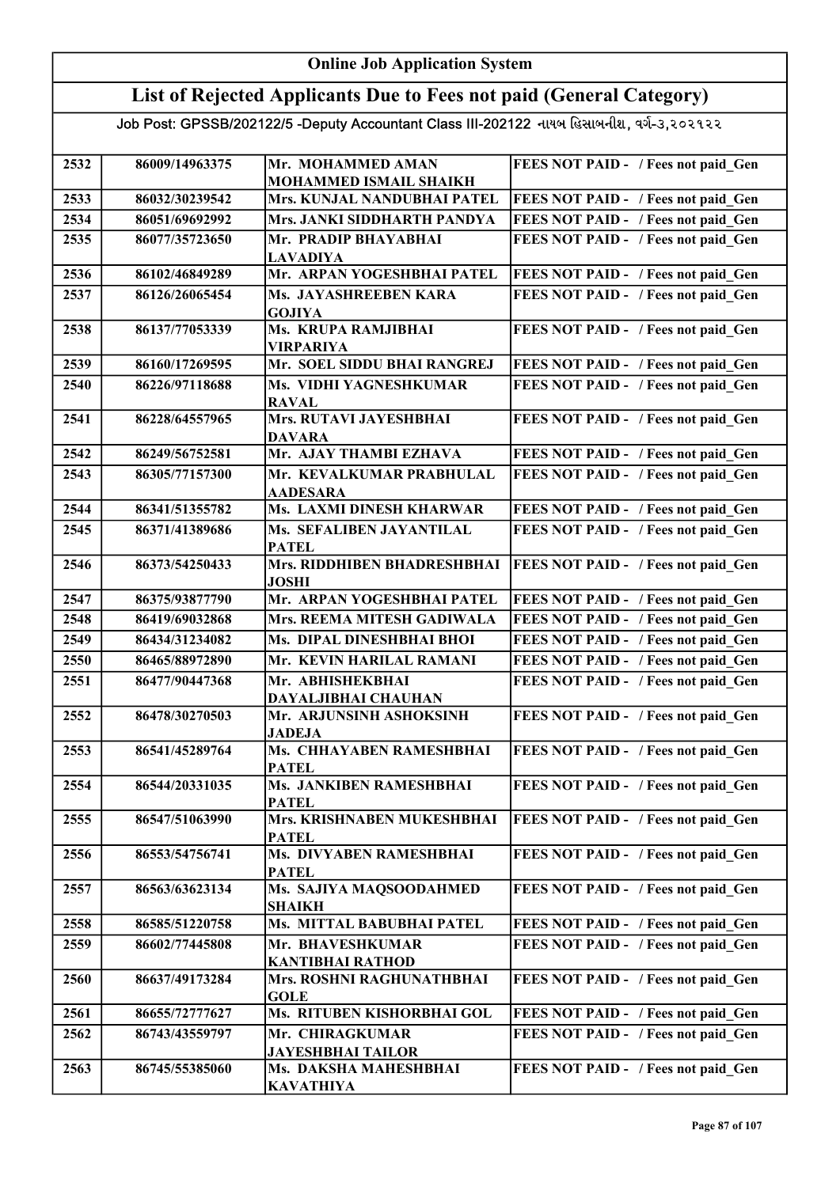## Online Job Application System List of Rejected Applicants Due to Fees not paid (General Category) Job Post: GPSSB/202122/5 -Deputy Accountant Class III-202122 નાયબ હિસાબનીશ, વર્ગ-૩,૨૦૨૧૨૨

| 2532                                                                         | 86009/14963375                                                                                                                                                 | Mr. MOHAMMED AMAN                                                                                                                                                                                                                                                                                                                                                    | FEES NOT PAID - / Fees not paid Gen                                                                                                                                                                                                                                                                                                                                                                |
|------------------------------------------------------------------------------|----------------------------------------------------------------------------------------------------------------------------------------------------------------|----------------------------------------------------------------------------------------------------------------------------------------------------------------------------------------------------------------------------------------------------------------------------------------------------------------------------------------------------------------------|----------------------------------------------------------------------------------------------------------------------------------------------------------------------------------------------------------------------------------------------------------------------------------------------------------------------------------------------------------------------------------------------------|
|                                                                              |                                                                                                                                                                | MOHAMMED ISMAIL SHAIKH                                                                                                                                                                                                                                                                                                                                               |                                                                                                                                                                                                                                                                                                                                                                                                    |
| 2533                                                                         | 86032/30239542                                                                                                                                                 | Mrs. KUNJAL NANDUBHAI PATEL                                                                                                                                                                                                                                                                                                                                          | FEES NOT PAID - / Fees not paid Gen                                                                                                                                                                                                                                                                                                                                                                |
| 2534                                                                         | 86051/69692992                                                                                                                                                 | Mrs. JANKI SIDDHARTH PANDYA                                                                                                                                                                                                                                                                                                                                          | FEES NOT PAID - / Fees not paid Gen                                                                                                                                                                                                                                                                                                                                                                |
| 2535                                                                         | 86077/35723650                                                                                                                                                 | Mr. PRADIP BHAYABHAI<br><b>LAVADIYA</b>                                                                                                                                                                                                                                                                                                                              | FEES NOT PAID - / Fees not paid Gen                                                                                                                                                                                                                                                                                                                                                                |
| 2536                                                                         | 86102/46849289                                                                                                                                                 | Mr. ARPAN YOGESHBHAI PATEL                                                                                                                                                                                                                                                                                                                                           | FEES NOT PAID - / Fees not paid_Gen                                                                                                                                                                                                                                                                                                                                                                |
| 2537                                                                         | 86126/26065454                                                                                                                                                 | Ms. JAYASHREEBEN KARA                                                                                                                                                                                                                                                                                                                                                | FEES NOT PAID - / Fees not paid Gen                                                                                                                                                                                                                                                                                                                                                                |
|                                                                              |                                                                                                                                                                | <b>GOJIYA</b>                                                                                                                                                                                                                                                                                                                                                        |                                                                                                                                                                                                                                                                                                                                                                                                    |
| 2538                                                                         | 86137/77053339                                                                                                                                                 | Ms. KRUPA RAMJIBHAI<br><b>VIRPARIYA</b>                                                                                                                                                                                                                                                                                                                              | FEES NOT PAID - / Fees not paid Gen                                                                                                                                                                                                                                                                                                                                                                |
| 2539                                                                         | 86160/17269595                                                                                                                                                 | Mr. SOEL SIDDU BHAI RANGREJ                                                                                                                                                                                                                                                                                                                                          | FEES NOT PAID - / Fees not paid Gen                                                                                                                                                                                                                                                                                                                                                                |
| 2540                                                                         | 86226/97118688                                                                                                                                                 | Ms. VIDHI YAGNESHKUMAR                                                                                                                                                                                                                                                                                                                                               | FEES NOT PAID - / Fees not paid Gen                                                                                                                                                                                                                                                                                                                                                                |
|                                                                              |                                                                                                                                                                | <b>RAVAL</b>                                                                                                                                                                                                                                                                                                                                                         |                                                                                                                                                                                                                                                                                                                                                                                                    |
| 2541                                                                         | 86228/64557965                                                                                                                                                 | Mrs. RUTAVI JAYESHBHAI<br><b>DAVARA</b>                                                                                                                                                                                                                                                                                                                              | FEES NOT PAID - / Fees not paid Gen                                                                                                                                                                                                                                                                                                                                                                |
| 2542                                                                         | 86249/56752581                                                                                                                                                 | Mr. AJAY THAMBI EZHAVA                                                                                                                                                                                                                                                                                                                                               | FEES NOT PAID - / Fees not paid Gen                                                                                                                                                                                                                                                                                                                                                                |
| 2543                                                                         | 86305/77157300                                                                                                                                                 | Mr. KEVALKUMAR PRABHULAL                                                                                                                                                                                                                                                                                                                                             | FEES NOT PAID - / Fees not paid Gen                                                                                                                                                                                                                                                                                                                                                                |
|                                                                              |                                                                                                                                                                | <b>AADESARA</b>                                                                                                                                                                                                                                                                                                                                                      |                                                                                                                                                                                                                                                                                                                                                                                                    |
|                                                                              |                                                                                                                                                                |                                                                                                                                                                                                                                                                                                                                                                      |                                                                                                                                                                                                                                                                                                                                                                                                    |
|                                                                              |                                                                                                                                                                |                                                                                                                                                                                                                                                                                                                                                                      |                                                                                                                                                                                                                                                                                                                                                                                                    |
| 2546                                                                         | 86373/54250433                                                                                                                                                 | Mrs. RIDDHIBEN BHADRESHBHAI<br><b>JOSHI</b>                                                                                                                                                                                                                                                                                                                          | FEES NOT PAID - / Fees not paid Gen                                                                                                                                                                                                                                                                                                                                                                |
| 2547                                                                         | 86375/93877790                                                                                                                                                 | Mr. ARPAN YOGESHBHAI PATEL                                                                                                                                                                                                                                                                                                                                           | FEES NOT PAID - / Fees not paid Gen                                                                                                                                                                                                                                                                                                                                                                |
| 2548                                                                         | 86419/69032868                                                                                                                                                 | Mrs. REEMA MITESH GADIWALA                                                                                                                                                                                                                                                                                                                                           | FEES NOT PAID - / Fees not paid Gen                                                                                                                                                                                                                                                                                                                                                                |
| 2549                                                                         | 86434/31234082                                                                                                                                                 | Ms. DIPAL DINESHBHAI BHOI                                                                                                                                                                                                                                                                                                                                            | FEES NOT PAID - / Fees not paid Gen                                                                                                                                                                                                                                                                                                                                                                |
| 2550                                                                         | 86465/88972890                                                                                                                                                 | Mr. KEVIN HARILAL RAMANI                                                                                                                                                                                                                                                                                                                                             | FEES NOT PAID - / Fees not paid Gen                                                                                                                                                                                                                                                                                                                                                                |
| 2551                                                                         | 86477/90447368                                                                                                                                                 | Mr. ABHISHEKBHAI                                                                                                                                                                                                                                                                                                                                                     | FEES NOT PAID - / Fees not paid Gen                                                                                                                                                                                                                                                                                                                                                                |
|                                                                              |                                                                                                                                                                | DAYALJIBHAI CHAUHAN                                                                                                                                                                                                                                                                                                                                                  |                                                                                                                                                                                                                                                                                                                                                                                                    |
|                                                                              |                                                                                                                                                                | <b>JADEJA</b>                                                                                                                                                                                                                                                                                                                                                        |                                                                                                                                                                                                                                                                                                                                                                                                    |
| 2553                                                                         | 86541/45289764                                                                                                                                                 | Ms. CHHAYABEN RAMESHBHAI                                                                                                                                                                                                                                                                                                                                             | FEES NOT PAID - / Fees not paid Gen                                                                                                                                                                                                                                                                                                                                                                |
| 2554                                                                         | 86544/20331035                                                                                                                                                 | <b>Ms. JANKIBEN RAMESHBHAI</b>                                                                                                                                                                                                                                                                                                                                       | FEES NOT PAID - / Fees not paid Gen                                                                                                                                                                                                                                                                                                                                                                |
|                                                                              |                                                                                                                                                                | <b>PATEL</b>                                                                                                                                                                                                                                                                                                                                                         |                                                                                                                                                                                                                                                                                                                                                                                                    |
| 2555                                                                         | 86547/51063990                                                                                                                                                 | Mrs. KRISHNABEN MUKESHBHAI                                                                                                                                                                                                                                                                                                                                           | FEES NOT PAID - / Fees not paid Gen                                                                                                                                                                                                                                                                                                                                                                |
|                                                                              |                                                                                                                                                                |                                                                                                                                                                                                                                                                                                                                                                      |                                                                                                                                                                                                                                                                                                                                                                                                    |
|                                                                              |                                                                                                                                                                |                                                                                                                                                                                                                                                                                                                                                                      |                                                                                                                                                                                                                                                                                                                                                                                                    |
|                                                                              |                                                                                                                                                                |                                                                                                                                                                                                                                                                                                                                                                      |                                                                                                                                                                                                                                                                                                                                                                                                    |
|                                                                              |                                                                                                                                                                |                                                                                                                                                                                                                                                                                                                                                                      |                                                                                                                                                                                                                                                                                                                                                                                                    |
|                                                                              | 86585/51220758                                                                                                                                                 | Ms. MITTAL BABUBHAI PATEL                                                                                                                                                                                                                                                                                                                                            |                                                                                                                                                                                                                                                                                                                                                                                                    |
|                                                                              |                                                                                                                                                                |                                                                                                                                                                                                                                                                                                                                                                      |                                                                                                                                                                                                                                                                                                                                                                                                    |
|                                                                              |                                                                                                                                                                | <b>KANTIBHAI RATHOD</b>                                                                                                                                                                                                                                                                                                                                              |                                                                                                                                                                                                                                                                                                                                                                                                    |
| 2560                                                                         | 86637/49173284                                                                                                                                                 | Mrs. ROSHNI RAGHUNATHBHAI                                                                                                                                                                                                                                                                                                                                            | FEES NOT PAID - / Fees not paid Gen                                                                                                                                                                                                                                                                                                                                                                |
|                                                                              |                                                                                                                                                                | <b>GOLE</b>                                                                                                                                                                                                                                                                                                                                                          |                                                                                                                                                                                                                                                                                                                                                                                                    |
|                                                                              |                                                                                                                                                                |                                                                                                                                                                                                                                                                                                                                                                      |                                                                                                                                                                                                                                                                                                                                                                                                    |
|                                                                              |                                                                                                                                                                |                                                                                                                                                                                                                                                                                                                                                                      |                                                                                                                                                                                                                                                                                                                                                                                                    |
|                                                                              |                                                                                                                                                                |                                                                                                                                                                                                                                                                                                                                                                      |                                                                                                                                                                                                                                                                                                                                                                                                    |
|                                                                              |                                                                                                                                                                |                                                                                                                                                                                                                                                                                                                                                                      |                                                                                                                                                                                                                                                                                                                                                                                                    |
| 2544<br>2545<br>2552<br>2556<br>2557<br>2558<br>2559<br>2561<br>2562<br>2563 | 86341/51355782<br>86371/41389686<br>86478/30270503<br>86553/54756741<br>86563/63623134<br>86602/77445808<br>86655/72777627<br>86743/43559797<br>86745/55385060 | Ms. LAXMI DINESH KHARWAR<br>Ms. SEFALIBEN JAYANTILAL<br><b>PATEL</b><br>Mr. ARJUNSINH ASHOKSINH<br><b>PATEL</b><br><b>PATEL</b><br>Ms. DIVYABEN RAMESHBHAI<br><b>PATEL</b><br>Ms. SAJIYA MAQSOODAHMED<br><b>SHAIKH</b><br>Mr. BHAVESHKUMAR<br>Ms. RITUBEN KISHORBHAI GOL<br>Mr. CHIRAGKUMAR<br><b>JAYESHBHAI TAILOR</b><br>Ms. DAKSHA MAHESHBHAI<br><b>KAVATHIYA</b> | FEES NOT PAID - / Fees not paid Gen<br>FEES NOT PAID - / Fees not paid Gen<br>FEES NOT PAID - / Fees not paid Gen<br>FEES NOT PAID - / Fees not paid Gen<br>FEES NOT PAID - / Fees not paid Gen<br>FEES NOT PAID - / Fees not paid Gen<br>FEES NOT PAID - / Fees not paid Gen<br>FEES NOT PAID - / Fees not paid Gen<br>FEES NOT PAID - / Fees not paid Gen<br>FEES NOT PAID - / Fees not paid Gen |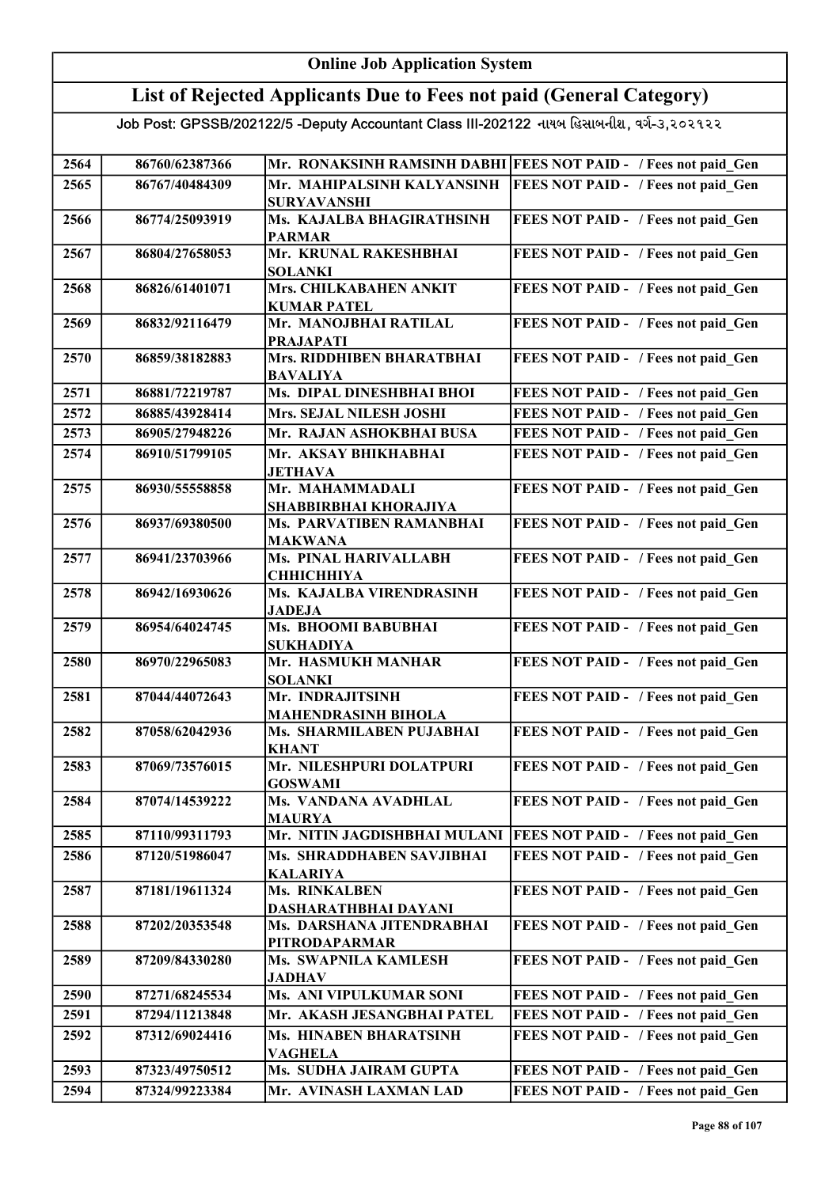#### Online Job Application System List of Rejected Applicants Due to Fees not paid (General Category) Job Post: GPSSB/202122/5 -Deputy Accountant Class III-202122 નાયબ હિસાબનીશ, વર્ગ-૩,૨૦૨૧૨૨ 2564 86760/62387366 Mr. RONAKSINH RAMSINH DABHI FEES NOT PAID - / Fees not paid\_Gen 2565 86767/40484309 Mr. MAHIPALSINH KALYANSINH SURYAVANSHI **FEES NOT PAID - / Fees not paid Gen** 2566 86774/25093919 Ms. KAJALBA BHAGIRATHSINH PARMAR FEES NOT PAID - / Fees not paid Gen 2567 86804/27658053 Mr. KRUNAL RAKESHBHAI SOLANKI FEES NOT PAID - / Fees not paid Gen 2568 86826/61401071 Mrs. CHILKABAHEN ANKIT KUMAR PATEL FEES NOT PAID - / Fees not paid Gen 2569 86832/92116479 Mr. MANOJBHAI RATILAL PRAJAPATI FEES NOT PAID - / Fees not paid Gen 2570 86859/38182883 Mrs. RIDDHIBEN BHARATBHAI BAVALIYA FEES NOT PAID - / Fees not paid Gen 2571 86881/72219787 Ms. DIPAL DINESHBHAI BHOI FEES NOT PAID - / Fees not paid\_Gen 2572 86885/43928414 Mrs. SEJAL NILESH JOSHI FEES NOT PAID - / Fees not paid Gen 2573 | 86905/27948226 | Mr. RAJAN ASHOKBHAI BUSA | FEES NOT PAID - / Fees not paid\_Gen 2574 86910/51799105 Mr. AKSAY BHIKHABHAI JETHAVA FEES NOT PAID - / Fees not paid Gen 2575 86930/55558858 Mr. MAHAMMADALI SHABBIRBHAI KHORAJIYA FEES NOT PAID - / Fees not paid Gen 2576 86937/69380500 Ms. PARVATIBEN RAMANBHAI MAKWANA FEES NOT PAID - / Fees not paid Gen 2577 86941/23703966 Ms. PINAL HARIVALLABH CHHICHHIYA FEES NOT PAID - / Fees not paid\_Gen 2578 86942/16930626 Ms. KAJALBA VIRENDRASINH JADEJA FEES NOT PAID - / Fees not paid Gen 2579 86954/64024745 Ms. BHOOMI BABUBHAI SUKHADIYA FEES NOT PAID - / Fees not paid\_Gen 2580 86970/22965083 Mr. HASMUKH MANHAR SOLANKI FEES NOT PAID - / Fees not paid Gen 2581 87044/44072643 Mr. INDRAJITSINH MAHENDRASINH BIHOLA FEES NOT PAID - / Fees not paid\_Gen 2582 87058/62042936 Ms. SHARMILABEN PUJABHAI KHANT FEES NOT PAID - / Fees not paid Gen 2583 87069/73576015 Mr. NILESHPURI DOLATPURI GOSWAMI FEES NOT PAID - / Fees not paid Gen 2584 87074/14539222 Ms. VANDANA AVADHLAL MAURYA FEES NOT PAID - / Fees not paid Gen 2585 87110/99311793 Mr. NITIN JAGDISHBHAI MULANI FEES NOT PAID - / Fees not paid Gen 2586 87120/51986047 Ms. SHRADDHABEN SAVJIBHAI KALARIYA FEES NOT PAID - / Fees not paid Gen 2587 87181/19611324 Ms. RINKALBEN DASHARATHBHAI DAYANI FEES NOT PAID - / Fees not paid Gen 2588 87202/20353548 Ms. DARSHANA JITENDRABHAI PITRODAPARMAR FEES NOT PAID - / Fees not paid Gen 2589 | 87209/84330280 | Ms. SWAPNILA KAMLESH JADHAV FEES NOT PAID - / Fees not paid Gen 2590 87271/68245534 Ms. ANI VIPULKUMAR SONI FEES NOT PAID - / Fees not paid Gen 2591 87294/11213848 Mr. AKASH JESANGBHAI PATEL FEES NOT PAID - / Fees not paid Gen 2592 87312/69024416 Ms. HINABEN BHARATSINH VAGHELA FEES NOT PAID - / Fees not paid Gen 2593 87323/49750512 Ms. SUDHA JAIRAM GUPTA FEES NOT PAID - / Fees not paid Gen 2594 87324/99223384 Mr. AVINASH LAXMAN LAD FEES NOT PAID - / Fees not paid\_Gen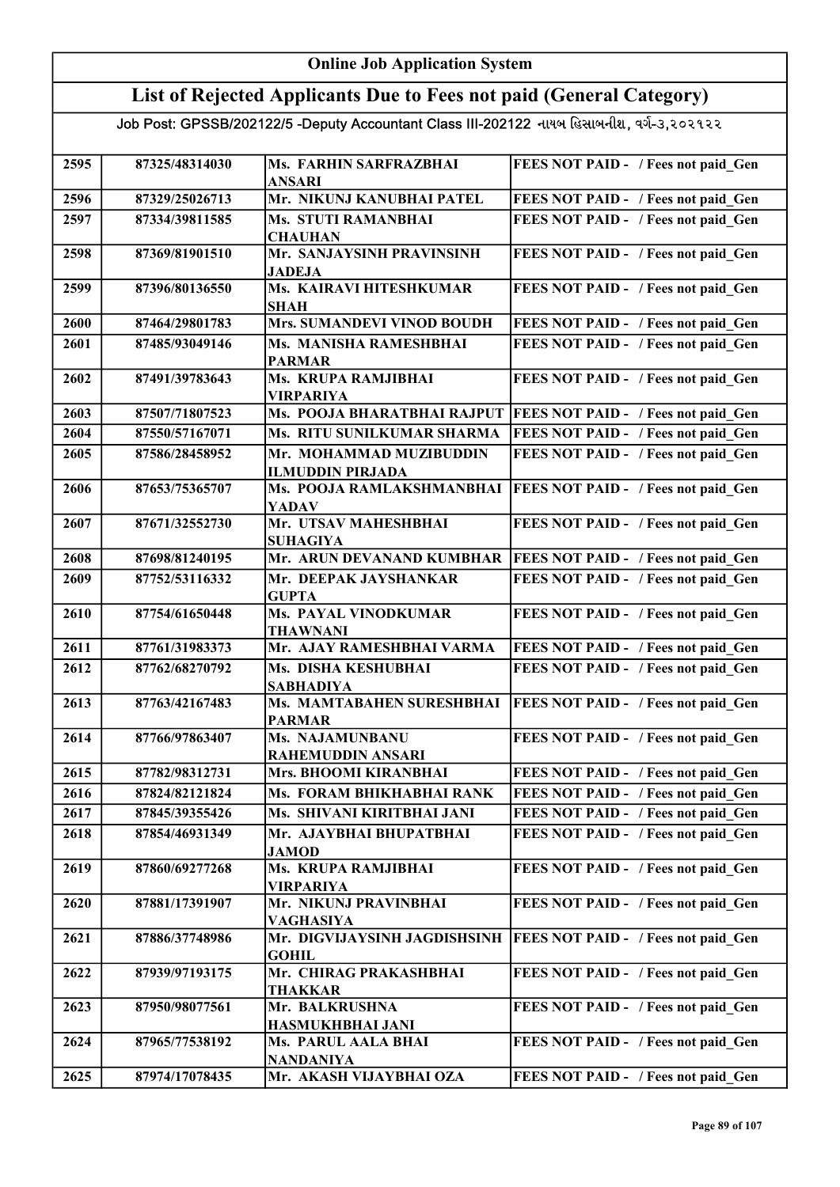## Online Job Application System List of Rejected Applicants Due to Fees not paid (General Category)

| 2595 | 87325/48314030 | Ms. FARHIN SARFRAZBHAI<br><b>ANSARI</b>      | FEES NOT PAID - / Fees not paid Gen        |
|------|----------------|----------------------------------------------|--------------------------------------------|
| 2596 | 87329/25026713 | Mr. NIKUNJ KANUBHAI PATEL                    | FEES NOT PAID - / Fees not paid Gen        |
| 2597 | 87334/39811585 | <b>Ms. STUTI RAMANBHAI</b>                   | FEES NOT PAID - / Fees not paid Gen        |
|      |                | <b>CHAUHAN</b>                               |                                            |
| 2598 | 87369/81901510 | Mr. SANJAYSINH PRAVINSINH                    | FEES NOT PAID - / Fees not paid_Gen        |
|      |                | <b>JADEJA</b>                                |                                            |
| 2599 | 87396/80136550 | Ms. KAIRAVI HITESHKUMAR                      | FEES NOT PAID - / Fees not paid Gen        |
| 2600 | 87464/29801783 | <b>SHAH</b><br>Mrs. SUMANDEVI VINOD BOUDH    | FEES NOT PAID - / Fees not paid Gen        |
| 2601 | 87485/93049146 | Ms. MANISHA RAMESHBHAI                       | FEES NOT PAID - / Fees not paid Gen        |
|      |                | <b>PARMAR</b>                                |                                            |
| 2602 | 87491/39783643 | Ms. KRUPA RAMJIBHAI                          | FEES NOT PAID - / Fees not paid Gen        |
|      |                | <b>VIRPARIYA</b>                             |                                            |
| 2603 | 87507/71807523 | Ms. POOJA BHARATBHAI RAJPUT                  | <b>FEES NOT PAID - / Fees not paid Gen</b> |
| 2604 | 87550/57167071 | Ms. RITU SUNILKUMAR SHARMA                   | FEES NOT PAID - / Fees not paid Gen        |
| 2605 | 87586/28458952 | Mr. MOHAMMAD MUZIBUDDIN                      | FEES NOT PAID - / Fees not paid Gen        |
|      |                | <b>ILMUDDIN PIRJADA</b>                      |                                            |
| 2606 | 87653/75365707 | Ms. POOJA RAMLAKSHMANBHAI                    | <b>FEES NOT PAID - / Fees not paid Gen</b> |
|      |                | <b>YADAV</b>                                 |                                            |
| 2607 | 87671/32552730 | Mr. UTSAV MAHESHBHAI                         | FEES NOT PAID - / Fees not paid Gen        |
| 2608 | 87698/81240195 | <b>SUHAGIYA</b><br>Mr. ARUN DEVANAND KUMBHAR | <b>FEES NOT PAID - / Fees not paid Gen</b> |
| 2609 | 87752/53116332 | Mr. DEEPAK JAYSHANKAR                        | FEES NOT PAID - / Fees not paid Gen        |
|      |                | <b>GUPTA</b>                                 |                                            |
| 2610 | 87754/61650448 | Ms. PAYAL VINODKUMAR                         | FEES NOT PAID - / Fees not paid Gen        |
|      |                | <b>THAWNANI</b>                              |                                            |
| 2611 | 87761/31983373 | Mr. AJAY RAMESHBHAI VARMA                    | FEES NOT PAID - / Fees not paid_Gen        |
| 2612 | 87762/68270792 | Ms. DISHA KESHUBHAI<br><b>SABHADIYA</b>      | FEES NOT PAID - / Fees not paid Gen        |
| 2613 | 87763/42167483 | Ms. MAMTABAHEN SURESHBHAI                    | <b>FEES NOT PAID - / Fees not paid Gen</b> |
|      |                | <b>PARMAR</b>                                |                                            |
| 2614 | 87766/97863407 | Ms. NAJAMUNBANU                              | FEES NOT PAID - / Fees not paid_Gen        |
|      |                | <b>RAHEMUDDIN ANSARI</b>                     |                                            |
| 2615 | 87782/98312731 | Mrs. BHOOMI KIRANBHAI                        | FEES NOT PAID - / Fees not paid Gen        |
| 2616 | 87824/82121824 | Ms. FORAM BHIKHABHAI RANK                    | FEES NOT PAID - / Fees not paid Gen        |
| 2617 | 87845/39355426 | Ms. SHIVANI KIRITBHAI JANI                   | FEES NOT PAID - / Fees not paid Gen        |
| 2618 | 87854/46931349 | Mr. AJAYBHAI BHUPATBHAI<br><b>JAMOD</b>      | FEES NOT PAID - / Fees not paid Gen        |
| 2619 | 87860/69277268 | Ms. KRUPA RAMJIBHAI                          | FEES NOT PAID - / Fees not paid Gen        |
|      |                | <b>VIRPARIYA</b>                             |                                            |
| 2620 | 87881/17391907 | Mr. NIKUNJ PRAVINBHAI                        | FEES NOT PAID - / Fees not paid Gen        |
|      |                | <b>VAGHASIYA</b>                             |                                            |
| 2621 | 87886/37748986 | Mr. DIGVIJAYSINH JAGDISHSINH                 | <b>FEES NOT PAID - / Fees not paid Gen</b> |
| 2622 | 87939/97193175 | <b>GOHIL</b><br>Mr. CHIRAG PRAKASHBHAI       | FEES NOT PAID - / Fees not paid Gen        |
|      |                | <b>THAKKAR</b>                               |                                            |
| 2623 | 87950/98077561 | Mr. BALKRUSHNA                               | FEES NOT PAID - / Fees not paid Gen        |
|      |                | HASMUKHBHAI JANI                             |                                            |
| 2624 | 87965/77538192 | Ms. PARUL AALA BHAI                          | FEES NOT PAID - / Fees not paid Gen        |
|      |                | <b>NANDANIYA</b>                             |                                            |
| 2625 | 87974/17078435 | Mr. AKASH VIJAYBHAI OZA                      | FEES NOT PAID - / Fees not paid Gen        |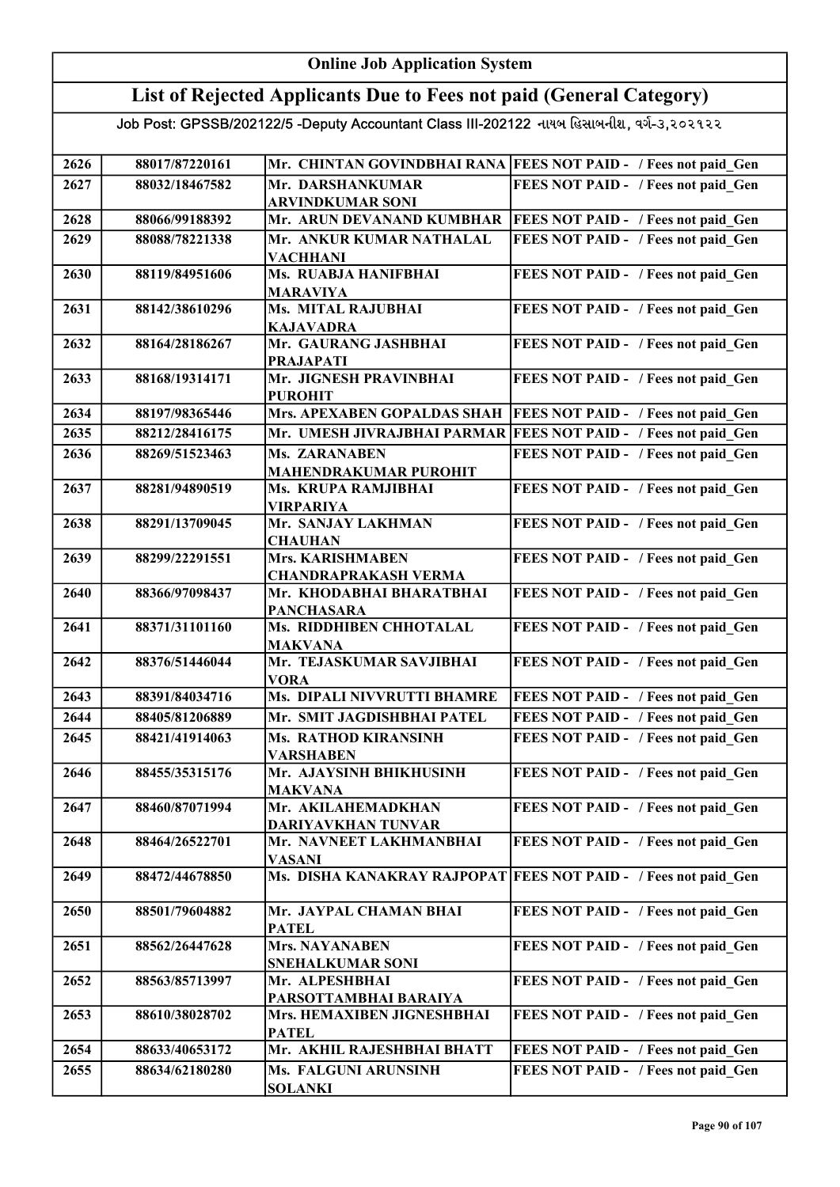### List of Rejected Applicants Due to Fees not paid (General Category)

| 2626 | 88017/87220161 |                                             | Mr. CHINTAN GOVINDBHAI RANA FEES NOT PAID - / Fees not paid Gen |
|------|----------------|---------------------------------------------|-----------------------------------------------------------------|
| 2627 | 88032/18467582 | Mr. DARSHANKUMAR                            | FEES NOT PAID - / Fees not paid Gen                             |
|      |                | <b>ARVINDKUMAR SONI</b>                     |                                                                 |
| 2628 | 88066/99188392 | Mr. ARUN DEVANAND KUMBHAR                   | <b>FEES NOT PAID - / Fees not paid Gen</b>                      |
| 2629 | 88088/78221338 | Mr. ANKUR KUMAR NATHALAL                    | FEES NOT PAID - / Fees not paid Gen                             |
|      |                | <b>VACHHANI</b>                             |                                                                 |
| 2630 | 88119/84951606 | Ms. RUABJA HANIFBHAI                        | FEES NOT PAID - / Fees not paid Gen                             |
|      |                | <b>MARAVIYA</b>                             |                                                                 |
| 2631 | 88142/38610296 | <b>Ms. MITAL RAJUBHAI</b>                   | FEES NOT PAID - / Fees not paid Gen                             |
|      |                | <b>KAJAVADRA</b>                            |                                                                 |
| 2632 | 88164/28186267 | Mr. GAURANG JASHBHAI                        | FEES NOT PAID - / Fees not paid Gen                             |
|      |                | <b>PRAJAPATI</b>                            |                                                                 |
| 2633 | 88168/19314171 | Mr. JIGNESH PRAVINBHAI                      | FEES NOT PAID - / Fees not paid Gen                             |
|      |                | <b>PUROHIT</b>                              |                                                                 |
| 2634 | 88197/98365446 | Mrs. APEXABEN GOPALDAS SHAH                 | <b>FEES NOT PAID - / Fees not paid Gen</b>                      |
| 2635 | 88212/28416175 | Mr. UMESH JIVRAJBHAI PARMAR                 | <b>FEES NOT PAID - / Fees not paid Gen</b>                      |
| 2636 | 88269/51523463 | <b>Ms. ZARANABEN</b>                        | FEES NOT PAID - / Fees not paid Gen                             |
|      |                | <b>MAHENDRAKUMAR PUROHIT</b>                |                                                                 |
| 2637 | 88281/94890519 | Ms. KRUPA RAMJIBHAI                         | FEES NOT PAID - / Fees not paid Gen                             |
|      |                | <b>VIRPARIYA</b>                            |                                                                 |
| 2638 | 88291/13709045 | Mr. SANJAY LAKHMAN                          | FEES NOT PAID - / Fees not paid Gen                             |
|      |                | <b>CHAUHAN</b>                              |                                                                 |
| 2639 | 88299/22291551 | Mrs. KARISHMABEN                            | FEES NOT PAID - / Fees not paid Gen                             |
|      |                | <b>CHANDRAPRAKASH VERMA</b>                 |                                                                 |
| 2640 | 88366/97098437 | Mr. KHODABHAI BHARATBHAI                    | FEES NOT PAID - / Fees not paid Gen                             |
|      |                | <b>PANCHASARA</b>                           |                                                                 |
| 2641 | 88371/31101160 | Ms. RIDDHIBEN CHHOTALAL                     | FEES NOT PAID - / Fees not paid Gen                             |
| 2642 | 88376/51446044 | <b>MAKVANA</b><br>Mr. TEJASKUMAR SAVJIBHAI  | FEES NOT PAID - / Fees not paid Gen                             |
|      |                | <b>VORA</b>                                 |                                                                 |
| 2643 | 88391/84034716 | Ms. DIPALI NIVVRUTTI BHAMRE                 | FEES NOT PAID - / Fees not paid_Gen                             |
| 2644 | 88405/81206889 | Mr. SMIT JAGDISHBHAI PATEL                  | FEES NOT PAID - / Fees not paid Gen                             |
|      |                | <b>Ms. RATHOD KIRANSINH</b>                 |                                                                 |
| 2645 | 88421/41914063 |                                             | FEES NOT PAID - / Fees not paid Gen                             |
| 2646 | 88455/35315176 | <b>VARSHABEN</b><br>Mr. AJAYSINH BHIKHUSINH | FEES NOT PAID - / Fees not paid Gen                             |
|      |                | <b>MAKVANA</b>                              |                                                                 |
| 2647 | 88460/87071994 | Mr. AKILAHEMADKHAN                          | FEES NOT PAID - / Fees not paid Gen                             |
|      |                | DARIYAVKHAN TUNVAR                          |                                                                 |
| 2648 | 88464/26522701 | Mr. NAVNEET LAKHMANBHAI                     | FEES NOT PAID - / Fees not paid Gen                             |
|      |                | <b>VASANI</b>                               |                                                                 |
| 2649 | 88472/44678850 |                                             | Ms. DISHA KANAKRAY RAJPOPAT FEES NOT PAID - / Fees not paid Gen |
|      |                |                                             |                                                                 |
| 2650 | 88501/79604882 | Mr. JAYPAL CHAMAN BHAI                      | FEES NOT PAID - / Fees not paid Gen                             |
|      |                | <b>PATEL</b>                                |                                                                 |
| 2651 | 88562/26447628 | <b>Mrs. NAYANABEN</b>                       | FEES NOT PAID - / Fees not paid Gen                             |
|      |                | <b>SNEHALKUMAR SONI</b>                     |                                                                 |
| 2652 | 88563/85713997 | Mr. ALPESHBHAI                              | FEES NOT PAID - / Fees not paid Gen                             |
|      |                | PARSOTTAMBHAI BARAIYA                       |                                                                 |
| 2653 | 88610/38028702 | Mrs. HEMAXIBEN JIGNESHBHAI                  | FEES NOT PAID - / Fees not paid Gen                             |
|      |                | <b>PATEL</b>                                |                                                                 |
| 2654 | 88633/40653172 | Mr. AKHIL RAJESHBHAI BHATT                  | FEES NOT PAID - / Fees not paid Gen                             |
| 2655 | 88634/62180280 | Ms. FALGUNI ARUNSINH                        | FEES NOT PAID - / Fees not paid Gen                             |
|      |                | <b>SOLANKI</b>                              |                                                                 |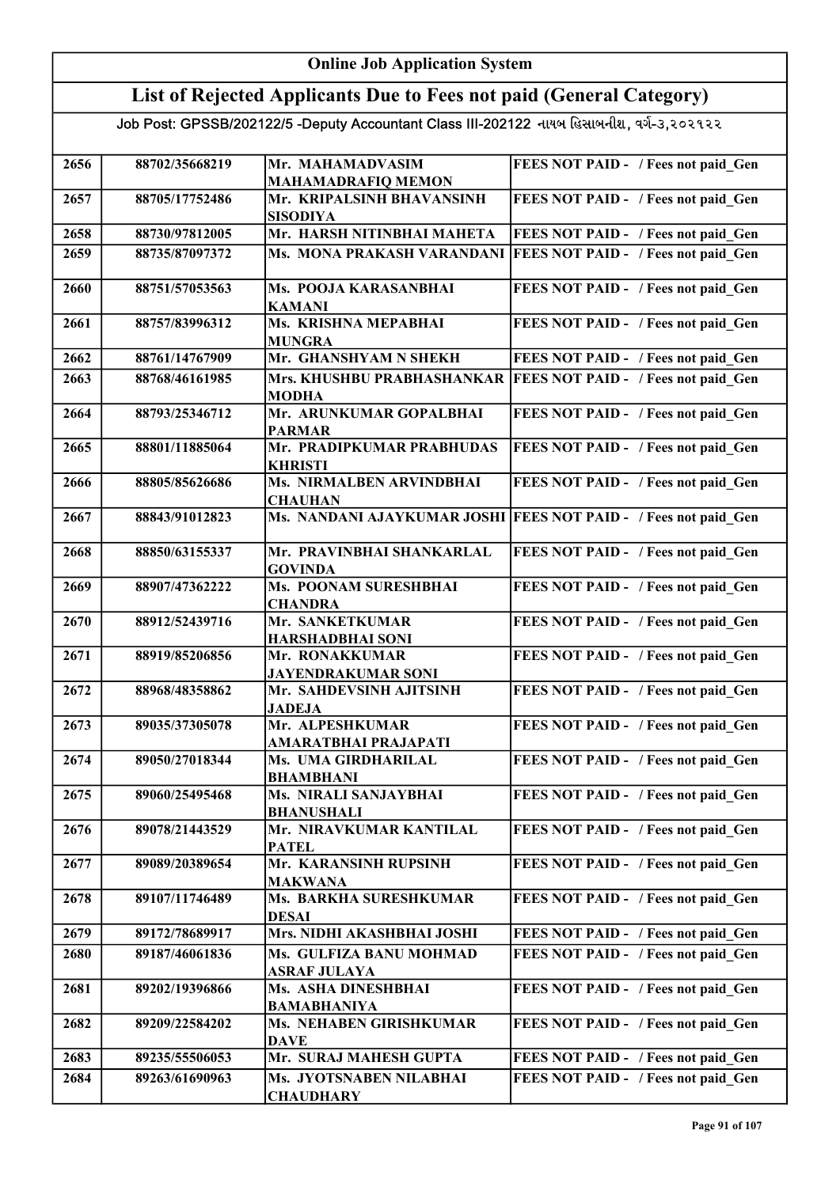## Online Job Application System List of Rejected Applicants Due to Fees not paid (General Category)

| 2656 | 88702/35668219 | Mr. MAHAMADVASIM                             | FEES NOT PAID - / Fees not paid Gen                             |
|------|----------------|----------------------------------------------|-----------------------------------------------------------------|
|      |                | <b>MAHAMADRAFIQ MEMON</b>                    |                                                                 |
| 2657 | 88705/17752486 | Mr. KRIPALSINH BHAVANSINH<br><b>SISODIYA</b> | FEES NOT PAID - / Fees not paid Gen                             |
| 2658 | 88730/97812005 | Mr. HARSH NITINBHAI MAHETA                   | FEES NOT PAID - / Fees not paid Gen                             |
| 2659 | 88735/87097372 | Ms. MONA PRAKASH VARANDANI                   | <b>FEES NOT PAID - / Fees not paid Gen</b>                      |
| 2660 | 88751/57053563 | Ms. POOJA KARASANBHAI<br><b>KAMANI</b>       | FEES NOT PAID - / Fees not paid Gen                             |
| 2661 | 88757/83996312 | Ms. KRISHNA MEPABHAI<br><b>MUNGRA</b>        | FEES NOT PAID - / Fees not paid Gen                             |
| 2662 | 88761/14767909 | Mr. GHANSHYAM N SHEKH                        | FEES NOT PAID - / Fees not paid Gen                             |
| 2663 | 88768/46161985 | Mrs. KHUSHBU PRABHASHANKAR                   | <b>FEES NOT PAID - / Fees not paid Gen</b>                      |
|      |                | <b>MODHA</b>                                 |                                                                 |
| 2664 | 88793/25346712 | Mr. ARUNKUMAR GOPALBHAI<br><b>PARMAR</b>     | FEES NOT PAID - / Fees not paid Gen                             |
| 2665 | 88801/11885064 | Mr. PRADIPKUMAR PRABHUDAS<br><b>KHRISTI</b>  | FEES NOT PAID - / Fees not paid Gen                             |
| 2666 | 88805/85626686 | Ms. NIRMALBEN ARVINDBHAI                     | FEES NOT PAID - / Fees not paid Gen                             |
|      |                | <b>CHAUHAN</b>                               |                                                                 |
| 2667 | 88843/91012823 |                                              | Ms. NANDANI AJAYKUMAR JOSHI FEES NOT PAID - / Fees not paid Gen |
| 2668 | 88850/63155337 | Mr. PRAVINBHAI SHANKARLAL<br><b>GOVINDA</b>  | FEES NOT PAID - / Fees not paid Gen                             |
| 2669 | 88907/47362222 | Ms. POONAM SURESHBHAI                        | FEES NOT PAID - / Fees not paid_Gen                             |
|      |                | <b>CHANDRA</b>                               |                                                                 |
| 2670 | 88912/52439716 | Mr. SANKETKUMAR                              | FEES NOT PAID - / Fees not paid Gen                             |
|      |                | <b>HARSHADBHAI SONI</b>                      |                                                                 |
| 2671 | 88919/85206856 | Mr. RONAKKUMAR<br><b>JAYENDRAKUMAR SONI</b>  | FEES NOT PAID - / Fees not paid Gen                             |
| 2672 | 88968/48358862 | Mr. SAHDEVSINH AJITSINH                      | FEES NOT PAID - / Fees not paid_Gen                             |
|      |                | <b>JADEJA</b>                                |                                                                 |
| 2673 | 89035/37305078 | Mr. ALPESHKUMAR                              | FEES NOT PAID - / Fees not paid Gen                             |
|      |                | AMARATBHAI PRAJAPATI                         |                                                                 |
| 2674 | 89050/27018344 | Ms. UMA GIRDHARILAL<br><b>BHAMBHANI</b>      | FEES NOT PAID - / Fees not paid_Gen                             |
| 2675 | 89060/25495468 | Ms. NIRALI SANJAYBHAI                        | FEES NOT PAID - / Fees not paid Gen                             |
| 2676 | 89078/21443529 | <b>BHANUSHALI</b><br>Mr. NIRAVKUMAR KANTILAL |                                                                 |
|      |                | <b>PATEL</b>                                 | FEES NOT PAID - / Fees not paid Gen                             |
| 2677 | 89089/20389654 | Mr. KARANSINH RUPSINH                        | FEES NOT PAID - / Fees not paid Gen                             |
|      |                | <b>MAKWANA</b>                               |                                                                 |
| 2678 | 89107/11746489 | Ms. BARKHA SURESHKUMAR                       | FEES NOT PAID - / Fees not paid Gen                             |
|      |                | <b>DESAI</b>                                 |                                                                 |
| 2679 | 89172/78689917 | Mrs. NIDHI AKASHBHAI JOSHI                   | FEES NOT PAID - / Fees not paid Gen                             |
| 2680 | 89187/46061836 | Ms. GULFIZA BANU MOHMAD                      | FEES NOT PAID - / Fees not paid Gen                             |
|      |                | <b>ASRAF JULAYA</b>                          |                                                                 |
| 2681 | 89202/19396866 | Ms. ASHA DINESHBHAI<br><b>BAMABHANIYA</b>    | FEES NOT PAID - / Fees not paid Gen                             |
| 2682 | 89209/22584202 | Ms. NEHABEN GIRISHKUMAR                      | FEES NOT PAID - / Fees not paid Gen                             |
|      |                | <b>DAVE</b>                                  |                                                                 |
| 2683 | 89235/55506053 | Mr. SURAJ MAHESH GUPTA                       | FEES NOT PAID - / Fees not paid Gen                             |
| 2684 | 89263/61690963 | Ms. JYOTSNABEN NILABHAI                      | FEES NOT PAID - / Fees not paid Gen                             |
|      |                | <b>CHAUDHARY</b>                             |                                                                 |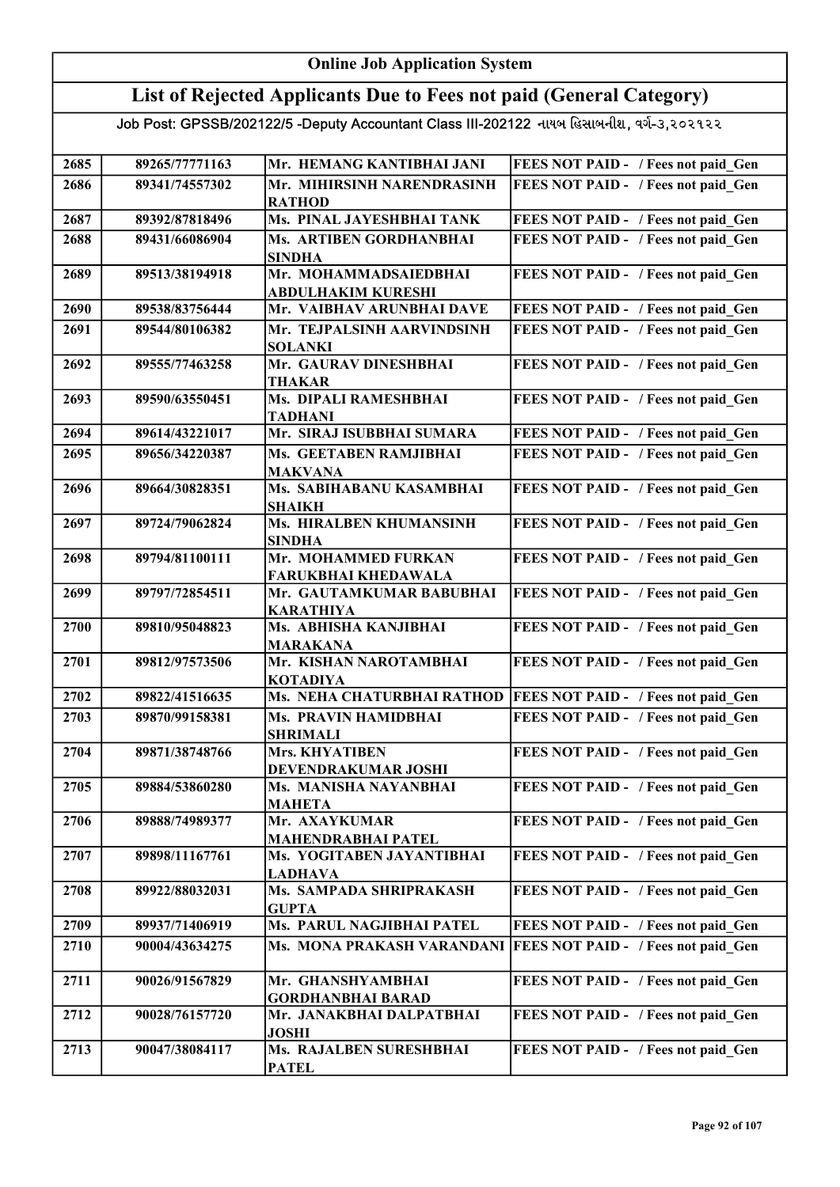#### Online Job Application System List of Rejected Applicants Due to Fees not paid (General Category) Job Post: GPSSB/202122/5 -Deputy Accountant Class III-202122 નાયબ હિસાબનીશ, વર્ગ-૩,૨૦૨૧૨૨ 2685 89265/77771163 Mr. HEMANG KANTIBHAI JANI FEES NOT PAID - / Fees not paid Gen 2686 89341/74557302 Mr. MIHIRSINH NARENDRASINH RATHOD FEES NOT PAID - / Fees not paid Gen 2687 89392/87818496 Ms. PINAL JAYESHBHAI TANK FEES NOT PAID - / Fees not paid\_Gen 2688 89431/66086904 Ms. ARTIBEN GORDHANBHAI SINDHA FEES NOT PAID - / Fees not paid Gen 2689 89513/38194918 Mr. MOHAMMADSAIEDBHAI ABDULHAKIM KURESHI FEES NOT PAID - / Fees not paid Gen 2690 89538/83756444 Mr. VAIBHAV ARUNBHAI DAVE FEES NOT PAID - / Fees not paid\_Gen 2691 89544/80106382 Mr. TEJPALSINH AARVINDSINH SOLANKI FEES NOT PAID - / Fees not paid Gen 2692 89555/77463258 Mr. GAURAV DINESHBHAI THAKAR FEES NOT PAID - / Fees not paid Gen 2693 89590/63550451 Ms. DIPALI RAMESHBHAI TADHANI FEES NOT PAID - / Fees not paid Gen 2694 89614/43221017 Mr. SIRAJ ISUBBHAI SUMARA FEES NOT PAID - / Fees not paid\_Gen 2695 89656/34220387 Ms. GEETABEN RAMJIBHAI MAKVANA FEES NOT PAID - / Fees not paid Gen 2696 89664/30828351 Ms. SABIHABANU KASAMBHAI SHAIKH FEES NOT PAID - / Fees not paid Gen 2697 89724/79062824 Ms. HIRALBEN KHUMANSINH SINDHA FEES NOT PAID - / Fees not paid Gen 2698 89794/81100111 Mr. MOHAMMED FURKAN FARUKBHAI KHEDAWALA FEES NOT PAID - / Fees not paid Gen 2699 89797/72854511 Mr. GAUTAMKUMAR BABUBHAI KARATHIYA FEES NOT PAID - / Fees not paid Gen 2700 89810/95048823 Ms. ABHISHA KANJIBHAI MARAKANA FEES NOT PAID - / Fees not paid Gen 2701 89812/97573506 Mr. KISHAN NAROTAMBHAI KOTADIYA FEES NOT PAID - / Fees not paid Gen 2702 89822/41516635 Ms. NEHA CHATURBHAI RATHOD FEES NOT PAID - / Fees not paid Gen 2703 89870/99158381 Ms. PRAVIN HAMIDBHAI SHRIMALI FEES NOT PAID - / Fees not paid Gen 2704 89871/38748766 Mrs. KHYATIBEN DEVENDRAKUMAR JOSHI FEES NOT PAID - / Fees not paid Gen 2705 89884/53860280 Ms. MANISHA NAYANBHAI MAHETA FEES NOT PAID - / Fees not paid Gen 2706 89888/74989377 Mr. AXAYKUMAR MAHENDRABHAI PATEL FEES NOT PAID - / Fees not paid\_Gen 2707 89898/11167761 Ms. YOGITABEN JAYANTIBHAI LADHAVA FEES NOT PAID - / Fees not paid Gen 2708 89922/88032031 Ms. SAMPADA SHRIPRAKASH **GUPTA** FEES NOT PAID - / Fees not paid Gen 2709 89937/71406919 Ms. PARUL NAGJIBHAI PATEL FEES NOT PAID - / Fees not paid\_Gen 2710 90004/43634275 Ms. MONA PRAKASH VARANDANI FEES NOT PAID - / Fees not paid Gen 2711 90026/91567829 Mr. GHANSHYAMBHAI GORDHANBHAI BARAD FEES NOT PAID - / Fees not paid Gen 2712 90028/76157720 Mr. JANAKBHAI DALPATBHAI JOSHI FEES NOT PAID - / Fees not paid Gen 2713 90047/38084117 Ms. RAJALBEN SURESHBHAI PATEL FEES NOT PAID - / Fees not paid Gen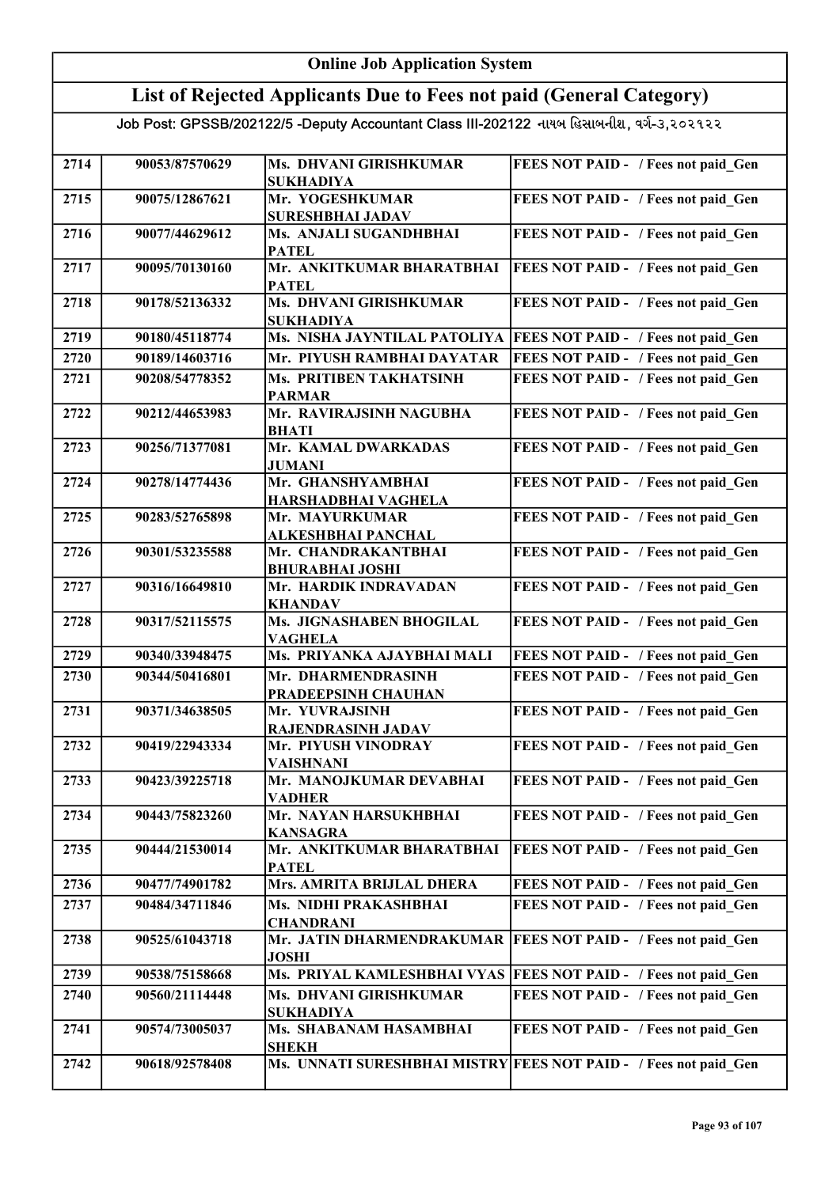|      | <b>Online Job Application System</b> |                                                                                           |                                                                  |  |
|------|--------------------------------------|-------------------------------------------------------------------------------------------|------------------------------------------------------------------|--|
|      |                                      | List of Rejected Applicants Due to Fees not paid (General Category)                       |                                                                  |  |
|      |                                      | Job Post: GPSSB/202122/5 -Deputy Accountant Class III-202122 નાયબ હિસાબનીશ, વર્ગ-૩,૨૦૨૧૨૨ |                                                                  |  |
| 2714 | 90053/87570629                       | Ms. DHVANI GIRISHKUMAR<br><b>SUKHADIYA</b>                                                | FEES NOT PAID - / Fees not paid Gen                              |  |
| 2715 | 90075/12867621                       | Mr. YOGESHKUMAR<br><b>SURESHBHAI JADAV</b>                                                | FEES NOT PAID - / Fees not paid Gen                              |  |
| 2716 | 90077/44629612                       | Ms. ANJALI SUGANDHBHAI<br><b>PATEL</b>                                                    | FEES NOT PAID - / Fees not paid Gen                              |  |
| 2717 | 90095/70130160                       | Mr. ANKITKUMAR BHARATBHAI<br><b>PATEL</b>                                                 | FEES NOT PAID - / Fees not paid Gen                              |  |
| 2718 | 90178/52136332                       | Ms. DHVANI GIRISHKUMAR<br><b>SUKHADIYA</b>                                                | FEES NOT PAID - / Fees not paid Gen                              |  |
| 2719 | 90180/45118774                       | Ms. NISHA JAYNTILAL PATOLIYA                                                              | <b>FEES NOT PAID - / Fees not paid Gen</b>                       |  |
| 2720 | 90189/14603716                       | Mr. PIYUSH RAMBHAI DAYATAR                                                                | FEES NOT PAID - / Fees not paid Gen                              |  |
| 2721 | 90208/54778352                       | <b>Ms. PRITIBEN TAKHATSINH</b><br><b>PARMAR</b>                                           | FEES NOT PAID - / Fees not paid Gen                              |  |
| 2722 | 90212/44653983                       | Mr. RAVIRAJSINH NAGUBHA<br><b>BHATI</b>                                                   | FEES NOT PAID - / Fees not paid_Gen                              |  |
| 2723 | 90256/71377081                       | Mr. KAMAL DWARKADAS<br>JUMANI                                                             | FEES NOT PAID - / Fees not paid Gen                              |  |
| 2724 | 90278/14774436                       | Mr. GHANSHYAMBHAI<br>HARSHADBHAI VAGHELA                                                  | FEES NOT PAID - / Fees not paid Gen                              |  |
| 2725 | 90283/52765898                       | Mr. MAYURKUMAR<br><b>ALKESHBHAI PANCHAL</b>                                               | FEES NOT PAID - / Fees not paid Gen                              |  |
| 2726 | 90301/53235588                       | Mr. CHANDRAKANTBHAI<br><b>BHURABHAI JOSHI</b>                                             | FEES NOT PAID - / Fees not paid Gen                              |  |
| 2727 | 90316/16649810                       | Mr. HARDIK INDRAVADAN<br><b>KHANDAV</b>                                                   | FEES NOT PAID - / Fees not paid Gen                              |  |
| 2728 | 90317/52115575                       | Ms. JIGNASHABEN BHOGILAL<br><b>VAGHELA</b>                                                | FEES NOT PAID - / Fees not paid Gen                              |  |
| 2729 | 90340/33948475                       | Ms. PRIYANKA AJAYBHAI MALI                                                                | FEES NOT PAID - / Fees not paid Gen                              |  |
| 2730 | 90344/50416801                       | Mr. DHARMENDRASINH<br>PRADEEPSINH CHAUHAN                                                 | <b>FEES NOT PAID - / Fees not paid Gen</b>                       |  |
| 2731 | 90371/34638505                       | Mr. YUVRAJSINH<br>RAJENDRASINH JADAV                                                      | FEES NOT PAID - / Fees not paid Gen                              |  |
| 2732 | 90419/22943334                       | Mr. PIYUSH VINODRAY<br><b>VAISHNANI</b>                                                   | FEES NOT PAID - / Fees not paid Gen                              |  |
| 2733 | 90423/39225718                       | Mr. MANOJKUMAR DEVABHAI<br><b>VADHER</b>                                                  | FEES NOT PAID - / Fees not paid Gen                              |  |
| 2734 | 90443/75823260                       | Mr. NAYAN HARSUKHBHAI<br><b>KANSAGRA</b>                                                  | FEES NOT PAID - / Fees not paid Gen                              |  |
| 2735 | 90444/21530014                       | Mr. ANKITKUMAR BHARATBHAI<br><b>PATEL</b>                                                 | FEES NOT PAID - / Fees not paid Gen                              |  |
| 2736 | 90477/74901782                       | Mrs. AMRITA BRIJLAL DHERA                                                                 | FEES NOT PAID - / Fees not paid Gen                              |  |
| 2737 | 90484/34711846                       | Ms. NIDHI PRAKASHBHAI<br><b>CHANDRANI</b>                                                 | FEES NOT PAID - / Fees not paid Gen                              |  |
| 2738 | 90525/61043718                       | Mr. JATIN DHARMENDRAKUMAR<br><b>JOSHI</b>                                                 | <b>FEES NOT PAID - / Fees not paid Gen</b>                       |  |
| 2739 | 90538/75158668                       | Ms. PRIYAL KAMLESHBHAI VYAS                                                               | <b>FEES NOT PAID - / Fees not paid Gen</b>                       |  |
| 2740 | 90560/21114448                       | Ms. DHVANI GIRISHKUMAR<br><b>SUKHADIYA</b>                                                | FEES NOT PAID - / Fees not paid Gen                              |  |
| 2741 | 90574/73005037                       | Ms. SHABANAM HASAMBHAI<br><b>SHEKH</b>                                                    | FEES NOT PAID - / Fees not paid Gen                              |  |
| 2742 | 90618/92578408                       |                                                                                           | Ms. UNNATI SURESHBHAI MISTRY FEES NOT PAID - / Fees not paid Gen |  |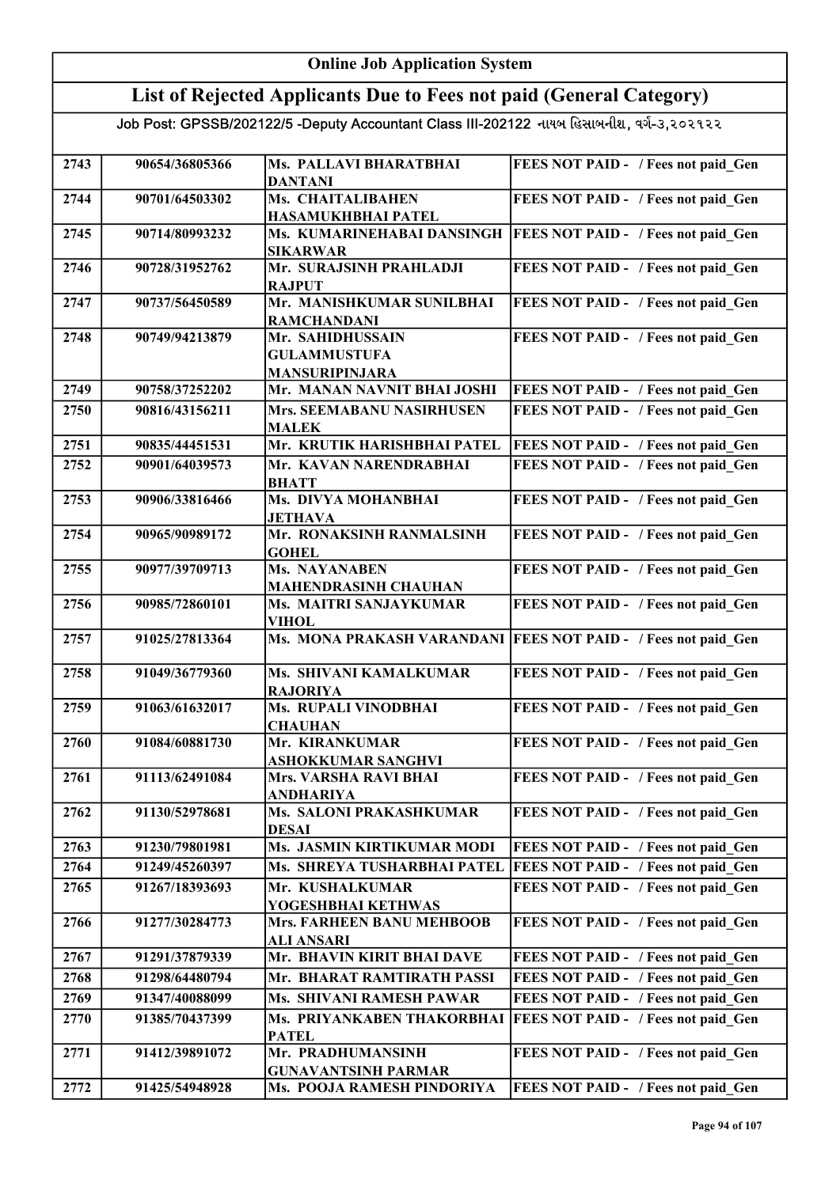| <b>Online Job Application System</b>                                                      |                |                                                                  |                                                                  |
|-------------------------------------------------------------------------------------------|----------------|------------------------------------------------------------------|------------------------------------------------------------------|
| List of Rejected Applicants Due to Fees not paid (General Category)                       |                |                                                                  |                                                                  |
| Job Post: GPSSB/202122/5 -Deputy Accountant Class III-202122 નાયબ હિસાબનીશ, વર્ગ-૩,૨૦૨૧૨૨ |                |                                                                  |                                                                  |
| 2743                                                                                      | 90654/36805366 | Ms. PALLAVI BHARATBHAI<br><b>DANTANI</b>                         | FEES NOT PAID - / Fees not paid Gen                              |
| 2744                                                                                      | 90701/64503302 | Ms. CHAITALIBAHEN<br>HASAMUKHBHAI PATEL                          | FEES NOT PAID - / Fees not paid Gen                              |
| 2745                                                                                      | 90714/80993232 | Ms. KUMARINEHABAI DANSINGH<br><b>SIKARWAR</b>                    | <b>FEES NOT PAID - / Fees not paid Gen</b>                       |
| 2746                                                                                      | 90728/31952762 | Mr. SURAJSINH PRAHLADJI<br><b>RAJPUT</b>                         | FEES NOT PAID - / Fees not paid Gen                              |
| 2747                                                                                      | 90737/56450589 | Mr. MANISHKUMAR SUNILBHAI<br><b>RAMCHANDANI</b>                  | FEES NOT PAID - / Fees not paid Gen                              |
| 2748                                                                                      | 90749/94213879 | Mr. SAHIDHUSSAIN<br><b>GULAMMUSTUFA</b><br><b>MANSURIPINJARA</b> | FEES NOT PAID - / Fees not paid Gen                              |
| 2749                                                                                      | 90758/37252202 | Mr. MANAN NAVNIT BHAI JOSHI                                      | FEES NOT PAID - / Fees not paid Gen                              |
| 2750                                                                                      | 90816/43156211 | <b>Mrs. SEEMABANU NASIRHUSEN</b><br><b>MALEK</b>                 | FEES NOT PAID - / Fees not paid Gen                              |
| 2751                                                                                      | 90835/44451531 | Mr. KRUTIK HARISHBHAI PATEL                                      | FEES NOT PAID - / Fees not paid Gen                              |
| 2752                                                                                      | 90901/64039573 | Mr. KAVAN NARENDRABHAI<br><b>BHATT</b>                           | FEES NOT PAID - / Fees not paid Gen                              |
| 2753                                                                                      | 90906/33816466 | Ms. DIVYA MOHANBHAI<br><b>JETHAVA</b>                            | FEES NOT PAID - / Fees not paid Gen                              |
| 2754                                                                                      | 90965/90989172 | Mr. RONAKSINH RANMALSINH<br><b>GOHEL</b>                         | FEES NOT PAID - / Fees not paid_Gen                              |
| 2755                                                                                      | 90977/39709713 | Ms. NAYANABEN<br><b>MAHENDRASINH CHAUHAN</b>                     | FEES NOT PAID - / Fees not paid Gen                              |
| 2756                                                                                      | 90985/72860101 | Ms. MAITRI SANJAYKUMAR<br><b>VIHOL</b>                           | FEES NOT PAID - / Fees not paid Gen                              |
| 2757                                                                                      | 91025/27813364 |                                                                  | Ms. MONA PRAKASH VARANDANI   FEES NOT PAID - / Fees not paid Gen |
| 2758                                                                                      | 91049/36779360 | Ms. SHIVANI KAMALKUMAR<br><b>RAJORIYA</b>                        | FEES NOT PAID - / Fees not paid Gen                              |
| 2759                                                                                      | 91063/61632017 | Ms. RUPALI VINODBHAI<br><b>CHAUHAN</b>                           | FEES NOT PAID - / Fees not paid Gen                              |
| 2760                                                                                      | 91084/60881730 | Mr. KIRANKUMAR<br>ASHOKKUMAR SANGHVI                             | FEES NOT PAID - / Fees not paid Gen                              |
| 2761                                                                                      | 91113/62491084 | <b>Mrs. VARSHA RAVI BHAI</b><br><b>ANDHARIYA</b>                 | FEES NOT PAID - / Fees not paid Gen                              |
| 2762                                                                                      | 91130/52978681 | Ms. SALONI PRAKASHKUMAR<br><b>DESAI</b>                          | FEES NOT PAID - / Fees not paid Gen                              |
| 2763                                                                                      | 91230/79801981 | Ms. JASMIN KIRTIKUMAR MODI                                       | FEES NOT PAID - / Fees not paid Gen                              |
| 2764                                                                                      | 91249/45260397 | Ms. SHREYA TUSHARBHAI PATEL                                      | FEES NOT PAID - / Fees not paid Gen                              |
| 2765                                                                                      | 91267/18393693 | Mr. KUSHALKUMAR<br>YOGESHBHAI KETHWAS                            | FEES NOT PAID - / Fees not paid Gen                              |
| 2766                                                                                      | 91277/30284773 | Mrs. FARHEEN BANU MEHBOOB<br><b>ALI ANSARI</b>                   | FEES NOT PAID - / Fees not paid Gen                              |
| 2767                                                                                      | 91291/37879339 | Mr. BHAVIN KIRIT BHAI DAVE                                       | FEES NOT PAID - / Fees not paid Gen                              |
| 2768                                                                                      | 91298/64480794 | Mr. BHARAT RAMTIRATH PASSI                                       | FEES NOT PAID - / Fees not paid Gen                              |
| 2769                                                                                      | 91347/40088099 | Ms. SHIVANI RAMESH PAWAR                                         | FEES NOT PAID - / Fees not paid Gen                              |
| 2770                                                                                      | 91385/70437399 | Ms. PRIYANKABEN THAKORBHAI<br><b>PATEL</b>                       | FEES NOT PAID - / Fees not paid Gen                              |
| 2771                                                                                      | 91412/39891072 | Mr. PRADHUMANSINH<br><b>GUNAVANTSINH PARMAR</b>                  | FEES NOT PAID - / Fees not paid Gen                              |
| 2772                                                                                      | 91425/54948928 | Ms. POOJA RAMESH PINDORIYA                                       | FEES NOT PAID - / Fees not paid Gen                              |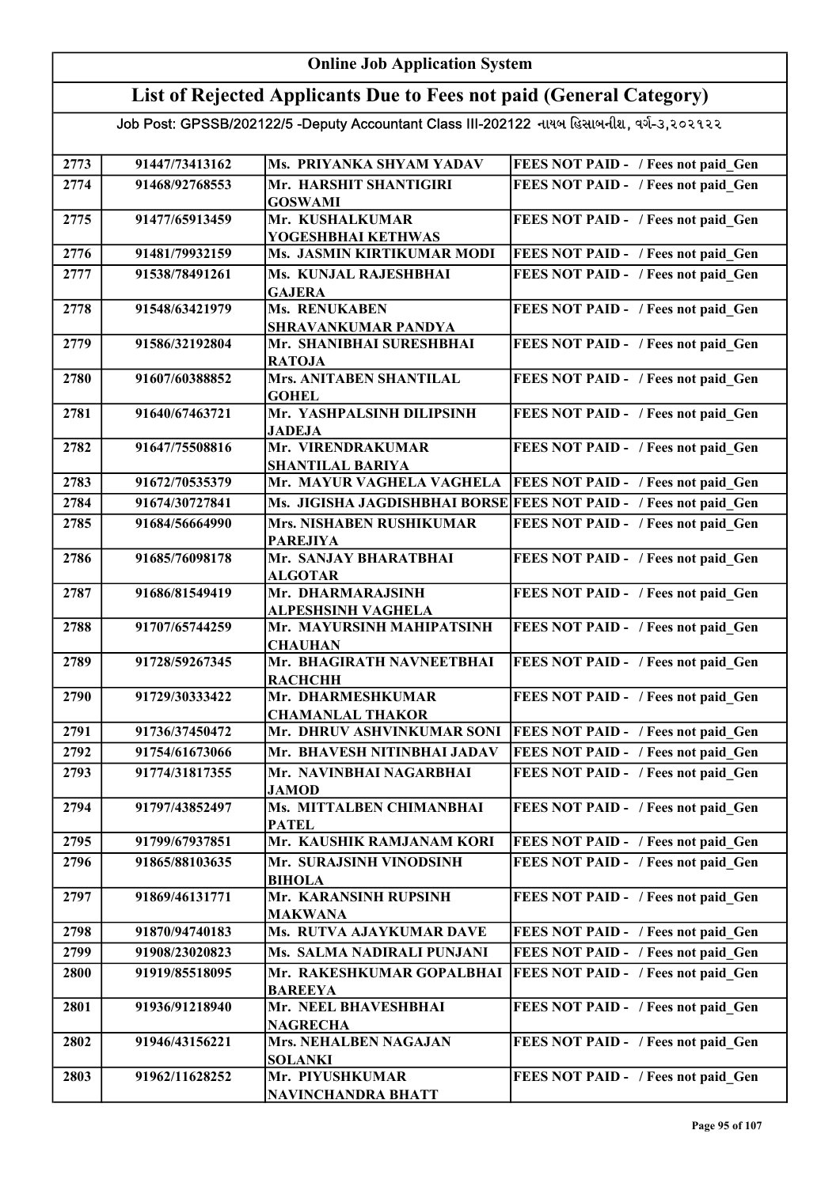### List of Rejected Applicants Due to Fees not paid (General Category)

| 2773 | 91447/73413162 | Ms. PRIYANKA SHYAM YADAV                               | FEES NOT PAID - / Fees not paid Gen                               |
|------|----------------|--------------------------------------------------------|-------------------------------------------------------------------|
| 2774 | 91468/92768553 | Mr. HARSHIT SHANTIGIRI                                 | FEES NOT PAID - / Fees not paid Gen                               |
|      |                | <b>GOSWAMI</b>                                         |                                                                   |
| 2775 | 91477/65913459 | Mr. KUSHALKUMAR                                        | FEES NOT PAID - / Fees not paid Gen                               |
|      |                | YOGESHBHAI KETHWAS                                     |                                                                   |
| 2776 | 91481/79932159 | Ms. JASMIN KIRTIKUMAR MODI                             | FEES NOT PAID - / Fees not paid Gen                               |
| 2777 | 91538/78491261 | Ms. KUNJAL RAJESHBHAI                                  | FEES NOT PAID - / Fees not paid Gen                               |
|      |                | <b>GAJERA</b>                                          |                                                                   |
| 2778 | 91548/63421979 | Ms. RENUKABEN                                          | FEES NOT PAID - / Fees not paid Gen                               |
| 2779 | 91586/32192804 | <b>SHRAVANKUMAR PANDYA</b><br>Mr. SHANIBHAI SURESHBHAI | FEES NOT PAID - / Fees not paid Gen                               |
|      |                | <b>RATOJA</b>                                          |                                                                   |
| 2780 | 91607/60388852 | <b>Mrs. ANITABEN SHANTILAL</b>                         | FEES NOT PAID - / Fees not paid_Gen                               |
|      |                | <b>GOHEL</b>                                           |                                                                   |
| 2781 | 91640/67463721 | Mr. YASHPALSINH DILIPSINH                              | FEES NOT PAID - / Fees not paid_Gen                               |
|      |                | <b>JADEJA</b>                                          |                                                                   |
| 2782 | 91647/75508816 | Mr. VIRENDRAKUMAR                                      | FEES NOT PAID - / Fees not paid Gen                               |
|      |                | <b>SHANTILAL BARIYA</b>                                |                                                                   |
| 2783 | 91672/70535379 | Mr. MAYUR VAGHELA VAGHELA                              | <b>FEES NOT PAID - / Fees not paid Gen</b>                        |
| 2784 | 91674/30727841 |                                                        | Ms. JIGISHA JAGDISHBHAI BORSE FEES NOT PAID - / Fees not paid Gen |
| 2785 | 91684/56664990 | <b>Mrs. NISHABEN RUSHIKUMAR</b>                        | FEES NOT PAID - / Fees not paid Gen                               |
|      |                | <b>PAREJIYA</b>                                        |                                                                   |
| 2786 | 91685/76098178 | Mr. SANJAY BHARATBHAI                                  | FEES NOT PAID - / Fees not paid Gen                               |
|      |                | <b>ALGOTAR</b>                                         |                                                                   |
| 2787 | 91686/81549419 | Mr. DHARMARAJSINH<br><b>ALPESHSINH VAGHELA</b>         | FEES NOT PAID - / Fees not paid Gen                               |
| 2788 | 91707/65744259 | Mr. MAYURSINH MAHIPATSINH                              | FEES NOT PAID - / Fees not paid Gen                               |
|      |                | <b>CHAUHAN</b>                                         |                                                                   |
| 2789 | 91728/59267345 | Mr. BHAGIRATH NAVNEETBHAI                              | FEES NOT PAID - / Fees not paid Gen                               |
|      |                | <b>RACHCHH</b>                                         |                                                                   |
| 2790 | 91729/30333422 | Mr. DHARMESHKUMAR                                      | FEES NOT PAID - / Fees not paid Gen                               |
|      |                | <b>CHAMANLAL THAKOR</b>                                |                                                                   |
| 2791 | 91736/37450472 | Mr. DHRUV ASHVINKUMAR SONI                             | <b>FEES NOT PAID - / Fees not paid Gen</b>                        |
| 2792 | 91754/61673066 | Mr. BHAVESH NITINBHAI JADAV                            | FEES NOT PAID - / Fees not paid Gen                               |
| 2793 | 91774/31817355 | Mr. NAVINBHAI NAGARBHAI                                | FEES NOT PAID - / Fees not paid Gen                               |
|      |                | <b>JAMOD</b>                                           |                                                                   |
| 2794 | 91797/43852497 | Ms. MITTALBEN CHIMANBHAI                               | FEES NOT PAID - / Fees not paid Gen                               |
|      |                | <b>PATEL</b>                                           |                                                                   |
| 2795 | 91799/67937851 | Mr. KAUSHIK RAMJANAM KORI                              | FEES NOT PAID - / Fees not paid Gen                               |
| 2796 | 91865/88103635 | Mr. SURAJSINH VINODSINH                                | FEES NOT PAID - / Fees not paid Gen                               |
| 2797 | 91869/46131771 | <b>BIHOLA</b><br>Mr. KARANSINH RUPSINH                 | FEES NOT PAID - / Fees not paid Gen                               |
|      |                | <b>MAKWANA</b>                                         |                                                                   |
| 2798 | 91870/94740183 | Ms. RUTVA AJAYKUMAR DAVE                               | FEES NOT PAID - / Fees not paid Gen                               |
| 2799 | 91908/23020823 | Ms. SALMA NADIRALI PUNJANI                             | FEES NOT PAID - / Fees not paid Gen                               |
| 2800 | 91919/85518095 | Mr. RAKESHKUMAR GOPALBHAI                              | FEES NOT PAID - / Fees not paid Gen                               |
|      |                | <b>BAREEYA</b>                                         |                                                                   |
| 2801 | 91936/91218940 | Mr. NEEL BHAVESHBHAI                                   | FEES NOT PAID - / Fees not paid Gen                               |
|      |                | <b>NAGRECHA</b>                                        |                                                                   |
| 2802 | 91946/43156221 | Mrs. NEHALBEN NAGAJAN                                  | FEES NOT PAID - / Fees not paid Gen                               |
|      |                | <b>SOLANKI</b>                                         |                                                                   |
| 2803 | 91962/11628252 | Mr. PIYUSHKUMAR                                        | FEES NOT PAID - / Fees not paid Gen                               |
|      |                | <b>NAVINCHANDRA BHATT</b>                              |                                                                   |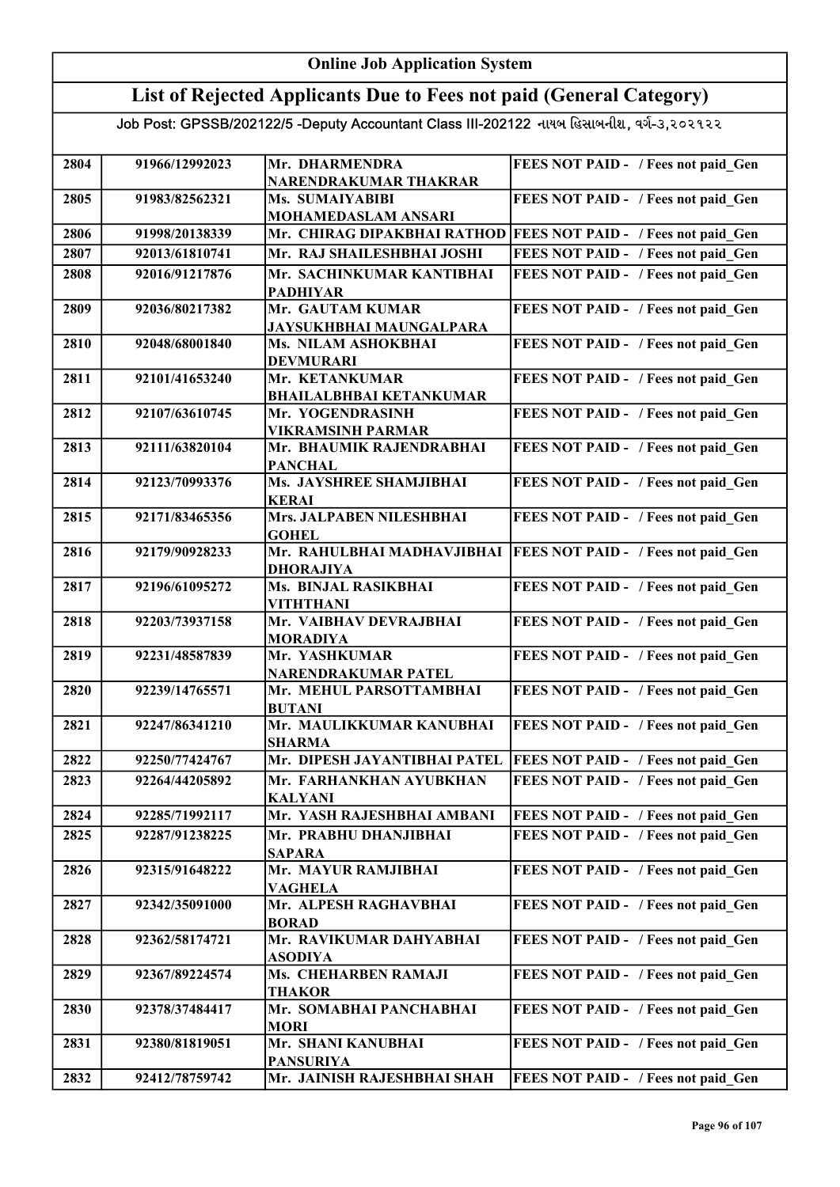### List of Rejected Applicants Due to Fees not paid (General Category)

| 2804 | 91966/12992023 | Mr. DHARMENDRA                               | FEES NOT PAID - / Fees not paid Gen                             |
|------|----------------|----------------------------------------------|-----------------------------------------------------------------|
| 2805 | 91983/82562321 | NARENDRAKUMAR THAKRAR<br>Ms. SUMAIYABIBI     | FEES NOT PAID - / Fees not paid Gen                             |
|      |                | MOHAMEDASLAM ANSARI                          |                                                                 |
| 2806 | 91998/20138339 |                                              | Mr. CHIRAG DIPAKBHAI RATHOD FEES NOT PAID - / Fees not paid Gen |
| 2807 | 92013/61810741 | Mr. RAJ SHAILESHBHAI JOSHI                   | FEES NOT PAID - / Fees not paid Gen                             |
|      |                |                                              |                                                                 |
| 2808 | 92016/91217876 | Mr. SACHINKUMAR KANTIBHAI<br><b>PADHIYAR</b> | FEES NOT PAID - / Fees not paid Gen                             |
| 2809 | 92036/80217382 | Mr. GAUTAM KUMAR                             | FEES NOT PAID - / Fees not paid Gen                             |
|      |                | <b>JAYSUKHBHAI MAUNGALPARA</b>               |                                                                 |
| 2810 | 92048/68001840 | Ms. NILAM ASHOKBHAI                          | FEES NOT PAID - / Fees not paid_Gen                             |
|      |                | <b>DEVMURARI</b>                             |                                                                 |
| 2811 | 92101/41653240 | Mr. KETANKUMAR                               | FEES NOT PAID - / Fees not paid_Gen                             |
|      |                | <b>BHAILALBHBAI KETANKUMAR</b>               |                                                                 |
| 2812 | 92107/63610745 | Mr. YOGENDRASINH<br><b>VIKRAMSINH PARMAR</b> | FEES NOT PAID - / Fees not paid_Gen                             |
| 2813 | 92111/63820104 | Mr. BHAUMIK RAJENDRABHAI                     | FEES NOT PAID - / Fees not paid_Gen                             |
|      |                | <b>PANCHAL</b>                               |                                                                 |
| 2814 | 92123/70993376 | Ms. JAYSHREE SHAMJIBHAI                      | FEES NOT PAID - / Fees not paid_Gen                             |
|      |                | <b>KERAI</b>                                 |                                                                 |
| 2815 | 92171/83465356 | Mrs. JALPABEN NILESHBHAI                     | FEES NOT PAID - / Fees not paid Gen                             |
|      |                | <b>GOHEL</b>                                 |                                                                 |
| 2816 | 92179/90928233 | Mr. RAHULBHAI MADHAVJIBHAI                   | <b>FEES NOT PAID - / Fees not paid_Gen</b>                      |
|      |                | <b>DHORAJIYA</b>                             |                                                                 |
| 2817 | 92196/61095272 | Ms. BINJAL RASIKBHAI                         | FEES NOT PAID - / Fees not paid Gen                             |
|      |                | <b>VITHTHANI</b>                             |                                                                 |
| 2818 | 92203/73937158 | Mr. VAIBHAV DEVRAJBHAI                       | FEES NOT PAID - / Fees not paid Gen                             |
|      |                | <b>MORADIYA</b>                              |                                                                 |
| 2819 | 92231/48587839 | Mr. YASHKUMAR                                | FEES NOT PAID - / Fees not paid Gen                             |
|      |                | NARENDRAKUMAR PATEL                          |                                                                 |
| 2820 | 92239/14765571 | Mr. MEHUL PARSOTTAMBHAI                      | FEES NOT PAID - / Fees not paid Gen                             |
|      |                | <b>BUTANI</b>                                |                                                                 |
| 2821 | 92247/86341210 | Mr. MAULIKKUMAR KANUBHAI<br><b>SHARMA</b>    | FEES NOT PAID - / Fees not paid Gen                             |
| 2822 | 92250/77424767 | Mr. DIPESH JAYANTIBHAI PATEL                 | <b>FEES NOT PAID - / Fees not paid Gen</b>                      |
|      |                |                                              |                                                                 |
| 2823 | 92264/44205892 | Mr. FARHANKHAN AYUBKHAN                      | FEES NOT PAID - / Fees not paid Gen                             |
| 2824 | 92285/71992117 | <b>KALYANI</b><br>Mr. YASH RAJESHBHAI AMBANI | FEES NOT PAID - / Fees not paid Gen                             |
|      |                |                                              |                                                                 |
| 2825 | 92287/91238225 | Mr. PRABHU DHANJIBHAI<br><b>SAPARA</b>       | FEES NOT PAID - / Fees not paid Gen                             |
| 2826 | 92315/91648222 | Mr. MAYUR RAMJIBHAI                          | FEES NOT PAID - / Fees not paid Gen                             |
|      |                | <b>VAGHELA</b>                               |                                                                 |
| 2827 | 92342/35091000 | Mr. ALPESH RAGHAVBHAI                        | FEES NOT PAID - / Fees not paid Gen                             |
|      |                | <b>BORAD</b>                                 |                                                                 |
| 2828 | 92362/58174721 | Mr. RAVIKUMAR DAHYABHAI                      | FEES NOT PAID - / Fees not paid Gen                             |
|      |                | <b>ASODIYA</b>                               |                                                                 |
| 2829 | 92367/89224574 | Ms. CHEHARBEN RAMAJI                         | FEES NOT PAID - / Fees not paid Gen                             |
|      |                | <b>THAKOR</b>                                |                                                                 |
| 2830 | 92378/37484417 | Mr. SOMABHAI PANCHABHAI                      | FEES NOT PAID - / Fees not paid Gen                             |
|      |                | <b>MORI</b>                                  |                                                                 |
| 2831 | 92380/81819051 | Mr. SHANI KANUBHAI                           | FEES NOT PAID - / Fees not paid Gen                             |
|      |                | <b>PANSURIYA</b>                             |                                                                 |
| 2832 | 92412/78759742 | Mr. JAINISH RAJESHBHAI SHAH                  | FEES NOT PAID - / Fees not paid Gen                             |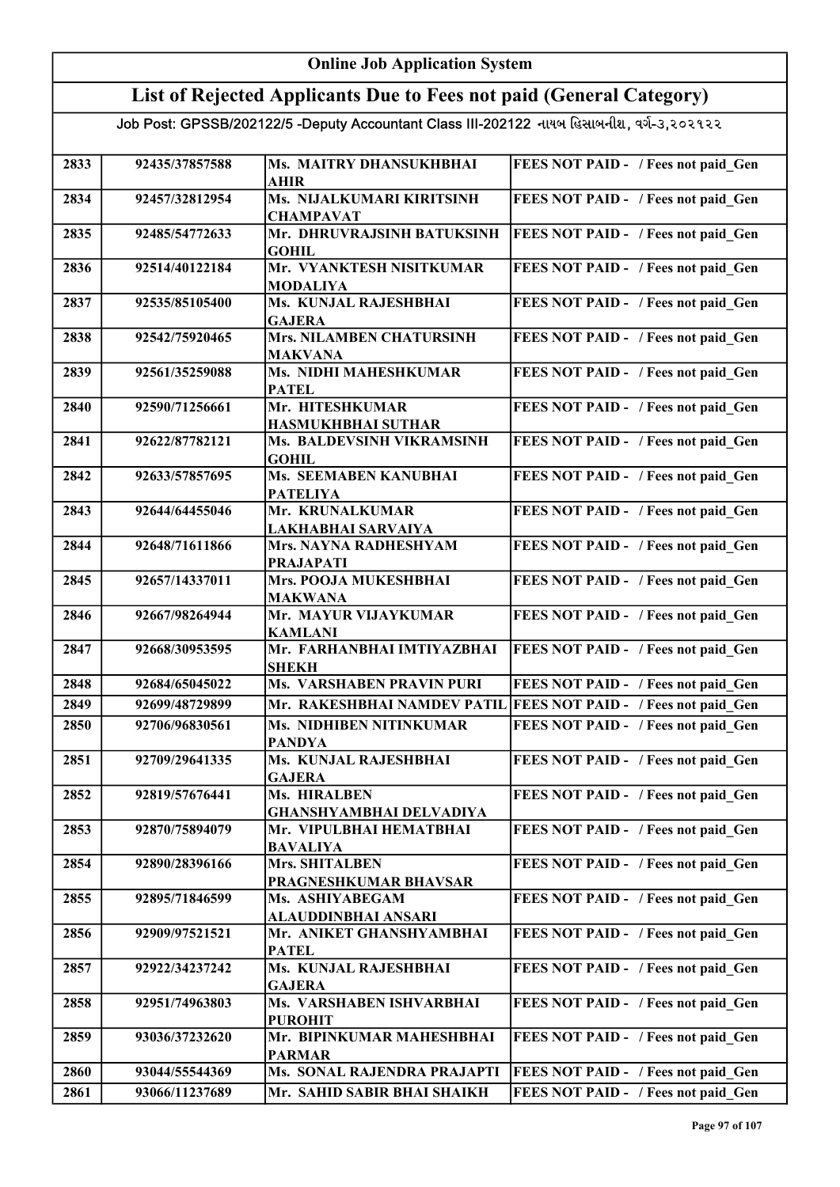| <b>Online Job Application System</b>                                                      |                                  |                                                            |                                                                            |  |  |
|-------------------------------------------------------------------------------------------|----------------------------------|------------------------------------------------------------|----------------------------------------------------------------------------|--|--|
| List of Rejected Applicants Due to Fees not paid (General Category)                       |                                  |                                                            |                                                                            |  |  |
| Job Post: GPSSB/202122/5 -Deputy Accountant Class III-202122 નાયબ હિસાબનીશ, વર્ગ-૩,૨૦૨૧૨૨ |                                  |                                                            |                                                                            |  |  |
|                                                                                           |                                  |                                                            |                                                                            |  |  |
| 2833                                                                                      | 92435/37857588                   | Ms. MAITRY DHANSUKHBHAI<br><b>AHIR</b>                     | FEES NOT PAID - / Fees not paid Gen                                        |  |  |
| 2834                                                                                      | 92457/32812954                   | Ms. NIJALKUMARI KIRITSINH                                  | FEES NOT PAID - / Fees not paid Gen                                        |  |  |
| 2835                                                                                      | 92485/54772633                   | <b>CHAMPAVAT</b><br>Mr. DHRUVRAJSINH BATUKSINH             | FEES NOT PAID - / Fees not paid Gen                                        |  |  |
|                                                                                           |                                  | <b>GOHIL</b>                                               |                                                                            |  |  |
| 2836                                                                                      | 92514/40122184                   | Mr. VYANKTESH NISITKUMAR<br><b>MODALIYA</b>                | FEES NOT PAID - / Fees not paid Gen                                        |  |  |
| 2837                                                                                      | 92535/85105400                   | Ms. KUNJAL RAJESHBHAI                                      | FEES NOT PAID - / Fees not paid Gen                                        |  |  |
| 2838                                                                                      | 92542/75920465                   | <b>GAJERA</b><br><b>Mrs. NILAMBEN CHATURSINH</b>           | FEES NOT PAID - / Fees not paid Gen                                        |  |  |
|                                                                                           |                                  | <b>MAKVANA</b>                                             |                                                                            |  |  |
| 2839                                                                                      | 92561/35259088                   | <b>Ms. NIDHI MAHESHKUMAR</b><br><b>PATEL</b>               | FEES NOT PAID - / Fees not paid Gen                                        |  |  |
| 2840                                                                                      | 92590/71256661                   | Mr. HITESHKUMAR                                            | FEES NOT PAID - / Fees not paid Gen                                        |  |  |
| 2841                                                                                      | 92622/87782121                   | HASMUKHBHAI SUTHAR<br>Ms. BALDEVSINH VIKRAMSINH            | FEES NOT PAID - / Fees not paid Gen                                        |  |  |
|                                                                                           |                                  | <b>GOHIL</b>                                               |                                                                            |  |  |
| 2842                                                                                      | 92633/57857695                   | <b>Ms. SEEMABEN KANUBHAI</b><br><b>PATELIYA</b>            | FEES NOT PAID - / Fees not paid Gen                                        |  |  |
| 2843                                                                                      | 92644/64455046                   | Mr. KRUNALKUMAR<br>LAKHABHAI SARVAIYA                      | FEES NOT PAID - / Fees not paid Gen                                        |  |  |
| 2844                                                                                      | 92648/71611866                   | Mrs. NAYNA RADHESHYAM                                      | FEES NOT PAID - / Fees not paid Gen                                        |  |  |
| 2845                                                                                      | 92657/14337011                   | <b>PRAJAPATI</b><br>Mrs. POOJA MUKESHBHAI                  | FEES NOT PAID - / Fees not paid_Gen                                        |  |  |
| 2846                                                                                      | 92667/98264944                   | <b>MAKWANA</b><br>Mr. MAYUR VIJAYKUMAR                     | FEES NOT PAID - / Fees not paid_Gen                                        |  |  |
| 2847                                                                                      | 92668/30953595                   | <b>KAMLANI</b><br>Mr. FARHANBHAI IMTIYAZBHAI               | FEES NOT PAID - / Fees not paid_Gen                                        |  |  |
| 2848                                                                                      | 92684/65045022                   | <b>SHEKH</b><br><b>Ms. VARSHABEN PRAVIN PURI</b>           | FEES NOT PAID - / Fees not paid Gen                                        |  |  |
| 2849                                                                                      | 92699/48729899                   | Mr. RAKESHBHAI NAMDEV PATIL                                | <b>FEES NOT PAID - / Fees not paid Gen</b>                                 |  |  |
| 2850                                                                                      | 92706/96830561                   | Ms. NIDHIBEN NITINKUMAR                                    | FEES NOT PAID - / Fees not paid Gen                                        |  |  |
| 2851                                                                                      | 92709/29641335                   | <b>PANDYA</b><br>Ms. KUNJAL RAJESHBHAI                     | FEES NOT PAID - / Fees not paid Gen                                        |  |  |
|                                                                                           |                                  | <b>GAJERA</b>                                              |                                                                            |  |  |
| 2852                                                                                      | 92819/57676441                   | <b>Ms. HIRALBEN</b><br><b>GHANSHYAMBHAI DELVADIYA</b>      | FEES NOT PAID - / Fees not paid Gen                                        |  |  |
| 2853                                                                                      | 92870/75894079                   | Mr. VIPULBHAI HEMATBHAI                                    | FEES NOT PAID - / Fees not paid Gen                                        |  |  |
|                                                                                           |                                  | <b>BAVALIYA</b>                                            |                                                                            |  |  |
| 2854                                                                                      | 92890/28396166                   | Mrs. SHITALBEN<br>PRAGNESHKUMAR BHAVSAR                    | FEES NOT PAID - / Fees not paid Gen                                        |  |  |
| 2855                                                                                      | 92895/71846599                   | Ms. ASHIYABEGAM<br>ALAUDDINBHAI ANSARI                     | FEES NOT PAID - / Fees not paid_Gen                                        |  |  |
| 2856                                                                                      | 92909/97521521                   | Mr. ANIKET GHANSHYAMBHAI<br><b>PATEL</b>                   | FEES NOT PAID - / Fees not paid Gen                                        |  |  |
| 2857                                                                                      | 92922/34237242                   | Ms. KUNJAL RAJESHBHAI<br><b>GAJERA</b>                     | FEES NOT PAID - / Fees not paid Gen                                        |  |  |
| 2858                                                                                      | 92951/74963803                   | Ms. VARSHABEN ISHVARBHAI                                   | FEES NOT PAID - / Fees not paid Gen                                        |  |  |
| 2859                                                                                      | 93036/37232620                   | <b>PUROHIT</b><br>Mr. BIPINKUMAR MAHESHBHAI                | FEES NOT PAID - / Fees not paid Gen                                        |  |  |
|                                                                                           |                                  | <b>PARMAR</b>                                              |                                                                            |  |  |
| 2860<br>2861                                                                              | 93044/55544369<br>93066/11237689 | Ms. SONAL RAJENDRA PRAJAPTI<br>Mr. SAHID SABIR BHAI SHAIKH | FEES NOT PAID - / Fees not paid Gen<br>FEES NOT PAID - / Fees not paid Gen |  |  |
|                                                                                           |                                  |                                                            |                                                                            |  |  |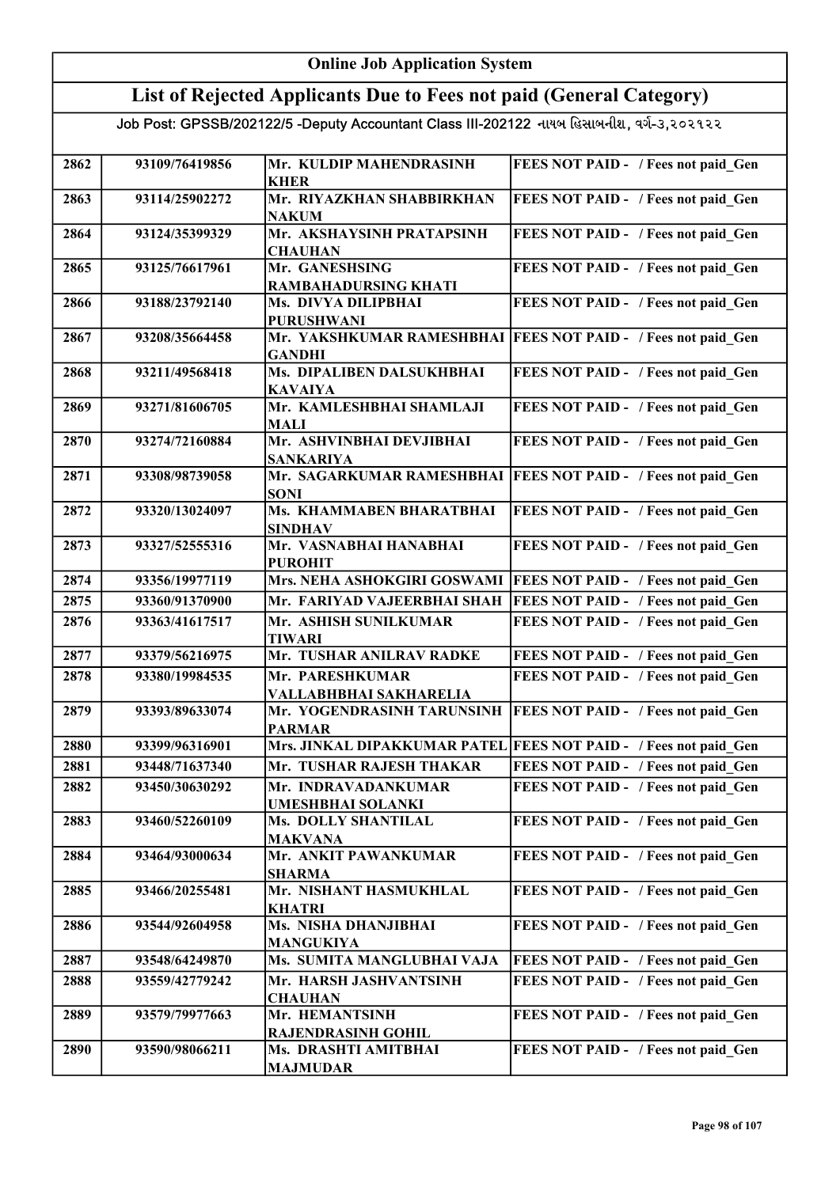| <b>Online Job Application System</b>                                                      |                |                                                 |                                            |  |  |
|-------------------------------------------------------------------------------------------|----------------|-------------------------------------------------|--------------------------------------------|--|--|
| List of Rejected Applicants Due to Fees not paid (General Category)                       |                |                                                 |                                            |  |  |
| Job Post: GPSSB/202122/5 -Deputy Accountant Class III-202122 નાયબ હિસાબનીશ, વર્ગ-૩,૨૦૨૧૨૨ |                |                                                 |                                            |  |  |
|                                                                                           |                |                                                 |                                            |  |  |
| 2862                                                                                      | 93109/76419856 | Mr. KULDIP MAHENDRASINH<br><b>KHER</b>          | FEES NOT PAID - / Fees not paid Gen        |  |  |
| 2863                                                                                      | 93114/25902272 | Mr. RIYAZKHAN SHABBIRKHAN<br><b>NAKUM</b>       | FEES NOT PAID - / Fees not paid Gen        |  |  |
| 2864                                                                                      | 93124/35399329 | Mr. AKSHAYSINH PRATAPSINH<br><b>CHAUHAN</b>     | FEES NOT PAID - / Fees not paid Gen        |  |  |
| 2865                                                                                      | 93125/76617961 | Mr. GANESHSING<br>RAMBAHADURSING KHATI          | FEES NOT PAID - / Fees not paid Gen        |  |  |
| 2866                                                                                      | 93188/23792140 | Ms. DIVYA DILIPBHAI<br><b>PURUSHWANI</b>        | FEES NOT PAID - / Fees not paid Gen        |  |  |
| 2867                                                                                      | 93208/35664458 | Mr. YAKSHKUMAR RAMESHBHAI<br><b>GANDHI</b>      | <b>FEES NOT PAID - / Fees not paid_Gen</b> |  |  |
| 2868                                                                                      | 93211/49568418 | Ms. DIPALIBEN DALSUKHBHAI<br><b>KAVAIYA</b>     | FEES NOT PAID - / Fees not paid Gen        |  |  |
| 2869                                                                                      | 93271/81606705 | Mr. KAMLESHBHAI SHAMLAJI<br><b>MALI</b>         | FEES NOT PAID - / Fees not paid Gen        |  |  |
| 2870                                                                                      | 93274/72160884 | Mr. ASHVINBHAI DEVJIBHAI<br><b>SANKARIYA</b>    | FEES NOT PAID - / Fees not paid Gen        |  |  |
| 2871                                                                                      | 93308/98739058 | Mr. SAGARKUMAR RAMESHBHAI<br><b>SONI</b>        | <b>FEES NOT PAID - / Fees not paid Gen</b> |  |  |
| 2872                                                                                      | 93320/13024097 | Ms. KHAMMABEN BHARATBHAI<br><b>SINDHAV</b>      | FEES NOT PAID - / Fees not paid Gen        |  |  |
| 2873                                                                                      | 93327/52555316 | Mr. VASNABHAI HANABHAI<br><b>PUROHIT</b>        | FEES NOT PAID - / Fees not paid Gen        |  |  |
| 2874                                                                                      | 93356/19977119 | Mrs. NEHA ASHOKGIRI GOSWAMI                     | <b>FEES NOT PAID - / Fees not paid Gen</b> |  |  |
| 2875                                                                                      | 93360/91370900 | Mr. FARIYAD VAJEERBHAI SHAH                     | FEES NOT PAID - / Fees not paid Gen        |  |  |
| 2876                                                                                      | 93363/41617517 | Mr. ASHISH SUNILKUMAR<br><b>TIWARI</b>          | FEES NOT PAID - / Fees not paid Gen        |  |  |
| 2877                                                                                      | 93379/56216975 | Mr. TUSHAR ANILRAV RADKE                        | FEES NOT PAID - / Fees not paid Gen        |  |  |
| 2878                                                                                      | 93380/19984535 | Mr. PARESHKUMAR<br>VALLABHBHAI SAKHARELIA       | FEES NOT PAID - / Fees not paid_Gen        |  |  |
| 2879                                                                                      | 93393/89633074 | Mr. YOGENDRASINH TARUNSINH<br><b>PARMAR</b>     | <b>FEES NOT PAID - / Fees not paid Gen</b> |  |  |
| 2880                                                                                      | 93399/96316901 | Mrs. JINKAL DIPAKKUMAR PATEL                    | <b>FEES NOT PAID - / Fees not paid Gen</b> |  |  |
| 2881                                                                                      | 93448/71637340 | Mr. TUSHAR RAJESH THAKAR                        | FEES NOT PAID - / Fees not paid Gen        |  |  |
| 2882                                                                                      | 93450/30630292 | Mr. INDRAVADANKUMAR<br><b>UMESHBHAI SOLANKI</b> | FEES NOT PAID - / Fees not paid Gen        |  |  |
| 2883                                                                                      | 93460/52260109 | <b>Ms. DOLLY SHANTILAL</b><br><b>MAKVANA</b>    | FEES NOT PAID - / Fees not paid Gen        |  |  |
| 2884                                                                                      | 93464/93000634 | Mr. ANKIT PAWANKUMAR<br><b>SHARMA</b>           | FEES NOT PAID - / Fees not paid Gen        |  |  |
| 2885                                                                                      | 93466/20255481 | Mr. NISHANT HASMUKHLAL<br><b>KHATRI</b>         | FEES NOT PAID - / Fees not paid Gen        |  |  |
| 2886                                                                                      | 93544/92604958 | Ms. NISHA DHANJIBHAI<br><b>MANGUKIYA</b>        | FEES NOT PAID - / Fees not paid Gen        |  |  |
| 2887                                                                                      | 93548/64249870 | Ms. SUMITA MANGLUBHAI VAJA                      | FEES NOT PAID - / Fees not paid Gen        |  |  |
| 2888                                                                                      | 93559/42779242 | Mr. HARSH JASHVANTSINH                          | FEES NOT PAID - / Fees not paid Gen        |  |  |
|                                                                                           |                | <b>CHAUHAN</b>                                  |                                            |  |  |
| 2889                                                                                      | 93579/79977663 | Mr. HEMANTSINH<br>RAJENDRASINH GOHIL            | FEES NOT PAID - / Fees not paid Gen        |  |  |
| 2890                                                                                      | 93590/98066211 | Ms. DRASHTI AMITBHAI<br><b>MAJMUDAR</b>         | FEES NOT PAID - / Fees not paid Gen        |  |  |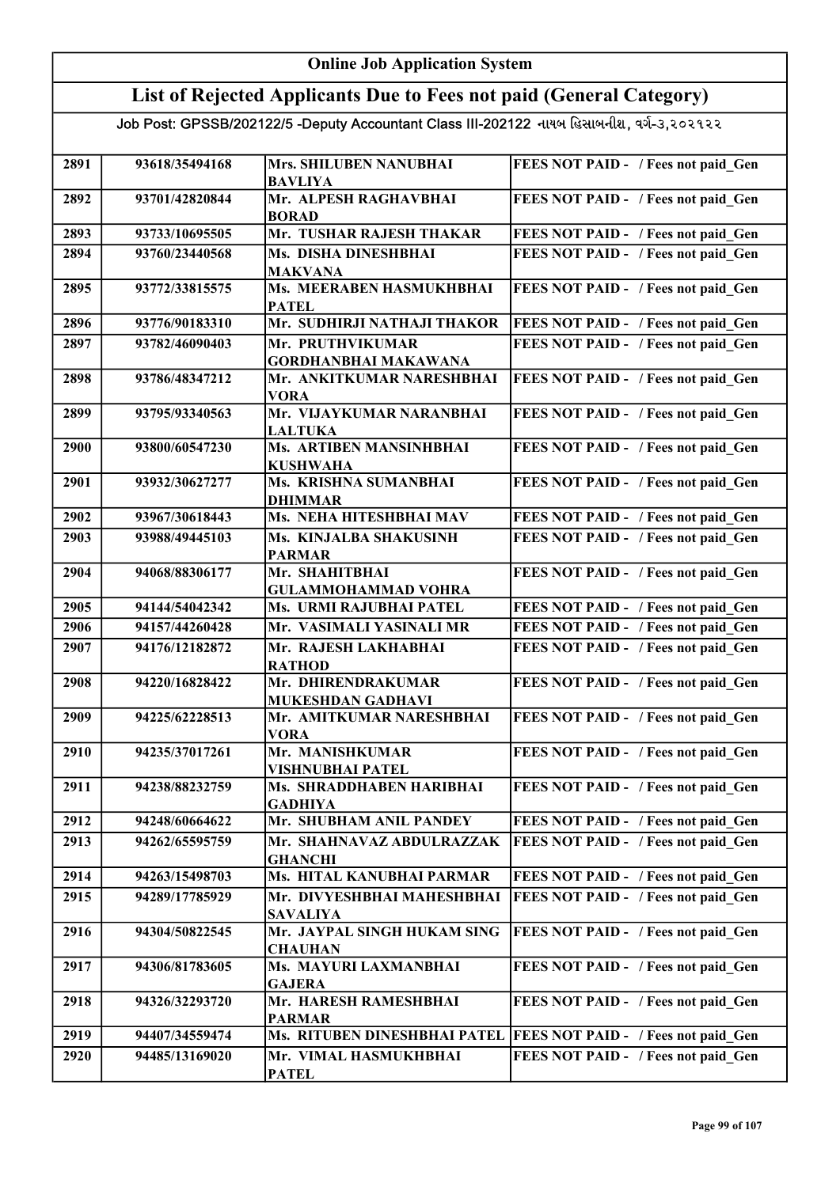## Online Job Application System List of Rejected Applicants Due to Fees not paid (General Category)

| 2891 | 93618/35494168 | <b>Mrs. SHILUBEN NANUBHAI</b><br><b>BAVLIYA</b> | FEES NOT PAID - / Fees not paid Gen |
|------|----------------|-------------------------------------------------|-------------------------------------|
| 2892 | 93701/42820844 | Mr. ALPESH RAGHAVBHAI                           | FEES NOT PAID - / Fees not paid Gen |
|      |                | <b>BORAD</b>                                    |                                     |
| 2893 | 93733/10695505 | Mr. TUSHAR RAJESH THAKAR                        | FEES NOT PAID - / Fees not paid Gen |
| 2894 | 93760/23440568 | Ms. DISHA DINESHBHAI<br><b>MAKVANA</b>          | FEES NOT PAID - / Fees not paid Gen |
| 2895 | 93772/33815575 | Ms. MEERABEN HASMUKHBHAI                        | FEES NOT PAID - / Fees not paid Gen |
|      |                | <b>PATEL</b>                                    |                                     |
| 2896 | 93776/90183310 | Mr. SUDHIRJI NATHAJI THAKOR                     | FEES NOT PAID - / Fees not paid Gen |
| 2897 | 93782/46090403 | Mr. PRUTHVIKUMAR                                | FEES NOT PAID - / Fees not paid Gen |
|      |                | <b>GORDHANBHAI MAKAWANA</b>                     |                                     |
| 2898 | 93786/48347212 | Mr. ANKITKUMAR NARESHBHAI                       | FEES NOT PAID - / Fees not paid_Gen |
|      |                | <b>VORA</b>                                     |                                     |
| 2899 | 93795/93340563 | Mr. VIJAYKUMAR NARANBHAI                        | FEES NOT PAID - / Fees not paid Gen |
|      |                | <b>LALTUKA</b>                                  |                                     |
| 2900 | 93800/60547230 | Ms. ARTIBEN MANSINHBHAI                         | FEES NOT PAID - / Fees not paid Gen |
|      |                | <b>KUSHWAHA</b>                                 |                                     |
| 2901 | 93932/30627277 | Ms. KRISHNA SUMANBHAI                           | FEES NOT PAID - / Fees not paid_Gen |
| 2902 | 93967/30618443 | <b>DHIMMAR</b><br>Ms. NEHA HITESHBHAI MAV       | FEES NOT PAID - / Fees not paid Gen |
| 2903 | 93988/49445103 | Ms. KINJALBA SHAKUSINH                          | FEES NOT PAID - / Fees not paid Gen |
|      |                | <b>PARMAR</b>                                   |                                     |
| 2904 | 94068/88306177 | Mr. SHAHITBHAI                                  | FEES NOT PAID - / Fees not paid Gen |
|      |                | <b>GULAMMOHAMMAD VOHRA</b>                      |                                     |
| 2905 | 94144/54042342 | Ms. URMI RAJUBHAI PATEL                         | FEES NOT PAID - / Fees not paid Gen |
| 2906 | 94157/44260428 | Mr. VASIMALI YASINALI MR                        | FEES NOT PAID - / Fees not paid Gen |
| 2907 | 94176/12182872 | Mr. RAJESH LAKHABHAI                            | FEES NOT PAID - / Fees not paid Gen |
|      |                | <b>RATHOD</b>                                   |                                     |
| 2908 | 94220/16828422 | Mr. DHIRENDRAKUMAR                              | FEES NOT PAID - / Fees not paid Gen |
|      |                | MUKESHDAN GADHAVI                               |                                     |
| 2909 | 94225/62228513 | Mr. AMITKUMAR NARESHBHAI                        | FEES NOT PAID - / Fees not paid Gen |
|      |                | <b>VORA</b>                                     |                                     |
| 2910 | 94235/37017261 | Mr. MANISHKUMAR                                 | FEES NOT PAID - / Fees not paid Gen |
|      |                | <b>VISHNUBHAI PATEL</b>                         |                                     |
| 2911 | 94238/88232759 | Ms. SHRADDHABEN HARIBHAI                        | FEES NOT PAID - / Fees not paid Gen |
| 2912 | 94248/60664622 | <b>GADHIYA</b><br>Mr. SHUBHAM ANIL PANDEY       | FEES NOT PAID - / Fees not paid Gen |
|      |                |                                                 |                                     |
| 2913 | 94262/65595759 | Mr. SHAHNAVAZ ABDULRAZZAK                       | FEES NOT PAID - / Fees not paid Gen |
| 2914 | 94263/15498703 | <b>GHANCHI</b><br>Ms. HITAL KANUBHAI PARMAR     | FEES NOT PAID - / Fees not paid Gen |
|      | 94289/17785929 |                                                 |                                     |
| 2915 |                | Mr. DIVYESHBHAI MAHESHBHAI                      | FEES NOT PAID - / Fees not paid Gen |
| 2916 | 94304/50822545 | <b>SAVALIYA</b><br>Mr. JAYPAL SINGH HUKAM SING  | FEES NOT PAID - / Fees not paid Gen |
|      |                | <b>CHAUHAN</b>                                  |                                     |
| 2917 | 94306/81783605 | Ms. MAYURI LAXMANBHAI                           | FEES NOT PAID - / Fees not paid Gen |
|      |                | <b>GAJERA</b>                                   |                                     |
| 2918 | 94326/32293720 | Mr. HARESH RAMESHBHAI                           | FEES NOT PAID - / Fees not paid Gen |
|      |                | <b>PARMAR</b>                                   |                                     |
| 2919 | 94407/34559474 | Ms. RITUBEN DINESHBHAI PATEL                    | FEES NOT PAID - / Fees not paid Gen |
| 2920 | 94485/13169020 | Mr. VIMAL HASMUKHBHAI                           | FEES NOT PAID - / Fees not paid Gen |
|      |                | <b>PATEL</b>                                    |                                     |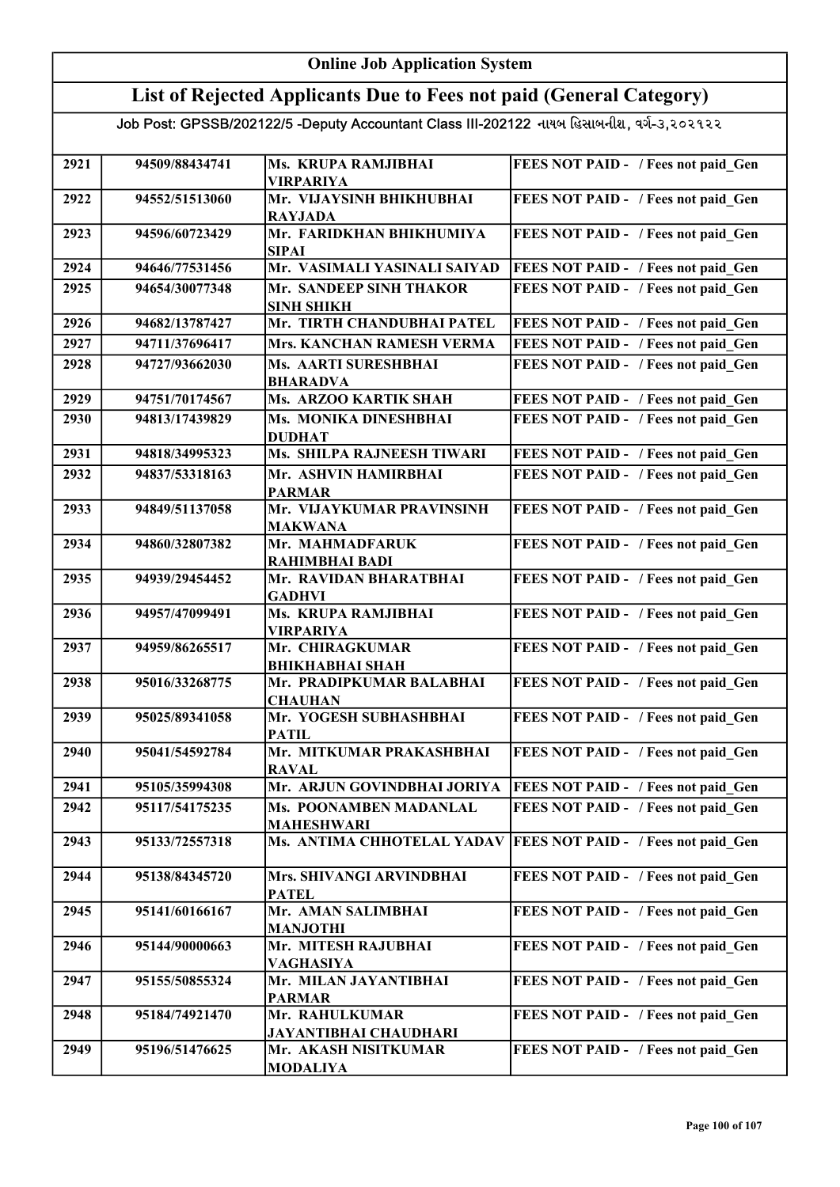#### Online Job Application System List of Rejected Applicants Due to Fees not paid (General Category) Job Post: GPSSB/202122/5 -Deputy Accountant Class III-202122 નાયબ હિસાબનીશ, વર્ગ-૩,૨૦૨૧૨૨ 2921 94509/88434741 Ms. KRUPA RAMJIBHAI VIRPARIYA FEES NOT PAID - / Fees not paid Gen 2922 94552/51513060 Mr. VIJAYSINH BHIKHUBHAI RAYJADA FEES NOT PAID - / Fees not paid\_Gen 2923 94596/60723429 Mr. FARIDKHAN BHIKHUMIYA SIPAI FEES NOT PAID - / Fees not paid Gen 2924 94646/77531456 Mr. VASIMALI YASINALI SAIYAD FEES NOT PAID - / Fees not paid\_Gen 2925 94654/30077348 Mr. SANDEEP SINH THAKOR SINH SHIKH FEES NOT PAID - / Fees not paid Gen 2926 94682/13787427 Mr. TIRTH CHANDUBHAI PATEL FEES NOT PAID - / Fees not paid Gen 2927 94711/37696417 Mrs. KANCHAN RAMESH VERMA FEES NOT PAID - / Fees not paid Gen 2928 94727/93662030 Ms. AARTI SURESHBHAI BHARADVA FEES NOT PAID - / Fees not paid\_Gen 2929 94751/70174567 Ms. ARZOO KARTIK SHAH FEES NOT PAID - / Fees not paid Gen 2930 94813/17439829 Ms. MONIKA DINESHBHAI DUDHAT FEES NOT PAID - / Fees not paid Gen 2931 94818/34995323 Ms. SHILPA RAJNEESH TIWARI FEES NOT PAID - / Fees not paid Gen 2932 94837/53318163 Mr. ASHVIN HAMIRBHAI PARMAR FEES NOT PAID - / Fees not paid Gen 2933 94849/51137058 Mr. VIJAYKUMAR PRAVINSINH MAKWANA FEES NOT PAID - / Fees not paid Gen 2934 94860/32807382 Mr. MAHMADFARUK RAHIMBHAI BADI FEES NOT PAID - / Fees not paid Gen 2935 94939/29454452 Mr. RAVIDAN BHARATBHAI **GADHVI** FEES NOT PAID - / Fees not paid Gen 2936 94957/47099491 Ms. KRUPA RAMJIBHAI VIRPARIYA FEES NOT PAID - / Fees not paid Gen 2937 94959/86265517 Mr. CHIRAGKUMAR BHIKHABHAI SHAH FEES NOT PAID - / Fees not paid\_Gen 2938 95016/33268775 Mr. PRADIPKUMAR BALABHAI **CHAUHAN** FEES NOT PAID - / Fees not paid Gen 2939 95025/89341058 Mr. YOGESH SUBHASHBHAI **PATIL** FEES NOT PAID - / Fees not paid Gen 2940 95041/54592784 Mr. MITKUMAR PRAKASHBHAI RAVAL FEES NOT PAID - / Fees not paid Gen 2941 95105/35994308 Mr. ARJUN GOVINDBHAI JORIYA FEES NOT PAID - / Fees not paid Gen 2942 95117/54175235 Ms. POONAMBEN MADANLAL MAHESHWARI FEES NOT PAID - / Fees not paid Gen 2943 95133/72557318 Ms. ANTIMA CHHOTELAL YADAV FEES NOT PAID - / Fees not paid Gen 2944 95138/84345720 Mrs. SHIVANGI ARVINDBHAI PATEL FEES NOT PAID - / Fees not paid Gen 2945 95141/60166167 Mr. AMAN SALIMBHAI MANJOTHI FEES NOT PAID - / Fees not paid Gen 2946 95144/90000663 Mr. MITESH RAJUBHAI VAGHASIYA FEES NOT PAID - / Fees not paid\_Gen 2947 95155/50855324 Mr. MILAN JAYANTIBHAI PARMAR FEES NOT PAID - / Fees not paid Gen 2948 95184/74921470 Mr. RAHULKUMAR JAYANTIBHAI CHAUDHARI FEES NOT PAID - / Fees not paid Gen 2949 95196/51476625 Mr. AKASH NISITKUMAR MODALIYA FEES NOT PAID - / Fees not paid Gen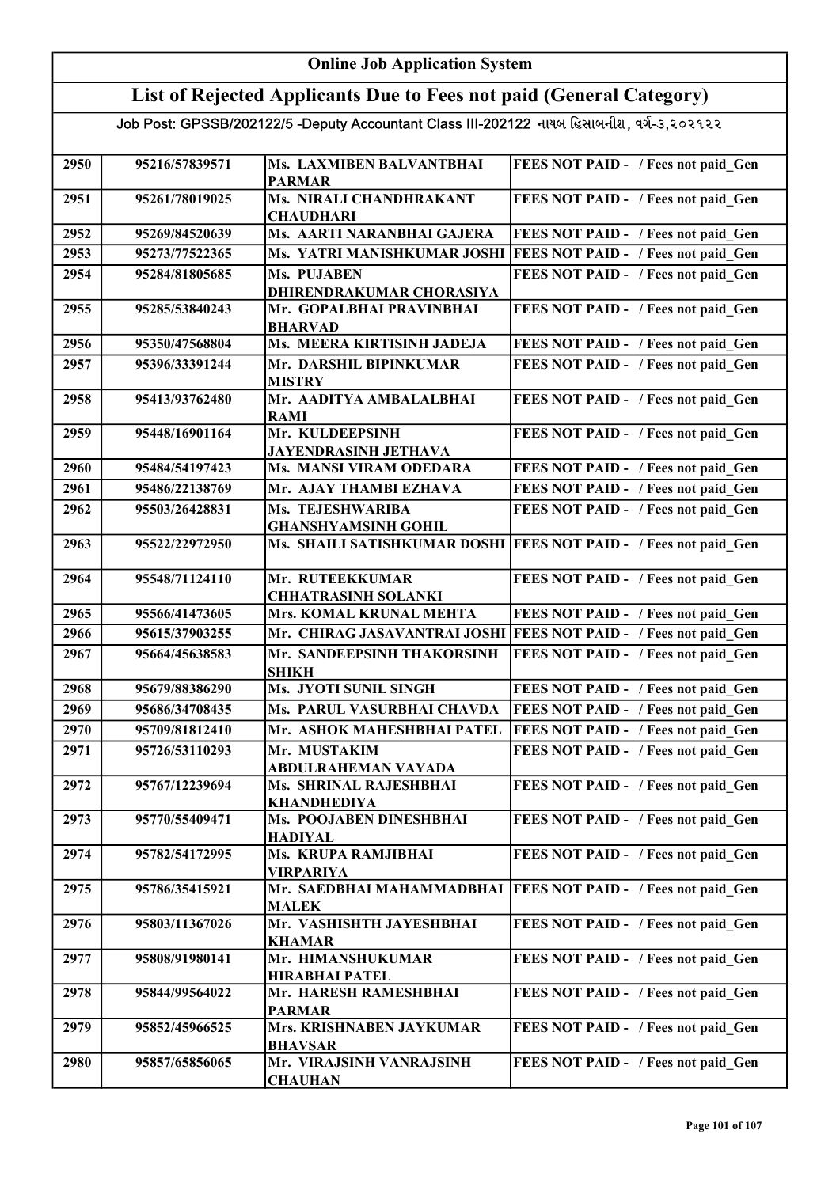#### Online Job Application System List of Rejected Applicants Due to Fees not paid (General Category) Job Post: GPSSB/202122/5 -Deputy Accountant Class III-202122 નાયબ હિસાબનીશ, વર્ગ-૩,૨૦૨૧૨૨ 2950 95216/57839571 Ms. LAXMIBEN BALVANTBHAI PARMAR FEES NOT PAID - / Fees not paid Gen 2951 95261/78019025 Ms. NIRALI CHANDHRAKANT **CHAUDHARI** FEES NOT PAID - / Fees not paid\_Gen 2952 95269/84520639 Ms. AARTI NARANBHAI GAJERA FEES NOT PAID - / Fees not paid\_Gen 2953 95273/77522365 Ms. YATRI MANISHKUMAR JOSHI FEES NOT PAID - / Fees not paid\_Gen 2954 95284/81805685 Ms. PUJABEN DHIRENDRAKUMAR CHORASIYA FEES NOT PAID - / Fees not paid Gen 2955 95285/53840243 Mr. GOPALBHAI PRAVINBHAI BHARVAD FEES NOT PAID - / Fees not paid Gen 2956 95350/47568804 Ms. MEERA KIRTISINH JADEJA FEES NOT PAID - / Fees not paid Gen 2957 95396/33391244 Mr. DARSHIL BIPINKUMAR MISTRY FEES NOT PAID - / Fees not paid\_Gen 2958 95413/93762480 Mr. AADITYA AMBALALBHAI RAMI FEES NOT PAID - / Fees not paid Gen 2959 95448/16901164 Mr. KULDEEPSINH JAYENDRASINH JETHAVA FEES NOT PAID - / Fees not paid\_Gen 2960 95484/54197423 Ms. MANSI VIRAM ODEDARA FEES NOT PAID - / Fees not paid Gen 2961 95486/22138769 Mr. AJAY THAMBI EZHAVA FEES NOT PAID - / Fees not paid\_Gen 2962 95503/26428831 Ms. TEJESHWARIBA GHANSHYAMSINH GOHIL FEES NOT PAID - / Fees not paid Gen 2963 95522/22972950 Ms. SHAILI SATISHKUMAR DOSHI FEES NOT PAID - / Fees not paid Gen 2964 95548/71124110 Mr. RUTEEKKUMAR CHHATRASINH SOLANKI FEES NOT PAID - / Fees not paid Gen 2965 95566/41473605 Mrs. KOMAL KRUNAL MEHTA FEES NOT PAID - / Fees not paid\_Gen 2966 95615/37903255 Mr. CHIRAG JASAVANTRAI JOSHI FEES NOT PAID - / Fees not paid\_Gen 2967 95664/45638583 Mr. SANDEEPSINH THAKORSINH SHIKH FEES NOT PAID - / Fees not paid\_Gen 2968 95679/88386290 Ms. JYOTI SUNIL SINGH FEES NOT PAID - / Fees not paid Gen 2969 95686/34708435 Ms. PARUL VASURBHAI CHAVDA FEES NOT PAID - / Fees not paid Gen 2970 95709/81812410 Mr. ASHOK MAHESHBHAI PATEL FEES NOT PAID - / Fees not paid Gen 2971 95726/53110293 Mr. MUSTAKIM ABDULRAHEMAN VAYADA FEES NOT PAID - / Fees not paid Gen 2972 95767/12239694 Ms. SHRINAL RAJESHBHAI KHANDHEDIYA FEES NOT PAID - / Fees not paid Gen 2973 95770/55409471 Ms. POOJABEN DINESHBHAI HADIYAL FEES NOT PAID - / Fees not paid Gen 2974 95782/54172995 Ms. KRUPA RAMJIBHAI VIRPARIYA FEES NOT PAID - / Fees not paid\_Gen 2975 95786/35415921 Mr. SAEDBHAI MAHAMMADBHAI FEES NOT PAID - / Fees not paid\_Gen MALEK 2976 95803/11367026 Mr. VASHISHTH JAYESHBHAI KHAMAR FEES NOT PAID - / Fees not paid Gen 2977 95808/91980141 Mr. HIMANSHUKUMAR HIRABHAI PATEL FEES NOT PAID - / Fees not paid Gen 2978 95844/99564022 Mr. HARESH RAMESHBHAI PARMAR FEES NOT PAID - / Fees not paid Gen 2979 95852/45966525 Mrs. KRISHNABEN JAYKUMAR BHAVSAR FEES NOT PAID - / Fees not paid Gen 2980 95857/65856065 Mr. VIRAJSINH VANRAJSINH **CHAUHAN** FEES NOT PAID - / Fees not paid Gen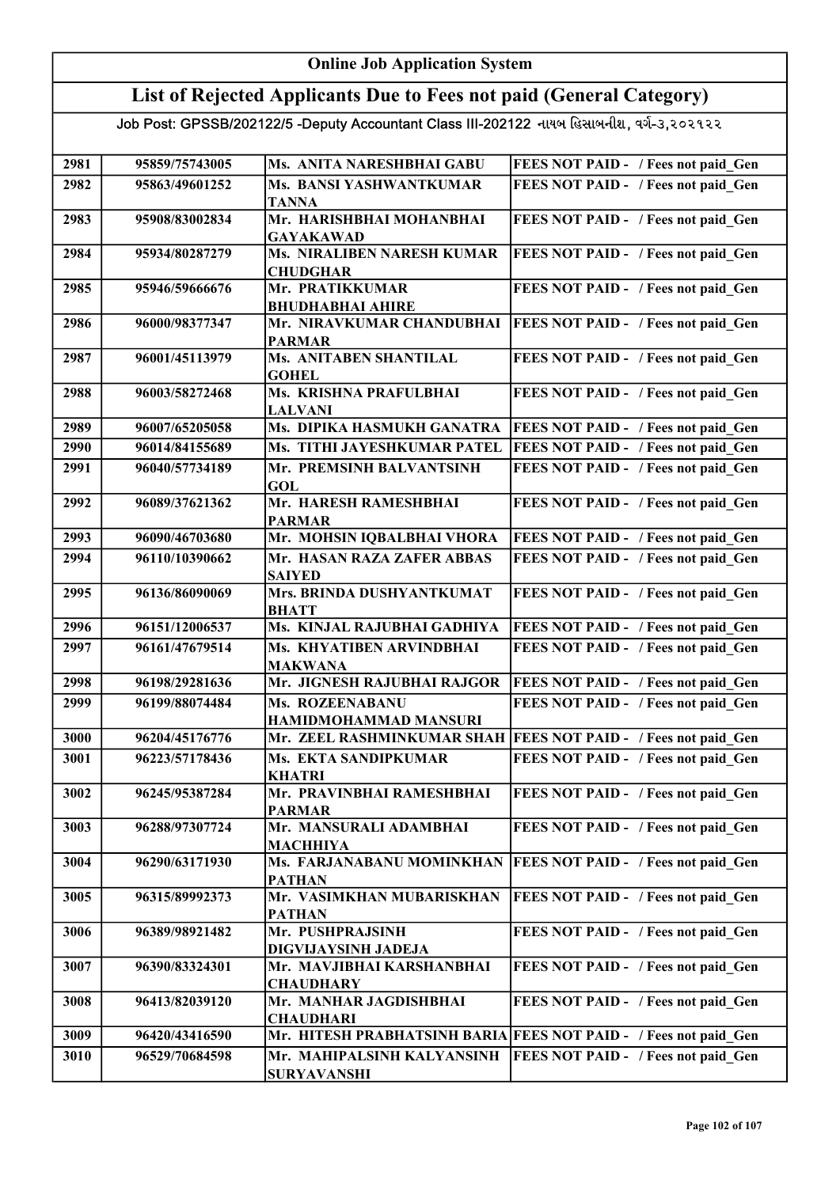#### Online Job Application System List of Rejected Applicants Due to Fees not paid (General Category) Job Post: GPSSB/202122/5 -Deputy Accountant Class III-202122 નાયબ હિસાબનીશ, વર્ગ-૩,૨૦૨૧૨૨ 2981 95859/75743005 Ms. ANITA NARESHBHAI GABU FEES NOT PAID - / Fees not paid\_Gen 2982 95863/49601252 Ms. BANSI YASHWANTKUMAR **TANNA** FEES NOT PAID - / Fees not paid Gen 2983 95908/83002834 Mr. HARISHBHAI MOHANBHAI GAYAKAWAD FEES NOT PAID - / Fees not paid Gen 2984 95934/80287279 Ms. NIRALIBEN NARESH KUMAR CHUDGHAR **FEES NOT PAID - / Fees not paid Gen** 2985 95946/59666676 Mr. PRATIKKUMAR BHUDHABHAI AHIRE FEES NOT PAID - / Fees not paid Gen 2986 96000/98377347 Mr. NIRAVKUMAR CHANDUBHAI PARMAR **FEES NOT PAID - / Fees not paid Gen** 2987 96001/45113979 Ms. ANITABEN SHANTILAL **GOHEL** FEES NOT PAID - / Fees not paid Gen 2988 96003/58272468 Ms. KRISHNA PRAFULBHAI LALVANI FEES NOT PAID - / Fees not paid Gen 2989 96007/65205058 Ms. DIPIKA HASMUKH GANATRA FEES NOT PAID - / Fees not paid Gen 2990 96014/84155689 Ms. TITHI JAYESHKUMAR PATEL FEES NOT PAID - / Fees not paid\_Gen 2991 96040/57734189 Mr. PREMSINH BALVANTSINH GOL FEES NOT PAID - / Fees not paid Gen 2992 96089/37621362 Mr. HARESH RAMESHBHAI PARMAR FEES NOT PAID - / Fees not paid Gen 2993 96090/46703680 Mr. MOHSIN IQBALBHAI VHORA FEES NOT PAID - / Fees not paid\_Gen 2994 96110/10390662 Mr. HASAN RAZA ZAFER ABBAS SAIYED FEES NOT PAID - / Fees not paid Gen 2995 96136/86090069 Mrs. BRINDA DUSHYANTKUMAT BHATT FEES NOT PAID - / Fees not paid Gen 2996 96151/12006537 Ms. KINJAL RAJUBHAI GADHIYA FEES NOT PAID - / Fees not paid Gen 2997 96161/47679514 Ms. KHYATIBEN ARVINDBHAI MAKWANA FEES NOT PAID - / Fees not paid Gen 2998 96198/29281636 Mr. JIGNESH RAJUBHAI RAJGOR FEES NOT PAID - / Fees not paid\_Gen 2999 96199/88074484 Ms. ROZEENABANU HAMIDMOHAMMAD MANSURI FEES NOT PAID - / Fees not paid Gen 3000 96204/45176776 Mr. ZEEL RASHMINKUMAR SHAH FEES NOT PAID - / Fees not paid\_Gen 3001 96223/57178436 Ms. EKTA SANDIPKUMAR KHATRI FEES NOT PAID - / Fees not paid Gen 3002 96245/95387284 Mr. PRAVINBHAI RAMESHBHAI PARMAR FEES NOT PAID - / Fees not paid\_Gen 3003 96288/97307724 Mr. MANSURALI ADAMBHAI MACHHIYA FEES NOT PAID - / Fees not paid Gen 3004 96290/63171930 Ms. FARJANABANU MOMINKHAN FEES NOT PAID - / Fees not paid\_Gen PATHAN 3005 96315/89992373 Mr. VASIMKHAN MUBARISKHAN PATHAN **FEES NOT PAID - / Fees not paid Gen** 3006 96389/98921482 Mr. PUSHPRAJSINH DIGVIJAYSINH JADEJA FEES NOT PAID - / Fees not paid Gen 3007 96390/83324301 Mr. MAVJIBHAI KARSHANBHAI **CHAUDHARY** FEES NOT PAID - / Fees not paid Gen 3008 96413/82039120 Mr. MANHAR JAGDISHBHAI **CHAUDHARI** FEES NOT PAID - / Fees not paid Gen 3009 96420/43416590 Mr. HITESH PRABHATSINH BARIA FEES NOT PAID - / Fees not paid Gen 3010 96529/70684598 Mr. MAHIPALSINH KALYANSINH SURYAVANSHI **FEES NOT PAID - / Fees not paid Gen**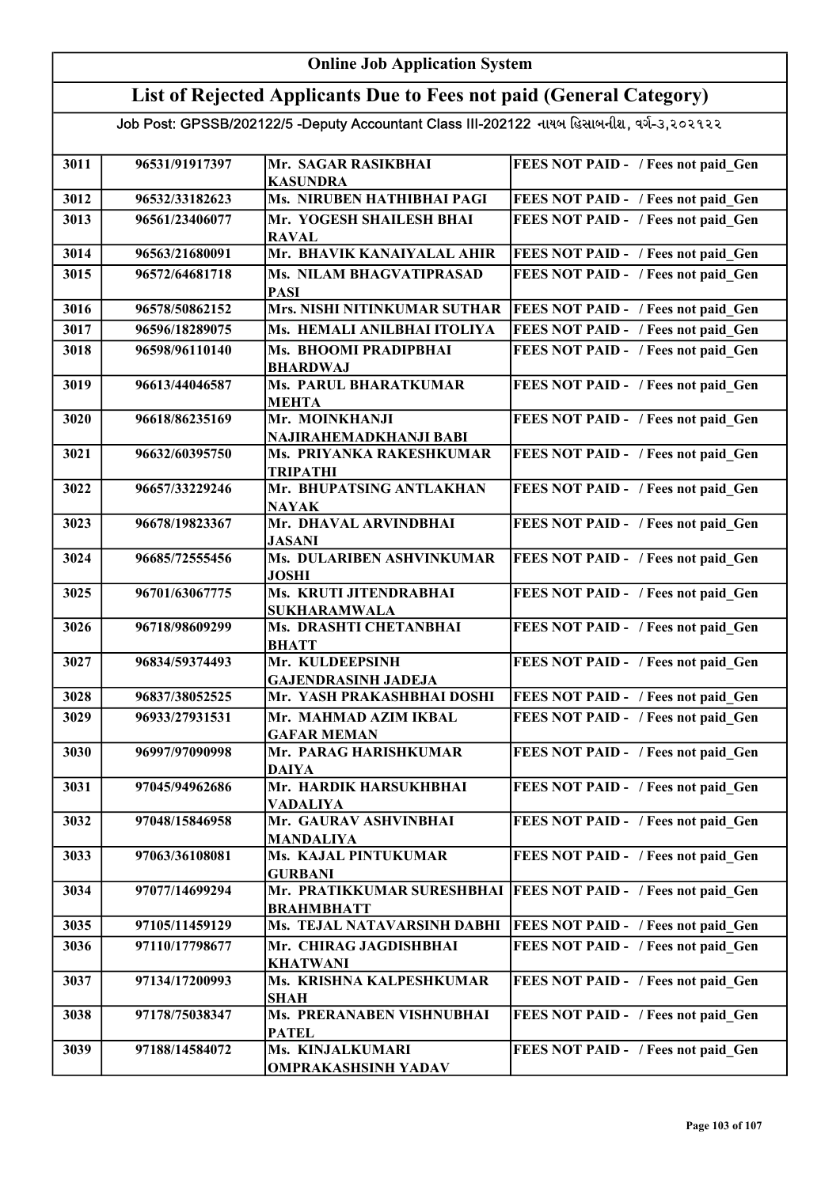### List of Rejected Applicants Due to Fees not paid (General Category)

| 3011 | 96531/91917397 | Mr. SAGAR RASIKBHAI                                | FEES NOT PAID - / Fees not paid Gen        |
|------|----------------|----------------------------------------------------|--------------------------------------------|
|      |                | <b>KASUNDRA</b>                                    |                                            |
| 3012 | 96532/33182623 | Ms. NIRUBEN HATHIBHAI PAGI                         | FEES NOT PAID - / Fees not paid Gen        |
| 3013 | 96561/23406077 | Mr. YOGESH SHAILESH BHAI                           | FEES NOT PAID - / Fees not paid Gen        |
|      |                | <b>RAVAL</b>                                       |                                            |
| 3014 | 96563/21680091 | Mr. BHAVIK KANAIYALAL AHIR                         | FEES NOT PAID - / Fees not paid Gen        |
| 3015 | 96572/64681718 | Ms. NILAM BHAGVATIPRASAD                           | FEES NOT PAID - / Fees not paid Gen        |
|      |                | <b>PASI</b>                                        |                                            |
| 3016 | 96578/50862152 | <b>Mrs. NISHI NITINKUMAR SUTHAR</b>                | FEES NOT PAID - / Fees not paid Gen        |
| 3017 | 96596/18289075 | Ms. HEMALI ANILBHAI ITOLIYA                        | FEES NOT PAID - / Fees not paid Gen        |
| 3018 | 96598/96110140 | Ms. BHOOMI PRADIPBHAI                              | FEES NOT PAID - / Fees not paid Gen        |
|      |                | <b>BHARDWAJ</b>                                    |                                            |
| 3019 | 96613/44046587 | <b>Ms. PARUL BHARATKUMAR</b>                       | FEES NOT PAID - / Fees not paid Gen        |
|      |                | <b>MEHTA</b>                                       |                                            |
| 3020 | 96618/86235169 | Mr. MOINKHANJI                                     | FEES NOT PAID - / Fees not paid Gen        |
| 3021 | 96632/60395750 | NAJIRAHEMADKHANJI BABI<br>Ms. PRIYANKA RAKESHKUMAR | FEES NOT PAID - / Fees not paid Gen        |
|      |                | <b>TRIPATHI</b>                                    |                                            |
| 3022 | 96657/33229246 | Mr. BHUPATSING ANTLAKHAN                           | FEES NOT PAID - / Fees not paid Gen        |
|      |                | <b>NAYAK</b>                                       |                                            |
| 3023 | 96678/19823367 | Mr. DHAVAL ARVINDBHAI                              | FEES NOT PAID - / Fees not paid Gen        |
|      |                | <b>JASANI</b>                                      |                                            |
| 3024 | 96685/72555456 | Ms. DULARIBEN ASHVINKUMAR                          | FEES NOT PAID - / Fees not paid Gen        |
|      |                | <b>JOSHI</b>                                       |                                            |
| 3025 | 96701/63067775 | Ms. KRUTI JITENDRABHAI                             | FEES NOT PAID - / Fees not paid Gen        |
|      |                | <b>SUKHARAMWALA</b>                                |                                            |
| 3026 | 96718/98609299 | Ms. DRASHTI CHETANBHAI                             | FEES NOT PAID - / Fees not paid Gen        |
| 3027 | 96834/59374493 | <b>BHATT</b><br>Mr. KULDEEPSINH                    | FEES NOT PAID - / Fees not paid Gen        |
|      |                | <b>GAJENDRASINH JADEJA</b>                         |                                            |
| 3028 | 96837/38052525 | Mr. YASH PRAKASHBHAI DOSHI                         | FEES NOT PAID - / Fees not paid Gen        |
| 3029 | 96933/27931531 | Mr. MAHMAD AZIM IKBAL                              | FEES NOT PAID - / Fees not paid Gen        |
|      |                | <b>GAFAR MEMAN</b>                                 |                                            |
| 3030 | 96997/97090998 | Mr. PARAG HARISHKUMAR                              | FEES NOT PAID - / Fees not paid Gen        |
|      |                | <b>DAIYA</b>                                       |                                            |
| 3031 | 97045/94962686 | Mr. HARDIK HARSUKHBHAI                             | <b>FEES NOT PAID - / Fees not paid Gen</b> |
|      |                | <b>VADALIYA</b>                                    |                                            |
| 3032 | 97048/15846958 | Mr. GAURAV ASHVINBHAI                              | FEES NOT PAID - / Fees not paid Gen        |
|      |                | <b>MANDALIYA</b>                                   |                                            |
| 3033 | 97063/36108081 | Ms. KAJAL PINTUKUMAR                               | FEES NOT PAID - / Fees not paid Gen        |
| 3034 |                | <b>GURBANI</b><br>Mr. PRATIKKUMAR SURESHBHAI       |                                            |
|      | 97077/14699294 | <b>BRAHMBHATT</b>                                  | <b>FEES NOT PAID - / Fees not paid Gen</b> |
| 3035 | 97105/11459129 | Ms. TEJAL NATAVARSINH DABHI                        | FEES NOT PAID - / Fees not paid Gen        |
| 3036 | 97110/17798677 | Mr. CHIRAG JAGDISHBHAI                             | FEES NOT PAID - / Fees not paid Gen        |
|      |                | <b>KHATWANI</b>                                    |                                            |
| 3037 | 97134/17200993 | Ms. KRISHNA KALPESHKUMAR                           | FEES NOT PAID - / Fees not paid Gen        |
|      |                | <b>SHAH</b>                                        |                                            |
| 3038 | 97178/75038347 | Ms. PRERANABEN VISHNUBHAI                          | FEES NOT PAID - / Fees not paid Gen        |
|      |                | <b>PATEL</b>                                       |                                            |
| 3039 | 97188/14584072 | Ms. KINJALKUMARI                                   | FEES NOT PAID - / Fees not paid Gen        |
|      |                | <b>OMPRAKASHSINH YADAV</b>                         |                                            |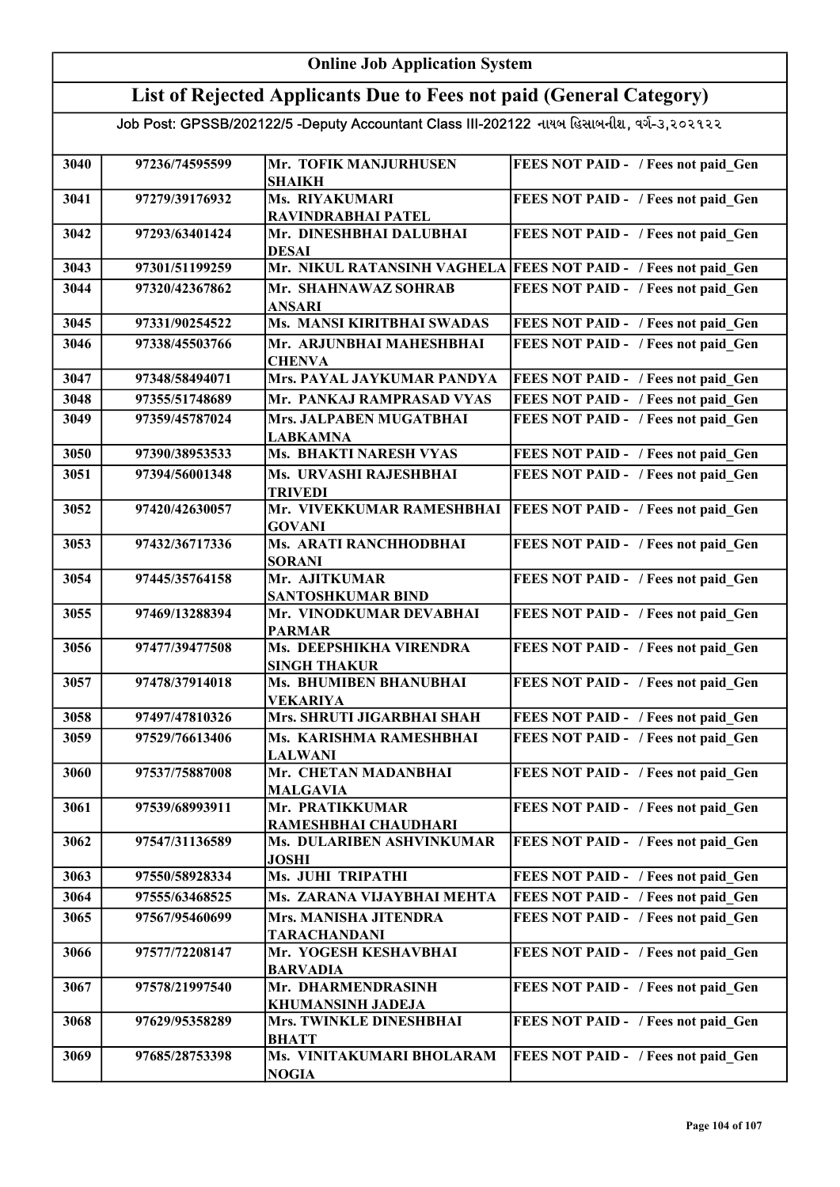### List of Rejected Applicants Due to Fees not paid (General Category)

| 3040 | 97236/74595599 | Mr. TOFIK MANJURHUSEN<br><b>SHAIKH</b>        | FEES NOT PAID - / Fees not paid Gen        |
|------|----------------|-----------------------------------------------|--------------------------------------------|
| 3041 | 97279/39176932 | Ms. RIYAKUMARI<br>RAVINDRABHAI PATEL          | FEES NOT PAID - / Fees not paid Gen        |
| 3042 | 97293/63401424 | Mr. DINESHBHAI DALUBHAI<br><b>DESAI</b>       | FEES NOT PAID - / Fees not paid Gen        |
| 3043 | 97301/51199259 | Mr. NIKUL RATANSINH VAGHELA                   | <b>FEES NOT PAID - / Fees not paid Gen</b> |
| 3044 | 97320/42367862 | Mr. SHAHNAWAZ SOHRAB                          | FEES NOT PAID - / Fees not paid Gen        |
|      |                | <b>ANSARI</b>                                 |                                            |
| 3045 | 97331/90254522 | Ms. MANSI KIRITBHAI SWADAS                    | FEES NOT PAID - / Fees not paid Gen        |
| 3046 | 97338/45503766 | Mr. ARJUNBHAI MAHESHBHAI                      | FEES NOT PAID - / Fees not paid Gen        |
|      |                | <b>CHENVA</b>                                 |                                            |
| 3047 | 97348/58494071 | Mrs. PAYAL JAYKUMAR PANDYA                    | FEES NOT PAID - / Fees not paid Gen        |
| 3048 | 97355/51748689 | Mr. PANKAJ RAMPRASAD VYAS                     | FEES NOT PAID - / Fees not paid Gen        |
| 3049 | 97359/45787024 | Mrs. JALPABEN MUGATBHAI                       | FEES NOT PAID - / Fees not paid Gen        |
|      |                | <b>LABKAMNA</b>                               |                                            |
| 3050 | 97390/38953533 | Ms. BHAKTI NARESH VYAS                        | FEES NOT PAID - / Fees not paid Gen        |
| 3051 | 97394/56001348 | Ms. URVASHI RAJESHBHAI                        | FEES NOT PAID - / Fees not paid Gen        |
|      |                | <b>TRIVEDI</b>                                |                                            |
| 3052 | 97420/42630057 | Mr. VIVEKKUMAR RAMESHBHAI<br><b>GOVANI</b>    | FEES NOT PAID - / Fees not paid Gen        |
| 3053 | 97432/36717336 | Ms. ARATI RANCHHODBHAI                        | FEES NOT PAID - / Fees not paid Gen        |
|      |                | <b>SORANI</b>                                 |                                            |
| 3054 | 97445/35764158 | Mr. AJITKUMAR                                 | FEES NOT PAID - / Fees not paid Gen        |
|      |                | <b>SANTOSHKUMAR BIND</b>                      |                                            |
| 3055 | 97469/13288394 | Mr. VINODKUMAR DEVABHAI                       | FEES NOT PAID - / Fees not paid_Gen        |
|      |                | <b>PARMAR</b>                                 |                                            |
| 3056 | 97477/39477508 | Ms. DEEPSHIKHA VIRENDRA                       | FEES NOT PAID - / Fees not paid_Gen        |
| 3057 | 97478/37914018 | <b>SINGH THAKUR</b><br>Ms. BHUMIBEN BHANUBHAI | FEES NOT PAID - / Fees not paid_Gen        |
|      |                | <b>VEKARIYA</b>                               |                                            |
| 3058 | 97497/47810326 | Mrs. SHRUTI JIGARBHAI SHAH                    | FEES NOT PAID - / Fees not paid Gen        |
| 3059 | 97529/76613406 | Ms. KARISHMA RAMESHBHAI                       | FEES NOT PAID - / Fees not paid Gen        |
|      |                | <b>LALWANI</b>                                |                                            |
| 3060 | 97537/75887008 | Mr. CHETAN MADANBHAI                          | FEES NOT PAID - / Fees not paid Gen        |
|      |                | <b>MALGAVIA</b>                               |                                            |
| 3061 | 97539/68993911 | Mr. PRATIKKUMAR                               | FEES NOT PAID - / Fees not paid Gen        |
|      |                | RAMESHBHAI CHAUDHARI                          |                                            |
| 3062 | 97547/31136589 | Ms. DULARIBEN ASHVINKUMAR<br><b>JOSHI</b>     | FEES NOT PAID - / Fees not paid Gen        |
| 3063 | 97550/58928334 | Ms. JUHI TRIPATHI                             | FEES NOT PAID - / Fees not paid Gen        |
| 3064 | 97555/63468525 | Ms. ZARANA VIJAYBHAI MEHTA                    | FEES NOT PAID - / Fees not paid Gen        |
| 3065 | 97567/95460699 | Mrs. MANISHA JITENDRA                         | FEES NOT PAID - / Fees not paid Gen        |
|      |                | <b>TARACHANDANI</b>                           |                                            |
| 3066 | 97577/72208147 | Mr. YOGESH KESHAVBHAI                         | FEES NOT PAID - / Fees not paid Gen        |
|      |                | <b>BARVADIA</b>                               |                                            |
| 3067 | 97578/21997540 | Mr. DHARMENDRASINH                            | FEES NOT PAID - / Fees not paid Gen        |
|      |                | <b>KHUMANSINH JADEJA</b>                      |                                            |
| 3068 | 97629/95358289 | Mrs. TWINKLE DINESHBHAI                       | FEES NOT PAID - / Fees not paid Gen        |
|      |                | <b>BHATT</b>                                  |                                            |
| 3069 | 97685/28753398 | Ms. VINITAKUMARI BHOLARAM<br><b>NOGIA</b>     | FEES NOT PAID - / Fees not paid Gen        |
|      |                |                                               |                                            |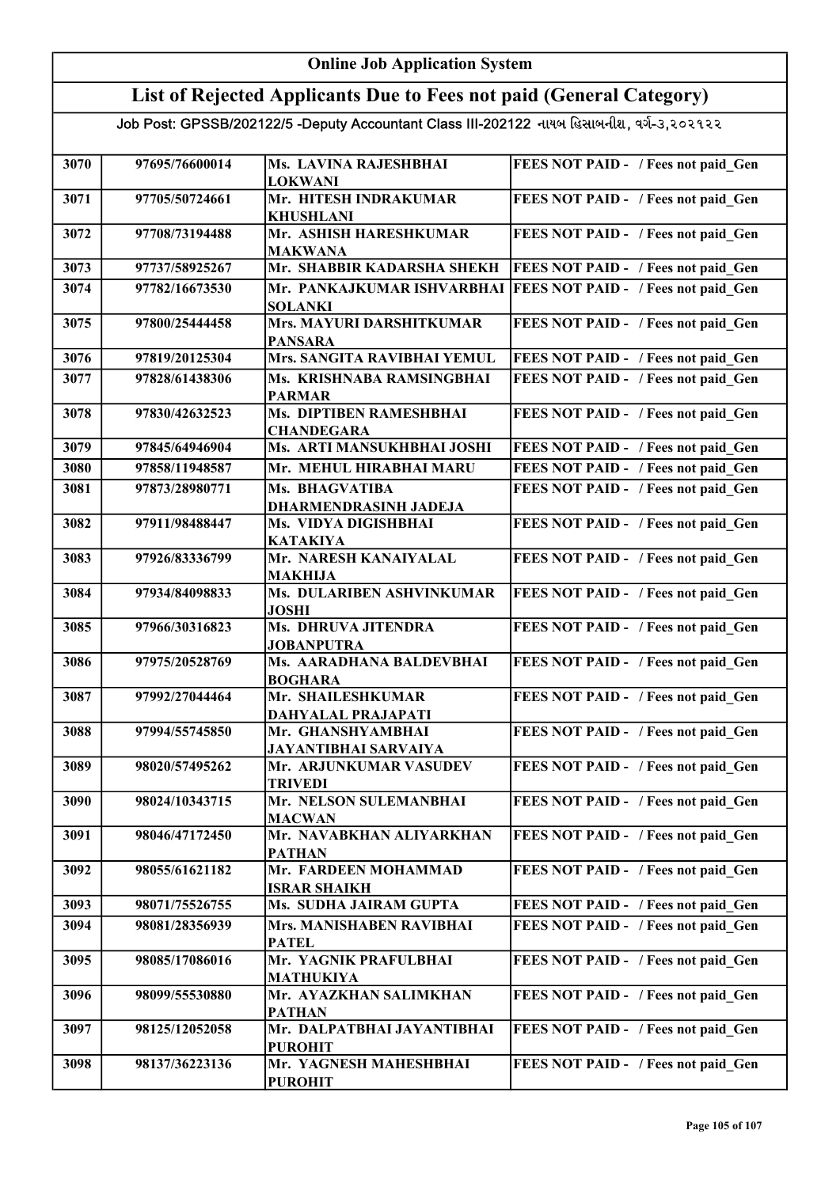#### Online Job Application System List of Rejected Applicants Due to Fees not paid (General Category) Job Post: GPSSB/202122/5 -Deputy Accountant Class III-202122 નાયબ હિસાબનીશ, વર્ગ-૩,૨૦૨૧૨૨ 3070 97695/76600014 Ms. LAVINA RAJESHBHAI LOKWANI FEES NOT PAID - / Fees not paid Gen 3071 97705/50724661 Mr. HITESH INDRAKUMAR KHUSHLANI FEES NOT PAID - / Fees not paid\_Gen 3072 97708/73194488 Mr. ASHISH HARESHKUMAR MAKWANA FEES NOT PAID - / Fees not paid Gen 3073 97737/58925267 Mr. SHABBIR KADARSHA SHEKH FEES NOT PAID - / Fees not paid Gen 3074 97782/16673530 Mr. PANKAJKUMAR ISHVARBHAI FEES NOT PAID - / Fees not paid\_Gen SOLANKI 3075 97800/25444458 Mrs. MAYURI DARSHITKUMAR PANSARA FEES NOT PAID - / Fees not paid Gen 3076 97819/20125304 Mrs. SANGITA RAVIBHAI YEMUL FEES NOT PAID - / Fees not paid\_Gen 3077 97828/61438306 Ms. KRISHNABA RAMSINGBHAI PARMAR FEES NOT PAID - / Fees not paid\_Gen 3078 97830/42632523 Ms. DIPTIBEN RAMESHBHAI CHANDEGARA FEES NOT PAID - / Fees not paid Gen 3079 97845/64946904 Ms. ARTI MANSUKHBHAI JOSHI FEES NOT PAID - / Fees not paid\_Gen 3080 97858/11948587 Mr. MEHUL HIRABHAI MARU FEES NOT PAID - / Fees not paid Gen 3081 97873/28980771 Ms. BHAGVATIBA DHARMENDRASINH JADEJA FEES NOT PAID - / Fees not paid Gen 3082 97911/98488447 Ms. VIDYA DIGISHBHAI KATAKIYA FEES NOT PAID - / Fees not paid Gen 3083 97926/83336799 Mr. NARESH KANAIYALAL MAKHIJA FEES NOT PAID - / Fees not paid Gen 3084 97934/84098833 Ms. DULARIBEN ASHVINKUMAR JOSHI FEES NOT PAID - / Fees not paid Gen 3085 97966/30316823 Ms. DHRUVA JITENDRA JOBANPUTRA FEES NOT PAID - / Fees not paid Gen 3086 97975/20528769 Ms. AARADHANA BALDEVBHAI BOGHARA FEES NOT PAID - / Fees not paid Gen 3087 97992/27044464 Mr. SHAILESHKUMAR DAHYALAL PRAJAPATI FEES NOT PAID - / Fees not paid\_Gen 3088 97994/55745850 Mr. GHANSHYAMBHAI JAYANTIBHAI SARVAIYA FEES NOT PAID - / Fees not paid Gen 3089 98020/57495262 Mr. ARJUNKUMAR VASUDEV TRIVEDI FEES NOT PAID - / Fees not paid Gen 3090 98024/10343715 Mr. NELSON SULEMANBHAI MACWAN FEES NOT PAID - / Fees not paid Gen 3091 98046/47172450 Mr. NAVABKHAN ALIYARKHAN PATHAN FEES NOT PAID - / Fees not paid Gen 3092 98055/61621182 Mr. FARDEEN MOHAMMAD ISRAR SHAIKH FEES NOT PAID - / Fees not paid\_Gen 3093 98071/75526755 Ms. SUDHA JAIRAM GUPTA FEES NOT PAID - / Fees not paid Gen 3094 98081/28356939 Mrs. MANISHABEN RAVIBHAI PATEL FEES NOT PAID - / Fees not paid Gen 3095 98085/17086016 Mr. YAGNIK PRAFULBHAI MATHUKIYA FEES NOT PAID - / Fees not paid Gen 3096 98099/55530880 Mr. AYAZKHAN SALIMKHAN PATHAN FEES NOT PAID - / Fees not paid Gen 3097 98125/12052058 Mr. DALPATBHAI JAYANTIBHAI PUROHIT FEES NOT PAID - / Fees not paid Gen 3098 98137/36223136 Mr. YAGNESH MAHESHBHAI PUROHIT FEES NOT PAID - / Fees not paid Gen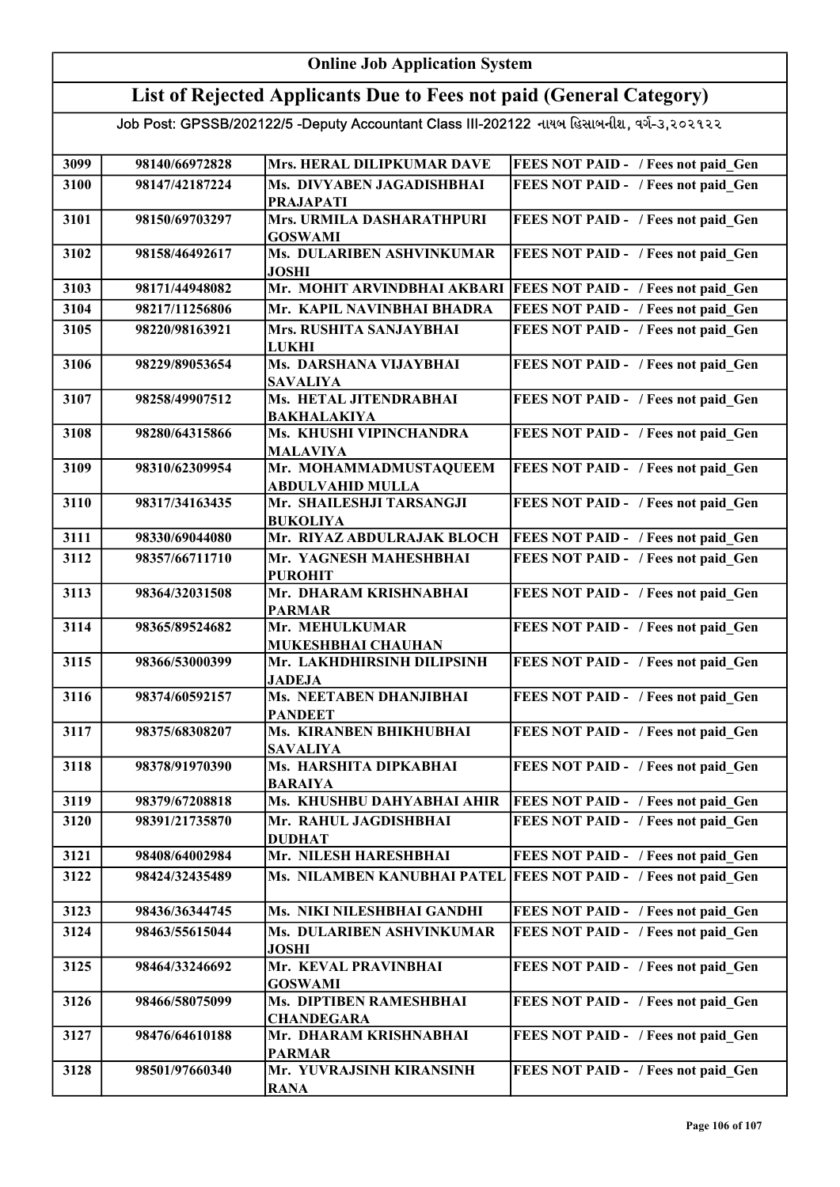#### Online Job Application System List of Rejected Applicants Due to Fees not paid (General Category) Job Post: GPSSB/202122/5 -Deputy Accountant Class III-202122 નાયબ હિસાબનીશ, વર્ગ-૩,૨૦૨૧૨૨ 3099 98140/66972828 Mrs. HERAL DILIPKUMAR DAVE FEES NOT PAID - / Fees not paid Gen 3100 98147/42187224 Ms. DIVYABEN JAGADISHBHAI PRAJAPATI FEES NOT PAID - / Fees not paid Gen 3101 98150/69703297 Mrs. URMILA DASHARATHPURI GOSWAMI FEES NOT PAID - / Fees not paid Gen 3102 98158/46492617 Ms. DULARIBEN ASHVINKUMAR JOSHI FEES NOT PAID - / Fees not paid Gen 3103 98171/44948082 Mr. MOHIT ARVINDBHAI AKBARI FEES NOT PAID - / Fees not paid\_Gen 3104 98217/11256806 Mr. KAPIL NAVINBHAI BHADRA FEES NOT PAID - / Fees not paid\_Gen 3105 98220/98163921 Mrs. RUSHITA SANJAYBHAI LUKHI FEES NOT PAID - / Fees not paid Gen 3106 98229/89053654 Ms. DARSHANA VIJAYBHAI SAVALIYA FEES NOT PAID - / Fees not paid Gen 3107 98258/49907512 Ms. HETAL JITENDRABHAI BAKHALAKIYA FEES NOT PAID - / Fees not paid Gen 3108 98280/64315866 Ms. KHUSHI VIPINCHANDRA MALAVIYA FEES NOT PAID - / Fees not paid\_Gen 3109 98310/62309954 Mr. MOHAMMADMUSTAQUEEM ABDULVAHID MULLA FEES NOT PAID - / Fees not paid Gen 3110 98317/34163435 Mr. SHAILESHJI TARSANGJI BUKOLIYA FEES NOT PAID - / Fees not paid Gen 3111 98330/69044080 Mr. RIYAZ ABDULRAJAK BLOCH FEES NOT PAID - / Fees not paid\_Gen 3112 98357/66711710 Mr. YAGNESH MAHESHBHAI PUROHIT FEES NOT PAID - / Fees not paid Gen 3113 98364/32031508 Mr. DHARAM KRISHNABHAI PARMAR FEES NOT PAID - / Fees not paid Gen 3114 98365/89524682 Mr. MEHULKUMAR MUKESHBHAI CHAUHAN FEES NOT PAID - / Fees not paid Gen 3115 98366/53000399 Mr. LAKHDHIRSINH DILIPSINH JADEJA FEES NOT PAID - / Fees not paid Gen 3116 98374/60592157 Ms. NEETABEN DHANJIBHAI PANDEET FEES NOT PAID - / Fees not paid\_Gen 3117 98375/68308207 Ms. KIRANBEN BHIKHUBHAI SAVALIYA FEES NOT PAID - / Fees not paid Gen 3118 98378/91970390 Ms. HARSHITA DIPKABHAI BARAIYA FEES NOT PAID - / Fees not paid Gen 3119 98379/67208818 Ms. KHUSHBU DAHYABHAI AHIR FEES NOT PAID - / Fees not paid Gen 3120 98391/21735870 Mr. RAHUL JAGDISHBHAI DUDHAT FEES NOT PAID - / Fees not paid\_Gen 3121 98408/64002984 Mr. NILESH HARESHBHAI 3122 98424/32435489 Ms. NILAMBEN KANUBHAI PATEL FEES NOT PAID - / Fees not paid\_Gen FEES NOT PAID - / Fees not paid Gen 3123 98436/36344745 Ms. NIKI NILESHBHAI GANDHI FEES NOT PAID - / Fees not paid\_Gen 3124 98463/55615044 Ms. DULARIBEN ASHVINKUMAR JOSHI FEES NOT PAID - / Fees not paid Gen 3125 98464/33246692 Mr. KEVAL PRAVINBHAI GOSWAMI FEES NOT PAID - / Fees not paid Gen 3126 98466/58075099 Ms. DIPTIBEN RAMESHBHAI **CHANDEGARA** FEES NOT PAID - / Fees not paid Gen 3127 98476/64610188 Mr. DHARAM KRISHNABHAI PARMAR FEES NOT PAID - / Fees not paid Gen 3128 98501/97660340 Mr. YUVRAJSINH KIRANSINH RANA FEES NOT PAID - / Fees not paid\_Gen